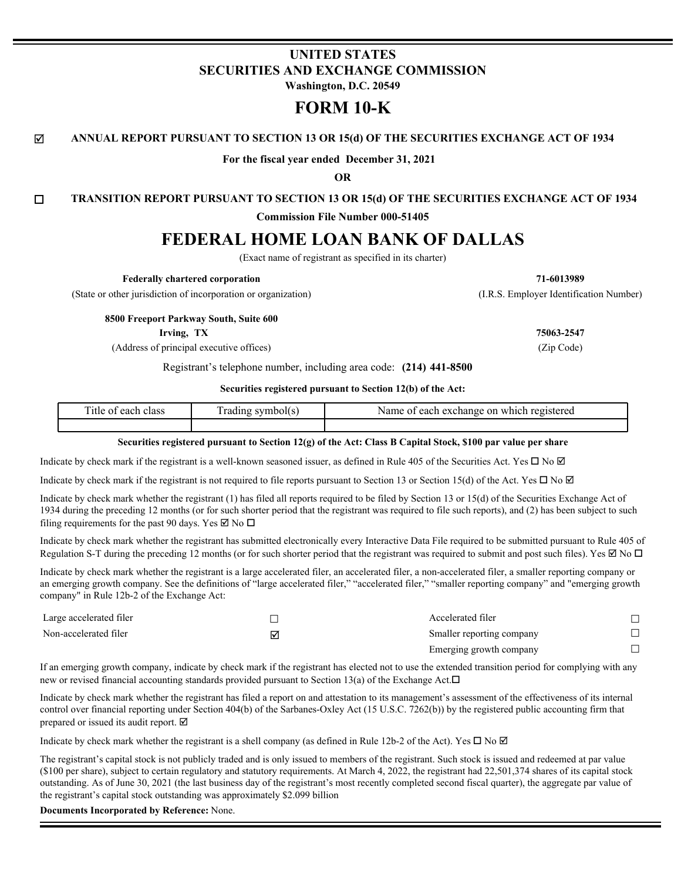# **UNITED STATES SECURITIES AND EXCHANGE COMMISSION**

**Washington, D.C. 20549**

# **FORM 10-K**

#### $\boxtimes$  **ANNUAL REPORT PURSUANT TO SECTION 13 OR 15(d) OF THE SECURITIES EXCHANGE ACT OF 1934**

**For the fiscal year ended December 31, 2021**

**OR**

**TRANSITION REPORT PURSUANT TO SECTION 13 OR 15(d) OF THE SECURITIES EXCHANGE ACT OF 1934** 

**Commission File Number 000-51405**

# **FEDERAL HOME LOAN BANK OF DALLAS**

(Exact name of registrant as specified in its charter)

**Federally chartered corporation 71-6013989** (State or other jurisdiction of incorporation or organization) (I.R.S. Employer Identification Number) **8500 Freeport Parkway South, Suite 600 Irving, TX 75063-2547**

(Address of principal executive offices) (Zip Code)

Registrant's telephone number, including area code: **(214) 441-8500**

**Securities registered pursuant to Section 12(b) of the Act:**

| Title<br>class<br>each<br>. O+ | .radıng<br>symbol(s | registered<br>each<br>Name of<br>ch exchange on<br>which |
|--------------------------------|---------------------|----------------------------------------------------------|
|                                |                     |                                                          |

#### **Securities registered pursuant to Section 12(g) of the Act: Class B Capital Stock, \$100 par value per share**

Indicate by check mark if the registrant is a well-known seasoned issuer, as defined in Rule 405 of the Securities Act. Yes  $\Box$  No  $\Box$ 

Indicate by check mark if the registrant is not required to file reports pursuant to Section 13 or Section 15(d) of the Act. Yes  $\Box$  No  $\Box$ 

Indicate by check mark whether the registrant (1) has filed all reports required to be filed by Section 13 or 15(d) of the Securities Exchange Act of 1934 during the preceding 12 months (or for such shorter period that the registrant was required to file such reports), and (2) has been subject to such filing requirements for the past 90 days. Yes  $\boxtimes$  No  $\square$ 

Indicate by check mark whether the registrant has submitted electronically every Interactive Data File required to be submitted pursuant to Rule 405 of Regulation S-T during the preceding 12 months (or for such shorter period that the registrant was required to submit and post such files). Yes  $\boxtimes$  No  $\Box$ 

Indicate by check mark whether the registrant is a large accelerated filer, an accelerated filer, a non-accelerated filer, a smaller reporting company or an emerging growth company. See the definitions of "large accelerated filer," "accelerated filer," "smaller reporting company" and "emerging growth company" in Rule 12b-2 of the Exchange Act:

| Large accelerated filer |   | Accelerated filer         |  |
|-------------------------|---|---------------------------|--|
| Non-accelerated filer   | ✓ | Smaller reporting company |  |
|                         |   | Emerging growth company   |  |

If an emerging growth company, indicate by check mark if the registrant has elected not to use the extended transition period for complying with any new or revised financial accounting standards provided pursuant to Section 13(a) of the Exchange Act. $\Box$ 

Indicate by check mark whether the registrant has filed a report on and attestation to its management's assessment of the effectiveness of its internal control over financial reporting under Section 404(b) of the Sarbanes-Oxley Act (15 U.S.C. 7262(b)) by the registered public accounting firm that prepared or issued its audit report.  $\boxtimes$ 

Indicate by check mark whether the registrant is a shell company (as defined in Rule 12b-2 of the Act). Yes  $\Box$  No  $\Box$ 

The registrant's capital stock is not publicly traded and is only issued to members of the registrant. Such stock is issued and redeemed at par value (\$100 per share), subject to certain regulatory and statutory requirements. At March 4, 2022, the registrant had 22,501,374 shares of its capital stock outstanding. As of June 30, 2021 (the last business day of the registrant's most recently completed second fiscal quarter), the aggregate par value of the registrant's capital stock outstanding was approximately \$2.099 billion

**Documents Incorporated by Reference:** None.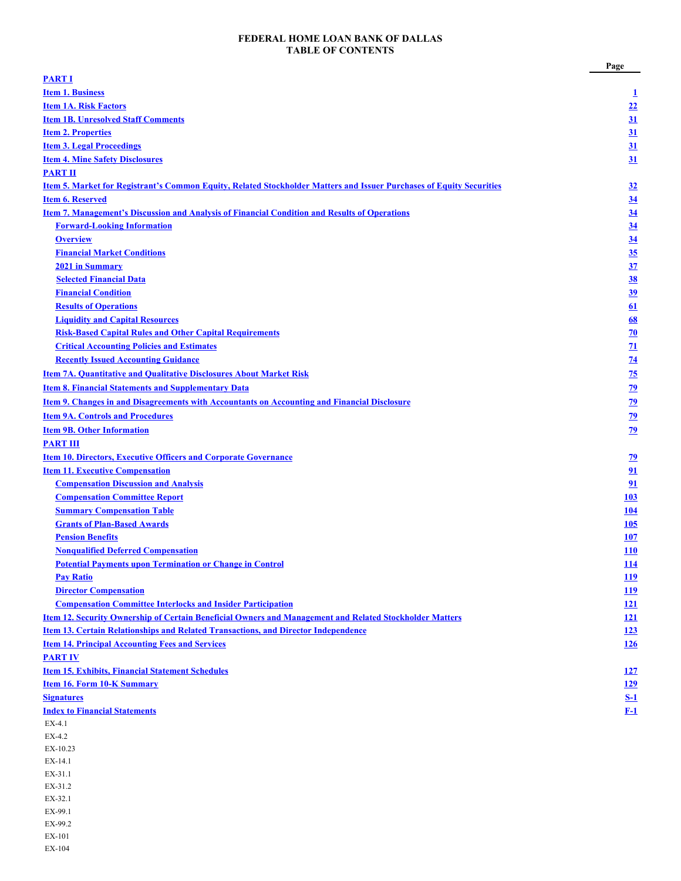#### **FEDERAL HOME LOAN BANK OF DALLAS TABLE OF CONTENTS**

|                                                                                                                      | Page            |
|----------------------------------------------------------------------------------------------------------------------|-----------------|
| <b>PART I</b>                                                                                                        |                 |
| <b>Item 1. Business</b>                                                                                              | $\mathbf{I}$    |
| <b>Item 1A. Risk Factors</b>                                                                                         | 22              |
| <b>Item 1B. Unresolved Staff Comments</b>                                                                            | 31              |
| <b>Item 2. Properties</b>                                                                                            | 31              |
| <b>Item 3. Legal Proceedings</b>                                                                                     | 31              |
| <b>Item 4. Mine Safety Disclosures</b>                                                                               | 31              |
| <b>PART II</b>                                                                                                       |                 |
| Item 5. Market for Registrant's Common Equity, Related Stockholder Matters and Issuer Purchases of Equity Securities | 32              |
| <b>Item 6. Reserved</b>                                                                                              | 34              |
| <b>Item 7. Management's Discussion and Analysis of Financial Condition and Results of Operations</b>                 | 34              |
| <b>Forward-Looking Information</b>                                                                                   | 34              |
| <b>Overview</b>                                                                                                      | 34              |
| <b>Financial Market Conditions</b>                                                                                   | 35              |
| 2021 in Summary                                                                                                      | 37              |
| <b>Selected Financial Data</b>                                                                                       | 38              |
| <b>Financial Condition</b>                                                                                           | 39              |
| <b>Results of Operations</b>                                                                                         | 61              |
| <b>Liquidity and Capital Resources</b>                                                                               | 68              |
| <b>Risk-Based Capital Rules and Other Capital Requirements</b>                                                       | 70              |
| <b>Critical Accounting Policies and Estimates</b>                                                                    |                 |
|                                                                                                                      | $\overline{11}$ |
| <b>Recently Issued Accounting Guidance</b>                                                                           | $\overline{74}$ |
| <b>Item 7A. Quantitative and Qualitative Disclosures About Market Risk</b>                                           | $\frac{75}{2}$  |
| <b>Item 8. Financial Statements and Supplementary Data</b>                                                           | 79              |
| <b>Item 9. Changes in and Disagreements with Accountants on Accounting and Financial Disclosure</b>                  | $\overline{29}$ |
| <b>Item 9A. Controls and Procedures</b>                                                                              | 79              |
| <b>Item 9B. Other Information</b>                                                                                    | 79              |
| <b>PART III</b>                                                                                                      |                 |
| <b>Item 10. Directors, Executive Officers and Corporate Governance</b>                                               | <u>79</u>       |
| <b>Item 11. Executive Compensation</b>                                                                               | 91              |
| <b>Compensation Discussion and Analysis</b>                                                                          | 91              |
| <b>Compensation Committee Report</b>                                                                                 | <b>103</b>      |
| <b>Summary Compensation Table</b>                                                                                    | 104             |
| <b>Grants of Plan-Based Awards</b>                                                                                   | <b>105</b>      |
| <b>Pension Benefits</b>                                                                                              | 107             |
| <b>Nonqualified Deferred Compensation</b>                                                                            | <b>110</b>      |
| <b>Potential Payments upon Termination or Change in Control</b>                                                      | <u>114</u>      |
| <b>Pay Ratio</b>                                                                                                     | <u>119</u>      |
| <b>Director Compensation</b>                                                                                         | <u>119</u>      |
| <b>Compensation Committee Interlocks and Insider Participation</b>                                                   | <u>121</u>      |
| Item 12. Security Ownership of Certain Beneficial Owners and Management and Related Stockholder Matters              | <u>121</u>      |
| <b>Item 13. Certain Relationships and Related Transactions, and Director Independence</b>                            | 123             |
| <b>Item 14. Principal Accounting Fees and Services</b>                                                               | 126             |
| <b>PART IV</b>                                                                                                       |                 |
| <b>Item 15. Exhibits, Financial Statement Schedules</b>                                                              | <u>127</u>      |
| <b>Item 16. Form 10-K Summary</b>                                                                                    | <b>129</b>      |
| <b>Signatures</b>                                                                                                    | $S-1$           |
| <b>Index to Financial Statements</b>                                                                                 | $F-1$           |
| EX-4.1                                                                                                               |                 |
| $EX-4.2$                                                                                                             |                 |
| EX-10.23                                                                                                             |                 |
| EX-14.1                                                                                                              |                 |
| EX-31.1                                                                                                              |                 |
| EX-31.2                                                                                                              |                 |
| EX-32.1                                                                                                              |                 |
| EX-99.1                                                                                                              |                 |
| EX-99.2                                                                                                              |                 |
| EX-101                                                                                                               |                 |

EX-104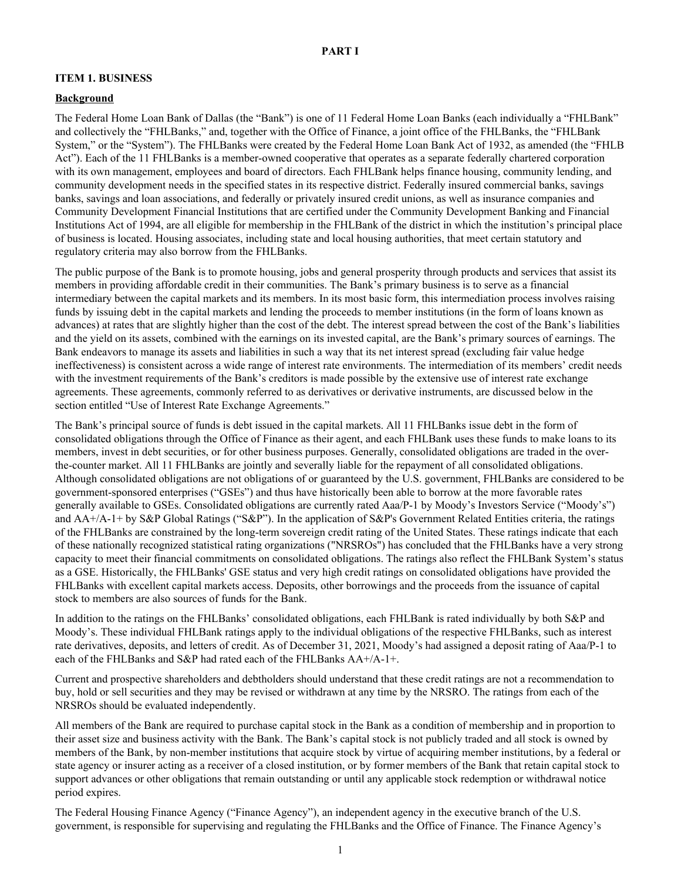#### <span id="page-2-0"></span>**ITEM 1. BUSINESS**

#### **Background**

The Federal Home Loan Bank of Dallas (the "Bank") is one of 11 Federal Home Loan Banks (each individually a "FHLBank" and collectively the "FHLBanks," and, together with the Office of Finance, a joint office of the FHLBanks, the "FHLBank System," or the "System"). The FHLBanks were created by the Federal Home Loan Bank Act of 1932, as amended (the "FHLB Act"). Each of the 11 FHLBanks is a member-owned cooperative that operates as a separate federally chartered corporation with its own management, employees and board of directors. Each FHLBank helps finance housing, community lending, and community development needs in the specified states in its respective district. Federally insured commercial banks, savings banks, savings and loan associations, and federally or privately insured credit unions, as well as insurance companies and Community Development Financial Institutions that are certified under the Community Development Banking and Financial Institutions Act of 1994, are all eligible for membership in the FHLBank of the district in which the institution's principal place of business is located. Housing associates, including state and local housing authorities, that meet certain statutory and regulatory criteria may also borrow from the FHLBanks.

The public purpose of the Bank is to promote housing, jobs and general prosperity through products and services that assist its members in providing affordable credit in their communities. The Bank's primary business is to serve as a financial intermediary between the capital markets and its members. In its most basic form, this intermediation process involves raising funds by issuing debt in the capital markets and lending the proceeds to member institutions (in the form of loans known as advances) at rates that are slightly higher than the cost of the debt. The interest spread between the cost of the Bank's liabilities and the yield on its assets, combined with the earnings on its invested capital, are the Bank's primary sources of earnings. The Bank endeavors to manage its assets and liabilities in such a way that its net interest spread (excluding fair value hedge ineffectiveness) is consistent across a wide range of interest rate environments. The intermediation of its members' credit needs with the investment requirements of the Bank's creditors is made possible by the extensive use of interest rate exchange agreements. These agreements, commonly referred to as derivatives or derivative instruments, are discussed below in the section entitled "Use of Interest Rate Exchange Agreements."

The Bank's principal source of funds is debt issued in the capital markets. All 11 FHLBanks issue debt in the form of consolidated obligations through the Office of Finance as their agent, and each FHLBank uses these funds to make loans to its members, invest in debt securities, or for other business purposes. Generally, consolidated obligations are traded in the overthe-counter market. All 11 FHLBanks are jointly and severally liable for the repayment of all consolidated obligations. Although consolidated obligations are not obligations of or guaranteed by the U.S. government, FHLBanks are considered to be government-sponsored enterprises ("GSEs") and thus have historically been able to borrow at the more favorable rates generally available to GSEs. Consolidated obligations are currently rated Aaa/P-1 by Moody's Investors Service ("Moody's") and AA+/A-1+ by S&P Global Ratings ("S&P"). In the application of S&P's Government Related Entities criteria, the ratings of the FHLBanks are constrained by the long-term sovereign credit rating of the United States. These ratings indicate that each of these nationally recognized statistical rating organizations ("NRSROs") has concluded that the FHLBanks have a very strong capacity to meet their financial commitments on consolidated obligations. The ratings also reflect the FHLBank System's status as a GSE. Historically, the FHLBanks' GSE status and very high credit ratings on consolidated obligations have provided the FHLBanks with excellent capital markets access. Deposits, other borrowings and the proceeds from the issuance of capital stock to members are also sources of funds for the Bank.

In addition to the ratings on the FHLBanks' consolidated obligations, each FHLBank is rated individually by both S&P and Moody's. These individual FHLBank ratings apply to the individual obligations of the respective FHLBanks, such as interest rate derivatives, deposits, and letters of credit. As of December 31, 2021, Moody's had assigned a deposit rating of Aaa/P-1 to each of the FHLBanks and S&P had rated each of the FHLBanks AA+/A-1+.

Current and prospective shareholders and debtholders should understand that these credit ratings are not a recommendation to buy, hold or sell securities and they may be revised or withdrawn at any time by the NRSRO. The ratings from each of the NRSROs should be evaluated independently.

All members of the Bank are required to purchase capital stock in the Bank as a condition of membership and in proportion to their asset size and business activity with the Bank. The Bank's capital stock is not publicly traded and all stock is owned by members of the Bank, by non-member institutions that acquire stock by virtue of acquiring member institutions, by a federal or state agency or insurer acting as a receiver of a closed institution, or by former members of the Bank that retain capital stock to support advances or other obligations that remain outstanding or until any applicable stock redemption or withdrawal notice period expires.

The Federal Housing Finance Agency ("Finance Agency"), an independent agency in the executive branch of the U.S. government, is responsible for supervising and regulating the FHLBanks and the Office of Finance. The Finance Agency's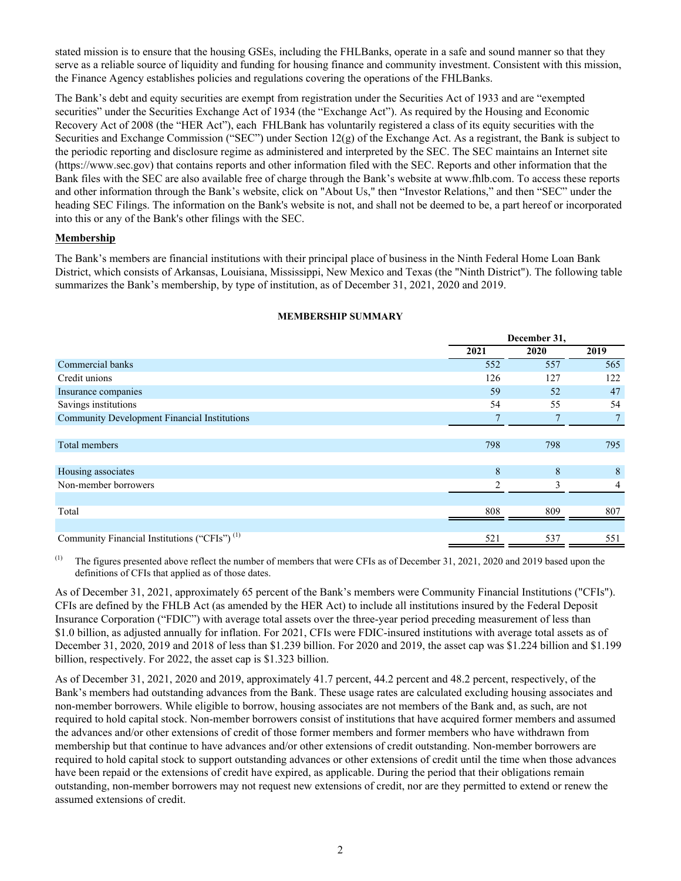stated mission is to ensure that the housing GSEs, including the FHLBanks, operate in a safe and sound manner so that they serve as a reliable source of liquidity and funding for housing finance and community investment. Consistent with this mission, the Finance Agency establishes policies and regulations covering the operations of the FHLBanks.

The Bank's debt and equity securities are exempt from registration under the Securities Act of 1933 and are "exempted securities" under the Securities Exchange Act of 1934 (the "Exchange Act"). As required by the Housing and Economic Recovery Act of 2008 (the "HER Act"), each FHLBank has voluntarily registered a class of its equity securities with the Securities and Exchange Commission ("SEC") under Section 12(g) of the Exchange Act. As a registrant, the Bank is subject to the periodic reporting and disclosure regime as administered and interpreted by the SEC. The SEC maintains an Internet site (https://www.sec.gov) that contains reports and other information filed with the SEC. Reports and other information that the Bank files with the SEC are also available free of charge through the Bank's website at www.fhlb.com. To access these reports and other information through the Bank's website, click on "About Us," then "Investor Relations," and then "SEC" under the heading SEC Filings. The information on the Bank's website is not, and shall not be deemed to be, a part hereof or incorporated into this or any of the Bank's other filings with the SEC.

#### **Membership**

The Bank's members are financial institutions with their principal place of business in the Ninth Federal Home Loan Bank District, which consists of Arkansas, Louisiana, Mississippi, New Mexico and Texas (the "Ninth District"). The following table summarizes the Bank's membership, by type of institution, as of December 31, 2021, 2020 and 2019.

|                                                          |      | December 31, |                |  |  |
|----------------------------------------------------------|------|--------------|----------------|--|--|
|                                                          | 2021 | 2020         | 2019           |  |  |
| Commercial banks                                         | 552  | 557          | 565            |  |  |
| Credit unions                                            | 126  | 127          | 122            |  |  |
| Insurance companies                                      | 59   | 52           | 47             |  |  |
| Savings institutions                                     | 54   | 55           | 54             |  |  |
| <b>Community Development Financial Institutions</b>      | 7    |              | $7^{\circ}$    |  |  |
|                                                          |      |              |                |  |  |
| <b>Total members</b>                                     | 798  | 798          | 795            |  |  |
|                                                          |      |              |                |  |  |
| Housing associates                                       | 8    | 8            | 8              |  |  |
| Non-member borrowers                                     | 2    | 3            | $\overline{4}$ |  |  |
|                                                          |      |              |                |  |  |
| Total                                                    | 808  | 809          | 807            |  |  |
|                                                          |      |              |                |  |  |
| Community Financial Institutions ("CFIs") <sup>(1)</sup> | 521  | 537          | 551            |  |  |

#### **MEMBERSHIP SUMMARY**

<sup>(1)</sup> The figures presented above reflect the number of members that were CFIs as of December 31, 2021, 2020 and 2019 based upon the definitions of CFIs that applied as of those dates.

As of December 31, 2021, approximately 65 percent of the Bank's members were Community Financial Institutions ("CFIs"). CFIs are defined by the FHLB Act (as amended by the HER Act) to include all institutions insured by the Federal Deposit Insurance Corporation ("FDIC") with average total assets over the three-year period preceding measurement of less than \$1.0 billion, as adjusted annually for inflation. For 2021, CFIs were FDIC-insured institutions with average total assets as of December 31, 2020, 2019 and 2018 of less than \$1.239 billion. For 2020 and 2019, the asset cap was \$1.224 billion and \$1.199 billion, respectively. For 2022, the asset cap is \$1.323 billion.

As of December 31, 2021, 2020 and 2019, approximately 41.7 percent, 44.2 percent and 48.2 percent, respectively, of the Bank's members had outstanding advances from the Bank. These usage rates are calculated excluding housing associates and non-member borrowers. While eligible to borrow, housing associates are not members of the Bank and, as such, are not required to hold capital stock. Non-member borrowers consist of institutions that have acquired former members and assumed the advances and/or other extensions of credit of those former members and former members who have withdrawn from membership but that continue to have advances and/or other extensions of credit outstanding. Non-member borrowers are required to hold capital stock to support outstanding advances or other extensions of credit until the time when those advances have been repaid or the extensions of credit have expired, as applicable. During the period that their obligations remain outstanding, non-member borrowers may not request new extensions of credit, nor are they permitted to extend or renew the assumed extensions of credit.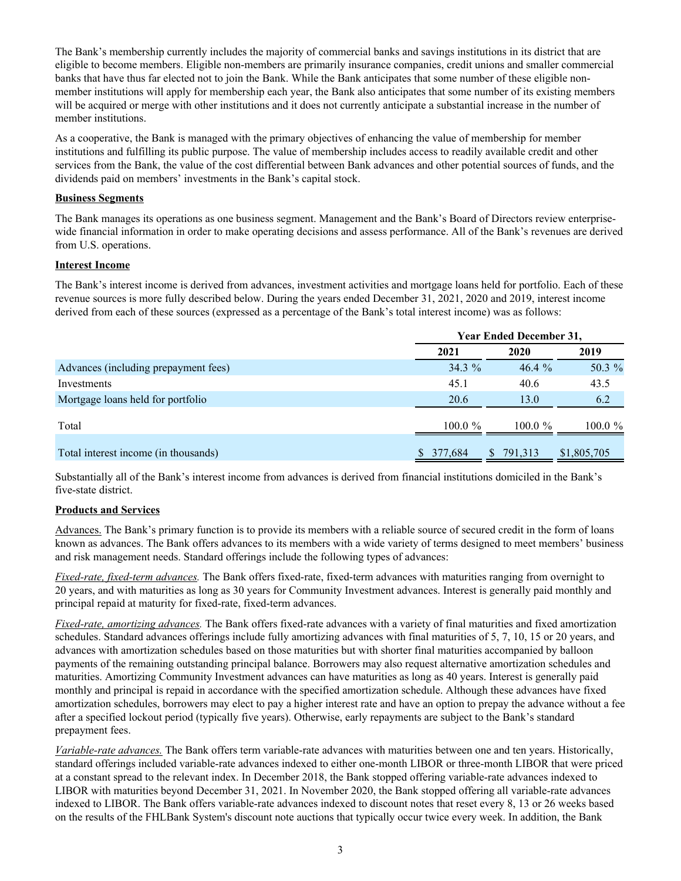The Bank's membership currently includes the majority of commercial banks and savings institutions in its district that are eligible to become members. Eligible non-members are primarily insurance companies, credit unions and smaller commercial banks that have thus far elected not to join the Bank. While the Bank anticipates that some number of these eligible nonmember institutions will apply for membership each year, the Bank also anticipates that some number of its existing members will be acquired or merge with other institutions and it does not currently anticipate a substantial increase in the number of member institutions.

As a cooperative, the Bank is managed with the primary objectives of enhancing the value of membership for member institutions and fulfilling its public purpose. The value of membership includes access to readily available credit and other services from the Bank, the value of the cost differential between Bank advances and other potential sources of funds, and the dividends paid on members' investments in the Bank's capital stock.

## **Business Segments**

The Bank manages its operations as one business segment. Management and the Bank's Board of Directors review enterprisewide financial information in order to make operating decisions and assess performance. All of the Bank's revenues are derived from U.S. operations.

# **Interest Income**

The Bank's interest income is derived from advances, investment activities and mortgage loans held for portfolio. Each of these revenue sources is more fully described below. During the years ended December 31, 2021, 2020 and 2019, interest income derived from each of these sources (expressed as a percentage of the Bank's total interest income) was as follows:

|                                      | <b>Year Ended December 31,</b> |                         |             |  |  |
|--------------------------------------|--------------------------------|-------------------------|-------------|--|--|
|                                      | 2021                           | 2020                    | 2019        |  |  |
| Advances (including prepayment fees) | $34.3\%$                       | 46.4%                   | 50.3 %      |  |  |
| Investments                          | 45.1                           | 40.6                    | 43.5        |  |  |
| Mortgage loans held for portfolio    | 20.6                           | 13.0                    | 6.2         |  |  |
| Total                                | 100.0 $\%$                     | 100.0 $\%$              | $100.0 \%$  |  |  |
| Total interest income (in thousands) | \$ 377,684                     | 791,313<br><sup>S</sup> | \$1,805,705 |  |  |

Substantially all of the Bank's interest income from advances is derived from financial institutions domiciled in the Bank's five-state district.

# **Products and Services**

Advances. The Bank's primary function is to provide its members with a reliable source of secured credit in the form of loans known as advances. The Bank offers advances to its members with a wide variety of terms designed to meet members' business and risk management needs. Standard offerings include the following types of advances:

*Fixed-rate, fixed-term advances.* The Bank offers fixed-rate, fixed-term advances with maturities ranging from overnight to 20 years, and with maturities as long as 30 years for Community Investment advances. Interest is generally paid monthly and principal repaid at maturity for fixed-rate, fixed-term advances.

*Fixed-rate, amortizing advances.* The Bank offers fixed-rate advances with a variety of final maturities and fixed amortization schedules. Standard advances offerings include fully amortizing advances with final maturities of 5, 7, 10, 15 or 20 years, and advances with amortization schedules based on those maturities but with shorter final maturities accompanied by balloon payments of the remaining outstanding principal balance. Borrowers may also request alternative amortization schedules and maturities. Amortizing Community Investment advances can have maturities as long as 40 years. Interest is generally paid monthly and principal is repaid in accordance with the specified amortization schedule. Although these advances have fixed amortization schedules, borrowers may elect to pay a higher interest rate and have an option to prepay the advance without a fee after a specified lockout period (typically five years). Otherwise, early repayments are subject to the Bank's standard prepayment fees.

*Variable-rate advances.* The Bank offers term variable-rate advances with maturities between one and ten years. Historically, standard offerings included variable-rate advances indexed to either one-month LIBOR or three-month LIBOR that were priced at a constant spread to the relevant index. In December 2018, the Bank stopped offering variable-rate advances indexed to LIBOR with maturities beyond December 31, 2021. In November 2020, the Bank stopped offering all variable-rate advances indexed to LIBOR. The Bank offers variable-rate advances indexed to discount notes that reset every 8, 13 or 26 weeks based on the results of the FHLBank System's discount note auctions that typically occur twice every week. In addition, the Bank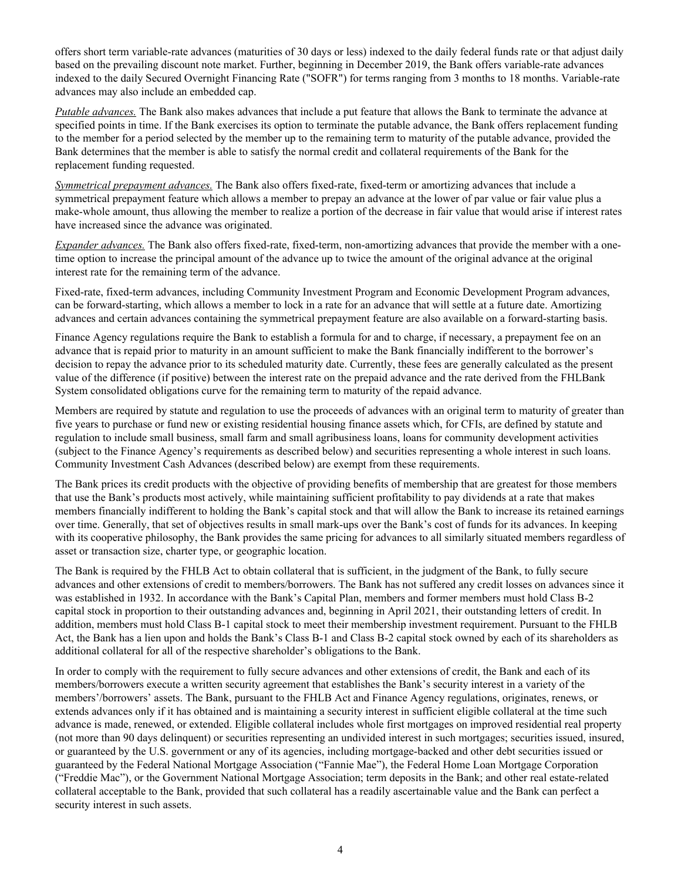offers short term variable-rate advances (maturities of 30 days or less) indexed to the daily federal funds rate or that adjust daily based on the prevailing discount note market. Further, beginning in December 2019, the Bank offers variable-rate advances indexed to the daily Secured Overnight Financing Rate ("SOFR") for terms ranging from 3 months to 18 months. Variable-rate advances may also include an embedded cap.

*Putable advances.* The Bank also makes advances that include a put feature that allows the Bank to terminate the advance at specified points in time. If the Bank exercises its option to terminate the putable advance, the Bank offers replacement funding to the member for a period selected by the member up to the remaining term to maturity of the putable advance, provided the Bank determines that the member is able to satisfy the normal credit and collateral requirements of the Bank for the replacement funding requested.

*Symmetrical prepayment advances.* The Bank also offers fixed-rate, fixed-term or amortizing advances that include a symmetrical prepayment feature which allows a member to prepay an advance at the lower of par value or fair value plus a make-whole amount, thus allowing the member to realize a portion of the decrease in fair value that would arise if interest rates have increased since the advance was originated.

*Expander advances.* The Bank also offers fixed-rate, fixed-term, non-amortizing advances that provide the member with a onetime option to increase the principal amount of the advance up to twice the amount of the original advance at the original interest rate for the remaining term of the advance.

Fixed-rate, fixed-term advances, including Community Investment Program and Economic Development Program advances, can be forward-starting, which allows a member to lock in a rate for an advance that will settle at a future date. Amortizing advances and certain advances containing the symmetrical prepayment feature are also available on a forward-starting basis.

Finance Agency regulations require the Bank to establish a formula for and to charge, if necessary, a prepayment fee on an advance that is repaid prior to maturity in an amount sufficient to make the Bank financially indifferent to the borrower's decision to repay the advance prior to its scheduled maturity date. Currently, these fees are generally calculated as the present value of the difference (if positive) between the interest rate on the prepaid advance and the rate derived from the FHLBank System consolidated obligations curve for the remaining term to maturity of the repaid advance.

Members are required by statute and regulation to use the proceeds of advances with an original term to maturity of greater than five years to purchase or fund new or existing residential housing finance assets which, for CFIs, are defined by statute and regulation to include small business, small farm and small agribusiness loans, loans for community development activities (subject to the Finance Agency's requirements as described below) and securities representing a whole interest in such loans. Community Investment Cash Advances (described below) are exempt from these requirements.

The Bank prices its credit products with the objective of providing benefits of membership that are greatest for those members that use the Bank's products most actively, while maintaining sufficient profitability to pay dividends at a rate that makes members financially indifferent to holding the Bank's capital stock and that will allow the Bank to increase its retained earnings over time. Generally, that set of objectives results in small mark-ups over the Bank's cost of funds for its advances. In keeping with its cooperative philosophy, the Bank provides the same pricing for advances to all similarly situated members regardless of asset or transaction size, charter type, or geographic location.

The Bank is required by the FHLB Act to obtain collateral that is sufficient, in the judgment of the Bank, to fully secure advances and other extensions of credit to members/borrowers. The Bank has not suffered any credit losses on advances since it was established in 1932. In accordance with the Bank's Capital Plan, members and former members must hold Class B-2 capital stock in proportion to their outstanding advances and, beginning in April 2021, their outstanding letters of credit. In addition, members must hold Class B-1 capital stock to meet their membership investment requirement. Pursuant to the FHLB Act, the Bank has a lien upon and holds the Bank's Class B-1 and Class B-2 capital stock owned by each of its shareholders as additional collateral for all of the respective shareholder's obligations to the Bank.

In order to comply with the requirement to fully secure advances and other extensions of credit, the Bank and each of its members/borrowers execute a written security agreement that establishes the Bank's security interest in a variety of the members'/borrowers' assets. The Bank, pursuant to the FHLB Act and Finance Agency regulations, originates, renews, or extends advances only if it has obtained and is maintaining a security interest in sufficient eligible collateral at the time such advance is made, renewed, or extended. Eligible collateral includes whole first mortgages on improved residential real property (not more than 90 days delinquent) or securities representing an undivided interest in such mortgages; securities issued, insured, or guaranteed by the U.S. government or any of its agencies, including mortgage-backed and other debt securities issued or guaranteed by the Federal National Mortgage Association ("Fannie Mae"), the Federal Home Loan Mortgage Corporation ("Freddie Mac"), or the Government National Mortgage Association; term deposits in the Bank; and other real estate-related collateral acceptable to the Bank, provided that such collateral has a readily ascertainable value and the Bank can perfect a security interest in such assets.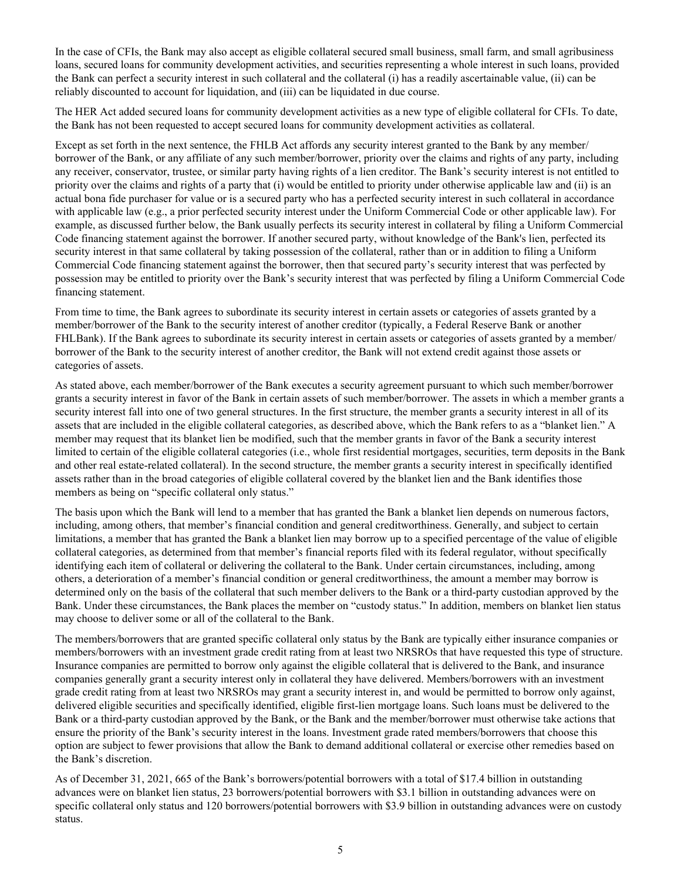In the case of CFIs, the Bank may also accept as eligible collateral secured small business, small farm, and small agribusiness loans, secured loans for community development activities, and securities representing a whole interest in such loans, provided the Bank can perfect a security interest in such collateral and the collateral (i) has a readily ascertainable value, (ii) can be reliably discounted to account for liquidation, and (iii) can be liquidated in due course.

The HER Act added secured loans for community development activities as a new type of eligible collateral for CFIs. To date, the Bank has not been requested to accept secured loans for community development activities as collateral.

Except as set forth in the next sentence, the FHLB Act affords any security interest granted to the Bank by any member/ borrower of the Bank, or any affiliate of any such member/borrower, priority over the claims and rights of any party, including any receiver, conservator, trustee, or similar party having rights of a lien creditor. The Bank's security interest is not entitled to priority over the claims and rights of a party that (i) would be entitled to priority under otherwise applicable law and (ii) is an actual bona fide purchaser for value or is a secured party who has a perfected security interest in such collateral in accordance with applicable law (e.g., a prior perfected security interest under the Uniform Commercial Code or other applicable law). For example, as discussed further below, the Bank usually perfects its security interest in collateral by filing a Uniform Commercial Code financing statement against the borrower. If another secured party, without knowledge of the Bank's lien, perfected its security interest in that same collateral by taking possession of the collateral, rather than or in addition to filing a Uniform Commercial Code financing statement against the borrower, then that secured party's security interest that was perfected by possession may be entitled to priority over the Bank's security interest that was perfected by filing a Uniform Commercial Code financing statement.

From time to time, the Bank agrees to subordinate its security interest in certain assets or categories of assets granted by a member/borrower of the Bank to the security interest of another creditor (typically, a Federal Reserve Bank or another FHLBank). If the Bank agrees to subordinate its security interest in certain assets or categories of assets granted by a member/ borrower of the Bank to the security interest of another creditor, the Bank will not extend credit against those assets or categories of assets.

As stated above, each member/borrower of the Bank executes a security agreement pursuant to which such member/borrower grants a security interest in favor of the Bank in certain assets of such member/borrower. The assets in which a member grants a security interest fall into one of two general structures. In the first structure, the member grants a security interest in all of its assets that are included in the eligible collateral categories, as described above, which the Bank refers to as a "blanket lien." A member may request that its blanket lien be modified, such that the member grants in favor of the Bank a security interest limited to certain of the eligible collateral categories (i.e., whole first residential mortgages, securities, term deposits in the Bank and other real estate-related collateral). In the second structure, the member grants a security interest in specifically identified assets rather than in the broad categories of eligible collateral covered by the blanket lien and the Bank identifies those members as being on "specific collateral only status."

The basis upon which the Bank will lend to a member that has granted the Bank a blanket lien depends on numerous factors, including, among others, that member's financial condition and general creditworthiness. Generally, and subject to certain limitations, a member that has granted the Bank a blanket lien may borrow up to a specified percentage of the value of eligible collateral categories, as determined from that member's financial reports filed with its federal regulator, without specifically identifying each item of collateral or delivering the collateral to the Bank. Under certain circumstances, including, among others, a deterioration of a member's financial condition or general creditworthiness, the amount a member may borrow is determined only on the basis of the collateral that such member delivers to the Bank or a third-party custodian approved by the Bank. Under these circumstances, the Bank places the member on "custody status." In addition, members on blanket lien status may choose to deliver some or all of the collateral to the Bank.

The members/borrowers that are granted specific collateral only status by the Bank are typically either insurance companies or members/borrowers with an investment grade credit rating from at least two NRSROs that have requested this type of structure. Insurance companies are permitted to borrow only against the eligible collateral that is delivered to the Bank, and insurance companies generally grant a security interest only in collateral they have delivered. Members/borrowers with an investment grade credit rating from at least two NRSROs may grant a security interest in, and would be permitted to borrow only against, delivered eligible securities and specifically identified, eligible first-lien mortgage loans. Such loans must be delivered to the Bank or a third-party custodian approved by the Bank, or the Bank and the member/borrower must otherwise take actions that ensure the priority of the Bank's security interest in the loans. Investment grade rated members/borrowers that choose this option are subject to fewer provisions that allow the Bank to demand additional collateral or exercise other remedies based on the Bank's discretion.

As of December 31, 2021, 665 of the Bank's borrowers/potential borrowers with a total of \$17.4 billion in outstanding advances were on blanket lien status, 23 borrowers/potential borrowers with \$3.1 billion in outstanding advances were on specific collateral only status and 120 borrowers/potential borrowers with \$3.9 billion in outstanding advances were on custody status.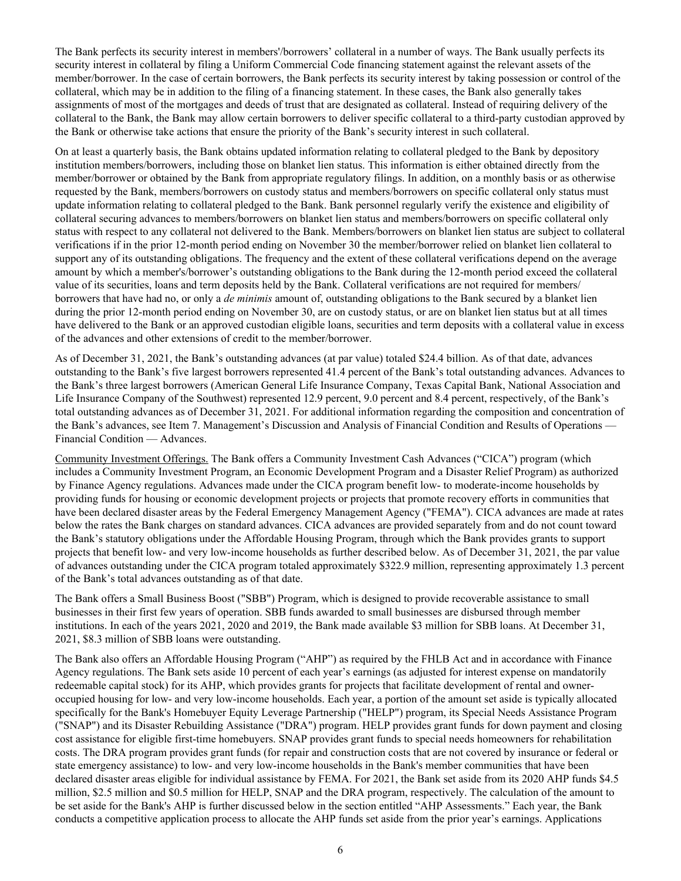The Bank perfects its security interest in members'/borrowers' collateral in a number of ways. The Bank usually perfects its security interest in collateral by filing a Uniform Commercial Code financing statement against the relevant assets of the member/borrower. In the case of certain borrowers, the Bank perfects its security interest by taking possession or control of the collateral, which may be in addition to the filing of a financing statement. In these cases, the Bank also generally takes assignments of most of the mortgages and deeds of trust that are designated as collateral. Instead of requiring delivery of the collateral to the Bank, the Bank may allow certain borrowers to deliver specific collateral to a third-party custodian approved by the Bank or otherwise take actions that ensure the priority of the Bank's security interest in such collateral.

On at least a quarterly basis, the Bank obtains updated information relating to collateral pledged to the Bank by depository institution members/borrowers, including those on blanket lien status. This information is either obtained directly from the member/borrower or obtained by the Bank from appropriate regulatory filings. In addition, on a monthly basis or as otherwise requested by the Bank, members/borrowers on custody status and members/borrowers on specific collateral only status must update information relating to collateral pledged to the Bank. Bank personnel regularly verify the existence and eligibility of collateral securing advances to members/borrowers on blanket lien status and members/borrowers on specific collateral only status with respect to any collateral not delivered to the Bank. Members/borrowers on blanket lien status are subject to collateral verifications if in the prior 12-month period ending on November 30 the member/borrower relied on blanket lien collateral to support any of its outstanding obligations. The frequency and the extent of these collateral verifications depend on the average amount by which a member's/borrower's outstanding obligations to the Bank during the 12-month period exceed the collateral value of its securities, loans and term deposits held by the Bank. Collateral verifications are not required for members/ borrowers that have had no, or only a *de minimis* amount of, outstanding obligations to the Bank secured by a blanket lien during the prior 12-month period ending on November 30, are on custody status, or are on blanket lien status but at all times have delivered to the Bank or an approved custodian eligible loans, securities and term deposits with a collateral value in excess of the advances and other extensions of credit to the member/borrower.

As of December 31, 2021, the Bank's outstanding advances (at par value) totaled \$24.4 billion. As of that date, advances outstanding to the Bank's five largest borrowers represented 41.4 percent of the Bank's total outstanding advances. Advances to the Bank's three largest borrowers (American General Life Insurance Company, Texas Capital Bank, National Association and Life Insurance Company of the Southwest) represented 12.9 percent, 9.0 percent and 8.4 percent, respectively, of the Bank's total outstanding advances as of December 31, 2021. For additional information regarding the composition and concentration of the Bank's advances, see Item 7. Management's Discussion and Analysis of Financial Condition and Results of Operations — Financial Condition — Advances.

Community Investment Offerings. The Bank offers a Community Investment Cash Advances ("CICA") program (which includes a Community Investment Program, an Economic Development Program and a Disaster Relief Program) as authorized by Finance Agency regulations. Advances made under the CICA program benefit low- to moderate-income households by providing funds for housing or economic development projects or projects that promote recovery efforts in communities that have been declared disaster areas by the Federal Emergency Management Agency ("FEMA"). CICA advances are made at rates below the rates the Bank charges on standard advances. CICA advances are provided separately from and do not count toward the Bank's statutory obligations under the Affordable Housing Program, through which the Bank provides grants to support projects that benefit low- and very low-income households as further described below. As of December 31, 2021, the par value of advances outstanding under the CICA program totaled approximately \$322.9 million, representing approximately 1.3 percent of the Bank's total advances outstanding as of that date.

The Bank offers a Small Business Boost ("SBB") Program, which is designed to provide recoverable assistance to small businesses in their first few years of operation. SBB funds awarded to small businesses are disbursed through member institutions. In each of the years 2021, 2020 and 2019, the Bank made available \$3 million for SBB loans. At December 31, 2021, \$8.3 million of SBB loans were outstanding.

The Bank also offers an Affordable Housing Program ("AHP") as required by the FHLB Act and in accordance with Finance Agency regulations. The Bank sets aside 10 percent of each year's earnings (as adjusted for interest expense on mandatorily redeemable capital stock) for its AHP, which provides grants for projects that facilitate development of rental and owneroccupied housing for low- and very low-income households. Each year, a portion of the amount set aside is typically allocated specifically for the Bank's Homebuyer Equity Leverage Partnership ("HELP") program, its Special Needs Assistance Program ("SNAP") and its Disaster Rebuilding Assistance ("DRA") program. HELP provides grant funds for down payment and closing cost assistance for eligible first-time homebuyers. SNAP provides grant funds to special needs homeowners for rehabilitation costs. The DRA program provides grant funds (for repair and construction costs that are not covered by insurance or federal or state emergency assistance) to low- and very low-income households in the Bank's member communities that have been declared disaster areas eligible for individual assistance by FEMA. For 2021, the Bank set aside from its 2020 AHP funds \$4.5 million, \$2.5 million and \$0.5 million for HELP, SNAP and the DRA program, respectively. The calculation of the amount to be set aside for the Bank's AHP is further discussed below in the section entitled "AHP Assessments." Each year, the Bank conducts a competitive application process to allocate the AHP funds set aside from the prior year's earnings. Applications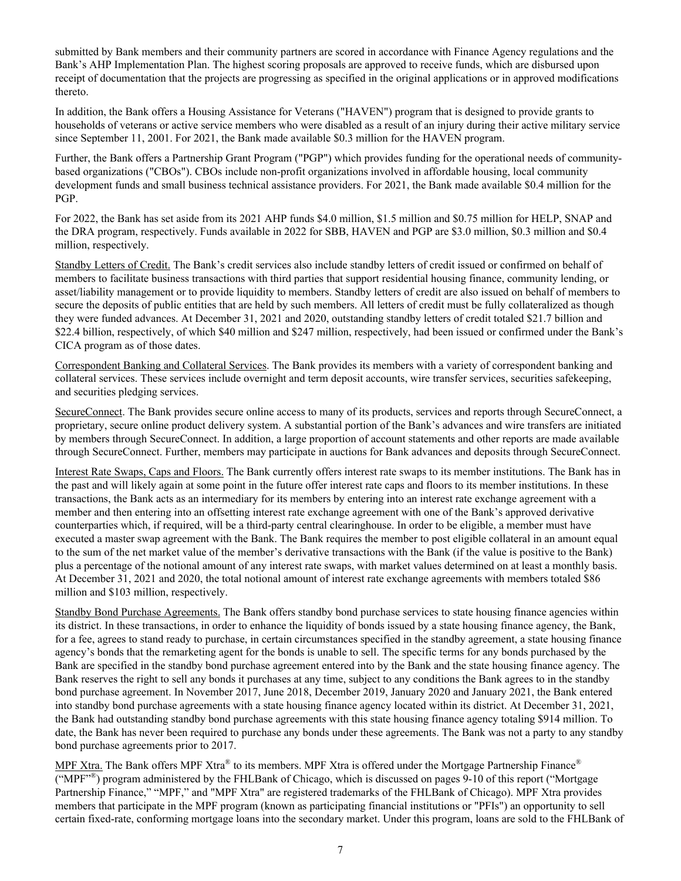submitted by Bank members and their community partners are scored in accordance with Finance Agency regulations and the Bank's AHP Implementation Plan. The highest scoring proposals are approved to receive funds, which are disbursed upon receipt of documentation that the projects are progressing as specified in the original applications or in approved modifications thereto.

In addition, the Bank offers a Housing Assistance for Veterans ("HAVEN") program that is designed to provide grants to households of veterans or active service members who were disabled as a result of an injury during their active military service since September 11, 2001. For 2021, the Bank made available \$0.3 million for the HAVEN program.

Further, the Bank offers a Partnership Grant Program ("PGP") which provides funding for the operational needs of communitybased organizations ("CBOs"). CBOs include non-profit organizations involved in affordable housing, local community development funds and small business technical assistance providers. For 2021, the Bank made available \$0.4 million for the PGP.

For 2022, the Bank has set aside from its 2021 AHP funds \$4.0 million, \$1.5 million and \$0.75 million for HELP, SNAP and the DRA program, respectively. Funds available in 2022 for SBB, HAVEN and PGP are \$3.0 million, \$0.3 million and \$0.4 million, respectively.

Standby Letters of Credit. The Bank's credit services also include standby letters of credit issued or confirmed on behalf of members to facilitate business transactions with third parties that support residential housing finance, community lending, or asset/liability management or to provide liquidity to members. Standby letters of credit are also issued on behalf of members to secure the deposits of public entities that are held by such members. All letters of credit must be fully collateralized as though they were funded advances. At December 31, 2021 and 2020, outstanding standby letters of credit totaled \$21.7 billion and \$22.4 billion, respectively, of which \$40 million and \$247 million, respectively, had been issued or confirmed under the Bank's CICA program as of those dates.

Correspondent Banking and Collateral Services. The Bank provides its members with a variety of correspondent banking and collateral services. These services include overnight and term deposit accounts, wire transfer services, securities safekeeping, and securities pledging services.

SecureConnect. The Bank provides secure online access to many of its products, services and reports through SecureConnect, a proprietary, secure online product delivery system. A substantial portion of the Bank's advances and wire transfers are initiated by members through SecureConnect. In addition, a large proportion of account statements and other reports are made available through SecureConnect. Further, members may participate in auctions for Bank advances and deposits through SecureConnect.

Interest Rate Swaps, Caps and Floors. The Bank currently offers interest rate swaps to its member institutions. The Bank has in the past and will likely again at some point in the future offer interest rate caps and floors to its member institutions. In these transactions, the Bank acts as an intermediary for its members by entering into an interest rate exchange agreement with a member and then entering into an offsetting interest rate exchange agreement with one of the Bank's approved derivative counterparties which, if required, will be a third-party central clearinghouse. In order to be eligible, a member must have executed a master swap agreement with the Bank. The Bank requires the member to post eligible collateral in an amount equal to the sum of the net market value of the member's derivative transactions with the Bank (if the value is positive to the Bank) plus a percentage of the notional amount of any interest rate swaps, with market values determined on at least a monthly basis. At December 31, 2021 and 2020, the total notional amount of interest rate exchange agreements with members totaled \$86 million and \$103 million, respectively.

Standby Bond Purchase Agreements. The Bank offers standby bond purchase services to state housing finance agencies within its district. In these transactions, in order to enhance the liquidity of bonds issued by a state housing finance agency, the Bank, for a fee, agrees to stand ready to purchase, in certain circumstances specified in the standby agreement, a state housing finance agency's bonds that the remarketing agent for the bonds is unable to sell. The specific terms for any bonds purchased by the Bank are specified in the standby bond purchase agreement entered into by the Bank and the state housing finance agency. The Bank reserves the right to sell any bonds it purchases at any time, subject to any conditions the Bank agrees to in the standby bond purchase agreement. In November 2017, June 2018, December 2019, January 2020 and January 2021, the Bank entered into standby bond purchase agreements with a state housing finance agency located within its district. At December 31, 2021, the Bank had outstanding standby bond purchase agreements with this state housing finance agency totaling \$914 million. To date, the Bank has never been required to purchase any bonds under these agreements. The Bank was not a party to any standby bond purchase agreements prior to 2017.

MPF Xtra. The Bank offers MPF Xtra® to its members. MPF Xtra is offered under the Mortgage Partnership Finance® ("MPF"® ) program administered by the FHLBank of Chicago, which is discussed on pages 9-10 of this report ("Mortgage Partnership Finance," "MPF," and "MPF Xtra" are registered trademarks of the FHLBank of Chicago). MPF Xtra provides members that participate in the MPF program (known as participating financial institutions or "PFIs") an opportunity to sell certain fixed-rate, conforming mortgage loans into the secondary market. Under this program, loans are sold to the FHLBank of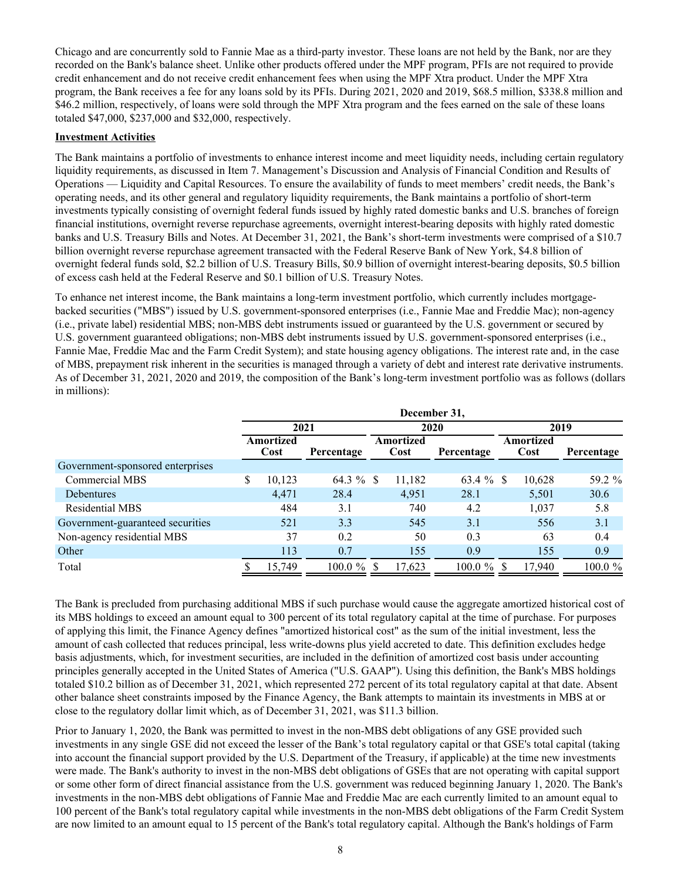Chicago and are concurrently sold to Fannie Mae as a third-party investor. These loans are not held by the Bank, nor are they recorded on the Bank's balance sheet. Unlike other products offered under the MPF program, PFIs are not required to provide credit enhancement and do not receive credit enhancement fees when using the MPF Xtra product. Under the MPF Xtra program, the Bank receives a fee for any loans sold by its PFIs. During 2021, 2020 and 2019, \$68.5 million, \$338.8 million and \$46.2 million, respectively, of loans were sold through the MPF Xtra program and the fees earned on the sale of these loans totaled \$47,000, \$237,000 and \$32,000, respectively.

# **Investment Activities**

The Bank maintains a portfolio of investments to enhance interest income and meet liquidity needs, including certain regulatory liquidity requirements, as discussed in Item 7. Management's Discussion and Analysis of Financial Condition and Results of Operations — Liquidity and Capital Resources. To ensure the availability of funds to meet members' credit needs, the Bank's operating needs, and its other general and regulatory liquidity requirements, the Bank maintains a portfolio of short-term investments typically consisting of overnight federal funds issued by highly rated domestic banks and U.S. branches of foreign financial institutions, overnight reverse repurchase agreements, overnight interest-bearing deposits with highly rated domestic banks and U.S. Treasury Bills and Notes. At December 31, 2021, the Bank's short-term investments were comprised of a \$10.7 billion overnight reverse repurchase agreement transacted with the Federal Reserve Bank of New York, \$4.8 billion of overnight federal funds sold, \$2.2 billion of U.S. Treasury Bills, \$0.9 billion of overnight interest-bearing deposits, \$0.5 billion of excess cash held at the Federal Reserve and \$0.1 billion of U.S. Treasury Notes.

To enhance net interest income, the Bank maintains a long-term investment portfolio, which currently includes mortgagebacked securities ("MBS") issued by U.S. government-sponsored enterprises (i.e., Fannie Mae and Freddie Mac); non-agency (i.e., private label) residential MBS; non-MBS debt instruments issued or guaranteed by the U.S. government or secured by U.S. government guaranteed obligations; non-MBS debt instruments issued by U.S. government-sponsored enterprises (i.e., Fannie Mae, Freddie Mac and the Farm Credit System); and state housing agency obligations. The interest rate and, in the case of MBS, prepayment risk inherent in the securities is managed through a variety of debt and interest rate derivative instruments. As of December 31, 2021, 2020 and 2019, the composition of the Bank's long-term investment portfolio was as follows (dollars in millions):

|                                  | December 31,      |        |            |                   |        |            |          |                   |            |  |
|----------------------------------|-------------------|--------|------------|-------------------|--------|------------|----------|-------------------|------------|--|
|                                  | 2021              |        |            | 2020              |        |            |          | 2019              |            |  |
|                                  | Amortized<br>Cost |        | Percentage | Amortized<br>Cost |        | Percentage |          | Amortized<br>Cost | Percentage |  |
| Government-sponsored enterprises |                   |        |            |                   |        |            |          |                   |            |  |
| <b>Commercial MBS</b>            | S                 | 10,123 | 64.3 %     | -S                | 11,182 | 63.4 %     | <b>S</b> | 10,628            | 59.2 %     |  |
| Debentures                       |                   | 4,471  | 28.4       |                   | 4,951  | 28.1       |          | 5,501             | 30.6       |  |
| <b>Residential MBS</b>           |                   | 484    | 3.1        |                   | 740    | 4.2        |          | 1,037             | 5.8        |  |
| Government-guaranteed securities |                   | 521    | 3.3        |                   | 545    | 3.1        |          | 556               | 3.1        |  |
| Non-agency residential MBS       |                   | 37     | 0.2        |                   | 50     | 0.3        |          | 63                | 0.4        |  |
| Other                            |                   | 113    | 0.7        |                   | 155    | 0.9        |          | 155               | 0.9        |  |
| Total                            |                   | 15,749 | 100.0 %    |                   | 17,623 | 100.0 %    |          | 17,940            | 100.0 %    |  |

The Bank is precluded from purchasing additional MBS if such purchase would cause the aggregate amortized historical cost of its MBS holdings to exceed an amount equal to 300 percent of its total regulatory capital at the time of purchase. For purposes of applying this limit, the Finance Agency defines "amortized historical cost" as the sum of the initial investment, less the amount of cash collected that reduces principal, less write-downs plus yield accreted to date. This definition excludes hedge basis adjustments, which, for investment securities, are included in the definition of amortized cost basis under accounting principles generally accepted in the United States of America ("U.S. GAAP"). Using this definition, the Bank's MBS holdings totaled \$10.2 billion as of December 31, 2021, which represented 272 percent of its total regulatory capital at that date. Absent other balance sheet constraints imposed by the Finance Agency, the Bank attempts to maintain its investments in MBS at or close to the regulatory dollar limit which, as of December 31, 2021, was \$11.3 billion.

Prior to January 1, 2020, the Bank was permitted to invest in the non-MBS debt obligations of any GSE provided such investments in any single GSE did not exceed the lesser of the Bank's total regulatory capital or that GSE's total capital (taking into account the financial support provided by the U.S. Department of the Treasury, if applicable) at the time new investments were made. The Bank's authority to invest in the non-MBS debt obligations of GSEs that are not operating with capital support or some other form of direct financial assistance from the U.S. government was reduced beginning January 1, 2020. The Bank's investments in the non-MBS debt obligations of Fannie Mae and Freddie Mac are each currently limited to an amount equal to 100 percent of the Bank's total regulatory capital while investments in the non-MBS debt obligations of the Farm Credit System are now limited to an amount equal to 15 percent of the Bank's total regulatory capital. Although the Bank's holdings of Farm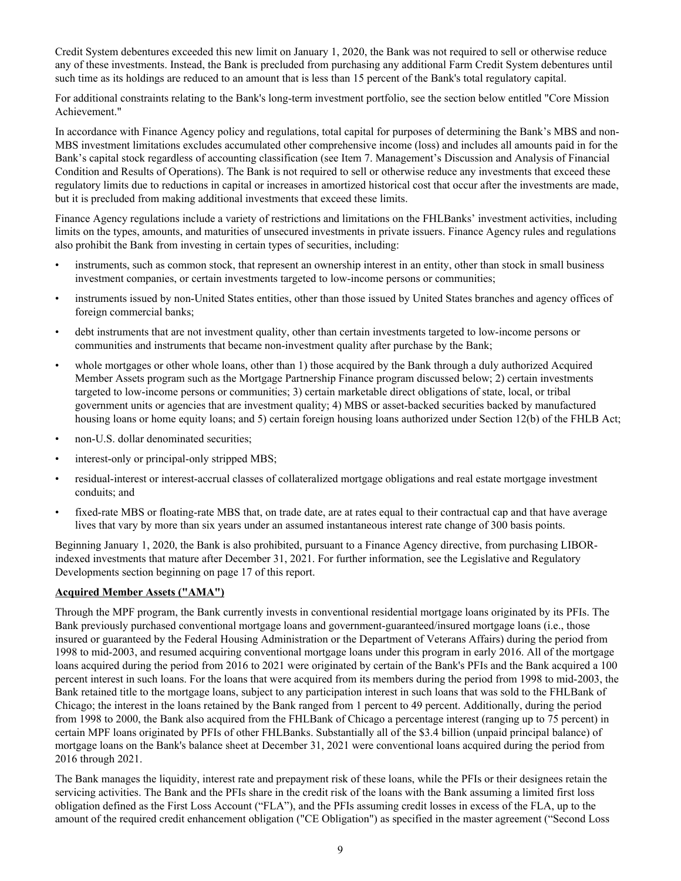Credit System debentures exceeded this new limit on January 1, 2020, the Bank was not required to sell or otherwise reduce any of these investments. Instead, the Bank is precluded from purchasing any additional Farm Credit System debentures until such time as its holdings are reduced to an amount that is less than 15 percent of the Bank's total regulatory capital.

For additional constraints relating to the Bank's long-term investment portfolio, see the section below entitled "Core Mission Achievement."

In accordance with Finance Agency policy and regulations, total capital for purposes of determining the Bank's MBS and non-MBS investment limitations excludes accumulated other comprehensive income (loss) and includes all amounts paid in for the Bank's capital stock regardless of accounting classification (see Item 7. Management's Discussion and Analysis of Financial Condition and Results of Operations). The Bank is not required to sell or otherwise reduce any investments that exceed these regulatory limits due to reductions in capital or increases in amortized historical cost that occur after the investments are made, but it is precluded from making additional investments that exceed these limits.

Finance Agency regulations include a variety of restrictions and limitations on the FHLBanks' investment activities, including limits on the types, amounts, and maturities of unsecured investments in private issuers. Finance Agency rules and regulations also prohibit the Bank from investing in certain types of securities, including:

- instruments, such as common stock, that represent an ownership interest in an entity, other than stock in small business investment companies, or certain investments targeted to low-income persons or communities;
- instruments issued by non-United States entities, other than those issued by United States branches and agency offices of foreign commercial banks;
- debt instruments that are not investment quality, other than certain investments targeted to low-income persons or communities and instruments that became non-investment quality after purchase by the Bank;
- whole mortgages or other whole loans, other than 1) those acquired by the Bank through a duly authorized Acquired Member Assets program such as the Mortgage Partnership Finance program discussed below; 2) certain investments targeted to low-income persons or communities; 3) certain marketable direct obligations of state, local, or tribal government units or agencies that are investment quality; 4) MBS or asset-backed securities backed by manufactured housing loans or home equity loans; and 5) certain foreign housing loans authorized under Section 12(b) of the FHLB Act;
- non-U.S. dollar denominated securities;
- interest-only or principal-only stripped MBS;
- residual-interest or interest-accrual classes of collateralized mortgage obligations and real estate mortgage investment conduits; and
- fixed-rate MBS or floating-rate MBS that, on trade date, are at rates equal to their contractual cap and that have average lives that vary by more than six years under an assumed instantaneous interest rate change of 300 basis points.

Beginning January 1, 2020, the Bank is also prohibited, pursuant to a Finance Agency directive, from purchasing LIBORindexed investments that mature after December 31, 2021. For further information, see the Legislative and Regulatory Developments section beginning on page 17 of this report.

#### **Acquired Member Assets ("AMA")**

Through the MPF program, the Bank currently invests in conventional residential mortgage loans originated by its PFIs. The Bank previously purchased conventional mortgage loans and government-guaranteed/insured mortgage loans (i.e., those insured or guaranteed by the Federal Housing Administration or the Department of Veterans Affairs) during the period from 1998 to mid-2003, and resumed acquiring conventional mortgage loans under this program in early 2016. All of the mortgage loans acquired during the period from 2016 to 2021 were originated by certain of the Bank's PFIs and the Bank acquired a 100 percent interest in such loans. For the loans that were acquired from its members during the period from 1998 to mid-2003, the Bank retained title to the mortgage loans, subject to any participation interest in such loans that was sold to the FHLBank of Chicago; the interest in the loans retained by the Bank ranged from 1 percent to 49 percent. Additionally, during the period from 1998 to 2000, the Bank also acquired from the FHLBank of Chicago a percentage interest (ranging up to 75 percent) in certain MPF loans originated by PFIs of other FHLBanks. Substantially all of the \$3.4 billion (unpaid principal balance) of mortgage loans on the Bank's balance sheet at December 31, 2021 were conventional loans acquired during the period from 2016 through 2021.

The Bank manages the liquidity, interest rate and prepayment risk of these loans, while the PFIs or their designees retain the servicing activities. The Bank and the PFIs share in the credit risk of the loans with the Bank assuming a limited first loss obligation defined as the First Loss Account ("FLA"), and the PFIs assuming credit losses in excess of the FLA, up to the amount of the required credit enhancement obligation ("CE Obligation") as specified in the master agreement ("Second Loss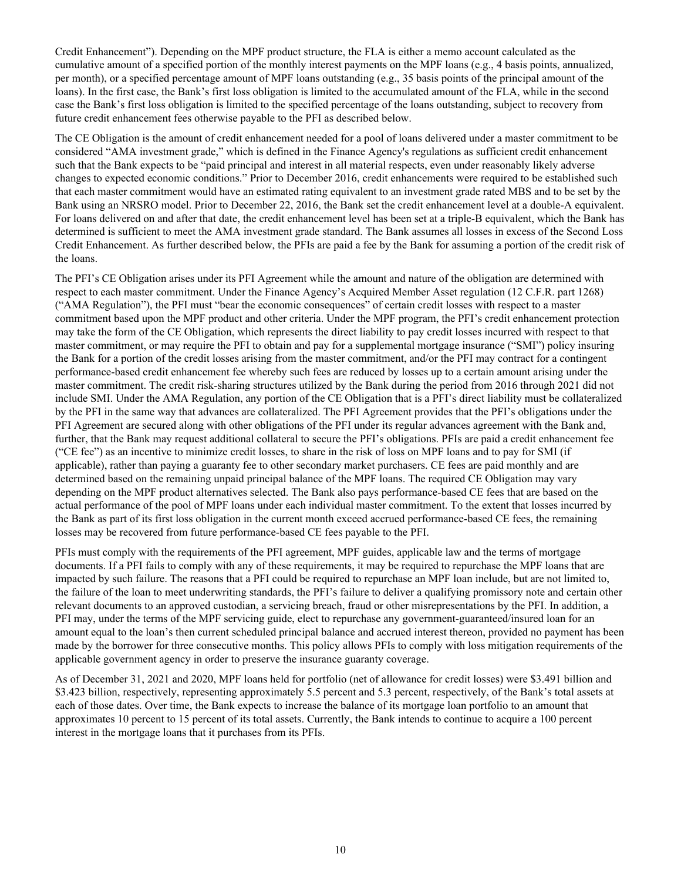Credit Enhancement"). Depending on the MPF product structure, the FLA is either a memo account calculated as the cumulative amount of a specified portion of the monthly interest payments on the MPF loans (e.g., 4 basis points, annualized, per month), or a specified percentage amount of MPF loans outstanding (e.g., 35 basis points of the principal amount of the loans). In the first case, the Bank's first loss obligation is limited to the accumulated amount of the FLA, while in the second case the Bank's first loss obligation is limited to the specified percentage of the loans outstanding, subject to recovery from future credit enhancement fees otherwise payable to the PFI as described below.

The CE Obligation is the amount of credit enhancement needed for a pool of loans delivered under a master commitment to be considered "AMA investment grade," which is defined in the Finance Agency's regulations as sufficient credit enhancement such that the Bank expects to be "paid principal and interest in all material respects, even under reasonably likely adverse changes to expected economic conditions." Prior to December 2016, credit enhancements were required to be established such that each master commitment would have an estimated rating equivalent to an investment grade rated MBS and to be set by the Bank using an NRSRO model. Prior to December 22, 2016, the Bank set the credit enhancement level at a double-A equivalent. For loans delivered on and after that date, the credit enhancement level has been set at a triple-B equivalent, which the Bank has determined is sufficient to meet the AMA investment grade standard. The Bank assumes all losses in excess of the Second Loss Credit Enhancement. As further described below, the PFIs are paid a fee by the Bank for assuming a portion of the credit risk of the loans.

The PFI's CE Obligation arises under its PFI Agreement while the amount and nature of the obligation are determined with respect to each master commitment. Under the Finance Agency's Acquired Member Asset regulation (12 C.F.R. part 1268) ("AMA Regulation"), the PFI must "bear the economic consequences" of certain credit losses with respect to a master commitment based upon the MPF product and other criteria. Under the MPF program, the PFI's credit enhancement protection may take the form of the CE Obligation, which represents the direct liability to pay credit losses incurred with respect to that master commitment, or may require the PFI to obtain and pay for a supplemental mortgage insurance ("SMI") policy insuring the Bank for a portion of the credit losses arising from the master commitment, and/or the PFI may contract for a contingent performance-based credit enhancement fee whereby such fees are reduced by losses up to a certain amount arising under the master commitment. The credit risk-sharing structures utilized by the Bank during the period from 2016 through 2021 did not include SMI. Under the AMA Regulation, any portion of the CE Obligation that is a PFI's direct liability must be collateralized by the PFI in the same way that advances are collateralized. The PFI Agreement provides that the PFI's obligations under the PFI Agreement are secured along with other obligations of the PFI under its regular advances agreement with the Bank and, further, that the Bank may request additional collateral to secure the PFI's obligations. PFIs are paid a credit enhancement fee ("CE fee") as an incentive to minimize credit losses, to share in the risk of loss on MPF loans and to pay for SMI (if applicable), rather than paying a guaranty fee to other secondary market purchasers. CE fees are paid monthly and are determined based on the remaining unpaid principal balance of the MPF loans. The required CE Obligation may vary depending on the MPF product alternatives selected. The Bank also pays performance-based CE fees that are based on the actual performance of the pool of MPF loans under each individual master commitment. To the extent that losses incurred by the Bank as part of its first loss obligation in the current month exceed accrued performance-based CE fees, the remaining losses may be recovered from future performance-based CE fees payable to the PFI.

PFIs must comply with the requirements of the PFI agreement, MPF guides, applicable law and the terms of mortgage documents. If a PFI fails to comply with any of these requirements, it may be required to repurchase the MPF loans that are impacted by such failure. The reasons that a PFI could be required to repurchase an MPF loan include, but are not limited to, the failure of the loan to meet underwriting standards, the PFI's failure to deliver a qualifying promissory note and certain other relevant documents to an approved custodian, a servicing breach, fraud or other misrepresentations by the PFI. In addition, a PFI may, under the terms of the MPF servicing guide, elect to repurchase any government-guaranteed/insured loan for an amount equal to the loan's then current scheduled principal balance and accrued interest thereon, provided no payment has been made by the borrower for three consecutive months. This policy allows PFIs to comply with loss mitigation requirements of the applicable government agency in order to preserve the insurance guaranty coverage.

As of December 31, 2021 and 2020, MPF loans held for portfolio (net of allowance for credit losses) were \$3.491 billion and \$3.423 billion, respectively, representing approximately 5.5 percent and 5.3 percent, respectively, of the Bank's total assets at each of those dates. Over time, the Bank expects to increase the balance of its mortgage loan portfolio to an amount that approximates 10 percent to 15 percent of its total assets. Currently, the Bank intends to continue to acquire a 100 percent interest in the mortgage loans that it purchases from its PFIs.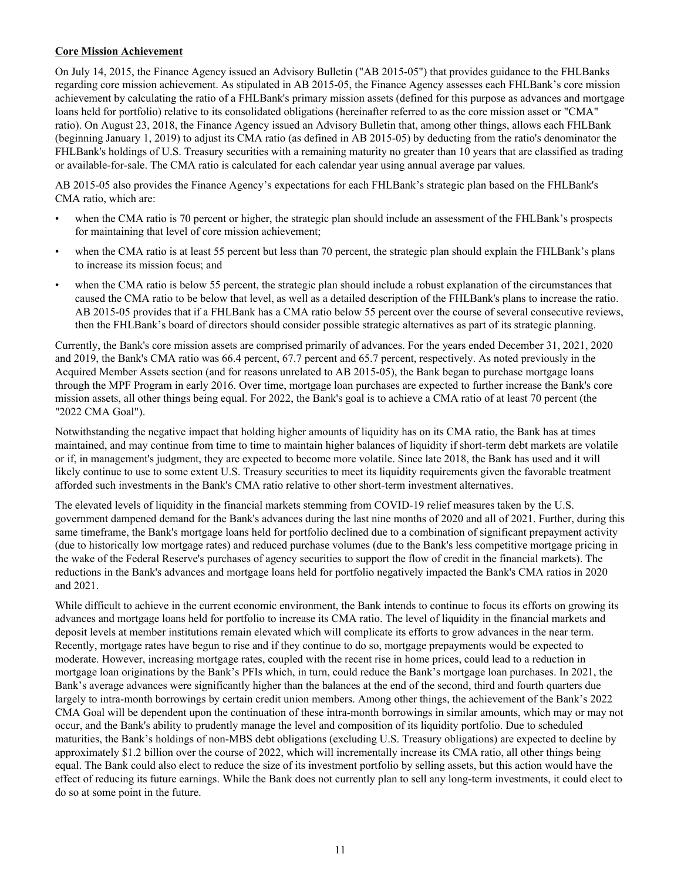# **Core Mission Achievement**

On July 14, 2015, the Finance Agency issued an Advisory Bulletin ("AB 2015-05") that provides guidance to the FHLBanks regarding core mission achievement. As stipulated in AB 2015-05, the Finance Agency assesses each FHLBank's core mission achievement by calculating the ratio of a FHLBank's primary mission assets (defined for this purpose as advances and mortgage loans held for portfolio) relative to its consolidated obligations (hereinafter referred to as the core mission asset or "CMA" ratio). On August 23, 2018, the Finance Agency issued an Advisory Bulletin that, among other things, allows each FHLBank (beginning January 1, 2019) to adjust its CMA ratio (as defined in AB 2015-05) by deducting from the ratio's denominator the FHLBank's holdings of U.S. Treasury securities with a remaining maturity no greater than 10 years that are classified as trading or available-for-sale. The CMA ratio is calculated for each calendar year using annual average par values.

AB 2015-05 also provides the Finance Agency's expectations for each FHLBank's strategic plan based on the FHLBank's CMA ratio, which are:

- when the CMA ratio is 70 percent or higher, the strategic plan should include an assessment of the FHLBank's prospects for maintaining that level of core mission achievement;
- when the CMA ratio is at least 55 percent but less than 70 percent, the strategic plan should explain the FHLBank's plans to increase its mission focus; and
- when the CMA ratio is below 55 percent, the strategic plan should include a robust explanation of the circumstances that caused the CMA ratio to be below that level, as well as a detailed description of the FHLBank's plans to increase the ratio. AB 2015-05 provides that if a FHLBank has a CMA ratio below 55 percent over the course of several consecutive reviews, then the FHLBank's board of directors should consider possible strategic alternatives as part of its strategic planning.

Currently, the Bank's core mission assets are comprised primarily of advances. For the years ended December 31, 2021, 2020 and 2019, the Bank's CMA ratio was 66.4 percent, 67.7 percent and 65.7 percent, respectively. As noted previously in the Acquired Member Assets section (and for reasons unrelated to AB 2015-05), the Bank began to purchase mortgage loans through the MPF Program in early 2016. Over time, mortgage loan purchases are expected to further increase the Bank's core mission assets, all other things being equal. For 2022, the Bank's goal is to achieve a CMA ratio of at least 70 percent (the "2022 CMA Goal").

Notwithstanding the negative impact that holding higher amounts of liquidity has on its CMA ratio, the Bank has at times maintained, and may continue from time to time to maintain higher balances of liquidity if short-term debt markets are volatile or if, in management's judgment, they are expected to become more volatile. Since late 2018, the Bank has used and it will likely continue to use to some extent U.S. Treasury securities to meet its liquidity requirements given the favorable treatment afforded such investments in the Bank's CMA ratio relative to other short-term investment alternatives.

The elevated levels of liquidity in the financial markets stemming from COVID-19 relief measures taken by the U.S. government dampened demand for the Bank's advances during the last nine months of 2020 and all of 2021. Further, during this same timeframe, the Bank's mortgage loans held for portfolio declined due to a combination of significant prepayment activity (due to historically low mortgage rates) and reduced purchase volumes (due to the Bank's less competitive mortgage pricing in the wake of the Federal Reserve's purchases of agency securities to support the flow of credit in the financial markets). The reductions in the Bank's advances and mortgage loans held for portfolio negatively impacted the Bank's CMA ratios in 2020 and 2021.

While difficult to achieve in the current economic environment, the Bank intends to continue to focus its efforts on growing its advances and mortgage loans held for portfolio to increase its CMA ratio. The level of liquidity in the financial markets and deposit levels at member institutions remain elevated which will complicate its efforts to grow advances in the near term. Recently, mortgage rates have begun to rise and if they continue to do so, mortgage prepayments would be expected to moderate. However, increasing mortgage rates, coupled with the recent rise in home prices, could lead to a reduction in mortgage loan originations by the Bank's PFIs which, in turn, could reduce the Bank's mortgage loan purchases. In 2021, the Bank's average advances were significantly higher than the balances at the end of the second, third and fourth quarters due largely to intra-month borrowings by certain credit union members. Among other things, the achievement of the Bank's 2022 CMA Goal will be dependent upon the continuation of these intra-month borrowings in similar amounts, which may or may not occur, and the Bank's ability to prudently manage the level and composition of its liquidity portfolio. Due to scheduled maturities, the Bank's holdings of non-MBS debt obligations (excluding U.S. Treasury obligations) are expected to decline by approximately \$1.2 billion over the course of 2022, which will incrementally increase its CMA ratio, all other things being equal. The Bank could also elect to reduce the size of its investment portfolio by selling assets, but this action would have the effect of reducing its future earnings. While the Bank does not currently plan to sell any long-term investments, it could elect to do so at some point in the future.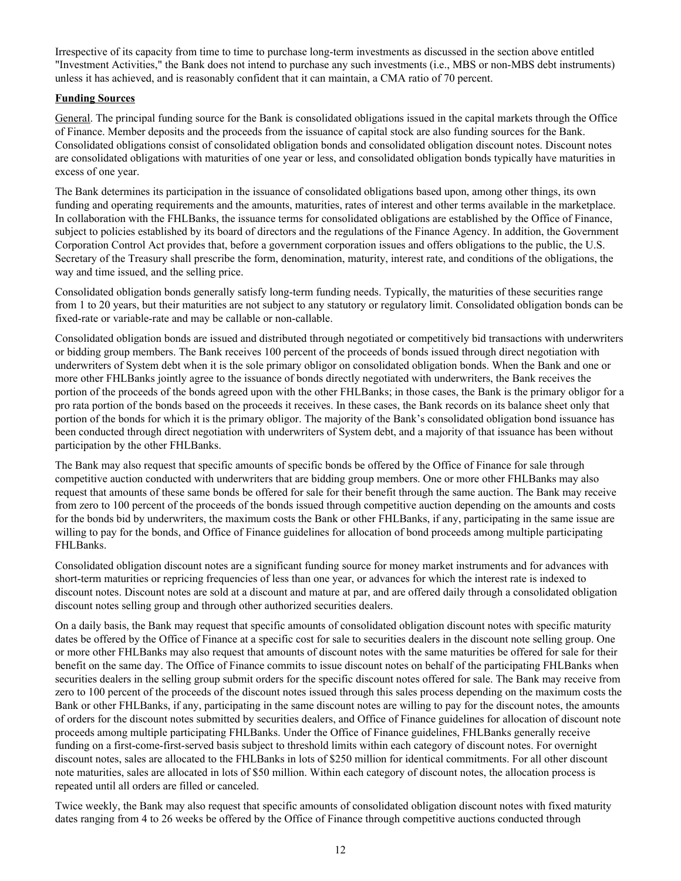Irrespective of its capacity from time to time to purchase long-term investments as discussed in the section above entitled "Investment Activities," the Bank does not intend to purchase any such investments (i.e., MBS or non-MBS debt instruments) unless it has achieved, and is reasonably confident that it can maintain, a CMA ratio of 70 percent.

# **Funding Sources**

General. The principal funding source for the Bank is consolidated obligations issued in the capital markets through the Office of Finance. Member deposits and the proceeds from the issuance of capital stock are also funding sources for the Bank. Consolidated obligations consist of consolidated obligation bonds and consolidated obligation discount notes. Discount notes are consolidated obligations with maturities of one year or less, and consolidated obligation bonds typically have maturities in excess of one year.

The Bank determines its participation in the issuance of consolidated obligations based upon, among other things, its own funding and operating requirements and the amounts, maturities, rates of interest and other terms available in the marketplace. In collaboration with the FHLBanks, the issuance terms for consolidated obligations are established by the Office of Finance, subject to policies established by its board of directors and the regulations of the Finance Agency. In addition, the Government Corporation Control Act provides that, before a government corporation issues and offers obligations to the public, the U.S. Secretary of the Treasury shall prescribe the form, denomination, maturity, interest rate, and conditions of the obligations, the way and time issued, and the selling price.

Consolidated obligation bonds generally satisfy long-term funding needs. Typically, the maturities of these securities range from 1 to 20 years, but their maturities are not subject to any statutory or regulatory limit. Consolidated obligation bonds can be fixed-rate or variable-rate and may be callable or non-callable.

Consolidated obligation bonds are issued and distributed through negotiated or competitively bid transactions with underwriters or bidding group members. The Bank receives 100 percent of the proceeds of bonds issued through direct negotiation with underwriters of System debt when it is the sole primary obligor on consolidated obligation bonds. When the Bank and one or more other FHLBanks jointly agree to the issuance of bonds directly negotiated with underwriters, the Bank receives the portion of the proceeds of the bonds agreed upon with the other FHLBanks; in those cases, the Bank is the primary obligor for a pro rata portion of the bonds based on the proceeds it receives. In these cases, the Bank records on its balance sheet only that portion of the bonds for which it is the primary obligor. The majority of the Bank's consolidated obligation bond issuance has been conducted through direct negotiation with underwriters of System debt, and a majority of that issuance has been without participation by the other FHLBanks.

The Bank may also request that specific amounts of specific bonds be offered by the Office of Finance for sale through competitive auction conducted with underwriters that are bidding group members. One or more other FHLBanks may also request that amounts of these same bonds be offered for sale for their benefit through the same auction. The Bank may receive from zero to 100 percent of the proceeds of the bonds issued through competitive auction depending on the amounts and costs for the bonds bid by underwriters, the maximum costs the Bank or other FHLBanks, if any, participating in the same issue are willing to pay for the bonds, and Office of Finance guidelines for allocation of bond proceeds among multiple participating FHLBanks.

Consolidated obligation discount notes are a significant funding source for money market instruments and for advances with short-term maturities or repricing frequencies of less than one year, or advances for which the interest rate is indexed to discount notes. Discount notes are sold at a discount and mature at par, and are offered daily through a consolidated obligation discount notes selling group and through other authorized securities dealers.

On a daily basis, the Bank may request that specific amounts of consolidated obligation discount notes with specific maturity dates be offered by the Office of Finance at a specific cost for sale to securities dealers in the discount note selling group. One or more other FHLBanks may also request that amounts of discount notes with the same maturities be offered for sale for their benefit on the same day. The Office of Finance commits to issue discount notes on behalf of the participating FHLBanks when securities dealers in the selling group submit orders for the specific discount notes offered for sale. The Bank may receive from zero to 100 percent of the proceeds of the discount notes issued through this sales process depending on the maximum costs the Bank or other FHLBanks, if any, participating in the same discount notes are willing to pay for the discount notes, the amounts of orders for the discount notes submitted by securities dealers, and Office of Finance guidelines for allocation of discount note proceeds among multiple participating FHLBanks. Under the Office of Finance guidelines, FHLBanks generally receive funding on a first-come-first-served basis subject to threshold limits within each category of discount notes. For overnight discount notes, sales are allocated to the FHLBanks in lots of \$250 million for identical commitments. For all other discount note maturities, sales are allocated in lots of \$50 million. Within each category of discount notes, the allocation process is repeated until all orders are filled or canceled.

Twice weekly, the Bank may also request that specific amounts of consolidated obligation discount notes with fixed maturity dates ranging from 4 to 26 weeks be offered by the Office of Finance through competitive auctions conducted through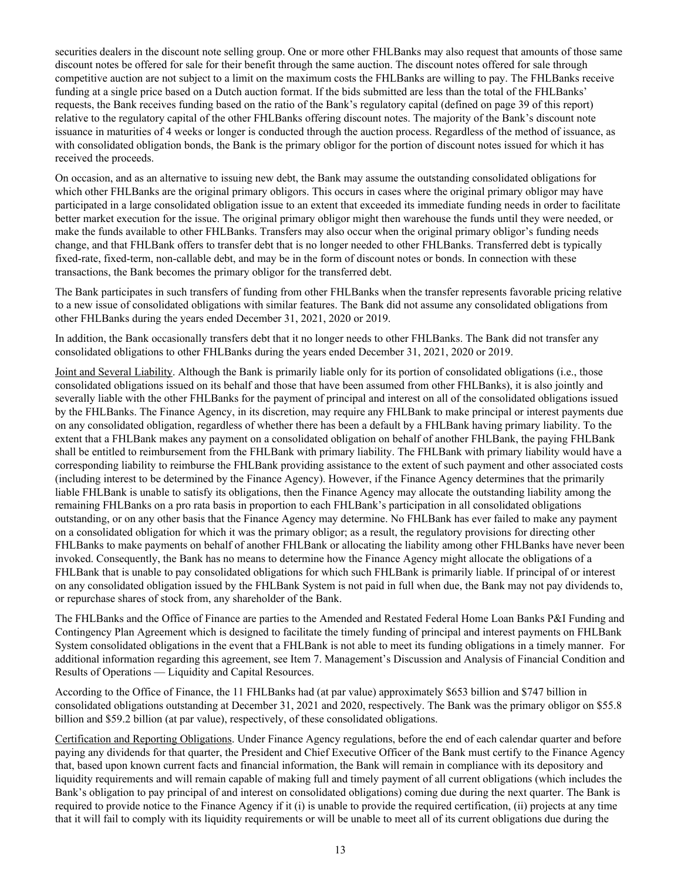securities dealers in the discount note selling group. One or more other FHLBanks may also request that amounts of those same discount notes be offered for sale for their benefit through the same auction. The discount notes offered for sale through competitive auction are not subject to a limit on the maximum costs the FHLBanks are willing to pay. The FHLBanks receive funding at a single price based on a Dutch auction format. If the bids submitted are less than the total of the FHLBanks' requests, the Bank receives funding based on the ratio of the Bank's regulatory capital (defined on page 39 of this report) relative to the regulatory capital of the other FHLBanks offering discount notes. The majority of the Bank's discount note issuance in maturities of 4 weeks or longer is conducted through the auction process. Regardless of the method of issuance, as with consolidated obligation bonds, the Bank is the primary obligor for the portion of discount notes issued for which it has received the proceeds.

On occasion, and as an alternative to issuing new debt, the Bank may assume the outstanding consolidated obligations for which other FHLBanks are the original primary obligors. This occurs in cases where the original primary obligor may have participated in a large consolidated obligation issue to an extent that exceeded its immediate funding needs in order to facilitate better market execution for the issue. The original primary obligor might then warehouse the funds until they were needed, or make the funds available to other FHLBanks. Transfers may also occur when the original primary obligor's funding needs change, and that FHLBank offers to transfer debt that is no longer needed to other FHLBanks. Transferred debt is typically fixed-rate, fixed-term, non-callable debt, and may be in the form of discount notes or bonds. In connection with these transactions, the Bank becomes the primary obligor for the transferred debt.

The Bank participates in such transfers of funding from other FHLBanks when the transfer represents favorable pricing relative to a new issue of consolidated obligations with similar features. The Bank did not assume any consolidated obligations from other FHLBanks during the years ended December 31, 2021, 2020 or 2019.

In addition, the Bank occasionally transfers debt that it no longer needs to other FHLBanks. The Bank did not transfer any consolidated obligations to other FHLBanks during the years ended December 31, 2021, 2020 or 2019.

Joint and Several Liability. Although the Bank is primarily liable only for its portion of consolidated obligations (i.e., those consolidated obligations issued on its behalf and those that have been assumed from other FHLBanks), it is also jointly and severally liable with the other FHLBanks for the payment of principal and interest on all of the consolidated obligations issued by the FHLBanks. The Finance Agency, in its discretion, may require any FHLBank to make principal or interest payments due on any consolidated obligation, regardless of whether there has been a default by a FHLBank having primary liability. To the extent that a FHLBank makes any payment on a consolidated obligation on behalf of another FHLBank, the paying FHLBank shall be entitled to reimbursement from the FHLBank with primary liability. The FHLBank with primary liability would have a corresponding liability to reimburse the FHLBank providing assistance to the extent of such payment and other associated costs (including interest to be determined by the Finance Agency). However, if the Finance Agency determines that the primarily liable FHLBank is unable to satisfy its obligations, then the Finance Agency may allocate the outstanding liability among the remaining FHLBanks on a pro rata basis in proportion to each FHLBank's participation in all consolidated obligations outstanding, or on any other basis that the Finance Agency may determine. No FHLBank has ever failed to make any payment on a consolidated obligation for which it was the primary obligor; as a result, the regulatory provisions for directing other FHLBanks to make payments on behalf of another FHLBank or allocating the liability among other FHLBanks have never been invoked. Consequently, the Bank has no means to determine how the Finance Agency might allocate the obligations of a FHLBank that is unable to pay consolidated obligations for which such FHLBank is primarily liable. If principal of or interest on any consolidated obligation issued by the FHLBank System is not paid in full when due, the Bank may not pay dividends to, or repurchase shares of stock from, any shareholder of the Bank.

The FHLBanks and the Office of Finance are parties to the Amended and Restated Federal Home Loan Banks P&I Funding and Contingency Plan Agreement which is designed to facilitate the timely funding of principal and interest payments on FHLBank System consolidated obligations in the event that a FHLBank is not able to meet its funding obligations in a timely manner. For additional information regarding this agreement, see Item 7. Management's Discussion and Analysis of Financial Condition and Results of Operations — Liquidity and Capital Resources.

According to the Office of Finance, the 11 FHLBanks had (at par value) approximately \$653 billion and \$747 billion in consolidated obligations outstanding at December 31, 2021 and 2020, respectively. The Bank was the primary obligor on \$55.8 billion and \$59.2 billion (at par value), respectively, of these consolidated obligations.

Certification and Reporting Obligations. Under Finance Agency regulations, before the end of each calendar quarter and before paying any dividends for that quarter, the President and Chief Executive Officer of the Bank must certify to the Finance Agency that, based upon known current facts and financial information, the Bank will remain in compliance with its depository and liquidity requirements and will remain capable of making full and timely payment of all current obligations (which includes the Bank's obligation to pay principal of and interest on consolidated obligations) coming due during the next quarter. The Bank is required to provide notice to the Finance Agency if it (i) is unable to provide the required certification, (ii) projects at any time that it will fail to comply with its liquidity requirements or will be unable to meet all of its current obligations due during the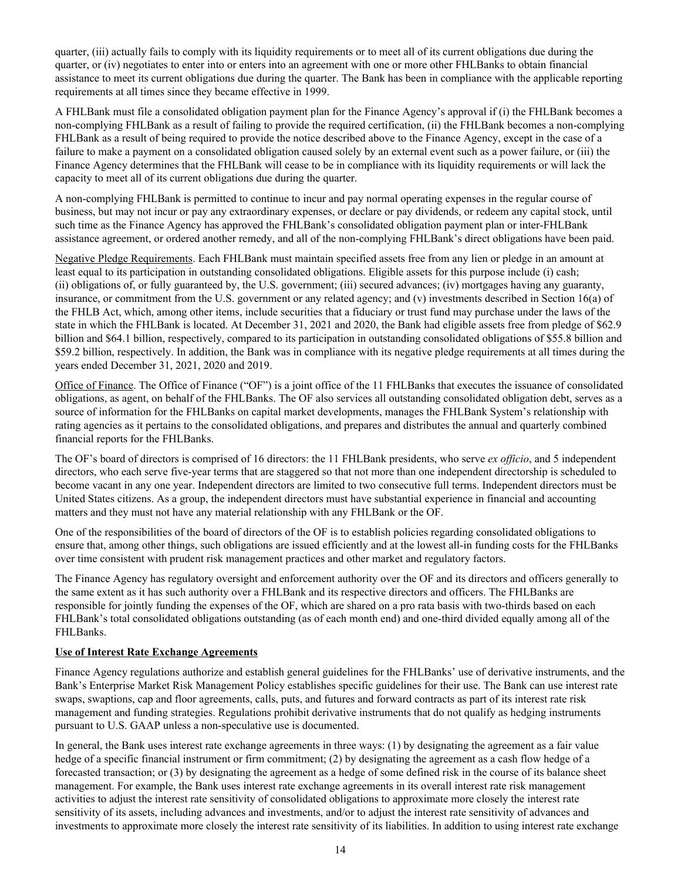quarter, (iii) actually fails to comply with its liquidity requirements or to meet all of its current obligations due during the quarter, or (iv) negotiates to enter into or enters into an agreement with one or more other FHLBanks to obtain financial assistance to meet its current obligations due during the quarter. The Bank has been in compliance with the applicable reporting requirements at all times since they became effective in 1999.

A FHLBank must file a consolidated obligation payment plan for the Finance Agency's approval if (i) the FHLBank becomes a non-complying FHLBank as a result of failing to provide the required certification, (ii) the FHLBank becomes a non-complying FHLBank as a result of being required to provide the notice described above to the Finance Agency, except in the case of a failure to make a payment on a consolidated obligation caused solely by an external event such as a power failure, or (iii) the Finance Agency determines that the FHLBank will cease to be in compliance with its liquidity requirements or will lack the capacity to meet all of its current obligations due during the quarter.

A non-complying FHLBank is permitted to continue to incur and pay normal operating expenses in the regular course of business, but may not incur or pay any extraordinary expenses, or declare or pay dividends, or redeem any capital stock, until such time as the Finance Agency has approved the FHLBank's consolidated obligation payment plan or inter-FHLBank assistance agreement, or ordered another remedy, and all of the non-complying FHLBank's direct obligations have been paid.

Negative Pledge Requirements. Each FHLBank must maintain specified assets free from any lien or pledge in an amount at least equal to its participation in outstanding consolidated obligations. Eligible assets for this purpose include (i) cash; (ii) obligations of, or fully guaranteed by, the U.S. government; (iii) secured advances; (iv) mortgages having any guaranty, insurance, or commitment from the U.S. government or any related agency; and (v) investments described in Section 16(a) of the FHLB Act, which, among other items, include securities that a fiduciary or trust fund may purchase under the laws of the state in which the FHLBank is located. At December 31, 2021 and 2020, the Bank had eligible assets free from pledge of \$62.9 billion and \$64.1 billion, respectively, compared to its participation in outstanding consolidated obligations of \$55.8 billion and \$59.2 billion, respectively. In addition, the Bank was in compliance with its negative pledge requirements at all times during the years ended December 31, 2021, 2020 and 2019.

Office of Finance. The Office of Finance ("OF") is a joint office of the 11 FHLBanks that executes the issuance of consolidated obligations, as agent, on behalf of the FHLBanks. The OF also services all outstanding consolidated obligation debt, serves as a source of information for the FHLBanks on capital market developments, manages the FHLBank System's relationship with rating agencies as it pertains to the consolidated obligations, and prepares and distributes the annual and quarterly combined financial reports for the FHLBanks.

The OF's board of directors is comprised of 16 directors: the 11 FHLBank presidents, who serve *ex officio*, and 5 independent directors, who each serve five-year terms that are staggered so that not more than one independent directorship is scheduled to become vacant in any one year. Independent directors are limited to two consecutive full terms. Independent directors must be United States citizens. As a group, the independent directors must have substantial experience in financial and accounting matters and they must not have any material relationship with any FHLBank or the OF.

One of the responsibilities of the board of directors of the OF is to establish policies regarding consolidated obligations to ensure that, among other things, such obligations are issued efficiently and at the lowest all-in funding costs for the FHLBanks over time consistent with prudent risk management practices and other market and regulatory factors.

The Finance Agency has regulatory oversight and enforcement authority over the OF and its directors and officers generally to the same extent as it has such authority over a FHLBank and its respective directors and officers. The FHLBanks are responsible for jointly funding the expenses of the OF, which are shared on a pro rata basis with two-thirds based on each FHLBank's total consolidated obligations outstanding (as of each month end) and one-third divided equally among all of the FHLBanks.

#### **Use of Interest Rate Exchange Agreements**

Finance Agency regulations authorize and establish general guidelines for the FHLBanks' use of derivative instruments, and the Bank's Enterprise Market Risk Management Policy establishes specific guidelines for their use. The Bank can use interest rate swaps, swaptions, cap and floor agreements, calls, puts, and futures and forward contracts as part of its interest rate risk management and funding strategies. Regulations prohibit derivative instruments that do not qualify as hedging instruments pursuant to U.S. GAAP unless a non-speculative use is documented.

In general, the Bank uses interest rate exchange agreements in three ways: (1) by designating the agreement as a fair value hedge of a specific financial instrument or firm commitment; (2) by designating the agreement as a cash flow hedge of a forecasted transaction; or (3) by designating the agreement as a hedge of some defined risk in the course of its balance sheet management. For example, the Bank uses interest rate exchange agreements in its overall interest rate risk management activities to adjust the interest rate sensitivity of consolidated obligations to approximate more closely the interest rate sensitivity of its assets, including advances and investments, and/or to adjust the interest rate sensitivity of advances and investments to approximate more closely the interest rate sensitivity of its liabilities. In addition to using interest rate exchange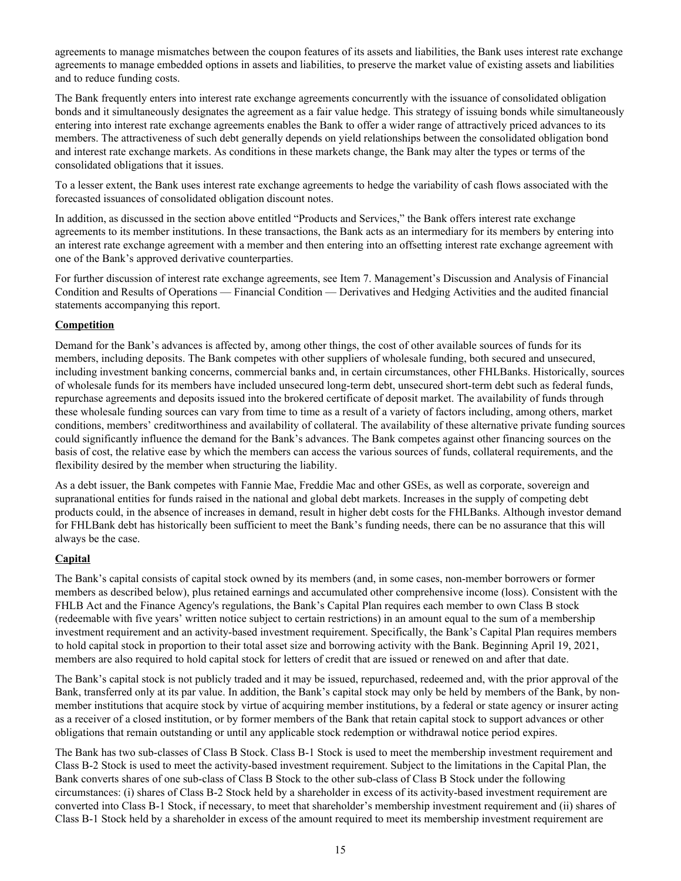agreements to manage mismatches between the coupon features of its assets and liabilities, the Bank uses interest rate exchange agreements to manage embedded options in assets and liabilities, to preserve the market value of existing assets and liabilities and to reduce funding costs.

The Bank frequently enters into interest rate exchange agreements concurrently with the issuance of consolidated obligation bonds and it simultaneously designates the agreement as a fair value hedge. This strategy of issuing bonds while simultaneously entering into interest rate exchange agreements enables the Bank to offer a wider range of attractively priced advances to its members. The attractiveness of such debt generally depends on yield relationships between the consolidated obligation bond and interest rate exchange markets. As conditions in these markets change, the Bank may alter the types or terms of the consolidated obligations that it issues.

To a lesser extent, the Bank uses interest rate exchange agreements to hedge the variability of cash flows associated with the forecasted issuances of consolidated obligation discount notes.

In addition, as discussed in the section above entitled "Products and Services," the Bank offers interest rate exchange agreements to its member institutions. In these transactions, the Bank acts as an intermediary for its members by entering into an interest rate exchange agreement with a member and then entering into an offsetting interest rate exchange agreement with one of the Bank's approved derivative counterparties.

For further discussion of interest rate exchange agreements, see Item 7. Management's Discussion and Analysis of Financial Condition and Results of Operations — Financial Condition — Derivatives and Hedging Activities and the audited financial statements accompanying this report.

# **Competition**

Demand for the Bank's advances is affected by, among other things, the cost of other available sources of funds for its members, including deposits. The Bank competes with other suppliers of wholesale funding, both secured and unsecured, including investment banking concerns, commercial banks and, in certain circumstances, other FHLBanks. Historically, sources of wholesale funds for its members have included unsecured long-term debt, unsecured short-term debt such as federal funds, repurchase agreements and deposits issued into the brokered certificate of deposit market. The availability of funds through these wholesale funding sources can vary from time to time as a result of a variety of factors including, among others, market conditions, members' creditworthiness and availability of collateral. The availability of these alternative private funding sources could significantly influence the demand for the Bank's advances. The Bank competes against other financing sources on the basis of cost, the relative ease by which the members can access the various sources of funds, collateral requirements, and the flexibility desired by the member when structuring the liability.

As a debt issuer, the Bank competes with Fannie Mae, Freddie Mac and other GSEs, as well as corporate, sovereign and supranational entities for funds raised in the national and global debt markets. Increases in the supply of competing debt products could, in the absence of increases in demand, result in higher debt costs for the FHLBanks. Although investor demand for FHLBank debt has historically been sufficient to meet the Bank's funding needs, there can be no assurance that this will always be the case.

# **Capital**

The Bank's capital consists of capital stock owned by its members (and, in some cases, non-member borrowers or former members as described below), plus retained earnings and accumulated other comprehensive income (loss). Consistent with the FHLB Act and the Finance Agency's regulations, the Bank's Capital Plan requires each member to own Class B stock (redeemable with five years' written notice subject to certain restrictions) in an amount equal to the sum of a membership investment requirement and an activity-based investment requirement. Specifically, the Bank's Capital Plan requires members to hold capital stock in proportion to their total asset size and borrowing activity with the Bank. Beginning April 19, 2021, members are also required to hold capital stock for letters of credit that are issued or renewed on and after that date.

The Bank's capital stock is not publicly traded and it may be issued, repurchased, redeemed and, with the prior approval of the Bank, transferred only at its par value. In addition, the Bank's capital stock may only be held by members of the Bank, by nonmember institutions that acquire stock by virtue of acquiring member institutions, by a federal or state agency or insurer acting as a receiver of a closed institution, or by former members of the Bank that retain capital stock to support advances or other obligations that remain outstanding or until any applicable stock redemption or withdrawal notice period expires.

The Bank has two sub-classes of Class B Stock. Class B-1 Stock is used to meet the membership investment requirement and Class B-2 Stock is used to meet the activity-based investment requirement. Subject to the limitations in the Capital Plan, the Bank converts shares of one sub-class of Class B Stock to the other sub-class of Class B Stock under the following circumstances: (i) shares of Class B-2 Stock held by a shareholder in excess of its activity-based investment requirement are converted into Class B-1 Stock, if necessary, to meet that shareholder's membership investment requirement and (ii) shares of Class B-1 Stock held by a shareholder in excess of the amount required to meet its membership investment requirement are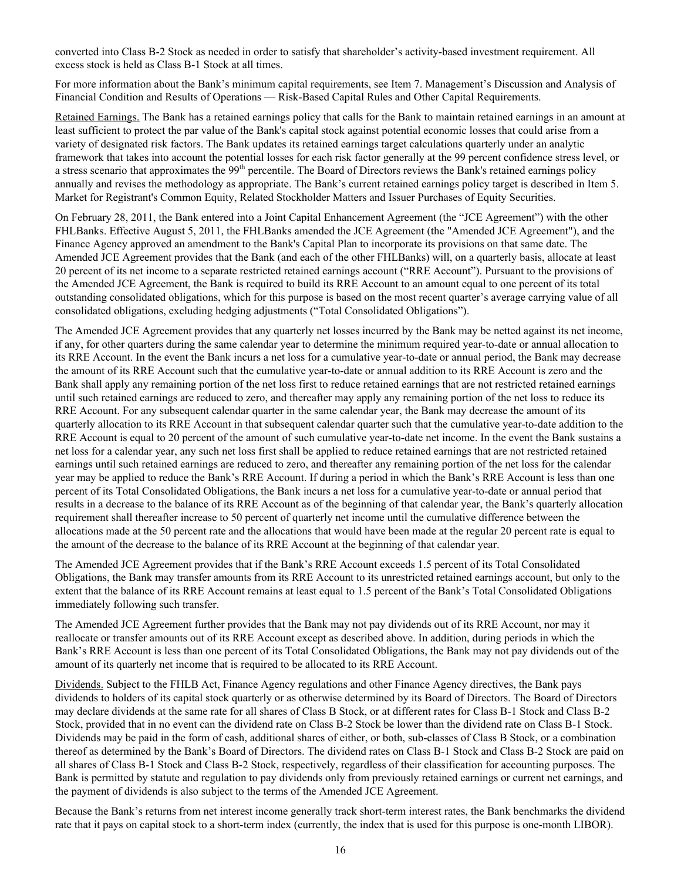converted into Class B-2 Stock as needed in order to satisfy that shareholder's activity-based investment requirement. All excess stock is held as Class B-1 Stock at all times.

For more information about the Bank's minimum capital requirements, see Item 7. Management's Discussion and Analysis of Financial Condition and Results of Operations — Risk-Based Capital Rules and Other Capital Requirements.

Retained Earnings. The Bank has a retained earnings policy that calls for the Bank to maintain retained earnings in an amount at least sufficient to protect the par value of the Bank's capital stock against potential economic losses that could arise from a variety of designated risk factors. The Bank updates its retained earnings target calculations quarterly under an analytic framework that takes into account the potential losses for each risk factor generally at the 99 percent confidence stress level, or a stress scenario that approximates the 99<sup>th</sup> percentile. The Board of Directors reviews the Bank's retained earnings policy annually and revises the methodology as appropriate. The Bank's current retained earnings policy target is described in Item 5. Market for Registrant's Common Equity, Related Stockholder Matters and Issuer Purchases of Equity Securities.

On February 28, 2011, the Bank entered into a Joint Capital Enhancement Agreement (the "JCE Agreement") with the other FHLBanks. Effective August 5, 2011, the FHLBanks amended the JCE Agreement (the "Amended JCE Agreement"), and the Finance Agency approved an amendment to the Bank's Capital Plan to incorporate its provisions on that same date. The Amended JCE Agreement provides that the Bank (and each of the other FHLBanks) will, on a quarterly basis, allocate at least 20 percent of its net income to a separate restricted retained earnings account ("RRE Account"). Pursuant to the provisions of the Amended JCE Agreement, the Bank is required to build its RRE Account to an amount equal to one percent of its total outstanding consolidated obligations, which for this purpose is based on the most recent quarter's average carrying value of all consolidated obligations, excluding hedging adjustments ("Total Consolidated Obligations").

The Amended JCE Agreement provides that any quarterly net losses incurred by the Bank may be netted against its net income, if any, for other quarters during the same calendar year to determine the minimum required year-to-date or annual allocation to its RRE Account. In the event the Bank incurs a net loss for a cumulative year-to-date or annual period, the Bank may decrease the amount of its RRE Account such that the cumulative year-to-date or annual addition to its RRE Account is zero and the Bank shall apply any remaining portion of the net loss first to reduce retained earnings that are not restricted retained earnings until such retained earnings are reduced to zero, and thereafter may apply any remaining portion of the net loss to reduce its RRE Account. For any subsequent calendar quarter in the same calendar year, the Bank may decrease the amount of its quarterly allocation to its RRE Account in that subsequent calendar quarter such that the cumulative year-to-date addition to the RRE Account is equal to 20 percent of the amount of such cumulative year-to-date net income. In the event the Bank sustains a net loss for a calendar year, any such net loss first shall be applied to reduce retained earnings that are not restricted retained earnings until such retained earnings are reduced to zero, and thereafter any remaining portion of the net loss for the calendar year may be applied to reduce the Bank's RRE Account. If during a period in which the Bank's RRE Account is less than one percent of its Total Consolidated Obligations, the Bank incurs a net loss for a cumulative year-to-date or annual period that results in a decrease to the balance of its RRE Account as of the beginning of that calendar year, the Bank's quarterly allocation requirement shall thereafter increase to 50 percent of quarterly net income until the cumulative difference between the allocations made at the 50 percent rate and the allocations that would have been made at the regular 20 percent rate is equal to the amount of the decrease to the balance of its RRE Account at the beginning of that calendar year.

The Amended JCE Agreement provides that if the Bank's RRE Account exceeds 1.5 percent of its Total Consolidated Obligations, the Bank may transfer amounts from its RRE Account to its unrestricted retained earnings account, but only to the extent that the balance of its RRE Account remains at least equal to 1.5 percent of the Bank's Total Consolidated Obligations immediately following such transfer.

The Amended JCE Agreement further provides that the Bank may not pay dividends out of its RRE Account, nor may it reallocate or transfer amounts out of its RRE Account except as described above. In addition, during periods in which the Bank's RRE Account is less than one percent of its Total Consolidated Obligations, the Bank may not pay dividends out of the amount of its quarterly net income that is required to be allocated to its RRE Account.

Dividends. Subject to the FHLB Act, Finance Agency regulations and other Finance Agency directives, the Bank pays dividends to holders of its capital stock quarterly or as otherwise determined by its Board of Directors. The Board of Directors may declare dividends at the same rate for all shares of Class B Stock, or at different rates for Class B-1 Stock and Class B-2 Stock, provided that in no event can the dividend rate on Class B-2 Stock be lower than the dividend rate on Class B-1 Stock. Dividends may be paid in the form of cash, additional shares of either, or both, sub-classes of Class B Stock, or a combination thereof as determined by the Bank's Board of Directors. The dividend rates on Class B-1 Stock and Class B-2 Stock are paid on all shares of Class B-1 Stock and Class B-2 Stock, respectively, regardless of their classification for accounting purposes. The Bank is permitted by statute and regulation to pay dividends only from previously retained earnings or current net earnings, and the payment of dividends is also subject to the terms of the Amended JCE Agreement.

Because the Bank's returns from net interest income generally track short-term interest rates, the Bank benchmarks the dividend rate that it pays on capital stock to a short-term index (currently, the index that is used for this purpose is one-month LIBOR).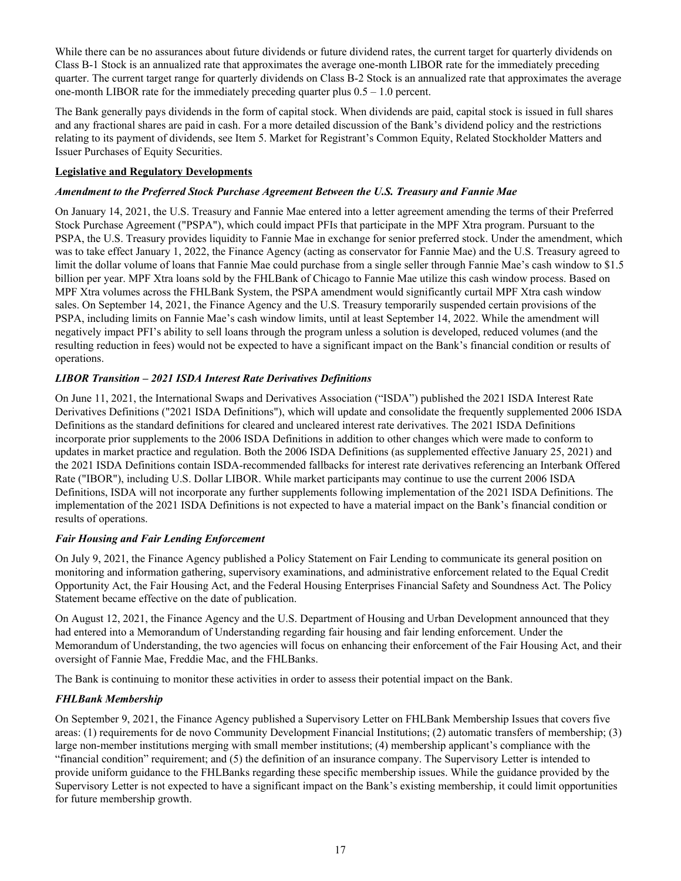While there can be no assurances about future dividends or future dividend rates, the current target for quarterly dividends on Class B-1 Stock is an annualized rate that approximates the average one-month LIBOR rate for the immediately preceding quarter. The current target range for quarterly dividends on Class B-2 Stock is an annualized rate that approximates the average one-month LIBOR rate for the immediately preceding quarter plus 0.5 – 1.0 percent.

The Bank generally pays dividends in the form of capital stock. When dividends are paid, capital stock is issued in full shares and any fractional shares are paid in cash. For a more detailed discussion of the Bank's dividend policy and the restrictions relating to its payment of dividends, see Item 5. Market for Registrant's Common Equity, Related Stockholder Matters and Issuer Purchases of Equity Securities.

# **Legislative and Regulatory Developments**

## *Amendment to the Preferred Stock Purchase Agreement Between the U.S. Treasury and Fannie Mae*

On January 14, 2021, the U.S. Treasury and Fannie Mae entered into a letter agreement amending the terms of their Preferred Stock Purchase Agreement ("PSPA"), which could impact PFIs that participate in the MPF Xtra program. Pursuant to the PSPA, the U.S. Treasury provides liquidity to Fannie Mae in exchange for senior preferred stock. Under the amendment, which was to take effect January 1, 2022, the Finance Agency (acting as conservator for Fannie Mae) and the U.S. Treasury agreed to limit the dollar volume of loans that Fannie Mae could purchase from a single seller through Fannie Mae's cash window to \$1.5 billion per year. MPF Xtra loans sold by the FHLBank of Chicago to Fannie Mae utilize this cash window process. Based on MPF Xtra volumes across the FHLBank System, the PSPA amendment would significantly curtail MPF Xtra cash window sales. On September 14, 2021, the Finance Agency and the U.S. Treasury temporarily suspended certain provisions of the PSPA, including limits on Fannie Mae's cash window limits, until at least September 14, 2022. While the amendment will negatively impact PFI's ability to sell loans through the program unless a solution is developed, reduced volumes (and the resulting reduction in fees) would not be expected to have a significant impact on the Bank's financial condition or results of operations.

# *LIBOR Transition – 2021 ISDA Interest Rate Derivatives Definitions*

On June 11, 2021, the International Swaps and Derivatives Association ("ISDA") published the 2021 ISDA Interest Rate Derivatives Definitions ("2021 ISDA Definitions"), which will update and consolidate the frequently supplemented 2006 ISDA Definitions as the standard definitions for cleared and uncleared interest rate derivatives. The 2021 ISDA Definitions incorporate prior supplements to the 2006 ISDA Definitions in addition to other changes which were made to conform to updates in market practice and regulation. Both the 2006 ISDA Definitions (as supplemented effective January 25, 2021) and the 2021 ISDA Definitions contain ISDA-recommended fallbacks for interest rate derivatives referencing an Interbank Offered Rate ("IBOR"), including U.S. Dollar LIBOR. While market participants may continue to use the current 2006 ISDA Definitions, ISDA will not incorporate any further supplements following implementation of the 2021 ISDA Definitions. The implementation of the 2021 ISDA Definitions is not expected to have a material impact on the Bank's financial condition or results of operations.

#### *Fair Housing and Fair Lending Enforcement*

On July 9, 2021, the Finance Agency published a Policy Statement on Fair Lending to communicate its general position on monitoring and information gathering, supervisory examinations, and administrative enforcement related to the Equal Credit Opportunity Act, the Fair Housing Act, and the Federal Housing Enterprises Financial Safety and Soundness Act. The Policy Statement became effective on the date of publication.

On August 12, 2021, the Finance Agency and the U.S. Department of Housing and Urban Development announced that they had entered into a Memorandum of Understanding regarding fair housing and fair lending enforcement. Under the Memorandum of Understanding, the two agencies will focus on enhancing their enforcement of the Fair Housing Act, and their oversight of Fannie Mae, Freddie Mac, and the FHLBanks.

The Bank is continuing to monitor these activities in order to assess their potential impact on the Bank.

# *FHLBank Membership*

On September 9, 2021, the Finance Agency published a Supervisory Letter on FHLBank Membership Issues that covers five areas: (1) requirements for de novo Community Development Financial Institutions; (2) automatic transfers of membership; (3) large non-member institutions merging with small member institutions; (4) membership applicant's compliance with the "financial condition" requirement; and (5) the definition of an insurance company. The Supervisory Letter is intended to provide uniform guidance to the FHLBanks regarding these specific membership issues. While the guidance provided by the Supervisory Letter is not expected to have a significant impact on the Bank's existing membership, it could limit opportunities for future membership growth.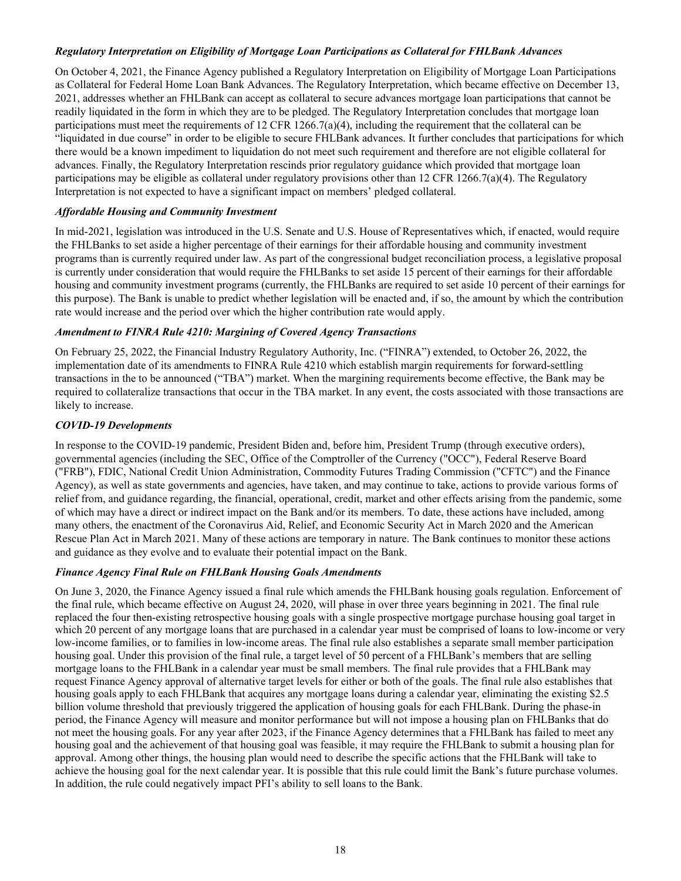# *Regulatory Interpretation on Eligibility of Mortgage Loan Participations as Collateral for FHLBank Advances*

On October 4, 2021, the Finance Agency published a Regulatory Interpretation on Eligibility of Mortgage Loan Participations as Collateral for Federal Home Loan Bank Advances. The Regulatory Interpretation, which became effective on December 13, 2021, addresses whether an FHLBank can accept as collateral to secure advances mortgage loan participations that cannot be readily liquidated in the form in which they are to be pledged. The Regulatory Interpretation concludes that mortgage loan participations must meet the requirements of 12 CFR 1266.7(a)(4), including the requirement that the collateral can be "liquidated in due course" in order to be eligible to secure FHLBank advances. It further concludes that participations for which there would be a known impediment to liquidation do not meet such requirement and therefore are not eligible collateral for advances. Finally, the Regulatory Interpretation rescinds prior regulatory guidance which provided that mortgage loan participations may be eligible as collateral under regulatory provisions other than 12 CFR 1266.7(a)(4). The Regulatory Interpretation is not expected to have a significant impact on members' pledged collateral.

## *Affordable Housing and Community Investment*

In mid-2021, legislation was introduced in the U.S. Senate and U.S. House of Representatives which, if enacted, would require the FHLBanks to set aside a higher percentage of their earnings for their affordable housing and community investment programs than is currently required under law. As part of the congressional budget reconciliation process, a legislative proposal is currently under consideration that would require the FHLBanks to set aside 15 percent of their earnings for their affordable housing and community investment programs (currently, the FHLBanks are required to set aside 10 percent of their earnings for this purpose). The Bank is unable to predict whether legislation will be enacted and, if so, the amount by which the contribution rate would increase and the period over which the higher contribution rate would apply.

#### *Amendment to FINRA Rule 4210: Margining of Covered Agency Transactions*

On February 25, 2022, the Financial Industry Regulatory Authority, Inc. ("FINRA") extended, to October 26, 2022, the implementation date of its amendments to FINRA Rule 4210 which establish margin requirements for forward-settling transactions in the to be announced ("TBA") market. When the margining requirements become effective, the Bank may be required to collateralize transactions that occur in the TBA market. In any event, the costs associated with those transactions are likely to increase.

# *COVID-19 Developments*

In response to the COVID-19 pandemic, President Biden and, before him, President Trump (through executive orders), governmental agencies (including the SEC, Office of the Comptroller of the Currency ("OCC"), Federal Reserve Board ("FRB"), FDIC, National Credit Union Administration, Commodity Futures Trading Commission ("CFTC") and the Finance Agency), as well as state governments and agencies, have taken, and may continue to take, actions to provide various forms of relief from, and guidance regarding, the financial, operational, credit, market and other effects arising from the pandemic, some of which may have a direct or indirect impact on the Bank and/or its members. To date, these actions have included, among many others, the enactment of the Coronavirus Aid, Relief, and Economic Security Act in March 2020 and the American Rescue Plan Act in March 2021. Many of these actions are temporary in nature. The Bank continues to monitor these actions and guidance as they evolve and to evaluate their potential impact on the Bank.

# *Finance Agency Final Rule on FHLBank Housing Goals Amendments*

On June 3, 2020, the Finance Agency issued a final rule which amends the FHLBank housing goals regulation. Enforcement of the final rule, which became effective on August 24, 2020, will phase in over three years beginning in 2021. The final rule replaced the four then-existing retrospective housing goals with a single prospective mortgage purchase housing goal target in which 20 percent of any mortgage loans that are purchased in a calendar year must be comprised of loans to low-income or very low-income families, or to families in low-income areas. The final rule also establishes a separate small member participation housing goal. Under this provision of the final rule, a target level of 50 percent of a FHLBank's members that are selling mortgage loans to the FHLBank in a calendar year must be small members. The final rule provides that a FHLBank may request Finance Agency approval of alternative target levels for either or both of the goals. The final rule also establishes that housing goals apply to each FHLBank that acquires any mortgage loans during a calendar year, eliminating the existing \$2.5 billion volume threshold that previously triggered the application of housing goals for each FHLBank. During the phase-in period, the Finance Agency will measure and monitor performance but will not impose a housing plan on FHLBanks that do not meet the housing goals. For any year after 2023, if the Finance Agency determines that a FHLBank has failed to meet any housing goal and the achievement of that housing goal was feasible, it may require the FHLBank to submit a housing plan for approval. Among other things, the housing plan would need to describe the specific actions that the FHLBank will take to achieve the housing goal for the next calendar year. It is possible that this rule could limit the Bank's future purchase volumes. In addition, the rule could negatively impact PFI's ability to sell loans to the Bank.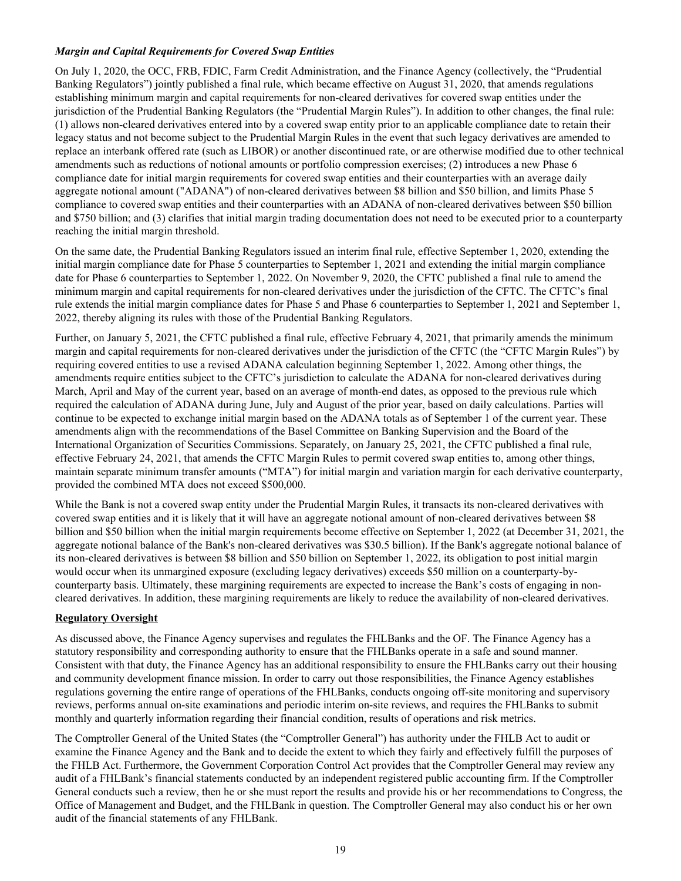# *Margin and Capital Requirements for Covered Swap Entities*

On July 1, 2020, the OCC, FRB, FDIC, Farm Credit Administration, and the Finance Agency (collectively, the "Prudential Banking Regulators") jointly published a final rule, which became effective on August 31, 2020, that amends regulations establishing minimum margin and capital requirements for non-cleared derivatives for covered swap entities under the jurisdiction of the Prudential Banking Regulators (the "Prudential Margin Rules"). In addition to other changes, the final rule: (1) allows non-cleared derivatives entered into by a covered swap entity prior to an applicable compliance date to retain their legacy status and not become subject to the Prudential Margin Rules in the event that such legacy derivatives are amended to replace an interbank offered rate (such as LIBOR) or another discontinued rate, or are otherwise modified due to other technical amendments such as reductions of notional amounts or portfolio compression exercises; (2) introduces a new Phase 6 compliance date for initial margin requirements for covered swap entities and their counterparties with an average daily aggregate notional amount ("ADANA") of non-cleared derivatives between \$8 billion and \$50 billion, and limits Phase 5 compliance to covered swap entities and their counterparties with an ADANA of non-cleared derivatives between \$50 billion and \$750 billion; and (3) clarifies that initial margin trading documentation does not need to be executed prior to a counterparty reaching the initial margin threshold.

On the same date, the Prudential Banking Regulators issued an interim final rule, effective September 1, 2020, extending the initial margin compliance date for Phase 5 counterparties to September 1, 2021 and extending the initial margin compliance date for Phase 6 counterparties to September 1, 2022. On November 9, 2020, the CFTC published a final rule to amend the minimum margin and capital requirements for non-cleared derivatives under the jurisdiction of the CFTC. The CFTC's final rule extends the initial margin compliance dates for Phase 5 and Phase 6 counterparties to September 1, 2021 and September 1, 2022, thereby aligning its rules with those of the Prudential Banking Regulators.

Further, on January 5, 2021, the CFTC published a final rule, effective February 4, 2021, that primarily amends the minimum margin and capital requirements for non-cleared derivatives under the jurisdiction of the CFTC (the "CFTC Margin Rules") by requiring covered entities to use a revised ADANA calculation beginning September 1, 2022. Among other things, the amendments require entities subject to the CFTC's jurisdiction to calculate the ADANA for non-cleared derivatives during March, April and May of the current year, based on an average of month-end dates, as opposed to the previous rule which required the calculation of ADANA during June, July and August of the prior year, based on daily calculations. Parties will continue to be expected to exchange initial margin based on the ADANA totals as of September 1 of the current year. These amendments align with the recommendations of the Basel Committee on Banking Supervision and the Board of the International Organization of Securities Commissions. Separately, on January 25, 2021, the CFTC published a final rule, effective February 24, 2021, that amends the CFTC Margin Rules to permit covered swap entities to, among other things, maintain separate minimum transfer amounts ("MTA") for initial margin and variation margin for each derivative counterparty, provided the combined MTA does not exceed \$500,000.

While the Bank is not a covered swap entity under the Prudential Margin Rules, it transacts its non-cleared derivatives with covered swap entities and it is likely that it will have an aggregate notional amount of non-cleared derivatives between \$8 billion and \$50 billion when the initial margin requirements become effective on September 1, 2022 (at December 31, 2021, the aggregate notional balance of the Bank's non-cleared derivatives was \$30.5 billion). If the Bank's aggregate notional balance of its non-cleared derivatives is between \$8 billion and \$50 billion on September 1, 2022, its obligation to post initial margin would occur when its unmargined exposure (excluding legacy derivatives) exceeds \$50 million on a counterparty-bycounterparty basis. Ultimately, these margining requirements are expected to increase the Bank's costs of engaging in noncleared derivatives. In addition, these margining requirements are likely to reduce the availability of non-cleared derivatives.

#### **Regulatory Oversight**

As discussed above, the Finance Agency supervises and regulates the FHLBanks and the OF. The Finance Agency has a statutory responsibility and corresponding authority to ensure that the FHLBanks operate in a safe and sound manner. Consistent with that duty, the Finance Agency has an additional responsibility to ensure the FHLBanks carry out their housing and community development finance mission. In order to carry out those responsibilities, the Finance Agency establishes regulations governing the entire range of operations of the FHLBanks, conducts ongoing off-site monitoring and supervisory reviews, performs annual on-site examinations and periodic interim on-site reviews, and requires the FHLBanks to submit monthly and quarterly information regarding their financial condition, results of operations and risk metrics.

The Comptroller General of the United States (the "Comptroller General") has authority under the FHLB Act to audit or examine the Finance Agency and the Bank and to decide the extent to which they fairly and effectively fulfill the purposes of the FHLB Act. Furthermore, the Government Corporation Control Act provides that the Comptroller General may review any audit of a FHLBank's financial statements conducted by an independent registered public accounting firm. If the Comptroller General conducts such a review, then he or she must report the results and provide his or her recommendations to Congress, the Office of Management and Budget, and the FHLBank in question. The Comptroller General may also conduct his or her own audit of the financial statements of any FHLBank.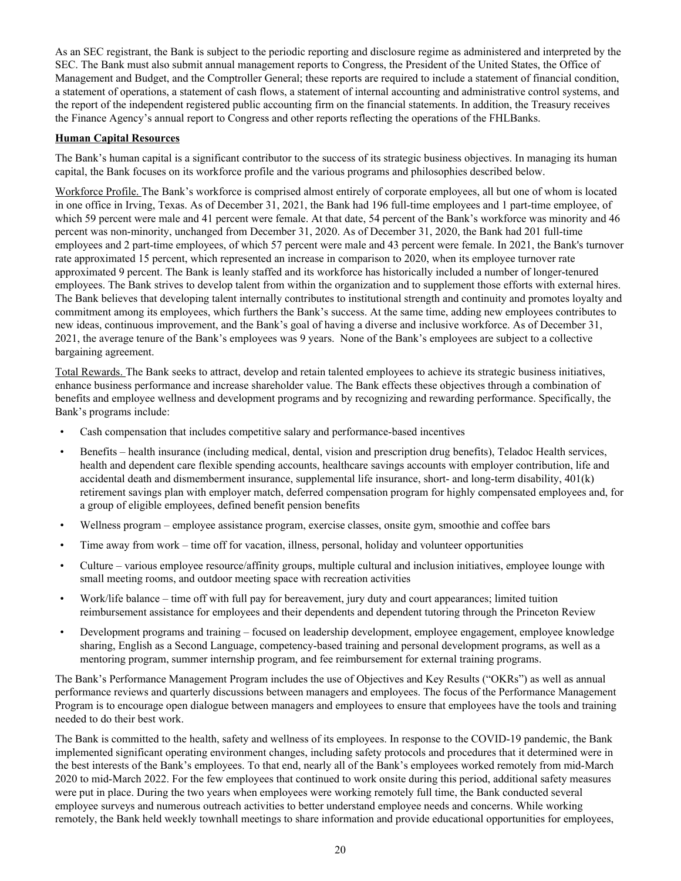As an SEC registrant, the Bank is subject to the periodic reporting and disclosure regime as administered and interpreted by the SEC. The Bank must also submit annual management reports to Congress, the President of the United States, the Office of Management and Budget, and the Comptroller General; these reports are required to include a statement of financial condition, a statement of operations, a statement of cash flows, a statement of internal accounting and administrative control systems, and the report of the independent registered public accounting firm on the financial statements. In addition, the Treasury receives the Finance Agency's annual report to Congress and other reports reflecting the operations of the FHLBanks.

# **Human Capital Resources**

The Bank's human capital is a significant contributor to the success of its strategic business objectives. In managing its human capital, the Bank focuses on its workforce profile and the various programs and philosophies described below.

Workforce Profile. The Bank's workforce is comprised almost entirely of corporate employees, all but one of whom is located in one office in Irving, Texas. As of December 31, 2021, the Bank had 196 full-time employees and 1 part-time employee, of which 59 percent were male and 41 percent were female. At that date, 54 percent of the Bank's workforce was minority and 46 percent was non-minority, unchanged from December 31, 2020. As of December 31, 2020, the Bank had 201 full-time employees and 2 part-time employees, of which 57 percent were male and 43 percent were female. In 2021, the Bank's turnover rate approximated 15 percent, which represented an increase in comparison to 2020, when its employee turnover rate approximated 9 percent. The Bank is leanly staffed and its workforce has historically included a number of longer-tenured employees. The Bank strives to develop talent from within the organization and to supplement those efforts with external hires. The Bank believes that developing talent internally contributes to institutional strength and continuity and promotes loyalty and commitment among its employees, which furthers the Bank's success. At the same time, adding new employees contributes to new ideas, continuous improvement, and the Bank's goal of having a diverse and inclusive workforce. As of December 31, 2021, the average tenure of the Bank's employees was 9 years. None of the Bank's employees are subject to a collective bargaining agreement.

Total Rewards. The Bank seeks to attract, develop and retain talented employees to achieve its strategic business initiatives, enhance business performance and increase shareholder value. The Bank effects these objectives through a combination of benefits and employee wellness and development programs and by recognizing and rewarding performance. Specifically, the Bank's programs include:

- Cash compensation that includes competitive salary and performance-based incentives
- Benefits health insurance (including medical, dental, vision and prescription drug benefits), Teladoc Health services, health and dependent care flexible spending accounts, healthcare savings accounts with employer contribution, life and accidental death and dismemberment insurance, supplemental life insurance, short- and long-term disability, 401(k) retirement savings plan with employer match, deferred compensation program for highly compensated employees and, for a group of eligible employees, defined benefit pension benefits
- Wellness program employee assistance program, exercise classes, onsite gym, smoothie and coffee bars
- Time away from work time off for vacation, illness, personal, holiday and volunteer opportunities
- Culture various employee resource/affinity groups, multiple cultural and inclusion initiatives, employee lounge with small meeting rooms, and outdoor meeting space with recreation activities
- Work/life balance time off with full pay for bereavement, jury duty and court appearances; limited tuition reimbursement assistance for employees and their dependents and dependent tutoring through the Princeton Review
- Development programs and training focused on leadership development, employee engagement, employee knowledge sharing, English as a Second Language, competency-based training and personal development programs, as well as a mentoring program, summer internship program, and fee reimbursement for external training programs.

The Bank's Performance Management Program includes the use of Objectives and Key Results ("OKRs") as well as annual performance reviews and quarterly discussions between managers and employees. The focus of the Performance Management Program is to encourage open dialogue between managers and employees to ensure that employees have the tools and training needed to do their best work.

The Bank is committed to the health, safety and wellness of its employees. In response to the COVID-19 pandemic, the Bank implemented significant operating environment changes, including safety protocols and procedures that it determined were in the best interests of the Bank's employees. To that end, nearly all of the Bank's employees worked remotely from mid-March 2020 to mid-March 2022. For the few employees that continued to work onsite during this period, additional safety measures were put in place. During the two years when employees were working remotely full time, the Bank conducted several employee surveys and numerous outreach activities to better understand employee needs and concerns. While working remotely, the Bank held weekly townhall meetings to share information and provide educational opportunities for employees,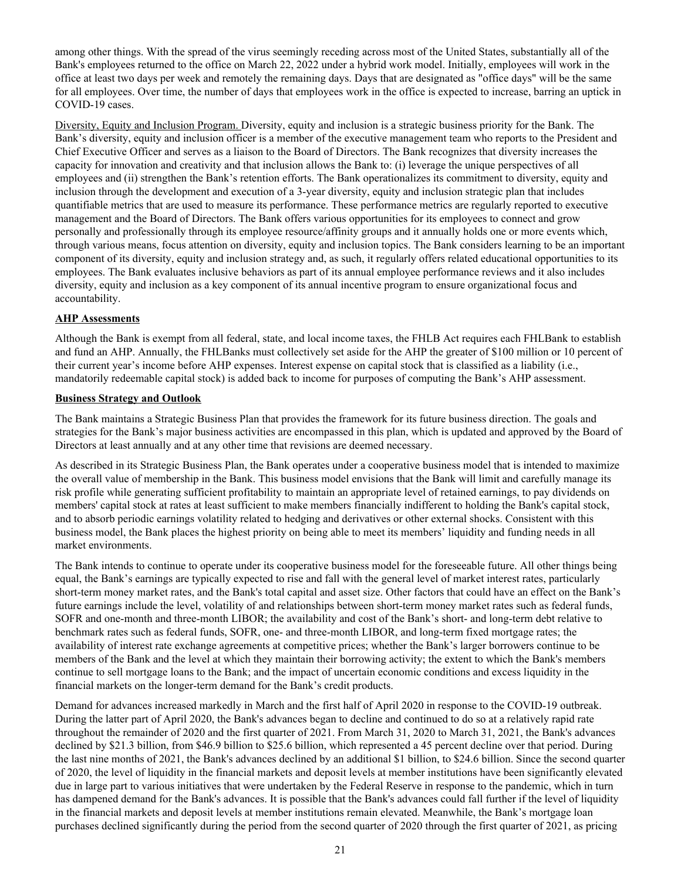among other things. With the spread of the virus seemingly receding across most of the United States, substantially all of the Bank's employees returned to the office on March 22, 2022 under a hybrid work model. Initially, employees will work in the office at least two days per week and remotely the remaining days. Days that are designated as "office days" will be the same for all employees. Over time, the number of days that employees work in the office is expected to increase, barring an uptick in COVID-19 cases.

Diversity, Equity and Inclusion Program. Diversity, equity and inclusion is a strategic business priority for the Bank. The Bank's diversity, equity and inclusion officer is a member of the executive management team who reports to the President and Chief Executive Officer and serves as a liaison to the Board of Directors. The Bank recognizes that diversity increases the capacity for innovation and creativity and that inclusion allows the Bank to: (i) leverage the unique perspectives of all employees and (ii) strengthen the Bank's retention efforts. The Bank operationalizes its commitment to diversity, equity and inclusion through the development and execution of a 3-year diversity, equity and inclusion strategic plan that includes quantifiable metrics that are used to measure its performance. These performance metrics are regularly reported to executive management and the Board of Directors. The Bank offers various opportunities for its employees to connect and grow personally and professionally through its employee resource/affinity groups and it annually holds one or more events which, through various means, focus attention on diversity, equity and inclusion topics. The Bank considers learning to be an important component of its diversity, equity and inclusion strategy and, as such, it regularly offers related educational opportunities to its employees. The Bank evaluates inclusive behaviors as part of its annual employee performance reviews and it also includes diversity, equity and inclusion as a key component of its annual incentive program to ensure organizational focus and accountability.

# **AHP Assessments**

Although the Bank is exempt from all federal, state, and local income taxes, the FHLB Act requires each FHLBank to establish and fund an AHP. Annually, the FHLBanks must collectively set aside for the AHP the greater of \$100 million or 10 percent of their current year's income before AHP expenses. Interest expense on capital stock that is classified as a liability (i.e., mandatorily redeemable capital stock) is added back to income for purposes of computing the Bank's AHP assessment.

#### **Business Strategy and Outlook**

The Bank maintains a Strategic Business Plan that provides the framework for its future business direction. The goals and strategies for the Bank's major business activities are encompassed in this plan, which is updated and approved by the Board of Directors at least annually and at any other time that revisions are deemed necessary.

As described in its Strategic Business Plan, the Bank operates under a cooperative business model that is intended to maximize the overall value of membership in the Bank. This business model envisions that the Bank will limit and carefully manage its risk profile while generating sufficient profitability to maintain an appropriate level of retained earnings, to pay dividends on members' capital stock at rates at least sufficient to make members financially indifferent to holding the Bank's capital stock, and to absorb periodic earnings volatility related to hedging and derivatives or other external shocks. Consistent with this business model, the Bank places the highest priority on being able to meet its members' liquidity and funding needs in all market environments.

The Bank intends to continue to operate under its cooperative business model for the foreseeable future. All other things being equal, the Bank's earnings are typically expected to rise and fall with the general level of market interest rates, particularly short-term money market rates, and the Bank's total capital and asset size. Other factors that could have an effect on the Bank's future earnings include the level, volatility of and relationships between short-term money market rates such as federal funds, SOFR and one-month and three-month LIBOR; the availability and cost of the Bank's short- and long-term debt relative to benchmark rates such as federal funds, SOFR, one- and three-month LIBOR, and long-term fixed mortgage rates; the availability of interest rate exchange agreements at competitive prices; whether the Bank's larger borrowers continue to be members of the Bank and the level at which they maintain their borrowing activity; the extent to which the Bank's members continue to sell mortgage loans to the Bank; and the impact of uncertain economic conditions and excess liquidity in the financial markets on the longer-term demand for the Bank's credit products.

Demand for advances increased markedly in March and the first half of April 2020 in response to the COVID-19 outbreak. During the latter part of April 2020, the Bank's advances began to decline and continued to do so at a relatively rapid rate throughout the remainder of 2020 and the first quarter of 2021. From March 31, 2020 to March 31, 2021, the Bank's advances declined by \$21.3 billion, from \$46.9 billion to \$25.6 billion, which represented a 45 percent decline over that period. During the last nine months of 2021, the Bank's advances declined by an additional \$1 billion, to \$24.6 billion. Since the second quarter of 2020, the level of liquidity in the financial markets and deposit levels at member institutions have been significantly elevated due in large part to various initiatives that were undertaken by the Federal Reserve in response to the pandemic, which in turn has dampened demand for the Bank's advances. It is possible that the Bank's advances could fall further if the level of liquidity in the financial markets and deposit levels at member institutions remain elevated. Meanwhile, the Bank's mortgage loan purchases declined significantly during the period from the second quarter of 2020 through the first quarter of 2021, as pricing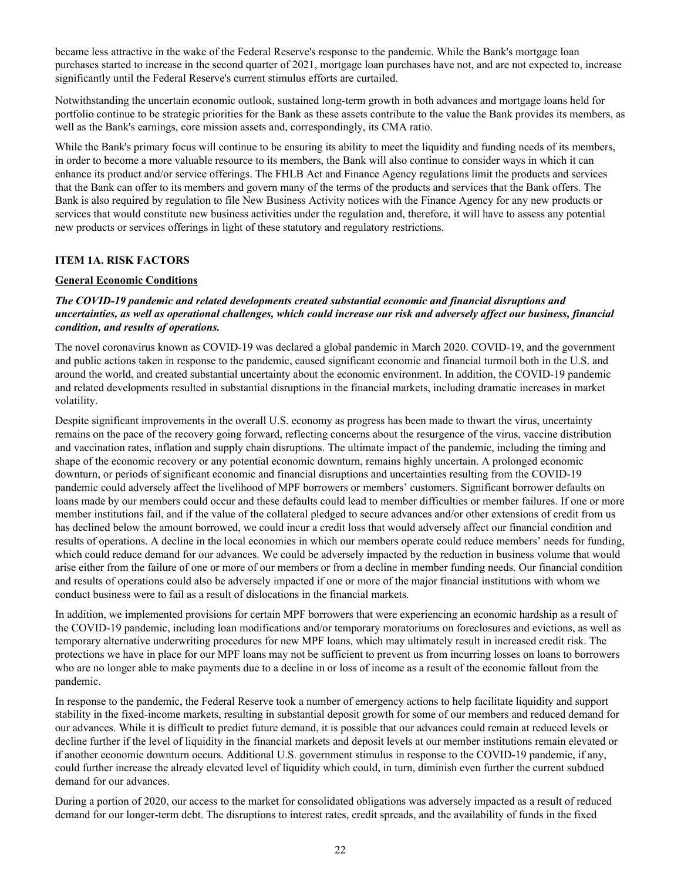<span id="page-23-0"></span>became less attractive in the wake of the Federal Reserve's response to the pandemic. While the Bank's mortgage loan purchases started to increase in the second quarter of 2021, mortgage loan purchases have not, and are not expected to, increase significantly until the Federal Reserve's current stimulus efforts are curtailed.

Notwithstanding the uncertain economic outlook, sustained long-term growth in both advances and mortgage loans held for portfolio continue to be strategic priorities for the Bank as these assets contribute to the value the Bank provides its members, as well as the Bank's earnings, core mission assets and, correspondingly, its CMA ratio.

While the Bank's primary focus will continue to be ensuring its ability to meet the liquidity and funding needs of its members, in order to become a more valuable resource to its members, the Bank will also continue to consider ways in which it can enhance its product and/or service offerings. The FHLB Act and Finance Agency regulations limit the products and services that the Bank can offer to its members and govern many of the terms of the products and services that the Bank offers. The Bank is also required by regulation to file New Business Activity notices with the Finance Agency for any new products or services that would constitute new business activities under the regulation and, therefore, it will have to assess any potential new products or services offerings in light of these statutory and regulatory restrictions.

#### **ITEM 1A. RISK FACTORS**

#### **General Economic Conditions**

## *The COVID-19 pandemic and related developments created substantial economic and financial disruptions and uncertainties, as well as operational challenges, which could increase our risk and adversely affect our business, financial condition, and results of operations.*

The novel coronavirus known as COVID-19 was declared a global pandemic in March 2020. COVID-19, and the government and public actions taken in response to the pandemic, caused significant economic and financial turmoil both in the U.S. and around the world, and created substantial uncertainty about the economic environment. In addition, the COVID-19 pandemic and related developments resulted in substantial disruptions in the financial markets, including dramatic increases in market volatility.

Despite significant improvements in the overall U.S. economy as progress has been made to thwart the virus, uncertainty remains on the pace of the recovery going forward, reflecting concerns about the resurgence of the virus, vaccine distribution and vaccination rates, inflation and supply chain disruptions. The ultimate impact of the pandemic, including the timing and shape of the economic recovery or any potential economic downturn, remains highly uncertain. A prolonged economic downturn, or periods of significant economic and financial disruptions and uncertainties resulting from the COVID-19 pandemic could adversely affect the livelihood of MPF borrowers or members' customers. Significant borrower defaults on loans made by our members could occur and these defaults could lead to member difficulties or member failures. If one or more member institutions fail, and if the value of the collateral pledged to secure advances and/or other extensions of credit from us has declined below the amount borrowed, we could incur a credit loss that would adversely affect our financial condition and results of operations. A decline in the local economies in which our members operate could reduce members' needs for funding, which could reduce demand for our advances. We could be adversely impacted by the reduction in business volume that would arise either from the failure of one or more of our members or from a decline in member funding needs. Our financial condition and results of operations could also be adversely impacted if one or more of the major financial institutions with whom we conduct business were to fail as a result of dislocations in the financial markets.

In addition, we implemented provisions for certain MPF borrowers that were experiencing an economic hardship as a result of the COVID-19 pandemic, including loan modifications and/or temporary moratoriums on foreclosures and evictions, as well as temporary alternative underwriting procedures for new MPF loans, which may ultimately result in increased credit risk. The protections we have in place for our MPF loans may not be sufficient to prevent us from incurring losses on loans to borrowers who are no longer able to make payments due to a decline in or loss of income as a result of the economic fallout from the pandemic.

In response to the pandemic, the Federal Reserve took a number of emergency actions to help facilitate liquidity and support stability in the fixed-income markets, resulting in substantial deposit growth for some of our members and reduced demand for our advances. While it is difficult to predict future demand, it is possible that our advances could remain at reduced levels or decline further if the level of liquidity in the financial markets and deposit levels at our member institutions remain elevated or if another economic downturn occurs. Additional U.S. government stimulus in response to the COVID-19 pandemic, if any, could further increase the already elevated level of liquidity which could, in turn, diminish even further the current subdued demand for our advances.

During a portion of 2020, our access to the market for consolidated obligations was adversely impacted as a result of reduced demand for our longer-term debt. The disruptions to interest rates, credit spreads, and the availability of funds in the fixed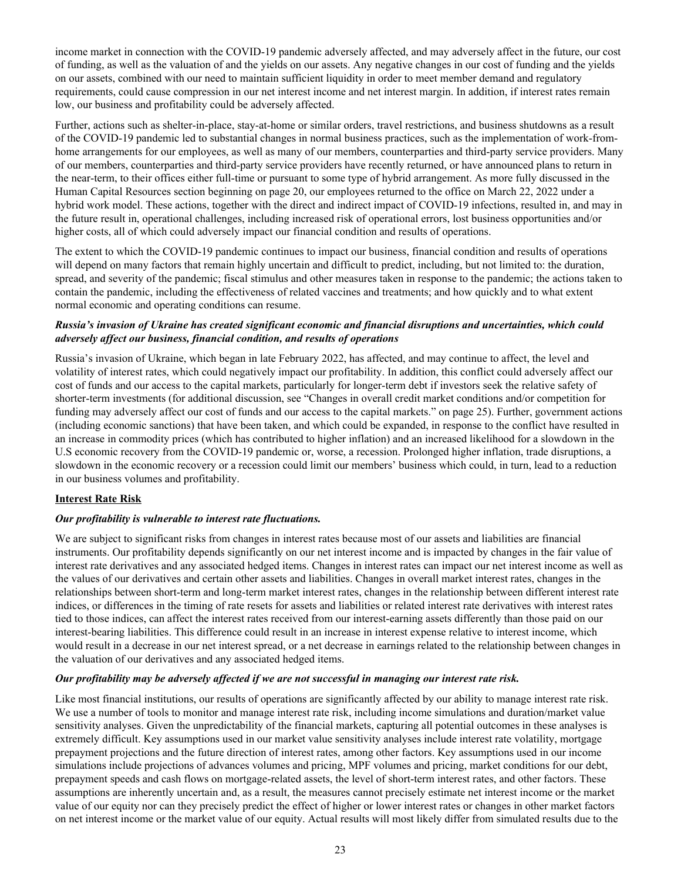income market in connection with the COVID-19 pandemic adversely affected, and may adversely affect in the future, our cost of funding, as well as the valuation of and the yields on our assets. Any negative changes in our cost of funding and the yields on our assets, combined with our need to maintain sufficient liquidity in order to meet member demand and regulatory requirements, could cause compression in our net interest income and net interest margin. In addition, if interest rates remain low, our business and profitability could be adversely affected.

Further, actions such as shelter-in-place, stay-at-home or similar orders, travel restrictions, and business shutdowns as a result of the COVID-19 pandemic led to substantial changes in normal business practices, such as the implementation of work-fromhome arrangements for our employees, as well as many of our members, counterparties and third-party service providers. Many of our members, counterparties and third-party service providers have recently returned, or have announced plans to return in the near-term, to their offices either full-time or pursuant to some type of hybrid arrangement. As more fully discussed in the Human Capital Resources section beginning on page 20, our employees returned to the office on March 22, 2022 under a hybrid work model. These actions, together with the direct and indirect impact of COVID-19 infections, resulted in, and may in the future result in, operational challenges, including increased risk of operational errors, lost business opportunities and/or higher costs, all of which could adversely impact our financial condition and results of operations.

The extent to which the COVID-19 pandemic continues to impact our business, financial condition and results of operations will depend on many factors that remain highly uncertain and difficult to predict, including, but not limited to: the duration, spread, and severity of the pandemic; fiscal stimulus and other measures taken in response to the pandemic; the actions taken to contain the pandemic, including the effectiveness of related vaccines and treatments; and how quickly and to what extent normal economic and operating conditions can resume.

# *Russia's invasion of Ukraine has created significant economic and financial disruptions and uncertainties, which could adversely affect our business, financial condition, and results of operations*

Russia's invasion of Ukraine, which began in late February 2022, has affected, and may continue to affect, the level and volatility of interest rates, which could negatively impact our profitability. In addition, this conflict could adversely affect our cost of funds and our access to the capital markets, particularly for longer-term debt if investors seek the relative safety of shorter-term investments (for additional discussion, see "Changes in overall credit market conditions and/or competition for funding may adversely affect our cost of funds and our access to the capital markets." on page 25). Further, government actions (including economic sanctions) that have been taken, and which could be expanded, in response to the conflict have resulted in an increase in commodity prices (which has contributed to higher inflation) and an increased likelihood for a slowdown in the U.S economic recovery from the COVID-19 pandemic or, worse, a recession. Prolonged higher inflation, trade disruptions, a slowdown in the economic recovery or a recession could limit our members' business which could, in turn, lead to a reduction in our business volumes and profitability.

# **Interest Rate Risk**

#### *Our profitability is vulnerable to interest rate fluctuations.*

We are subject to significant risks from changes in interest rates because most of our assets and liabilities are financial instruments. Our profitability depends significantly on our net interest income and is impacted by changes in the fair value of interest rate derivatives and any associated hedged items. Changes in interest rates can impact our net interest income as well as the values of our derivatives and certain other assets and liabilities. Changes in overall market interest rates, changes in the relationships between short-term and long-term market interest rates, changes in the relationship between different interest rate indices, or differences in the timing of rate resets for assets and liabilities or related interest rate derivatives with interest rates tied to those indices, can affect the interest rates received from our interest-earning assets differently than those paid on our interest-bearing liabilities. This difference could result in an increase in interest expense relative to interest income, which would result in a decrease in our net interest spread, or a net decrease in earnings related to the relationship between changes in the valuation of our derivatives and any associated hedged items.

#### *Our profitability may be adversely affected if we are not successful in managing our interest rate risk.*

Like most financial institutions, our results of operations are significantly affected by our ability to manage interest rate risk. We use a number of tools to monitor and manage interest rate risk, including income simulations and duration/market value sensitivity analyses. Given the unpredictability of the financial markets, capturing all potential outcomes in these analyses is extremely difficult. Key assumptions used in our market value sensitivity analyses include interest rate volatility, mortgage prepayment projections and the future direction of interest rates, among other factors. Key assumptions used in our income simulations include projections of advances volumes and pricing, MPF volumes and pricing, market conditions for our debt, prepayment speeds and cash flows on mortgage-related assets, the level of short-term interest rates, and other factors. These assumptions are inherently uncertain and, as a result, the measures cannot precisely estimate net interest income or the market value of our equity nor can they precisely predict the effect of higher or lower interest rates or changes in other market factors on net interest income or the market value of our equity. Actual results will most likely differ from simulated results due to the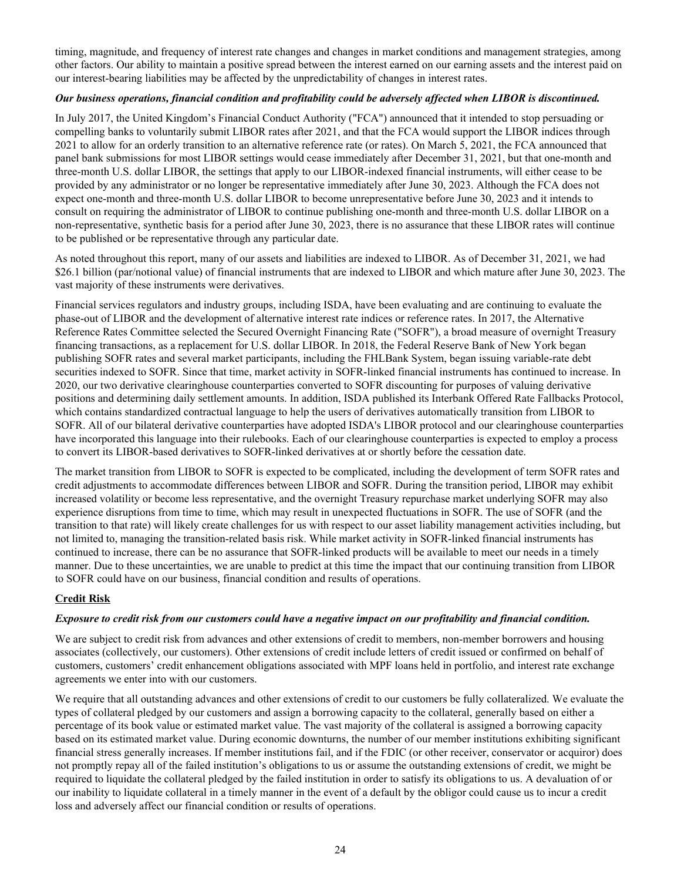timing, magnitude, and frequency of interest rate changes and changes in market conditions and management strategies, among other factors. Our ability to maintain a positive spread between the interest earned on our earning assets and the interest paid on our interest-bearing liabilities may be affected by the unpredictability of changes in interest rates.

# *Our business operations, financial condition and profitability could be adversely affected when LIBOR is discontinued.*

In July 2017, the United Kingdom's Financial Conduct Authority ("FCA") announced that it intended to stop persuading or compelling banks to voluntarily submit LIBOR rates after 2021, and that the FCA would support the LIBOR indices through 2021 to allow for an orderly transition to an alternative reference rate (or rates). On March 5, 2021, the FCA announced that panel bank submissions for most LIBOR settings would cease immediately after December 31, 2021, but that one-month and three-month U.S. dollar LIBOR, the settings that apply to our LIBOR-indexed financial instruments, will either cease to be provided by any administrator or no longer be representative immediately after June 30, 2023. Although the FCA does not expect one-month and three-month U.S. dollar LIBOR to become unrepresentative before June 30, 2023 and it intends to consult on requiring the administrator of LIBOR to continue publishing one-month and three-month U.S. dollar LIBOR on a non-representative, synthetic basis for a period after June 30, 2023, there is no assurance that these LIBOR rates will continue to be published or be representative through any particular date.

As noted throughout this report, many of our assets and liabilities are indexed to LIBOR. As of December 31, 2021, we had \$26.1 billion (par/notional value) of financial instruments that are indexed to LIBOR and which mature after June 30, 2023. The vast majority of these instruments were derivatives.

Financial services regulators and industry groups, including ISDA, have been evaluating and are continuing to evaluate the phase-out of LIBOR and the development of alternative interest rate indices or reference rates. In 2017, the Alternative Reference Rates Committee selected the Secured Overnight Financing Rate ("SOFR"), a broad measure of overnight Treasury financing transactions, as a replacement for U.S. dollar LIBOR. In 2018, the Federal Reserve Bank of New York began publishing SOFR rates and several market participants, including the FHLBank System, began issuing variable-rate debt securities indexed to SOFR. Since that time, market activity in SOFR-linked financial instruments has continued to increase. In 2020, our two derivative clearinghouse counterparties converted to SOFR discounting for purposes of valuing derivative positions and determining daily settlement amounts. In addition, ISDA published its Interbank Offered Rate Fallbacks Protocol, which contains standardized contractual language to help the users of derivatives automatically transition from LIBOR to SOFR. All of our bilateral derivative counterparties have adopted ISDA's LIBOR protocol and our clearinghouse counterparties have incorporated this language into their rulebooks. Each of our clearinghouse counterparties is expected to employ a process to convert its LIBOR-based derivatives to SOFR-linked derivatives at or shortly before the cessation date.

The market transition from LIBOR to SOFR is expected to be complicated, including the development of term SOFR rates and credit adjustments to accommodate differences between LIBOR and SOFR. During the transition period, LIBOR may exhibit increased volatility or become less representative, and the overnight Treasury repurchase market underlying SOFR may also experience disruptions from time to time, which may result in unexpected fluctuations in SOFR. The use of SOFR (and the transition to that rate) will likely create challenges for us with respect to our asset liability management activities including, but not limited to, managing the transition-related basis risk. While market activity in SOFR-linked financial instruments has continued to increase, there can be no assurance that SOFR-linked products will be available to meet our needs in a timely manner. Due to these uncertainties, we are unable to predict at this time the impact that our continuing transition from LIBOR to SOFR could have on our business, financial condition and results of operations.

# **Credit Risk**

#### *Exposure to credit risk from our customers could have a negative impact on our profitability and financial condition.*

We are subject to credit risk from advances and other extensions of credit to members, non-member borrowers and housing associates (collectively, our customers). Other extensions of credit include letters of credit issued or confirmed on behalf of customers, customers' credit enhancement obligations associated with MPF loans held in portfolio, and interest rate exchange agreements we enter into with our customers.

We require that all outstanding advances and other extensions of credit to our customers be fully collateralized. We evaluate the types of collateral pledged by our customers and assign a borrowing capacity to the collateral, generally based on either a percentage of its book value or estimated market value. The vast majority of the collateral is assigned a borrowing capacity based on its estimated market value. During economic downturns, the number of our member institutions exhibiting significant financial stress generally increases. If member institutions fail, and if the FDIC (or other receiver, conservator or acquiror) does not promptly repay all of the failed institution's obligations to us or assume the outstanding extensions of credit, we might be required to liquidate the collateral pledged by the failed institution in order to satisfy its obligations to us. A devaluation of or our inability to liquidate collateral in a timely manner in the event of a default by the obligor could cause us to incur a credit loss and adversely affect our financial condition or results of operations.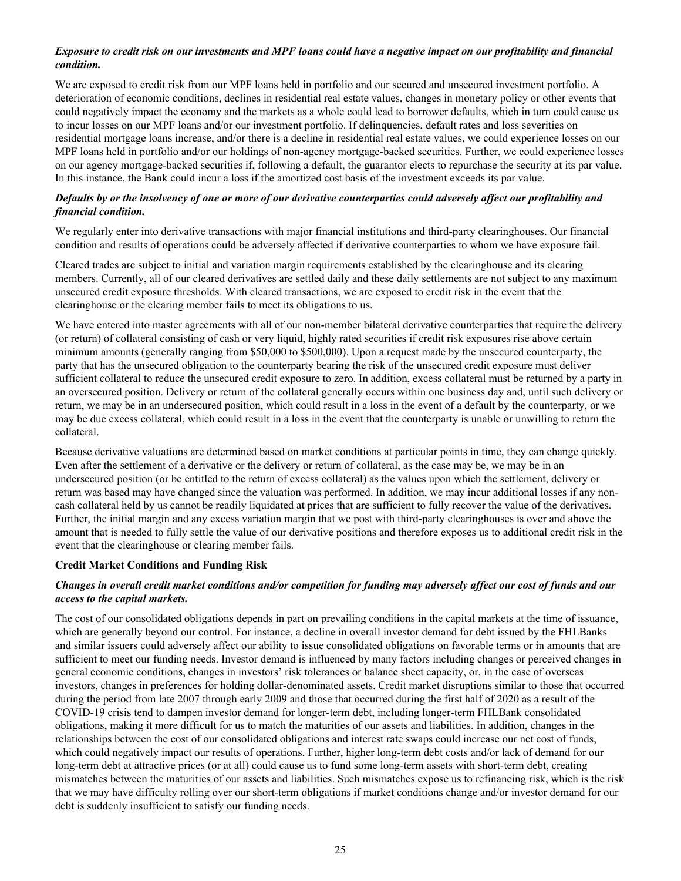# *Exposure to credit risk on our investments and MPF loans could have a negative impact on our profitability and financial condition.*

We are exposed to credit risk from our MPF loans held in portfolio and our secured and unsecured investment portfolio. A deterioration of economic conditions, declines in residential real estate values, changes in monetary policy or other events that could negatively impact the economy and the markets as a whole could lead to borrower defaults, which in turn could cause us to incur losses on our MPF loans and/or our investment portfolio. If delinquencies, default rates and loss severities on residential mortgage loans increase, and/or there is a decline in residential real estate values, we could experience losses on our MPF loans held in portfolio and/or our holdings of non-agency mortgage-backed securities. Further, we could experience losses on our agency mortgage-backed securities if, following a default, the guarantor elects to repurchase the security at its par value. In this instance, the Bank could incur a loss if the amortized cost basis of the investment exceeds its par value.

# *Defaults by or the insolvency of one or more of our derivative counterparties could adversely affect our profitability and financial condition.*

We regularly enter into derivative transactions with major financial institutions and third-party clearinghouses. Our financial condition and results of operations could be adversely affected if derivative counterparties to whom we have exposure fail.

Cleared trades are subject to initial and variation margin requirements established by the clearinghouse and its clearing members. Currently, all of our cleared derivatives are settled daily and these daily settlements are not subject to any maximum unsecured credit exposure thresholds. With cleared transactions, we are exposed to credit risk in the event that the clearinghouse or the clearing member fails to meet its obligations to us.

We have entered into master agreements with all of our non-member bilateral derivative counterparties that require the delivery (or return) of collateral consisting of cash or very liquid, highly rated securities if credit risk exposures rise above certain minimum amounts (generally ranging from \$50,000 to \$500,000). Upon a request made by the unsecured counterparty, the party that has the unsecured obligation to the counterparty bearing the risk of the unsecured credit exposure must deliver sufficient collateral to reduce the unsecured credit exposure to zero. In addition, excess collateral must be returned by a party in an oversecured position. Delivery or return of the collateral generally occurs within one business day and, until such delivery or return, we may be in an undersecured position, which could result in a loss in the event of a default by the counterparty, or we may be due excess collateral, which could result in a loss in the event that the counterparty is unable or unwilling to return the collateral.

Because derivative valuations are determined based on market conditions at particular points in time, they can change quickly. Even after the settlement of a derivative or the delivery or return of collateral, as the case may be, we may be in an undersecured position (or be entitled to the return of excess collateral) as the values upon which the settlement, delivery or return was based may have changed since the valuation was performed. In addition, we may incur additional losses if any noncash collateral held by us cannot be readily liquidated at prices that are sufficient to fully recover the value of the derivatives. Further, the initial margin and any excess variation margin that we post with third-party clearinghouses is over and above the amount that is needed to fully settle the value of our derivative positions and therefore exposes us to additional credit risk in the event that the clearinghouse or clearing member fails.

#### **Credit Market Conditions and Funding Risk**

# *Changes in overall credit market conditions and/or competition for funding may adversely affect our cost of funds and our access to the capital markets.*

The cost of our consolidated obligations depends in part on prevailing conditions in the capital markets at the time of issuance, which are generally beyond our control. For instance, a decline in overall investor demand for debt issued by the FHLBanks and similar issuers could adversely affect our ability to issue consolidated obligations on favorable terms or in amounts that are sufficient to meet our funding needs. Investor demand is influenced by many factors including changes or perceived changes in general economic conditions, changes in investors' risk tolerances or balance sheet capacity, or, in the case of overseas investors, changes in preferences for holding dollar-denominated assets. Credit market disruptions similar to those that occurred during the period from late 2007 through early 2009 and those that occurred during the first half of 2020 as a result of the COVID-19 crisis tend to dampen investor demand for longer-term debt, including longer-term FHLBank consolidated obligations, making it more difficult for us to match the maturities of our assets and liabilities. In addition, changes in the relationships between the cost of our consolidated obligations and interest rate swaps could increase our net cost of funds, which could negatively impact our results of operations. Further, higher long-term debt costs and/or lack of demand for our long-term debt at attractive prices (or at all) could cause us to fund some long-term assets with short-term debt, creating mismatches between the maturities of our assets and liabilities. Such mismatches expose us to refinancing risk, which is the risk that we may have difficulty rolling over our short-term obligations if market conditions change and/or investor demand for our debt is suddenly insufficient to satisfy our funding needs.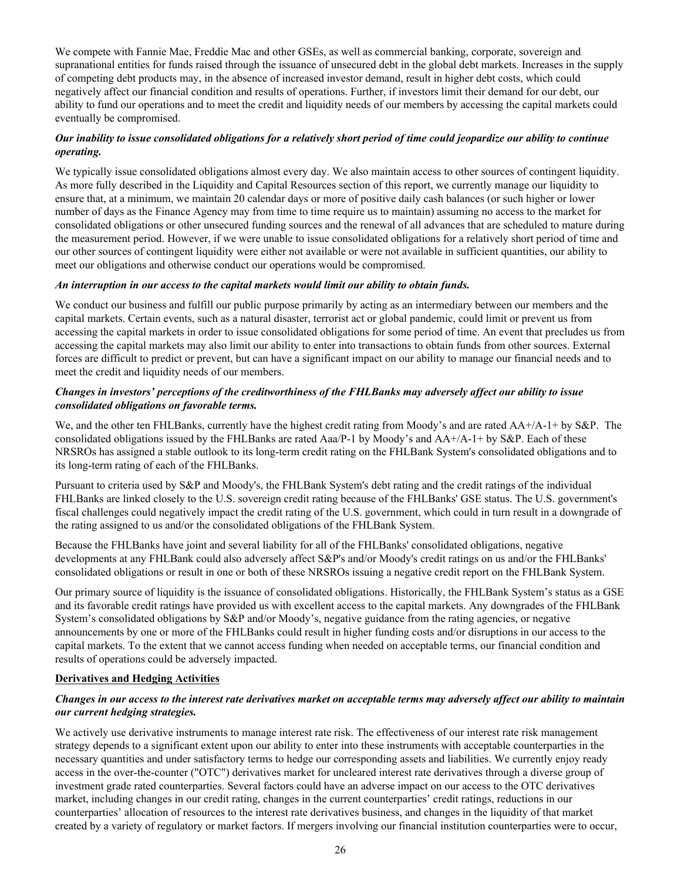We compete with Fannie Mae, Freddie Mac and other GSEs, as well as commercial banking, corporate, sovereign and supranational entities for funds raised through the issuance of unsecured debt in the global debt markets. Increases in the supply of competing debt products may, in the absence of increased investor demand, result in higher debt costs, which could negatively affect our financial condition and results of operations. Further, if investors limit their demand for our debt, our ability to fund our operations and to meet the credit and liquidity needs of our members by accessing the capital markets could eventually be compromised.

# *Our inability to issue consolidated obligations for a relatively short period of time could jeopardize our ability to continue operating.*

We typically issue consolidated obligations almost every day. We also maintain access to other sources of contingent liquidity. As more fully described in the Liquidity and Capital Resources section of this report, we currently manage our liquidity to ensure that, at a minimum, we maintain 20 calendar days or more of positive daily cash balances (or such higher or lower number of days as the Finance Agency may from time to time require us to maintain) assuming no access to the market for consolidated obligations or other unsecured funding sources and the renewal of all advances that are scheduled to mature during the measurement period. However, if we were unable to issue consolidated obligations for a relatively short period of time and our other sources of contingent liquidity were either not available or were not available in sufficient quantities, our ability to meet our obligations and otherwise conduct our operations would be compromised.

# *An interruption in our access to the capital markets would limit our ability to obtain funds.*

We conduct our business and fulfill our public purpose primarily by acting as an intermediary between our members and the capital markets. Certain events, such as a natural disaster, terrorist act or global pandemic, could limit or prevent us from accessing the capital markets in order to issue consolidated obligations for some period of time. An event that precludes us from accessing the capital markets may also limit our ability to enter into transactions to obtain funds from other sources. External forces are difficult to predict or prevent, but can have a significant impact on our ability to manage our financial needs and to meet the credit and liquidity needs of our members.

# *Changes in investors' perceptions of the creditworthiness of the FHLBanks may adversely affect our ability to issue consolidated obligations on favorable terms.*

We, and the other ten FHLBanks, currently have the highest credit rating from Moody's and are rated AA+/A-1+ by S&P. The consolidated obligations issued by the FHLBanks are rated Aaa/P-1 by Moody's and AA+/A-1+ by S&P. Each of these NRSROs has assigned a stable outlook to its long-term credit rating on the FHLBank System's consolidated obligations and to its long-term rating of each of the FHLBanks.

Pursuant to criteria used by S&P and Moody's, the FHLBank System's debt rating and the credit ratings of the individual FHLBanks are linked closely to the U.S. sovereign credit rating because of the FHLBanks' GSE status. The U.S. government's fiscal challenges could negatively impact the credit rating of the U.S. government, which could in turn result in a downgrade of the rating assigned to us and/or the consolidated obligations of the FHLBank System.

Because the FHLBanks have joint and several liability for all of the FHLBanks' consolidated obligations, negative developments at any FHLBank could also adversely affect S&P's and/or Moody's credit ratings on us and/or the FHLBanks' consolidated obligations or result in one or both of these NRSROs issuing a negative credit report on the FHLBank System.

Our primary source of liquidity is the issuance of consolidated obligations. Historically, the FHLBank System's status as a GSE and its favorable credit ratings have provided us with excellent access to the capital markets. Any downgrades of the FHLBank System's consolidated obligations by S&P and/or Moody's, negative guidance from the rating agencies, or negative announcements by one or more of the FHLBanks could result in higher funding costs and/or disruptions in our access to the capital markets. To the extent that we cannot access funding when needed on acceptable terms, our financial condition and results of operations could be adversely impacted.

#### **Derivatives and Hedging Activities**

# *Changes in our access to the interest rate derivatives market on acceptable terms may adversely affect our ability to maintain our current hedging strategies.*

We actively use derivative instruments to manage interest rate risk. The effectiveness of our interest rate risk management strategy depends to a significant extent upon our ability to enter into these instruments with acceptable counterparties in the necessary quantities and under satisfactory terms to hedge our corresponding assets and liabilities. We currently enjoy ready access in the over-the-counter ("OTC") derivatives market for uncleared interest rate derivatives through a diverse group of investment grade rated counterparties. Several factors could have an adverse impact on our access to the OTC derivatives market, including changes in our credit rating, changes in the current counterparties' credit ratings, reductions in our counterparties' allocation of resources to the interest rate derivatives business, and changes in the liquidity of that market created by a variety of regulatory or market factors. If mergers involving our financial institution counterparties were to occur,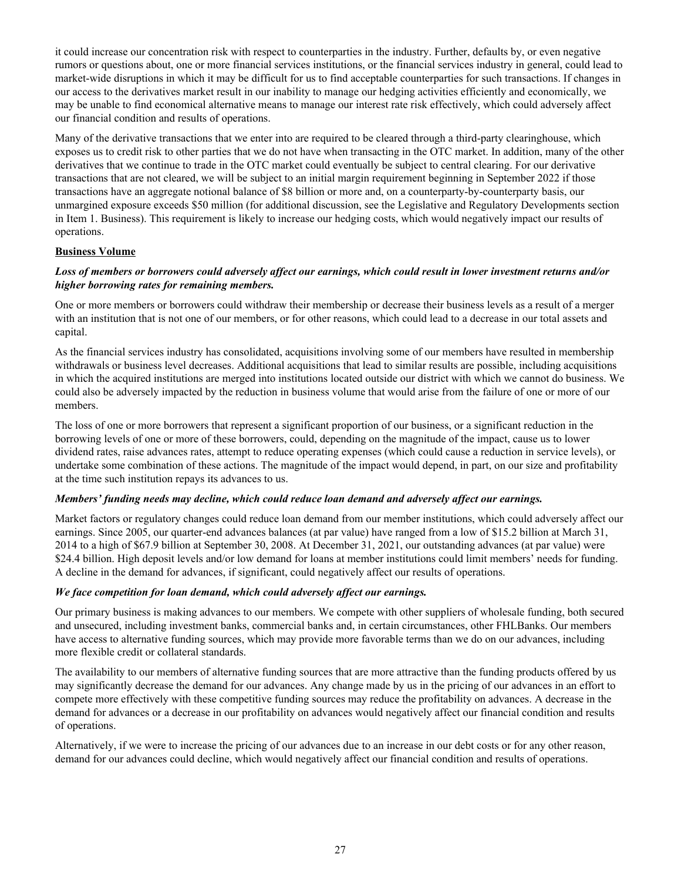it could increase our concentration risk with respect to counterparties in the industry. Further, defaults by, or even negative rumors or questions about, one or more financial services institutions, or the financial services industry in general, could lead to market-wide disruptions in which it may be difficult for us to find acceptable counterparties for such transactions. If changes in our access to the derivatives market result in our inability to manage our hedging activities efficiently and economically, we may be unable to find economical alternative means to manage our interest rate risk effectively, which could adversely affect our financial condition and results of operations.

Many of the derivative transactions that we enter into are required to be cleared through a third-party clearinghouse, which exposes us to credit risk to other parties that we do not have when transacting in the OTC market. In addition, many of the other derivatives that we continue to trade in the OTC market could eventually be subject to central clearing. For our derivative transactions that are not cleared, we will be subject to an initial margin requirement beginning in September 2022 if those transactions have an aggregate notional balance of \$8 billion or more and, on a counterparty-by-counterparty basis, our unmargined exposure exceeds \$50 million (for additional discussion, see the Legislative and Regulatory Developments section in Item 1. Business). This requirement is likely to increase our hedging costs, which would negatively impact our results of operations.

# **Business Volume**

## *Loss of members or borrowers could adversely affect our earnings, which could result in lower investment returns and/or higher borrowing rates for remaining members.*

One or more members or borrowers could withdraw their membership or decrease their business levels as a result of a merger with an institution that is not one of our members, or for other reasons, which could lead to a decrease in our total assets and capital.

As the financial services industry has consolidated, acquisitions involving some of our members have resulted in membership withdrawals or business level decreases. Additional acquisitions that lead to similar results are possible, including acquisitions in which the acquired institutions are merged into institutions located outside our district with which we cannot do business. We could also be adversely impacted by the reduction in business volume that would arise from the failure of one or more of our members.

The loss of one or more borrowers that represent a significant proportion of our business, or a significant reduction in the borrowing levels of one or more of these borrowers, could, depending on the magnitude of the impact, cause us to lower dividend rates, raise advances rates, attempt to reduce operating expenses (which could cause a reduction in service levels), or undertake some combination of these actions. The magnitude of the impact would depend, in part, on our size and profitability at the time such institution repays its advances to us.

#### *Members' funding needs may decline, which could reduce loan demand and adversely affect our earnings.*

Market factors or regulatory changes could reduce loan demand from our member institutions, which could adversely affect our earnings. Since 2005, our quarter-end advances balances (at par value) have ranged from a low of \$15.2 billion at March 31, 2014 to a high of \$67.9 billion at September 30, 2008. At December 31, 2021, our outstanding advances (at par value) were \$24.4 billion. High deposit levels and/or low demand for loans at member institutions could limit members' needs for funding. A decline in the demand for advances, if significant, could negatively affect our results of operations.

#### *We face competition for loan demand, which could adversely affect our earnings.*

Our primary business is making advances to our members. We compete with other suppliers of wholesale funding, both secured and unsecured, including investment banks, commercial banks and, in certain circumstances, other FHLBanks. Our members have access to alternative funding sources, which may provide more favorable terms than we do on our advances, including more flexible credit or collateral standards.

The availability to our members of alternative funding sources that are more attractive than the funding products offered by us may significantly decrease the demand for our advances. Any change made by us in the pricing of our advances in an effort to compete more effectively with these competitive funding sources may reduce the profitability on advances. A decrease in the demand for advances or a decrease in our profitability on advances would negatively affect our financial condition and results of operations.

Alternatively, if we were to increase the pricing of our advances due to an increase in our debt costs or for any other reason, demand for our advances could decline, which would negatively affect our financial condition and results of operations.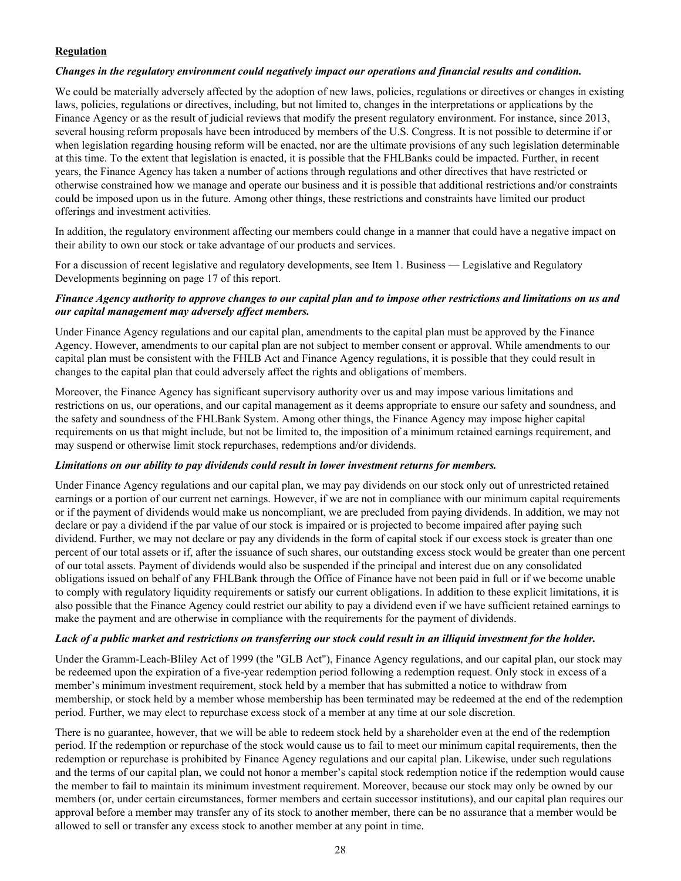# **Regulation**

#### *Changes in the regulatory environment could negatively impact our operations and financial results and condition.*

We could be materially adversely affected by the adoption of new laws, policies, regulations or directives or changes in existing laws, policies, regulations or directives, including, but not limited to, changes in the interpretations or applications by the Finance Agency or as the result of judicial reviews that modify the present regulatory environment. For instance, since 2013, several housing reform proposals have been introduced by members of the U.S. Congress. It is not possible to determine if or when legislation regarding housing reform will be enacted, nor are the ultimate provisions of any such legislation determinable at this time. To the extent that legislation is enacted, it is possible that the FHLBanks could be impacted. Further, in recent years, the Finance Agency has taken a number of actions through regulations and other directives that have restricted or otherwise constrained how we manage and operate our business and it is possible that additional restrictions and/or constraints could be imposed upon us in the future. Among other things, these restrictions and constraints have limited our product offerings and investment activities.

In addition, the regulatory environment affecting our members could change in a manner that could have a negative impact on their ability to own our stock or take advantage of our products and services.

For a discussion of recent legislative and regulatory developments, see Item 1. Business — Legislative and Regulatory Developments beginning on page 17 of this report.

## *Finance Agency authority to approve changes to our capital plan and to impose other restrictions and limitations on us and our capital management may adversely affect members.*

Under Finance Agency regulations and our capital plan, amendments to the capital plan must be approved by the Finance Agency. However, amendments to our capital plan are not subject to member consent or approval. While amendments to our capital plan must be consistent with the FHLB Act and Finance Agency regulations, it is possible that they could result in changes to the capital plan that could adversely affect the rights and obligations of members.

Moreover, the Finance Agency has significant supervisory authority over us and may impose various limitations and restrictions on us, our operations, and our capital management as it deems appropriate to ensure our safety and soundness, and the safety and soundness of the FHLBank System. Among other things, the Finance Agency may impose higher capital requirements on us that might include, but not be limited to, the imposition of a minimum retained earnings requirement, and may suspend or otherwise limit stock repurchases, redemptions and/or dividends.

#### *Limitations on our ability to pay dividends could result in lower investment returns for members.*

Under Finance Agency regulations and our capital plan, we may pay dividends on our stock only out of unrestricted retained earnings or a portion of our current net earnings. However, if we are not in compliance with our minimum capital requirements or if the payment of dividends would make us noncompliant, we are precluded from paying dividends. In addition, we may not declare or pay a dividend if the par value of our stock is impaired or is projected to become impaired after paying such dividend. Further, we may not declare or pay any dividends in the form of capital stock if our excess stock is greater than one percent of our total assets or if, after the issuance of such shares, our outstanding excess stock would be greater than one percent of our total assets. Payment of dividends would also be suspended if the principal and interest due on any consolidated obligations issued on behalf of any FHLBank through the Office of Finance have not been paid in full or if we become unable to comply with regulatory liquidity requirements or satisfy our current obligations. In addition to these explicit limitations, it is also possible that the Finance Agency could restrict our ability to pay a dividend even if we have sufficient retained earnings to make the payment and are otherwise in compliance with the requirements for the payment of dividends.

#### *Lack of a public market and restrictions on transferring our stock could result in an illiquid investment for the holder.*

Under the Gramm-Leach-Bliley Act of 1999 (the "GLB Act"), Finance Agency regulations, and our capital plan, our stock may be redeemed upon the expiration of a five-year redemption period following a redemption request. Only stock in excess of a member's minimum investment requirement, stock held by a member that has submitted a notice to withdraw from membership, or stock held by a member whose membership has been terminated may be redeemed at the end of the redemption period. Further, we may elect to repurchase excess stock of a member at any time at our sole discretion.

There is no guarantee, however, that we will be able to redeem stock held by a shareholder even at the end of the redemption period. If the redemption or repurchase of the stock would cause us to fail to meet our minimum capital requirements, then the redemption or repurchase is prohibited by Finance Agency regulations and our capital plan. Likewise, under such regulations and the terms of our capital plan, we could not honor a member's capital stock redemption notice if the redemption would cause the member to fail to maintain its minimum investment requirement. Moreover, because our stock may only be owned by our members (or, under certain circumstances, former members and certain successor institutions), and our capital plan requires our approval before a member may transfer any of its stock to another member, there can be no assurance that a member would be allowed to sell or transfer any excess stock to another member at any point in time.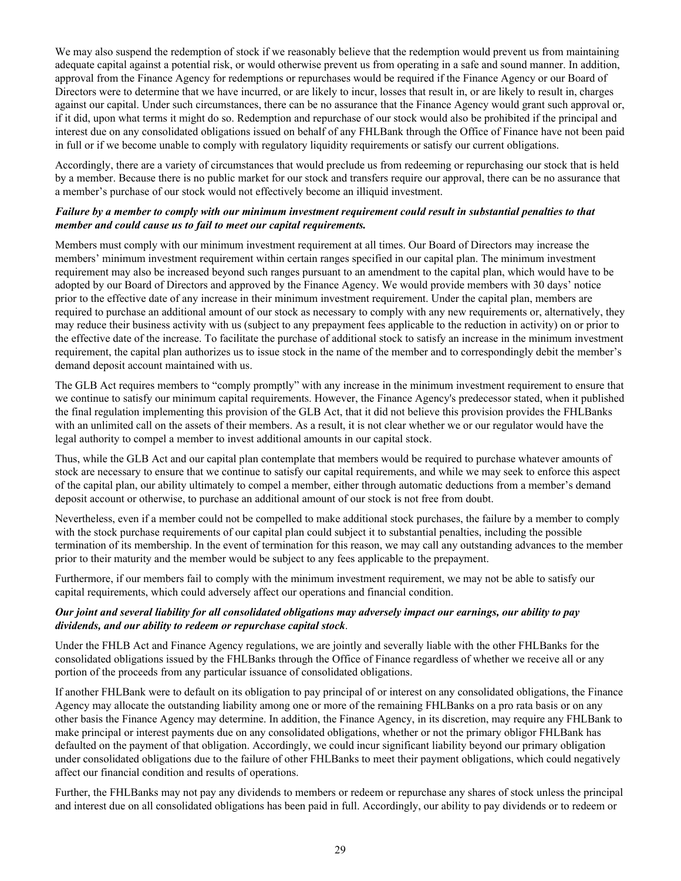We may also suspend the redemption of stock if we reasonably believe that the redemption would prevent us from maintaining adequate capital against a potential risk, or would otherwise prevent us from operating in a safe and sound manner. In addition, approval from the Finance Agency for redemptions or repurchases would be required if the Finance Agency or our Board of Directors were to determine that we have incurred, or are likely to incur, losses that result in, or are likely to result in, charges against our capital. Under such circumstances, there can be no assurance that the Finance Agency would grant such approval or, if it did, upon what terms it might do so. Redemption and repurchase of our stock would also be prohibited if the principal and interest due on any consolidated obligations issued on behalf of any FHLBank through the Office of Finance have not been paid in full or if we become unable to comply with regulatory liquidity requirements or satisfy our current obligations.

Accordingly, there are a variety of circumstances that would preclude us from redeeming or repurchasing our stock that is held by a member. Because there is no public market for our stock and transfers require our approval, there can be no assurance that a member's purchase of our stock would not effectively become an illiquid investment.

## *Failure by a member to comply with our minimum investment requirement could result in substantial penalties to that member and could cause us to fail to meet our capital requirements.*

Members must comply with our minimum investment requirement at all times. Our Board of Directors may increase the members' minimum investment requirement within certain ranges specified in our capital plan. The minimum investment requirement may also be increased beyond such ranges pursuant to an amendment to the capital plan, which would have to be adopted by our Board of Directors and approved by the Finance Agency. We would provide members with 30 days' notice prior to the effective date of any increase in their minimum investment requirement. Under the capital plan, members are required to purchase an additional amount of our stock as necessary to comply with any new requirements or, alternatively, they may reduce their business activity with us (subject to any prepayment fees applicable to the reduction in activity) on or prior to the effective date of the increase. To facilitate the purchase of additional stock to satisfy an increase in the minimum investment requirement, the capital plan authorizes us to issue stock in the name of the member and to correspondingly debit the member's demand deposit account maintained with us.

The GLB Act requires members to "comply promptly" with any increase in the minimum investment requirement to ensure that we continue to satisfy our minimum capital requirements. However, the Finance Agency's predecessor stated, when it published the final regulation implementing this provision of the GLB Act, that it did not believe this provision provides the FHLBanks with an unlimited call on the assets of their members. As a result, it is not clear whether we or our regulator would have the legal authority to compel a member to invest additional amounts in our capital stock.

Thus, while the GLB Act and our capital plan contemplate that members would be required to purchase whatever amounts of stock are necessary to ensure that we continue to satisfy our capital requirements, and while we may seek to enforce this aspect of the capital plan, our ability ultimately to compel a member, either through automatic deductions from a member's demand deposit account or otherwise, to purchase an additional amount of our stock is not free from doubt.

Nevertheless, even if a member could not be compelled to make additional stock purchases, the failure by a member to comply with the stock purchase requirements of our capital plan could subject it to substantial penalties, including the possible termination of its membership. In the event of termination for this reason, we may call any outstanding advances to the member prior to their maturity and the member would be subject to any fees applicable to the prepayment.

Furthermore, if our members fail to comply with the minimum investment requirement, we may not be able to satisfy our capital requirements, which could adversely affect our operations and financial condition.

#### *Our joint and several liability for all consolidated obligations may adversely impact our earnings, our ability to pay dividends, and our ability to redeem or repurchase capital stock*.

Under the FHLB Act and Finance Agency regulations, we are jointly and severally liable with the other FHLBanks for the consolidated obligations issued by the FHLBanks through the Office of Finance regardless of whether we receive all or any portion of the proceeds from any particular issuance of consolidated obligations.

If another FHLBank were to default on its obligation to pay principal of or interest on any consolidated obligations, the Finance Agency may allocate the outstanding liability among one or more of the remaining FHLBanks on a pro rata basis or on any other basis the Finance Agency may determine. In addition, the Finance Agency, in its discretion, may require any FHLBank to make principal or interest payments due on any consolidated obligations, whether or not the primary obligor FHLBank has defaulted on the payment of that obligation. Accordingly, we could incur significant liability beyond our primary obligation under consolidated obligations due to the failure of other FHLBanks to meet their payment obligations, which could negatively affect our financial condition and results of operations.

Further, the FHLBanks may not pay any dividends to members or redeem or repurchase any shares of stock unless the principal and interest due on all consolidated obligations has been paid in full. Accordingly, our ability to pay dividends or to redeem or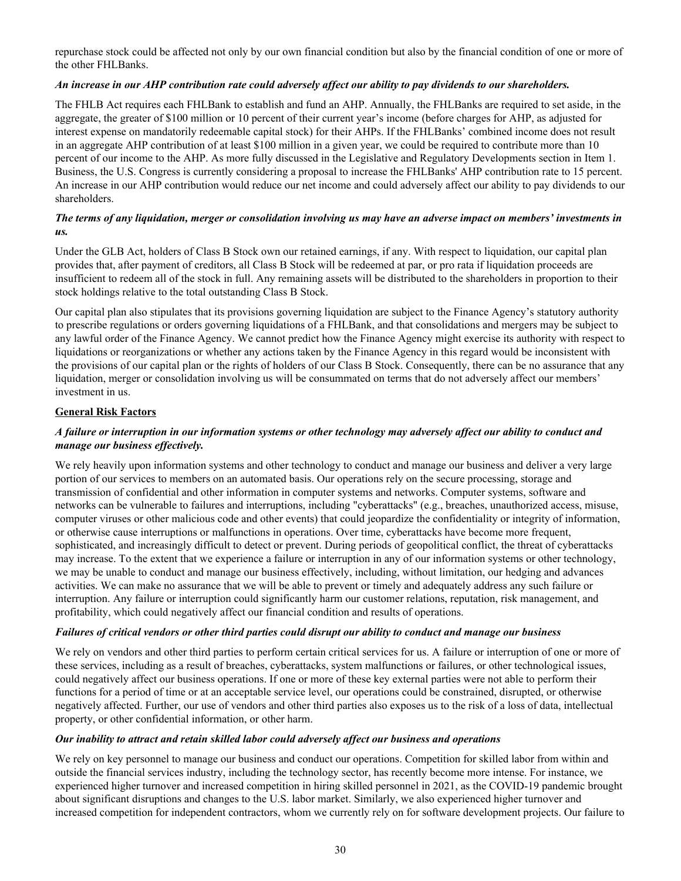repurchase stock could be affected not only by our own financial condition but also by the financial condition of one or more of the other FHLBanks.

## *An increase in our AHP contribution rate could adversely affect our ability to pay dividends to our shareholders.*

The FHLB Act requires each FHLBank to establish and fund an AHP. Annually, the FHLBanks are required to set aside, in the aggregate, the greater of \$100 million or 10 percent of their current year's income (before charges for AHP, as adjusted for interest expense on mandatorily redeemable capital stock) for their AHPs. If the FHLBanks' combined income does not result in an aggregate AHP contribution of at least \$100 million in a given year, we could be required to contribute more than 10 percent of our income to the AHP. As more fully discussed in the Legislative and Regulatory Developments section in Item 1. Business, the U.S. Congress is currently considering a proposal to increase the FHLBanks' AHP contribution rate to 15 percent. An increase in our AHP contribution would reduce our net income and could adversely affect our ability to pay dividends to our shareholders.

# *The terms of any liquidation, merger or consolidation involving us may have an adverse impact on members' investments in us.*

Under the GLB Act, holders of Class B Stock own our retained earnings, if any. With respect to liquidation, our capital plan provides that, after payment of creditors, all Class B Stock will be redeemed at par, or pro rata if liquidation proceeds are insufficient to redeem all of the stock in full. Any remaining assets will be distributed to the shareholders in proportion to their stock holdings relative to the total outstanding Class B Stock.

Our capital plan also stipulates that its provisions governing liquidation are subject to the Finance Agency's statutory authority to prescribe regulations or orders governing liquidations of a FHLBank, and that consolidations and mergers may be subject to any lawful order of the Finance Agency. We cannot predict how the Finance Agency might exercise its authority with respect to liquidations or reorganizations or whether any actions taken by the Finance Agency in this regard would be inconsistent with the provisions of our capital plan or the rights of holders of our Class B Stock. Consequently, there can be no assurance that any liquidation, merger or consolidation involving us will be consummated on terms that do not adversely affect our members' investment in us.

# **General Risk Factors**

# *A failure or interruption in our information systems or other technology may adversely affect our ability to conduct and manage our business effectively.*

We rely heavily upon information systems and other technology to conduct and manage our business and deliver a very large portion of our services to members on an automated basis. Our operations rely on the secure processing, storage and transmission of confidential and other information in computer systems and networks. Computer systems, software and networks can be vulnerable to failures and interruptions, including "cyberattacks" (e.g., breaches, unauthorized access, misuse, computer viruses or other malicious code and other events) that could jeopardize the confidentiality or integrity of information, or otherwise cause interruptions or malfunctions in operations. Over time, cyberattacks have become more frequent, sophisticated, and increasingly difficult to detect or prevent. During periods of geopolitical conflict, the threat of cyberattacks may increase. To the extent that we experience a failure or interruption in any of our information systems or other technology, we may be unable to conduct and manage our business effectively, including, without limitation, our hedging and advances activities. We can make no assurance that we will be able to prevent or timely and adequately address any such failure or interruption. Any failure or interruption could significantly harm our customer relations, reputation, risk management, and profitability, which could negatively affect our financial condition and results of operations.

#### *Failures of critical vendors or other third parties could disrupt our ability to conduct and manage our business*

We rely on vendors and other third parties to perform certain critical services for us. A failure or interruption of one or more of these services, including as a result of breaches, cyberattacks, system malfunctions or failures, or other technological issues, could negatively affect our business operations. If one or more of these key external parties were not able to perform their functions for a period of time or at an acceptable service level, our operations could be constrained, disrupted, or otherwise negatively affected. Further, our use of vendors and other third parties also exposes us to the risk of a loss of data, intellectual property, or other confidential information, or other harm.

#### *Our inability to attract and retain skilled labor could adversely affect our business and operations*

We rely on key personnel to manage our business and conduct our operations. Competition for skilled labor from within and outside the financial services industry, including the technology sector, has recently become more intense. For instance, we experienced higher turnover and increased competition in hiring skilled personnel in 2021, as the COVID-19 pandemic brought about significant disruptions and changes to the U.S. labor market. Similarly, we also experienced higher turnover and increased competition for independent contractors, whom we currently rely on for software development projects. Our failure to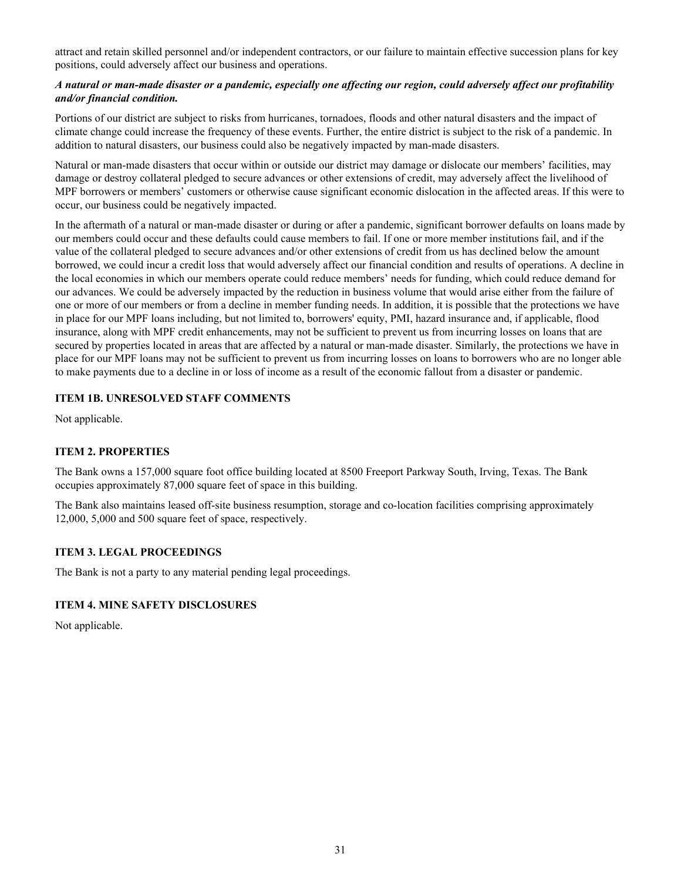<span id="page-32-0"></span>attract and retain skilled personnel and/or independent contractors, or our failure to maintain effective succession plans for key positions, could adversely affect our business and operations.

# *A natural or man-made disaster or a pandemic, especially one affecting our region, could adversely affect our profitability and/or financial condition.*

Portions of our district are subject to risks from hurricanes, tornadoes, floods and other natural disasters and the impact of climate change could increase the frequency of these events. Further, the entire district is subject to the risk of a pandemic. In addition to natural disasters, our business could also be negatively impacted by man-made disasters.

Natural or man-made disasters that occur within or outside our district may damage or dislocate our members' facilities, may damage or destroy collateral pledged to secure advances or other extensions of credit, may adversely affect the livelihood of MPF borrowers or members' customers or otherwise cause significant economic dislocation in the affected areas. If this were to occur, our business could be negatively impacted.

In the aftermath of a natural or man-made disaster or during or after a pandemic, significant borrower defaults on loans made by our members could occur and these defaults could cause members to fail. If one or more member institutions fail, and if the value of the collateral pledged to secure advances and/or other extensions of credit from us has declined below the amount borrowed, we could incur a credit loss that would adversely affect our financial condition and results of operations. A decline in the local economies in which our members operate could reduce members' needs for funding, which could reduce demand for our advances. We could be adversely impacted by the reduction in business volume that would arise either from the failure of one or more of our members or from a decline in member funding needs. In addition, it is possible that the protections we have in place for our MPF loans including, but not limited to, borrowers' equity, PMI, hazard insurance and, if applicable, flood insurance, along with MPF credit enhancements, may not be sufficient to prevent us from incurring losses on loans that are secured by properties located in areas that are affected by a natural or man-made disaster. Similarly, the protections we have in place for our MPF loans may not be sufficient to prevent us from incurring losses on loans to borrowers who are no longer able to make payments due to a decline in or loss of income as a result of the economic fallout from a disaster or pandemic.

# **ITEM 1B. UNRESOLVED STAFF COMMENTS**

Not applicable.

# **ITEM 2. PROPERTIES**

The Bank owns a 157,000 square foot office building located at 8500 Freeport Parkway South, Irving, Texas. The Bank occupies approximately 87,000 square feet of space in this building.

The Bank also maintains leased off-site business resumption, storage and co-location facilities comprising approximately 12,000, 5,000 and 500 square feet of space, respectively.

#### **ITEM 3. LEGAL PROCEEDINGS**

The Bank is not a party to any material pending legal proceedings.

#### **ITEM 4. MINE SAFETY DISCLOSURES**

Not applicable.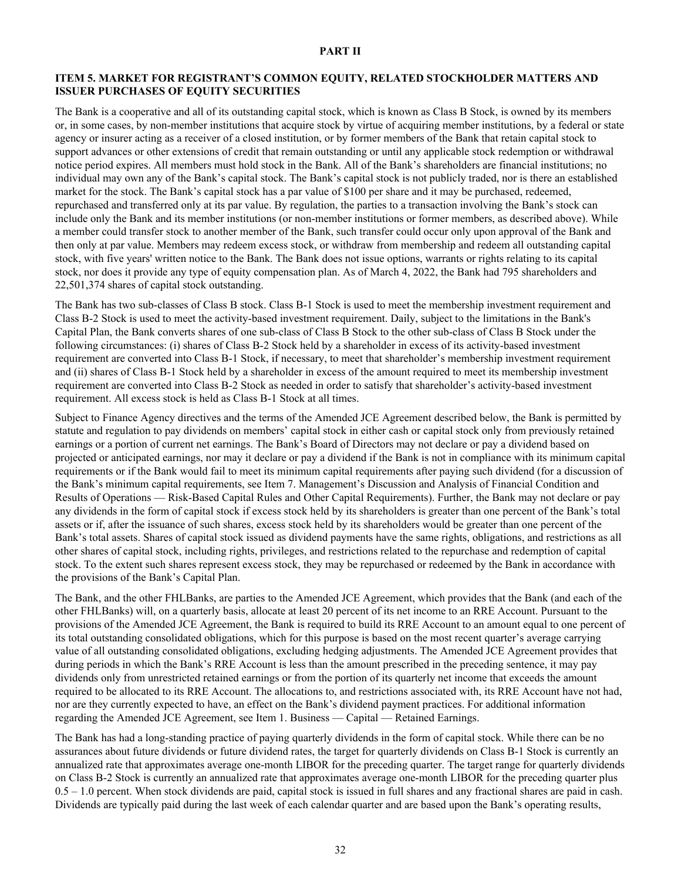#### **PART II**

#### <span id="page-33-0"></span>**ITEM 5. MARKET FOR REGISTRANT'S COMMON EQUITY, RELATED STOCKHOLDER MATTERS AND ISSUER PURCHASES OF EQUITY SECURITIES**

The Bank is a cooperative and all of its outstanding capital stock, which is known as Class B Stock, is owned by its members or, in some cases, by non-member institutions that acquire stock by virtue of acquiring member institutions, by a federal or state agency or insurer acting as a receiver of a closed institution, or by former members of the Bank that retain capital stock to support advances or other extensions of credit that remain outstanding or until any applicable stock redemption or withdrawal notice period expires. All members must hold stock in the Bank. All of the Bank's shareholders are financial institutions; no individual may own any of the Bank's capital stock. The Bank's capital stock is not publicly traded, nor is there an established market for the stock. The Bank's capital stock has a par value of \$100 per share and it may be purchased, redeemed, repurchased and transferred only at its par value. By regulation, the parties to a transaction involving the Bank's stock can include only the Bank and its member institutions (or non-member institutions or former members, as described above). While a member could transfer stock to another member of the Bank, such transfer could occur only upon approval of the Bank and then only at par value. Members may redeem excess stock, or withdraw from membership and redeem all outstanding capital stock, with five years' written notice to the Bank. The Bank does not issue options, warrants or rights relating to its capital stock, nor does it provide any type of equity compensation plan. As of March 4, 2022, the Bank had 795 shareholders and 22,501,374 shares of capital stock outstanding.

The Bank has two sub-classes of Class B stock. Class B-1 Stock is used to meet the membership investment requirement and Class B-2 Stock is used to meet the activity-based investment requirement. Daily, subject to the limitations in the Bank's Capital Plan, the Bank converts shares of one sub-class of Class B Stock to the other sub-class of Class B Stock under the following circumstances: (i) shares of Class B-2 Stock held by a shareholder in excess of its activity-based investment requirement are converted into Class B-1 Stock, if necessary, to meet that shareholder's membership investment requirement and (ii) shares of Class B-1 Stock held by a shareholder in excess of the amount required to meet its membership investment requirement are converted into Class B-2 Stock as needed in order to satisfy that shareholder's activity-based investment requirement. All excess stock is held as Class B-1 Stock at all times.

Subject to Finance Agency directives and the terms of the Amended JCE Agreement described below, the Bank is permitted by statute and regulation to pay dividends on members' capital stock in either cash or capital stock only from previously retained earnings or a portion of current net earnings. The Bank's Board of Directors may not declare or pay a dividend based on projected or anticipated earnings, nor may it declare or pay a dividend if the Bank is not in compliance with its minimum capital requirements or if the Bank would fail to meet its minimum capital requirements after paying such dividend (for a discussion of the Bank's minimum capital requirements, see Item 7. Management's Discussion and Analysis of Financial Condition and Results of Operations — Risk-Based Capital Rules and Other Capital Requirements). Further, the Bank may not declare or pay any dividends in the form of capital stock if excess stock held by its shareholders is greater than one percent of the Bank's total assets or if, after the issuance of such shares, excess stock held by its shareholders would be greater than one percent of the Bank's total assets. Shares of capital stock issued as dividend payments have the same rights, obligations, and restrictions as all other shares of capital stock, including rights, privileges, and restrictions related to the repurchase and redemption of capital stock. To the extent such shares represent excess stock, they may be repurchased or redeemed by the Bank in accordance with the provisions of the Bank's Capital Plan.

The Bank, and the other FHLBanks, are parties to the Amended JCE Agreement, which provides that the Bank (and each of the other FHLBanks) will, on a quarterly basis, allocate at least 20 percent of its net income to an RRE Account. Pursuant to the provisions of the Amended JCE Agreement, the Bank is required to build its RRE Account to an amount equal to one percent of its total outstanding consolidated obligations, which for this purpose is based on the most recent quarter's average carrying value of all outstanding consolidated obligations, excluding hedging adjustments. The Amended JCE Agreement provides that during periods in which the Bank's RRE Account is less than the amount prescribed in the preceding sentence, it may pay dividends only from unrestricted retained earnings or from the portion of its quarterly net income that exceeds the amount required to be allocated to its RRE Account. The allocations to, and restrictions associated with, its RRE Account have not had, nor are they currently expected to have, an effect on the Bank's dividend payment practices. For additional information regarding the Amended JCE Agreement, see Item 1. Business — Capital — Retained Earnings.

The Bank has had a long-standing practice of paying quarterly dividends in the form of capital stock. While there can be no assurances about future dividends or future dividend rates, the target for quarterly dividends on Class B-1 Stock is currently an annualized rate that approximates average one-month LIBOR for the preceding quarter. The target range for quarterly dividends on Class B-2 Stock is currently an annualized rate that approximates average one-month LIBOR for the preceding quarter plus 0.5 – 1.0 percent. When stock dividends are paid, capital stock is issued in full shares and any fractional shares are paid in cash. Dividends are typically paid during the last week of each calendar quarter and are based upon the Bank's operating results,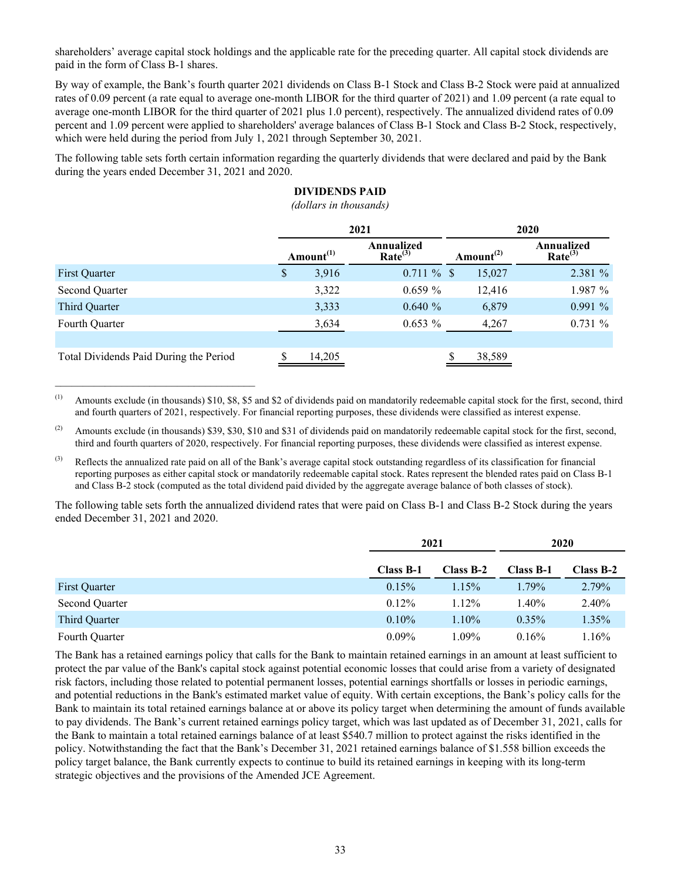shareholders' average capital stock holdings and the applicable rate for the preceding quarter. All capital stock dividends are paid in the form of Class B-1 shares.

By way of example, the Bank's fourth quarter 2021 dividends on Class B-1 Stock and Class B-2 Stock were paid at annualized rates of 0.09 percent (a rate equal to average one-month LIBOR for the third quarter of 2021) and 1.09 percent (a rate equal to average one-month LIBOR for the third quarter of 2021 plus 1.0 percent), respectively. The annualized dividend rates of 0.09 percent and 1.09 percent were applied to shareholders' average balances of Class B-1 Stock and Class B-2 Stock, respectively, which were held during the period from July 1, 2021 through September 30, 2021.

The following table sets forth certain information regarding the quarterly dividends that were declared and paid by the Bank during the years ended December 31, 2021 and 2020.

# **DIVIDENDS PAID**

*(dollars in thousands)*

|                                        | 2021 |              |                                   | 2020 |                                    |                                   |  |
|----------------------------------------|------|--------------|-----------------------------------|------|------------------------------------|-----------------------------------|--|
|                                        |      | Amount $(1)$ | Annualized<br>Rate <sup>(3)</sup> |      | Amount <sup><math>(2)</math></sup> | Annualized<br>Rate <sup>(3)</sup> |  |
| First Quarter                          | S    | 3,916        | $0.711 \%$ \$                     |      | 15,027                             | 2.381 %                           |  |
| Second Quarter                         |      | 3,322        | $0.659\%$                         |      | 12,416                             | 1.987 %                           |  |
| Third Quarter                          |      | 3,333        | $0.640 \%$                        |      | 6,879                              | $0.991\%$                         |  |
| Fourth Quarter                         |      | 3,634        | $0.653\%$                         |      | 4,267                              | 0.731%                            |  |
|                                        |      |              |                                   |      |                                    |                                   |  |
| Total Dividends Paid During the Period |      | 14,205       |                                   |      | 38,589                             |                                   |  |

(1) Amounts exclude (in thousands)  $$10, $8, $5$  and  $$2$  of dividends paid on mandatorily redeemable capital stock for the first, second, third and fourth quarters of 2021, respectively. For financial reporting purposes, these dividends were classified as interest expense.

 $\mathcal{L}_\text{max}$  , and the set of the set of the set of the set of the set of the set of the set of the set of the set of the set of the set of the set of the set of the set of the set of the set of the set of the set of the

(2) Amounts exclude (in thousands) \$39, \$30, \$10 and \$31 of dividends paid on mandatorily redeemable capital stock for the first, second, third and fourth quarters of 2020, respectively. For financial reporting purposes, these dividends were classified as interest expense.

<sup>(3)</sup> Reflects the annualized rate paid on all of the Bank's average capital stock outstanding regardless of its classification for financial reporting purposes as either capital stock or mandatorily redeemable capital stock. Rates represent the blended rates paid on Class B-1 and Class B-2 stock (computed as the total dividend paid divided by the aggregate average balance of both classes of stock).

The following table sets forth the annualized dividend rates that were paid on Class B-1 and Class B-2 Stock during the years ended December 31, 2021 and 2020.

|                |           | 2021        |           | 2020        |
|----------------|-----------|-------------|-----------|-------------|
|                | Class B-1 | $Class B-2$ | Class B-1 | $Class B-2$ |
| First Quarter  | 0.15%     | 1.15%       | 1.79%     | 2.79%       |
| Second Quarter | 0.12%     | 1.12%       | 1.40%     | 2.40%       |
| Third Quarter  | $0.10\%$  | $1.10\%$    | $0.35\%$  | 1.35%       |
| Fourth Quarter | $0.09\%$  | 1.09%       | 0.16%     | .16%        |

The Bank has a retained earnings policy that calls for the Bank to maintain retained earnings in an amount at least sufficient to protect the par value of the Bank's capital stock against potential economic losses that could arise from a variety of designated risk factors, including those related to potential permanent losses, potential earnings shortfalls or losses in periodic earnings, and potential reductions in the Bank's estimated market value of equity. With certain exceptions, the Bank's policy calls for the Bank to maintain its total retained earnings balance at or above its policy target when determining the amount of funds available to pay dividends. The Bank's current retained earnings policy target, which was last updated as of December 31, 2021, calls for the Bank to maintain a total retained earnings balance of at least \$540.7 million to protect against the risks identified in the policy. Notwithstanding the fact that the Bank's December 31, 2021 retained earnings balance of \$1.558 billion exceeds the policy target balance, the Bank currently expects to continue to build its retained earnings in keeping with its long-term strategic objectives and the provisions of the Amended JCE Agreement.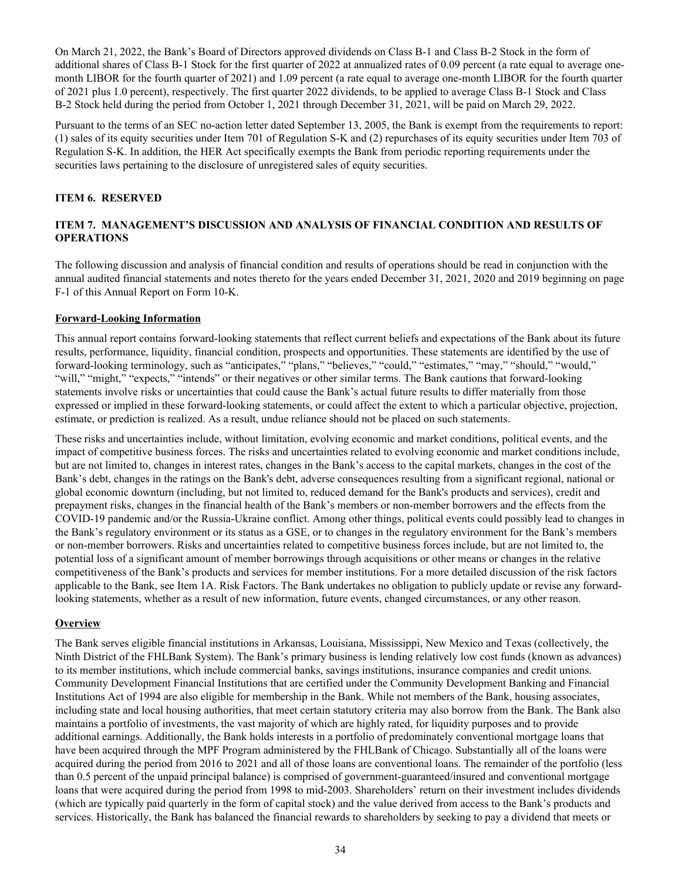<span id="page-35-0"></span>On March 21, 2022, the Bank's Board of Directors approved dividends on Class B-1 and Class B-2 Stock in the form of additional shares of Class B-1 Stock for the first quarter of 2022 at annualized rates of 0.09 percent (a rate equal to average onemonth LIBOR for the fourth quarter of 2021) and 1.09 percent (a rate equal to average one-month LIBOR for the fourth quarter of 2021 plus 1.0 percent), respectively. The first quarter 2022 dividends, to be applied to average Class B-1 Stock and Class B-2 Stock held during the period from October 1, 2021 through December 31, 2021, will be paid on March 29, 2022.

Pursuant to the terms of an SEC no-action letter dated September 13, 2005, the Bank is exempt from the requirements to report: (1) sales of its equity securities under Item 701 of Regulation S-K and (2) repurchases of its equity securities under Item 703 of Regulation S-K. In addition, the HER Act specifically exempts the Bank from periodic reporting requirements under the securities laws pertaining to the disclosure of unregistered sales of equity securities.

# **ITEM 6. RESERVED**

# **ITEM 7. MANAGEMENT'S DISCUSSION AND ANALYSIS OF FINANCIAL CONDITION AND RESULTS OF OPERATIONS**

The following discussion and analysis of financial condition and results of operations should be read in conjunction with the annual audited financial statements and notes thereto for the years ended December 31, 2021, 2020 and 2019 beginning on page F-1 of this Annual Report on Form 10-K.

# **Forward-Looking Information**

This annual report contains forward-looking statements that reflect current beliefs and expectations of the Bank about its future results, performance, liquidity, financial condition, prospects and opportunities. These statements are identified by the use of forward-looking terminology, such as "anticipates," "plans," "believes," "could," "estimates," "may," "should," "would," "will," "might," "expects," "intends" or their negatives or other similar terms. The Bank cautions that forward-looking statements involve risks or uncertainties that could cause the Bank's actual future results to differ materially from those expressed or implied in these forward-looking statements, or could affect the extent to which a particular objective, projection, estimate, or prediction is realized. As a result, undue reliance should not be placed on such statements.

These risks and uncertainties include, without limitation, evolving economic and market conditions, political events, and the impact of competitive business forces. The risks and uncertainties related to evolving economic and market conditions include, but are not limited to, changes in interest rates, changes in the Bank's access to the capital markets, changes in the cost of the Bank's debt, changes in the ratings on the Bank's debt, adverse consequences resulting from a significant regional, national or global economic downturn (including, but not limited to, reduced demand for the Bank's products and services), credit and prepayment risks, changes in the financial health of the Bank's members or non-member borrowers and the effects from the COVID-19 pandemic and/or the Russia-Ukraine conflict. Among other things, political events could possibly lead to changes in the Bank's regulatory environment or its status as a GSE, or to changes in the regulatory environment for the Bank's members or non-member borrowers. Risks and uncertainties related to competitive business forces include, but are not limited to, the potential loss of a significant amount of member borrowings through acquisitions or other means or changes in the relative competitiveness of the Bank's products and services for member institutions. For a more detailed discussion of the risk factors applicable to the Bank, see Item 1A. Risk Factors. The Bank undertakes no obligation to publicly update or revise any forwardlooking statements, whether as a result of new information, future events, changed circumstances, or any other reason.

#### **Overview**

The Bank serves eligible financial institutions in Arkansas, Louisiana, Mississippi, New Mexico and Texas (collectively, the Ninth District of the FHLBank System). The Bank's primary business is lending relatively low cost funds (known as advances) to its member institutions, which include commercial banks, savings institutions, insurance companies and credit unions. Community Development Financial Institutions that are certified under the Community Development Banking and Financial Institutions Act of 1994 are also eligible for membership in the Bank. While not members of the Bank, housing associates, including state and local housing authorities, that meet certain statutory criteria may also borrow from the Bank. The Bank also maintains a portfolio of investments, the vast majority of which are highly rated, for liquidity purposes and to provide additional earnings. Additionally, the Bank holds interests in a portfolio of predominately conventional mortgage loans that have been acquired through the MPF Program administered by the FHLBank of Chicago. Substantially all of the loans were acquired during the period from 2016 to 2021 and all of those loans are conventional loans. The remainder of the portfolio (less than 0.5 percent of the unpaid principal balance) is comprised of government-guaranteed/insured and conventional mortgage loans that were acquired during the period from 1998 to mid-2003. Shareholders' return on their investment includes dividends (which are typically paid quarterly in the form of capital stock) and the value derived from access to the Bank's products and services. Historically, the Bank has balanced the financial rewards to shareholders by seeking to pay a dividend that meets or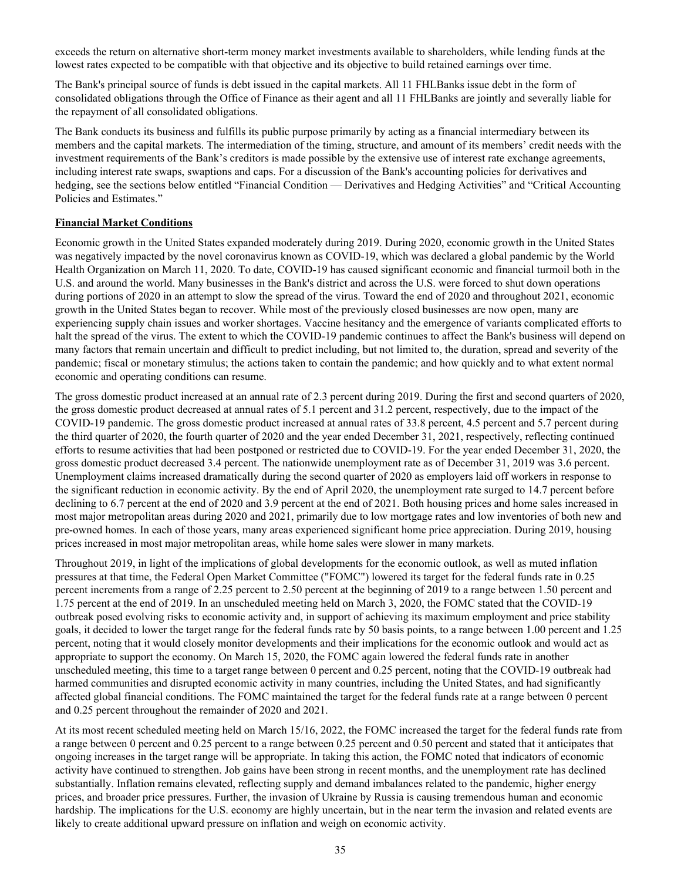exceeds the return on alternative short-term money market investments available to shareholders, while lending funds at the lowest rates expected to be compatible with that objective and its objective to build retained earnings over time.

The Bank's principal source of funds is debt issued in the capital markets. All 11 FHLBanks issue debt in the form of consolidated obligations through the Office of Finance as their agent and all 11 FHLBanks are jointly and severally liable for the repayment of all consolidated obligations.

The Bank conducts its business and fulfills its public purpose primarily by acting as a financial intermediary between its members and the capital markets. The intermediation of the timing, structure, and amount of its members' credit needs with the investment requirements of the Bank's creditors is made possible by the extensive use of interest rate exchange agreements, including interest rate swaps, swaptions and caps. For a discussion of the Bank's accounting policies for derivatives and hedging, see the sections below entitled "Financial Condition — Derivatives and Hedging Activities" and "Critical Accounting Policies and Estimates."

# **Financial Market Conditions**

Economic growth in the United States expanded moderately during 2019. During 2020, economic growth in the United States was negatively impacted by the novel coronavirus known as COVID-19, which was declared a global pandemic by the World Health Organization on March 11, 2020. To date, COVID-19 has caused significant economic and financial turmoil both in the U.S. and around the world. Many businesses in the Bank's district and across the U.S. were forced to shut down operations during portions of 2020 in an attempt to slow the spread of the virus. Toward the end of 2020 and throughout 2021, economic growth in the United States began to recover. While most of the previously closed businesses are now open, many are experiencing supply chain issues and worker shortages. Vaccine hesitancy and the emergence of variants complicated efforts to halt the spread of the virus. The extent to which the COVID-19 pandemic continues to affect the Bank's business will depend on many factors that remain uncertain and difficult to predict including, but not limited to, the duration, spread and severity of the pandemic; fiscal or monetary stimulus; the actions taken to contain the pandemic; and how quickly and to what extent normal economic and operating conditions can resume.

The gross domestic product increased at an annual rate of 2.3 percent during 2019. During the first and second quarters of 2020, the gross domestic product decreased at annual rates of 5.1 percent and 31.2 percent, respectively, due to the impact of the COVID-19 pandemic. The gross domestic product increased at annual rates of 33.8 percent, 4.5 percent and 5.7 percent during the third quarter of 2020, the fourth quarter of 2020 and the year ended December 31, 2021, respectively, reflecting continued efforts to resume activities that had been postponed or restricted due to COVID-19. For the year ended December 31, 2020, the gross domestic product decreased 3.4 percent. The nationwide unemployment rate as of December 31, 2019 was 3.6 percent. Unemployment claims increased dramatically during the second quarter of 2020 as employers laid off workers in response to the significant reduction in economic activity. By the end of April 2020, the unemployment rate surged to 14.7 percent before declining to 6.7 percent at the end of 2020 and 3.9 percent at the end of 2021. Both housing prices and home sales increased in most major metropolitan areas during 2020 and 2021, primarily due to low mortgage rates and low inventories of both new and pre-owned homes. In each of those years, many areas experienced significant home price appreciation. During 2019, housing prices increased in most major metropolitan areas, while home sales were slower in many markets.

Throughout 2019, in light of the implications of global developments for the economic outlook, as well as muted inflation pressures at that time, the Federal Open Market Committee ("FOMC") lowered its target for the federal funds rate in 0.25 percent increments from a range of 2.25 percent to 2.50 percent at the beginning of 2019 to a range between 1.50 percent and 1.75 percent at the end of 2019. In an unscheduled meeting held on March 3, 2020, the FOMC stated that the COVID-19 outbreak posed evolving risks to economic activity and, in support of achieving its maximum employment and price stability goals, it decided to lower the target range for the federal funds rate by 50 basis points, to a range between 1.00 percent and 1.25 percent, noting that it would closely monitor developments and their implications for the economic outlook and would act as appropriate to support the economy. On March 15, 2020, the FOMC again lowered the federal funds rate in another unscheduled meeting, this time to a target range between 0 percent and 0.25 percent, noting that the COVID-19 outbreak had harmed communities and disrupted economic activity in many countries, including the United States, and had significantly affected global financial conditions. The FOMC maintained the target for the federal funds rate at a range between 0 percent and 0.25 percent throughout the remainder of 2020 and 2021.

At its most recent scheduled meeting held on March 15/16, 2022, the FOMC increased the target for the federal funds rate from a range between 0 percent and 0.25 percent to a range between 0.25 percent and 0.50 percent and stated that it anticipates that ongoing increases in the target range will be appropriate. In taking this action, the FOMC noted that indicators of economic activity have continued to strengthen. Job gains have been strong in recent months, and the unemployment rate has declined substantially. Inflation remains elevated, reflecting supply and demand imbalances related to the pandemic, higher energy prices, and broader price pressures. Further, the invasion of Ukraine by Russia is causing tremendous human and economic hardship. The implications for the U.S. economy are highly uncertain, but in the near term the invasion and related events are likely to create additional upward pressure on inflation and weigh on economic activity.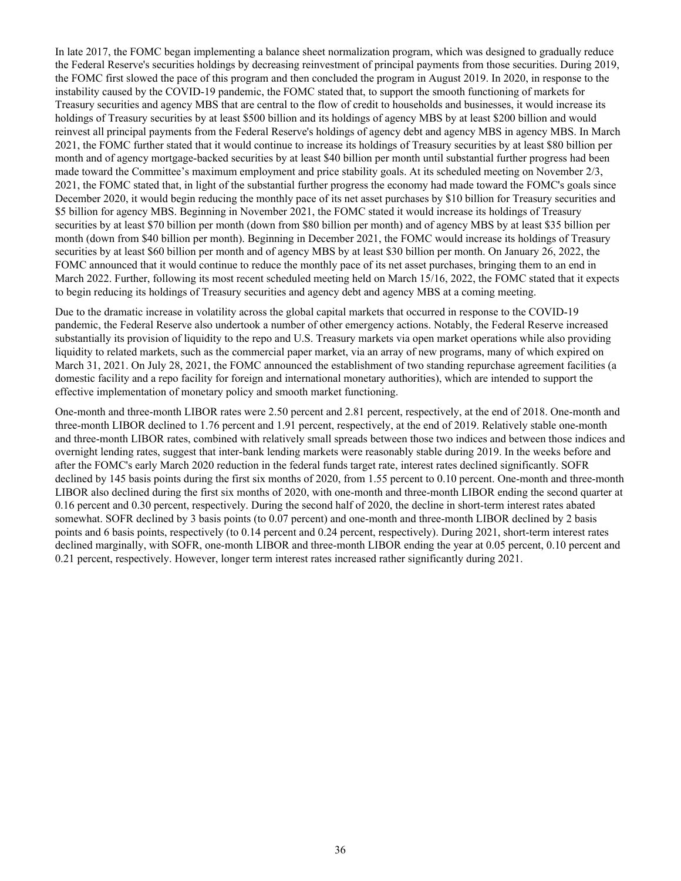In late 2017, the FOMC began implementing a balance sheet normalization program, which was designed to gradually reduce the Federal Reserve's securities holdings by decreasing reinvestment of principal payments from those securities. During 2019, the FOMC first slowed the pace of this program and then concluded the program in August 2019. In 2020, in response to the instability caused by the COVID-19 pandemic, the FOMC stated that, to support the smooth functioning of markets for Treasury securities and agency MBS that are central to the flow of credit to households and businesses, it would increase its holdings of Treasury securities by at least \$500 billion and its holdings of agency MBS by at least \$200 billion and would reinvest all principal payments from the Federal Reserve's holdings of agency debt and agency MBS in agency MBS. In March 2021, the FOMC further stated that it would continue to increase its holdings of Treasury securities by at least \$80 billion per month and of agency mortgage-backed securities by at least \$40 billion per month until substantial further progress had been made toward the Committee's maximum employment and price stability goals. At its scheduled meeting on November 2/3, 2021, the FOMC stated that, in light of the substantial further progress the economy had made toward the FOMC's goals since December 2020, it would begin reducing the monthly pace of its net asset purchases by \$10 billion for Treasury securities and \$5 billion for agency MBS. Beginning in November 2021, the FOMC stated it would increase its holdings of Treasury securities by at least \$70 billion per month (down from \$80 billion per month) and of agency MBS by at least \$35 billion per month (down from \$40 billion per month). Beginning in December 2021, the FOMC would increase its holdings of Treasury securities by at least \$60 billion per month and of agency MBS by at least \$30 billion per month. On January 26, 2022, the FOMC announced that it would continue to reduce the monthly pace of its net asset purchases, bringing them to an end in March 2022. Further, following its most recent scheduled meeting held on March 15/16, 2022, the FOMC stated that it expects to begin reducing its holdings of Treasury securities and agency debt and agency MBS at a coming meeting.

Due to the dramatic increase in volatility across the global capital markets that occurred in response to the COVID-19 pandemic, the Federal Reserve also undertook a number of other emergency actions. Notably, the Federal Reserve increased substantially its provision of liquidity to the repo and U.S. Treasury markets via open market operations while also providing liquidity to related markets, such as the commercial paper market, via an array of new programs, many of which expired on March 31, 2021. On July 28, 2021, the FOMC announced the establishment of two standing repurchase agreement facilities (a domestic facility and a repo facility for foreign and international monetary authorities), which are intended to support the effective implementation of monetary policy and smooth market functioning.

One-month and three-month LIBOR rates were 2.50 percent and 2.81 percent, respectively, at the end of 2018. One-month and three-month LIBOR declined to 1.76 percent and 1.91 percent, respectively, at the end of 2019. Relatively stable one-month and three-month LIBOR rates, combined with relatively small spreads between those two indices and between those indices and overnight lending rates, suggest that inter-bank lending markets were reasonably stable during 2019. In the weeks before and after the FOMC's early March 2020 reduction in the federal funds target rate, interest rates declined significantly. SOFR declined by 145 basis points during the first six months of 2020, from 1.55 percent to 0.10 percent. One-month and three-month LIBOR also declined during the first six months of 2020, with one-month and three-month LIBOR ending the second quarter at 0.16 percent and 0.30 percent, respectively. During the second half of 2020, the decline in short-term interest rates abated somewhat. SOFR declined by 3 basis points (to 0.07 percent) and one-month and three-month LIBOR declined by 2 basis points and 6 basis points, respectively (to 0.14 percent and 0.24 percent, respectively). During 2021, short-term interest rates declined marginally, with SOFR, one-month LIBOR and three-month LIBOR ending the year at 0.05 percent, 0.10 percent and 0.21 percent, respectively. However, longer term interest rates increased rather significantly during 2021.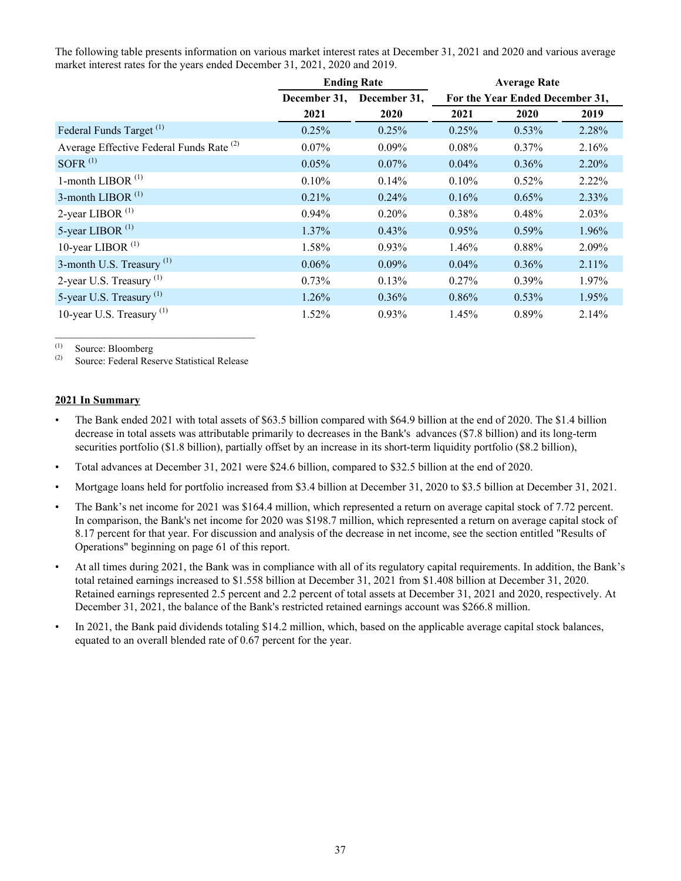The following table presents information on various market interest rates at December 31, 2021 and 2020 and various average market interest rates for the years ended December 31, 2021, 2020 and 2019.

|                                                     |              | <b>Ending Rate</b> | <b>Average Rate</b> |                                 |          |  |  |  |
|-----------------------------------------------------|--------------|--------------------|---------------------|---------------------------------|----------|--|--|--|
|                                                     | December 31, | December 31,       |                     | For the Year Ended December 31, |          |  |  |  |
|                                                     | 2021         | 2020               | 2021                | 2020                            | 2019     |  |  |  |
| Federal Funds Target <sup>(1)</sup>                 | 0.25%        | 0.25%              | 0.25%               | 0.53%                           | 2.28%    |  |  |  |
| Average Effective Federal Funds Rate <sup>(2)</sup> | $0.07\%$     | $0.09\%$           | 0.08%               | 0.37%                           | 2.16%    |  |  |  |
| SOFR $(1)$                                          | 0.05%        | $0.07\%$           | $0.04\%$            | $0.36\%$                        | $2.20\%$ |  |  |  |
| 1-month LIBOR <sup>(1)</sup>                        | 0.10%        | 0.14%              | $0.10\%$            | 0.52%                           | $2.22\%$ |  |  |  |
| 3-month LIBOR <sup>(1)</sup>                        | 0.21%        | $0.24\%$           | 0.16%               | 0.65%                           | 2.33%    |  |  |  |
| 2-year LIBOR $(1)$                                  | $0.94\%$     | 0.20%              | 0.38%               | 0.48%                           | 2.03%    |  |  |  |
| 5-year LIBOR <sup>(1)</sup>                         | $1.37\%$     | 0.43%              | 0.95%               | 0.59%                           | 1.96%    |  |  |  |
| 10-year LIBOR $(1)$                                 | 1.58%        | 0.93%              | 1.46%               | 0.88%                           | 2.09%    |  |  |  |
| 3-month U.S. Treasury $(1)$                         | $0.06\%$     | $0.09\%$           | $0.04\%$            | 0.36%                           | 2.11%    |  |  |  |
| 2-year U.S. Treasury $^{(1)}$                       | $0.73\%$     | 0.13%              | $0.27\%$            | 0.39%                           | 1.97%    |  |  |  |
| 5-year U.S. Treasury <sup>(1)</sup>                 | 1.26%        | 0.36%              | 0.86%               | 0.53%                           | 1.95%    |  |  |  |
| 10-year U.S. Treasury $(1)$                         | 1.52%        | 0.93%              | 1.45%               | 0.89%                           | 2.14%    |  |  |  |

 $\begin{array}{cc}\n\text{(1)} & \text{Source: Bloomberg} \\
\text{(2)} & \text{Source: Edord-2.} \\
\end{array}$ 

Source: Federal Reserve Statistical Release

 $\mathcal{L}_\text{max}$  and  $\mathcal{L}_\text{max}$  and  $\mathcal{L}_\text{max}$  and  $\mathcal{L}_\text{max}$ 

#### **2021 In Summary**

- The Bank ended 2021 with total assets of \$63.5 billion compared with \$64.9 billion at the end of 2020. The \$1.4 billion decrease in total assets was attributable primarily to decreases in the Bank's advances (\$7.8 billion) and its long-term securities portfolio (\$1.8 billion), partially offset by an increase in its short-term liquidity portfolio (\$8.2 billion),
- Total advances at December 31, 2021 were \$24.6 billion, compared to \$32.5 billion at the end of 2020.
- Mortgage loans held for portfolio increased from \$3.4 billion at December 31, 2020 to \$3.5 billion at December 31, 2021.
- The Bank's net income for 2021 was \$164.4 million, which represented a return on average capital stock of 7.72 percent. In comparison, the Bank's net income for 2020 was \$198.7 million, which represented a return on average capital stock of 8.17 percent for that year. For discussion and analysis of the decrease in net income, see the section entitled "Results of Operations" beginning on page 61 of this report.
- At all times during 2021, the Bank was in compliance with all of its regulatory capital requirements. In addition, the Bank's total retained earnings increased to \$1.558 billion at December 31, 2021 from \$1.408 billion at December 31, 2020. Retained earnings represented 2.5 percent and 2.2 percent of total assets at December 31, 2021 and 2020, respectively. At December 31, 2021, the balance of the Bank's restricted retained earnings account was \$266.8 million.
- In 2021, the Bank paid dividends totaling \$14.2 million, which, based on the applicable average capital stock balances, equated to an overall blended rate of 0.67 percent for the year.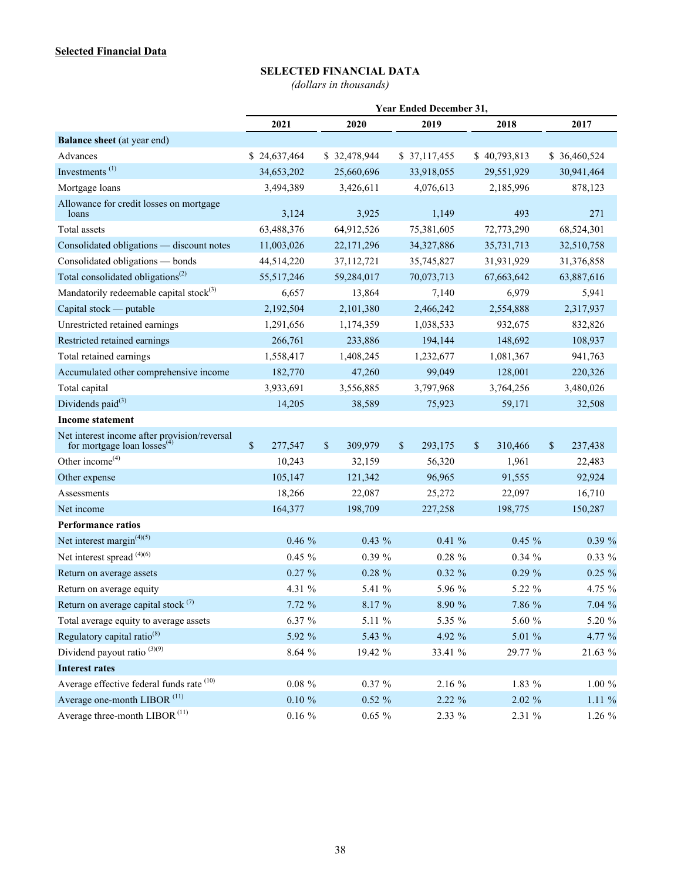# **SELECTED FINANCIAL DATA**

*(dollars in thousands)*

|                                                                                         |               |              |              | <b>Year Ended December 31,</b> |               |              |               |
|-----------------------------------------------------------------------------------------|---------------|--------------|--------------|--------------------------------|---------------|--------------|---------------|
|                                                                                         | 2021          |              | 2020         | 2019                           | 2018          |              | 2017          |
| <b>Balance sheet</b> (at year end)                                                      |               |              |              |                                |               |              |               |
| Advances                                                                                | \$24,637,464  |              | \$32,478,944 | \$37,117,455                   | \$40,793,813  |              | \$ 36,460,524 |
| Investments <sup>(1)</sup>                                                              | 34,653,202    |              | 25,660,696   | 33,918,055                     | 29,551,929    |              | 30,941,464    |
| Mortgage loans                                                                          | 3,494,389     |              | 3,426,611    | 4,076,613                      | 2,185,996     |              | 878,123       |
| Allowance for credit losses on mortgage<br>loans                                        | 3,124         |              | 3,925        | 1,149                          | 493           |              | 271           |
| Total assets                                                                            | 63,488,376    |              | 64,912,526   | 75,381,605                     | 72,773,290    |              | 68,524,301    |
| Consolidated obligations - discount notes                                               | 11,003,026    |              | 22, 171, 296 | 34,327,886                     | 35,731,713    |              | 32,510,758    |
| Consolidated obligations - bonds                                                        | 44,514,220    |              | 37,112,721   | 35,745,827                     | 31,931,929    |              | 31,376,858    |
| Total consolidated obligations <sup>(2)</sup>                                           | 55,517,246    |              | 59,284,017   | 70,073,713                     | 67,663,642    |              | 63,887,616    |
| Mandatorily redeemable capital stock $^{(3)}$                                           | 6,657         |              | 13,864       | 7,140                          | 6,979         |              | 5,941         |
| Capital stock — putable                                                                 | 2,192,504     |              | 2,101,380    | 2,466,242                      | 2,554,888     |              | 2,317,937     |
| Unrestricted retained earnings                                                          | 1,291,656     |              | 1,174,359    | 1,038,533                      | 932,675       |              | 832,826       |
| Restricted retained earnings                                                            | 266,761       |              | 233,886      | 194,144                        | 148,692       |              | 108,937       |
| Total retained earnings                                                                 | 1,558,417     |              | 1,408,245    | 1,232,677                      | 1,081,367     |              | 941,763       |
| Accumulated other comprehensive income                                                  | 182,770       |              | 47,260       | 99,049                         | 128,001       |              | 220,326       |
| Total capital                                                                           | 3,933,691     |              | 3,556,885    | 3,797,968                      | 3,764,256     |              | 3,480,026     |
| Dividends $paid^{(3)}$                                                                  | 14,205        |              | 38,589       | 75,923                         | 59,171        |              | 32,508        |
| <b>Income statement</b>                                                                 |               |              |              |                                |               |              |               |
| Net interest income after provision/reversal<br>for mortgage loan losses <sup>(4)</sup> | \$<br>277,547 | $\mathbb{S}$ | 309,979      | \$<br>293,175                  | \$<br>310,466 | $\mathbb{S}$ | 237,438       |
| Other income $(4)$                                                                      | 10,243        |              | 32,159       | 56,320                         | 1,961         |              | 22,483        |
| Other expense                                                                           | 105,147       |              | 121,342      | 96,965                         | 91,555        |              | 92,924        |
| Assessments                                                                             | 18,266        |              | 22,087       | 25,272                         | 22,097        |              | 16,710        |
| Net income                                                                              | 164,377       |              | 198,709      | 227,258                        | 198,775       |              | 150,287       |
| <b>Performance ratios</b>                                                               |               |              |              |                                |               |              |               |
| Net interest margin $(4)(5)$                                                            | 0.46%         |              | $0.43 \%$    | $0.41 \%$                      | $0.45 \%$     |              | $0.39 \%$     |
| Net interest spread (4)(6)                                                              | $0.45 \%$     |              | $0.39 \%$    | $0.28 \%$                      | 0.34%         |              | $0.33\%$      |
| Return on average assets                                                                | $0.27 \%$     |              | $0.28 \%$    | $0.32 \%$                      | $0.29 \%$     |              | $0.25 \%$     |
| Return on average equity                                                                | 4.31 %        |              | 5.41 %       | 5.96 %                         | 5.22 %        |              | 4.75 %        |
| Return on average capital stock <sup>(7)</sup>                                          | 7.72%         |              | 8.17 %       | $8.90\ \%$                     | $7.86~\%$     |              | 7.04%         |
| Total average equity to average assets                                                  | 6.37%         |              | 5.11 %       | 5.35 %                         | $5.60\ \%$    |              | 5.20 %        |
| Regulatory capital ratio <sup>(8)</sup>                                                 | 5.92 %        |              | 5.43 %       | 4.92 %                         | $5.01~\%$     |              | 4.77 %        |
| Dividend payout ratio $^{(3)(9)}$                                                       | $8.64~\%$     |              | 19.42 %      | 33.41 %                        | 29.77 %       |              | 21.63 %       |
| <b>Interest rates</b>                                                                   |               |              |              |                                |               |              |               |
| Average effective federal funds rate (10)                                               | $0.08~\%$     |              | $0.37 \%$    | 2.16 %                         | 1.83 %        |              | $1.00\ \%$    |
| Average one-month LIBOR <sup>(11)</sup>                                                 | $0.10 \%$     |              | $0.52 \%$    | 2.22 %                         | $2.02 \%$     |              | $1.11\%$      |
| Average three-month $LI\mathrm{BOR}^{\,(11)}$                                           | $0.16~\%$     |              | $0.65 \%$    | 2.33 %                         | 2.31 %        |              | 1.26 %        |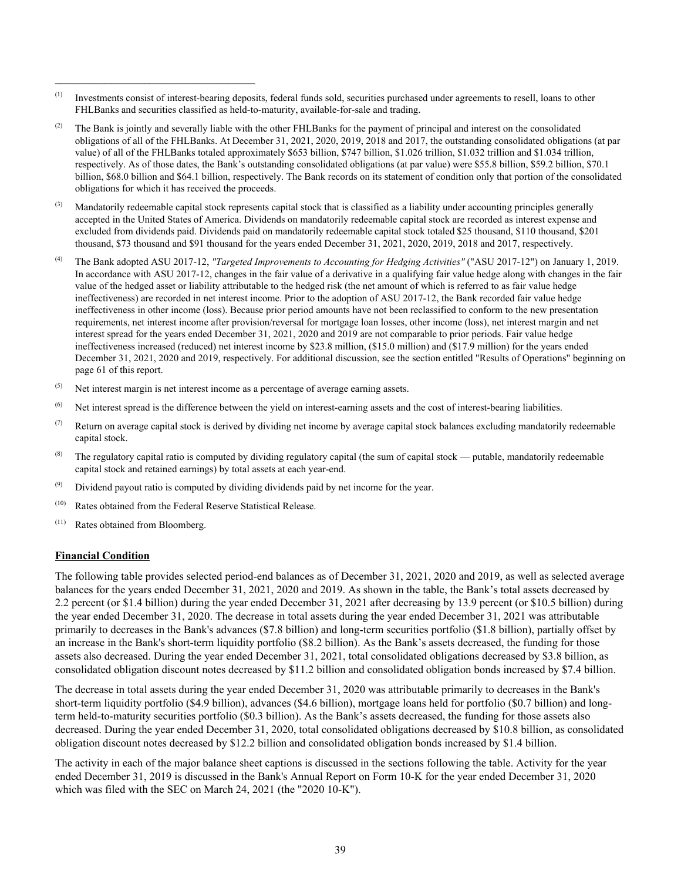- (1) Investments consist of interest-bearing deposits, federal funds sold, securities purchased under agreements to resell, loans to other FHLBanks and securities classified as held-to-maturity, available-for-sale and trading.
- <sup>(2)</sup> The Bank is jointly and severally liable with the other FHLBanks for the payment of principal and interest on the consolidated obligations of all of the FHLBanks. At December 31, 2021, 2020, 2019, 2018 and 2017, the outstanding consolidated obligations (at par value) of all of the FHLBanks totaled approximately \$653 billion, \$747 billion, \$1.026 trillion, \$1.032 trillion and \$1.034 trillion, respectively. As of those dates, the Bank's outstanding consolidated obligations (at par value) were \$55.8 billion, \$59.2 billion, \$70.1 billion, \$68.0 billion and \$64.1 billion, respectively. The Bank records on its statement of condition only that portion of the consolidated obligations for which it has received the proceeds.
- <sup>(3)</sup> Mandatorily redeemable capital stock represents capital stock that is classified as a liability under accounting principles generally accepted in the United States of America. Dividends on mandatorily redeemable capital stock are recorded as interest expense and excluded from dividends paid. Dividends paid on mandatorily redeemable capital stock totaled \$25 thousand, \$110 thousand, \$201 thousand, \$73 thousand and \$91 thousand for the years ended December 31, 2021, 2020, 2019, 2018 and 2017, respectively.
- (4) The Bank adopted ASU 2017-12, *"Targeted Improvements to Accounting for Hedging Activities"* ("ASU 2017-12") on January 1, 2019. In accordance with ASU 2017-12, changes in the fair value of a derivative in a qualifying fair value hedge along with changes in the fair value of the hedged asset or liability attributable to the hedged risk (the net amount of which is referred to as fair value hedge ineffectiveness) are recorded in net interest income. Prior to the adoption of ASU 2017-12, the Bank recorded fair value hedge ineffectiveness in other income (loss). Because prior period amounts have not been reclassified to conform to the new presentation requirements, net interest income after provision/reversal for mortgage loan losses, other income (loss), net interest margin and net interest spread for the years ended December 31, 2021, 2020 and 2019 are not comparable to prior periods. Fair value hedge ineffectiveness increased (reduced) net interest income by \$23.8 million, (\$15.0 million) and (\$17.9 million) for the years ended December 31, 2021, 2020 and 2019, respectively. For additional discussion, see the section entitled "Results of Operations" beginning on page 61 of this report.
- $(5)$  Net interest margin is net interest income as a percentage of average earning assets.
- (6) Net interest spread is the difference between the yield on interest-earning assets and the cost of interest-bearing liabilities.
- ( $\eta$ ) Return on average capital stock is derived by dividing net income by average capital stock balances excluding mandatorily redeemable capital stock.
- (8) The regulatory capital ratio is computed by dividing regulatory capital (the sum of capital stock putable, mandatorily redeemable capital stock and retained earnings) by total assets at each year-end.
- $(9)$  Dividend payout ratio is computed by dividing dividends paid by net income for the year.
- (10) Rates obtained from the Federal Reserve Statistical Release.

 $\mathcal{L}_\text{max}$  and  $\mathcal{L}_\text{max}$  and  $\mathcal{L}_\text{max}$  and  $\mathcal{L}_\text{max}$ 

(11) Rates obtained from Bloomberg.

#### **Financial Condition**

The following table provides selected period-end balances as of December 31, 2021, 2020 and 2019, as well as selected average balances for the years ended December 31, 2021, 2020 and 2019. As shown in the table, the Bank's total assets decreased by 2.2 percent (or \$1.4 billion) during the year ended December 31, 2021 after decreasing by 13.9 percent (or \$10.5 billion) during the year ended December 31, 2020. The decrease in total assets during the year ended December 31, 2021 was attributable primarily to decreases in the Bank's advances (\$7.8 billion) and long-term securities portfolio (\$1.8 billion), partially offset by an increase in the Bank's short-term liquidity portfolio (\$8.2 billion). As the Bank's assets decreased, the funding for those assets also decreased. During the year ended December 31, 2021, total consolidated obligations decreased by \$3.8 billion, as consolidated obligation discount notes decreased by \$11.2 billion and consolidated obligation bonds increased by \$7.4 billion.

The decrease in total assets during the year ended December 31, 2020 was attributable primarily to decreases in the Bank's short-term liquidity portfolio (\$4.9 billion), advances (\$4.6 billion), mortgage loans held for portfolio (\$0.7 billion) and longterm held-to-maturity securities portfolio (\$0.3 billion). As the Bank's assets decreased, the funding for those assets also decreased. During the year ended December 31, 2020, total consolidated obligations decreased by \$10.8 billion, as consolidated obligation discount notes decreased by \$12.2 billion and consolidated obligation bonds increased by \$1.4 billion.

The activity in each of the major balance sheet captions is discussed in the sections following the table. Activity for the year ended December 31, 2019 is discussed in the Bank's Annual Report on Form 10-K for the year ended December 31, 2020 which was filed with the SEC on March 24, 2021 (the "2020 10-K").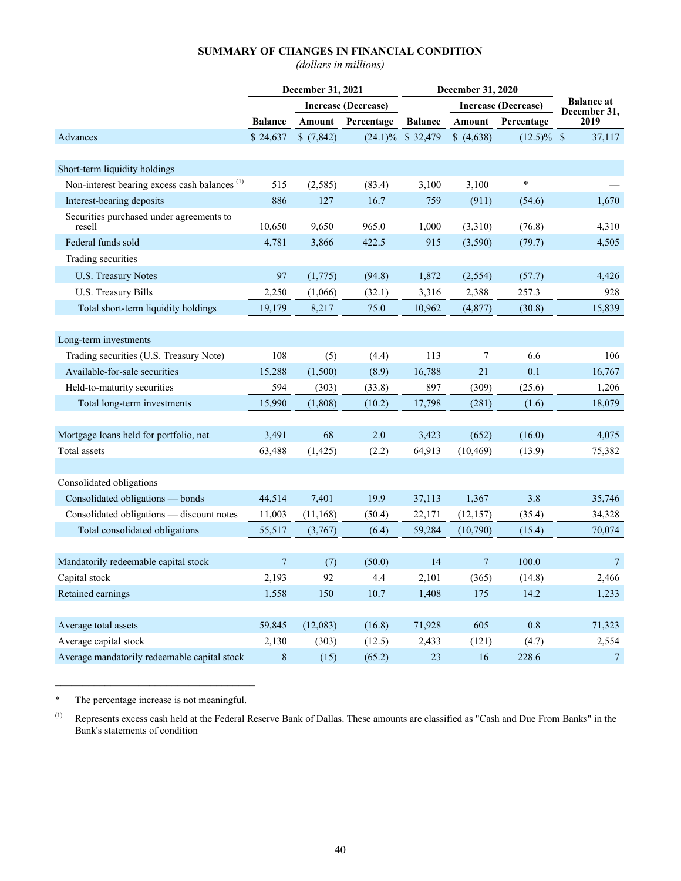# **SUMMARY OF CHANGES IN FINANCIAL CONDITION**

*(dollars in millions)*

|                                                          | December 31, 2021 |           |                     |                | December 31, 2020 |                     |                                   |
|----------------------------------------------------------|-------------------|-----------|---------------------|----------------|-------------------|---------------------|-----------------------------------|
|                                                          |                   |           | Increase (Decrease) |                |                   | Increase (Decrease) | <b>Balance at</b><br>December 31, |
|                                                          | <b>Balance</b>    | Amount    | Percentage          | <b>Balance</b> | Amount            | Percentage          | 2019                              |
| Advances                                                 | \$24,637          | \$(7,842) | $(24.1)\%$          | \$32,479       | (4,638)           | $(12.5)\%$ \$       | 37,117                            |
|                                                          |                   |           |                     |                |                   |                     |                                   |
| Short-term liquidity holdings                            |                   |           |                     |                |                   |                     |                                   |
| Non-interest bearing excess cash balances <sup>(1)</sup> | 515               | (2, 585)  | (83.4)              | 3,100          | 3,100             | $\ast$              |                                   |
| Interest-bearing deposits                                | 886               | 127       | 16.7                | 759            | (911)             | (54.6)              | 1,670                             |
| Securities purchased under agreements to<br>resell       | 10,650            | 9,650     | 965.0               | 1,000          | (3,310)           | (76.8)              | 4,310                             |
| Federal funds sold                                       | 4,781             | 3,866     | 422.5               | 915            | (3,590)           | (79.7)              | 4,505                             |
| Trading securities                                       |                   |           |                     |                |                   |                     |                                   |
| U.S. Treasury Notes                                      | 97                | (1,775)   | (94.8)              | 1,872          | (2, 554)          | (57.7)              | 4,426                             |
| U.S. Treasury Bills                                      | 2,250             | (1,066)   | (32.1)              | 3,316          | 2,388             | 257.3               | 928                               |
| Total short-term liquidity holdings                      | 19,179            | 8,217     | 75.0                | 10,962         | (4, 877)          | (30.8)              | 15,839                            |
|                                                          |                   |           |                     |                |                   |                     |                                   |
| Long-term investments                                    |                   |           |                     |                |                   |                     |                                   |
| Trading securities (U.S. Treasury Note)                  | 108               | (5)       | (4.4)               | 113            | 7                 | 6.6                 | 106                               |
| Available-for-sale securities                            | 15,288            | (1,500)   | (8.9)               | 16,788         | 21                | 0.1                 | 16,767                            |
| Held-to-maturity securities                              | 594               | (303)     | (33.8)              | 897            | (309)             | (25.6)              | 1,206                             |
| Total long-term investments                              | 15,990            | (1,808)   | (10.2)              | 17,798         | (281)             | (1.6)               | 18,079                            |
|                                                          |                   |           |                     |                |                   |                     |                                   |
| Mortgage loans held for portfolio, net                   | 3,491             | 68        | 2.0                 | 3,423          | (652)             | (16.0)              | 4,075                             |
| Total assets                                             | 63,488            | (1, 425)  | (2.2)               | 64,913         | (10, 469)         | (13.9)              | 75,382                            |
|                                                          |                   |           |                     |                |                   |                     |                                   |
| Consolidated obligations                                 |                   |           |                     |                |                   |                     |                                   |
| Consolidated obligations - bonds                         | 44,514            | 7,401     | 19.9                | 37,113         | 1,367             | 3.8                 | 35,746                            |
| Consolidated obligations - discount notes                | 11,003            | (11, 168) | (50.4)              | 22,171         | (12, 157)         | (35.4)              | 34,328                            |
| Total consolidated obligations                           | 55,517            | (3,767)   | (6.4)               | 59,284         | (10,790)          | (15.4)              | 70,074                            |
|                                                          |                   |           |                     |                |                   |                     |                                   |
| Mandatorily redeemable capital stock                     | $7\phantom{.0}$   | (7)       | (50.0)              | 14             | $7\phantom{.0}$   | 100.0               | $7\phantom{.0}$                   |
| Capital stock                                            | 2,193             | 92        | 4.4                 | 2,101          | (365)             | (14.8)              | 2,466                             |
| Retained earnings                                        | 1,558             | 150       | 10.7                | 1,408          | 175               | 14.2                | 1,233                             |
|                                                          |                   |           |                     |                |                   |                     |                                   |
| Average total assets                                     | 59,845            | (12,083)  | (16.8)              | 71,928         | 605               | 0.8                 | 71,323                            |
| Average capital stock                                    | 2,130             | (303)     | (12.5)              | 2,433          | (121)             | (4.7)               | 2,554                             |
| Average mandatorily redeemable capital stock             | 8                 | (15)      | (65.2)              | 23             | 16                | 228.6               | $\overline{7}$                    |

 $\mathcal{L}_\text{max}$  , and the set of the set of the set of the set of the set of the set of the set of the set of the set of the set of the set of the set of the set of the set of the set of the set of the set of the set of the \* The percentage increase is not meaningful.

<sup>(1)</sup> Represents excess cash held at the Federal Reserve Bank of Dallas. These amounts are classified as "Cash and Due From Banks" in the Bank's statements of condition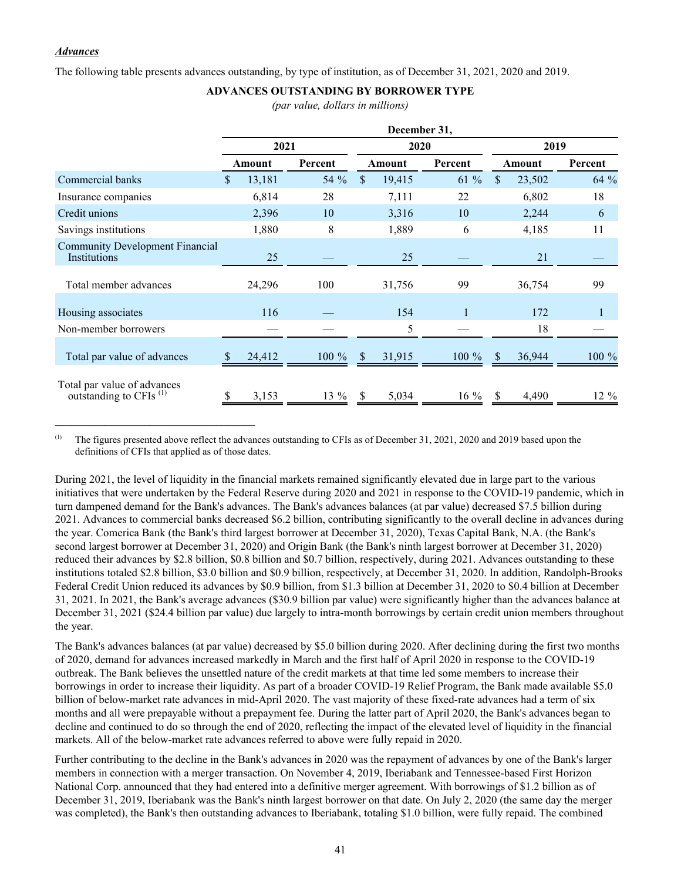### *Advances*

 $\mathcal{L}_\text{max}$  , and the set of the set of the set of the set of the set of the set of the set of the set of the set of the set of the set of the set of the set of the set of the set of the set of the set of the set of the

The following table presents advances outstanding, by type of institution, as of December 31, 2021, 2020 and 2019.

# **ADVANCES OUTSTANDING BY BORROWER TYPE**

*(par value, dollars in millions)*

|                                                                   | December 31, |        |          |              |        |          |               |        |         |
|-------------------------------------------------------------------|--------------|--------|----------|--------------|--------|----------|---------------|--------|---------|
|                                                                   | 2021         |        |          |              | 2020   |          | 2019          |        |         |
|                                                                   |              | Amount | Percent  |              | Amount | Percent  |               | Amount | Percent |
| Commercial banks                                                  | \$.          | 13,181 | 54 %     | $\mathbb{S}$ | 19,415 | $61\%$   | <sup>S</sup>  | 23,502 | 64 %    |
| Insurance companies                                               |              | 6,814  | 28       |              | 7,111  | 22       |               | 6,802  | 18      |
| Credit unions                                                     |              | 2,396  | 10       |              | 3,316  | 10       |               | 2,244  | 6       |
| Savings institutions                                              |              | 1,880  | 8        |              | 1,889  | 6        |               | 4,185  | 11      |
| <b>Community Development Financial</b><br>Institutions            |              | 25     |          |              | 25     |          |               | 21     |         |
| Total member advances                                             |              | 24,296 | 100      |              | 31,756 | 99       |               | 36,754 | 99      |
| Housing associates                                                |              | 116    |          |              | 154    | 1        |               | 172    |         |
| Non-member borrowers                                              |              |        |          |              | 5      |          |               | 18     |         |
| Total par value of advances                                       | <sup>S</sup> | 24,412 | $100 \%$ | <sup>S</sup> | 31,915 | $100 \%$ | <sup>\$</sup> | 36,944 | 100 %   |
| Total par value of advances<br>outstanding to CFIs <sup>(1)</sup> |              | 3,153  | $13\%$   | <b>S</b>     | 5,034  | $16\%$   | -S            | 4,490  | 12 %    |

 $^{(1)}$  The figures presented above reflect the advances outstanding to CFIs as of December 31, 2021, 2020 and 2019 based upon the definitions of CFIs that applied as of those dates.

During 2021, the level of liquidity in the financial markets remained significantly elevated due in large part to the various initiatives that were undertaken by the Federal Reserve during 2020 and 2021 in response to the COVID-19 pandemic, which in turn dampened demand for the Bank's advances. The Bank's advances balances (at par value) decreased \$7.5 billion during 2021. Advances to commercial banks decreased \$6.2 billion, contributing significantly to the overall decline in advances during the year. Comerica Bank (the Bank's third largest borrower at December 31, 2020), Texas Capital Bank, N.A. (the Bank's second largest borrower at December 31, 2020) and Origin Bank (the Bank's ninth largest borrower at December 31, 2020) reduced their advances by \$2.8 billion, \$0.8 billion and \$0.7 billion, respectively, during 2021. Advances outstanding to these institutions totaled \$2.8 billion, \$3.0 billion and \$0.9 billion, respectively, at December 31, 2020. In addition, Randolph-Brooks Federal Credit Union reduced its advances by \$0.9 billion, from \$1.3 billion at December 31, 2020 to \$0.4 billion at December 31, 2021. In 2021, the Bank's average advances (\$30.9 billion par value) were significantly higher than the advances balance at December 31, 2021 (\$24.4 billion par value) due largely to intra-month borrowings by certain credit union members throughout the year.

The Bank's advances balances (at par value) decreased by \$5.0 billion during 2020. After declining during the first two months of 2020, demand for advances increased markedly in March and the first half of April 2020 in response to the COVID-19 outbreak. The Bank believes the unsettled nature of the credit markets at that time led some members to increase their borrowings in order to increase their liquidity. As part of a broader COVID-19 Relief Program, the Bank made available \$5.0 billion of below-market rate advances in mid-April 2020. The vast majority of these fixed-rate advances had a term of six months and all were prepayable without a prepayment fee. During the latter part of April 2020, the Bank's advances began to decline and continued to do so through the end of 2020, reflecting the impact of the elevated level of liquidity in the financial markets. All of the below-market rate advances referred to above were fully repaid in 2020.

Further contributing to the decline in the Bank's advances in 2020 was the repayment of advances by one of the Bank's larger members in connection with a merger transaction. On November 4, 2019, Iberiabank and Tennessee-based First Horizon National Corp. announced that they had entered into a definitive merger agreement. With borrowings of \$1.2 billion as of December 31, 2019, Iberiabank was the Bank's ninth largest borrower on that date. On July 2, 2020 (the same day the merger was completed), the Bank's then outstanding advances to Iberiabank, totaling \$1.0 billion, were fully repaid. The combined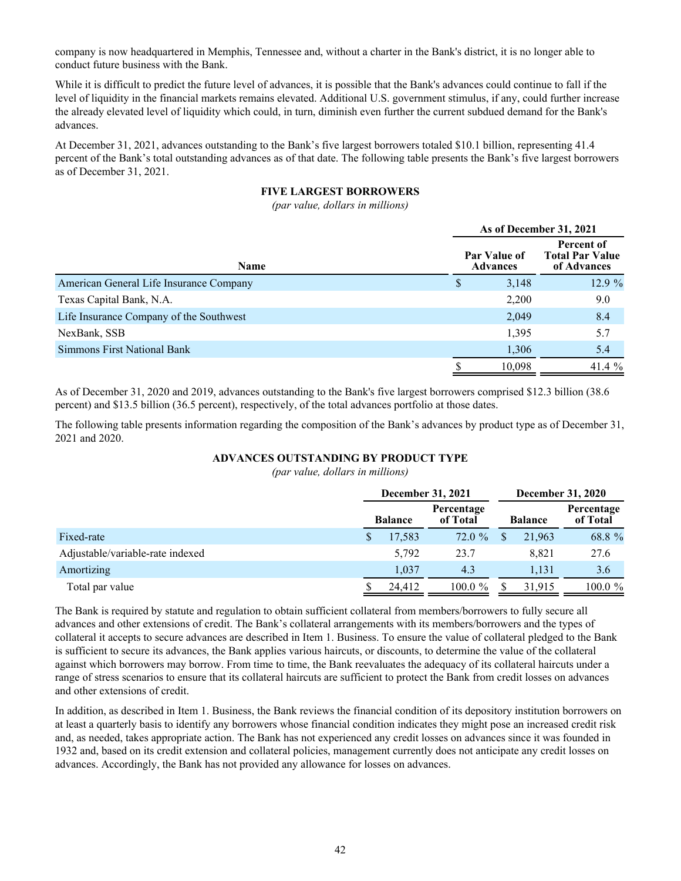company is now headquartered in Memphis, Tennessee and, without a charter in the Bank's district, it is no longer able to conduct future business with the Bank.

While it is difficult to predict the future level of advances, it is possible that the Bank's advances could continue to fall if the level of liquidity in the financial markets remains elevated. Additional U.S. government stimulus, if any, could further increase the already elevated level of liquidity which could, in turn, diminish even further the current subdued demand for the Bank's advances.

At December 31, 2021, advances outstanding to the Bank's five largest borrowers totaled \$10.1 billion, representing 41.4 percent of the Bank's total outstanding advances as of that date. The following table presents the Bank's five largest borrowers as of December 31, 2021.

# **FIVE LARGEST BORROWERS**

*(par value, dollars in millions)*

|                                         | As of December 31, 2021 |                                 |                                                     |  |  |  |  |
|-----------------------------------------|-------------------------|---------------------------------|-----------------------------------------------------|--|--|--|--|
| <b>Name</b>                             |                         | Par Value of<br><b>Advances</b> | Percent of<br><b>Total Par Value</b><br>of Advances |  |  |  |  |
| American General Life Insurance Company | S                       | 3,148                           | 12.9 %                                              |  |  |  |  |
| Texas Capital Bank, N.A.                |                         | 2,200                           | 9.0                                                 |  |  |  |  |
| Life Insurance Company of the Southwest |                         | 2,049                           | 8.4                                                 |  |  |  |  |
| NexBank, SSB                            |                         | 1,395                           | 5.7                                                 |  |  |  |  |
| <b>Simmons First National Bank</b>      |                         | 1,306                           | 5.4                                                 |  |  |  |  |
|                                         |                         | 10,098                          | 41.4 $%$                                            |  |  |  |  |

As of December 31, 2020 and 2019, advances outstanding to the Bank's five largest borrowers comprised \$12.3 billion (38.6 percent) and \$13.5 billion (36.5 percent), respectively, of the total advances portfolio at those dates.

The following table presents information regarding the composition of the Bank's advances by product type as of December 31, 2021 and 2020.

# **ADVANCES OUTSTANDING BY PRODUCT TYPE**

*(par value, dollars in millions)*

|                                  | December 31, 2021 |        |            |  | <b>December 31, 2020</b> |                        |  |
|----------------------------------|-------------------|--------|------------|--|--------------------------|------------------------|--|
|                                  | <b>Balance</b>    |        |            |  | <b>Balance</b>           | Percentage<br>of Total |  |
| Fixed-rate                       |                   | 17,583 | 72.0%      |  | 21,963                   | 68.8 %                 |  |
| Adjustable/variable-rate indexed |                   | 5,792  | 23.7       |  | 8.821                    | 27.6                   |  |
| Amortizing                       |                   | 1.037  | 4.3        |  | 1,131                    | 3.6                    |  |
| Total par value                  |                   | 24,412 | $100.0 \%$ |  | 31,915                   | $100.0 \%$             |  |

The Bank is required by statute and regulation to obtain sufficient collateral from members/borrowers to fully secure all advances and other extensions of credit. The Bank's collateral arrangements with its members/borrowers and the types of collateral it accepts to secure advances are described in Item 1. Business. To ensure the value of collateral pledged to the Bank is sufficient to secure its advances, the Bank applies various haircuts, or discounts, to determine the value of the collateral against which borrowers may borrow. From time to time, the Bank reevaluates the adequacy of its collateral haircuts under a range of stress scenarios to ensure that its collateral haircuts are sufficient to protect the Bank from credit losses on advances and other extensions of credit.

In addition, as described in Item 1. Business, the Bank reviews the financial condition of its depository institution borrowers on at least a quarterly basis to identify any borrowers whose financial condition indicates they might pose an increased credit risk and, as needed, takes appropriate action. The Bank has not experienced any credit losses on advances since it was founded in 1932 and, based on its credit extension and collateral policies, management currently does not anticipate any credit losses on advances. Accordingly, the Bank has not provided any allowance for losses on advances.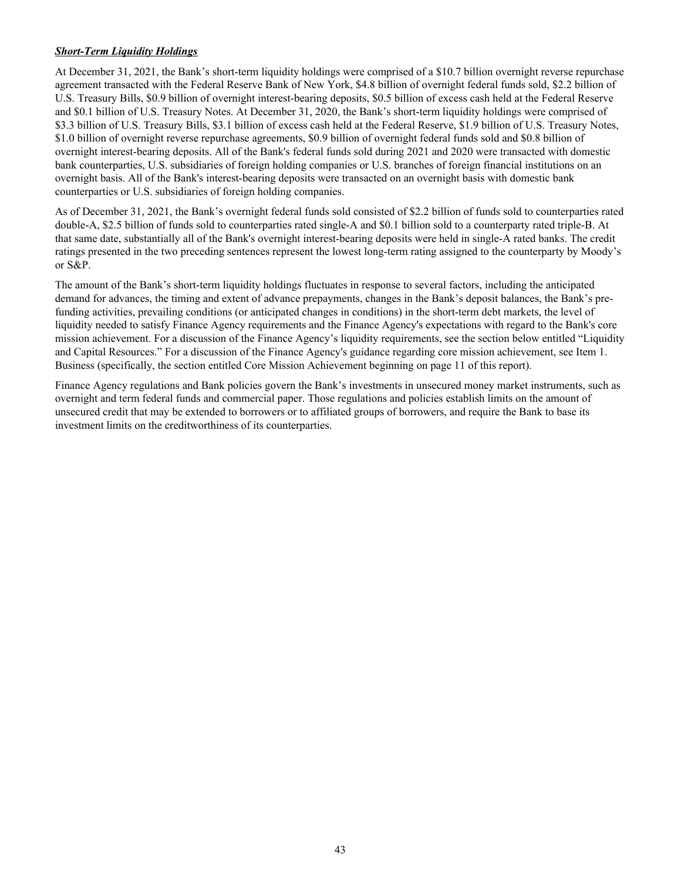# *Short-Term Liquidity Holdings*

At December 31, 2021, the Bank's short-term liquidity holdings were comprised of a \$10.7 billion overnight reverse repurchase agreement transacted with the Federal Reserve Bank of New York, \$4.8 billion of overnight federal funds sold, \$2.2 billion of U.S. Treasury Bills, \$0.9 billion of overnight interest-bearing deposits, \$0.5 billion of excess cash held at the Federal Reserve and \$0.1 billion of U.S. Treasury Notes. At December 31, 2020, the Bank's short-term liquidity holdings were comprised of \$3.3 billion of U.S. Treasury Bills, \$3.1 billion of excess cash held at the Federal Reserve, \$1.9 billion of U.S. Treasury Notes, \$1.0 billion of overnight reverse repurchase agreements, \$0.9 billion of overnight federal funds sold and \$0.8 billion of overnight interest-bearing deposits. All of the Bank's federal funds sold during 2021 and 2020 were transacted with domestic bank counterparties, U.S. subsidiaries of foreign holding companies or U.S. branches of foreign financial institutions on an overnight basis. All of the Bank's interest-bearing deposits were transacted on an overnight basis with domestic bank counterparties or U.S. subsidiaries of foreign holding companies.

As of December 31, 2021, the Bank's overnight federal funds sold consisted of \$2.2 billion of funds sold to counterparties rated double-A, \$2.5 billion of funds sold to counterparties rated single-A and \$0.1 billion sold to a counterparty rated triple-B. At that same date, substantially all of the Bank's overnight interest-bearing deposits were held in single-A rated banks. The credit ratings presented in the two preceding sentences represent the lowest long-term rating assigned to the counterparty by Moody's or S&P.

The amount of the Bank's short-term liquidity holdings fluctuates in response to several factors, including the anticipated demand for advances, the timing and extent of advance prepayments, changes in the Bank's deposit balances, the Bank's prefunding activities, prevailing conditions (or anticipated changes in conditions) in the short-term debt markets, the level of liquidity needed to satisfy Finance Agency requirements and the Finance Agency's expectations with regard to the Bank's core mission achievement. For a discussion of the Finance Agency's liquidity requirements, see the section below entitled "Liquidity and Capital Resources." For a discussion of the Finance Agency's guidance regarding core mission achievement, see Item 1. Business (specifically, the section entitled Core Mission Achievement beginning on page 11 of this report).

Finance Agency regulations and Bank policies govern the Bank's investments in unsecured money market instruments, such as overnight and term federal funds and commercial paper. Those regulations and policies establish limits on the amount of unsecured credit that may be extended to borrowers or to affiliated groups of borrowers, and require the Bank to base its investment limits on the creditworthiness of its counterparties.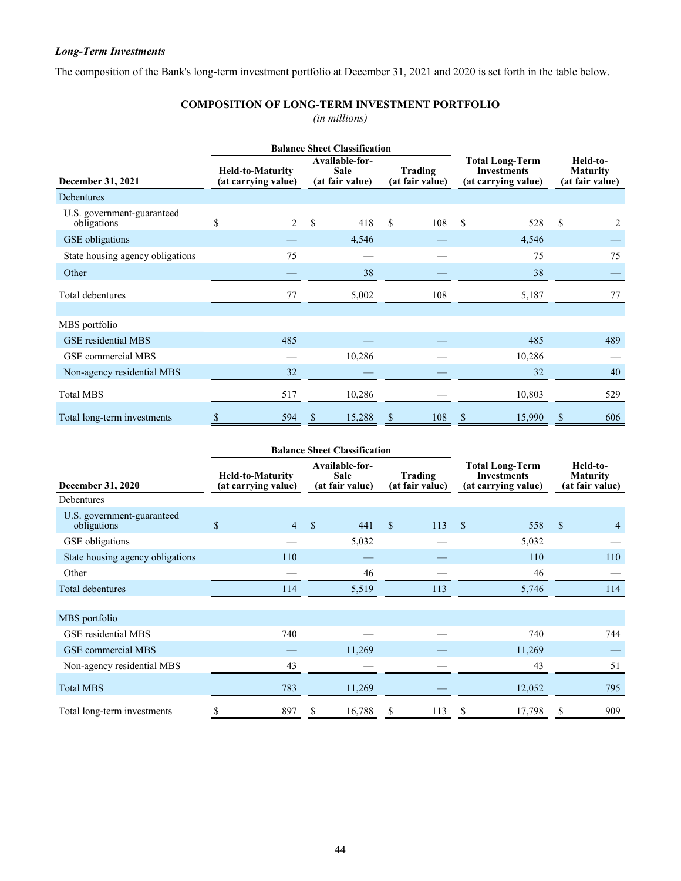# *Long-Term Investments*

The composition of the Bank's long-term investment portfolio at December 31, 2021 and 2020 is set forth in the table below.

# **COMPOSITION OF LONG-TERM INVESTMENT PORTFOLIO**

*(in millions)*

|                                           |                                                |                                                                                | <b>Balance Sheet Classification</b> |    |                                                                     |    |                                                |    |     |
|-------------------------------------------|------------------------------------------------|--------------------------------------------------------------------------------|-------------------------------------|----|---------------------------------------------------------------------|----|------------------------------------------------|----|-----|
| December 31, 2021                         | <b>Held-to-Maturity</b><br>(at carrying value) | Available-for-<br><b>Sale</b><br>Trading<br>(at fair value)<br>(at fair value) |                                     |    | <b>Total Long-Term</b><br><b>Investments</b><br>(at carrying value) |    | Held-to-<br><b>Maturity</b><br>(at fair value) |    |     |
| Debentures                                |                                                |                                                                                |                                     |    |                                                                     |    |                                                |    |     |
| U.S. government-guaranteed<br>obligations | \$<br>2                                        | \$                                                                             | 418                                 | \$ | 108                                                                 | \$ | 528                                            | \$ | 2   |
| GSE obligations                           |                                                |                                                                                | 4,546                               |    |                                                                     |    | 4,546                                          |    |     |
| State housing agency obligations          | 75                                             |                                                                                |                                     |    |                                                                     |    | 75                                             |    | 75  |
| Other                                     |                                                |                                                                                | 38                                  |    |                                                                     |    | 38                                             |    |     |
| Total debentures                          | 77                                             |                                                                                | 5,002                               |    | 108                                                                 |    | 5,187                                          |    | 77  |
| MBS portfolio                             |                                                |                                                                                |                                     |    |                                                                     |    |                                                |    |     |
| GSE residential MBS                       | 485                                            |                                                                                |                                     |    |                                                                     |    | 485                                            |    | 489 |
| GSE commercial MBS                        |                                                |                                                                                | 10,286                              |    |                                                                     |    | 10,286                                         |    |     |
| Non-agency residential MBS                | 32                                             |                                                                                |                                     |    |                                                                     |    | 32                                             |    | 40  |
| <b>Total MBS</b>                          | 517                                            |                                                                                | 10,286                              |    |                                                                     |    | 10,803                                         |    | 529 |
| Total long-term investments               | \$<br>594                                      | S                                                                              | 15,288                              | \$ | 108                                                                 | \$ | 15,990                                         | \$ | 606 |

|                                           |                                                |                |                                                  | <b>Balance Sheet Classification</b> |                            |     |                                                                     |        |                                                |                |
|-------------------------------------------|------------------------------------------------|----------------|--------------------------------------------------|-------------------------------------|----------------------------|-----|---------------------------------------------------------------------|--------|------------------------------------------------|----------------|
| <b>December 31, 2020</b>                  | <b>Held-to-Maturity</b><br>(at carrying value) |                | Available-for-<br><b>Sale</b><br>(at fair value) |                                     | Trading<br>(at fair value) |     | <b>Total Long-Term</b><br><b>Investments</b><br>(at carrying value) |        | Held-to-<br><b>Maturity</b><br>(at fair value) |                |
| Debentures                                |                                                |                |                                                  |                                     |                            |     |                                                                     |        |                                                |                |
| U.S. government-guaranteed<br>obligations | \$                                             | $\overline{4}$ | $\mathbf{\hat{s}}$                               | 441                                 | <sup>\$</sup>              | 113 | <sup>\$</sup>                                                       | 558    | <sup>\$</sup>                                  | $\overline{4}$ |
| <b>GSE</b> obligations                    |                                                |                |                                                  | 5,032                               |                            |     |                                                                     | 5,032  |                                                |                |
| State housing agency obligations          |                                                | 110            |                                                  |                                     |                            |     |                                                                     | 110    |                                                | 110            |
| Other                                     |                                                |                |                                                  | 46                                  |                            |     |                                                                     | 46     |                                                |                |
| Total debentures                          |                                                | 114            |                                                  | 5,519                               |                            | 113 |                                                                     | 5,746  |                                                | 114            |
| MBS portfolio                             |                                                |                |                                                  |                                     |                            |     |                                                                     |        |                                                |                |
| GSE residential MBS                       |                                                | 740            |                                                  |                                     |                            |     |                                                                     | 740    |                                                | 744            |
| GSE commercial MBS                        |                                                |                |                                                  | 11,269                              |                            |     |                                                                     | 11,269 |                                                |                |
| Non-agency residential MBS                |                                                | 43             |                                                  |                                     |                            |     |                                                                     | 43     |                                                | 51             |
| <b>Total MBS</b>                          |                                                | 783            |                                                  | 11,269                              |                            |     |                                                                     | 12,052 |                                                | 795            |
| Total long-term investments               | \$                                             | 897            | S                                                | 16,788                              | \$                         | 113 | \$                                                                  | 17,798 | S                                              | 909            |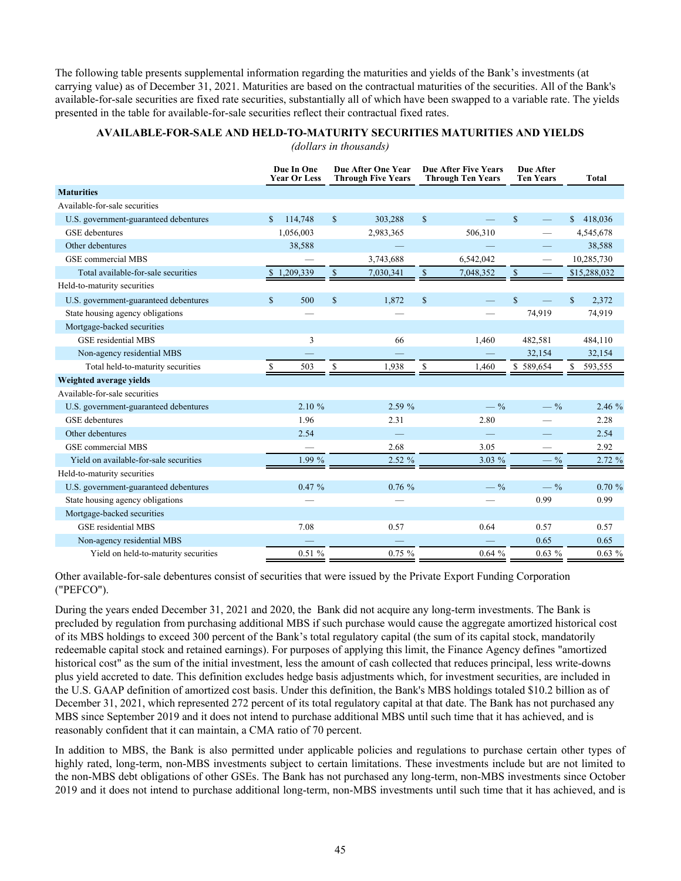The following table presents supplemental information regarding the maturities and yields of the Bank's investments (at carrying value) as of December 31, 2021. Maturities are based on the contractual maturities of the securities. All of the Bank's available-for-sale securities are fixed rate securities, substantially all of which have been swapped to a variable rate. The yields presented in the table for available-for-sale securities reflect their contractual fixed rates.

|                                        |              | Due In One<br><b>Year Or Less</b> |             | Due After One Year<br><b>Through Five Years</b> |                                   | <b>Due After Five Years</b><br><b>Through Ten Years</b> | Due After<br><b>Ten Years</b> |              | <b>Total</b> |
|----------------------------------------|--------------|-----------------------------------|-------------|-------------------------------------------------|-----------------------------------|---------------------------------------------------------|-------------------------------|--------------|--------------|
| <b>Maturities</b>                      |              |                                   |             |                                                 |                                   |                                                         |                               |              |              |
| Available-for-sale securities          |              |                                   |             |                                                 |                                   |                                                         |                               |              |              |
| U.S. government-guaranteed debentures  | $\mathbb{S}$ | 114,748                           | $\mathbf S$ | 303,288                                         | $\mathbb{S}$                      |                                                         | $\mathbf S$                   | \$           | 418,036      |
| <b>GSE</b> debentures                  |              | 1,056,003                         |             | 2,983,365                                       |                                   | 506,310                                                 |                               |              | 4,545,678    |
| Other debentures                       |              | 38,588                            |             |                                                 |                                   |                                                         |                               |              | 38,588       |
| <b>GSE</b> commercial MBS              |              |                                   |             | 3,743,688                                       |                                   | 6,542,042                                               |                               |              | 10,285,730   |
| Total available-for-sale securities    |              | \$1,209,339                       | \$          | 7,030,341                                       | $\mathbb{S}$                      | 7,048,352                                               | $\mathbb{S}$                  |              | \$15,288,032 |
| Held-to-maturity securities            |              |                                   |             |                                                 |                                   |                                                         |                               |              |              |
| U.S. government-guaranteed debentures  | $\mathbf S$  | 500                               | $\mathbf S$ | 1,872                                           | <sup>\$</sup>                     |                                                         | $\mathbf S$                   | $\mathbb{S}$ | 2,372        |
| State housing agency obligations       |              |                                   |             |                                                 |                                   |                                                         | 74,919                        |              | 74,919       |
| Mortgage-backed securities             |              |                                   |             |                                                 |                                   |                                                         |                               |              |              |
| <b>GSE</b> residential MBS             |              | 3                                 |             | 66                                              |                                   | 1,460                                                   | 482,581                       |              | 484,110      |
| Non-agency residential MBS             |              |                                   |             |                                                 |                                   |                                                         | 32,154                        |              | 32,154       |
| Total held-to-maturity securities      | \$           | 503                               | \$          | 1,938                                           | $\mathbb{S}% _{t}\left( t\right)$ | 1,460                                                   | \$589,654                     | \$           | 593,555      |
| Weighted average yields                |              |                                   |             |                                                 |                                   |                                                         |                               |              |              |
| Available-for-sale securities          |              |                                   |             |                                                 |                                   |                                                         |                               |              |              |
| U.S. government-guaranteed debentures  |              | 2.10%                             |             | 2.59 %                                          |                                   | $-$ %                                                   | $-$ %                         |              | 2.46 %       |
| <b>GSE</b> debentures                  |              | 1.96                              |             | 2.31                                            |                                   | 2.80                                                    |                               |              | 2.28         |
| Other debentures                       |              | 2.54                              |             | -                                               |                                   |                                                         |                               |              | 2.54         |
| <b>GSE</b> commercial MBS              |              |                                   |             | 2.68                                            |                                   | 3.05                                                    |                               |              | 2.92         |
| Yield on available-for-sale securities |              | 1.99%                             |             | 2.52 %                                          |                                   | $3.03\%$                                                | $-9/0$                        |              | 2.72 %       |
| Held-to-maturity securities            |              |                                   |             |                                                 |                                   |                                                         |                               |              |              |
| U.S. government-guaranteed debentures  |              | 0.47%                             |             | 0.76%                                           |                                   | $-$ %                                                   | $-$ %                         |              | 0.70%        |
| State housing agency obligations       |              |                                   |             |                                                 |                                   |                                                         | 0.99                          |              | 0.99         |
| Mortgage-backed securities             |              |                                   |             |                                                 |                                   |                                                         |                               |              |              |
| <b>GSE</b> residential MBS             |              | 7.08                              |             | 0.57                                            |                                   | 0.64                                                    | 0.57                          |              | 0.57         |
| Non-agency residential MBS             |              |                                   |             |                                                 |                                   |                                                         | 0.65                          |              | 0.65         |
| Yield on held-to-maturity securities   |              | 0.51%                             |             | $0.75 \%$                                       |                                   | 0.64%                                                   | $0.63\%$                      |              | 0.63%        |

*(dollars in thousands)*

Other available-for-sale debentures consist of securities that were issued by the Private Export Funding Corporation ("PEFCO").

During the years ended December 31, 2021 and 2020, the Bank did not acquire any long-term investments. The Bank is precluded by regulation from purchasing additional MBS if such purchase would cause the aggregate amortized historical cost of its MBS holdings to exceed 300 percent of the Bank's total regulatory capital (the sum of its capital stock, mandatorily redeemable capital stock and retained earnings). For purposes of applying this limit, the Finance Agency defines "amortized historical cost" as the sum of the initial investment, less the amount of cash collected that reduces principal, less write-downs plus yield accreted to date. This definition excludes hedge basis adjustments which, for investment securities, are included in the U.S. GAAP definition of amortized cost basis. Under this definition, the Bank's MBS holdings totaled \$10.2 billion as of December 31, 2021, which represented 272 percent of its total regulatory capital at that date. The Bank has not purchased any MBS since September 2019 and it does not intend to purchase additional MBS until such time that it has achieved, and is reasonably confident that it can maintain, a CMA ratio of 70 percent.

In addition to MBS, the Bank is also permitted under applicable policies and regulations to purchase certain other types of highly rated, long-term, non-MBS investments subject to certain limitations. These investments include but are not limited to the non-MBS debt obligations of other GSEs. The Bank has not purchased any long-term, non-MBS investments since October 2019 and it does not intend to purchase additional long-term, non-MBS investments until such time that it has achieved, and is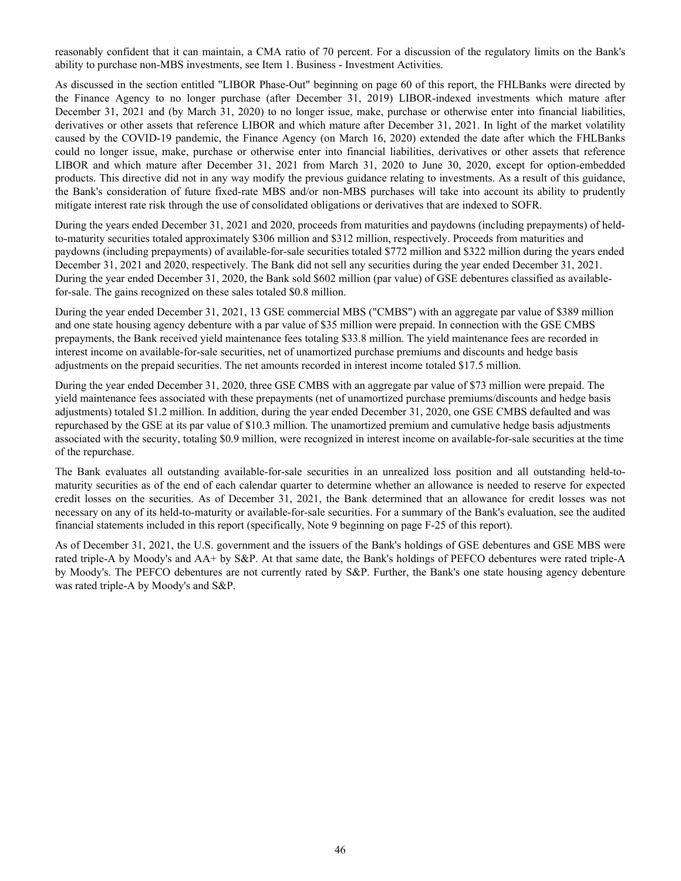reasonably confident that it can maintain, a CMA ratio of 70 percent. For a discussion of the regulatory limits on the Bank's ability to purchase non-MBS investments, see Item 1. Business - Investment Activities.

As discussed in the section entitled "LIBOR Phase-Out" beginning on page 60 of this report, the FHLBanks were directed by the Finance Agency to no longer purchase (after December 31, 2019) LIBOR-indexed investments which mature after December 31, 2021 and (by March 31, 2020) to no longer issue, make, purchase or otherwise enter into financial liabilities, derivatives or other assets that reference LIBOR and which mature after December 31, 2021. In light of the market volatility caused by the COVID-19 pandemic, the Finance Agency (on March 16, 2020) extended the date after which the FHLBanks could no longer issue, make, purchase or otherwise enter into financial liabilities, derivatives or other assets that reference LIBOR and which mature after December 31, 2021 from March 31, 2020 to June 30, 2020, except for option-embedded products. This directive did not in any way modify the previous guidance relating to investments. As a result of this guidance, the Bank's consideration of future fixed-rate MBS and/or non-MBS purchases will take into account its ability to prudently mitigate interest rate risk through the use of consolidated obligations or derivatives that are indexed to SOFR.

During the years ended December 31, 2021 and 2020, proceeds from maturities and paydowns (including prepayments) of heldto-maturity securities totaled approximately \$306 million and \$312 million, respectively. Proceeds from maturities and paydowns (including prepayments) of available-for-sale securities totaled \$772 million and \$322 million during the years ended December 31, 2021 and 2020, respectively. The Bank did not sell any securities during the year ended December 31, 2021. During the year ended December 31, 2020, the Bank sold \$602 million (par value) of GSE debentures classified as availablefor-sale. The gains recognized on these sales totaled \$0.8 million.

During the year ended December 31, 2021, 13 GSE commercial MBS ("CMBS") with an aggregate par value of \$389 million and one state housing agency debenture with a par value of \$35 million were prepaid. In connection with the GSE CMBS prepayments, the Bank received yield maintenance fees totaling \$33.8 million. The yield maintenance fees are recorded in interest income on available-for-sale securities, net of unamortized purchase premiums and discounts and hedge basis adjustments on the prepaid securities. The net amounts recorded in interest income totaled \$17.5 million.

During the year ended December 31, 2020, three GSE CMBS with an aggregate par value of \$73 million were prepaid. The yield maintenance fees associated with these prepayments (net of unamortized purchase premiums/discounts and hedge basis adjustments) totaled \$1.2 million. In addition, during the year ended December 31, 2020, one GSE CMBS defaulted and was repurchased by the GSE at its par value of \$10.3 million. The unamortized premium and cumulative hedge basis adjustments associated with the security, totaling \$0.9 million, were recognized in interest income on available-for-sale securities at the time of the repurchase.

The Bank evaluates all outstanding available-for-sale securities in an unrealized loss position and all outstanding held-tomaturity securities as of the end of each calendar quarter to determine whether an allowance is needed to reserve for expected credit losses on the securities. As of December 31, 2021, the Bank determined that an allowance for credit losses was not necessary on any of its held-to-maturity or available-for-sale securities. For a summary of the Bank's evaluation, see the audited financial statements included in this report (specifically, Note 9 beginning on page F-25 of this report).

As of December 31, 2021, the U.S. government and the issuers of the Bank's holdings of GSE debentures and GSE MBS were rated triple-A by Moody's and AA+ by S&P. At that same date, the Bank's holdings of PEFCO debentures were rated triple-A by Moody's. The PEFCO debentures are not currently rated by S&P. Further, the Bank's one state housing agency debenture was rated triple-A by Moody's and S&P.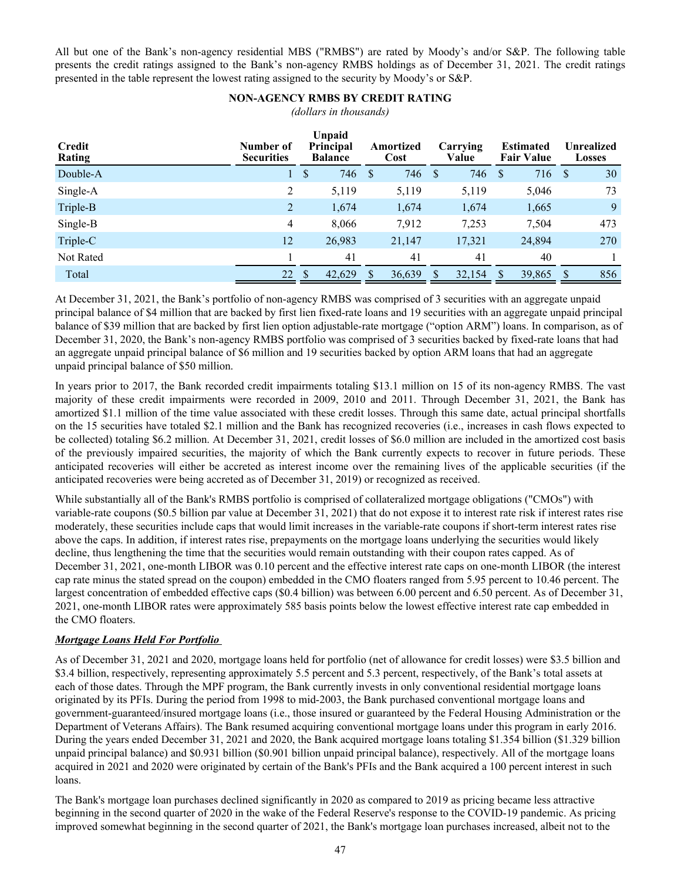All but one of the Bank's non-agency residential MBS ("RMBS") are rated by Moody's and/or S&P. The following table presents the credit ratings assigned to the Bank's non-agency RMBS holdings as of December 31, 2021. The credit ratings presented in the table represent the lowest rating assigned to the security by Moody's or S&P.

# **NON-AGENCY RMBS BY CREDIT RATING**

*(dollars in thousands)*

| Credit<br>Rating | Number of<br><b>Securities</b> | Unpaid<br><b>Principal</b><br><b>Balance</b> | Amortized<br>Cost   | Carrying<br>Value | <b>Estimated</b><br><b>Fair Value</b> | Unrealized<br><b>Losses</b> |  |
|------------------|--------------------------------|----------------------------------------------|---------------------|-------------------|---------------------------------------|-----------------------------|--|
| Double-A         |                                | \$<br>746                                    | <sup>S</sup><br>746 | 746<br>S          | 716<br><b>S</b>                       | 30<br><sup>S</sup>          |  |
| Single-A         | 2                              | 5,119                                        | 5,119               | 5,119             | 5,046                                 | 73                          |  |
| Triple-B         | 2                              | 1,674                                        | 1,674               | 1,674             | 1,665                                 | 9                           |  |
| Single-B         | 4                              | 8,066                                        | 7,912               | 7,253             | 7,504                                 | 473                         |  |
| Triple-C         | 12                             | 26,983                                       | 21,147              | 17,321            | 24,894                                | 270                         |  |
| Not Rated        |                                | 41                                           | 41                  | 41                | 40                                    |                             |  |
| Total            | 22                             | \$<br>42.629                                 | 36,639              | 32,154            | 39,865<br>\$.                         | 856<br>S                    |  |

At December 31, 2021, the Bank's portfolio of non-agency RMBS was comprised of 3 securities with an aggregate unpaid principal balance of \$4 million that are backed by first lien fixed-rate loans and 19 securities with an aggregate unpaid principal balance of \$39 million that are backed by first lien option adjustable-rate mortgage ("option ARM") loans. In comparison, as of December 31, 2020, the Bank's non-agency RMBS portfolio was comprised of 3 securities backed by fixed-rate loans that had an aggregate unpaid principal balance of \$6 million and 19 securities backed by option ARM loans that had an aggregate unpaid principal balance of \$50 million.

In years prior to 2017, the Bank recorded credit impairments totaling \$13.1 million on 15 of its non-agency RMBS. The vast majority of these credit impairments were recorded in 2009, 2010 and 2011. Through December 31, 2021, the Bank has amortized \$1.1 million of the time value associated with these credit losses. Through this same date, actual principal shortfalls on the 15 securities have totaled \$2.1 million and the Bank has recognized recoveries (i.e., increases in cash flows expected to be collected) totaling \$6.2 million. At December 31, 2021, credit losses of \$6.0 million are included in the amortized cost basis of the previously impaired securities, the majority of which the Bank currently expects to recover in future periods. These anticipated recoveries will either be accreted as interest income over the remaining lives of the applicable securities (if the anticipated recoveries were being accreted as of December 31, 2019) or recognized as received.

While substantially all of the Bank's RMBS portfolio is comprised of collateralized mortgage obligations ("CMOs") with variable-rate coupons (\$0.5 billion par value at December 31, 2021) that do not expose it to interest rate risk if interest rates rise moderately, these securities include caps that would limit increases in the variable-rate coupons if short-term interest rates rise above the caps. In addition, if interest rates rise, prepayments on the mortgage loans underlying the securities would likely decline, thus lengthening the time that the securities would remain outstanding with their coupon rates capped. As of December 31, 2021, one-month LIBOR was 0.10 percent and the effective interest rate caps on one-month LIBOR (the interest cap rate minus the stated spread on the coupon) embedded in the CMO floaters ranged from 5.95 percent to 10.46 percent. The largest concentration of embedded effective caps (\$0.4 billion) was between 6.00 percent and 6.50 percent. As of December 31, 2021, one-month LIBOR rates were approximately 585 basis points below the lowest effective interest rate cap embedded in the CMO floaters.

# *Mortgage Loans Held For Portfolio*

As of December 31, 2021 and 2020, mortgage loans held for portfolio (net of allowance for credit losses) were \$3.5 billion and \$3.4 billion, respectively, representing approximately 5.5 percent and 5.3 percent, respectively, of the Bank's total assets at each of those dates. Through the MPF program, the Bank currently invests in only conventional residential mortgage loans originated by its PFIs. During the period from 1998 to mid-2003, the Bank purchased conventional mortgage loans and government-guaranteed/insured mortgage loans (i.e., those insured or guaranteed by the Federal Housing Administration or the Department of Veterans Affairs). The Bank resumed acquiring conventional mortgage loans under this program in early 2016. During the years ended December 31, 2021 and 2020, the Bank acquired mortgage loans totaling \$1.354 billion (\$1.329 billion unpaid principal balance) and \$0.931 billion (\$0.901 billion unpaid principal balance), respectively. All of the mortgage loans acquired in 2021 and 2020 were originated by certain of the Bank's PFIs and the Bank acquired a 100 percent interest in such loans.

The Bank's mortgage loan purchases declined significantly in 2020 as compared to 2019 as pricing became less attractive beginning in the second quarter of 2020 in the wake of the Federal Reserve's response to the COVID-19 pandemic. As pricing improved somewhat beginning in the second quarter of 2021, the Bank's mortgage loan purchases increased, albeit not to the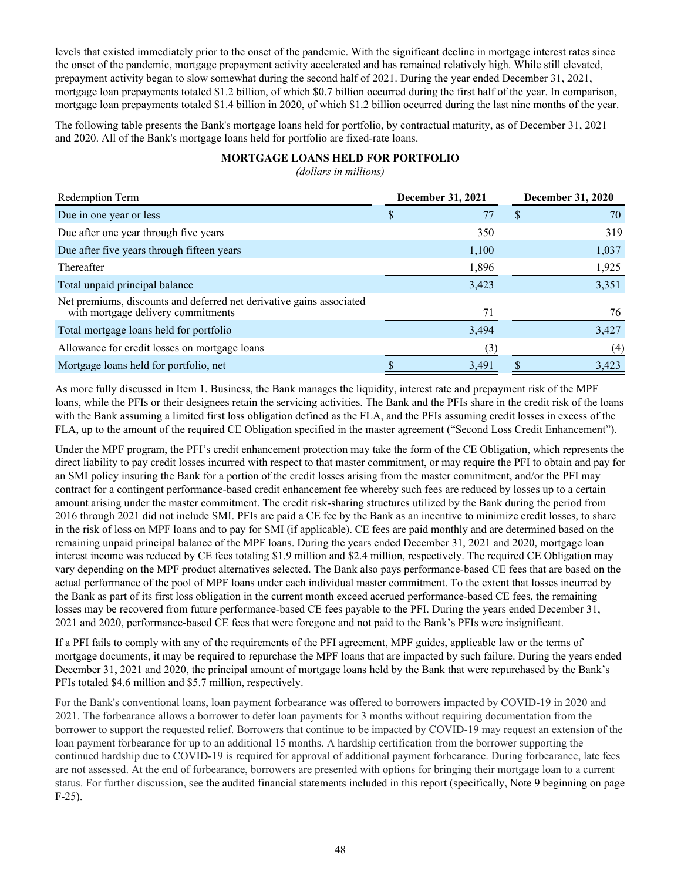levels that existed immediately prior to the onset of the pandemic. With the significant decline in mortgage interest rates since the onset of the pandemic, mortgage prepayment activity accelerated and has remained relatively high. While still elevated, prepayment activity began to slow somewhat during the second half of 2021. During the year ended December 31, 2021, mortgage loan prepayments totaled \$1.2 billion, of which \$0.7 billion occurred during the first half of the year. In comparison, mortgage loan prepayments totaled \$1.4 billion in 2020, of which \$1.2 billion occurred during the last nine months of the year.

The following table presents the Bank's mortgage loans held for portfolio, by contractual maturity, as of December 31, 2021 and 2020. All of the Bank's mortgage loans held for portfolio are fixed-rate loans.

# **MORTGAGE LOANS HELD FOR PORTFOLIO**

*(dollars in millions)*

| Redemption Term                                                                                            | <b>December 31, 2021</b> | December 31, 2020 |
|------------------------------------------------------------------------------------------------------------|--------------------------|-------------------|
| Due in one year or less                                                                                    | 77<br>S                  | 70<br>S           |
| Due after one year through five years                                                                      | 350                      | 319               |
| Due after five years through fifteen years                                                                 | 1,100                    | 1,037             |
| Thereafter                                                                                                 | 1,896                    | 1,925             |
| Total unpaid principal balance                                                                             | 3,423                    | 3,351             |
| Net premiums, discounts and deferred net derivative gains associated<br>with mortgage delivery commitments | 71                       | 76                |
| Total mortgage loans held for portfolio                                                                    | 3,494                    | 3,427             |
| Allowance for credit losses on mortgage loans                                                              | (3)                      | (4)               |
| Mortgage loans held for portfolio, net                                                                     | 3,491                    | 3,423             |

As more fully discussed in Item 1. Business, the Bank manages the liquidity, interest rate and prepayment risk of the MPF loans, while the PFIs or their designees retain the servicing activities. The Bank and the PFIs share in the credit risk of the loans with the Bank assuming a limited first loss obligation defined as the FLA, and the PFIs assuming credit losses in excess of the FLA, up to the amount of the required CE Obligation specified in the master agreement ("Second Loss Credit Enhancement").

Under the MPF program, the PFI's credit enhancement protection may take the form of the CE Obligation, which represents the direct liability to pay credit losses incurred with respect to that master commitment, or may require the PFI to obtain and pay for an SMI policy insuring the Bank for a portion of the credit losses arising from the master commitment, and/or the PFI may contract for a contingent performance-based credit enhancement fee whereby such fees are reduced by losses up to a certain amount arising under the master commitment. The credit risk-sharing structures utilized by the Bank during the period from 2016 through 2021 did not include SMI. PFIs are paid a CE fee by the Bank as an incentive to minimize credit losses, to share in the risk of loss on MPF loans and to pay for SMI (if applicable). CE fees are paid monthly and are determined based on the remaining unpaid principal balance of the MPF loans. During the years ended December 31, 2021 and 2020, mortgage loan interest income was reduced by CE fees totaling \$1.9 million and \$2.4 million, respectively. The required CE Obligation may vary depending on the MPF product alternatives selected. The Bank also pays performance-based CE fees that are based on the actual performance of the pool of MPF loans under each individual master commitment. To the extent that losses incurred by the Bank as part of its first loss obligation in the current month exceed accrued performance-based CE fees, the remaining losses may be recovered from future performance-based CE fees payable to the PFI. During the years ended December 31, 2021 and 2020, performance-based CE fees that were foregone and not paid to the Bank's PFIs were insignificant.

If a PFI fails to comply with any of the requirements of the PFI agreement, MPF guides, applicable law or the terms of mortgage documents, it may be required to repurchase the MPF loans that are impacted by such failure. During the years ended December 31, 2021 and 2020, the principal amount of mortgage loans held by the Bank that were repurchased by the Bank's PFIs totaled \$4.6 million and \$5.7 million, respectively.

For the Bank's conventional loans, loan payment forbearance was offered to borrowers impacted by COVID-19 in 2020 and 2021. The forbearance allows a borrower to defer loan payments for 3 months without requiring documentation from the borrower to support the requested relief. Borrowers that continue to be impacted by COVID-19 may request an extension of the loan payment forbearance for up to an additional 15 months. A hardship certification from the borrower supporting the continued hardship due to COVID-19 is required for approval of additional payment forbearance. During forbearance, late fees are not assessed. At the end of forbearance, borrowers are presented with options for bringing their mortgage loan to a current status. For further discussion, see the audited financial statements included in this report (specifically, Note 9 beginning on page F-25).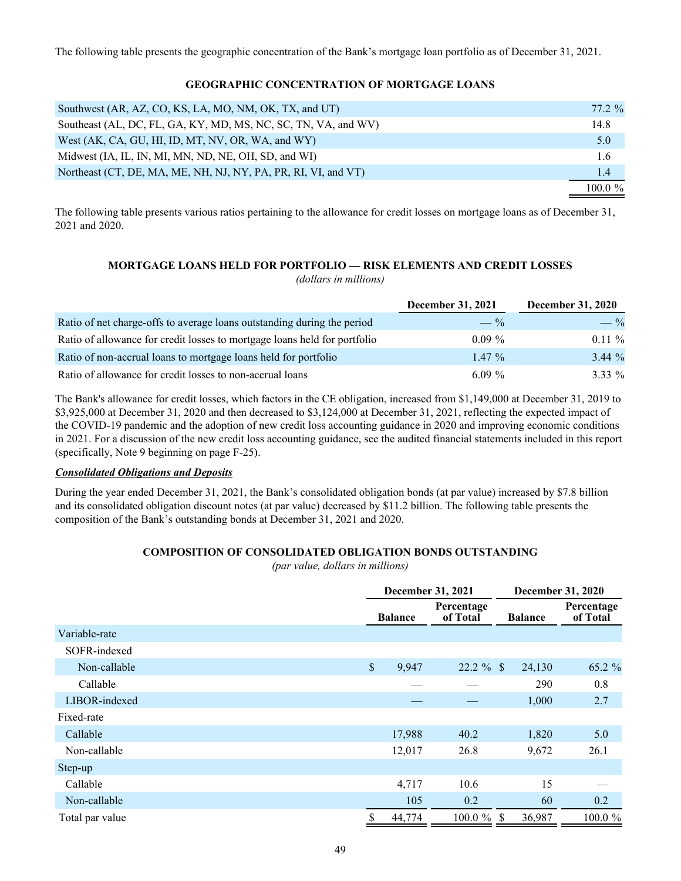The following table presents the geographic concentration of the Bank's mortgage loan portfolio as of December 31, 2021.

# **GEOGRAPHIC CONCENTRATION OF MORTGAGE LOANS**

| Southwest (AR, AZ, CO, KS, LA, MO, NM, OK, TX, and UT)         | 77.2 %     |
|----------------------------------------------------------------|------------|
| Southeast (AL, DC, FL, GA, KY, MD, MS, NC, SC, TN, VA, and WV) | 14.8       |
| West (AK, CA, GU, HI, ID, MT, NV, OR, WA, and WY)              | 5.0        |
| Midwest (IA, IL, IN, MI, MN, ND, NE, OH, SD, and WI)           | 1.6        |
| Northeast (CT, DE, MA, ME, NH, NJ, NY, PA, PR, RI, VI, and VT) | 1.4        |
|                                                                | 100 0 $\%$ |

The following table presents various ratios pertaining to the allowance for credit losses on mortgage loans as of December 31, 2021 and 2020.

#### **MORTGAGE LOANS HELD FOR PORTFOLIO — RISK ELEMENTS AND CREDIT LOSSES** *(dollars in millions)*

|                                                                           | <b>December 31, 2021</b> | <b>December 31, 2020</b> |
|---------------------------------------------------------------------------|--------------------------|--------------------------|
| Ratio of net charge-offs to average loans outstanding during the period   | $- \frac{9}{6}$          | $-$ %                    |
| Ratio of allowance for credit losses to mortgage loans held for portfolio | $0.09\%$                 | $0.11 \%$                |
| Ratio of non-accrual loans to mortgage loans held for portfolio           | $1.47\%$                 | $3.44\%$                 |
| Ratio of allowance for credit losses to non-accrual loans                 | 6.09 $%$                 | $3.33\%$                 |

The Bank's allowance for credit losses, which factors in the CE obligation, increased from \$1,149,000 at December 31, 2019 to \$3,925,000 at December 31, 2020 and then decreased to \$3,124,000 at December 31, 2021, reflecting the expected impact of the COVID-19 pandemic and the adoption of new credit loss accounting guidance in 2020 and improving economic conditions in 2021. For a discussion of the new credit loss accounting guidance, see the audited financial statements included in this report (specifically, Note 9 beginning on page F-25).

#### *Consolidated Obligations and Deposits*

During the year ended December 31, 2021, the Bank's consolidated obligation bonds (at par value) increased by \$7.8 billion and its consolidated obligation discount notes (at par value) decreased by \$11.2 billion. The following table presents the composition of the Bank's outstanding bonds at December 31, 2021 and 2020.

# **COMPOSITION OF CONSOLIDATED OBLIGATION BONDS OUTSTANDING**

*(par value, dollars in millions)*

|                 |              |                | December 31, 2021      |                | December 31, 2020      |  |  |
|-----------------|--------------|----------------|------------------------|----------------|------------------------|--|--|
|                 |              | <b>Balance</b> | Percentage<br>of Total | <b>Balance</b> | Percentage<br>of Total |  |  |
| Variable-rate   |              |                |                        |                |                        |  |  |
| SOFR-indexed    |              |                |                        |                |                        |  |  |
| Non-callable    | $\mathbb{S}$ | 9,947          | $22.2 \%$ \$           | 24,130         | 65.2 %                 |  |  |
| Callable        |              |                |                        | 290            | 0.8                    |  |  |
| LIBOR-indexed   |              |                |                        | 1,000          | 2.7                    |  |  |
| Fixed-rate      |              |                |                        |                |                        |  |  |
| Callable        |              | 17,988         | 40.2                   | 1,820          | 5.0                    |  |  |
| Non-callable    |              | 12,017         | 26.8                   | 9,672          | 26.1                   |  |  |
| Step-up         |              |                |                        |                |                        |  |  |
| Callable        |              | 4,717          | 10.6                   | 15             |                        |  |  |
| Non-callable    |              | 105            | 0.2                    | 60             | 0.2                    |  |  |
| Total par value | \$           | 44,774         | $100.0 \%$ \$          | 36,987         | 100.0 %                |  |  |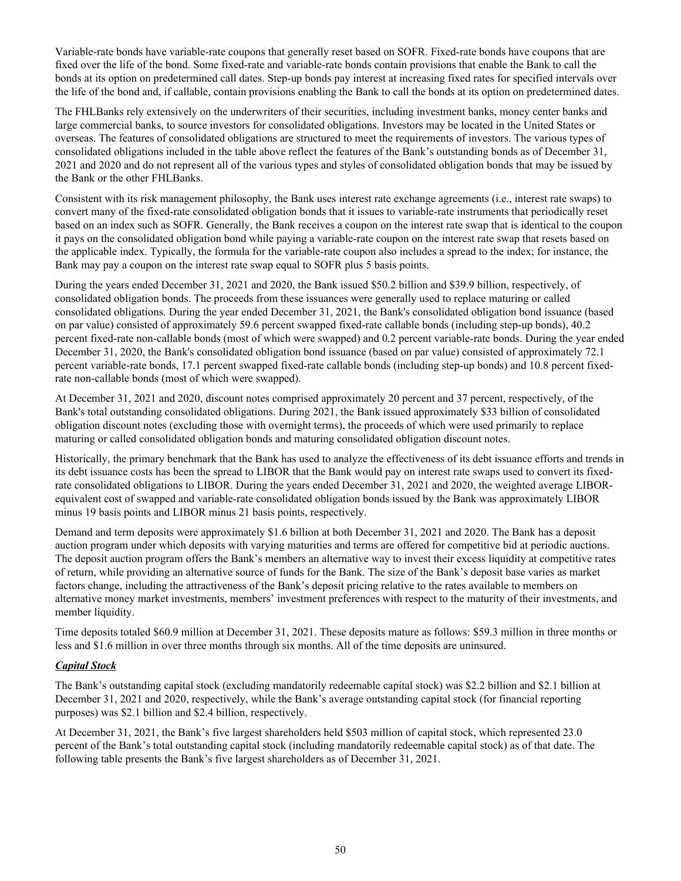Variable-rate bonds have variable-rate coupons that generally reset based on SOFR. Fixed-rate bonds have coupons that are fixed over the life of the bond. Some fixed-rate and variable-rate bonds contain provisions that enable the Bank to call the bonds at its option on predetermined call dates. Step-up bonds pay interest at increasing fixed rates for specified intervals over the life of the bond and, if callable, contain provisions enabling the Bank to call the bonds at its option on predetermined dates.

The FHLBanks rely extensively on the underwriters of their securities, including investment banks, money center banks and large commercial banks, to source investors for consolidated obligations. Investors may be located in the United States or overseas. The features of consolidated obligations are structured to meet the requirements of investors. The various types of consolidated obligations included in the table above reflect the features of the Bank's outstanding bonds as of December 31, 2021 and 2020 and do not represent all of the various types and styles of consolidated obligation bonds that may be issued by the Bank or the other FHLBanks.

Consistent with its risk management philosophy, the Bank uses interest rate exchange agreements (i.e., interest rate swaps) to convert many of the fixed-rate consolidated obligation bonds that it issues to variable-rate instruments that periodically reset based on an index such as SOFR. Generally, the Bank receives a coupon on the interest rate swap that is identical to the coupon it pays on the consolidated obligation bond while paying a variable-rate coupon on the interest rate swap that resets based on the applicable index. Typically, the formula for the variable-rate coupon also includes a spread to the index; for instance, the Bank may pay a coupon on the interest rate swap equal to SOFR plus 5 basis points.

During the years ended December 31, 2021 and 2020, the Bank issued \$50.2 billion and \$39.9 billion, respectively, of consolidated obligation bonds. The proceeds from these issuances were generally used to replace maturing or called consolidated obligations. During the year ended December 31, 2021, the Bank's consolidated obligation bond issuance (based on par value) consisted of approximately 59.6 percent swapped fixed-rate callable bonds (including step-up bonds), 40.2 percent fixed-rate non-callable bonds (most of which were swapped) and 0.2 percent variable-rate bonds. During the year ended December 31, 2020, the Bank's consolidated obligation bond issuance (based on par value) consisted of approximately 72.1 percent variable-rate bonds, 17.1 percent swapped fixed-rate callable bonds (including step-up bonds) and 10.8 percent fixedrate non-callable bonds (most of which were swapped).

At December 31, 2021 and 2020, discount notes comprised approximately 20 percent and 37 percent, respectively, of the Bank's total outstanding consolidated obligations. During 2021, the Bank issued approximately \$33 billion of consolidated obligation discount notes (excluding those with overnight terms), the proceeds of which were used primarily to replace maturing or called consolidated obligation bonds and maturing consolidated obligation discount notes.

Historically, the primary benchmark that the Bank has used to analyze the effectiveness of its debt issuance efforts and trends in its debt issuance costs has been the spread to LIBOR that the Bank would pay on interest rate swaps used to convert its fixedrate consolidated obligations to LIBOR. During the years ended December 31, 2021 and 2020, the weighted average LIBORequivalent cost of swapped and variable-rate consolidated obligation bonds issued by the Bank was approximately LIBOR minus 19 basis points and LIBOR minus 21 basis points, respectively.

Demand and term deposits were approximately \$1.6 billion at both December 31, 2021 and 2020. The Bank has a deposit auction program under which deposits with varying maturities and terms are offered for competitive bid at periodic auctions. The deposit auction program offers the Bank's members an alternative way to invest their excess liquidity at competitive rates of return, while providing an alternative source of funds for the Bank. The size of the Bank's deposit base varies as market factors change, including the attractiveness of the Bank's deposit pricing relative to the rates available to members on alternative money market investments, members' investment preferences with respect to the maturity of their investments, and member liquidity.

Time deposits totaled \$60.9 million at December 31, 2021. These deposits mature as follows: \$59.3 million in three months or less and \$1.6 million in over three months through six months. All of the time deposits are uninsured.

# *Capital Stock*

The Bank's outstanding capital stock (excluding mandatorily redeemable capital stock) was \$2.2 billion and \$2.1 billion at December 31, 2021 and 2020, respectively, while the Bank's average outstanding capital stock (for financial reporting purposes) was \$2.1 billion and \$2.4 billion, respectively.

At December 31, 2021, the Bank's five largest shareholders held \$503 million of capital stock, which represented 23.0 percent of the Bank's total outstanding capital stock (including mandatorily redeemable capital stock) as of that date. The following table presents the Bank's five largest shareholders as of December 31, 2021.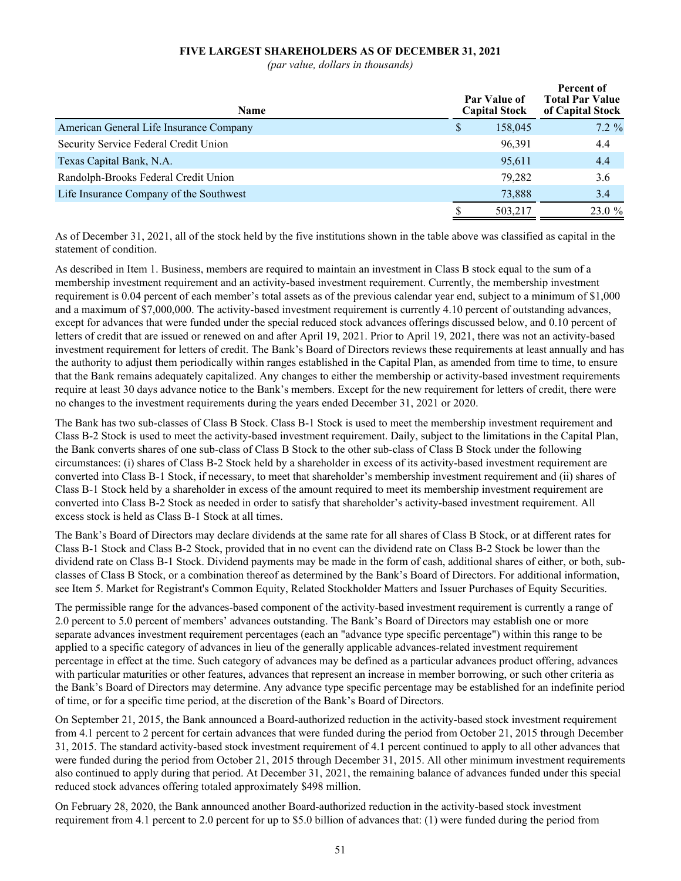# **FIVE LARGEST SHAREHOLDERS AS OF DECEMBER 31, 2021**

*(par value, dollars in thousands)*

| <b>Name</b>                             |   | Par Value of<br><b>Capital Stock</b> | Percent of<br><b>Total Par Value</b><br>of Capital Stock |  |  |
|-----------------------------------------|---|--------------------------------------|----------------------------------------------------------|--|--|
| American General Life Insurance Company | S | 158,045                              | $7.2\%$                                                  |  |  |
| Security Service Federal Credit Union   |   | 96,391                               | 4.4                                                      |  |  |
| Texas Capital Bank, N.A.                |   | 95,611                               | 4.4                                                      |  |  |
| Randolph-Brooks Federal Credit Union    |   | 79.282                               | 3.6                                                      |  |  |
| Life Insurance Company of the Southwest |   | 73,888                               | 3.4                                                      |  |  |
|                                         |   | 503,217                              | 23.0 %                                                   |  |  |

As of December 31, 2021, all of the stock held by the five institutions shown in the table above was classified as capital in the statement of condition.

As described in Item 1. Business, members are required to maintain an investment in Class B stock equal to the sum of a membership investment requirement and an activity-based investment requirement. Currently, the membership investment requirement is 0.04 percent of each member's total assets as of the previous calendar year end, subject to a minimum of \$1,000 and a maximum of \$7,000,000. The activity-based investment requirement is currently 4.10 percent of outstanding advances, except for advances that were funded under the special reduced stock advances offerings discussed below, and 0.10 percent of letters of credit that are issued or renewed on and after April 19, 2021. Prior to April 19, 2021, there was not an activity-based investment requirement for letters of credit. The Bank's Board of Directors reviews these requirements at least annually and has the authority to adjust them periodically within ranges established in the Capital Plan, as amended from time to time, to ensure that the Bank remains adequately capitalized. Any changes to either the membership or activity-based investment requirements require at least 30 days advance notice to the Bank's members. Except for the new requirement for letters of credit, there were no changes to the investment requirements during the years ended December 31, 2021 or 2020.

The Bank has two sub-classes of Class B Stock. Class B-1 Stock is used to meet the membership investment requirement and Class B-2 Stock is used to meet the activity-based investment requirement. Daily, subject to the limitations in the Capital Plan, the Bank converts shares of one sub-class of Class B Stock to the other sub-class of Class B Stock under the following circumstances: (i) shares of Class B-2 Stock held by a shareholder in excess of its activity-based investment requirement are converted into Class B-1 Stock, if necessary, to meet that shareholder's membership investment requirement and (ii) shares of Class B-1 Stock held by a shareholder in excess of the amount required to meet its membership investment requirement are converted into Class B-2 Stock as needed in order to satisfy that shareholder's activity-based investment requirement. All excess stock is held as Class B-1 Stock at all times.

The Bank's Board of Directors may declare dividends at the same rate for all shares of Class B Stock, or at different rates for Class B-1 Stock and Class B-2 Stock, provided that in no event can the dividend rate on Class B-2 Stock be lower than the dividend rate on Class B-1 Stock. Dividend payments may be made in the form of cash, additional shares of either, or both, subclasses of Class B Stock, or a combination thereof as determined by the Bank's Board of Directors. For additional information, see Item 5. Market for Registrant's Common Equity, Related Stockholder Matters and Issuer Purchases of Equity Securities.

The permissible range for the advances-based component of the activity-based investment requirement is currently a range of 2.0 percent to 5.0 percent of members' advances outstanding. The Bank's Board of Directors may establish one or more separate advances investment requirement percentages (each an "advance type specific percentage") within this range to be applied to a specific category of advances in lieu of the generally applicable advances-related investment requirement percentage in effect at the time. Such category of advances may be defined as a particular advances product offering, advances with particular maturities or other features, advances that represent an increase in member borrowing, or such other criteria as the Bank's Board of Directors may determine. Any advance type specific percentage may be established for an indefinite period of time, or for a specific time period, at the discretion of the Bank's Board of Directors.

On September 21, 2015, the Bank announced a Board-authorized reduction in the activity-based stock investment requirement from 4.1 percent to 2 percent for certain advances that were funded during the period from October 21, 2015 through December 31, 2015. The standard activity-based stock investment requirement of 4.1 percent continued to apply to all other advances that were funded during the period from October 21, 2015 through December 31, 2015. All other minimum investment requirements also continued to apply during that period. At December 31, 2021, the remaining balance of advances funded under this special reduced stock advances offering totaled approximately \$498 million.

On February 28, 2020, the Bank announced another Board-authorized reduction in the activity-based stock investment requirement from 4.1 percent to 2.0 percent for up to \$5.0 billion of advances that: (1) were funded during the period from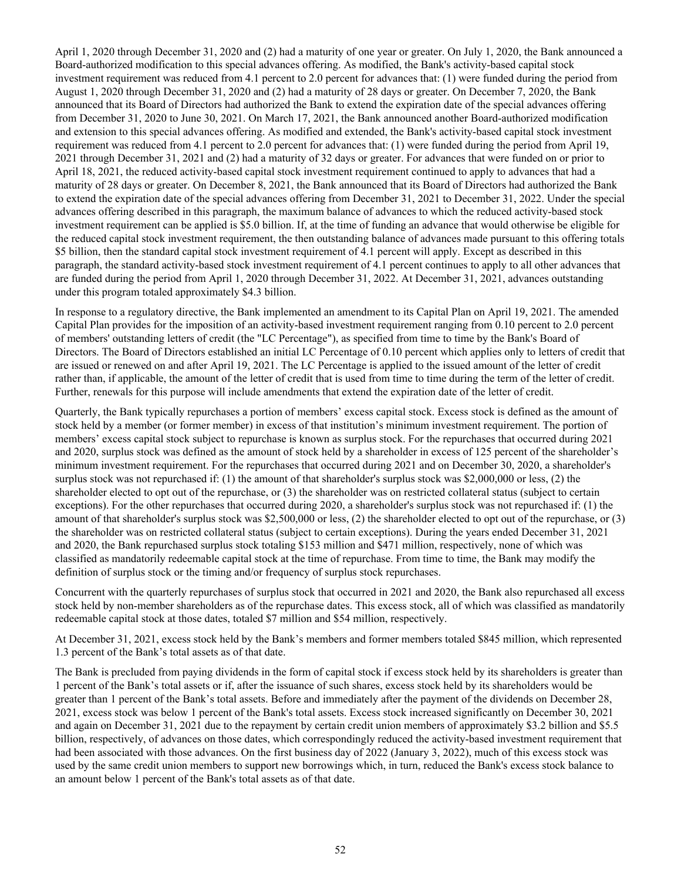April 1, 2020 through December 31, 2020 and (2) had a maturity of one year or greater. On July 1, 2020, the Bank announced a Board-authorized modification to this special advances offering. As modified, the Bank's activity-based capital stock investment requirement was reduced from 4.1 percent to 2.0 percent for advances that: (1) were funded during the period from August 1, 2020 through December 31, 2020 and (2) had a maturity of 28 days or greater. On December 7, 2020, the Bank announced that its Board of Directors had authorized the Bank to extend the expiration date of the special advances offering from December 31, 2020 to June 30, 2021. On March 17, 2021, the Bank announced another Board-authorized modification and extension to this special advances offering. As modified and extended, the Bank's activity-based capital stock investment requirement was reduced from 4.1 percent to 2.0 percent for advances that: (1) were funded during the period from April 19, 2021 through December 31, 2021 and (2) had a maturity of 32 days or greater. For advances that were funded on or prior to April 18, 2021, the reduced activity-based capital stock investment requirement continued to apply to advances that had a maturity of 28 days or greater. On December 8, 2021, the Bank announced that its Board of Directors had authorized the Bank to extend the expiration date of the special advances offering from December 31, 2021 to December 31, 2022. Under the special advances offering described in this paragraph, the maximum balance of advances to which the reduced activity-based stock investment requirement can be applied is \$5.0 billion. If, at the time of funding an advance that would otherwise be eligible for the reduced capital stock investment requirement, the then outstanding balance of advances made pursuant to this offering totals \$5 billion, then the standard capital stock investment requirement of 4.1 percent will apply. Except as described in this paragraph, the standard activity-based stock investment requirement of 4.1 percent continues to apply to all other advances that are funded during the period from April 1, 2020 through December 31, 2022. At December 31, 2021, advances outstanding under this program totaled approximately \$4.3 billion.

In response to a regulatory directive, the Bank implemented an amendment to its Capital Plan on April 19, 2021. The amended Capital Plan provides for the imposition of an activity-based investment requirement ranging from 0.10 percent to 2.0 percent of members' outstanding letters of credit (the "LC Percentage"), as specified from time to time by the Bank's Board of Directors. The Board of Directors established an initial LC Percentage of 0.10 percent which applies only to letters of credit that are issued or renewed on and after April 19, 2021. The LC Percentage is applied to the issued amount of the letter of credit rather than, if applicable, the amount of the letter of credit that is used from time to time during the term of the letter of credit. Further, renewals for this purpose will include amendments that extend the expiration date of the letter of credit.

Quarterly, the Bank typically repurchases a portion of members' excess capital stock. Excess stock is defined as the amount of stock held by a member (or former member) in excess of that institution's minimum investment requirement. The portion of members' excess capital stock subject to repurchase is known as surplus stock. For the repurchases that occurred during 2021 and 2020, surplus stock was defined as the amount of stock held by a shareholder in excess of 125 percent of the shareholder's minimum investment requirement. For the repurchases that occurred during 2021 and on December 30, 2020, a shareholder's surplus stock was not repurchased if: (1) the amount of that shareholder's surplus stock was \$2,000,000 or less, (2) the shareholder elected to opt out of the repurchase, or (3) the shareholder was on restricted collateral status (subject to certain exceptions). For the other repurchases that occurred during 2020, a shareholder's surplus stock was not repurchased if: (1) the amount of that shareholder's surplus stock was \$2,500,000 or less, (2) the shareholder elected to opt out of the repurchase, or (3) the shareholder was on restricted collateral status (subject to certain exceptions). During the years ended December 31, 2021 and 2020, the Bank repurchased surplus stock totaling \$153 million and \$471 million, respectively, none of which was classified as mandatorily redeemable capital stock at the time of repurchase. From time to time, the Bank may modify the definition of surplus stock or the timing and/or frequency of surplus stock repurchases.

Concurrent with the quarterly repurchases of surplus stock that occurred in 2021 and 2020, the Bank also repurchased all excess stock held by non-member shareholders as of the repurchase dates. This excess stock, all of which was classified as mandatorily redeemable capital stock at those dates, totaled \$7 million and \$54 million, respectively.

At December 31, 2021, excess stock held by the Bank's members and former members totaled \$845 million, which represented 1.3 percent of the Bank's total assets as of that date.

The Bank is precluded from paying dividends in the form of capital stock if excess stock held by its shareholders is greater than 1 percent of the Bank's total assets or if, after the issuance of such shares, excess stock held by its shareholders would be greater than 1 percent of the Bank's total assets. Before and immediately after the payment of the dividends on December 28, 2021, excess stock was below 1 percent of the Bank's total assets. Excess stock increased significantly on December 30, 2021 and again on December 31, 2021 due to the repayment by certain credit union members of approximately \$3.2 billion and \$5.5 billion, respectively, of advances on those dates, which correspondingly reduced the activity-based investment requirement that had been associated with those advances. On the first business day of 2022 (January 3, 2022), much of this excess stock was used by the same credit union members to support new borrowings which, in turn, reduced the Bank's excess stock balance to an amount below 1 percent of the Bank's total assets as of that date.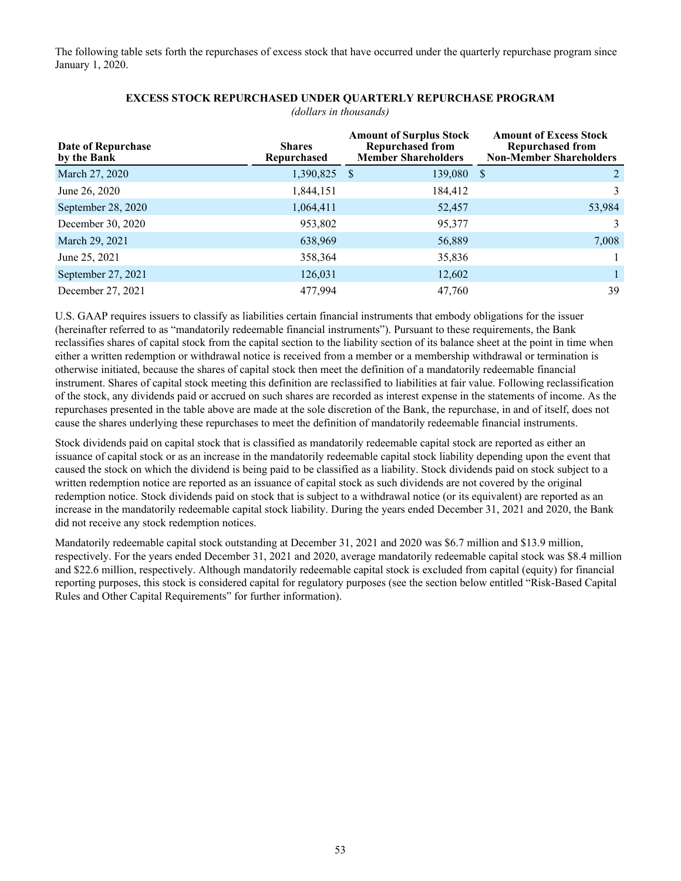The following table sets forth the repurchases of excess stock that have occurred under the quarterly repurchase program since January 1, 2020.

| Date of Repurchase<br>by the Bank | <b>Shares</b><br>Repurchased | <b>Amount of Excess Stock</b><br><b>Repurchased from</b><br><b>Non-Member Shareholders</b> |          |
|-----------------------------------|------------------------------|--------------------------------------------------------------------------------------------|----------|
| March 27, 2020                    | 1,390,825 \$                 | 139,080                                                                                    | 2<br>- S |
| June 26, 2020                     | 1,844,151                    | 184,412                                                                                    | 3        |
| September 28, 2020                | 1,064,411                    | 52,457                                                                                     | 53,984   |
| December 30, 2020                 | 953,802                      | 95,377                                                                                     | 3        |
| March 29, 2021                    | 638,969                      | 56,889                                                                                     | 7,008    |
| June 25, 2021                     | 358,364                      | 35,836                                                                                     |          |
| September 27, 2021                | 126,031                      | 12,602                                                                                     |          |
| December 27, 2021                 | 477,994                      | 47,760                                                                                     | 39       |

# **EXCESS STOCK REPURCHASED UNDER QUARTERLY REPURCHASE PROGRAM**

*(dollars in thousands)*

U.S. GAAP requires issuers to classify as liabilities certain financial instruments that embody obligations for the issuer (hereinafter referred to as "mandatorily redeemable financial instruments"). Pursuant to these requirements, the Bank reclassifies shares of capital stock from the capital section to the liability section of its balance sheet at the point in time when either a written redemption or withdrawal notice is received from a member or a membership withdrawal or termination is otherwise initiated, because the shares of capital stock then meet the definition of a mandatorily redeemable financial instrument. Shares of capital stock meeting this definition are reclassified to liabilities at fair value. Following reclassification of the stock, any dividends paid or accrued on such shares are recorded as interest expense in the statements of income. As the repurchases presented in the table above are made at the sole discretion of the Bank, the repurchase, in and of itself, does not cause the shares underlying these repurchases to meet the definition of mandatorily redeemable financial instruments.

Stock dividends paid on capital stock that is classified as mandatorily redeemable capital stock are reported as either an issuance of capital stock or as an increase in the mandatorily redeemable capital stock liability depending upon the event that caused the stock on which the dividend is being paid to be classified as a liability. Stock dividends paid on stock subject to a written redemption notice are reported as an issuance of capital stock as such dividends are not covered by the original redemption notice. Stock dividends paid on stock that is subject to a withdrawal notice (or its equivalent) are reported as an increase in the mandatorily redeemable capital stock liability. During the years ended December 31, 2021 and 2020, the Bank did not receive any stock redemption notices.

Mandatorily redeemable capital stock outstanding at December 31, 2021 and 2020 was \$6.7 million and \$13.9 million, respectively. For the years ended December 31, 2021 and 2020, average mandatorily redeemable capital stock was \$8.4 million and \$22.6 million, respectively. Although mandatorily redeemable capital stock is excluded from capital (equity) for financial reporting purposes, this stock is considered capital for regulatory purposes (see the section below entitled "Risk-Based Capital Rules and Other Capital Requirements" for further information).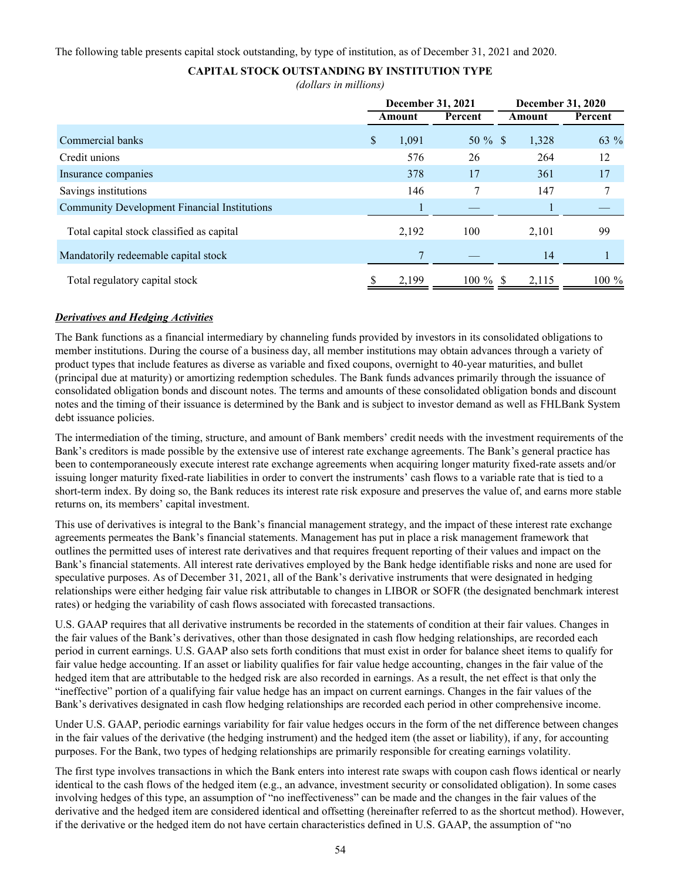The following table presents capital stock outstanding, by type of institution, as of December 31, 2021 and 2020.

# **CAPITAL STOCK OUTSTANDING BY INSTITUTION TYPE**

*(dollars in millions)*

|                                                     |             | <b>December 31, 2021</b> |        | December 31, 2020 |  |  |
|-----------------------------------------------------|-------------|--------------------------|--------|-------------------|--|--|
|                                                     | Amount      | Percent                  | Amount | Percent           |  |  |
| Commercial banks                                    | \$<br>1,091 | $50 \%$ \$               | 1,328  | 63 %              |  |  |
| Credit unions                                       | 576         | 26                       | 264    | 12                |  |  |
| Insurance companies                                 | 378         | 17                       | 361    | 17                |  |  |
| Savings institutions                                | 146         |                          | 147    | 7                 |  |  |
| <b>Community Development Financial Institutions</b> |             |                          |        |                   |  |  |
| Total capital stock classified as capital           | 2,192       | 100                      | 2,101  | 99                |  |  |
| Mandatorily redeemable capital stock                |             |                          | 14     |                   |  |  |
| Total regulatory capital stock                      | 2,199       | $100\%$ \$               | 2,115  | $100\%$           |  |  |

# *Derivatives and Hedging Activities*

The Bank functions as a financial intermediary by channeling funds provided by investors in its consolidated obligations to member institutions. During the course of a business day, all member institutions may obtain advances through a variety of product types that include features as diverse as variable and fixed coupons, overnight to 40-year maturities, and bullet (principal due at maturity) or amortizing redemption schedules. The Bank funds advances primarily through the issuance of consolidated obligation bonds and discount notes. The terms and amounts of these consolidated obligation bonds and discount notes and the timing of their issuance is determined by the Bank and is subject to investor demand as well as FHLBank System debt issuance policies.

The intermediation of the timing, structure, and amount of Bank members' credit needs with the investment requirements of the Bank's creditors is made possible by the extensive use of interest rate exchange agreements. The Bank's general practice has been to contemporaneously execute interest rate exchange agreements when acquiring longer maturity fixed-rate assets and/or issuing longer maturity fixed-rate liabilities in order to convert the instruments' cash flows to a variable rate that is tied to a short-term index. By doing so, the Bank reduces its interest rate risk exposure and preserves the value of, and earns more stable returns on, its members' capital investment.

This use of derivatives is integral to the Bank's financial management strategy, and the impact of these interest rate exchange agreements permeates the Bank's financial statements. Management has put in place a risk management framework that outlines the permitted uses of interest rate derivatives and that requires frequent reporting of their values and impact on the Bank's financial statements. All interest rate derivatives employed by the Bank hedge identifiable risks and none are used for speculative purposes. As of December 31, 2021, all of the Bank's derivative instruments that were designated in hedging relationships were either hedging fair value risk attributable to changes in LIBOR or SOFR (the designated benchmark interest rates) or hedging the variability of cash flows associated with forecasted transactions.

U.S. GAAP requires that all derivative instruments be recorded in the statements of condition at their fair values. Changes in the fair values of the Bank's derivatives, other than those designated in cash flow hedging relationships, are recorded each period in current earnings. U.S. GAAP also sets forth conditions that must exist in order for balance sheet items to qualify for fair value hedge accounting. If an asset or liability qualifies for fair value hedge accounting, changes in the fair value of the hedged item that are attributable to the hedged risk are also recorded in earnings. As a result, the net effect is that only the "ineffective" portion of a qualifying fair value hedge has an impact on current earnings. Changes in the fair values of the Bank's derivatives designated in cash flow hedging relationships are recorded each period in other comprehensive income.

Under U.S. GAAP, periodic earnings variability for fair value hedges occurs in the form of the net difference between changes in the fair values of the derivative (the hedging instrument) and the hedged item (the asset or liability), if any, for accounting purposes. For the Bank, two types of hedging relationships are primarily responsible for creating earnings volatility.

The first type involves transactions in which the Bank enters into interest rate swaps with coupon cash flows identical or nearly identical to the cash flows of the hedged item (e.g., an advance, investment security or consolidated obligation). In some cases involving hedges of this type, an assumption of "no ineffectiveness" can be made and the changes in the fair values of the derivative and the hedged item are considered identical and offsetting (hereinafter referred to as the shortcut method). However, if the derivative or the hedged item do not have certain characteristics defined in U.S. GAAP, the assumption of "no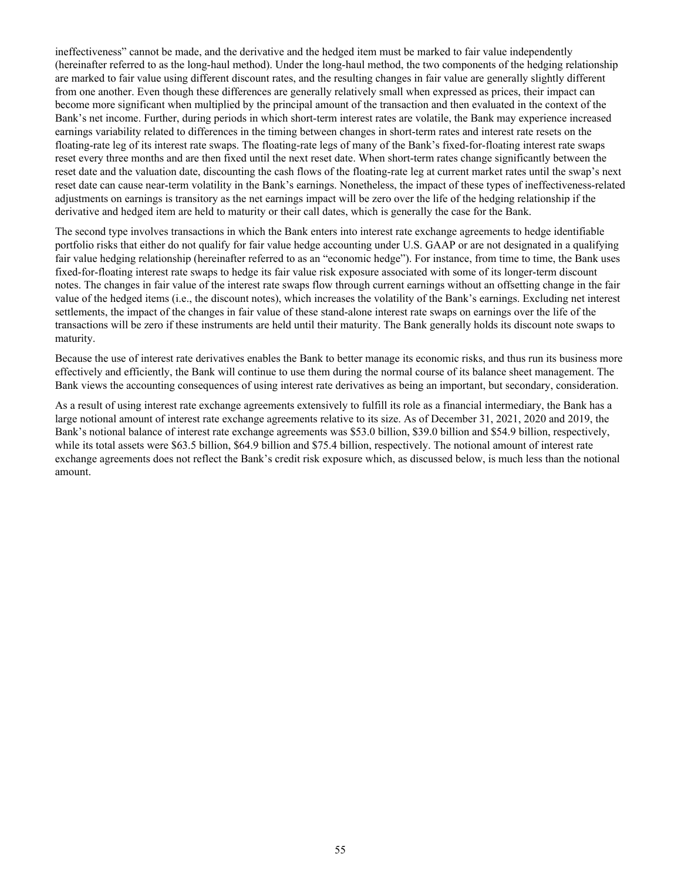ineffectiveness" cannot be made, and the derivative and the hedged item must be marked to fair value independently (hereinafter referred to as the long-haul method). Under the long-haul method, the two components of the hedging relationship are marked to fair value using different discount rates, and the resulting changes in fair value are generally slightly different from one another. Even though these differences are generally relatively small when expressed as prices, their impact can become more significant when multiplied by the principal amount of the transaction and then evaluated in the context of the Bank's net income. Further, during periods in which short-term interest rates are volatile, the Bank may experience increased earnings variability related to differences in the timing between changes in short-term rates and interest rate resets on the floating-rate leg of its interest rate swaps. The floating-rate legs of many of the Bank's fixed-for-floating interest rate swaps reset every three months and are then fixed until the next reset date. When short-term rates change significantly between the reset date and the valuation date, discounting the cash flows of the floating-rate leg at current market rates until the swap's next reset date can cause near-term volatility in the Bank's earnings. Nonetheless, the impact of these types of ineffectiveness-related adjustments on earnings is transitory as the net earnings impact will be zero over the life of the hedging relationship if the derivative and hedged item are held to maturity or their call dates, which is generally the case for the Bank.

The second type involves transactions in which the Bank enters into interest rate exchange agreements to hedge identifiable portfolio risks that either do not qualify for fair value hedge accounting under U.S. GAAP or are not designated in a qualifying fair value hedging relationship (hereinafter referred to as an "economic hedge"). For instance, from time to time, the Bank uses fixed-for-floating interest rate swaps to hedge its fair value risk exposure associated with some of its longer-term discount notes. The changes in fair value of the interest rate swaps flow through current earnings without an offsetting change in the fair value of the hedged items (i.e., the discount notes), which increases the volatility of the Bank's earnings. Excluding net interest settlements, the impact of the changes in fair value of these stand-alone interest rate swaps on earnings over the life of the transactions will be zero if these instruments are held until their maturity. The Bank generally holds its discount note swaps to maturity.

Because the use of interest rate derivatives enables the Bank to better manage its economic risks, and thus run its business more effectively and efficiently, the Bank will continue to use them during the normal course of its balance sheet management. The Bank views the accounting consequences of using interest rate derivatives as being an important, but secondary, consideration.

As a result of using interest rate exchange agreements extensively to fulfill its role as a financial intermediary, the Bank has a large notional amount of interest rate exchange agreements relative to its size. As of December 31, 2021, 2020 and 2019, the Bank's notional balance of interest rate exchange agreements was \$53.0 billion, \$39.0 billion and \$54.9 billion, respectively, while its total assets were \$63.5 billion, \$64.9 billion and \$75.4 billion, respectively. The notional amount of interest rate exchange agreements does not reflect the Bank's credit risk exposure which, as discussed below, is much less than the notional amount.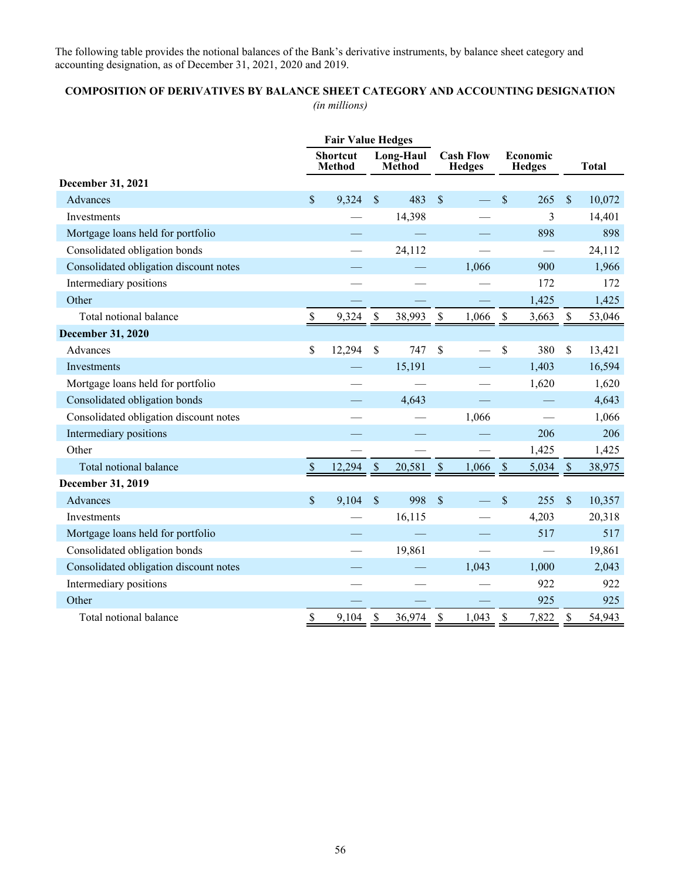The following table provides the notional balances of the Bank's derivative instruments, by balance sheet category and accounting designation, as of December 31, 2021, 2020 and 2019.

# **COMPOSITION OF DERIVATIVES BY BALANCE SHEET CATEGORY AND ACCOUNTING DESIGNATION** *(in millions)*

|                                        |               | <b>Fair Value Hedges</b>         |                            |        |                                   |       |                           |       |                           |              |
|----------------------------------------|---------------|----------------------------------|----------------------------|--------|-----------------------------------|-------|---------------------------|-------|---------------------------|--------------|
|                                        |               | <b>Shortcut</b><br><b>Method</b> | Long-Haul<br><b>Method</b> |        | <b>Cash Flow</b><br><b>Hedges</b> |       | Economic<br><b>Hedges</b> |       |                           | <b>Total</b> |
| <b>December 31, 2021</b>               |               |                                  |                            |        |                                   |       |                           |       |                           |              |
| Advances                               | \$            | 9,324                            | $\mathbb{S}$               | 483    | $\mathcal{S}$                     |       | $\mathcal{S}$             | 265   | \$                        | 10,072       |
| Investments                            |               |                                  |                            | 14,398 |                                   |       |                           | 3     |                           | 14,401       |
| Mortgage loans held for portfolio      |               |                                  |                            |        |                                   |       |                           | 898   |                           | 898          |
| Consolidated obligation bonds          |               |                                  |                            | 24,112 |                                   |       |                           |       |                           | 24,112       |
| Consolidated obligation discount notes |               |                                  |                            |        |                                   | 1,066 |                           | 900   |                           | 1,966        |
| Intermediary positions                 |               |                                  |                            |        |                                   |       |                           | 172   |                           | 172          |
| Other                                  |               |                                  |                            |        |                                   |       |                           | 1,425 |                           | 1,425        |
| Total notional balance                 | $\$$          | 9,324                            | $\boldsymbol{\mathsf{S}}$  | 38,993 | $\mathbb S$                       | 1,066 | \$                        | 3,663 | \$                        | 53,046       |
| <b>December 31, 2020</b>               |               |                                  |                            |        |                                   |       |                           |       |                           |              |
| Advances                               | \$            | 12,294                           | $\mathbb S$                | 747    | \$                                |       | \$                        | 380   | \$                        | 13,421       |
| Investments                            |               |                                  |                            | 15,191 |                                   |       |                           | 1,403 |                           | 16,594       |
| Mortgage loans held for portfolio      |               |                                  |                            |        |                                   |       |                           | 1,620 |                           | 1,620        |
| Consolidated obligation bonds          |               |                                  |                            | 4,643  |                                   |       |                           |       |                           | 4,643        |
| Consolidated obligation discount notes |               |                                  |                            |        |                                   | 1,066 |                           |       |                           | 1,066        |
| Intermediary positions                 |               |                                  |                            |        |                                   |       |                           | 206   |                           | 206          |
| Other                                  |               |                                  |                            |        |                                   |       |                           | 1,425 |                           | 1,425        |
| Total notional balance                 | \$            | 12,294                           | $\mathbb{S}$               | 20,581 | $\$$                              | 1,066 | $\boldsymbol{\mathsf{S}}$ | 5,034 | $\boldsymbol{\mathsf{S}}$ | 38,975       |
| December 31, 2019                      |               |                                  |                            |        |                                   |       |                           |       |                           |              |
| Advances                               | $\mathsf{\$}$ | 9,104                            | \$                         | 998    | $\mathcal{S}$                     |       | \$                        | 255   | $\mathsf{\$}$             | 10,357       |
| Investments                            |               |                                  |                            | 16,115 |                                   |       |                           | 4,203 |                           | 20,318       |
| Mortgage loans held for portfolio      |               |                                  |                            |        |                                   |       |                           | 517   |                           | 517          |
| Consolidated obligation bonds          |               |                                  |                            | 19,861 |                                   |       |                           |       |                           | 19,861       |
| Consolidated obligation discount notes |               |                                  |                            |        |                                   | 1,043 |                           | 1,000 |                           | 2,043        |
| Intermediary positions                 |               |                                  |                            |        |                                   |       |                           | 922   |                           | 922          |
| Other                                  |               |                                  |                            |        |                                   |       |                           | 925   |                           | 925          |
| Total notional balance                 | \$            | 9,104                            | \$                         | 36,974 | \$                                | 1,043 | \$                        | 7,822 | \$                        | 54,943       |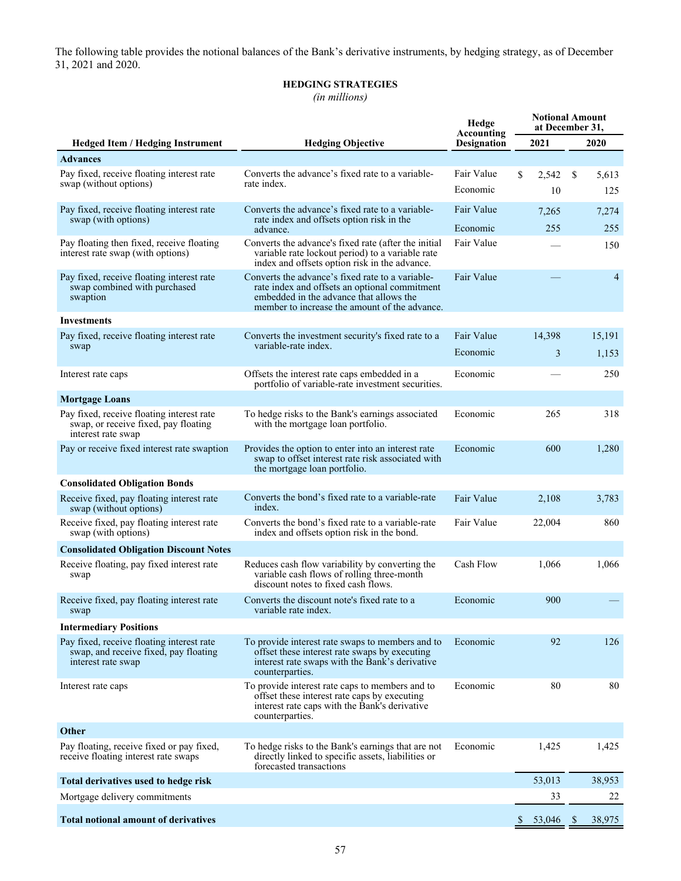The following table provides the notional balances of the Bank's derivative instruments, by hedging strategy, as of December 31, 2021 and 2020.

# **HEDGING STRATEGIES**

*(in millions)*

| <b>Hedged Item / Hedging Instrument</b>                             | <b>Hedging Objective</b>                                                                                                             | Accounting<br><b>Designation</b> | 2021                     | 2020                   |  |  |  |
|---------------------------------------------------------------------|--------------------------------------------------------------------------------------------------------------------------------------|----------------------------------|--------------------------|------------------------|--|--|--|
| <b>Advances</b>                                                     |                                                                                                                                      |                                  |                          |                        |  |  |  |
| Pay fixed, receive floating interest rate                           | Converts the advance's fixed rate to a variable-                                                                                     | Fair Value                       | \$<br>2,542              | \$<br>5,613            |  |  |  |
| swap (without options)                                              | rate index.                                                                                                                          | Economic                         | 10                       | 125                    |  |  |  |
| Pay fixed, receive floating interest rate                           | Converts the advance's fixed rate to a variable-                                                                                     | Fair Value                       | 7,265                    | 7,274                  |  |  |  |
| swap (with options)                                                 | rate index and offsets option risk in the                                                                                            | Economic                         | 255                      | 255                    |  |  |  |
| Pay floating then fixed, receive floating                           | advance.<br>Converts the advance's fixed rate (after the initial                                                                     | Fair Value                       |                          |                        |  |  |  |
| interest rate swap (with options)                                   | variable rate lockout period) to a variable rate<br>index and offsets option risk in the advance.                                    |                                  |                          | 150                    |  |  |  |
| Pay fixed, receive floating interest rate                           | Converts the advance's fixed rate to a variable-                                                                                     | Fair Value                       |                          | $\overline{4}$         |  |  |  |
| swap combined with purchased<br>swaption                            | rate index and offsets an optional commitment<br>embedded in the advance that allows the                                             |                                  |                          |                        |  |  |  |
|                                                                     | member to increase the amount of the advance.                                                                                        |                                  |                          |                        |  |  |  |
| <b>Investments</b>                                                  |                                                                                                                                      |                                  |                          |                        |  |  |  |
| Pay fixed, receive floating interest rate                           | Converts the investment security's fixed rate to a<br>variable-rate index.                                                           | Fair Value                       | 14,398                   | 15,191                 |  |  |  |
| swap                                                                |                                                                                                                                      | Economic                         | 3                        | 1,153                  |  |  |  |
| Interest rate caps                                                  | Offsets the interest rate caps embedded in a                                                                                         | Economic                         |                          | 250                    |  |  |  |
|                                                                     | portfolio of variable-rate investment securities.                                                                                    |                                  |                          |                        |  |  |  |
| <b>Mortgage Loans</b>                                               |                                                                                                                                      |                                  |                          |                        |  |  |  |
| Pay fixed, receive floating interest rate                           | To hedge risks to the Bank's earnings associated                                                                                     | Economic                         | 265                      | 318                    |  |  |  |
| swap, or receive fixed, pay floating<br>interest rate swap          | with the mortgage loan portfolio.                                                                                                    |                                  |                          |                        |  |  |  |
| Pay or receive fixed interest rate swaption                         | Provides the option to enter into an interest rate                                                                                   | Economic                         | 600                      | 1,280                  |  |  |  |
|                                                                     | swap to offset interest rate risk associated with                                                                                    |                                  |                          |                        |  |  |  |
|                                                                     | the mortgage loan portfolio.                                                                                                         |                                  |                          |                        |  |  |  |
| <b>Consolidated Obligation Bonds</b>                                |                                                                                                                                      |                                  |                          |                        |  |  |  |
| Receive fixed, pay floating interest rate<br>swap (without options) | Converts the bond's fixed rate to a variable-rate<br>index.                                                                          | Fair Value                       | 2,108                    | 3,783                  |  |  |  |
| Receive fixed, pay floating interest rate<br>swap (with options)    | Converts the bond's fixed rate to a variable-rate<br>index and offsets option risk in the bond.                                      | Fair Value                       | 22,004                   | 860                    |  |  |  |
| <b>Consolidated Obligation Discount Notes</b>                       |                                                                                                                                      |                                  |                          |                        |  |  |  |
| Receive floating, pay fixed interest rate<br>swap                   | Reduces cash flow variability by converting the<br>variable cash flows of rolling three-month<br>discount notes to fixed cash flows. | Cash Flow                        | 1.066                    | 1,066                  |  |  |  |
| Receive fixed, pay floating interest rate<br>swap                   | Converts the discount note's fixed rate to a<br>variable rate index.                                                                 | Economic                         | 900                      |                        |  |  |  |
| <b>Intermediary Positions</b>                                       |                                                                                                                                      |                                  |                          |                        |  |  |  |
| Pay fixed, receive floating interest rate                           | To provide interest rate swaps to members and to                                                                                     | Economic                         | 92                       | 126                    |  |  |  |
| swap, and receive fixed, pay floating                               | offset these interest rate swaps by executing                                                                                        |                                  |                          |                        |  |  |  |
| interest rate swap                                                  | interest rate swaps with the Bank's derivative<br>counterparties.                                                                    |                                  |                          |                        |  |  |  |
| Interest rate caps                                                  | To provide interest rate caps to members and to                                                                                      | Economic                         | 80                       | 80                     |  |  |  |
|                                                                     | offset these interest rate caps by executing                                                                                         |                                  |                          |                        |  |  |  |
|                                                                     | interest rate caps with the Bank's derivative<br>counterparties.                                                                     |                                  |                          |                        |  |  |  |
| Other                                                               |                                                                                                                                      |                                  |                          |                        |  |  |  |
| Pay floating, receive fixed or pay fixed,                           | To hedge risks to the Bank's earnings that are not                                                                                   | Economic                         | 1,425                    | 1,425                  |  |  |  |
| receive floating interest rate swaps                                | directly linked to specific assets, liabilities or                                                                                   |                                  |                          |                        |  |  |  |
| Total derivatives used to hedge risk                                | forecasted transactions                                                                                                              |                                  | 53,013                   | 38,953                 |  |  |  |
|                                                                     |                                                                                                                                      |                                  | 33                       | 22                     |  |  |  |
| Mortgage delivery commitments                                       |                                                                                                                                      |                                  |                          |                        |  |  |  |
| <b>Total notional amount of derivatives</b>                         |                                                                                                                                      |                                  | 53,046<br>$\mathbb{S}^-$ | 38,975<br><sup>S</sup> |  |  |  |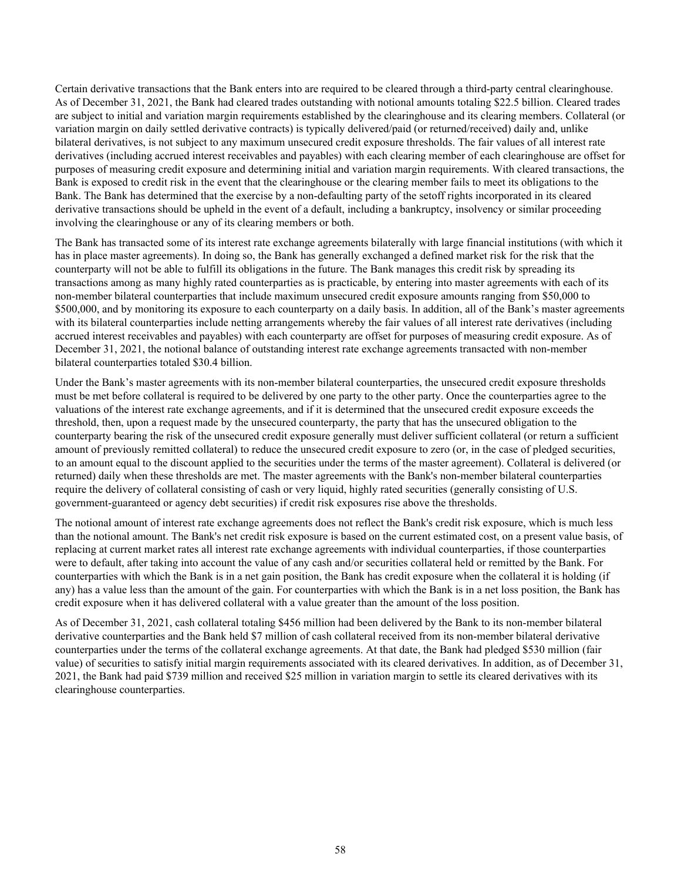Certain derivative transactions that the Bank enters into are required to be cleared through a third-party central clearinghouse. As of December 31, 2021, the Bank had cleared trades outstanding with notional amounts totaling \$22.5 billion. Cleared trades are subject to initial and variation margin requirements established by the clearinghouse and its clearing members. Collateral (or variation margin on daily settled derivative contracts) is typically delivered/paid (or returned/received) daily and, unlike bilateral derivatives, is not subject to any maximum unsecured credit exposure thresholds. The fair values of all interest rate derivatives (including accrued interest receivables and payables) with each clearing member of each clearinghouse are offset for purposes of measuring credit exposure and determining initial and variation margin requirements. With cleared transactions, the Bank is exposed to credit risk in the event that the clearinghouse or the clearing member fails to meet its obligations to the Bank. The Bank has determined that the exercise by a non-defaulting party of the setoff rights incorporated in its cleared derivative transactions should be upheld in the event of a default, including a bankruptcy, insolvency or similar proceeding involving the clearinghouse or any of its clearing members or both.

The Bank has transacted some of its interest rate exchange agreements bilaterally with large financial institutions (with which it has in place master agreements). In doing so, the Bank has generally exchanged a defined market risk for the risk that the counterparty will not be able to fulfill its obligations in the future. The Bank manages this credit risk by spreading its transactions among as many highly rated counterparties as is practicable, by entering into master agreements with each of its non-member bilateral counterparties that include maximum unsecured credit exposure amounts ranging from \$50,000 to \$500,000, and by monitoring its exposure to each counterparty on a daily basis. In addition, all of the Bank's master agreements with its bilateral counterparties include netting arrangements whereby the fair values of all interest rate derivatives (including accrued interest receivables and payables) with each counterparty are offset for purposes of measuring credit exposure. As of December 31, 2021, the notional balance of outstanding interest rate exchange agreements transacted with non-member bilateral counterparties totaled \$30.4 billion.

Under the Bank's master agreements with its non-member bilateral counterparties, the unsecured credit exposure thresholds must be met before collateral is required to be delivered by one party to the other party. Once the counterparties agree to the valuations of the interest rate exchange agreements, and if it is determined that the unsecured credit exposure exceeds the threshold, then, upon a request made by the unsecured counterparty, the party that has the unsecured obligation to the counterparty bearing the risk of the unsecured credit exposure generally must deliver sufficient collateral (or return a sufficient amount of previously remitted collateral) to reduce the unsecured credit exposure to zero (or, in the case of pledged securities, to an amount equal to the discount applied to the securities under the terms of the master agreement). Collateral is delivered (or returned) daily when these thresholds are met. The master agreements with the Bank's non-member bilateral counterparties require the delivery of collateral consisting of cash or very liquid, highly rated securities (generally consisting of U.S. government-guaranteed or agency debt securities) if credit risk exposures rise above the thresholds.

The notional amount of interest rate exchange agreements does not reflect the Bank's credit risk exposure, which is much less than the notional amount. The Bank's net credit risk exposure is based on the current estimated cost, on a present value basis, of replacing at current market rates all interest rate exchange agreements with individual counterparties, if those counterparties were to default, after taking into account the value of any cash and/or securities collateral held or remitted by the Bank. For counterparties with which the Bank is in a net gain position, the Bank has credit exposure when the collateral it is holding (if any) has a value less than the amount of the gain. For counterparties with which the Bank is in a net loss position, the Bank has credit exposure when it has delivered collateral with a value greater than the amount of the loss position.

As of December 31, 2021, cash collateral totaling \$456 million had been delivered by the Bank to its non-member bilateral derivative counterparties and the Bank held \$7 million of cash collateral received from its non-member bilateral derivative counterparties under the terms of the collateral exchange agreements. At that date, the Bank had pledged \$530 million (fair value) of securities to satisfy initial margin requirements associated with its cleared derivatives. In addition, as of December 31, 2021, the Bank had paid \$739 million and received \$25 million in variation margin to settle its cleared derivatives with its clearinghouse counterparties.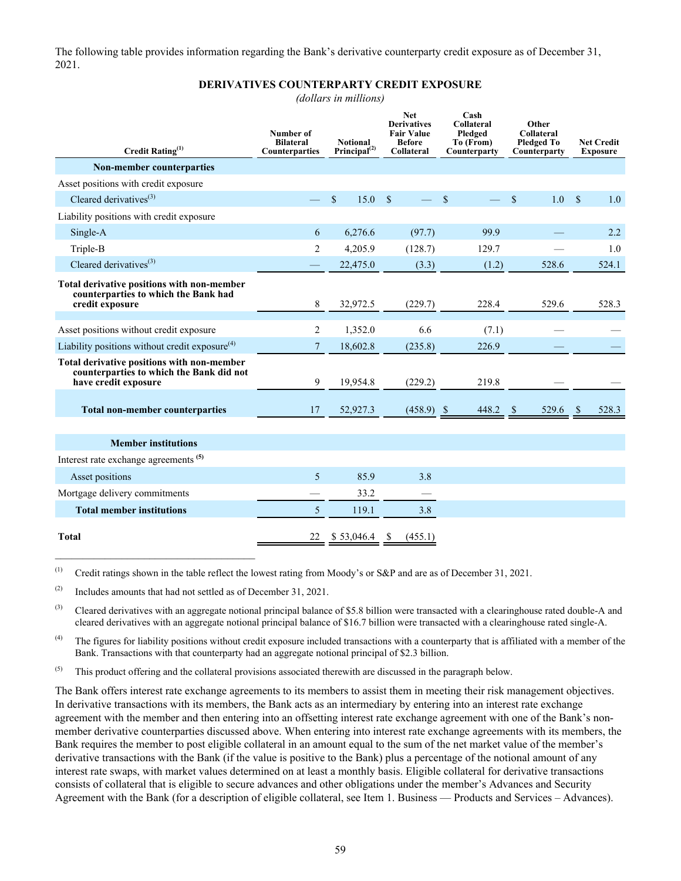The following table provides information regarding the Bank's derivative counterparty credit exposure as of December 31, 2021.

#### **DERIVATIVES COUNTERPARTY CREDIT EXPOSURE**

*(dollars in millions)*

| Credit Rating <sup>(1)</sup>                                                                                   | Number of<br><b>Bilateral</b><br>Counterparties | <b>Notional</b><br>Principal $^{(2)}$ | <b>Net</b><br><b>Derivatives</b><br><b>Fair Value</b><br><b>Before</b><br>Collateral |              | Cash<br><b>Collateral</b><br>Pledged<br>To (From)<br>Counterparty | Other<br><b>Collateral</b><br><b>Pledged To</b><br>Counterparty | <b>Net Credit</b><br><b>Exposure</b> |
|----------------------------------------------------------------------------------------------------------------|-------------------------------------------------|---------------------------------------|--------------------------------------------------------------------------------------|--------------|-------------------------------------------------------------------|-----------------------------------------------------------------|--------------------------------------|
| <b>Non-member counterparties</b>                                                                               |                                                 |                                       |                                                                                      |              |                                                                   |                                                                 |                                      |
| Asset positions with credit exposure                                                                           |                                                 |                                       |                                                                                      |              |                                                                   |                                                                 |                                      |
| Cleared derivatives $^{(3)}$                                                                                   |                                                 | \$<br>15.0                            | <sup>S</sup>                                                                         |              | \$                                                                | 1.0<br>\$                                                       | $\mathbb{S}$<br>1.0                  |
| Liability positions with credit exposure                                                                       |                                                 |                                       |                                                                                      |              |                                                                   |                                                                 |                                      |
| Single-A                                                                                                       | 6                                               | 6,276.6                               |                                                                                      | (97.7)       | 99.9                                                              |                                                                 | 2.2                                  |
| Triple-B                                                                                                       | 2                                               | 4,205.9                               |                                                                                      | (128.7)      | 129.7                                                             |                                                                 | 1.0                                  |
| Cleared derivatives $^{(3)}$                                                                                   |                                                 | 22,475.0                              |                                                                                      | (3.3)        | (1.2)                                                             | 528.6                                                           | 524.1                                |
| Total derivative positions with non-member<br>counterparties to which the Bank had<br>credit exposure          | 8                                               | 32,972.5                              |                                                                                      | (229.7)      | 228.4                                                             | 529.6                                                           | 528.3                                |
| Asset positions without credit exposure                                                                        | 2                                               | 1,352.0                               |                                                                                      | 6.6          | (7.1)                                                             |                                                                 |                                      |
| Liability positions without credit exposure $(4)$                                                              | $\overline{\mathcal{L}}$                        | 18,602.8                              |                                                                                      | (235.8)      | 226.9                                                             |                                                                 |                                      |
| Total derivative positions with non-member<br>counterparties to which the Bank did not<br>have credit exposure | 9                                               | 19,954.8                              |                                                                                      | (229.2)      | 219.8                                                             |                                                                 |                                      |
| <b>Total non-member counterparties</b>                                                                         | 17                                              | 52,927.3                              |                                                                                      | $(458.9)$ \$ | 448.2 \$                                                          | 529.6                                                           | 528.3<br>$\mathcal{S}$               |
| <b>Member institutions</b>                                                                                     |                                                 |                                       |                                                                                      |              |                                                                   |                                                                 |                                      |
| Interest rate exchange agreements <sup>(5)</sup>                                                               |                                                 |                                       |                                                                                      |              |                                                                   |                                                                 |                                      |
| Asset positions                                                                                                | 5                                               | 85.9                                  |                                                                                      | 3.8          |                                                                   |                                                                 |                                      |
| Mortgage delivery commitments                                                                                  |                                                 | 33.2                                  |                                                                                      |              |                                                                   |                                                                 |                                      |
| <b>Total member institutions</b>                                                                               | 5                                               | 119.1                                 |                                                                                      | 3.8          |                                                                   |                                                                 |                                      |
| <b>Total</b>                                                                                                   | 22                                              | \$53,046.4                            | S                                                                                    | (455.1)      |                                                                   |                                                                 |                                      |

(1) Credit ratings shown in the table reflect the lowest rating from Moody's or S&P and are as of December 31, 2021.

(2) Includes amounts that had not settled as of December 31, 2021.

 $\mathcal{L}_\text{max}$  , and the set of the set of the set of the set of the set of the set of the set of the set of the set of the set of the set of the set of the set of the set of the set of the set of the set of the set of the

 $^{(3)}$  Cleared derivatives with an aggregate notional principal balance of \$5.8 billion were transacted with a clearinghouse rated double-A and cleared derivatives with an aggregate notional principal balance of \$16.7 billion were transacted with a clearinghouse rated single-A.

<sup>(4)</sup> The figures for liability positions without credit exposure included transactions with a counterparty that is affiliated with a member of the Bank. Transactions with that counterparty had an aggregate notional principal of \$2.3 billion.

 $<sup>(5)</sup>$  This product offering and the collateral provisions associated therewith are discussed in the paragraph below.</sup>

The Bank offers interest rate exchange agreements to its members to assist them in meeting their risk management objectives. In derivative transactions with its members, the Bank acts as an intermediary by entering into an interest rate exchange agreement with the member and then entering into an offsetting interest rate exchange agreement with one of the Bank's nonmember derivative counterparties discussed above. When entering into interest rate exchange agreements with its members, the Bank requires the member to post eligible collateral in an amount equal to the sum of the net market value of the member's derivative transactions with the Bank (if the value is positive to the Bank) plus a percentage of the notional amount of any interest rate swaps, with market values determined on at least a monthly basis. Eligible collateral for derivative transactions consists of collateral that is eligible to secure advances and other obligations under the member's Advances and Security Agreement with the Bank (for a description of eligible collateral, see Item 1. Business — Products and Services – Advances).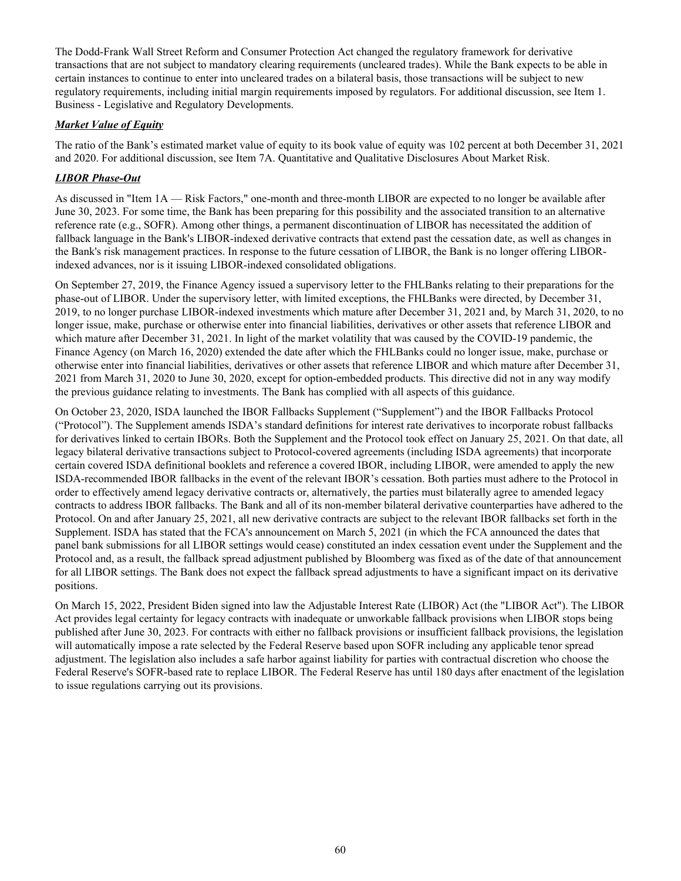The Dodd-Frank Wall Street Reform and Consumer Protection Act changed the regulatory framework for derivative transactions that are not subject to mandatory clearing requirements (uncleared trades). While the Bank expects to be able in certain instances to continue to enter into uncleared trades on a bilateral basis, those transactions will be subject to new regulatory requirements, including initial margin requirements imposed by regulators. For additional discussion, see Item 1. Business - Legislative and Regulatory Developments.

# *Market Value of Equity*

The ratio of the Bank's estimated market value of equity to its book value of equity was 102 percent at both December 31, 2021 and 2020. For additional discussion, see Item 7A. Quantitative and Qualitative Disclosures About Market Risk.

# *LIBOR Phase-Out*

As discussed in "Item 1A — Risk Factors," one-month and three-month LIBOR are expected to no longer be available after June 30, 2023. For some time, the Bank has been preparing for this possibility and the associated transition to an alternative reference rate (e.g., SOFR). Among other things, a permanent discontinuation of LIBOR has necessitated the addition of fallback language in the Bank's LIBOR-indexed derivative contracts that extend past the cessation date, as well as changes in the Bank's risk management practices. In response to the future cessation of LIBOR, the Bank is no longer offering LIBORindexed advances, nor is it issuing LIBOR-indexed consolidated obligations.

On September 27, 2019, the Finance Agency issued a supervisory letter to the FHLBanks relating to their preparations for the phase-out of LIBOR. Under the supervisory letter, with limited exceptions, the FHLBanks were directed, by December 31, 2019, to no longer purchase LIBOR-indexed investments which mature after December 31, 2021 and, by March 31, 2020, to no longer issue, make, purchase or otherwise enter into financial liabilities, derivatives or other assets that reference LIBOR and which mature after December 31, 2021. In light of the market volatility that was caused by the COVID-19 pandemic, the Finance Agency (on March 16, 2020) extended the date after which the FHLBanks could no longer issue, make, purchase or otherwise enter into financial liabilities, derivatives or other assets that reference LIBOR and which mature after December 31, 2021 from March 31, 2020 to June 30, 2020, except for option-embedded products. This directive did not in any way modify the previous guidance relating to investments. The Bank has complied with all aspects of this guidance.

On October 23, 2020, ISDA launched the IBOR Fallbacks Supplement ("Supplement") and the IBOR Fallbacks Protocol ("Protocol"). The Supplement amends ISDA's standard definitions for interest rate derivatives to incorporate robust fallbacks for derivatives linked to certain IBORs. Both the Supplement and the Protocol took effect on January 25, 2021. On that date, all legacy bilateral derivative transactions subject to Protocol-covered agreements (including ISDA agreements) that incorporate certain covered ISDA definitional booklets and reference a covered IBOR, including LIBOR, were amended to apply the new ISDA-recommended IBOR fallbacks in the event of the relevant IBOR's cessation. Both parties must adhere to the Protocol in order to effectively amend legacy derivative contracts or, alternatively, the parties must bilaterally agree to amended legacy contracts to address IBOR fallbacks. The Bank and all of its non-member bilateral derivative counterparties have adhered to the Protocol. On and after January 25, 2021, all new derivative contracts are subject to the relevant IBOR fallbacks set forth in the Supplement. ISDA has stated that the FCA's announcement on March 5, 2021 (in which the FCA announced the dates that panel bank submissions for all LIBOR settings would cease) constituted an index cessation event under the Supplement and the Protocol and, as a result, the fallback spread adjustment published by Bloomberg was fixed as of the date of that announcement for all LIBOR settings. The Bank does not expect the fallback spread adjustments to have a significant impact on its derivative positions.

On March 15, 2022, President Biden signed into law the Adjustable Interest Rate (LIBOR) Act (the "LIBOR Act"). The LIBOR Act provides legal certainty for legacy contracts with inadequate or unworkable fallback provisions when LIBOR stops being published after June 30, 2023. For contracts with either no fallback provisions or insufficient fallback provisions, the legislation will automatically impose a rate selected by the Federal Reserve based upon SOFR including any applicable tenor spread adjustment. The legislation also includes a safe harbor against liability for parties with contractual discretion who choose the Federal Reserve's SOFR-based rate to replace LIBOR. The Federal Reserve has until 180 days after enactment of the legislation to issue regulations carrying out its provisions.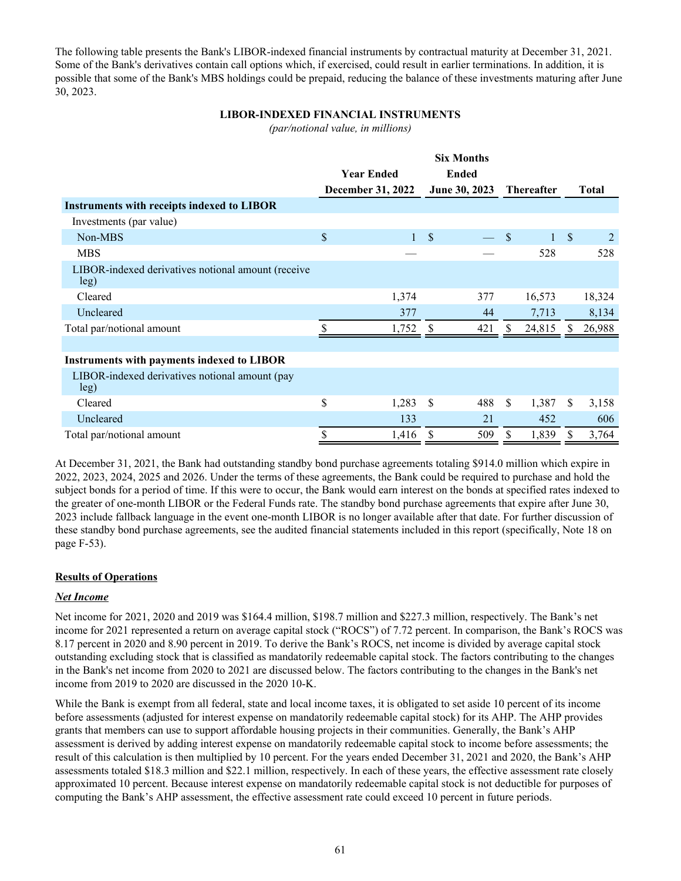The following table presents the Bank's LIBOR-indexed financial instruments by contractual maturity at December 31, 2021. Some of the Bank's derivatives contain call options which, if exercised, could result in earlier terminations. In addition, it is possible that some of the Bank's MBS holdings could be prepaid, reducing the balance of these investments maturing after June 30, 2023.

# **LIBOR-INDEXED FINANCIAL INSTRUMENTS**

*(par/notional value, in millions)*

|                                                            |                          |              | <b>Six Months</b> |                   |     |              |               |        |
|------------------------------------------------------------|--------------------------|--------------|-------------------|-------------------|-----|--------------|---------------|--------|
|                                                            | <b>Year Ended</b>        | <b>Ended</b> |                   |                   |     |              |               |        |
|                                                            | <b>December 31, 2022</b> |              | June 30, 2023     | <b>Thereafter</b> |     |              | <b>Total</b>  |        |
| <b>Instruments with receipts indexed to LIBOR</b>          |                          |              |                   |                   |     |              |               |        |
| Investments (par value)                                    |                          |              |                   |                   |     |              |               |        |
| Non-MBS                                                    | \$                       | $\mathbf{1}$ | $\mathcal{S}$     |                   | \$  | $\mathbf{1}$ | $\mathcal{S}$ |        |
| <b>MBS</b>                                                 |                          |              |                   |                   |     | 528          |               | 528    |
| LIBOR-indexed derivatives notional amount (receive<br>leg) |                          |              |                   |                   |     |              |               |        |
| Cleared                                                    |                          | 1,374        |                   | 377               |     | 16,573       |               | 18,324 |
| Uncleared                                                  |                          | 377          |                   | 44                |     | 7,713        |               | 8,134  |
| Total par/notional amount                                  |                          | 1,752        | S                 | 421               | \$. | 24,815       |               | 26,988 |
|                                                            |                          |              |                   |                   |     |              |               |        |
| <b>Instruments with payments indexed to LIBOR</b>          |                          |              |                   |                   |     |              |               |        |
| LIBOR-indexed derivatives notional amount (pay<br>leg)     |                          |              |                   |                   |     |              |               |        |
| Cleared                                                    | \$                       | 1,283        | <sup>\$</sup>     | 488               | \$  | 1,387        | S             | 3,158  |
| Uncleared                                                  |                          | 133          |                   | 21                |     | 452          |               | 606    |
| Total par/notional amount                                  |                          | 1,416        |                   | 509               |     | 1,839        | S.            | 3,764  |
|                                                            |                          |              |                   |                   |     |              |               |        |

At December 31, 2021, the Bank had outstanding standby bond purchase agreements totaling \$914.0 million which expire in 2022, 2023, 2024, 2025 and 2026. Under the terms of these agreements, the Bank could be required to purchase and hold the subject bonds for a period of time. If this were to occur, the Bank would earn interest on the bonds at specified rates indexed to the greater of one-month LIBOR or the Federal Funds rate. The standby bond purchase agreements that expire after June 30, 2023 include fallback language in the event one-month LIBOR is no longer available after that date. For further discussion of these standby bond purchase agreements, see the audited financial statements included in this report (specifically, Note 18 on page F-53).

# **Results of Operations**

# *Net Income*

Net income for 2021, 2020 and 2019 was \$164.4 million, \$198.7 million and \$227.3 million, respectively. The Bank's net income for 2021 represented a return on average capital stock ("ROCS") of 7.72 percent. In comparison, the Bank's ROCS was 8.17 percent in 2020 and 8.90 percent in 2019. To derive the Bank's ROCS, net income is divided by average capital stock outstanding excluding stock that is classified as mandatorily redeemable capital stock. The factors contributing to the changes in the Bank's net income from 2020 to 2021 are discussed below. The factors contributing to the changes in the Bank's net income from 2019 to 2020 are discussed in the 2020 10-K.

While the Bank is exempt from all federal, state and local income taxes, it is obligated to set aside 10 percent of its income before assessments (adjusted for interest expense on mandatorily redeemable capital stock) for its AHP. The AHP provides grants that members can use to support affordable housing projects in their communities. Generally, the Bank's AHP assessment is derived by adding interest expense on mandatorily redeemable capital stock to income before assessments; the result of this calculation is then multiplied by 10 percent. For the years ended December 31, 2021 and 2020, the Bank's AHP assessments totaled \$18.3 million and \$22.1 million, respectively. In each of these years, the effective assessment rate closely approximated 10 percent. Because interest expense on mandatorily redeemable capital stock is not deductible for purposes of computing the Bank's AHP assessment, the effective assessment rate could exceed 10 percent in future periods.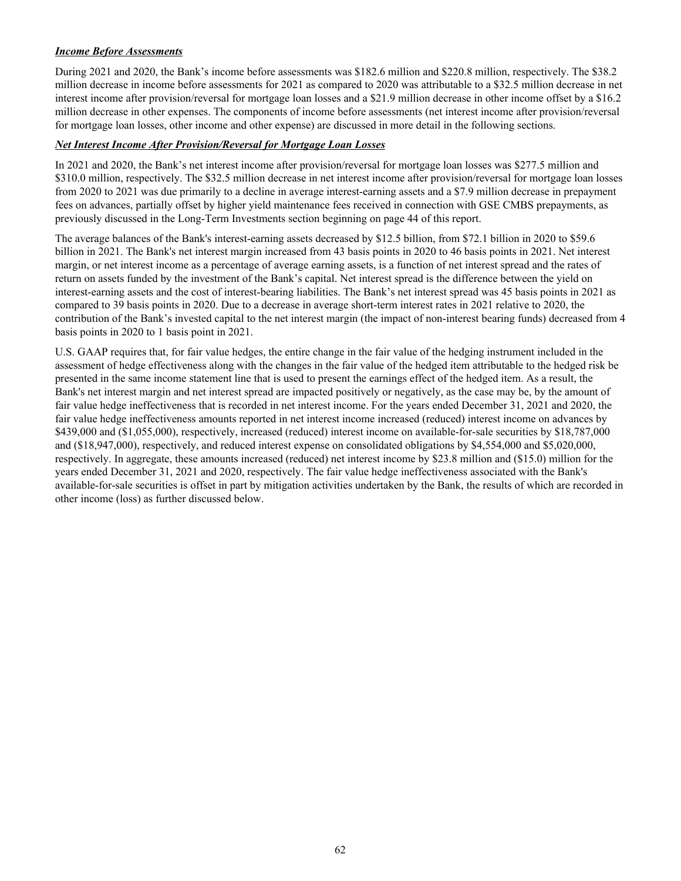# *Income Before Assessments*

During 2021 and 2020, the Bank's income before assessments was \$182.6 million and \$220.8 million, respectively. The \$38.2 million decrease in income before assessments for 2021 as compared to 2020 was attributable to a \$32.5 million decrease in net interest income after provision/reversal for mortgage loan losses and a \$21.9 million decrease in other income offset by a \$16.2 million decrease in other expenses. The components of income before assessments (net interest income after provision/reversal for mortgage loan losses, other income and other expense) are discussed in more detail in the following sections.

# *Net Interest Income After Provision/Reversal for Mortgage Loan Losses*

In 2021 and 2020, the Bank's net interest income after provision/reversal for mortgage loan losses was \$277.5 million and \$310.0 million, respectively. The \$32.5 million decrease in net interest income after provision/reversal for mortgage loan losses from 2020 to 2021 was due primarily to a decline in average interest-earning assets and a \$7.9 million decrease in prepayment fees on advances, partially offset by higher yield maintenance fees received in connection with GSE CMBS prepayments, as previously discussed in the Long-Term Investments section beginning on page 44 of this report.

The average balances of the Bank's interest-earning assets decreased by \$12.5 billion, from \$72.1 billion in 2020 to \$59.6 billion in 2021. The Bank's net interest margin increased from 43 basis points in 2020 to 46 basis points in 2021. Net interest margin, or net interest income as a percentage of average earning assets, is a function of net interest spread and the rates of return on assets funded by the investment of the Bank's capital. Net interest spread is the difference between the yield on interest-earning assets and the cost of interest-bearing liabilities. The Bank's net interest spread was 45 basis points in 2021 as compared to 39 basis points in 2020. Due to a decrease in average short-term interest rates in 2021 relative to 2020, the contribution of the Bank's invested capital to the net interest margin (the impact of non-interest bearing funds) decreased from 4 basis points in 2020 to 1 basis point in 2021.

U.S. GAAP requires that, for fair value hedges, the entire change in the fair value of the hedging instrument included in the assessment of hedge effectiveness along with the changes in the fair value of the hedged item attributable to the hedged risk be presented in the same income statement line that is used to present the earnings effect of the hedged item. As a result, the Bank's net interest margin and net interest spread are impacted positively or negatively, as the case may be, by the amount of fair value hedge ineffectiveness that is recorded in net interest income. For the years ended December 31, 2021 and 2020, the fair value hedge ineffectiveness amounts reported in net interest income increased (reduced) interest income on advances by \$439,000 and (\$1,055,000), respectively, increased (reduced) interest income on available-for-sale securities by \$18,787,000 and (\$18,947,000), respectively, and reduced interest expense on consolidated obligations by \$4,554,000 and \$5,020,000, respectively. In aggregate, these amounts increased (reduced) net interest income by \$23.8 million and (\$15.0) million for the years ended December 31, 2021 and 2020, respectively. The fair value hedge ineffectiveness associated with the Bank's available-for-sale securities is offset in part by mitigation activities undertaken by the Bank, the results of which are recorded in other income (loss) as further discussed below.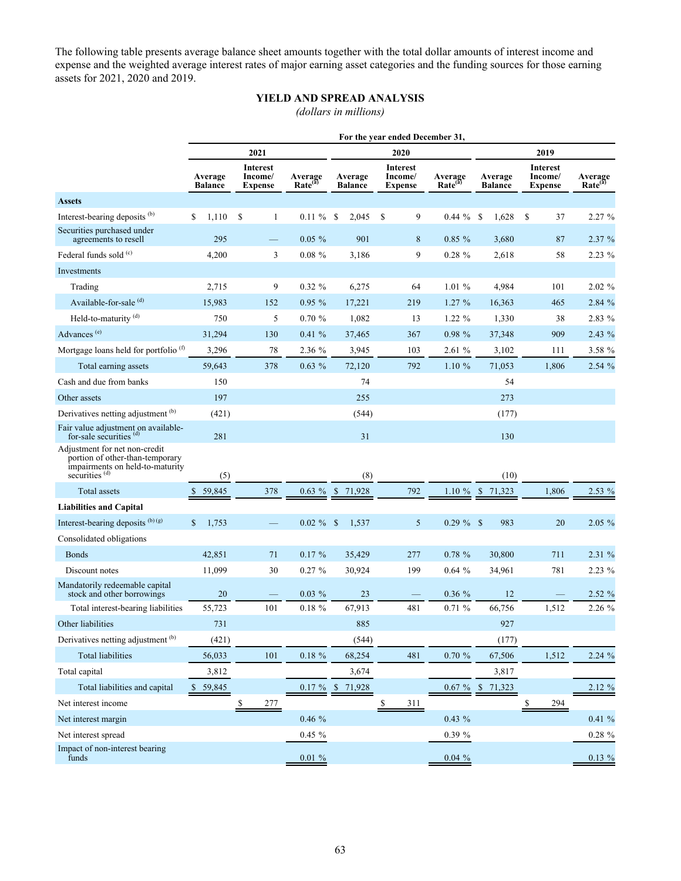The following table presents average balance sheet amounts together with the total dollar amounts of interest income and expense and the weighted average interest rates of major earning asset categories and the funding sources for those earning assets for 2021, 2020 and 2019.

# **YIELD AND SPREAD ANALYSIS**

*(dollars in millions)*

|                                                                                                                                  | For the year ended December 31, |                                       |                                |                           |                                              |                                |                           |                                       |                                |  |
|----------------------------------------------------------------------------------------------------------------------------------|---------------------------------|---------------------------------------|--------------------------------|---------------------------|----------------------------------------------|--------------------------------|---------------------------|---------------------------------------|--------------------------------|--|
|                                                                                                                                  |                                 | 2021                                  |                                |                           | 2020                                         |                                | 2019                      |                                       |                                |  |
|                                                                                                                                  | Average<br><b>Balance</b>       | Interest<br>Income/<br><b>Expense</b> | Average<br>Rate <sup>(3)</sup> | Average<br><b>Balance</b> | <b>Interest</b><br>Income/<br><b>Expense</b> | Average<br>Rate <sup>(a)</sup> | Average<br><b>Balance</b> | Interest<br>Income/<br><b>Expense</b> | Average<br>Rate <sup>(a)</sup> |  |
| <b>Assets</b>                                                                                                                    |                                 |                                       |                                |                           |                                              |                                |                           |                                       |                                |  |
| Interest-bearing deposits <sup>(b)</sup>                                                                                         | \$<br>1,110                     | <sup>\$</sup><br>1                    | $0.11 \%$                      | <sup>\$</sup><br>2,045    | \$<br>9                                      | $0.44 \%$ \$                   | 1,628                     | <sup>\$</sup><br>37                   | 2.27 %                         |  |
| Securities purchased under<br>agreements to resell                                                                               | 295                             |                                       | $0.05 \%$                      | 901                       | 8                                            | $0.85 \%$                      | 3,680                     | 87                                    | 2.37%                          |  |
| Federal funds sold $(c)$                                                                                                         | 4,200                           | 3                                     | $0.08 \%$                      | 3,186                     | 9                                            | 0.28 %                         | 2,618                     | 58                                    | $2.23\%$                       |  |
| Investments                                                                                                                      |                                 |                                       |                                |                           |                                              |                                |                           |                                       |                                |  |
| Trading                                                                                                                          | 2,715                           | 9                                     | $0.32 \%$                      | 6,275                     | 64                                           | 1.01%                          | 4,984                     | 101                                   | 2.02%                          |  |
| Available-for-sale <sup>(d)</sup>                                                                                                | 15,983                          | 152                                   | 0.95%                          | 17,221                    | 219                                          | $1.27\%$                       | 16,363                    | 465                                   | 2.84 %                         |  |
| Held-to-maturity <sup>(d)</sup>                                                                                                  | 750                             | 5                                     | $0.70 \%$                      | 1,082                     | 13                                           | $1.22 \%$                      | 1,330                     | 38                                    | 2.83 %                         |  |
| Advances <sup>(e)</sup>                                                                                                          | 31,294                          | 130                                   | $0.41 \%$                      | 37,465                    | 367                                          | 0.98 %                         | 37,348                    | 909                                   | $2.43\%$                       |  |
| Mortgage loans held for portfolio <sup>(f)</sup>                                                                                 | 3,296                           | 78                                    | 2.36 %                         | 3,945                     | 103                                          | 2.61%                          | 3,102                     | 111                                   | 3.58 %                         |  |
| Total earning assets                                                                                                             | 59,643                          | 378                                   | $0.63\%$                       | 72,120                    | 792                                          | 1.10%                          | 71,053                    | 1,806                                 | 2.54%                          |  |
| Cash and due from banks                                                                                                          | 150                             |                                       |                                | 74                        |                                              |                                | 54                        |                                       |                                |  |
| Other assets                                                                                                                     | 197                             |                                       |                                | 255                       |                                              |                                | 273                       |                                       |                                |  |
| Derivatives netting adjustment (b)                                                                                               | (421)                           |                                       |                                | (544)                     |                                              |                                | (177)                     |                                       |                                |  |
| Fair value adjustment on available-<br>for-sale securities $(d)$                                                                 | 281                             |                                       |                                | 31                        |                                              |                                | 130                       |                                       |                                |  |
| Adjustment for net non-credit<br>portion of other-than-temporary<br>impairments on held-to-maturity<br>securities <sup>(d)</sup> | (5)                             |                                       |                                | (8)                       |                                              |                                | (10)                      |                                       |                                |  |
| Total assets                                                                                                                     | 59,845                          | 378                                   | $0.63 \%$                      | 71,928<br>- \$            | 792                                          | $1.10 \%$                      | 71,323<br><sup>S</sup>    | 1,806                                 | $2.53\%$                       |  |
| <b>Liabilities and Capital</b>                                                                                                   |                                 |                                       |                                |                           |                                              |                                |                           |                                       |                                |  |
| Interest-bearing deposits (b) (g)                                                                                                | \$<br>1,753                     |                                       | $0.02 \%$ \$                   | 1,537                     | 5                                            | $0.29 \%$ \$                   | 983                       | 20                                    | $2.05\%$                       |  |
| Consolidated obligations                                                                                                         |                                 |                                       |                                |                           |                                              |                                |                           |                                       |                                |  |
| <b>Bonds</b>                                                                                                                     | 42,851                          | 71                                    | $0.17 \%$                      | 35,429                    | 277                                          | $0.78 \%$                      | 30,800                    | 711                                   | 2.31 %                         |  |
| Discount notes                                                                                                                   | 11,099                          | 30                                    | $0.27 \%$                      | 30,924                    | 199                                          | 0.64%                          | 34,961                    | 781                                   | 2.23 %                         |  |
| Mandatorily redeemable capital<br>stock and other borrowings                                                                     | 20                              |                                       | $0.03\%$                       | 23                        |                                              | 0.36 %                         | 12                        |                                       | 2.52 %                         |  |
| Total interest-bearing liabilities                                                                                               | 55,723                          | 101                                   | $0.18 \%$                      | 67,913                    | 481                                          | 0.71%                          | 66,756                    | 1,512                                 | 2.26 %                         |  |
| Other liabilities                                                                                                                | 731                             |                                       |                                | 885                       |                                              |                                | 927                       |                                       |                                |  |
| Derivatives netting adjustment (b)                                                                                               | (421)                           |                                       |                                | (544)                     |                                              |                                | (177)                     |                                       |                                |  |
| <b>Total liabilities</b>                                                                                                         | 56,033                          | 101                                   | $0.18\ \%$                     | 68,254                    | 481                                          | $0.70 \%$                      | 67,506                    | 1,512                                 | 2.24%                          |  |
| Total capital                                                                                                                    | 3,812                           |                                       |                                | 3,674                     |                                              |                                | 3,817                     |                                       |                                |  |
| Total liabilities and capital                                                                                                    | 59,845                          |                                       | $0.17 \%$                      | $\mathbb{S}$<br>71,928    |                                              | $0.67 \%$                      | $\mathbb{S}$<br>71,323    |                                       | $2.12\%$                       |  |
| Net interest income                                                                                                              |                                 | 277<br>S                              |                                |                           | 311<br>\$                                    |                                |                           | 294<br>\$                             |                                |  |
| Net interest margin                                                                                                              |                                 |                                       | $0.46~\%$                      |                           |                                              | $0.43\%$                       |                           |                                       | $0.41 \%$                      |  |
| Net interest spread                                                                                                              |                                 |                                       | $0.45 \%$                      |                           |                                              | 0.39%                          |                           |                                       | $0.28 \%$                      |  |
| Impact of non-interest bearing<br>funds                                                                                          |                                 |                                       | $0.01~\%$                      |                           |                                              | $0.04 \%$                      |                           |                                       | $0.13 \%$                      |  |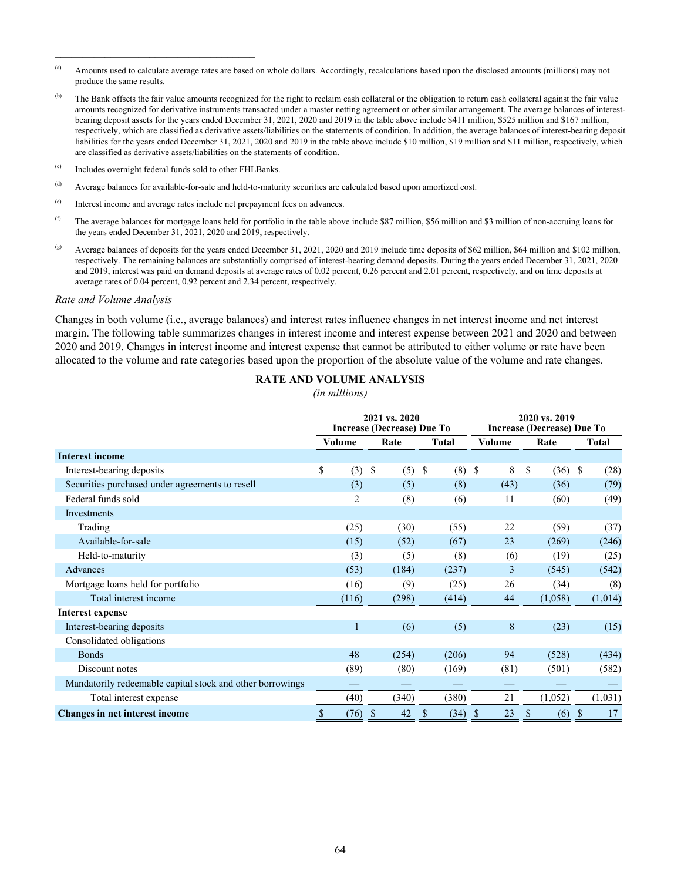- (a) Amounts used to calculate average rates are based on whole dollars. Accordingly, recalculations based upon the disclosed amounts (millions) may not produce the same results.
- <sup>(b)</sup> The Bank offsets the fair value amounts recognized for the right to reclaim cash collateral or the obligation to return cash collateral against the fair value amounts recognized for derivative instruments transacted under a master netting agreement or other similar arrangement. The average balances of interestbearing deposit assets for the years ended December 31, 2021, 2020 and 2019 in the table above include \$411 million, \$525 million and \$167 million, respectively, which are classified as derivative assets/liabilities on the statements of condition. In addition, the average balances of interest-bearing deposit liabilities for the years ended December 31, 2021, 2020 and 2019 in the table above include \$10 million, \$19 million and \$11 million, respectively, which are classified as derivative assets/liabilities on the statements of condition.
- (c) Includes overnight federal funds sold to other FHLBanks.

 $\mathcal{L}_\text{max}$  and  $\mathcal{L}_\text{max}$  and  $\mathcal{L}_\text{max}$  and  $\mathcal{L}_\text{max}$ 

- (d) Average balances for available-for-sale and held-to-maturity securities are calculated based upon amortized cost.
- (e) Interest income and average rates include net prepayment fees on advances.
- (f) The average balances for mortgage loans held for portfolio in the table above include \$87 million, \$56 million and \$3 million of non-accruing loans for the years ended December 31, 2021, 2020 and 2019, respectively.
- (g) Average balances of deposits for the years ended December 31, 2021, 2020 and 2019 include time deposits of \$62 million, \$64 million and \$102 million, respectively. The remaining balances are substantially comprised of interest-bearing demand deposits. During the years ended December 31, 2021, 2020 and 2019, interest was paid on demand deposits at average rates of 0.02 percent, 0.26 percent and 2.01 percent, respectively, and on time deposits at average rates of 0.04 percent, 0.92 percent and 2.34 percent, respectively.

#### *Rate and Volume Analysis*

Changes in both volume (i.e., average balances) and interest rates influence changes in net interest income and net interest margin. The following table summarizes changes in interest income and interest expense between 2021 and 2020 and between 2020 and 2019. Changes in interest income and interest expense that cannot be attributed to either volume or rate have been allocated to the volume and rate categories based upon the proportion of the absolute value of the volume and rate changes.

#### **RATE AND VOLUME ANALYSIS**

*(in millions)*

|                                                           |        |       |                    | 2021 vs. 2020<br><b>Increase (Decrease) Due To</b> |    |              |               | 2020 vs. 2019<br><b>Increase (Decrease) Due To</b> |      |         |               |         |  |
|-----------------------------------------------------------|--------|-------|--------------------|----------------------------------------------------|----|--------------|---------------|----------------------------------------------------|------|---------|---------------|---------|--|
|                                                           | Volume |       |                    | Rate                                               |    | <b>Total</b> | Volume        |                                                    | Rate |         | <b>Total</b>  |         |  |
| <b>Interest income</b>                                    |        |       |                    |                                                    |    |              |               |                                                    |      |         |               |         |  |
| Interest-bearing deposits                                 | \$     | (3)   | $\mathcal{S}$      | (5)                                                | \$ | (8)          | \$            | 8                                                  | \$   | (36)    | <sup>\$</sup> | (28)    |  |
| Securities purchased under agreements to resell           |        | (3)   |                    | (5)                                                |    | (8)          |               | (43)                                               |      | (36)    |               | (79)    |  |
| Federal funds sold                                        |        | 2     |                    | (8)                                                |    | (6)          |               | 11                                                 |      | (60)    |               | (49)    |  |
| Investments                                               |        |       |                    |                                                    |    |              |               |                                                    |      |         |               |         |  |
| Trading                                                   |        | (25)  |                    | (30)                                               |    | (55)         |               | 22                                                 |      | (59)    |               | (37)    |  |
| Available-for-sale                                        |        | (15)  |                    | (52)                                               |    | (67)         |               | 23                                                 |      | (269)   |               | (246)   |  |
| Held-to-maturity                                          |        | (3)   |                    | (5)                                                |    | (8)          |               | (6)                                                |      | (19)    |               | (25)    |  |
| Advances                                                  |        | (53)  |                    | (184)                                              |    | (237)        |               | 3                                                  |      | (545)   |               | (542)   |  |
| Mortgage loans held for portfolio                         |        | (16)  |                    | (9)                                                |    | (25)         |               | 26                                                 |      | (34)    |               | (8)     |  |
| Total interest income                                     |        | (116) |                    | (298)                                              |    | (414)        |               | 44                                                 |      | (1,058) |               | (1,014) |  |
| Interest expense                                          |        |       |                    |                                                    |    |              |               |                                                    |      |         |               |         |  |
| Interest-bearing deposits                                 |        |       |                    | (6)                                                |    | (5)          |               | 8                                                  |      | (23)    |               | (15)    |  |
| Consolidated obligations                                  |        |       |                    |                                                    |    |              |               |                                                    |      |         |               |         |  |
| <b>Bonds</b>                                              |        | 48    |                    | (254)                                              |    | (206)        |               | 94                                                 |      | (528)   |               | (434)   |  |
| Discount notes                                            |        | (89)  |                    | (80)                                               |    | (169)        |               | (81)                                               |      | (501)   |               | (582)   |  |
| Mandatorily redeemable capital stock and other borrowings |        |       |                    |                                                    |    |              |               |                                                    |      |         |               |         |  |
| Total interest expense                                    |        | (40)  |                    | (340)                                              |    | (380)        |               | 21                                                 |      | (1,052) |               | (1,031) |  |
| <b>Changes in net interest income</b>                     | \$     | (76)  | $\mathbf{\hat{s}}$ | 42                                                 | \$ | (34)         | <sup>\$</sup> | 23                                                 | \$   | (6)     | $\mathcal{S}$ | 17      |  |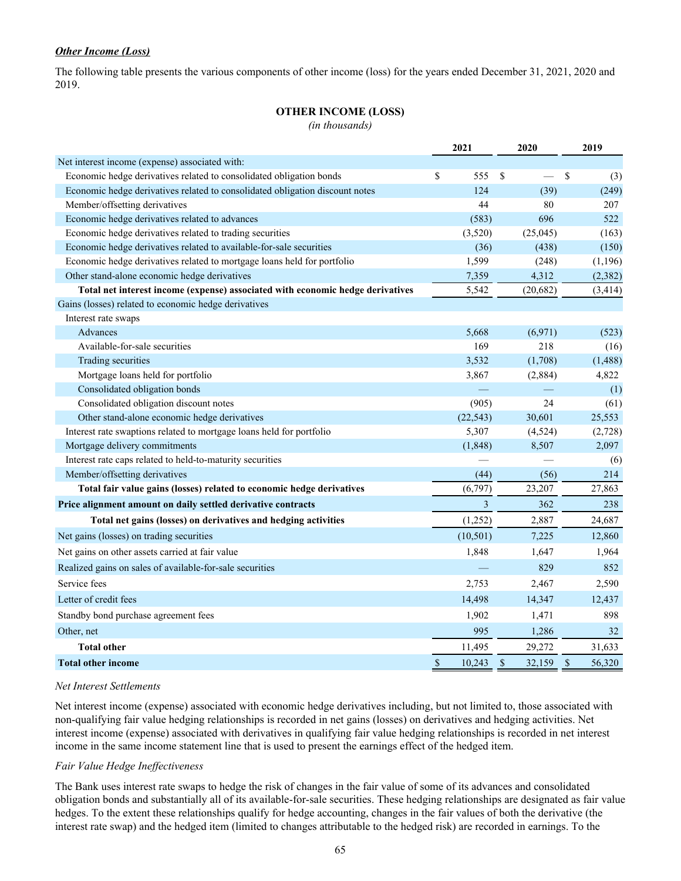# *Other Income (Loss)*

The following table presents the various components of other income (loss) for the years ended December 31, 2021, 2020 and 2019.

# **OTHER INCOME (LOSS)**

*(in thousands)*

|                                                                                | 2021           | 2020           | 2019                   |
|--------------------------------------------------------------------------------|----------------|----------------|------------------------|
| Net interest income (expense) associated with:                                 |                |                |                        |
| Economic hedge derivatives related to consolidated obligation bonds            | \$<br>555      | $\mathbf S$    | \$<br>(3)              |
| Economic hedge derivatives related to consolidated obligation discount notes   | 124            | (39)           | (249)                  |
| Member/offsetting derivatives                                                  | 44             | 80             | 207                    |
| Economic hedge derivatives related to advances                                 | (583)          | 696            | 522                    |
| Economic hedge derivatives related to trading securities                       | (3,520)        | (25,045)       | (163)                  |
| Economic hedge derivatives related to available-for-sale securities            | (36)           | (438)          | (150)                  |
| Economic hedge derivatives related to mortgage loans held for portfolio        | 1,599          | (248)          | (1, 196)               |
| Other stand-alone economic hedge derivatives                                   | 7,359          | 4,312          | (2, 382)               |
| Total net interest income (expense) associated with economic hedge derivatives | 5,542          | (20, 682)      | (3, 414)               |
| Gains (losses) related to economic hedge derivatives                           |                |                |                        |
| Interest rate swaps                                                            |                |                |                        |
| Advances                                                                       | 5,668          | (6,971)        | (523)                  |
| Available-for-sale securities                                                  | 169            | 218            | (16)                   |
| Trading securities                                                             | 3,532          | (1,708)        | (1, 488)               |
| Mortgage loans held for portfolio                                              | 3,867          | (2,884)        | 4,822                  |
| Consolidated obligation bonds                                                  |                |                | (1)                    |
| Consolidated obligation discount notes                                         | (905)          | 24             | (61)                   |
| Other stand-alone economic hedge derivatives                                   | (22, 543)      | 30,601         | 25,553                 |
| Interest rate swaptions related to mortgage loans held for portfolio           | 5,307          | (4, 524)       | (2,728)                |
| Mortgage delivery commitments                                                  | (1, 848)       | 8,507          | 2,097                  |
| Interest rate caps related to held-to-maturity securities                      |                |                | (6)                    |
| Member/offsetting derivatives                                                  | (44)           | (56)           | 214                    |
| Total fair value gains (losses) related to economic hedge derivatives          | (6,797)        | 23,207         | 27,863                 |
| Price alignment amount on daily settled derivative contracts                   | 3              | 362            | 238                    |
| Total net gains (losses) on derivatives and hedging activities                 | (1,252)        | 2,887          | 24,687                 |
| Net gains (losses) on trading securities                                       | (10, 501)      | 7,225          | 12,860                 |
| Net gains on other assets carried at fair value                                | 1,848          | 1,647          | 1,964                  |
| Realized gains on sales of available-for-sale securities                       |                | 829            | 852                    |
| Service fees                                                                   | 2,753          | 2,467          | 2,590                  |
| Letter of credit fees                                                          | 14,498         | 14,347         | 12,437                 |
| Standby bond purchase agreement fees                                           | 1,902          | 1,471          | 898                    |
| Other, net                                                                     | 995            | 1,286          | 32                     |
| <b>Total other</b>                                                             | 11,495         | 29,272         | 31,633                 |
| <b>Total other income</b>                                                      | $\$$<br>10,243 | $\$$<br>32,159 | $\mathbb{S}$<br>56,320 |

# *Net Interest Settlements*

Net interest income (expense) associated with economic hedge derivatives including, but not limited to, those associated with non-qualifying fair value hedging relationships is recorded in net gains (losses) on derivatives and hedging activities. Net interest income (expense) associated with derivatives in qualifying fair value hedging relationships is recorded in net interest income in the same income statement line that is used to present the earnings effect of the hedged item.

# *Fair Value Hedge Ineffectiveness*

The Bank uses interest rate swaps to hedge the risk of changes in the fair value of some of its advances and consolidated obligation bonds and substantially all of its available-for-sale securities. These hedging relationships are designated as fair value hedges. To the extent these relationships qualify for hedge accounting, changes in the fair values of both the derivative (the interest rate swap) and the hedged item (limited to changes attributable to the hedged risk) are recorded in earnings. To the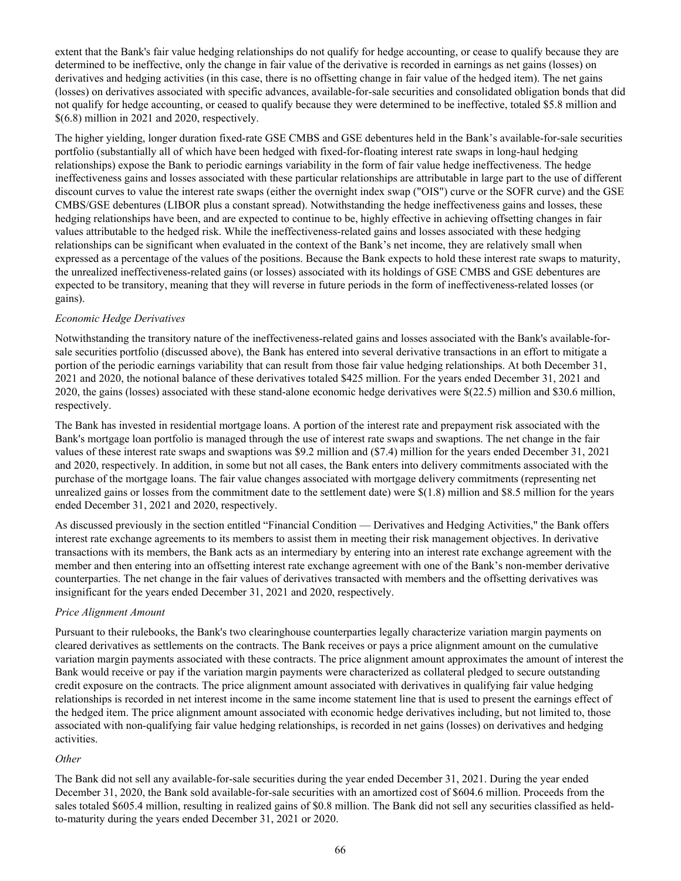extent that the Bank's fair value hedging relationships do not qualify for hedge accounting, or cease to qualify because they are determined to be ineffective, only the change in fair value of the derivative is recorded in earnings as net gains (losses) on derivatives and hedging activities (in this case, there is no offsetting change in fair value of the hedged item). The net gains (losses) on derivatives associated with specific advances, available-for-sale securities and consolidated obligation bonds that did not qualify for hedge accounting, or ceased to qualify because they were determined to be ineffective, totaled \$5.8 million and \$(6.8) million in 2021 and 2020, respectively.

The higher yielding, longer duration fixed-rate GSE CMBS and GSE debentures held in the Bank's available-for-sale securities portfolio (substantially all of which have been hedged with fixed-for-floating interest rate swaps in long-haul hedging relationships) expose the Bank to periodic earnings variability in the form of fair value hedge ineffectiveness. The hedge ineffectiveness gains and losses associated with these particular relationships are attributable in large part to the use of different discount curves to value the interest rate swaps (either the overnight index swap ("OIS") curve or the SOFR curve) and the GSE CMBS/GSE debentures (LIBOR plus a constant spread). Notwithstanding the hedge ineffectiveness gains and losses, these hedging relationships have been, and are expected to continue to be, highly effective in achieving offsetting changes in fair values attributable to the hedged risk. While the ineffectiveness-related gains and losses associated with these hedging relationships can be significant when evaluated in the context of the Bank's net income, they are relatively small when expressed as a percentage of the values of the positions. Because the Bank expects to hold these interest rate swaps to maturity, the unrealized ineffectiveness-related gains (or losses) associated with its holdings of GSE CMBS and GSE debentures are expected to be transitory, meaning that they will reverse in future periods in the form of ineffectiveness-related losses (or gains).

# *Economic Hedge Derivatives*

Notwithstanding the transitory nature of the ineffectiveness-related gains and losses associated with the Bank's available-forsale securities portfolio (discussed above), the Bank has entered into several derivative transactions in an effort to mitigate a portion of the periodic earnings variability that can result from those fair value hedging relationships. At both December 31, 2021 and 2020, the notional balance of these derivatives totaled \$425 million. For the years ended December 31, 2021 and 2020, the gains (losses) associated with these stand-alone economic hedge derivatives were \$(22.5) million and \$30.6 million, respectively.

The Bank has invested in residential mortgage loans. A portion of the interest rate and prepayment risk associated with the Bank's mortgage loan portfolio is managed through the use of interest rate swaps and swaptions. The net change in the fair values of these interest rate swaps and swaptions was \$9.2 million and (\$7.4) million for the years ended December 31, 2021 and 2020, respectively. In addition, in some but not all cases, the Bank enters into delivery commitments associated with the purchase of the mortgage loans. The fair value changes associated with mortgage delivery commitments (representing net unrealized gains or losses from the commitment date to the settlement date) were  $\frac{1}{8}(1.8)$  million and \$8.5 million for the years ended December 31, 2021 and 2020, respectively.

As discussed previously in the section entitled "Financial Condition — Derivatives and Hedging Activities," the Bank offers interest rate exchange agreements to its members to assist them in meeting their risk management objectives. In derivative transactions with its members, the Bank acts as an intermediary by entering into an interest rate exchange agreement with the member and then entering into an offsetting interest rate exchange agreement with one of the Bank's non-member derivative counterparties. The net change in the fair values of derivatives transacted with members and the offsetting derivatives was insignificant for the years ended December 31, 2021 and 2020, respectively.

# *Price Alignment Amount*

Pursuant to their rulebooks, the Bank's two clearinghouse counterparties legally characterize variation margin payments on cleared derivatives as settlements on the contracts. The Bank receives or pays a price alignment amount on the cumulative variation margin payments associated with these contracts. The price alignment amount approximates the amount of interest the Bank would receive or pay if the variation margin payments were characterized as collateral pledged to secure outstanding credit exposure on the contracts. The price alignment amount associated with derivatives in qualifying fair value hedging relationships is recorded in net interest income in the same income statement line that is used to present the earnings effect of the hedged item. The price alignment amount associated with economic hedge derivatives including, but not limited to, those associated with non-qualifying fair value hedging relationships, is recorded in net gains (losses) on derivatives and hedging activities.

#### *Other*

The Bank did not sell any available-for-sale securities during the year ended December 31, 2021. During the year ended December 31, 2020, the Bank sold available-for-sale securities with an amortized cost of \$604.6 million. Proceeds from the sales totaled \$605.4 million, resulting in realized gains of \$0.8 million. The Bank did not sell any securities classified as heldto-maturity during the years ended December 31, 2021 or 2020.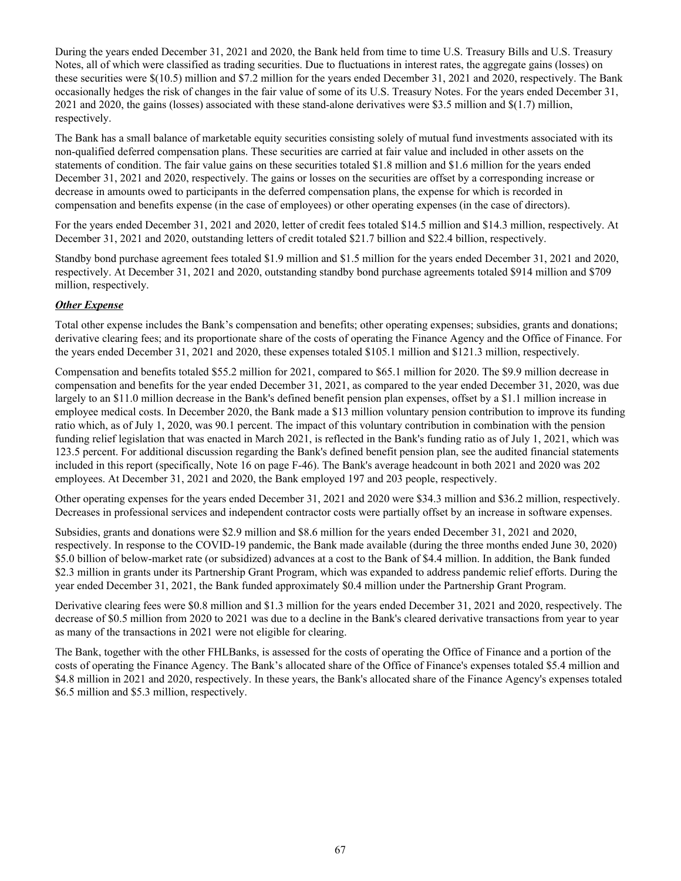During the years ended December 31, 2021 and 2020, the Bank held from time to time U.S. Treasury Bills and U.S. Treasury Notes, all of which were classified as trading securities. Due to fluctuations in interest rates, the aggregate gains (losses) on these securities were \$(10.5) million and \$7.2 million for the years ended December 31, 2021 and 2020, respectively. The Bank occasionally hedges the risk of changes in the fair value of some of its U.S. Treasury Notes. For the years ended December 31, 2021 and 2020, the gains (losses) associated with these stand-alone derivatives were \$3.5 million and \$(1.7) million, respectively.

The Bank has a small balance of marketable equity securities consisting solely of mutual fund investments associated with its non-qualified deferred compensation plans. These securities are carried at fair value and included in other assets on the statements of condition. The fair value gains on these securities totaled \$1.8 million and \$1.6 million for the years ended December 31, 2021 and 2020, respectively. The gains or losses on the securities are offset by a corresponding increase or decrease in amounts owed to participants in the deferred compensation plans, the expense for which is recorded in compensation and benefits expense (in the case of employees) or other operating expenses (in the case of directors).

For the years ended December 31, 2021 and 2020, letter of credit fees totaled \$14.5 million and \$14.3 million, respectively. At December 31, 2021 and 2020, outstanding letters of credit totaled \$21.7 billion and \$22.4 billion, respectively.

Standby bond purchase agreement fees totaled \$1.9 million and \$1.5 million for the years ended December 31, 2021 and 2020, respectively. At December 31, 2021 and 2020, outstanding standby bond purchase agreements totaled \$914 million and \$709 million, respectively.

# *Other Expense*

Total other expense includes the Bank's compensation and benefits; other operating expenses; subsidies, grants and donations; derivative clearing fees; and its proportionate share of the costs of operating the Finance Agency and the Office of Finance. For the years ended December 31, 2021 and 2020, these expenses totaled \$105.1 million and \$121.3 million, respectively.

Compensation and benefits totaled \$55.2 million for 2021, compared to \$65.1 million for 2020. The \$9.9 million decrease in compensation and benefits for the year ended December 31, 2021, as compared to the year ended December 31, 2020, was due largely to an \$11.0 million decrease in the Bank's defined benefit pension plan expenses, offset by a \$1.1 million increase in employee medical costs. In December 2020, the Bank made a \$13 million voluntary pension contribution to improve its funding ratio which, as of July 1, 2020, was 90.1 percent. The impact of this voluntary contribution in combination with the pension funding relief legislation that was enacted in March 2021, is reflected in the Bank's funding ratio as of July 1, 2021, which was 123.5 percent. For additional discussion regarding the Bank's defined benefit pension plan, see the audited financial statements included in this report (specifically, Note 16 on page F-46). The Bank's average headcount in both 2021 and 2020 was 202 employees. At December 31, 2021 and 2020, the Bank employed 197 and 203 people, respectively.

Other operating expenses for the years ended December 31, 2021 and 2020 were \$34.3 million and \$36.2 million, respectively. Decreases in professional services and independent contractor costs were partially offset by an increase in software expenses.

Subsidies, grants and donations were \$2.9 million and \$8.6 million for the years ended December 31, 2021 and 2020, respectively. In response to the COVID-19 pandemic, the Bank made available (during the three months ended June 30, 2020) \$5.0 billion of below-market rate (or subsidized) advances at a cost to the Bank of \$4.4 million. In addition, the Bank funded \$2.3 million in grants under its Partnership Grant Program, which was expanded to address pandemic relief efforts. During the year ended December 31, 2021, the Bank funded approximately \$0.4 million under the Partnership Grant Program.

Derivative clearing fees were \$0.8 million and \$1.3 million for the years ended December 31, 2021 and 2020, respectively. The decrease of \$0.5 million from 2020 to 2021 was due to a decline in the Bank's cleared derivative transactions from year to year as many of the transactions in 2021 were not eligible for clearing.

The Bank, together with the other FHLBanks, is assessed for the costs of operating the Office of Finance and a portion of the costs of operating the Finance Agency. The Bank's allocated share of the Office of Finance's expenses totaled \$5.4 million and \$4.8 million in 2021 and 2020, respectively. In these years, the Bank's allocated share of the Finance Agency's expenses totaled \$6.5 million and \$5.3 million, respectively.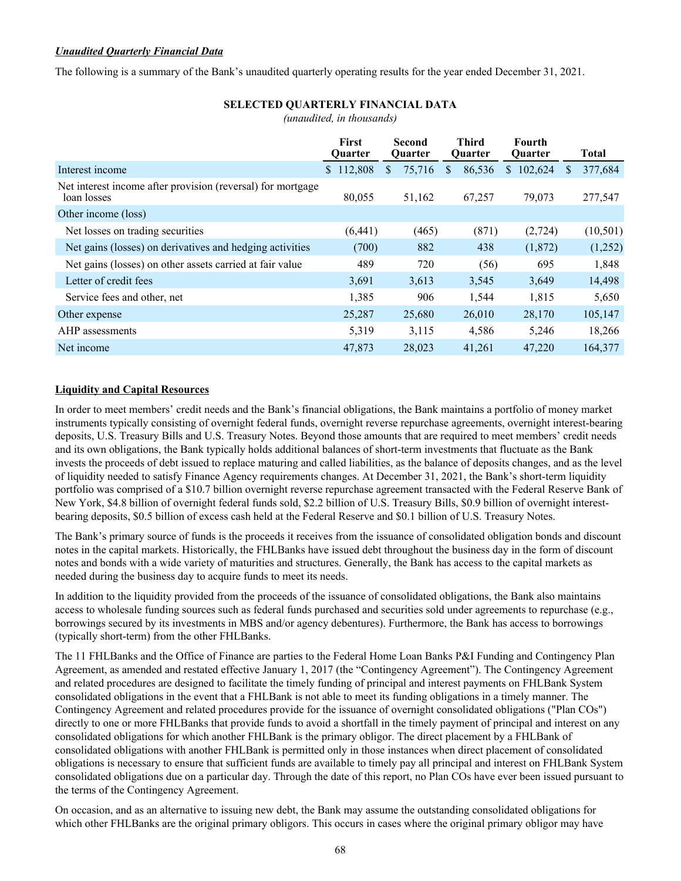# *Unaudited Quarterly Financial Data*

The following is a summary of the Bank's unaudited quarterly operating results for the year ended December 31, 2021.

# **SELECTED QUARTERLY FINANCIAL DATA**

*(unaudited, in thousands)*

|                                                                            | <b>First</b><br><b>Ouarter</b> | <b>Second</b><br><b>Ouarter</b> | Third<br><b>Ouarter</b> | <b>Fourth</b><br><b>Ouarter</b> | <b>Total</b>            |
|----------------------------------------------------------------------------|--------------------------------|---------------------------------|-------------------------|---------------------------------|-------------------------|
| Interest income                                                            | 112,808<br><sup>S</sup>        | 75,716<br>S                     | 86,536<br>S             | 102,624<br>S.                   | 377,684<br><sup>S</sup> |
| Net interest income after provision (reversal) for mortgage<br>loan losses | 80,055                         | 51,162                          | 67,257                  | 79,073                          | 277,547                 |
| Other income (loss)                                                        |                                |                                 |                         |                                 |                         |
| Net losses on trading securities                                           | (6, 441)                       | (465)                           | (871)                   | (2, 724)                        | (10, 501)               |
| Net gains (losses) on derivatives and hedging activities                   | (700)                          | 882                             | 438                     | (1,872)                         | (1,252)                 |
| Net gains (losses) on other assets carried at fair value                   | 489                            | 720                             | (56)                    | 695                             | 1,848                   |
| Letter of credit fees                                                      | 3,691                          | 3,613                           | 3,545                   | 3,649                           | 14,498                  |
| Service fees and other, net                                                | 1,385                          | 906                             | 1,544                   | 1,815                           | 5,650                   |
| Other expense                                                              | 25,287                         | 25,680                          | 26,010                  | 28,170                          | 105,147                 |
| AHP assessments                                                            | 5,319                          | 3,115                           | 4,586                   | 5,246                           | 18,266                  |
| Net income                                                                 | 47,873                         | 28,023                          | 41.261                  | 47.220                          | 164,377                 |

# **Liquidity and Capital Resources**

In order to meet members' credit needs and the Bank's financial obligations, the Bank maintains a portfolio of money market instruments typically consisting of overnight federal funds, overnight reverse repurchase agreements, overnight interest-bearing deposits, U.S. Treasury Bills and U.S. Treasury Notes. Beyond those amounts that are required to meet members' credit needs and its own obligations, the Bank typically holds additional balances of short-term investments that fluctuate as the Bank invests the proceeds of debt issued to replace maturing and called liabilities, as the balance of deposits changes, and as the level of liquidity needed to satisfy Finance Agency requirements changes. At December 31, 2021, the Bank's short-term liquidity portfolio was comprised of a \$10.7 billion overnight reverse repurchase agreement transacted with the Federal Reserve Bank of New York, \$4.8 billion of overnight federal funds sold, \$2.2 billion of U.S. Treasury Bills, \$0.9 billion of overnight interestbearing deposits, \$0.5 billion of excess cash held at the Federal Reserve and \$0.1 billion of U.S. Treasury Notes.

The Bank's primary source of funds is the proceeds it receives from the issuance of consolidated obligation bonds and discount notes in the capital markets. Historically, the FHLBanks have issued debt throughout the business day in the form of discount notes and bonds with a wide variety of maturities and structures. Generally, the Bank has access to the capital markets as needed during the business day to acquire funds to meet its needs.

In addition to the liquidity provided from the proceeds of the issuance of consolidated obligations, the Bank also maintains access to wholesale funding sources such as federal funds purchased and securities sold under agreements to repurchase (e.g., borrowings secured by its investments in MBS and/or agency debentures). Furthermore, the Bank has access to borrowings (typically short-term) from the other FHLBanks.

The 11 FHLBanks and the Office of Finance are parties to the Federal Home Loan Banks P&I Funding and Contingency Plan Agreement, as amended and restated effective January 1, 2017 (the "Contingency Agreement"). The Contingency Agreement and related procedures are designed to facilitate the timely funding of principal and interest payments on FHLBank System consolidated obligations in the event that a FHLBank is not able to meet its funding obligations in a timely manner. The Contingency Agreement and related procedures provide for the issuance of overnight consolidated obligations ("Plan COs") directly to one or more FHLBanks that provide funds to avoid a shortfall in the timely payment of principal and interest on any consolidated obligations for which another FHLBank is the primary obligor. The direct placement by a FHLBank of consolidated obligations with another FHLBank is permitted only in those instances when direct placement of consolidated obligations is necessary to ensure that sufficient funds are available to timely pay all principal and interest on FHLBank System consolidated obligations due on a particular day. Through the date of this report, no Plan COs have ever been issued pursuant to the terms of the Contingency Agreement.

On occasion, and as an alternative to issuing new debt, the Bank may assume the outstanding consolidated obligations for which other FHLBanks are the original primary obligors. This occurs in cases where the original primary obligor may have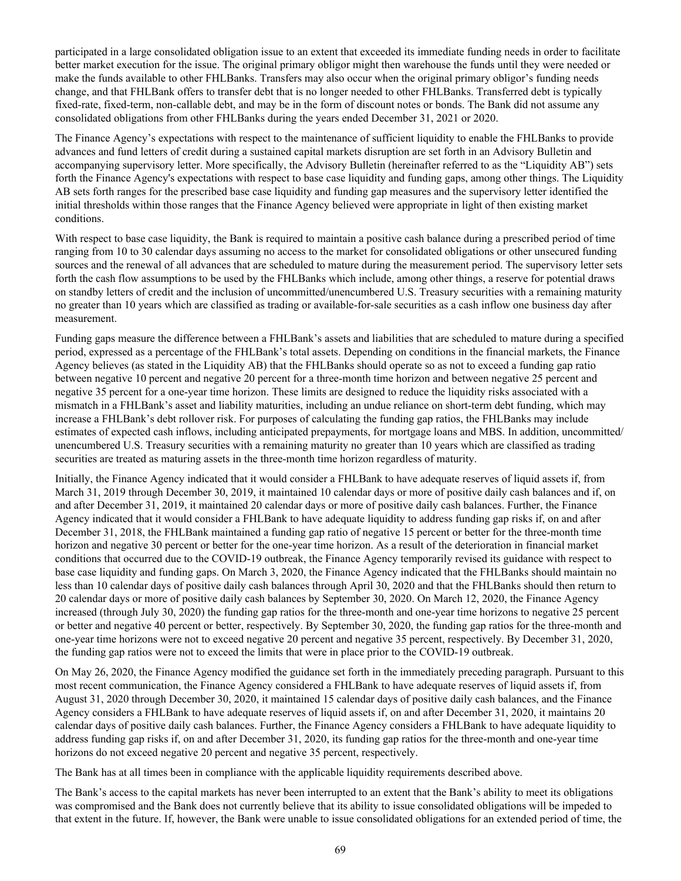participated in a large consolidated obligation issue to an extent that exceeded its immediate funding needs in order to facilitate better market execution for the issue. The original primary obligor might then warehouse the funds until they were needed or make the funds available to other FHLBanks. Transfers may also occur when the original primary obligor's funding needs change, and that FHLBank offers to transfer debt that is no longer needed to other FHLBanks. Transferred debt is typically fixed-rate, fixed-term, non-callable debt, and may be in the form of discount notes or bonds. The Bank did not assume any consolidated obligations from other FHLBanks during the years ended December 31, 2021 or 2020.

The Finance Agency's expectations with respect to the maintenance of sufficient liquidity to enable the FHLBanks to provide advances and fund letters of credit during a sustained capital markets disruption are set forth in an Advisory Bulletin and accompanying supervisory letter. More specifically, the Advisory Bulletin (hereinafter referred to as the "Liquidity AB") sets forth the Finance Agency's expectations with respect to base case liquidity and funding gaps, among other things. The Liquidity AB sets forth ranges for the prescribed base case liquidity and funding gap measures and the supervisory letter identified the initial thresholds within those ranges that the Finance Agency believed were appropriate in light of then existing market conditions.

With respect to base case liquidity, the Bank is required to maintain a positive cash balance during a prescribed period of time ranging from 10 to 30 calendar days assuming no access to the market for consolidated obligations or other unsecured funding sources and the renewal of all advances that are scheduled to mature during the measurement period. The supervisory letter sets forth the cash flow assumptions to be used by the FHLBanks which include, among other things, a reserve for potential draws on standby letters of credit and the inclusion of uncommitted/unencumbered U.S. Treasury securities with a remaining maturity no greater than 10 years which are classified as trading or available-for-sale securities as a cash inflow one business day after measurement.

Funding gaps measure the difference between a FHLBank's assets and liabilities that are scheduled to mature during a specified period, expressed as a percentage of the FHLBank's total assets. Depending on conditions in the financial markets, the Finance Agency believes (as stated in the Liquidity AB) that the FHLBanks should operate so as not to exceed a funding gap ratio between negative 10 percent and negative 20 percent for a three-month time horizon and between negative 25 percent and negative 35 percent for a one-year time horizon. These limits are designed to reduce the liquidity risks associated with a mismatch in a FHLBank's asset and liability maturities, including an undue reliance on short-term debt funding, which may increase a FHLBank's debt rollover risk. For purposes of calculating the funding gap ratios, the FHLBanks may include estimates of expected cash inflows, including anticipated prepayments, for mortgage loans and MBS. In addition, uncommitted/ unencumbered U.S. Treasury securities with a remaining maturity no greater than 10 years which are classified as trading securities are treated as maturing assets in the three-month time horizon regardless of maturity.

Initially, the Finance Agency indicated that it would consider a FHLBank to have adequate reserves of liquid assets if, from March 31, 2019 through December 30, 2019, it maintained 10 calendar days or more of positive daily cash balances and if, on and after December 31, 2019, it maintained 20 calendar days or more of positive daily cash balances. Further, the Finance Agency indicated that it would consider a FHLBank to have adequate liquidity to address funding gap risks if, on and after December 31, 2018, the FHLBank maintained a funding gap ratio of negative 15 percent or better for the three-month time horizon and negative 30 percent or better for the one-year time horizon. As a result of the deterioration in financial market conditions that occurred due to the COVID-19 outbreak, the Finance Agency temporarily revised its guidance with respect to base case liquidity and funding gaps. On March 3, 2020, the Finance Agency indicated that the FHLBanks should maintain no less than 10 calendar days of positive daily cash balances through April 30, 2020 and that the FHLBanks should then return to 20 calendar days or more of positive daily cash balances by September 30, 2020. On March 12, 2020, the Finance Agency increased (through July 30, 2020) the funding gap ratios for the three-month and one-year time horizons to negative 25 percent or better and negative 40 percent or better, respectively. By September 30, 2020, the funding gap ratios for the three-month and one-year time horizons were not to exceed negative 20 percent and negative 35 percent, respectively. By December 31, 2020, the funding gap ratios were not to exceed the limits that were in place prior to the COVID-19 outbreak.

On May 26, 2020, the Finance Agency modified the guidance set forth in the immediately preceding paragraph. Pursuant to this most recent communication, the Finance Agency considered a FHLBank to have adequate reserves of liquid assets if, from August 31, 2020 through December 30, 2020, it maintained 15 calendar days of positive daily cash balances, and the Finance Agency considers a FHLBank to have adequate reserves of liquid assets if, on and after December 31, 2020, it maintains 20 calendar days of positive daily cash balances. Further, the Finance Agency considers a FHLBank to have adequate liquidity to address funding gap risks if, on and after December 31, 2020, its funding gap ratios for the three-month and one-year time horizons do not exceed negative 20 percent and negative 35 percent, respectively.

The Bank has at all times been in compliance with the applicable liquidity requirements described above.

The Bank's access to the capital markets has never been interrupted to an extent that the Bank's ability to meet its obligations was compromised and the Bank does not currently believe that its ability to issue consolidated obligations will be impeded to that extent in the future. If, however, the Bank were unable to issue consolidated obligations for an extended period of time, the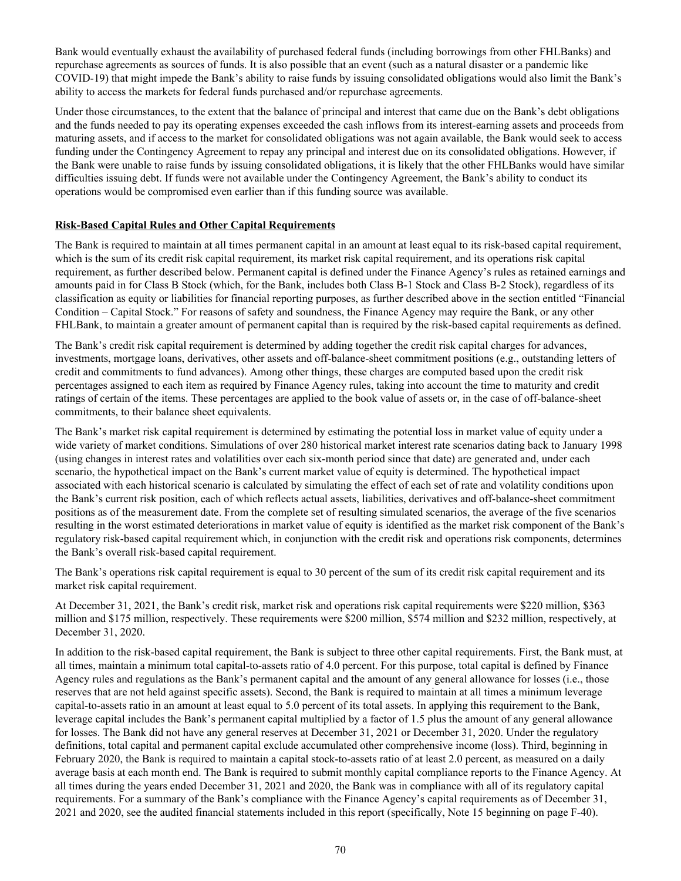Bank would eventually exhaust the availability of purchased federal funds (including borrowings from other FHLBanks) and repurchase agreements as sources of funds. It is also possible that an event (such as a natural disaster or a pandemic like COVID-19) that might impede the Bank's ability to raise funds by issuing consolidated obligations would also limit the Bank's ability to access the markets for federal funds purchased and/or repurchase agreements.

Under those circumstances, to the extent that the balance of principal and interest that came due on the Bank's debt obligations and the funds needed to pay its operating expenses exceeded the cash inflows from its interest-earning assets and proceeds from maturing assets, and if access to the market for consolidated obligations was not again available, the Bank would seek to access funding under the Contingency Agreement to repay any principal and interest due on its consolidated obligations. However, if the Bank were unable to raise funds by issuing consolidated obligations, it is likely that the other FHLBanks would have similar difficulties issuing debt. If funds were not available under the Contingency Agreement, the Bank's ability to conduct its operations would be compromised even earlier than if this funding source was available.

# **Risk-Based Capital Rules and Other Capital Requirements**

The Bank is required to maintain at all times permanent capital in an amount at least equal to its risk-based capital requirement, which is the sum of its credit risk capital requirement, its market risk capital requirement, and its operations risk capital requirement, as further described below. Permanent capital is defined under the Finance Agency's rules as retained earnings and amounts paid in for Class B Stock (which, for the Bank, includes both Class B-1 Stock and Class B-2 Stock), regardless of its classification as equity or liabilities for financial reporting purposes, as further described above in the section entitled "Financial Condition – Capital Stock." For reasons of safety and soundness, the Finance Agency may require the Bank, or any other FHLBank, to maintain a greater amount of permanent capital than is required by the risk-based capital requirements as defined.

The Bank's credit risk capital requirement is determined by adding together the credit risk capital charges for advances, investments, mortgage loans, derivatives, other assets and off-balance-sheet commitment positions (e.g., outstanding letters of credit and commitments to fund advances). Among other things, these charges are computed based upon the credit risk percentages assigned to each item as required by Finance Agency rules, taking into account the time to maturity and credit ratings of certain of the items. These percentages are applied to the book value of assets or, in the case of off-balance-sheet commitments, to their balance sheet equivalents.

The Bank's market risk capital requirement is determined by estimating the potential loss in market value of equity under a wide variety of market conditions. Simulations of over 280 historical market interest rate scenarios dating back to January 1998 (using changes in interest rates and volatilities over each six-month period since that date) are generated and, under each scenario, the hypothetical impact on the Bank's current market value of equity is determined. The hypothetical impact associated with each historical scenario is calculated by simulating the effect of each set of rate and volatility conditions upon the Bank's current risk position, each of which reflects actual assets, liabilities, derivatives and off-balance-sheet commitment positions as of the measurement date. From the complete set of resulting simulated scenarios, the average of the five scenarios resulting in the worst estimated deteriorations in market value of equity is identified as the market risk component of the Bank's regulatory risk-based capital requirement which, in conjunction with the credit risk and operations risk components, determines the Bank's overall risk-based capital requirement.

The Bank's operations risk capital requirement is equal to 30 percent of the sum of its credit risk capital requirement and its market risk capital requirement.

At December 31, 2021, the Bank's credit risk, market risk and operations risk capital requirements were \$220 million, \$363 million and \$175 million, respectively. These requirements were \$200 million, \$574 million and \$232 million, respectively, at December 31, 2020.

In addition to the risk-based capital requirement, the Bank is subject to three other capital requirements. First, the Bank must, at all times, maintain a minimum total capital-to-assets ratio of 4.0 percent. For this purpose, total capital is defined by Finance Agency rules and regulations as the Bank's permanent capital and the amount of any general allowance for losses (i.e., those reserves that are not held against specific assets). Second, the Bank is required to maintain at all times a minimum leverage capital-to-assets ratio in an amount at least equal to 5.0 percent of its total assets. In applying this requirement to the Bank, leverage capital includes the Bank's permanent capital multiplied by a factor of 1.5 plus the amount of any general allowance for losses. The Bank did not have any general reserves at December 31, 2021 or December 31, 2020. Under the regulatory definitions, total capital and permanent capital exclude accumulated other comprehensive income (loss). Third, beginning in February 2020, the Bank is required to maintain a capital stock-to-assets ratio of at least 2.0 percent, as measured on a daily average basis at each month end. The Bank is required to submit monthly capital compliance reports to the Finance Agency. At all times during the years ended December 31, 2021 and 2020, the Bank was in compliance with all of its regulatory capital requirements. For a summary of the Bank's compliance with the Finance Agency's capital requirements as of December 31, 2021 and 2020, see the audited financial statements included in this report (specifically, Note 15 beginning on page F-40).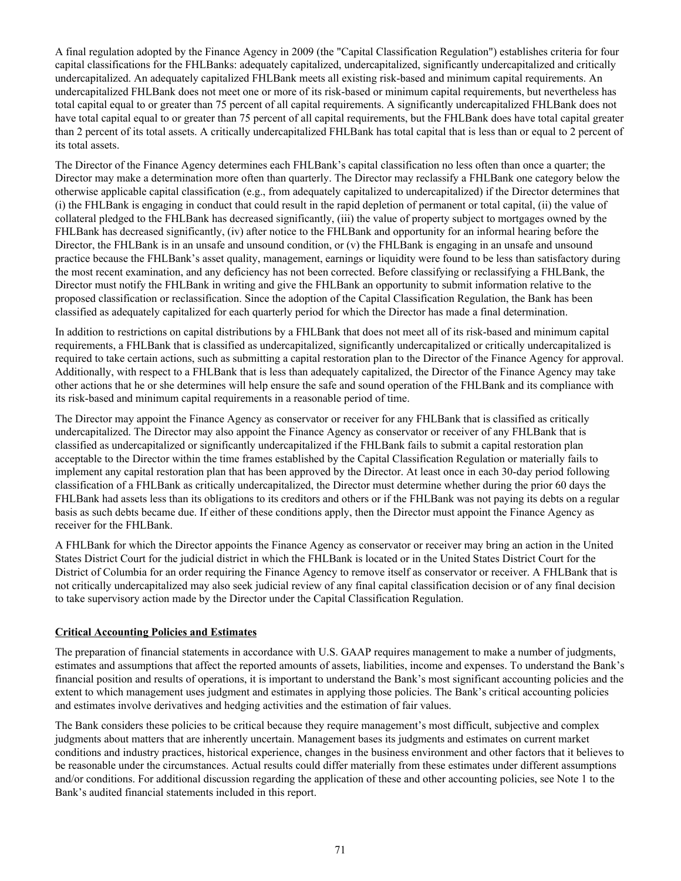A final regulation adopted by the Finance Agency in 2009 (the "Capital Classification Regulation") establishes criteria for four capital classifications for the FHLBanks: adequately capitalized, undercapitalized, significantly undercapitalized and critically undercapitalized. An adequately capitalized FHLBank meets all existing risk-based and minimum capital requirements. An undercapitalized FHLBank does not meet one or more of its risk-based or minimum capital requirements, but nevertheless has total capital equal to or greater than 75 percent of all capital requirements. A significantly undercapitalized FHLBank does not have total capital equal to or greater than 75 percent of all capital requirements, but the FHLBank does have total capital greater than 2 percent of its total assets. A critically undercapitalized FHLBank has total capital that is less than or equal to 2 percent of its total assets.

The Director of the Finance Agency determines each FHLBank's capital classification no less often than once a quarter; the Director may make a determination more often than quarterly. The Director may reclassify a FHLBank one category below the otherwise applicable capital classification (e.g., from adequately capitalized to undercapitalized) if the Director determines that (i) the FHLBank is engaging in conduct that could result in the rapid depletion of permanent or total capital, (ii) the value of collateral pledged to the FHLBank has decreased significantly, (iii) the value of property subject to mortgages owned by the FHLBank has decreased significantly, (iv) after notice to the FHLBank and opportunity for an informal hearing before the Director, the FHLBank is in an unsafe and unsound condition, or (v) the FHLBank is engaging in an unsafe and unsound practice because the FHLBank's asset quality, management, earnings or liquidity were found to be less than satisfactory during the most recent examination, and any deficiency has not been corrected. Before classifying or reclassifying a FHLBank, the Director must notify the FHLBank in writing and give the FHLBank an opportunity to submit information relative to the proposed classification or reclassification. Since the adoption of the Capital Classification Regulation, the Bank has been classified as adequately capitalized for each quarterly period for which the Director has made a final determination.

In addition to restrictions on capital distributions by a FHLBank that does not meet all of its risk-based and minimum capital requirements, a FHLBank that is classified as undercapitalized, significantly undercapitalized or critically undercapitalized is required to take certain actions, such as submitting a capital restoration plan to the Director of the Finance Agency for approval. Additionally, with respect to a FHLBank that is less than adequately capitalized, the Director of the Finance Agency may take other actions that he or she determines will help ensure the safe and sound operation of the FHLBank and its compliance with its risk-based and minimum capital requirements in a reasonable period of time.

The Director may appoint the Finance Agency as conservator or receiver for any FHLBank that is classified as critically undercapitalized. The Director may also appoint the Finance Agency as conservator or receiver of any FHLBank that is classified as undercapitalized or significantly undercapitalized if the FHLBank fails to submit a capital restoration plan acceptable to the Director within the time frames established by the Capital Classification Regulation or materially fails to implement any capital restoration plan that has been approved by the Director. At least once in each 30-day period following classification of a FHLBank as critically undercapitalized, the Director must determine whether during the prior 60 days the FHLBank had assets less than its obligations to its creditors and others or if the FHLBank was not paying its debts on a regular basis as such debts became due. If either of these conditions apply, then the Director must appoint the Finance Agency as receiver for the FHLBank.

A FHLBank for which the Director appoints the Finance Agency as conservator or receiver may bring an action in the United States District Court for the judicial district in which the FHLBank is located or in the United States District Court for the District of Columbia for an order requiring the Finance Agency to remove itself as conservator or receiver. A FHLBank that is not critically undercapitalized may also seek judicial review of any final capital classification decision or of any final decision to take supervisory action made by the Director under the Capital Classification Regulation.

# **Critical Accounting Policies and Estimates**

The preparation of financial statements in accordance with U.S. GAAP requires management to make a number of judgments, estimates and assumptions that affect the reported amounts of assets, liabilities, income and expenses. To understand the Bank's financial position and results of operations, it is important to understand the Bank's most significant accounting policies and the extent to which management uses judgment and estimates in applying those policies. The Bank's critical accounting policies and estimates involve derivatives and hedging activities and the estimation of fair values.

The Bank considers these policies to be critical because they require management's most difficult, subjective and complex judgments about matters that are inherently uncertain. Management bases its judgments and estimates on current market conditions and industry practices, historical experience, changes in the business environment and other factors that it believes to be reasonable under the circumstances. Actual results could differ materially from these estimates under different assumptions and/or conditions. For additional discussion regarding the application of these and other accounting policies, see Note 1 to the Bank's audited financial statements included in this report.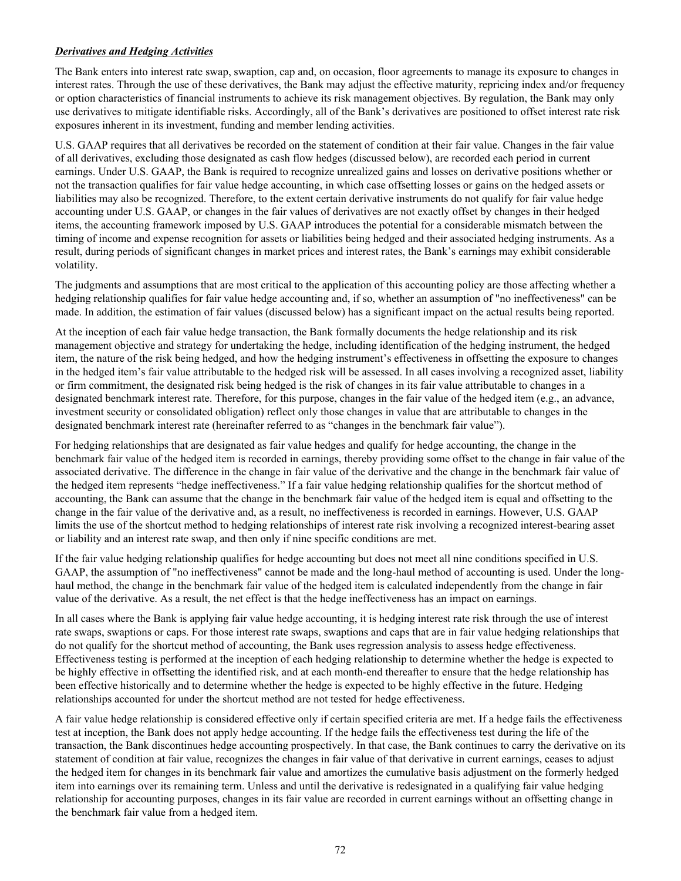# *Derivatives and Hedging Activities*

The Bank enters into interest rate swap, swaption, cap and, on occasion, floor agreements to manage its exposure to changes in interest rates. Through the use of these derivatives, the Bank may adjust the effective maturity, repricing index and/or frequency or option characteristics of financial instruments to achieve its risk management objectives. By regulation, the Bank may only use derivatives to mitigate identifiable risks. Accordingly, all of the Bank's derivatives are positioned to offset interest rate risk exposures inherent in its investment, funding and member lending activities.

U.S. GAAP requires that all derivatives be recorded on the statement of condition at their fair value. Changes in the fair value of all derivatives, excluding those designated as cash flow hedges (discussed below), are recorded each period in current earnings. Under U.S. GAAP, the Bank is required to recognize unrealized gains and losses on derivative positions whether or not the transaction qualifies for fair value hedge accounting, in which case offsetting losses or gains on the hedged assets or liabilities may also be recognized. Therefore, to the extent certain derivative instruments do not qualify for fair value hedge accounting under U.S. GAAP, or changes in the fair values of derivatives are not exactly offset by changes in their hedged items, the accounting framework imposed by U.S. GAAP introduces the potential for a considerable mismatch between the timing of income and expense recognition for assets or liabilities being hedged and their associated hedging instruments. As a result, during periods of significant changes in market prices and interest rates, the Bank's earnings may exhibit considerable volatility.

The judgments and assumptions that are most critical to the application of this accounting policy are those affecting whether a hedging relationship qualifies for fair value hedge accounting and, if so, whether an assumption of "no ineffectiveness" can be made. In addition, the estimation of fair values (discussed below) has a significant impact on the actual results being reported.

At the inception of each fair value hedge transaction, the Bank formally documents the hedge relationship and its risk management objective and strategy for undertaking the hedge, including identification of the hedging instrument, the hedged item, the nature of the risk being hedged, and how the hedging instrument's effectiveness in offsetting the exposure to changes in the hedged item's fair value attributable to the hedged risk will be assessed. In all cases involving a recognized asset, liability or firm commitment, the designated risk being hedged is the risk of changes in its fair value attributable to changes in a designated benchmark interest rate. Therefore, for this purpose, changes in the fair value of the hedged item (e.g., an advance, investment security or consolidated obligation) reflect only those changes in value that are attributable to changes in the designated benchmark interest rate (hereinafter referred to as "changes in the benchmark fair value").

For hedging relationships that are designated as fair value hedges and qualify for hedge accounting, the change in the benchmark fair value of the hedged item is recorded in earnings, thereby providing some offset to the change in fair value of the associated derivative. The difference in the change in fair value of the derivative and the change in the benchmark fair value of the hedged item represents "hedge ineffectiveness." If a fair value hedging relationship qualifies for the shortcut method of accounting, the Bank can assume that the change in the benchmark fair value of the hedged item is equal and offsetting to the change in the fair value of the derivative and, as a result, no ineffectiveness is recorded in earnings. However, U.S. GAAP limits the use of the shortcut method to hedging relationships of interest rate risk involving a recognized interest-bearing asset or liability and an interest rate swap, and then only if nine specific conditions are met.

If the fair value hedging relationship qualifies for hedge accounting but does not meet all nine conditions specified in U.S. GAAP, the assumption of "no ineffectiveness" cannot be made and the long-haul method of accounting is used. Under the longhaul method, the change in the benchmark fair value of the hedged item is calculated independently from the change in fair value of the derivative. As a result, the net effect is that the hedge ineffectiveness has an impact on earnings.

In all cases where the Bank is applying fair value hedge accounting, it is hedging interest rate risk through the use of interest rate swaps, swaptions or caps. For those interest rate swaps, swaptions and caps that are in fair value hedging relationships that do not qualify for the shortcut method of accounting, the Bank uses regression analysis to assess hedge effectiveness. Effectiveness testing is performed at the inception of each hedging relationship to determine whether the hedge is expected to be highly effective in offsetting the identified risk, and at each month-end thereafter to ensure that the hedge relationship has been effective historically and to determine whether the hedge is expected to be highly effective in the future. Hedging relationships accounted for under the shortcut method are not tested for hedge effectiveness.

A fair value hedge relationship is considered effective only if certain specified criteria are met. If a hedge fails the effectiveness test at inception, the Bank does not apply hedge accounting. If the hedge fails the effectiveness test during the life of the transaction, the Bank discontinues hedge accounting prospectively. In that case, the Bank continues to carry the derivative on its statement of condition at fair value, recognizes the changes in fair value of that derivative in current earnings, ceases to adjust the hedged item for changes in its benchmark fair value and amortizes the cumulative basis adjustment on the formerly hedged item into earnings over its remaining term. Unless and until the derivative is redesignated in a qualifying fair value hedging relationship for accounting purposes, changes in its fair value are recorded in current earnings without an offsetting change in the benchmark fair value from a hedged item.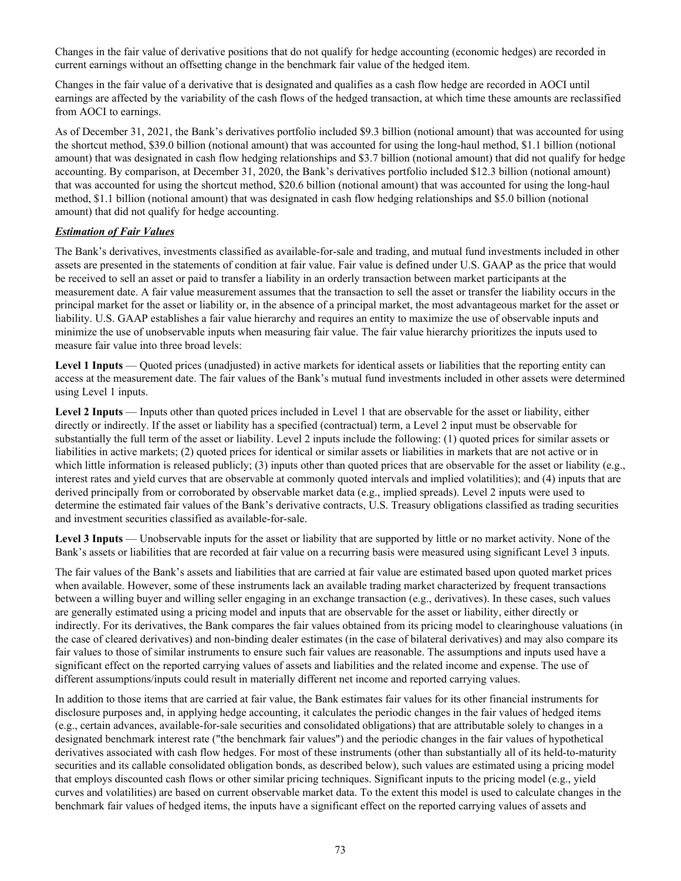Changes in the fair value of derivative positions that do not qualify for hedge accounting (economic hedges) are recorded in current earnings without an offsetting change in the benchmark fair value of the hedged item.

Changes in the fair value of a derivative that is designated and qualifies as a cash flow hedge are recorded in AOCI until earnings are affected by the variability of the cash flows of the hedged transaction, at which time these amounts are reclassified from AOCI to earnings.

As of December 31, 2021, the Bank's derivatives portfolio included \$9.3 billion (notional amount) that was accounted for using the shortcut method, \$39.0 billion (notional amount) that was accounted for using the long-haul method, \$1.1 billion (notional amount) that was designated in cash flow hedging relationships and \$3.7 billion (notional amount) that did not qualify for hedge accounting. By comparison, at December 31, 2020, the Bank's derivatives portfolio included \$12.3 billion (notional amount) that was accounted for using the shortcut method, \$20.6 billion (notional amount) that was accounted for using the long-haul method, \$1.1 billion (notional amount) that was designated in cash flow hedging relationships and \$5.0 billion (notional amount) that did not qualify for hedge accounting.

# *Estimation of Fair Values*

The Bank's derivatives, investments classified as available-for-sale and trading, and mutual fund investments included in other assets are presented in the statements of condition at fair value. Fair value is defined under U.S. GAAP as the price that would be received to sell an asset or paid to transfer a liability in an orderly transaction between market participants at the measurement date. A fair value measurement assumes that the transaction to sell the asset or transfer the liability occurs in the principal market for the asset or liability or, in the absence of a principal market, the most advantageous market for the asset or liability. U.S. GAAP establishes a fair value hierarchy and requires an entity to maximize the use of observable inputs and minimize the use of unobservable inputs when measuring fair value. The fair value hierarchy prioritizes the inputs used to measure fair value into three broad levels:

**Level 1 Inputs** — Quoted prices (unadjusted) in active markets for identical assets or liabilities that the reporting entity can access at the measurement date. The fair values of the Bank's mutual fund investments included in other assets were determined using Level 1 inputs.

**Level 2 Inputs** — Inputs other than quoted prices included in Level 1 that are observable for the asset or liability, either directly or indirectly. If the asset or liability has a specified (contractual) term, a Level 2 input must be observable for substantially the full term of the asset or liability. Level 2 inputs include the following: (1) quoted prices for similar assets or liabilities in active markets; (2) quoted prices for identical or similar assets or liabilities in markets that are not active or in which little information is released publicly; (3) inputs other than quoted prices that are observable for the asset or liability (e.g., interest rates and yield curves that are observable at commonly quoted intervals and implied volatilities); and (4) inputs that are derived principally from or corroborated by observable market data (e.g., implied spreads). Level 2 inputs were used to determine the estimated fair values of the Bank's derivative contracts, U.S. Treasury obligations classified as trading securities and investment securities classified as available-for-sale.

**Level 3 Inputs** — Unobservable inputs for the asset or liability that are supported by little or no market activity. None of the Bank's assets or liabilities that are recorded at fair value on a recurring basis were measured using significant Level 3 inputs.

The fair values of the Bank's assets and liabilities that are carried at fair value are estimated based upon quoted market prices when available. However, some of these instruments lack an available trading market characterized by frequent transactions between a willing buyer and willing seller engaging in an exchange transaction (e.g., derivatives). In these cases, such values are generally estimated using a pricing model and inputs that are observable for the asset or liability, either directly or indirectly. For its derivatives, the Bank compares the fair values obtained from its pricing model to clearinghouse valuations (in the case of cleared derivatives) and non-binding dealer estimates (in the case of bilateral derivatives) and may also compare its fair values to those of similar instruments to ensure such fair values are reasonable. The assumptions and inputs used have a significant effect on the reported carrying values of assets and liabilities and the related income and expense. The use of different assumptions/inputs could result in materially different net income and reported carrying values.

In addition to those items that are carried at fair value, the Bank estimates fair values for its other financial instruments for disclosure purposes and, in applying hedge accounting, it calculates the periodic changes in the fair values of hedged items (e.g., certain advances, available-for-sale securities and consolidated obligations) that are attributable solely to changes in a designated benchmark interest rate ("the benchmark fair values") and the periodic changes in the fair values of hypothetical derivatives associated with cash flow hedges. For most of these instruments (other than substantially all of its held-to-maturity securities and its callable consolidated obligation bonds, as described below), such values are estimated using a pricing model that employs discounted cash flows or other similar pricing techniques. Significant inputs to the pricing model (e.g., yield curves and volatilities) are based on current observable market data. To the extent this model is used to calculate changes in the benchmark fair values of hedged items, the inputs have a significant effect on the reported carrying values of assets and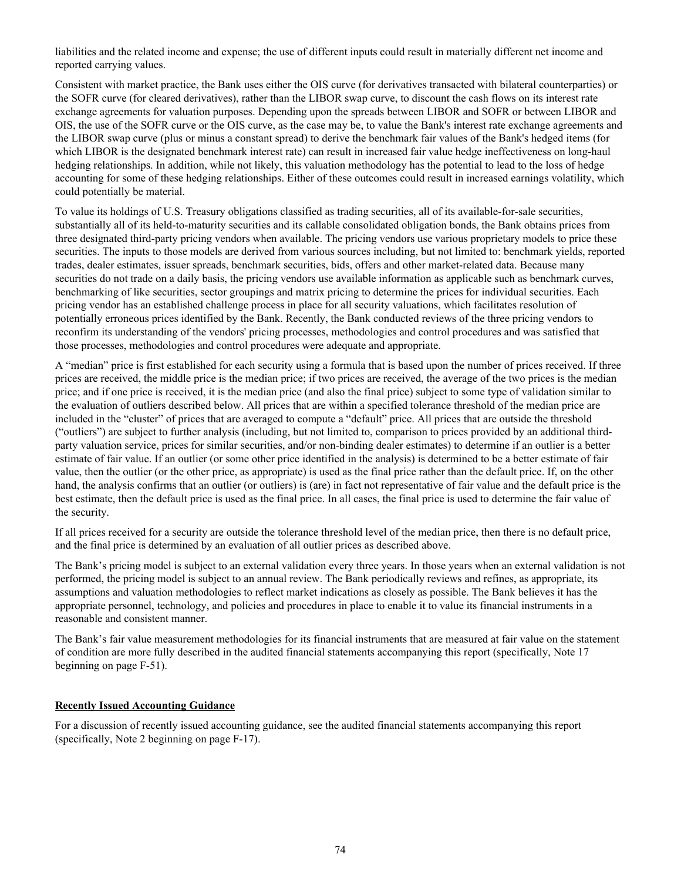liabilities and the related income and expense; the use of different inputs could result in materially different net income and reported carrying values.

Consistent with market practice, the Bank uses either the OIS curve (for derivatives transacted with bilateral counterparties) or the SOFR curve (for cleared derivatives), rather than the LIBOR swap curve, to discount the cash flows on its interest rate exchange agreements for valuation purposes. Depending upon the spreads between LIBOR and SOFR or between LIBOR and OIS, the use of the SOFR curve or the OIS curve, as the case may be, to value the Bank's interest rate exchange agreements and the LIBOR swap curve (plus or minus a constant spread) to derive the benchmark fair values of the Bank's hedged items (for which LIBOR is the designated benchmark interest rate) can result in increased fair value hedge ineffectiveness on long-haul hedging relationships. In addition, while not likely, this valuation methodology has the potential to lead to the loss of hedge accounting for some of these hedging relationships. Either of these outcomes could result in increased earnings volatility, which could potentially be material.

To value its holdings of U.S. Treasury obligations classified as trading securities, all of its available-for-sale securities, substantially all of its held-to-maturity securities and its callable consolidated obligation bonds, the Bank obtains prices from three designated third-party pricing vendors when available. The pricing vendors use various proprietary models to price these securities. The inputs to those models are derived from various sources including, but not limited to: benchmark yields, reported trades, dealer estimates, issuer spreads, benchmark securities, bids, offers and other market-related data. Because many securities do not trade on a daily basis, the pricing vendors use available information as applicable such as benchmark curves, benchmarking of like securities, sector groupings and matrix pricing to determine the prices for individual securities. Each pricing vendor has an established challenge process in place for all security valuations, which facilitates resolution of potentially erroneous prices identified by the Bank. Recently, the Bank conducted reviews of the three pricing vendors to reconfirm its understanding of the vendors' pricing processes, methodologies and control procedures and was satisfied that those processes, methodologies and control procedures were adequate and appropriate.

A "median" price is first established for each security using a formula that is based upon the number of prices received. If three prices are received, the middle price is the median price; if two prices are received, the average of the two prices is the median price; and if one price is received, it is the median price (and also the final price) subject to some type of validation similar to the evaluation of outliers described below. All prices that are within a specified tolerance threshold of the median price are included in the "cluster" of prices that are averaged to compute a "default" price. All prices that are outside the threshold ("outliers") are subject to further analysis (including, but not limited to, comparison to prices provided by an additional thirdparty valuation service, prices for similar securities, and/or non-binding dealer estimates) to determine if an outlier is a better estimate of fair value. If an outlier (or some other price identified in the analysis) is determined to be a better estimate of fair value, then the outlier (or the other price, as appropriate) is used as the final price rather than the default price. If, on the other hand, the analysis confirms that an outlier (or outliers) is (are) in fact not representative of fair value and the default price is the best estimate, then the default price is used as the final price. In all cases, the final price is used to determine the fair value of the security.

If all prices received for a security are outside the tolerance threshold level of the median price, then there is no default price, and the final price is determined by an evaluation of all outlier prices as described above.

The Bank's pricing model is subject to an external validation every three years. In those years when an external validation is not performed, the pricing model is subject to an annual review. The Bank periodically reviews and refines, as appropriate, its assumptions and valuation methodologies to reflect market indications as closely as possible. The Bank believes it has the appropriate personnel, technology, and policies and procedures in place to enable it to value its financial instruments in a reasonable and consistent manner.

The Bank's fair value measurement methodologies for its financial instruments that are measured at fair value on the statement of condition are more fully described in the audited financial statements accompanying this report (specifically, Note 17 beginning on page F-51).

#### **Recently Issued Accounting Guidance**

For a discussion of recently issued accounting guidance, see the audited financial statements accompanying this report (specifically, Note 2 beginning on page F-17).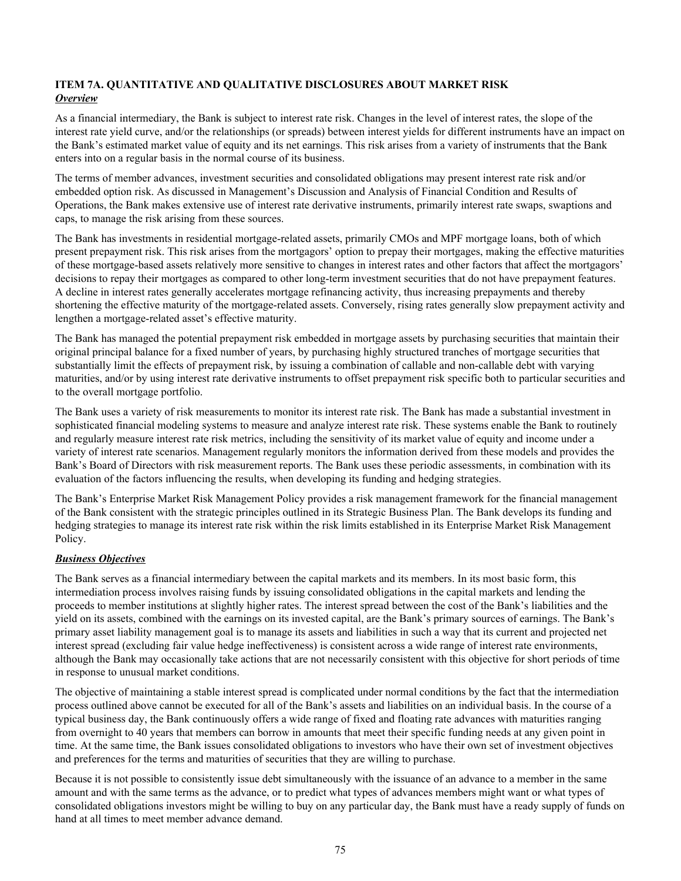# **ITEM 7A. QUANTITATIVE AND QUALITATIVE DISCLOSURES ABOUT MARKET RISK** *Overview*

As a financial intermediary, the Bank is subject to interest rate risk. Changes in the level of interest rates, the slope of the interest rate yield curve, and/or the relationships (or spreads) between interest yields for different instruments have an impact on the Bank's estimated market value of equity and its net earnings. This risk arises from a variety of instruments that the Bank enters into on a regular basis in the normal course of its business.

The terms of member advances, investment securities and consolidated obligations may present interest rate risk and/or embedded option risk. As discussed in Management's Discussion and Analysis of Financial Condition and Results of Operations, the Bank makes extensive use of interest rate derivative instruments, primarily interest rate swaps, swaptions and caps, to manage the risk arising from these sources.

The Bank has investments in residential mortgage-related assets, primarily CMOs and MPF mortgage loans, both of which present prepayment risk. This risk arises from the mortgagors' option to prepay their mortgages, making the effective maturities of these mortgage-based assets relatively more sensitive to changes in interest rates and other factors that affect the mortgagors' decisions to repay their mortgages as compared to other long-term investment securities that do not have prepayment features. A decline in interest rates generally accelerates mortgage refinancing activity, thus increasing prepayments and thereby shortening the effective maturity of the mortgage-related assets. Conversely, rising rates generally slow prepayment activity and lengthen a mortgage-related asset's effective maturity.

The Bank has managed the potential prepayment risk embedded in mortgage assets by purchasing securities that maintain their original principal balance for a fixed number of years, by purchasing highly structured tranches of mortgage securities that substantially limit the effects of prepayment risk, by issuing a combination of callable and non-callable debt with varying maturities, and/or by using interest rate derivative instruments to offset prepayment risk specific both to particular securities and to the overall mortgage portfolio.

The Bank uses a variety of risk measurements to monitor its interest rate risk. The Bank has made a substantial investment in sophisticated financial modeling systems to measure and analyze interest rate risk. These systems enable the Bank to routinely and regularly measure interest rate risk metrics, including the sensitivity of its market value of equity and income under a variety of interest rate scenarios. Management regularly monitors the information derived from these models and provides the Bank's Board of Directors with risk measurement reports. The Bank uses these periodic assessments, in combination with its evaluation of the factors influencing the results, when developing its funding and hedging strategies.

The Bank's Enterprise Market Risk Management Policy provides a risk management framework for the financial management of the Bank consistent with the strategic principles outlined in its Strategic Business Plan. The Bank develops its funding and hedging strategies to manage its interest rate risk within the risk limits established in its Enterprise Market Risk Management Policy.

# *Business Objectives*

The Bank serves as a financial intermediary between the capital markets and its members. In its most basic form, this intermediation process involves raising funds by issuing consolidated obligations in the capital markets and lending the proceeds to member institutions at slightly higher rates. The interest spread between the cost of the Bank's liabilities and the yield on its assets, combined with the earnings on its invested capital, are the Bank's primary sources of earnings. The Bank's primary asset liability management goal is to manage its assets and liabilities in such a way that its current and projected net interest spread (excluding fair value hedge ineffectiveness) is consistent across a wide range of interest rate environments, although the Bank may occasionally take actions that are not necessarily consistent with this objective for short periods of time in response to unusual market conditions.

The objective of maintaining a stable interest spread is complicated under normal conditions by the fact that the intermediation process outlined above cannot be executed for all of the Bank's assets and liabilities on an individual basis. In the course of a typical business day, the Bank continuously offers a wide range of fixed and floating rate advances with maturities ranging from overnight to 40 years that members can borrow in amounts that meet their specific funding needs at any given point in time. At the same time, the Bank issues consolidated obligations to investors who have their own set of investment objectives and preferences for the terms and maturities of securities that they are willing to purchase.

Because it is not possible to consistently issue debt simultaneously with the issuance of an advance to a member in the same amount and with the same terms as the advance, or to predict what types of advances members might want or what types of consolidated obligations investors might be willing to buy on any particular day, the Bank must have a ready supply of funds on hand at all times to meet member advance demand.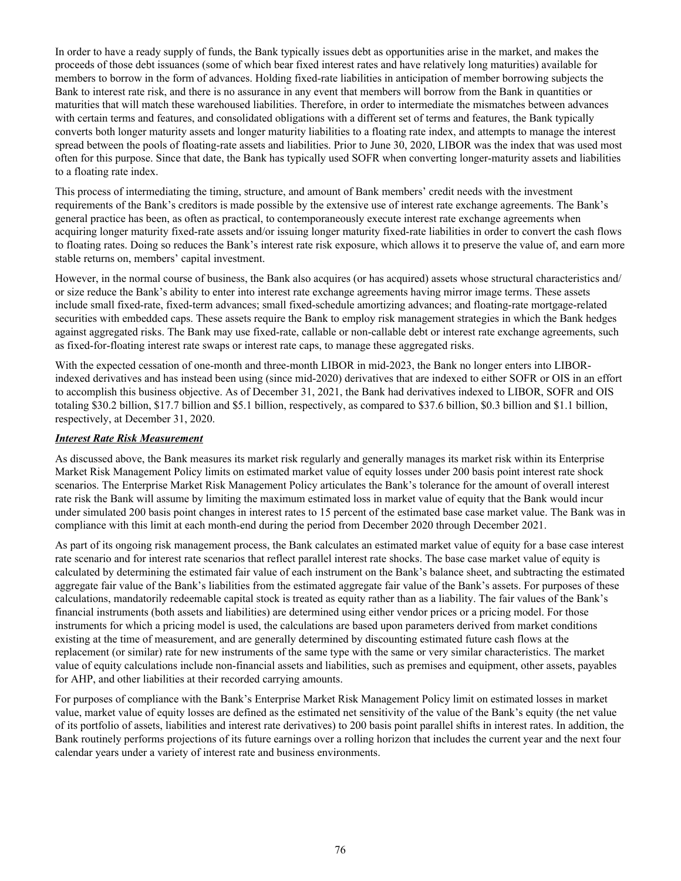In order to have a ready supply of funds, the Bank typically issues debt as opportunities arise in the market, and makes the proceeds of those debt issuances (some of which bear fixed interest rates and have relatively long maturities) available for members to borrow in the form of advances. Holding fixed-rate liabilities in anticipation of member borrowing subjects the Bank to interest rate risk, and there is no assurance in any event that members will borrow from the Bank in quantities or maturities that will match these warehoused liabilities. Therefore, in order to intermediate the mismatches between advances with certain terms and features, and consolidated obligations with a different set of terms and features, the Bank typically converts both longer maturity assets and longer maturity liabilities to a floating rate index, and attempts to manage the interest spread between the pools of floating-rate assets and liabilities. Prior to June 30, 2020, LIBOR was the index that was used most often for this purpose. Since that date, the Bank has typically used SOFR when converting longer-maturity assets and liabilities to a floating rate index.

This process of intermediating the timing, structure, and amount of Bank members' credit needs with the investment requirements of the Bank's creditors is made possible by the extensive use of interest rate exchange agreements. The Bank's general practice has been, as often as practical, to contemporaneously execute interest rate exchange agreements when acquiring longer maturity fixed-rate assets and/or issuing longer maturity fixed-rate liabilities in order to convert the cash flows to floating rates. Doing so reduces the Bank's interest rate risk exposure, which allows it to preserve the value of, and earn more stable returns on, members' capital investment.

However, in the normal course of business, the Bank also acquires (or has acquired) assets whose structural characteristics and/ or size reduce the Bank's ability to enter into interest rate exchange agreements having mirror image terms. These assets include small fixed-rate, fixed-term advances; small fixed-schedule amortizing advances; and floating-rate mortgage-related securities with embedded caps. These assets require the Bank to employ risk management strategies in which the Bank hedges against aggregated risks. The Bank may use fixed-rate, callable or non-callable debt or interest rate exchange agreements, such as fixed-for-floating interest rate swaps or interest rate caps, to manage these aggregated risks.

With the expected cessation of one-month and three-month LIBOR in mid-2023, the Bank no longer enters into LIBORindexed derivatives and has instead been using (since mid-2020) derivatives that are indexed to either SOFR or OIS in an effort to accomplish this business objective. As of December 31, 2021, the Bank had derivatives indexed to LIBOR, SOFR and OIS totaling \$30.2 billion, \$17.7 billion and \$5.1 billion, respectively, as compared to \$37.6 billion, \$0.3 billion and \$1.1 billion, respectively, at December 31, 2020.

#### *Interest Rate Risk Measurement*

As discussed above, the Bank measures its market risk regularly and generally manages its market risk within its Enterprise Market Risk Management Policy limits on estimated market value of equity losses under 200 basis point interest rate shock scenarios. The Enterprise Market Risk Management Policy articulates the Bank's tolerance for the amount of overall interest rate risk the Bank will assume by limiting the maximum estimated loss in market value of equity that the Bank would incur under simulated 200 basis point changes in interest rates to 15 percent of the estimated base case market value. The Bank was in compliance with this limit at each month-end during the period from December 2020 through December 2021.

As part of its ongoing risk management process, the Bank calculates an estimated market value of equity for a base case interest rate scenario and for interest rate scenarios that reflect parallel interest rate shocks. The base case market value of equity is calculated by determining the estimated fair value of each instrument on the Bank's balance sheet, and subtracting the estimated aggregate fair value of the Bank's liabilities from the estimated aggregate fair value of the Bank's assets. For purposes of these calculations, mandatorily redeemable capital stock is treated as equity rather than as a liability. The fair values of the Bank's financial instruments (both assets and liabilities) are determined using either vendor prices or a pricing model. For those instruments for which a pricing model is used, the calculations are based upon parameters derived from market conditions existing at the time of measurement, and are generally determined by discounting estimated future cash flows at the replacement (or similar) rate for new instruments of the same type with the same or very similar characteristics. The market value of equity calculations include non-financial assets and liabilities, such as premises and equipment, other assets, payables for AHP, and other liabilities at their recorded carrying amounts.

For purposes of compliance with the Bank's Enterprise Market Risk Management Policy limit on estimated losses in market value, market value of equity losses are defined as the estimated net sensitivity of the value of the Bank's equity (the net value of its portfolio of assets, liabilities and interest rate derivatives) to 200 basis point parallel shifts in interest rates. In addition, the Bank routinely performs projections of its future earnings over a rolling horizon that includes the current year and the next four calendar years under a variety of interest rate and business environments.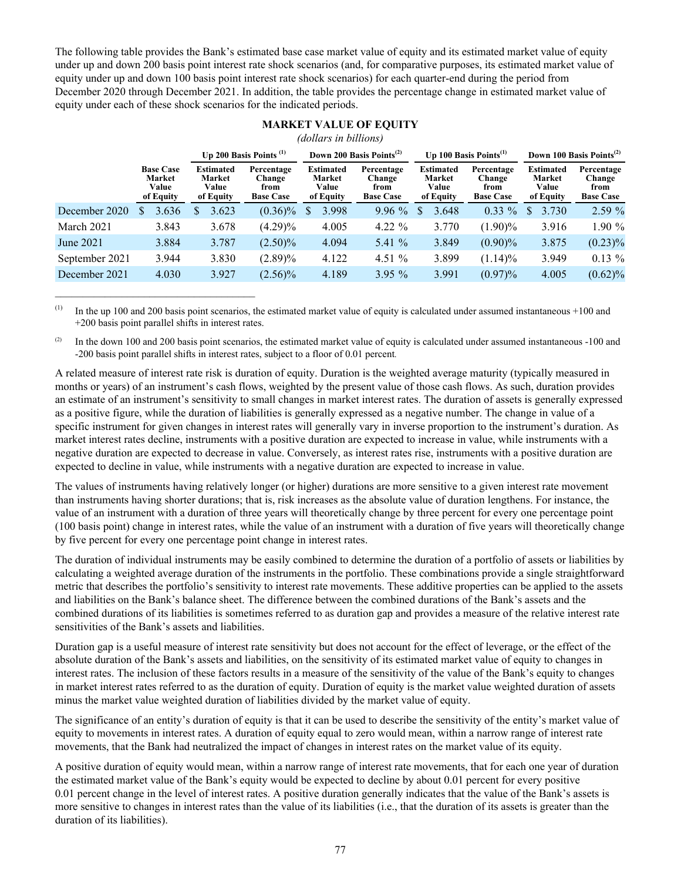The following table provides the Bank's estimated base case market value of equity and its estimated market value of equity under up and down 200 basis point interest rate shock scenarios (and, for comparative purposes, its estimated market value of equity under up and down 100 basis point interest rate shock scenarios) for each quarter-end during the period from December 2020 through December 2021. In addition, the table provides the percentage change in estimated market value of equity under each of these shock scenarios for the indicated periods.

|                | (dollars in billions) |                                                         |                           |                                                  |  |                                                  |   |                                                  |  |                                                  |          |                                                         |                                      |                                                  |                                                         |                                                  |
|----------------|-----------------------|---------------------------------------------------------|---------------------------|--------------------------------------------------|--|--------------------------------------------------|---|--------------------------------------------------|--|--------------------------------------------------|----------|---------------------------------------------------------|--------------------------------------|--------------------------------------------------|---------------------------------------------------------|--------------------------------------------------|
|                |                       |                                                         | Up 200 Basis Points $(1)$ |                                                  |  | Down 200 Basis Points <sup>(2)</sup>             |   |                                                  |  | Up 100 Basis Points $^{(1)}$                     |          |                                                         | Down 100 Basis Points <sup>(2)</sup> |                                                  |                                                         |                                                  |
|                |                       | <b>Base Case</b><br><b>Market</b><br>Value<br>of Equity |                           | <b>Estimated</b><br>Market<br>Value<br>of Equity |  | Percentage<br>Change<br>from<br><b>Base Case</b> |   | <b>Estimated</b><br>Market<br>Value<br>of Equity |  | Percentage<br>Change<br>from<br><b>Base Case</b> |          | <b>Estimated</b><br><b>Market</b><br>Value<br>of Equity |                                      | Percentage<br>Change<br>from<br><b>Base Case</b> | <b>Estimated</b><br><b>Market</b><br>Value<br>of Equity | Percentage<br>Change<br>from<br><b>Base Case</b> |
| December 2020  | \$.                   | 3.636                                                   |                           | 3.623                                            |  | $(0.36)\%$                                       | S | 3.998                                            |  | $9.96\%$                                         | <b>S</b> | 3.648                                                   |                                      | $0.33\%$                                         | \$<br>3.730                                             | 2.59 %                                           |
| March 2021     |                       | 3.843                                                   |                           | 3.678                                            |  | $(4.29)\%$                                       |   | 4.005                                            |  | 4.22 $\%$                                        |          | 3.770                                                   |                                      | $(1.90)\%$                                       | 3.916                                                   | 1.90 %                                           |
| June 2021      |                       | 3.884                                                   |                           | 3.787                                            |  | $(2.50)\%$                                       |   | 4.094                                            |  | 5.41 $%$                                         |          | 3.849                                                   |                                      | $(0.90)\%$                                       | 3.875                                                   | $(0.23)\%$                                       |
| September 2021 |                       | 3.944                                                   |                           | 3.830                                            |  | $(2.89)\%$                                       |   | 4.122                                            |  | 4.51 $%$                                         |          | 3.899                                                   |                                      | $(1.14)\%$                                       | 3.949                                                   | $0.13 \%$                                        |
| December 2021  |                       | 4.030                                                   |                           | 3.927                                            |  | $(2.56)\%$                                       |   | 4.189                                            |  | $3.95\%$                                         |          | 3.991                                                   |                                      | $(0.97)\%$                                       | 4.005                                                   | $(0.62)\%$                                       |

# **MARKET VALUE OF EQUITY**

 $(1)$  In the up 100 and 200 basis point scenarios, the estimated market value of equity is calculated under assumed instantaneous +100 and +200 basis point parallel shifts in interest rates.

 $\mathcal{L}_\text{max}$  , and the set of the set of the set of the set of the set of the set of the set of the set of the set of the set of the set of the set of the set of the set of the set of the set of the set of the set of the

 $^{(2)}$  In the down 100 and 200 basis point scenarios, the estimated market value of equity is calculated under assumed instantaneous -100 and -200 basis point parallel shifts in interest rates, subject to a floor of 0.01 percent.

A related measure of interest rate risk is duration of equity. Duration is the weighted average maturity (typically measured in months or years) of an instrument's cash flows, weighted by the present value of those cash flows. As such, duration provides an estimate of an instrument's sensitivity to small changes in market interest rates. The duration of assets is generally expressed as a positive figure, while the duration of liabilities is generally expressed as a negative number. The change in value of a specific instrument for given changes in interest rates will generally vary in inverse proportion to the instrument's duration. As market interest rates decline, instruments with a positive duration are expected to increase in value, while instruments with a negative duration are expected to decrease in value. Conversely, as interest rates rise, instruments with a positive duration are expected to decline in value, while instruments with a negative duration are expected to increase in value.

The values of instruments having relatively longer (or higher) durations are more sensitive to a given interest rate movement than instruments having shorter durations; that is, risk increases as the absolute value of duration lengthens. For instance, the value of an instrument with a duration of three years will theoretically change by three percent for every one percentage point (100 basis point) change in interest rates, while the value of an instrument with a duration of five years will theoretically change by five percent for every one percentage point change in interest rates.

The duration of individual instruments may be easily combined to determine the duration of a portfolio of assets or liabilities by calculating a weighted average duration of the instruments in the portfolio. These combinations provide a single straightforward metric that describes the portfolio's sensitivity to interest rate movements. These additive properties can be applied to the assets and liabilities on the Bank's balance sheet. The difference between the combined durations of the Bank's assets and the combined durations of its liabilities is sometimes referred to as duration gap and provides a measure of the relative interest rate sensitivities of the Bank's assets and liabilities.

Duration gap is a useful measure of interest rate sensitivity but does not account for the effect of leverage, or the effect of the absolute duration of the Bank's assets and liabilities, on the sensitivity of its estimated market value of equity to changes in interest rates. The inclusion of these factors results in a measure of the sensitivity of the value of the Bank's equity to changes in market interest rates referred to as the duration of equity. Duration of equity is the market value weighted duration of assets minus the market value weighted duration of liabilities divided by the market value of equity.

The significance of an entity's duration of equity is that it can be used to describe the sensitivity of the entity's market value of equity to movements in interest rates. A duration of equity equal to zero would mean, within a narrow range of interest rate movements, that the Bank had neutralized the impact of changes in interest rates on the market value of its equity.

A positive duration of equity would mean, within a narrow range of interest rate movements, that for each one year of duration the estimated market value of the Bank's equity would be expected to decline by about 0.01 percent for every positive 0.01 percent change in the level of interest rates. A positive duration generally indicates that the value of the Bank's assets is more sensitive to changes in interest rates than the value of its liabilities (i.e., that the duration of its assets is greater than the duration of its liabilities).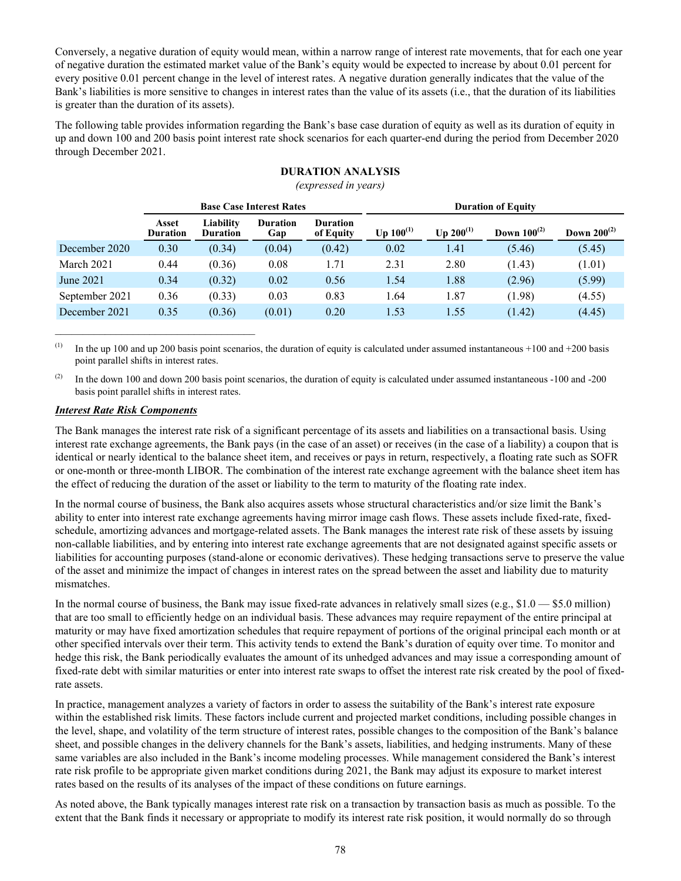Conversely, a negative duration of equity would mean, within a narrow range of interest rate movements, that for each one year of negative duration the estimated market value of the Bank's equity would be expected to increase by about 0.01 percent for every positive 0.01 percent change in the level of interest rates. A negative duration generally indicates that the value of the Bank's liabilities is more sensitive to changes in interest rates than the value of its assets (i.e., that the duration of its liabilities is greater than the duration of its assets).

The following table provides information regarding the Bank's base case duration of equity as well as its duration of equity in up and down 100 and 200 basis point interest rate shock scenarios for each quarter-end during the period from December 2020 through December 2021.

|                | $[conv.$ can be $[conv.$        |                              |                                 |                              |                           |                |                         |                  |  |  |  |  |
|----------------|---------------------------------|------------------------------|---------------------------------|------------------------------|---------------------------|----------------|-------------------------|------------------|--|--|--|--|
|                |                                 |                              | <b>Base Case Interest Rates</b> |                              | <b>Duration of Equity</b> |                |                         |                  |  |  |  |  |
|                | <b>Asset</b><br><b>Duration</b> | Liability<br><b>Duration</b> | <b>Duration</b><br>Gap          | <b>Duration</b><br>of Equity | Up $100^{(1)}$            | Up $200^{(1)}$ | <b>Down</b> $100^{(2)}$ | Down $200^{(2)}$ |  |  |  |  |
| December 2020  | 0.30                            | (0.34)                       | (0.04)                          | (0.42)                       | 0.02                      | 1.41           | (5.46)                  | (5.45)           |  |  |  |  |
| March 2021     | 0.44                            | (0.36)                       | 0.08                            | 1.71                         | 2.31                      | 2.80           | (1.43)                  | (1.01)           |  |  |  |  |
| June 2021      | 0.34                            | (0.32)                       | 0.02                            | 0.56                         | 1.54                      | 1.88           | (2.96)                  | (5.99)           |  |  |  |  |
| September 2021 | 0.36                            | (0.33)                       | 0.03                            | 0.83                         | 1.64                      | 1.87           | (1.98)                  | (4.55)           |  |  |  |  |
| December 2021  | 0.35                            | (0.36)                       | (0.01)                          | 0.20                         | 1.53                      | 1.55           | (1.42)                  | (4.45)           |  |  |  |  |
|                |                                 |                              |                                 |                              |                           |                |                         |                  |  |  |  |  |

# **DURATION ANALYSIS**

*(expressed in years)*

(1) In the up 100 and up 200 basis point scenarios, the duration of equity is calculated under assumed instantaneous +100 and +200 basis point parallel shifts in interest rates.

<sup>(2)</sup> In the down 100 and down 200 basis point scenarios, the duration of equity is calculated under assumed instantaneous -100 and -200 basis point parallel shifts in interest rates.

#### *Interest Rate Risk Components*

 $\mathcal{L}_\text{max}$  , and the set of the set of the set of the set of the set of the set of the set of the set of the set of the set of the set of the set of the set of the set of the set of the set of the set of the set of the

The Bank manages the interest rate risk of a significant percentage of its assets and liabilities on a transactional basis. Using interest rate exchange agreements, the Bank pays (in the case of an asset) or receives (in the case of a liability) a coupon that is identical or nearly identical to the balance sheet item, and receives or pays in return, respectively, a floating rate such as SOFR or one-month or three-month LIBOR. The combination of the interest rate exchange agreement with the balance sheet item has the effect of reducing the duration of the asset or liability to the term to maturity of the floating rate index.

In the normal course of business, the Bank also acquires assets whose structural characteristics and/or size limit the Bank's ability to enter into interest rate exchange agreements having mirror image cash flows. These assets include fixed-rate, fixedschedule, amortizing advances and mortgage-related assets. The Bank manages the interest rate risk of these assets by issuing non-callable liabilities, and by entering into interest rate exchange agreements that are not designated against specific assets or liabilities for accounting purposes (stand-alone or economic derivatives). These hedging transactions serve to preserve the value of the asset and minimize the impact of changes in interest rates on the spread between the asset and liability due to maturity mismatches.

In the normal course of business, the Bank may issue fixed-rate advances in relatively small sizes (e.g., \$1.0 — \$5.0 million) that are too small to efficiently hedge on an individual basis. These advances may require repayment of the entire principal at maturity or may have fixed amortization schedules that require repayment of portions of the original principal each month or at other specified intervals over their term. This activity tends to extend the Bank's duration of equity over time. To monitor and hedge this risk, the Bank periodically evaluates the amount of its unhedged advances and may issue a corresponding amount of fixed-rate debt with similar maturities or enter into interest rate swaps to offset the interest rate risk created by the pool of fixedrate assets.

In practice, management analyzes a variety of factors in order to assess the suitability of the Bank's interest rate exposure within the established risk limits. These factors include current and projected market conditions, including possible changes in the level, shape, and volatility of the term structure of interest rates, possible changes to the composition of the Bank's balance sheet, and possible changes in the delivery channels for the Bank's assets, liabilities, and hedging instruments. Many of these same variables are also included in the Bank's income modeling processes. While management considered the Bank's interest rate risk profile to be appropriate given market conditions during 2021, the Bank may adjust its exposure to market interest rates based on the results of its analyses of the impact of these conditions on future earnings.

As noted above, the Bank typically manages interest rate risk on a transaction by transaction basis as much as possible. To the extent that the Bank finds it necessary or appropriate to modify its interest rate risk position, it would normally do so through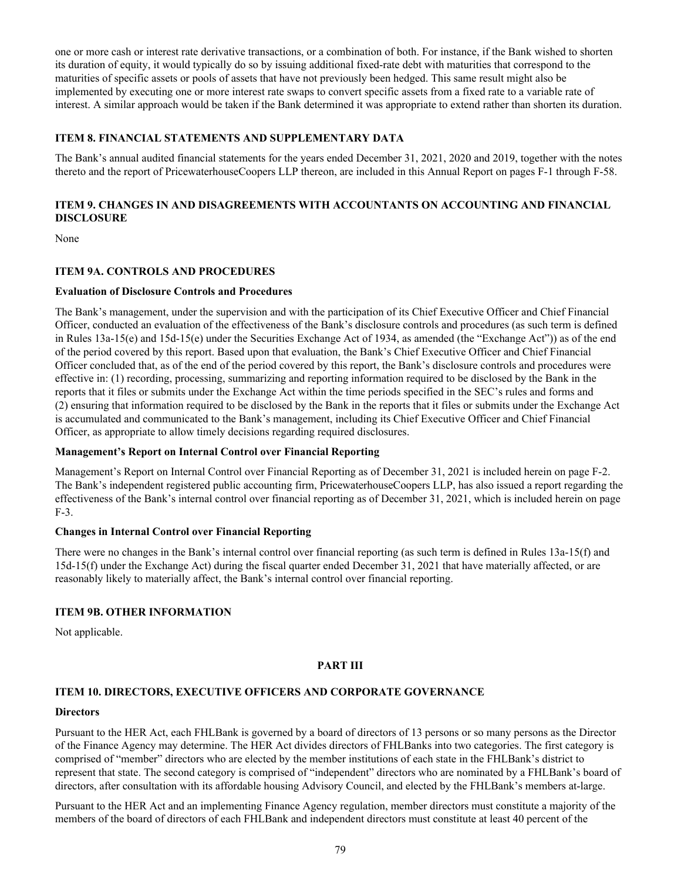one or more cash or interest rate derivative transactions, or a combination of both. For instance, if the Bank wished to shorten its duration of equity, it would typically do so by issuing additional fixed-rate debt with maturities that correspond to the maturities of specific assets or pools of assets that have not previously been hedged. This same result might also be implemented by executing one or more interest rate swaps to convert specific assets from a fixed rate to a variable rate of interest. A similar approach would be taken if the Bank determined it was appropriate to extend rather than shorten its duration.

# **ITEM 8. FINANCIAL STATEMENTS AND SUPPLEMENTARY DATA**

The Bank's annual audited financial statements for the years ended December 31, 2021, 2020 and 2019, together with the notes thereto and the report of PricewaterhouseCoopers LLP thereon, are included in this Annual Report on pages F-1 through F-58.

# **ITEM 9. CHANGES IN AND DISAGREEMENTS WITH ACCOUNTANTS ON ACCOUNTING AND FINANCIAL DISCLOSURE**

None

# **ITEM 9A. CONTROLS AND PROCEDURES**

# **Evaluation of Disclosure Controls and Procedures**

The Bank's management, under the supervision and with the participation of its Chief Executive Officer and Chief Financial Officer, conducted an evaluation of the effectiveness of the Bank's disclosure controls and procedures (as such term is defined in Rules 13a-15(e) and 15d-15(e) under the Securities Exchange Act of 1934, as amended (the "Exchange Act")) as of the end of the period covered by this report. Based upon that evaluation, the Bank's Chief Executive Officer and Chief Financial Officer concluded that, as of the end of the period covered by this report, the Bank's disclosure controls and procedures were effective in: (1) recording, processing, summarizing and reporting information required to be disclosed by the Bank in the reports that it files or submits under the Exchange Act within the time periods specified in the SEC's rules and forms and (2) ensuring that information required to be disclosed by the Bank in the reports that it files or submits under the Exchange Act is accumulated and communicated to the Bank's management, including its Chief Executive Officer and Chief Financial Officer, as appropriate to allow timely decisions regarding required disclosures.

# **Management's Report on Internal Control over Financial Reporting**

Management's Report on Internal Control over Financial Reporting as of December 31, 2021 is included herein on page F-2. The Bank's independent registered public accounting firm, PricewaterhouseCoopers LLP, has also issued a report regarding the effectiveness of the Bank's internal control over financial reporting as of December 31, 2021, which is included herein on page F-3.

# **Changes in Internal Control over Financial Reporting**

There were no changes in the Bank's internal control over financial reporting (as such term is defined in Rules 13a-15(f) and 15d-15(f) under the Exchange Act) during the fiscal quarter ended December 31, 2021 that have materially affected, or are reasonably likely to materially affect, the Bank's internal control over financial reporting.

# **ITEM 9B. OTHER INFORMATION**

Not applicable.

# **PART III**

# **ITEM 10. DIRECTORS, EXECUTIVE OFFICERS AND CORPORATE GOVERNANCE**

# **Directors**

Pursuant to the HER Act, each FHLBank is governed by a board of directors of 13 persons or so many persons as the Director of the Finance Agency may determine. The HER Act divides directors of FHLBanks into two categories. The first category is comprised of "member" directors who are elected by the member institutions of each state in the FHLBank's district to represent that state. The second category is comprised of "independent" directors who are nominated by a FHLBank's board of directors, after consultation with its affordable housing Advisory Council, and elected by the FHLBank's members at-large.

Pursuant to the HER Act and an implementing Finance Agency regulation, member directors must constitute a majority of the members of the board of directors of each FHLBank and independent directors must constitute at least 40 percent of the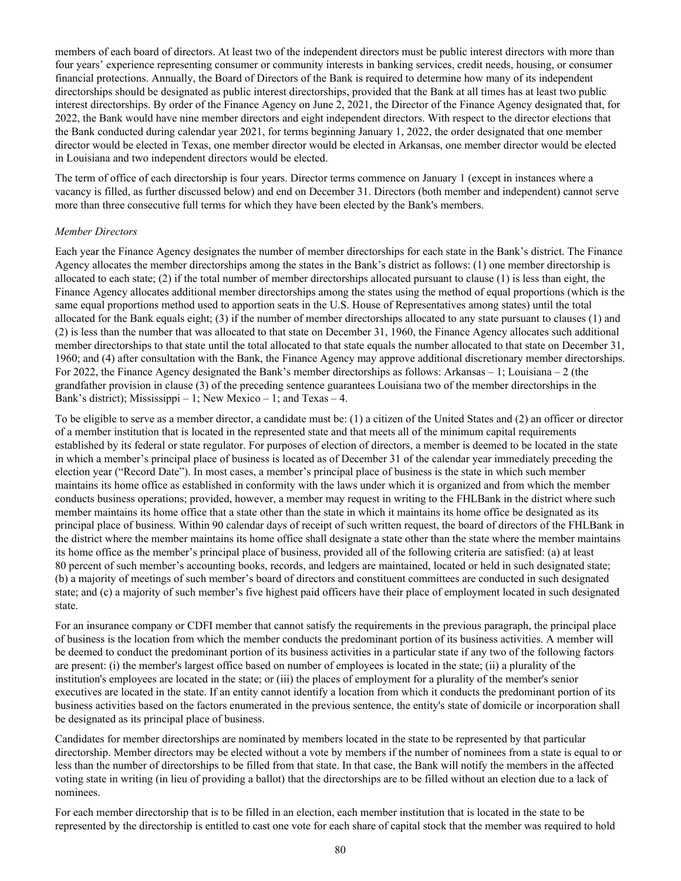members of each board of directors. At least two of the independent directors must be public interest directors with more than four years' experience representing consumer or community interests in banking services, credit needs, housing, or consumer financial protections. Annually, the Board of Directors of the Bank is required to determine how many of its independent directorships should be designated as public interest directorships, provided that the Bank at all times has at least two public interest directorships. By order of the Finance Agency on June 2, 2021, the Director of the Finance Agency designated that, for 2022, the Bank would have nine member directors and eight independent directors. With respect to the director elections that the Bank conducted during calendar year 2021, for terms beginning January 1, 2022, the order designated that one member director would be elected in Texas, one member director would be elected in Arkansas, one member director would be elected in Louisiana and two independent directors would be elected.

The term of office of each directorship is four years. Director terms commence on January 1 (except in instances where a vacancy is filled, as further discussed below) and end on December 31. Directors (both member and independent) cannot serve more than three consecutive full terms for which they have been elected by the Bank's members.

#### *Member Directors*

Each year the Finance Agency designates the number of member directorships for each state in the Bank's district. The Finance Agency allocates the member directorships among the states in the Bank's district as follows: (1) one member directorship is allocated to each state; (2) if the total number of member directorships allocated pursuant to clause (1) is less than eight, the Finance Agency allocates additional member directorships among the states using the method of equal proportions (which is the same equal proportions method used to apportion seats in the U.S. House of Representatives among states) until the total allocated for the Bank equals eight; (3) if the number of member directorships allocated to any state pursuant to clauses (1) and (2) is less than the number that was allocated to that state on December 31, 1960, the Finance Agency allocates such additional member directorships to that state until the total allocated to that state equals the number allocated to that state on December 31, 1960; and (4) after consultation with the Bank, the Finance Agency may approve additional discretionary member directorships. For 2022, the Finance Agency designated the Bank's member directorships as follows: Arkansas – 1; Louisiana – 2 (the grandfather provision in clause (3) of the preceding sentence guarantees Louisiana two of the member directorships in the Bank's district); Mississippi – 1; New Mexico – 1; and Texas – 4.

To be eligible to serve as a member director, a candidate must be: (1) a citizen of the United States and (2) an officer or director of a member institution that is located in the represented state and that meets all of the minimum capital requirements established by its federal or state regulator. For purposes of election of directors, a member is deemed to be located in the state in which a member's principal place of business is located as of December 31 of the calendar year immediately preceding the election year ("Record Date"). In most cases, a member's principal place of business is the state in which such member maintains its home office as established in conformity with the laws under which it is organized and from which the member conducts business operations; provided, however, a member may request in writing to the FHLBank in the district where such member maintains its home office that a state other than the state in which it maintains its home office be designated as its principal place of business. Within 90 calendar days of receipt of such written request, the board of directors of the FHLBank in the district where the member maintains its home office shall designate a state other than the state where the member maintains its home office as the member's principal place of business, provided all of the following criteria are satisfied: (a) at least 80 percent of such member's accounting books, records, and ledgers are maintained, located or held in such designated state; (b) a majority of meetings of such member's board of directors and constituent committees are conducted in such designated state; and (c) a majority of such member's five highest paid officers have their place of employment located in such designated state.

For an insurance company or CDFI member that cannot satisfy the requirements in the previous paragraph, the principal place of business is the location from which the member conducts the predominant portion of its business activities. A member will be deemed to conduct the predominant portion of its business activities in a particular state if any two of the following factors are present: (i) the member's largest office based on number of employees is located in the state; (ii) a plurality of the institution's employees are located in the state; or (iii) the places of employment for a plurality of the member's senior executives are located in the state. If an entity cannot identify a location from which it conducts the predominant portion of its business activities based on the factors enumerated in the previous sentence, the entity's state of domicile or incorporation shall be designated as its principal place of business.

Candidates for member directorships are nominated by members located in the state to be represented by that particular directorship. Member directors may be elected without a vote by members if the number of nominees from a state is equal to or less than the number of directorships to be filled from that state. In that case, the Bank will notify the members in the affected voting state in writing (in lieu of providing a ballot) that the directorships are to be filled without an election due to a lack of nominees.

For each member directorship that is to be filled in an election, each member institution that is located in the state to be represented by the directorship is entitled to cast one vote for each share of capital stock that the member was required to hold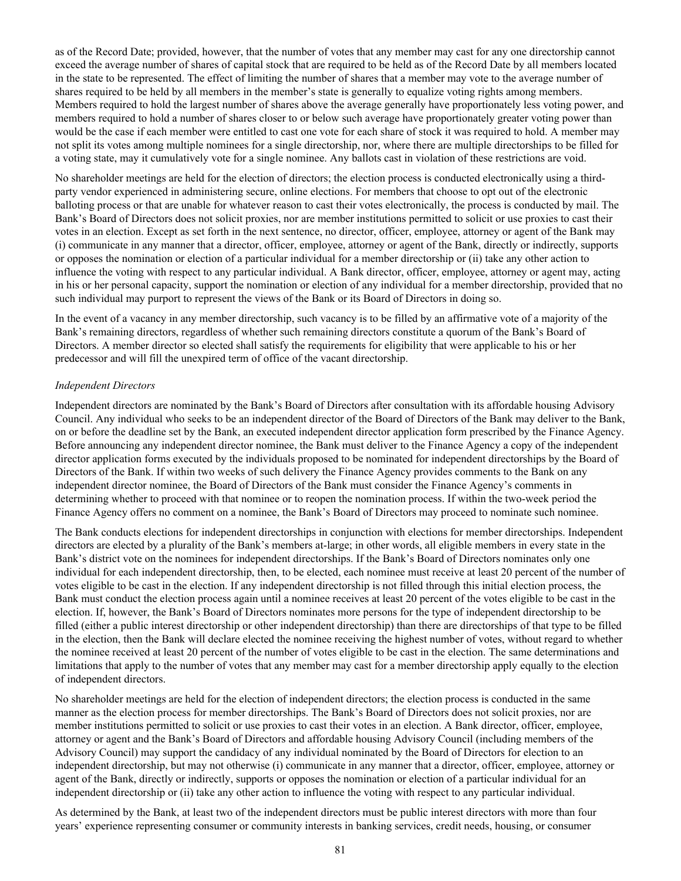as of the Record Date; provided, however, that the number of votes that any member may cast for any one directorship cannot exceed the average number of shares of capital stock that are required to be held as of the Record Date by all members located in the state to be represented. The effect of limiting the number of shares that a member may vote to the average number of shares required to be held by all members in the member's state is generally to equalize voting rights among members. Members required to hold the largest number of shares above the average generally have proportionately less voting power, and members required to hold a number of shares closer to or below such average have proportionately greater voting power than would be the case if each member were entitled to cast one vote for each share of stock it was required to hold. A member may not split its votes among multiple nominees for a single directorship, nor, where there are multiple directorships to be filled for a voting state, may it cumulatively vote for a single nominee. Any ballots cast in violation of these restrictions are void.

No shareholder meetings are held for the election of directors; the election process is conducted electronically using a thirdparty vendor experienced in administering secure, online elections. For members that choose to opt out of the electronic balloting process or that are unable for whatever reason to cast their votes electronically, the process is conducted by mail. The Bank's Board of Directors does not solicit proxies, nor are member institutions permitted to solicit or use proxies to cast their votes in an election. Except as set forth in the next sentence, no director, officer, employee, attorney or agent of the Bank may (i) communicate in any manner that a director, officer, employee, attorney or agent of the Bank, directly or indirectly, supports or opposes the nomination or election of a particular individual for a member directorship or (ii) take any other action to influence the voting with respect to any particular individual. A Bank director, officer, employee, attorney or agent may, acting in his or her personal capacity, support the nomination or election of any individual for a member directorship, provided that no such individual may purport to represent the views of the Bank or its Board of Directors in doing so.

In the event of a vacancy in any member directorship, such vacancy is to be filled by an affirmative vote of a majority of the Bank's remaining directors, regardless of whether such remaining directors constitute a quorum of the Bank's Board of Directors. A member director so elected shall satisfy the requirements for eligibility that were applicable to his or her predecessor and will fill the unexpired term of office of the vacant directorship.

#### *Independent Directors*

Independent directors are nominated by the Bank's Board of Directors after consultation with its affordable housing Advisory Council. Any individual who seeks to be an independent director of the Board of Directors of the Bank may deliver to the Bank, on or before the deadline set by the Bank, an executed independent director application form prescribed by the Finance Agency. Before announcing any independent director nominee, the Bank must deliver to the Finance Agency a copy of the independent director application forms executed by the individuals proposed to be nominated for independent directorships by the Board of Directors of the Bank. If within two weeks of such delivery the Finance Agency provides comments to the Bank on any independent director nominee, the Board of Directors of the Bank must consider the Finance Agency's comments in determining whether to proceed with that nominee or to reopen the nomination process. If within the two-week period the Finance Agency offers no comment on a nominee, the Bank's Board of Directors may proceed to nominate such nominee.

The Bank conducts elections for independent directorships in conjunction with elections for member directorships. Independent directors are elected by a plurality of the Bank's members at-large; in other words, all eligible members in every state in the Bank's district vote on the nominees for independent directorships. If the Bank's Board of Directors nominates only one individual for each independent directorship, then, to be elected, each nominee must receive at least 20 percent of the number of votes eligible to be cast in the election. If any independent directorship is not filled through this initial election process, the Bank must conduct the election process again until a nominee receives at least 20 percent of the votes eligible to be cast in the election. If, however, the Bank's Board of Directors nominates more persons for the type of independent directorship to be filled (either a public interest directorship or other independent directorship) than there are directorships of that type to be filled in the election, then the Bank will declare elected the nominee receiving the highest number of votes, without regard to whether the nominee received at least 20 percent of the number of votes eligible to be cast in the election. The same determinations and limitations that apply to the number of votes that any member may cast for a member directorship apply equally to the election of independent directors.

No shareholder meetings are held for the election of independent directors; the election process is conducted in the same manner as the election process for member directorships. The Bank's Board of Directors does not solicit proxies, nor are member institutions permitted to solicit or use proxies to cast their votes in an election. A Bank director, officer, employee, attorney or agent and the Bank's Board of Directors and affordable housing Advisory Council (including members of the Advisory Council) may support the candidacy of any individual nominated by the Board of Directors for election to an independent directorship, but may not otherwise (i) communicate in any manner that a director, officer, employee, attorney or agent of the Bank, directly or indirectly, supports or opposes the nomination or election of a particular individual for an independent directorship or (ii) take any other action to influence the voting with respect to any particular individual.

As determined by the Bank, at least two of the independent directors must be public interest directors with more than four years' experience representing consumer or community interests in banking services, credit needs, housing, or consumer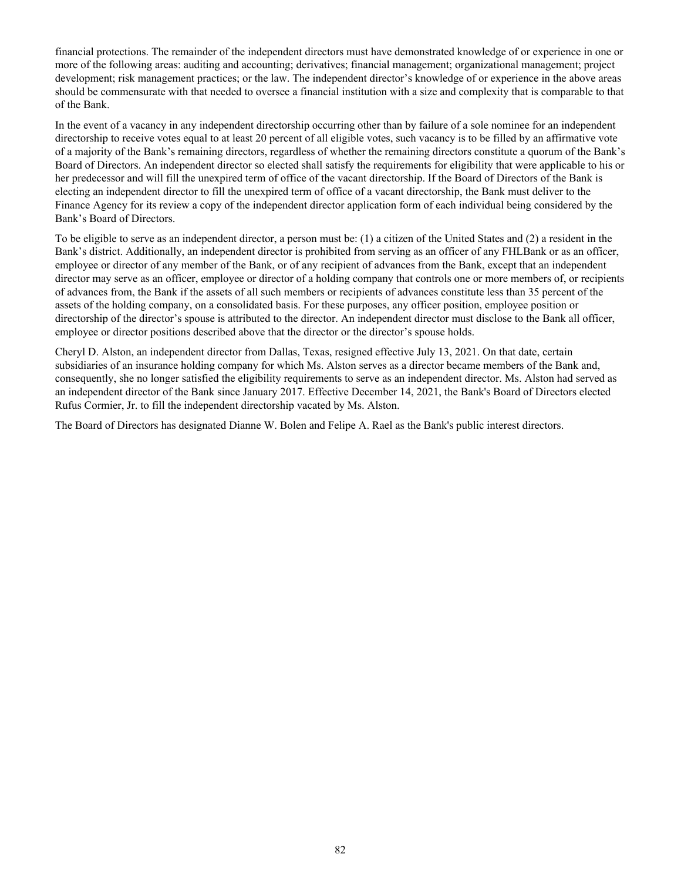financial protections. The remainder of the independent directors must have demonstrated knowledge of or experience in one or more of the following areas: auditing and accounting; derivatives; financial management; organizational management; project development; risk management practices; or the law. The independent director's knowledge of or experience in the above areas should be commensurate with that needed to oversee a financial institution with a size and complexity that is comparable to that of the Bank.

In the event of a vacancy in any independent directorship occurring other than by failure of a sole nominee for an independent directorship to receive votes equal to at least 20 percent of all eligible votes, such vacancy is to be filled by an affirmative vote of a majority of the Bank's remaining directors, regardless of whether the remaining directors constitute a quorum of the Bank's Board of Directors. An independent director so elected shall satisfy the requirements for eligibility that were applicable to his or her predecessor and will fill the unexpired term of office of the vacant directorship. If the Board of Directors of the Bank is electing an independent director to fill the unexpired term of office of a vacant directorship, the Bank must deliver to the Finance Agency for its review a copy of the independent director application form of each individual being considered by the Bank's Board of Directors.

To be eligible to serve as an independent director, a person must be: (1) a citizen of the United States and (2) a resident in the Bank's district. Additionally, an independent director is prohibited from serving as an officer of any FHLBank or as an officer, employee or director of any member of the Bank, or of any recipient of advances from the Bank, except that an independent director may serve as an officer, employee or director of a holding company that controls one or more members of, or recipients of advances from, the Bank if the assets of all such members or recipients of advances constitute less than 35 percent of the assets of the holding company, on a consolidated basis. For these purposes, any officer position, employee position or directorship of the director's spouse is attributed to the director. An independent director must disclose to the Bank all officer, employee or director positions described above that the director or the director's spouse holds.

Cheryl D. Alston, an independent director from Dallas, Texas, resigned effective July 13, 2021. On that date, certain subsidiaries of an insurance holding company for which Ms. Alston serves as a director became members of the Bank and, consequently, she no longer satisfied the eligibility requirements to serve as an independent director. Ms. Alston had served as an independent director of the Bank since January 2017. Effective December 14, 2021, the Bank's Board of Directors elected Rufus Cormier, Jr. to fill the independent directorship vacated by Ms. Alston.

The Board of Directors has designated Dianne W. Bolen and Felipe A. Rael as the Bank's public interest directors.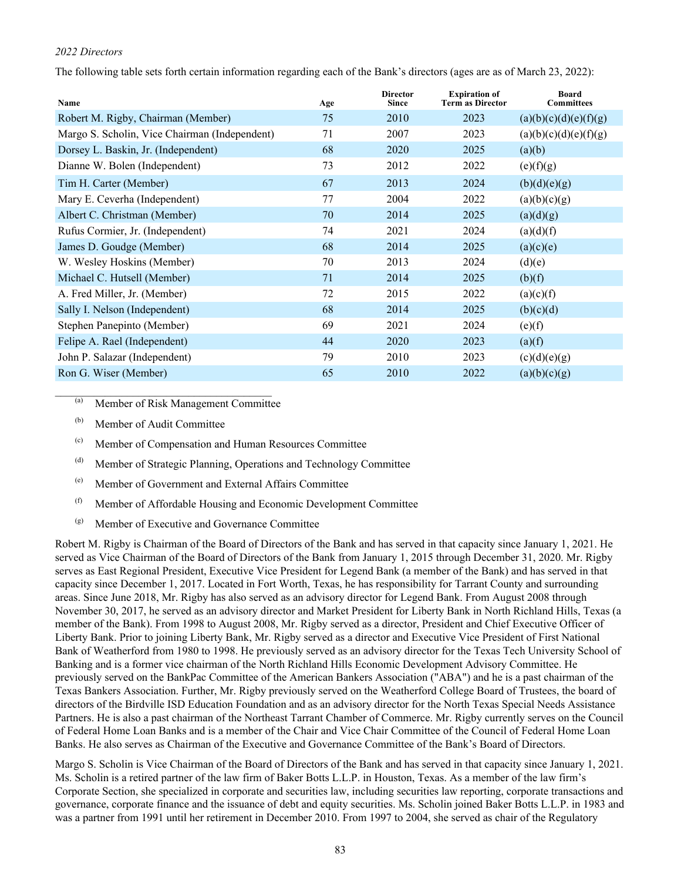# *2022 Directors*

The following table sets forth certain information regarding each of the Bank's directors (ages are as of March 23, 2022):

| Name                                          | Age | <b>Director</b><br><b>Since</b> | <b>Expiration of</b><br><b>Term as Director</b> | <b>Board</b><br><b>Committees</b> |
|-----------------------------------------------|-----|---------------------------------|-------------------------------------------------|-----------------------------------|
| Robert M. Rigby, Chairman (Member)            | 75  | 2010                            | 2023                                            | (a)(b)(c)(d)(e)(f)(g)             |
| Margo S. Scholin, Vice Chairman (Independent) | 71  | 2007                            | 2023                                            | (a)(b)(c)(d)(e)(f)(g)             |
| Dorsey L. Baskin, Jr. (Independent)           | 68  | 2020                            | 2025                                            | (a)(b)                            |
| Dianne W. Bolen (Independent)                 | 73  | 2012                            | 2022                                            | (e)(f)(g)                         |
| Tim H. Carter (Member)                        | 67  | 2013                            | 2024                                            | (b)(d)(e)(g)                      |
| Mary E. Ceverha (Independent)                 | 77  | 2004                            | 2022                                            | (a)(b)(c)(g)                      |
| Albert C. Christman (Member)                  | 70  | 2014                            | 2025                                            | (a)(d)(g)                         |
| Rufus Cormier, Jr. (Independent)              | 74  | 2021                            | 2024                                            | (a)(d)(f)                         |
| James D. Goudge (Member)                      | 68  | 2014                            | 2025                                            | (a)(c)(e)                         |
| W. Wesley Hoskins (Member)                    | 70  | 2013                            | 2024                                            | (d)(e)                            |
| Michael C. Hutsell (Member)                   | 71  | 2014                            | 2025                                            | (b)(f)                            |
| A. Fred Miller, Jr. (Member)                  | 72  | 2015                            | 2022                                            | (a)(c)(f)                         |
| Sally I. Nelson (Independent)                 | 68  | 2014                            | 2025                                            | (b)(c)(d)                         |
| Stephen Panepinto (Member)                    | 69  | 2021                            | 2024                                            | (e)(f)                            |
| Felipe A. Rael (Independent)                  | 44  | 2020                            | 2023                                            | (a)(f)                            |
| John P. Salazar (Independent)                 | 79  | 2010                            | 2023                                            | (c)(d)(e)(g)                      |
| Ron G. Wiser (Member)                         | 65  | 2010                            | 2022                                            | (a)(b)(c)(g)                      |

(a) Member of Risk Management Committee

- (b) Member of Audit Committee
- (c) Member of Compensation and Human Resources Committee
- (d) Member of Strategic Planning, Operations and Technology Committee
- (e) Member of Government and External Affairs Committee
- (f) Member of Affordable Housing and Economic Development Committee
- (g) Member of Executive and Governance Committee

Robert M. Rigby is Chairman of the Board of Directors of the Bank and has served in that capacity since January 1, 2021. He served as Vice Chairman of the Board of Directors of the Bank from January 1, 2015 through December 31, 2020. Mr. Rigby serves as East Regional President, Executive Vice President for Legend Bank (a member of the Bank) and has served in that capacity since December 1, 2017. Located in Fort Worth, Texas, he has responsibility for Tarrant County and surrounding areas. Since June 2018, Mr. Rigby has also served as an advisory director for Legend Bank. From August 2008 through November 30, 2017, he served as an advisory director and Market President for Liberty Bank in North Richland Hills, Texas (a member of the Bank). From 1998 to August 2008, Mr. Rigby served as a director, President and Chief Executive Officer of Liberty Bank. Prior to joining Liberty Bank, Mr. Rigby served as a director and Executive Vice President of First National Bank of Weatherford from 1980 to 1998. He previously served as an advisory director for the Texas Tech University School of Banking and is a former vice chairman of the North Richland Hills Economic Development Advisory Committee. He previously served on the BankPac Committee of the American Bankers Association ("ABA") and he is a past chairman of the Texas Bankers Association. Further, Mr. Rigby previously served on the Weatherford College Board of Trustees, the board of directors of the Birdville ISD Education Foundation and as an advisory director for the North Texas Special Needs Assistance Partners. He is also a past chairman of the Northeast Tarrant Chamber of Commerce. Mr. Rigby currently serves on the Council of Federal Home Loan Banks and is a member of the Chair and Vice Chair Committee of the Council of Federal Home Loan Banks. He also serves as Chairman of the Executive and Governance Committee of the Bank's Board of Directors.

Margo S. Scholin is Vice Chairman of the Board of Directors of the Bank and has served in that capacity since January 1, 2021. Ms. Scholin is a retired partner of the law firm of Baker Botts L.L.P. in Houston, Texas. As a member of the law firm's Corporate Section, she specialized in corporate and securities law, including securities law reporting, corporate transactions and governance, corporate finance and the issuance of debt and equity securities. Ms. Scholin joined Baker Botts L.L.P. in 1983 and was a partner from 1991 until her retirement in December 2010. From 1997 to 2004, she served as chair of the Regulatory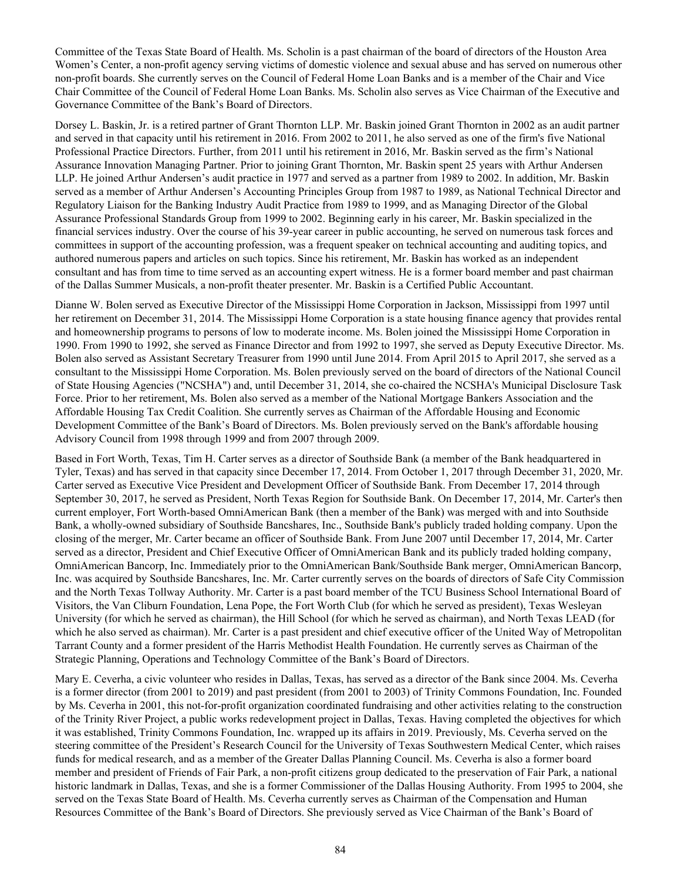Committee of the Texas State Board of Health. Ms. Scholin is a past chairman of the board of directors of the Houston Area Women's Center, a non-profit agency serving victims of domestic violence and sexual abuse and has served on numerous other non-profit boards. She currently serves on the Council of Federal Home Loan Banks and is a member of the Chair and Vice Chair Committee of the Council of Federal Home Loan Banks. Ms. Scholin also serves as Vice Chairman of the Executive and Governance Committee of the Bank's Board of Directors.

Dorsey L. Baskin, Jr. is a retired partner of Grant Thornton LLP. Mr. Baskin joined Grant Thornton in 2002 as an audit partner and served in that capacity until his retirement in 2016. From 2002 to 2011, he also served as one of the firm's five National Professional Practice Directors. Further, from 2011 until his retirement in 2016, Mr. Baskin served as the firm's National Assurance Innovation Managing Partner. Prior to joining Grant Thornton, Mr. Baskin spent 25 years with Arthur Andersen LLP. He joined Arthur Andersen's audit practice in 1977 and served as a partner from 1989 to 2002. In addition, Mr. Baskin served as a member of Arthur Andersen's Accounting Principles Group from 1987 to 1989, as National Technical Director and Regulatory Liaison for the Banking Industry Audit Practice from 1989 to 1999, and as Managing Director of the Global Assurance Professional Standards Group from 1999 to 2002. Beginning early in his career, Mr. Baskin specialized in the financial services industry. Over the course of his 39-year career in public accounting, he served on numerous task forces and committees in support of the accounting profession, was a frequent speaker on technical accounting and auditing topics, and authored numerous papers and articles on such topics. Since his retirement, Mr. Baskin has worked as an independent consultant and has from time to time served as an accounting expert witness. He is a former board member and past chairman of the Dallas Summer Musicals, a non-profit theater presenter. Mr. Baskin is a Certified Public Accountant.

Dianne W. Bolen served as Executive Director of the Mississippi Home Corporation in Jackson, Mississippi from 1997 until her retirement on December 31, 2014. The Mississippi Home Corporation is a state housing finance agency that provides rental and homeownership programs to persons of low to moderate income. Ms. Bolen joined the Mississippi Home Corporation in 1990. From 1990 to 1992, she served as Finance Director and from 1992 to 1997, she served as Deputy Executive Director. Ms. Bolen also served as Assistant Secretary Treasurer from 1990 until June 2014. From April 2015 to April 2017, she served as a consultant to the Mississippi Home Corporation. Ms. Bolen previously served on the board of directors of the National Council of State Housing Agencies ("NCSHA") and, until December 31, 2014, she co-chaired the NCSHA's Municipal Disclosure Task Force. Prior to her retirement, Ms. Bolen also served as a member of the National Mortgage Bankers Association and the Affordable Housing Tax Credit Coalition. She currently serves as Chairman of the Affordable Housing and Economic Development Committee of the Bank's Board of Directors. Ms. Bolen previously served on the Bank's affordable housing Advisory Council from 1998 through 1999 and from 2007 through 2009.

Based in Fort Worth, Texas, Tim H. Carter serves as a director of Southside Bank (a member of the Bank headquartered in Tyler, Texas) and has served in that capacity since December 17, 2014. From October 1, 2017 through December 31, 2020, Mr. Carter served as Executive Vice President and Development Officer of Southside Bank. From December 17, 2014 through September 30, 2017, he served as President, North Texas Region for Southside Bank. On December 17, 2014, Mr. Carter's then current employer, Fort Worth-based OmniAmerican Bank (then a member of the Bank) was merged with and into Southside Bank, a wholly-owned subsidiary of Southside Bancshares, Inc., Southside Bank's publicly traded holding company. Upon the closing of the merger, Mr. Carter became an officer of Southside Bank. From June 2007 until December 17, 2014, Mr. Carter served as a director, President and Chief Executive Officer of OmniAmerican Bank and its publicly traded holding company, OmniAmerican Bancorp, Inc. Immediately prior to the OmniAmerican Bank/Southside Bank merger, OmniAmerican Bancorp, Inc. was acquired by Southside Bancshares, Inc. Mr. Carter currently serves on the boards of directors of Safe City Commission and the North Texas Tollway Authority. Mr. Carter is a past board member of the TCU Business School International Board of Visitors, the Van Cliburn Foundation, Lena Pope, the Fort Worth Club (for which he served as president), Texas Wesleyan University (for which he served as chairman), the Hill School (for which he served as chairman), and North Texas LEAD (for which he also served as chairman). Mr. Carter is a past president and chief executive officer of the United Way of Metropolitan Tarrant County and a former president of the Harris Methodist Health Foundation. He currently serves as Chairman of the Strategic Planning, Operations and Technology Committee of the Bank's Board of Directors.

Mary E. Ceverha, a civic volunteer who resides in Dallas, Texas, has served as a director of the Bank since 2004. Ms. Ceverha is a former director (from 2001 to 2019) and past president (from 2001 to 2003) of Trinity Commons Foundation, Inc. Founded by Ms. Ceverha in 2001, this not-for-profit organization coordinated fundraising and other activities relating to the construction of the Trinity River Project, a public works redevelopment project in Dallas, Texas. Having completed the objectives for which it was established, Trinity Commons Foundation, Inc. wrapped up its affairs in 2019. Previously, Ms. Ceverha served on the steering committee of the President's Research Council for the University of Texas Southwestern Medical Center, which raises funds for medical research, and as a member of the Greater Dallas Planning Council. Ms. Ceverha is also a former board member and president of Friends of Fair Park, a non-profit citizens group dedicated to the preservation of Fair Park, a national historic landmark in Dallas, Texas, and she is a former Commissioner of the Dallas Housing Authority. From 1995 to 2004, she served on the Texas State Board of Health. Ms. Ceverha currently serves as Chairman of the Compensation and Human Resources Committee of the Bank's Board of Directors. She previously served as Vice Chairman of the Bank's Board of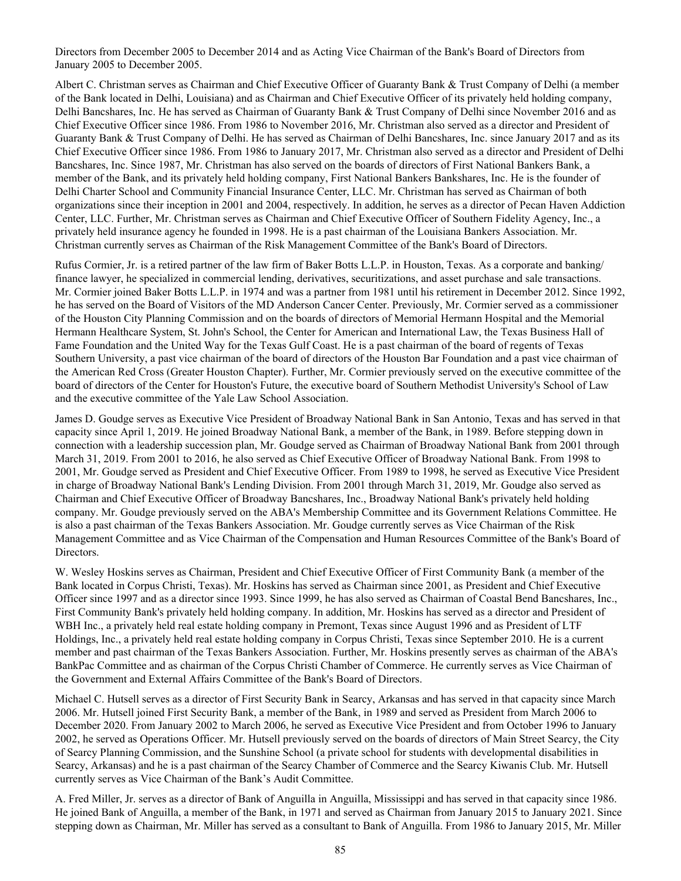Directors from December 2005 to December 2014 and as Acting Vice Chairman of the Bank's Board of Directors from January 2005 to December 2005.

Albert C. Christman serves as Chairman and Chief Executive Officer of Guaranty Bank & Trust Company of Delhi (a member of the Bank located in Delhi, Louisiana) and as Chairman and Chief Executive Officer of its privately held holding company, Delhi Bancshares, Inc. He has served as Chairman of Guaranty Bank & Trust Company of Delhi since November 2016 and as Chief Executive Officer since 1986. From 1986 to November 2016, Mr. Christman also served as a director and President of Guaranty Bank & Trust Company of Delhi. He has served as Chairman of Delhi Bancshares, Inc. since January 2017 and as its Chief Executive Officer since 1986. From 1986 to January 2017, Mr. Christman also served as a director and President of Delhi Bancshares, Inc. Since 1987, Mr. Christman has also served on the boards of directors of First National Bankers Bank, a member of the Bank, and its privately held holding company, First National Bankers Bankshares, Inc. He is the founder of Delhi Charter School and Community Financial Insurance Center, LLC. Mr. Christman has served as Chairman of both organizations since their inception in 2001 and 2004, respectively. In addition, he serves as a director of Pecan Haven Addiction Center, LLC. Further, Mr. Christman serves as Chairman and Chief Executive Officer of Southern Fidelity Agency, Inc., a privately held insurance agency he founded in 1998. He is a past chairman of the Louisiana Bankers Association. Mr. Christman currently serves as Chairman of the Risk Management Committee of the Bank's Board of Directors.

Rufus Cormier, Jr. is a retired partner of the law firm of Baker Botts L.L.P. in Houston, Texas. As a corporate and banking/ finance lawyer, he specialized in commercial lending, derivatives, securitizations, and asset purchase and sale transactions. Mr. Cormier joined Baker Botts L.L.P. in 1974 and was a partner from 1981 until his retirement in December 2012. Since 1992, he has served on the Board of Visitors of the MD Anderson Cancer Center. Previously, Mr. Cormier served as a commissioner of the Houston City Planning Commission and on the boards of directors of Memorial Hermann Hospital and the Memorial Hermann Healthcare System, St. John's School, the Center for American and International Law, the Texas Business Hall of Fame Foundation and the United Way for the Texas Gulf Coast. He is a past chairman of the board of regents of Texas Southern University, a past vice chairman of the board of directors of the Houston Bar Foundation and a past vice chairman of the American Red Cross (Greater Houston Chapter). Further, Mr. Cormier previously served on the executive committee of the board of directors of the Center for Houston's Future, the executive board of Southern Methodist University's School of Law and the executive committee of the Yale Law School Association.

James D. Goudge serves as Executive Vice President of Broadway National Bank in San Antonio, Texas and has served in that capacity since April 1, 2019. He joined Broadway National Bank, a member of the Bank, in 1989. Before stepping down in connection with a leadership succession plan, Mr. Goudge served as Chairman of Broadway National Bank from 2001 through March 31, 2019. From 2001 to 2016, he also served as Chief Executive Officer of Broadway National Bank. From 1998 to 2001, Mr. Goudge served as President and Chief Executive Officer. From 1989 to 1998, he served as Executive Vice President in charge of Broadway National Bank's Lending Division. From 2001 through March 31, 2019, Mr. Goudge also served as Chairman and Chief Executive Officer of Broadway Bancshares, Inc., Broadway National Bank's privately held holding company. Mr. Goudge previously served on the ABA's Membership Committee and its Government Relations Committee. He is also a past chairman of the Texas Bankers Association. Mr. Goudge currently serves as Vice Chairman of the Risk Management Committee and as Vice Chairman of the Compensation and Human Resources Committee of the Bank's Board of Directors.

W. Wesley Hoskins serves as Chairman, President and Chief Executive Officer of First Community Bank (a member of the Bank located in Corpus Christi, Texas). Mr. Hoskins has served as Chairman since 2001, as President and Chief Executive Officer since 1997 and as a director since 1993. Since 1999, he has also served as Chairman of Coastal Bend Bancshares, Inc., First Community Bank's privately held holding company. In addition, Mr. Hoskins has served as a director and President of WBH Inc., a privately held real estate holding company in Premont, Texas since August 1996 and as President of LTF Holdings, Inc., a privately held real estate holding company in Corpus Christi, Texas since September 2010. He is a current member and past chairman of the Texas Bankers Association. Further, Mr. Hoskins presently serves as chairman of the ABA's BankPac Committee and as chairman of the Corpus Christi Chamber of Commerce. He currently serves as Vice Chairman of the Government and External Affairs Committee of the Bank's Board of Directors.

Michael C. Hutsell serves as a director of First Security Bank in Searcy, Arkansas and has served in that capacity since March 2006. Mr. Hutsell joined First Security Bank, a member of the Bank, in 1989 and served as President from March 2006 to December 2020. From January 2002 to March 2006, he served as Executive Vice President and from October 1996 to January 2002, he served as Operations Officer. Mr. Hutsell previously served on the boards of directors of Main Street Searcy, the City of Searcy Planning Commission, and the Sunshine School (a private school for students with developmental disabilities in Searcy, Arkansas) and he is a past chairman of the Searcy Chamber of Commerce and the Searcy Kiwanis Club. Mr. Hutsell currently serves as Vice Chairman of the Bank's Audit Committee.

A. Fred Miller, Jr. serves as a director of Bank of Anguilla in Anguilla, Mississippi and has served in that capacity since 1986. He joined Bank of Anguilla, a member of the Bank, in 1971 and served as Chairman from January 2015 to January 2021. Since stepping down as Chairman, Mr. Miller has served as a consultant to Bank of Anguilla. From 1986 to January 2015, Mr. Miller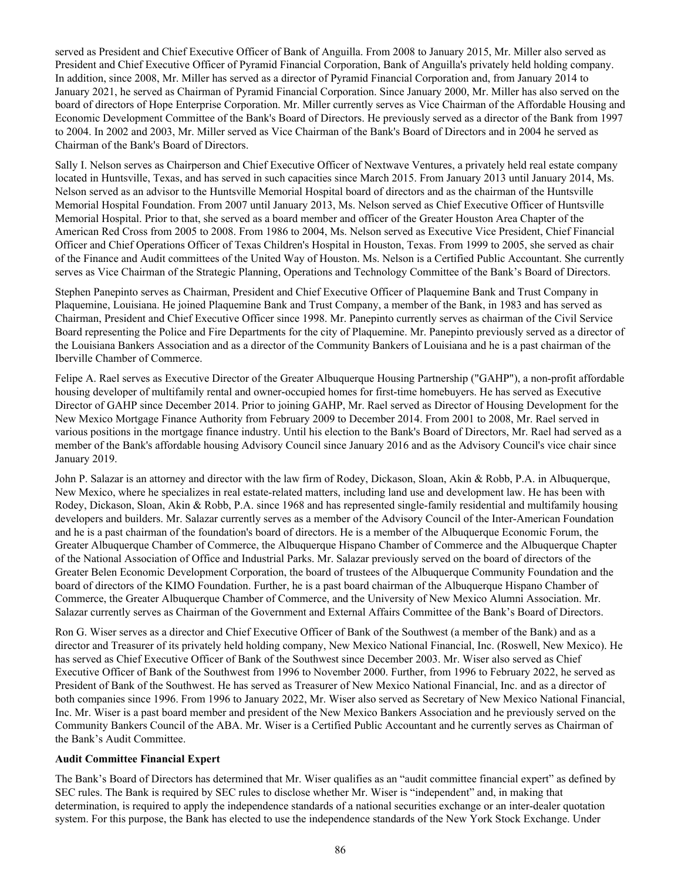served as President and Chief Executive Officer of Bank of Anguilla. From 2008 to January 2015, Mr. Miller also served as President and Chief Executive Officer of Pyramid Financial Corporation, Bank of Anguilla's privately held holding company. In addition, since 2008, Mr. Miller has served as a director of Pyramid Financial Corporation and, from January 2014 to January 2021, he served as Chairman of Pyramid Financial Corporation. Since January 2000, Mr. Miller has also served on the board of directors of Hope Enterprise Corporation. Mr. Miller currently serves as Vice Chairman of the Affordable Housing and Economic Development Committee of the Bank's Board of Directors. He previously served as a director of the Bank from 1997 to 2004. In 2002 and 2003, Mr. Miller served as Vice Chairman of the Bank's Board of Directors and in 2004 he served as Chairman of the Bank's Board of Directors.

Sally I. Nelson serves as Chairperson and Chief Executive Officer of Nextwave Ventures, a privately held real estate company located in Huntsville, Texas, and has served in such capacities since March 2015. From January 2013 until January 2014, Ms. Nelson served as an advisor to the Huntsville Memorial Hospital board of directors and as the chairman of the Huntsville Memorial Hospital Foundation. From 2007 until January 2013, Ms. Nelson served as Chief Executive Officer of Huntsville Memorial Hospital. Prior to that, she served as a board member and officer of the Greater Houston Area Chapter of the American Red Cross from 2005 to 2008. From 1986 to 2004, Ms. Nelson served as Executive Vice President, Chief Financial Officer and Chief Operations Officer of Texas Children's Hospital in Houston, Texas. From 1999 to 2005, she served as chair of the Finance and Audit committees of the United Way of Houston. Ms. Nelson is a Certified Public Accountant. She currently serves as Vice Chairman of the Strategic Planning, Operations and Technology Committee of the Bank's Board of Directors.

Stephen Panepinto serves as Chairman, President and Chief Executive Officer of Plaquemine Bank and Trust Company in Plaquemine, Louisiana. He joined Plaquemine Bank and Trust Company, a member of the Bank, in 1983 and has served as Chairman, President and Chief Executive Officer since 1998. Mr. Panepinto currently serves as chairman of the Civil Service Board representing the Police and Fire Departments for the city of Plaquemine. Mr. Panepinto previously served as a director of the Louisiana Bankers Association and as a director of the Community Bankers of Louisiana and he is a past chairman of the Iberville Chamber of Commerce.

Felipe A. Rael serves as Executive Director of the Greater Albuquerque Housing Partnership ("GAHP"), a non-profit affordable housing developer of multifamily rental and owner-occupied homes for first-time homebuyers. He has served as Executive Director of GAHP since December 2014. Prior to joining GAHP, Mr. Rael served as Director of Housing Development for the New Mexico Mortgage Finance Authority from February 2009 to December 2014. From 2001 to 2008, Mr. Rael served in various positions in the mortgage finance industry. Until his election to the Bank's Board of Directors, Mr. Rael had served as a member of the Bank's affordable housing Advisory Council since January 2016 and as the Advisory Council's vice chair since January 2019.

John P. Salazar is an attorney and director with the law firm of Rodey, Dickason, Sloan, Akin & Robb, P.A. in Albuquerque, New Mexico, where he specializes in real estate-related matters, including land use and development law. He has been with Rodey, Dickason, Sloan, Akin & Robb, P.A. since 1968 and has represented single-family residential and multifamily housing developers and builders. Mr. Salazar currently serves as a member of the Advisory Council of the Inter-American Foundation and he is a past chairman of the foundation's board of directors. He is a member of the Albuquerque Economic Forum, the Greater Albuquerque Chamber of Commerce, the Albuquerque Hispano Chamber of Commerce and the Albuquerque Chapter of the National Association of Office and Industrial Parks. Mr. Salazar previously served on the board of directors of the Greater Belen Economic Development Corporation, the board of trustees of the Albuquerque Community Foundation and the board of directors of the KIMO Foundation. Further, he is a past board chairman of the Albuquerque Hispano Chamber of Commerce, the Greater Albuquerque Chamber of Commerce, and the University of New Mexico Alumni Association. Mr. Salazar currently serves as Chairman of the Government and External Affairs Committee of the Bank's Board of Directors.

Ron G. Wiser serves as a director and Chief Executive Officer of Bank of the Southwest (a member of the Bank) and as a director and Treasurer of its privately held holding company, New Mexico National Financial, Inc. (Roswell, New Mexico). He has served as Chief Executive Officer of Bank of the Southwest since December 2003. Mr. Wiser also served as Chief Executive Officer of Bank of the Southwest from 1996 to November 2000. Further, from 1996 to February 2022, he served as President of Bank of the Southwest. He has served as Treasurer of New Mexico National Financial, Inc. and as a director of both companies since 1996. From 1996 to January 2022, Mr. Wiser also served as Secretary of New Mexico National Financial, Inc. Mr. Wiser is a past board member and president of the New Mexico Bankers Association and he previously served on the Community Bankers Council of the ABA. Mr. Wiser is a Certified Public Accountant and he currently serves as Chairman of the Bank's Audit Committee.

# **Audit Committee Financial Expert**

The Bank's Board of Directors has determined that Mr. Wiser qualifies as an "audit committee financial expert" as defined by SEC rules. The Bank is required by SEC rules to disclose whether Mr. Wiser is "independent" and, in making that determination, is required to apply the independence standards of a national securities exchange or an inter-dealer quotation system. For this purpose, the Bank has elected to use the independence standards of the New York Stock Exchange. Under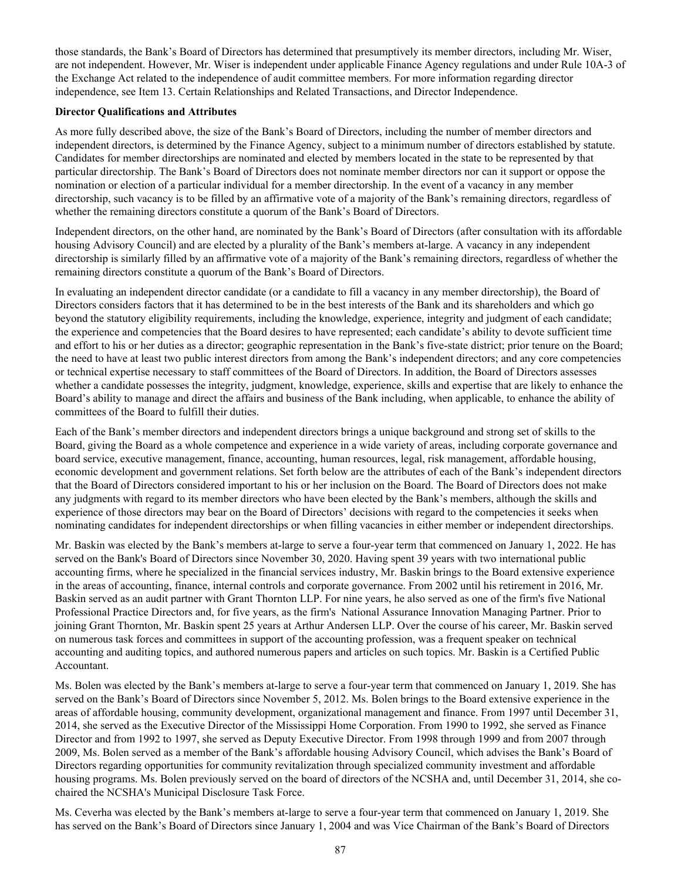those standards, the Bank's Board of Directors has determined that presumptively its member directors, including Mr. Wiser, are not independent. However, Mr. Wiser is independent under applicable Finance Agency regulations and under Rule 10A-3 of the Exchange Act related to the independence of audit committee members. For more information regarding director independence, see Item 13. Certain Relationships and Related Transactions, and Director Independence.

#### **Director Qualifications and Attributes**

As more fully described above, the size of the Bank's Board of Directors, including the number of member directors and independent directors, is determined by the Finance Agency, subject to a minimum number of directors established by statute. Candidates for member directorships are nominated and elected by members located in the state to be represented by that particular directorship. The Bank's Board of Directors does not nominate member directors nor can it support or oppose the nomination or election of a particular individual for a member directorship. In the event of a vacancy in any member directorship, such vacancy is to be filled by an affirmative vote of a majority of the Bank's remaining directors, regardless of whether the remaining directors constitute a quorum of the Bank's Board of Directors.

Independent directors, on the other hand, are nominated by the Bank's Board of Directors (after consultation with its affordable housing Advisory Council) and are elected by a plurality of the Bank's members at-large. A vacancy in any independent directorship is similarly filled by an affirmative vote of a majority of the Bank's remaining directors, regardless of whether the remaining directors constitute a quorum of the Bank's Board of Directors.

In evaluating an independent director candidate (or a candidate to fill a vacancy in any member directorship), the Board of Directors considers factors that it has determined to be in the best interests of the Bank and its shareholders and which go beyond the statutory eligibility requirements, including the knowledge, experience, integrity and judgment of each candidate; the experience and competencies that the Board desires to have represented; each candidate's ability to devote sufficient time and effort to his or her duties as a director; geographic representation in the Bank's five-state district; prior tenure on the Board; the need to have at least two public interest directors from among the Bank's independent directors; and any core competencies or technical expertise necessary to staff committees of the Board of Directors. In addition, the Board of Directors assesses whether a candidate possesses the integrity, judgment, knowledge, experience, skills and expertise that are likely to enhance the Board's ability to manage and direct the affairs and business of the Bank including, when applicable, to enhance the ability of committees of the Board to fulfill their duties.

Each of the Bank's member directors and independent directors brings a unique background and strong set of skills to the Board, giving the Board as a whole competence and experience in a wide variety of areas, including corporate governance and board service, executive management, finance, accounting, human resources, legal, risk management, affordable housing, economic development and government relations. Set forth below are the attributes of each of the Bank's independent directors that the Board of Directors considered important to his or her inclusion on the Board. The Board of Directors does not make any judgments with regard to its member directors who have been elected by the Bank's members, although the skills and experience of those directors may bear on the Board of Directors' decisions with regard to the competencies it seeks when nominating candidates for independent directorships or when filling vacancies in either member or independent directorships.

Mr. Baskin was elected by the Bank's members at-large to serve a four-year term that commenced on January 1, 2022. He has served on the Bank's Board of Directors since November 30, 2020. Having spent 39 years with two international public accounting firms, where he specialized in the financial services industry, Mr. Baskin brings to the Board extensive experience in the areas of accounting, finance, internal controls and corporate governance. From 2002 until his retirement in 2016, Mr. Baskin served as an audit partner with Grant Thornton LLP. For nine years, he also served as one of the firm's five National Professional Practice Directors and, for five years, as the firm's National Assurance Innovation Managing Partner. Prior to joining Grant Thornton, Mr. Baskin spent 25 years at Arthur Andersen LLP. Over the course of his career, Mr. Baskin served on numerous task forces and committees in support of the accounting profession, was a frequent speaker on technical accounting and auditing topics, and authored numerous papers and articles on such topics. Mr. Baskin is a Certified Public Accountant.

Ms. Bolen was elected by the Bank's members at-large to serve a four-year term that commenced on January 1, 2019. She has served on the Bank's Board of Directors since November 5, 2012. Ms. Bolen brings to the Board extensive experience in the areas of affordable housing, community development, organizational management and finance. From 1997 until December 31, 2014, she served as the Executive Director of the Mississippi Home Corporation. From 1990 to 1992, she served as Finance Director and from 1992 to 1997, she served as Deputy Executive Director. From 1998 through 1999 and from 2007 through 2009, Ms. Bolen served as a member of the Bank's affordable housing Advisory Council, which advises the Bank's Board of Directors regarding opportunities for community revitalization through specialized community investment and affordable housing programs. Ms. Bolen previously served on the board of directors of the NCSHA and, until December 31, 2014, she cochaired the NCSHA's Municipal Disclosure Task Force.

Ms. Ceverha was elected by the Bank's members at-large to serve a four-year term that commenced on January 1, 2019. She has served on the Bank's Board of Directors since January 1, 2004 and was Vice Chairman of the Bank's Board of Directors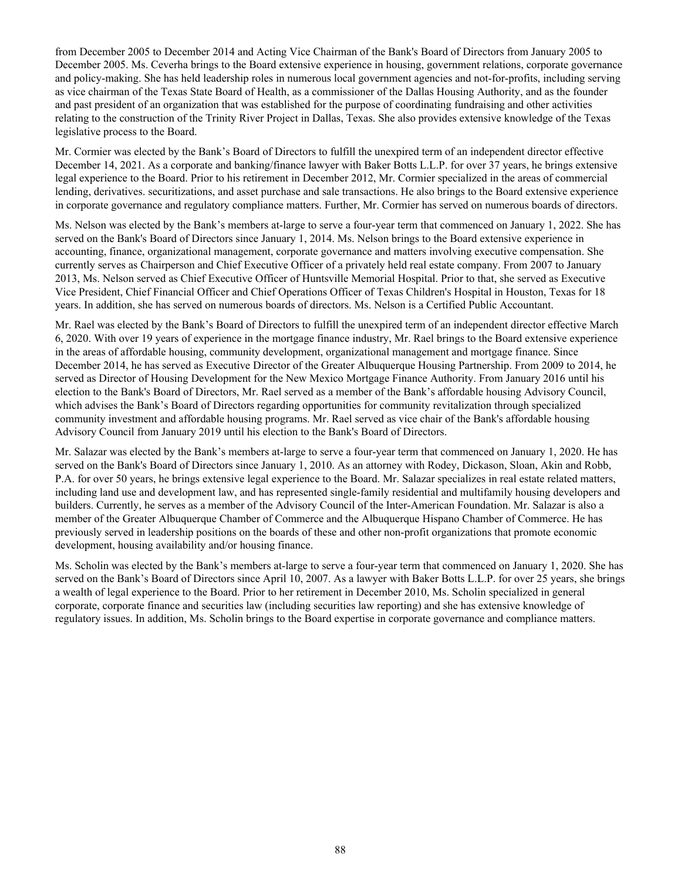from December 2005 to December 2014 and Acting Vice Chairman of the Bank's Board of Directors from January 2005 to December 2005. Ms. Ceverha brings to the Board extensive experience in housing, government relations, corporate governance and policy-making. She has held leadership roles in numerous local government agencies and not-for-profits, including serving as vice chairman of the Texas State Board of Health, as a commissioner of the Dallas Housing Authority, and as the founder and past president of an organization that was established for the purpose of coordinating fundraising and other activities relating to the construction of the Trinity River Project in Dallas, Texas. She also provides extensive knowledge of the Texas legislative process to the Board.

Mr. Cormier was elected by the Bank's Board of Directors to fulfill the unexpired term of an independent director effective December 14, 2021. As a corporate and banking/finance lawyer with Baker Botts L.L.P. for over 37 years, he brings extensive legal experience to the Board. Prior to his retirement in December 2012, Mr. Cormier specialized in the areas of commercial lending, derivatives. securitizations, and asset purchase and sale transactions. He also brings to the Board extensive experience in corporate governance and regulatory compliance matters. Further, Mr. Cormier has served on numerous boards of directors.

Ms. Nelson was elected by the Bank's members at-large to serve a four-year term that commenced on January 1, 2022. She has served on the Bank's Board of Directors since January 1, 2014. Ms. Nelson brings to the Board extensive experience in accounting, finance, organizational management, corporate governance and matters involving executive compensation. She currently serves as Chairperson and Chief Executive Officer of a privately held real estate company. From 2007 to January 2013, Ms. Nelson served as Chief Executive Officer of Huntsville Memorial Hospital. Prior to that, she served as Executive Vice President, Chief Financial Officer and Chief Operations Officer of Texas Children's Hospital in Houston, Texas for 18 years. In addition, she has served on numerous boards of directors. Ms. Nelson is a Certified Public Accountant.

Mr. Rael was elected by the Bank's Board of Directors to fulfill the unexpired term of an independent director effective March 6, 2020. With over 19 years of experience in the mortgage finance industry, Mr. Rael brings to the Board extensive experience in the areas of affordable housing, community development, organizational management and mortgage finance. Since December 2014, he has served as Executive Director of the Greater Albuquerque Housing Partnership. From 2009 to 2014, he served as Director of Housing Development for the New Mexico Mortgage Finance Authority. From January 2016 until his election to the Bank's Board of Directors, Mr. Rael served as a member of the Bank's affordable housing Advisory Council, which advises the Bank's Board of Directors regarding opportunities for community revitalization through specialized community investment and affordable housing programs. Mr. Rael served as vice chair of the Bank's affordable housing Advisory Council from January 2019 until his election to the Bank's Board of Directors.

Mr. Salazar was elected by the Bank's members at-large to serve a four-year term that commenced on January 1, 2020. He has served on the Bank's Board of Directors since January 1, 2010. As an attorney with Rodey, Dickason, Sloan, Akin and Robb, P.A. for over 50 years, he brings extensive legal experience to the Board. Mr. Salazar specializes in real estate related matters, including land use and development law, and has represented single-family residential and multifamily housing developers and builders. Currently, he serves as a member of the Advisory Council of the Inter-American Foundation. Mr. Salazar is also a member of the Greater Albuquerque Chamber of Commerce and the Albuquerque Hispano Chamber of Commerce. He has previously served in leadership positions on the boards of these and other non-profit organizations that promote economic development, housing availability and/or housing finance.

Ms. Scholin was elected by the Bank's members at-large to serve a four-year term that commenced on January 1, 2020. She has served on the Bank's Board of Directors since April 10, 2007. As a lawyer with Baker Botts L.L.P. for over 25 years, she brings a wealth of legal experience to the Board. Prior to her retirement in December 2010, Ms. Scholin specialized in general corporate, corporate finance and securities law (including securities law reporting) and she has extensive knowledge of regulatory issues. In addition, Ms. Scholin brings to the Board expertise in corporate governance and compliance matters.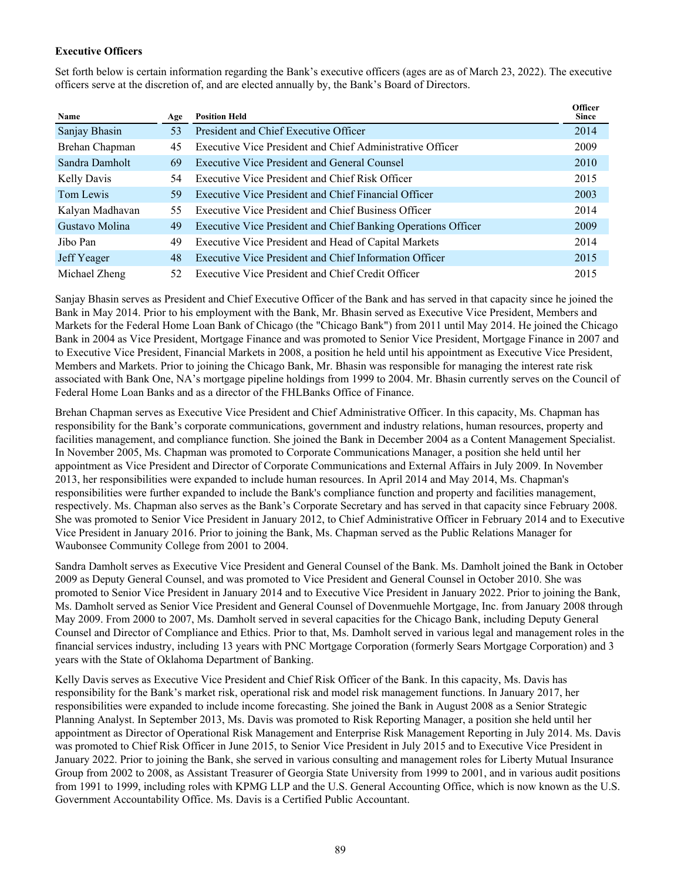# **Executive Officers**

Set forth below is certain information regarding the Bank's executive officers (ages are as of March 23, 2022). The executive officers serve at the discretion of, and are elected annually by, the Bank's Board of Directors.

| Name               | Age | <b>Position Held</b>                                          | <b>Officer</b><br><b>Since</b> |
|--------------------|-----|---------------------------------------------------------------|--------------------------------|
| Sanjay Bhasin      | 53  | President and Chief Executive Officer                         | 2014                           |
| Brehan Chapman     | 45  | Executive Vice President and Chief Administrative Officer     | 2009                           |
| Sandra Damholt     | 69  | <b>Executive Vice President and General Counsel</b>           | 2010                           |
| <b>Kelly Davis</b> | 54  | Executive Vice President and Chief Risk Officer               | 2015                           |
| Tom Lewis          | 59  | Executive Vice President and Chief Financial Officer          | 2003                           |
| Kalyan Madhavan    | 55  | Executive Vice President and Chief Business Officer           | 2014                           |
| Gustavo Molina     | 49  | Executive Vice President and Chief Banking Operations Officer | 2009                           |
| Jibo Pan           | 49  | Executive Vice President and Head of Capital Markets          | 2014                           |
| Jeff Yeager        | 48  | Executive Vice President and Chief Information Officer        | 2015                           |
| Michael Zheng      | 52  | Executive Vice President and Chief Credit Officer             | 2015                           |

Sanjay Bhasin serves as President and Chief Executive Officer of the Bank and has served in that capacity since he joined the Bank in May 2014. Prior to his employment with the Bank, Mr. Bhasin served as Executive Vice President, Members and Markets for the Federal Home Loan Bank of Chicago (the "Chicago Bank") from 2011 until May 2014. He joined the Chicago Bank in 2004 as Vice President, Mortgage Finance and was promoted to Senior Vice President, Mortgage Finance in 2007 and to Executive Vice President, Financial Markets in 2008, a position he held until his appointment as Executive Vice President, Members and Markets. Prior to joining the Chicago Bank, Mr. Bhasin was responsible for managing the interest rate risk associated with Bank One, NA's mortgage pipeline holdings from 1999 to 2004. Mr. Bhasin currently serves on the Council of Federal Home Loan Banks and as a director of the FHLBanks Office of Finance.

Brehan Chapman serves as Executive Vice President and Chief Administrative Officer. In this capacity, Ms. Chapman has responsibility for the Bank's corporate communications, government and industry relations, human resources, property and facilities management, and compliance function. She joined the Bank in December 2004 as a Content Management Specialist. In November 2005, Ms. Chapman was promoted to Corporate Communications Manager, a position she held until her appointment as Vice President and Director of Corporate Communications and External Affairs in July 2009. In November 2013, her responsibilities were expanded to include human resources. In April 2014 and May 2014, Ms. Chapman's responsibilities were further expanded to include the Bank's compliance function and property and facilities management, respectively. Ms. Chapman also serves as the Bank's Corporate Secretary and has served in that capacity since February 2008. She was promoted to Senior Vice President in January 2012, to Chief Administrative Officer in February 2014 and to Executive Vice President in January 2016. Prior to joining the Bank, Ms. Chapman served as the Public Relations Manager for Waubonsee Community College from 2001 to 2004.

Sandra Damholt serves as Executive Vice President and General Counsel of the Bank. Ms. Damholt joined the Bank in October 2009 as Deputy General Counsel, and was promoted to Vice President and General Counsel in October 2010. She was promoted to Senior Vice President in January 2014 and to Executive Vice President in January 2022. Prior to joining the Bank, Ms. Damholt served as Senior Vice President and General Counsel of Dovenmuehle Mortgage, Inc. from January 2008 through May 2009. From 2000 to 2007, Ms. Damholt served in several capacities for the Chicago Bank, including Deputy General Counsel and Director of Compliance and Ethics. Prior to that, Ms. Damholt served in various legal and management roles in the financial services industry, including 13 years with PNC Mortgage Corporation (formerly Sears Mortgage Corporation) and 3 years with the State of Oklahoma Department of Banking.

Kelly Davis serves as Executive Vice President and Chief Risk Officer of the Bank. In this capacity, Ms. Davis has responsibility for the Bank's market risk, operational risk and model risk management functions. In January 2017, her responsibilities were expanded to include income forecasting. She joined the Bank in August 2008 as a Senior Strategic Planning Analyst. In September 2013, Ms. Davis was promoted to Risk Reporting Manager, a position she held until her appointment as Director of Operational Risk Management and Enterprise Risk Management Reporting in July 2014. Ms. Davis was promoted to Chief Risk Officer in June 2015, to Senior Vice President in July 2015 and to Executive Vice President in January 2022. Prior to joining the Bank, she served in various consulting and management roles for Liberty Mutual Insurance Group from 2002 to 2008, as Assistant Treasurer of Georgia State University from 1999 to 2001, and in various audit positions from 1991 to 1999, including roles with KPMG LLP and the U.S. General Accounting Office, which is now known as the U.S. Government Accountability Office. Ms. Davis is a Certified Public Accountant.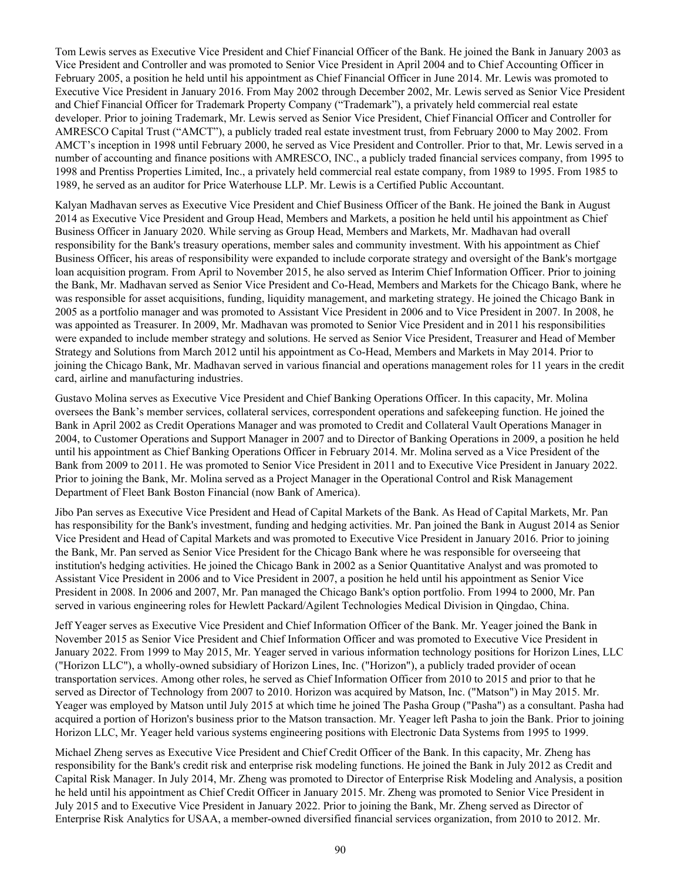Tom Lewis serves as Executive Vice President and Chief Financial Officer of the Bank. He joined the Bank in January 2003 as Vice President and Controller and was promoted to Senior Vice President in April 2004 and to Chief Accounting Officer in February 2005, a position he held until his appointment as Chief Financial Officer in June 2014. Mr. Lewis was promoted to Executive Vice President in January 2016. From May 2002 through December 2002, Mr. Lewis served as Senior Vice President and Chief Financial Officer for Trademark Property Company ("Trademark"), a privately held commercial real estate developer. Prior to joining Trademark, Mr. Lewis served as Senior Vice President, Chief Financial Officer and Controller for AMRESCO Capital Trust ("AMCT"), a publicly traded real estate investment trust, from February 2000 to May 2002. From AMCT's inception in 1998 until February 2000, he served as Vice President and Controller. Prior to that, Mr. Lewis served in a number of accounting and finance positions with AMRESCO, INC., a publicly traded financial services company, from 1995 to 1998 and Prentiss Properties Limited, Inc., a privately held commercial real estate company, from 1989 to 1995. From 1985 to 1989, he served as an auditor for Price Waterhouse LLP. Mr. Lewis is a Certified Public Accountant.

Kalyan Madhavan serves as Executive Vice President and Chief Business Officer of the Bank. He joined the Bank in August 2014 as Executive Vice President and Group Head, Members and Markets, a position he held until his appointment as Chief Business Officer in January 2020. While serving as Group Head, Members and Markets, Mr. Madhavan had overall responsibility for the Bank's treasury operations, member sales and community investment. With his appointment as Chief Business Officer, his areas of responsibility were expanded to include corporate strategy and oversight of the Bank's mortgage loan acquisition program. From April to November 2015, he also served as Interim Chief Information Officer. Prior to joining the Bank, Mr. Madhavan served as Senior Vice President and Co-Head, Members and Markets for the Chicago Bank, where he was responsible for asset acquisitions, funding, liquidity management, and marketing strategy. He joined the Chicago Bank in 2005 as a portfolio manager and was promoted to Assistant Vice President in 2006 and to Vice President in 2007. In 2008, he was appointed as Treasurer. In 2009, Mr. Madhavan was promoted to Senior Vice President and in 2011 his responsibilities were expanded to include member strategy and solutions. He served as Senior Vice President, Treasurer and Head of Member Strategy and Solutions from March 2012 until his appointment as Co-Head, Members and Markets in May 2014. Prior to joining the Chicago Bank, Mr. Madhavan served in various financial and operations management roles for 11 years in the credit card, airline and manufacturing industries.

Gustavo Molina serves as Executive Vice President and Chief Banking Operations Officer. In this capacity, Mr. Molina oversees the Bank's member services, collateral services, correspondent operations and safekeeping function. He joined the Bank in April 2002 as Credit Operations Manager and was promoted to Credit and Collateral Vault Operations Manager in 2004, to Customer Operations and Support Manager in 2007 and to Director of Banking Operations in 2009, a position he held until his appointment as Chief Banking Operations Officer in February 2014. Mr. Molina served as a Vice President of the Bank from 2009 to 2011. He was promoted to Senior Vice President in 2011 and to Executive Vice President in January 2022. Prior to joining the Bank, Mr. Molina served as a Project Manager in the Operational Control and Risk Management Department of Fleet Bank Boston Financial (now Bank of America).

Jibo Pan serves as Executive Vice President and Head of Capital Markets of the Bank. As Head of Capital Markets, Mr. Pan has responsibility for the Bank's investment, funding and hedging activities. Mr. Pan joined the Bank in August 2014 as Senior Vice President and Head of Capital Markets and was promoted to Executive Vice President in January 2016. Prior to joining the Bank, Mr. Pan served as Senior Vice President for the Chicago Bank where he was responsible for overseeing that institution's hedging activities. He joined the Chicago Bank in 2002 as a Senior Quantitative Analyst and was promoted to Assistant Vice President in 2006 and to Vice President in 2007, a position he held until his appointment as Senior Vice President in 2008. In 2006 and 2007, Mr. Pan managed the Chicago Bank's option portfolio. From 1994 to 2000, Mr. Pan served in various engineering roles for Hewlett Packard/Agilent Technologies Medical Division in Qingdao, China.

Jeff Yeager serves as Executive Vice President and Chief Information Officer of the Bank. Mr. Yeager joined the Bank in November 2015 as Senior Vice President and Chief Information Officer and was promoted to Executive Vice President in January 2022. From 1999 to May 2015, Mr. Yeager served in various information technology positions for Horizon Lines, LLC ("Horizon LLC"), a wholly-owned subsidiary of Horizon Lines, Inc. ("Horizon"), a publicly traded provider of ocean transportation services. Among other roles, he served as Chief Information Officer from 2010 to 2015 and prior to that he served as Director of Technology from 2007 to 2010. Horizon was acquired by Matson, Inc. ("Matson") in May 2015. Mr. Yeager was employed by Matson until July 2015 at which time he joined The Pasha Group ("Pasha") as a consultant. Pasha had acquired a portion of Horizon's business prior to the Matson transaction. Mr. Yeager left Pasha to join the Bank. Prior to joining Horizon LLC, Mr. Yeager held various systems engineering positions with Electronic Data Systems from 1995 to 1999.

Michael Zheng serves as Executive Vice President and Chief Credit Officer of the Bank. In this capacity, Mr. Zheng has responsibility for the Bank's credit risk and enterprise risk modeling functions. He joined the Bank in July 2012 as Credit and Capital Risk Manager. In July 2014, Mr. Zheng was promoted to Director of Enterprise Risk Modeling and Analysis, a position he held until his appointment as Chief Credit Officer in January 2015. Mr. Zheng was promoted to Senior Vice President in July 2015 and to Executive Vice President in January 2022. Prior to joining the Bank, Mr. Zheng served as Director of Enterprise Risk Analytics for USAA, a member-owned diversified financial services organization, from 2010 to 2012. Mr.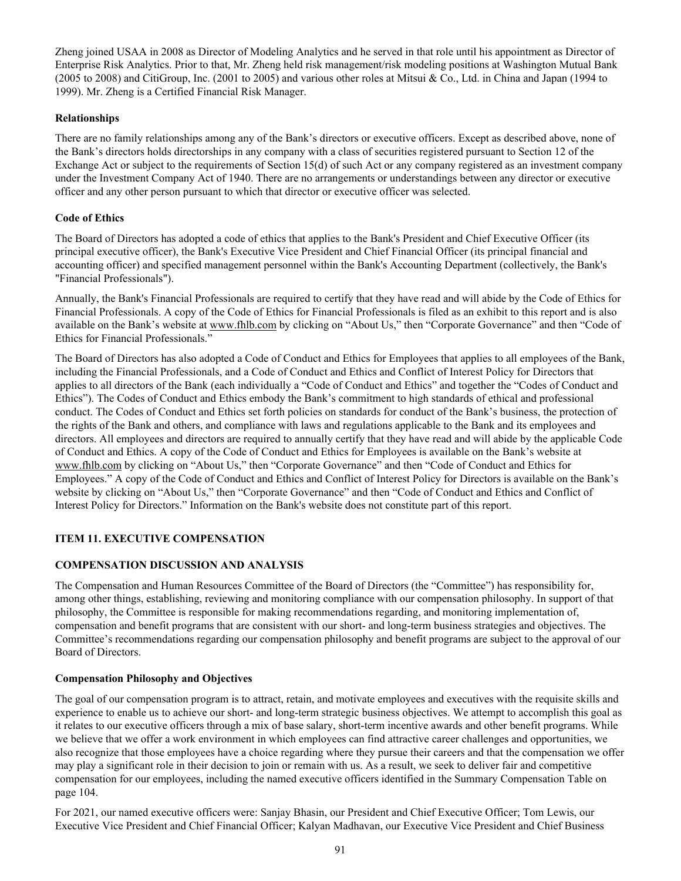Zheng joined USAA in 2008 as Director of Modeling Analytics and he served in that role until his appointment as Director of Enterprise Risk Analytics. Prior to that, Mr. Zheng held risk management/risk modeling positions at Washington Mutual Bank (2005 to 2008) and CitiGroup, Inc. (2001 to 2005) and various other roles at Mitsui & Co., Ltd. in China and Japan (1994 to 1999). Mr. Zheng is a Certified Financial Risk Manager.

# **Relationships**

There are no family relationships among any of the Bank's directors or executive officers. Except as described above, none of the Bank's directors holds directorships in any company with a class of securities registered pursuant to Section 12 of the Exchange Act or subject to the requirements of Section 15(d) of such Act or any company registered as an investment company under the Investment Company Act of 1940. There are no arrangements or understandings between any director or executive officer and any other person pursuant to which that director or executive officer was selected.

# **Code of Ethics**

The Board of Directors has adopted a code of ethics that applies to the Bank's President and Chief Executive Officer (its principal executive officer), the Bank's Executive Vice President and Chief Financial Officer (its principal financial and accounting officer) and specified management personnel within the Bank's Accounting Department (collectively, the Bank's "Financial Professionals").

Annually, the Bank's Financial Professionals are required to certify that they have read and will abide by the Code of Ethics for Financial Professionals. A copy of the Code of Ethics for Financial Professionals is filed as an exhibit to this report and is also available on the Bank's website at www.fhlb.com by clicking on "About Us," then "Corporate Governance" and then "Code of Ethics for Financial Professionals."

The Board of Directors has also adopted a Code of Conduct and Ethics for Employees that applies to all employees of the Bank, including the Financial Professionals, and a Code of Conduct and Ethics and Conflict of Interest Policy for Directors that applies to all directors of the Bank (each individually a "Code of Conduct and Ethics" and together the "Codes of Conduct and Ethics"). The Codes of Conduct and Ethics embody the Bank's commitment to high standards of ethical and professional conduct. The Codes of Conduct and Ethics set forth policies on standards for conduct of the Bank's business, the protection of the rights of the Bank and others, and compliance with laws and regulations applicable to the Bank and its employees and directors. All employees and directors are required to annually certify that they have read and will abide by the applicable Code of Conduct and Ethics. A copy of the Code of Conduct and Ethics for Employees is available on the Bank's website at www.fhlb.com by clicking on "About Us," then "Corporate Governance" and then "Code of Conduct and Ethics for Employees." A copy of the Code of Conduct and Ethics and Conflict of Interest Policy for Directors is available on the Bank's website by clicking on "About Us," then "Corporate Governance" and then "Code of Conduct and Ethics and Conflict of Interest Policy for Directors." Information on the Bank's website does not constitute part of this report.

# **ITEM 11. EXECUTIVE COMPENSATION**

# **COMPENSATION DISCUSSION AND ANALYSIS**

The Compensation and Human Resources Committee of the Board of Directors (the "Committee") has responsibility for, among other things, establishing, reviewing and monitoring compliance with our compensation philosophy. In support of that philosophy, the Committee is responsible for making recommendations regarding, and monitoring implementation of, compensation and benefit programs that are consistent with our short- and long-term business strategies and objectives. The Committee's recommendations regarding our compensation philosophy and benefit programs are subject to the approval of our Board of Directors.

# **Compensation Philosophy and Objectives**

The goal of our compensation program is to attract, retain, and motivate employees and executives with the requisite skills and experience to enable us to achieve our short- and long-term strategic business objectives. We attempt to accomplish this goal as it relates to our executive officers through a mix of base salary, short-term incentive awards and other benefit programs. While we believe that we offer a work environment in which employees can find attractive career challenges and opportunities, we also recognize that those employees have a choice regarding where they pursue their careers and that the compensation we offer may play a significant role in their decision to join or remain with us. As a result, we seek to deliver fair and competitive compensation for our employees, including the named executive officers identified in the Summary Compensation Table on page 104.

For 2021, our named executive officers were: Sanjay Bhasin, our President and Chief Executive Officer; Tom Lewis, our Executive Vice President and Chief Financial Officer; Kalyan Madhavan, our Executive Vice President and Chief Business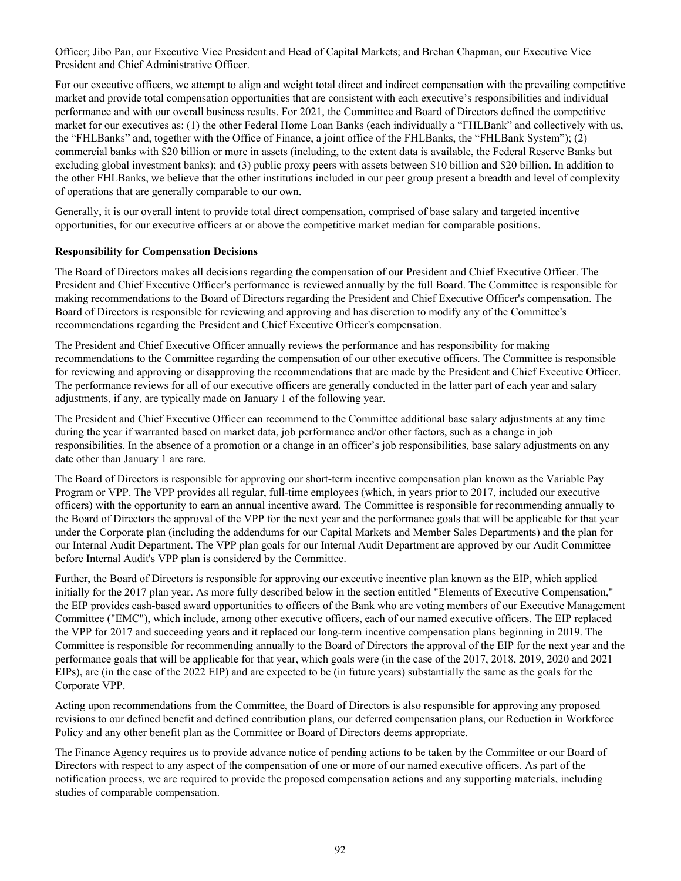Officer; Jibo Pan, our Executive Vice President and Head of Capital Markets; and Brehan Chapman, our Executive Vice President and Chief Administrative Officer.

For our executive officers, we attempt to align and weight total direct and indirect compensation with the prevailing competitive market and provide total compensation opportunities that are consistent with each executive's responsibilities and individual performance and with our overall business results. For 2021, the Committee and Board of Directors defined the competitive market for our executives as: (1) the other Federal Home Loan Banks (each individually a "FHLBank" and collectively with us, the "FHLBanks" and, together with the Office of Finance, a joint office of the FHLBanks, the "FHLBank System"); (2) commercial banks with \$20 billion or more in assets (including, to the extent data is available, the Federal Reserve Banks but excluding global investment banks); and (3) public proxy peers with assets between \$10 billion and \$20 billion. In addition to the other FHLBanks, we believe that the other institutions included in our peer group present a breadth and level of complexity of operations that are generally comparable to our own.

Generally, it is our overall intent to provide total direct compensation, comprised of base salary and targeted incentive opportunities, for our executive officers at or above the competitive market median for comparable positions.

#### **Responsibility for Compensation Decisions**

The Board of Directors makes all decisions regarding the compensation of our President and Chief Executive Officer. The President and Chief Executive Officer's performance is reviewed annually by the full Board. The Committee is responsible for making recommendations to the Board of Directors regarding the President and Chief Executive Officer's compensation. The Board of Directors is responsible for reviewing and approving and has discretion to modify any of the Committee's recommendations regarding the President and Chief Executive Officer's compensation.

The President and Chief Executive Officer annually reviews the performance and has responsibility for making recommendations to the Committee regarding the compensation of our other executive officers. The Committee is responsible for reviewing and approving or disapproving the recommendations that are made by the President and Chief Executive Officer. The performance reviews for all of our executive officers are generally conducted in the latter part of each year and salary adjustments, if any, are typically made on January 1 of the following year.

The President and Chief Executive Officer can recommend to the Committee additional base salary adjustments at any time during the year if warranted based on market data, job performance and/or other factors, such as a change in job responsibilities. In the absence of a promotion or a change in an officer's job responsibilities, base salary adjustments on any date other than January 1 are rare.

The Board of Directors is responsible for approving our short-term incentive compensation plan known as the Variable Pay Program or VPP. The VPP provides all regular, full-time employees (which, in years prior to 2017, included our executive officers) with the opportunity to earn an annual incentive award. The Committee is responsible for recommending annually to the Board of Directors the approval of the VPP for the next year and the performance goals that will be applicable for that year under the Corporate plan (including the addendums for our Capital Markets and Member Sales Departments) and the plan for our Internal Audit Department. The VPP plan goals for our Internal Audit Department are approved by our Audit Committee before Internal Audit's VPP plan is considered by the Committee.

Further, the Board of Directors is responsible for approving our executive incentive plan known as the EIP, which applied initially for the 2017 plan year. As more fully described below in the section entitled "Elements of Executive Compensation," the EIP provides cash-based award opportunities to officers of the Bank who are voting members of our Executive Management Committee ("EMC"), which include, among other executive officers, each of our named executive officers. The EIP replaced the VPP for 2017 and succeeding years and it replaced our long-term incentive compensation plans beginning in 2019. The Committee is responsible for recommending annually to the Board of Directors the approval of the EIP for the next year and the performance goals that will be applicable for that year, which goals were (in the case of the 2017, 2018, 2019, 2020 and 2021 EIPs), are (in the case of the 2022 EIP) and are expected to be (in future years) substantially the same as the goals for the Corporate VPP.

Acting upon recommendations from the Committee, the Board of Directors is also responsible for approving any proposed revisions to our defined benefit and defined contribution plans, our deferred compensation plans, our Reduction in Workforce Policy and any other benefit plan as the Committee or Board of Directors deems appropriate.

The Finance Agency requires us to provide advance notice of pending actions to be taken by the Committee or our Board of Directors with respect to any aspect of the compensation of one or more of our named executive officers. As part of the notification process, we are required to provide the proposed compensation actions and any supporting materials, including studies of comparable compensation.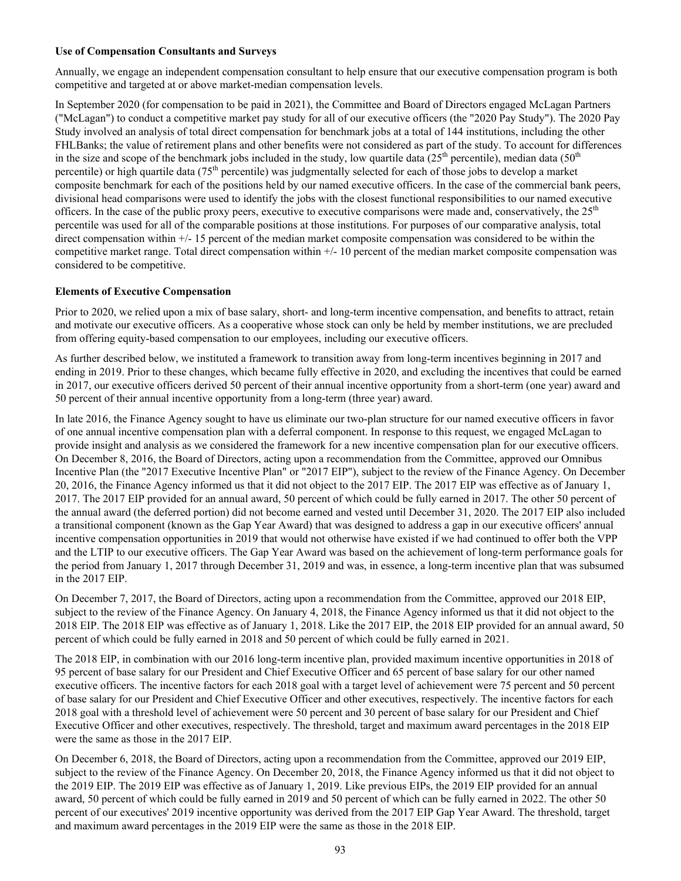# **Use of Compensation Consultants and Surveys**

Annually, we engage an independent compensation consultant to help ensure that our executive compensation program is both competitive and targeted at or above market-median compensation levels.

In September 2020 (for compensation to be paid in 2021), the Committee and Board of Directors engaged McLagan Partners ("McLagan") to conduct a competitive market pay study for all of our executive officers (the "2020 Pay Study"). The 2020 Pay Study involved an analysis of total direct compensation for benchmark jobs at a total of 144 institutions, including the other FHLBanks; the value of retirement plans and other benefits were not considered as part of the study. To account for differences in the size and scope of the benchmark jobs included in the study, low quartile data  $(25<sup>th</sup>$  percentile), median data  $(50<sup>th</sup>$ percentile) or high quartile data (75<sup>th</sup> percentile) was judgmentally selected for each of those jobs to develop a market composite benchmark for each of the positions held by our named executive officers. In the case of the commercial bank peers, divisional head comparisons were used to identify the jobs with the closest functional responsibilities to our named executive officers. In the case of the public proxy peers, executive to executive comparisons were made and, conservatively, the  $25<sup>th</sup>$ percentile was used for all of the comparable positions at those institutions. For purposes of our comparative analysis, total direct compensation within  $+/$ -15 percent of the median market composite compensation was considered to be within the competitive market range. Total direct compensation within +/- 10 percent of the median market composite compensation was considered to be competitive.

# **Elements of Executive Compensation**

Prior to 2020, we relied upon a mix of base salary, short- and long-term incentive compensation, and benefits to attract, retain and motivate our executive officers. As a cooperative whose stock can only be held by member institutions, we are precluded from offering equity-based compensation to our employees, including our executive officers.

As further described below, we instituted a framework to transition away from long-term incentives beginning in 2017 and ending in 2019. Prior to these changes, which became fully effective in 2020, and excluding the incentives that could be earned in 2017, our executive officers derived 50 percent of their annual incentive opportunity from a short-term (one year) award and 50 percent of their annual incentive opportunity from a long-term (three year) award.

In late 2016, the Finance Agency sought to have us eliminate our two-plan structure for our named executive officers in favor of one annual incentive compensation plan with a deferral component. In response to this request, we engaged McLagan to provide insight and analysis as we considered the framework for a new incentive compensation plan for our executive officers. On December 8, 2016, the Board of Directors, acting upon a recommendation from the Committee, approved our Omnibus Incentive Plan (the "2017 Executive Incentive Plan" or "2017 EIP"), subject to the review of the Finance Agency. On December 20, 2016, the Finance Agency informed us that it did not object to the 2017 EIP. The 2017 EIP was effective as of January 1, 2017. The 2017 EIP provided for an annual award, 50 percent of which could be fully earned in 2017. The other 50 percent of the annual award (the deferred portion) did not become earned and vested until December 31, 2020. The 2017 EIP also included a transitional component (known as the Gap Year Award) that was designed to address a gap in our executive officers' annual incentive compensation opportunities in 2019 that would not otherwise have existed if we had continued to offer both the VPP and the LTIP to our executive officers. The Gap Year Award was based on the achievement of long-term performance goals for the period from January 1, 2017 through December 31, 2019 and was, in essence, a long-term incentive plan that was subsumed in the 2017 EIP.

On December 7, 2017, the Board of Directors, acting upon a recommendation from the Committee, approved our 2018 EIP, subject to the review of the Finance Agency. On January 4, 2018, the Finance Agency informed us that it did not object to the 2018 EIP. The 2018 EIP was effective as of January 1, 2018. Like the 2017 EIP, the 2018 EIP provided for an annual award, 50 percent of which could be fully earned in 2018 and 50 percent of which could be fully earned in 2021.

The 2018 EIP, in combination with our 2016 long-term incentive plan, provided maximum incentive opportunities in 2018 of 95 percent of base salary for our President and Chief Executive Officer and 65 percent of base salary for our other named executive officers. The incentive factors for each 2018 goal with a target level of achievement were 75 percent and 50 percent of base salary for our President and Chief Executive Officer and other executives, respectively. The incentive factors for each 2018 goal with a threshold level of achievement were 50 percent and 30 percent of base salary for our President and Chief Executive Officer and other executives, respectively. The threshold, target and maximum award percentages in the 2018 EIP were the same as those in the 2017 EIP.

On December 6, 2018, the Board of Directors, acting upon a recommendation from the Committee, approved our 2019 EIP, subject to the review of the Finance Agency. On December 20, 2018, the Finance Agency informed us that it did not object to the 2019 EIP. The 2019 EIP was effective as of January 1, 2019. Like previous EIPs, the 2019 EIP provided for an annual award, 50 percent of which could be fully earned in 2019 and 50 percent of which can be fully earned in 2022. The other 50 percent of our executives' 2019 incentive opportunity was derived from the 2017 EIP Gap Year Award. The threshold, target and maximum award percentages in the 2019 EIP were the same as those in the 2018 EIP.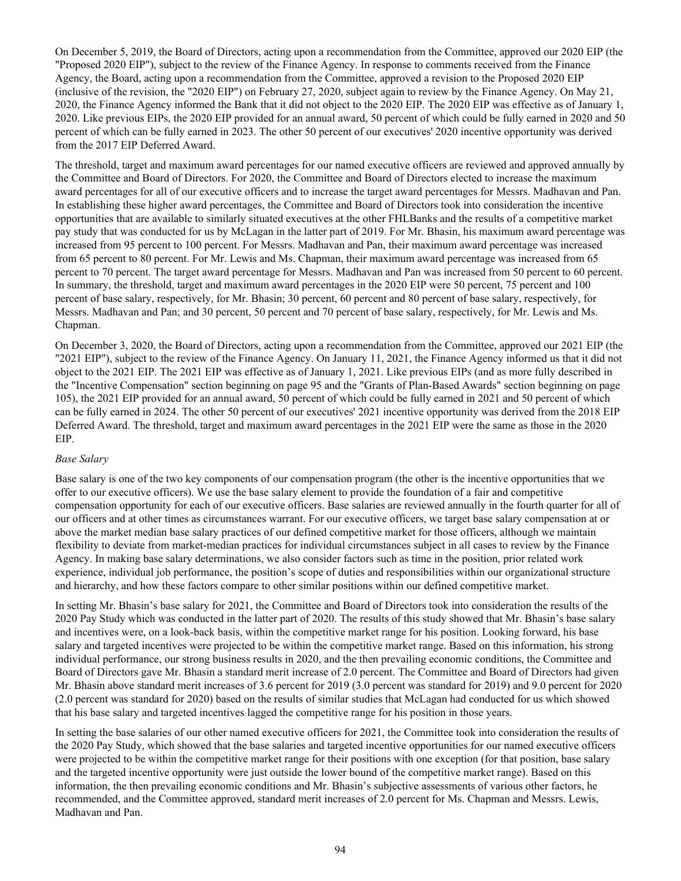On December 5, 2019, the Board of Directors, acting upon a recommendation from the Committee, approved our 2020 EIP (the "Proposed 2020 EIP"), subject to the review of the Finance Agency. In response to comments received from the Finance Agency, the Board, acting upon a recommendation from the Committee, approved a revision to the Proposed 2020 EIP (inclusive of the revision, the "2020 EIP") on February 27, 2020, subject again to review by the Finance Agency. On May 21, 2020, the Finance Agency informed the Bank that it did not object to the 2020 EIP. The 2020 EIP was effective as of January 1, 2020. Like previous EIPs, the 2020 EIP provided for an annual award, 50 percent of which could be fully earned in 2020 and 50 percent of which can be fully earned in 2023. The other 50 percent of our executives' 2020 incentive opportunity was derived from the 2017 EIP Deferred Award.

The threshold, target and maximum award percentages for our named executive officers are reviewed and approved annually by the Committee and Board of Directors. For 2020, the Committee and Board of Directors elected to increase the maximum award percentages for all of our executive officers and to increase the target award percentages for Messrs. Madhavan and Pan. In establishing these higher award percentages, the Committee and Board of Directors took into consideration the incentive opportunities that are available to similarly situated executives at the other FHLBanks and the results of a competitive market pay study that was conducted for us by McLagan in the latter part of 2019. For Mr. Bhasin, his maximum award percentage was increased from 95 percent to 100 percent. For Messrs. Madhavan and Pan, their maximum award percentage was increased from 65 percent to 80 percent. For Mr. Lewis and Ms. Chapman, their maximum award percentage was increased from 65 percent to 70 percent. The target award percentage for Messrs. Madhavan and Pan was increased from 50 percent to 60 percent. In summary, the threshold, target and maximum award percentages in the 2020 EIP were 50 percent, 75 percent and 100 percent of base salary, respectively, for Mr. Bhasin; 30 percent, 60 percent and 80 percent of base salary, respectively, for Messrs. Madhavan and Pan; and 30 percent, 50 percent and 70 percent of base salary, respectively, for Mr. Lewis and Ms. Chapman.

On December 3, 2020, the Board of Directors, acting upon a recommendation from the Committee, approved our 2021 EIP (the "2021 EIP"), subject to the review of the Finance Agency. On January 11, 2021, the Finance Agency informed us that it did not object to the 2021 EIP. The 2021 EIP was effective as of January 1, 2021. Like previous EIPs (and as more fully described in the "Incentive Compensation" section beginning on page 95 and the "Grants of Plan-Based Awards" section beginning on page 105), the 2021 EIP provided for an annual award, 50 percent of which could be fully earned in 2021 and 50 percent of which can be fully earned in 2024. The other 50 percent of our executives' 2021 incentive opportunity was derived from the 2018 EIP Deferred Award. The threshold, target and maximum award percentages in the 2021 EIP were the same as those in the 2020 EIP.

# *Base Salary*

Base salary is one of the two key components of our compensation program (the other is the incentive opportunities that we offer to our executive officers). We use the base salary element to provide the foundation of a fair and competitive compensation opportunity for each of our executive officers. Base salaries are reviewed annually in the fourth quarter for all of our officers and at other times as circumstances warrant. For our executive officers, we target base salary compensation at or above the market median base salary practices of our defined competitive market for those officers, although we maintain flexibility to deviate from market-median practices for individual circumstances subject in all cases to review by the Finance Agency. In making base salary determinations, we also consider factors such as time in the position, prior related work experience, individual job performance, the position's scope of duties and responsibilities within our organizational structure and hierarchy, and how these factors compare to other similar positions within our defined competitive market.

In setting Mr. Bhasin's base salary for 2021, the Committee and Board of Directors took into consideration the results of the 2020 Pay Study which was conducted in the latter part of 2020. The results of this study showed that Mr. Bhasin's base salary and incentives were, on a look-back basis, within the competitive market range for his position. Looking forward, his base salary and targeted incentives were projected to be within the competitive market range. Based on this information, his strong individual performance, our strong business results in 2020, and the then prevailing economic conditions, the Committee and Board of Directors gave Mr. Bhasin a standard merit increase of 2.0 percent. The Committee and Board of Directors had given Mr. Bhasin above standard merit increases of 3.6 percent for 2019 (3.0 percent was standard for 2019) and 9.0 percent for 2020 (2.0 percent was standard for 2020) based on the results of similar studies that McLagan had conducted for us which showed that his base salary and targeted incentives lagged the competitive range for his position in those years.

In setting the base salaries of our other named executive officers for 2021, the Committee took into consideration the results of the 2020 Pay Study, which showed that the base salaries and targeted incentive opportunities for our named executive officers were projected to be within the competitive market range for their positions with one exception (for that position, base salary and the targeted incentive opportunity were just outside the lower bound of the competitive market range). Based on this information, the then prevailing economic conditions and Mr. Bhasin's subjective assessments of various other factors, he recommended, and the Committee approved, standard merit increases of 2.0 percent for Ms. Chapman and Messrs. Lewis, Madhavan and Pan.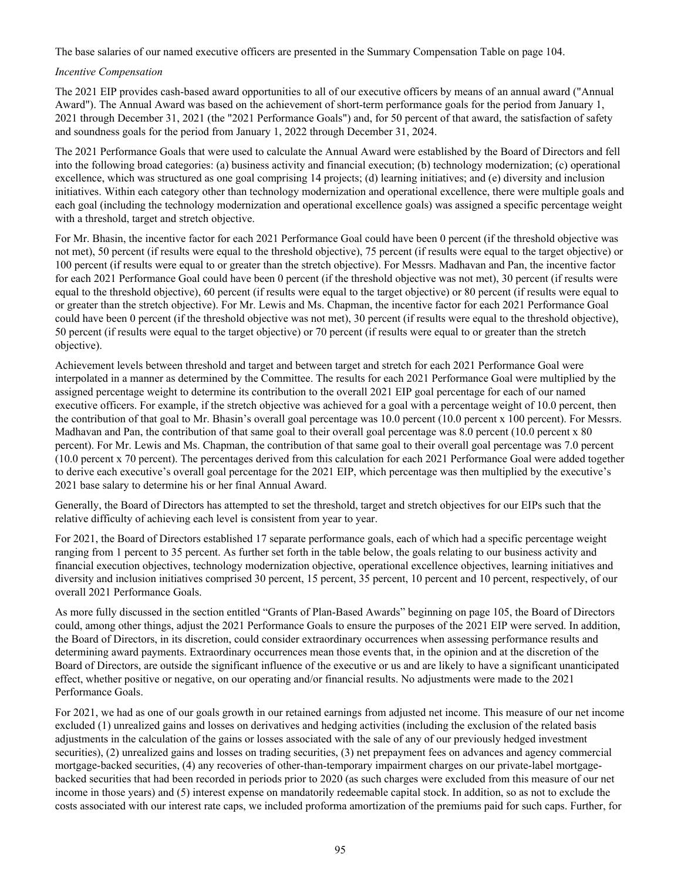The base salaries of our named executive officers are presented in the Summary Compensation Table on page 104.

*Incentive Compensation*

The 2021 EIP provides cash-based award opportunities to all of our executive officers by means of an annual award ("Annual Award"). The Annual Award was based on the achievement of short-term performance goals for the period from January 1, 2021 through December 31, 2021 (the "2021 Performance Goals") and, for 50 percent of that award, the satisfaction of safety and soundness goals for the period from January 1, 2022 through December 31, 2024.

The 2021 Performance Goals that were used to calculate the Annual Award were established by the Board of Directors and fell into the following broad categories: (a) business activity and financial execution; (b) technology modernization; (c) operational excellence, which was structured as one goal comprising 14 projects; (d) learning initiatives; and (e) diversity and inclusion initiatives. Within each category other than technology modernization and operational excellence, there were multiple goals and each goal (including the technology modernization and operational excellence goals) was assigned a specific percentage weight with a threshold, target and stretch objective.

For Mr. Bhasin, the incentive factor for each 2021 Performance Goal could have been 0 percent (if the threshold objective was not met), 50 percent (if results were equal to the threshold objective), 75 percent (if results were equal to the target objective) or 100 percent (if results were equal to or greater than the stretch objective). For Messrs. Madhavan and Pan, the incentive factor for each 2021 Performance Goal could have been 0 percent (if the threshold objective was not met), 30 percent (if results were equal to the threshold objective), 60 percent (if results were equal to the target objective) or 80 percent (if results were equal to or greater than the stretch objective). For Mr. Lewis and Ms. Chapman, the incentive factor for each 2021 Performance Goal could have been 0 percent (if the threshold objective was not met), 30 percent (if results were equal to the threshold objective), 50 percent (if results were equal to the target objective) or 70 percent (if results were equal to or greater than the stretch objective).

Achievement levels between threshold and target and between target and stretch for each 2021 Performance Goal were interpolated in a manner as determined by the Committee. The results for each 2021 Performance Goal were multiplied by the assigned percentage weight to determine its contribution to the overall 2021 EIP goal percentage for each of our named executive officers. For example, if the stretch objective was achieved for a goal with a percentage weight of 10.0 percent, then the contribution of that goal to Mr. Bhasin's overall goal percentage was 10.0 percent (10.0 percent x 100 percent). For Messrs. Madhavan and Pan, the contribution of that same goal to their overall goal percentage was 8.0 percent (10.0 percent x 80) percent). For Mr. Lewis and Ms. Chapman, the contribution of that same goal to their overall goal percentage was 7.0 percent (10.0 percent x 70 percent). The percentages derived from this calculation for each 2021 Performance Goal were added together to derive each executive's overall goal percentage for the 2021 EIP, which percentage was then multiplied by the executive's 2021 base salary to determine his or her final Annual Award.

Generally, the Board of Directors has attempted to set the threshold, target and stretch objectives for our EIPs such that the relative difficulty of achieving each level is consistent from year to year.

For 2021, the Board of Directors established 17 separate performance goals, each of which had a specific percentage weight ranging from 1 percent to 35 percent. As further set forth in the table below, the goals relating to our business activity and financial execution objectives, technology modernization objective, operational excellence objectives, learning initiatives and diversity and inclusion initiatives comprised 30 percent, 15 percent, 35 percent, 10 percent and 10 percent, respectively, of our overall 2021 Performance Goals.

As more fully discussed in the section entitled "Grants of Plan-Based Awards" beginning on page 105, the Board of Directors could, among other things, adjust the 2021 Performance Goals to ensure the purposes of the 2021 EIP were served. In addition, the Board of Directors, in its discretion, could consider extraordinary occurrences when assessing performance results and determining award payments. Extraordinary occurrences mean those events that, in the opinion and at the discretion of the Board of Directors, are outside the significant influence of the executive or us and are likely to have a significant unanticipated effect, whether positive or negative, on our operating and/or financial results. No adjustments were made to the 2021 Performance Goals.

For 2021, we had as one of our goals growth in our retained earnings from adjusted net income. This measure of our net income excluded (1) unrealized gains and losses on derivatives and hedging activities (including the exclusion of the related basis adjustments in the calculation of the gains or losses associated with the sale of any of our previously hedged investment securities), (2) unrealized gains and losses on trading securities, (3) net prepayment fees on advances and agency commercial mortgage-backed securities, (4) any recoveries of other-than-temporary impairment charges on our private-label mortgagebacked securities that had been recorded in periods prior to 2020 (as such charges were excluded from this measure of our net income in those years) and (5) interest expense on mandatorily redeemable capital stock. In addition, so as not to exclude the costs associated with our interest rate caps, we included proforma amortization of the premiums paid for such caps. Further, for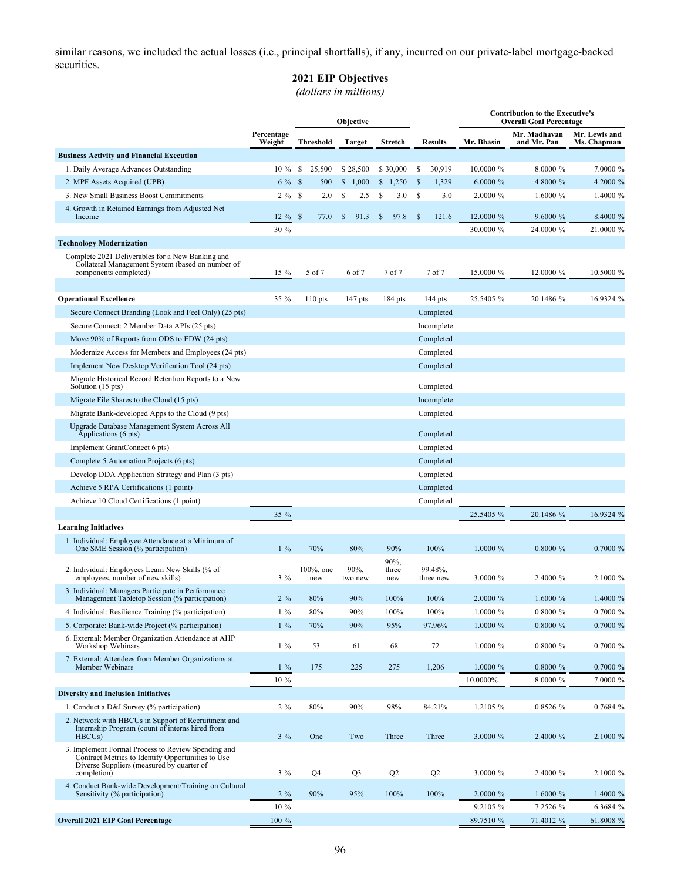similar reasons, we included the actual losses (i.e., principal shortfalls), if any, incurred on our private-label mortgage-backed securities.

# **2021 EIP Objectives**

*(dollars in millions)*

|                                                                                                                                                      |                      |      |                      |               | Objective       |                      |               |                      | <b>Contribution to the Executive's</b><br><b>Overall Goal Percentage</b> |                             |                              |  |
|------------------------------------------------------------------------------------------------------------------------------------------------------|----------------------|------|----------------------|---------------|-----------------|----------------------|---------------|----------------------|--------------------------------------------------------------------------|-----------------------------|------------------------------|--|
|                                                                                                                                                      | Percentage<br>Weight |      | <b>Threshold</b>     |               | <b>Target</b>   | <b>Stretch</b>       |               | <b>Results</b>       | Mr. Bhasin                                                               | Mr. Madhavan<br>and Mr. Pan | Mr. Lewis and<br>Ms. Chapman |  |
| <b>Business Activity and Financial Execution</b>                                                                                                     |                      |      |                      |               |                 |                      |               |                      |                                                                          |                             |                              |  |
| 1. Daily Average Advances Outstanding                                                                                                                | 10 %                 | \$   | 25,500               |               | \$28,500        | \$30,000             | \$            | 30,919               | 10.0000 %                                                                | 8.0000 %                    | 7.0000 %                     |  |
| 2. MPF Assets Acquired (UPB)                                                                                                                         | $6\%$ \$             |      | 500                  | \$            | 1,000           | \$1,250              | <sup>\$</sup> | 1,329                | $6.0000\%$                                                               | 4.8000 %                    | 4.2000 %                     |  |
| 3. New Small Business Boost Commitments                                                                                                              | $2\%$                | - \$ | 2.0                  | \$            | 2.5             | \$<br>3.0            | \$            | 3.0                  | 2.0000 %                                                                 | $1.6000\%$                  | 1.4000 %                     |  |
| 4. Growth in Retained Earnings from Adjusted Net<br>Income                                                                                           | $12 \%$              | - \$ | 77.0                 | <sup>\$</sup> | 91.3            | \$<br>97.8           | <sup>\$</sup> | 121.6                | 12.0000 %                                                                | 9.6000 %                    | 8.4000 %                     |  |
|                                                                                                                                                      | 30 %                 |      |                      |               |                 |                      |               |                      | 30.0000 %                                                                | 24.0000 %                   | 21.0000 %                    |  |
| <b>Technology Modernization</b>                                                                                                                      |                      |      |                      |               |                 |                      |               |                      |                                                                          |                             |                              |  |
| Complete 2021 Deliverables for a New Banking and<br>Collateral Management System (based on number of<br>components completed)                        | 15 %                 |      | 5 of 7               |               | 6 of 7          | 7 of 7               |               | 7 of 7               | 15.0000 %                                                                | 12.0000 %                   | 10.5000 %                    |  |
|                                                                                                                                                      |                      |      |                      |               |                 |                      |               |                      |                                                                          |                             |                              |  |
| <b>Operational Excellence</b>                                                                                                                        | 35 %                 |      | $110$ pts            |               | 147 pts         | 184 pts              |               | $144$ pts            | 25.5405 %                                                                | 20.1486 %                   | 16.9324 %                    |  |
| Secure Connect Branding (Look and Feel Only) (25 pts)                                                                                                |                      |      |                      |               |                 |                      |               | Completed            |                                                                          |                             |                              |  |
| Secure Connect: 2 Member Data APIs (25 pts)                                                                                                          |                      |      |                      |               |                 |                      |               | Incomplete           |                                                                          |                             |                              |  |
| Move 90% of Reports from ODS to EDW (24 pts)                                                                                                         |                      |      |                      |               |                 |                      |               | Completed            |                                                                          |                             |                              |  |
| Modernize Access for Members and Employees (24 pts)                                                                                                  |                      |      |                      |               |                 |                      |               | Completed            |                                                                          |                             |                              |  |
| Implement New Desktop Verification Tool (24 pts)                                                                                                     |                      |      |                      |               |                 |                      |               | Completed            |                                                                          |                             |                              |  |
| Migrate Historical Record Retention Reports to a New<br>Solution (15 pts)                                                                            |                      |      |                      |               |                 |                      |               | Completed            |                                                                          |                             |                              |  |
| Migrate File Shares to the Cloud (15 pts)                                                                                                            |                      |      |                      |               |                 |                      |               | Incomplete           |                                                                          |                             |                              |  |
| Migrate Bank-developed Apps to the Cloud (9 pts)                                                                                                     |                      |      |                      |               |                 |                      |               | Completed            |                                                                          |                             |                              |  |
| Upgrade Database Management System Across All<br>Applications (6 pts)                                                                                |                      |      |                      |               |                 |                      |               | Completed            |                                                                          |                             |                              |  |
| Implement GrantConnect 6 pts)                                                                                                                        |                      |      |                      |               |                 |                      |               | Completed            |                                                                          |                             |                              |  |
| Complete 5 Automation Projects (6 pts)                                                                                                               |                      |      |                      |               |                 |                      |               | Completed            |                                                                          |                             |                              |  |
| Develop DDA Application Strategy and Plan (3 pts)                                                                                                    |                      |      |                      |               |                 |                      |               | Completed            |                                                                          |                             |                              |  |
| Achieve 5 RPA Certifications (1 point)                                                                                                               |                      |      |                      |               |                 |                      |               | Completed            |                                                                          |                             |                              |  |
| Achieve 10 Cloud Certifications (1 point)                                                                                                            |                      |      |                      |               |                 |                      |               | Completed            |                                                                          |                             |                              |  |
| <b>Learning Initiatives</b>                                                                                                                          | 35 %                 |      |                      |               |                 |                      |               |                      | 25.5405 %                                                                | 20.1486 %                   | 16.9324 %                    |  |
| 1. Individual: Employee Attendance at a Minimum of                                                                                                   |                      |      |                      |               |                 |                      |               |                      |                                                                          |                             |                              |  |
| One SME Session (% participation)                                                                                                                    | $1\%$                |      | 70%                  |               | 80%             | 90%                  |               | 100%                 | $1,0000\%$                                                               | $0.8000 \%$                 | $0.7000 \%$                  |  |
| 2. Individual: Employees Learn New Skills (% of<br>employees, number of new skills)                                                                  | $3\%$                |      | $100\%$ , one<br>new |               | 90%,<br>two new | 90%,<br>three<br>new |               | 99.48%,<br>three new | 3.0000 %                                                                 | 2.4000 %                    | $2.1000 \%$                  |  |
| 3. Individual: Managers Participate in Performance                                                                                                   |                      |      | 80%                  |               |                 |                      |               | 100%                 |                                                                          | $1.6000\%$                  |                              |  |
| Management Tabletop Session (% participation)<br>4. Individual: Resilience Training (% participation)                                                | $2\%$                |      |                      |               | 90%             | 100%                 |               |                      | 2.0000 %                                                                 |                             | 1.4000 %                     |  |
| 5. Corporate: Bank-wide Project (% participation)                                                                                                    | $1\%$<br>$1\%$       |      | 80%<br>70%           |               | 90%<br>90%      | 100%<br>95%          |               | 100%<br>97.96%       | $1.0000 \%$<br>1.0000 %                                                  | $0.8000 \%$<br>0.8000 %     | $0.7000 \%$<br>0.7000 %      |  |
| 6. External: Member Organization Attendance at AHP                                                                                                   |                      |      |                      |               |                 |                      |               |                      |                                                                          |                             |                              |  |
| Workshop Webinars                                                                                                                                    | $1\%$                |      | 53                   |               | 61              | 68                   |               | 72                   | 1.0000 %                                                                 | 0.8000 %                    | 0.7000 %                     |  |
| 7. External: Attendees from Member Organizations at<br>Member Webinars                                                                               | $1\%$                |      | 175                  |               | 225             | 275                  |               | 1,206                | $1.0000 \%$                                                              | $0.8000 \%$                 | 0.7000 %                     |  |
|                                                                                                                                                      | 10 %                 |      |                      |               |                 |                      |               |                      | 10.0000%                                                                 | 8.0000 %                    | 7.0000 %                     |  |
| <b>Diversity and Inclusion Initiatives</b>                                                                                                           |                      |      |                      |               |                 |                      |               |                      |                                                                          |                             |                              |  |
| 1. Conduct a D&I Survey (% participation)                                                                                                            | $2\%$                |      | 80%                  |               | 90%             | 98%                  |               | 84.21%               | 1.2105 %                                                                 | 0.8526%                     | 0.7684%                      |  |
| 2. Network with HBCUs in Support of Recruitment and<br>Internship Program (count of interns hired from<br>HBCU <sub>s</sub> )                        | $3\%$                |      | One                  |               | Two             | Three                |               | Three                | 3.0000 %                                                                 | 2.4000 %                    | 2.1000 %                     |  |
| 3. Implement Formal Process to Review Spending and<br>Contract Metrics to Identify Opportunities to Use<br>Diverse Suppliers (measured by quarter of |                      |      |                      |               |                 |                      |               |                      |                                                                          |                             |                              |  |
| completion)                                                                                                                                          | $3\%$                |      | Q4                   |               | Q <sub>3</sub>  | Q2                   |               | Q2                   | 3.0000 %                                                                 | 2.4000 %                    | 2.1000 %                     |  |
| 4. Conduct Bank-wide Development/Training on Cultural<br>Sensitivity (% participation)                                                               | $2\%$                |      | 90%                  |               | 95%             | 100%                 |               | 100%                 | $2.0000 \%$                                                              | $1.6000 \%$                 | 1.4000 %                     |  |
|                                                                                                                                                      | 10 %                 |      |                      |               |                 |                      |               |                      | 9.2105 %                                                                 | 7.2526 %                    | 6.3684 %                     |  |
| <b>Overall 2021 EIP Goal Percentage</b>                                                                                                              | 100 %                |      |                      |               |                 |                      |               |                      | 89.7510 %                                                                | 71.4012 %                   | 61.8008 %                    |  |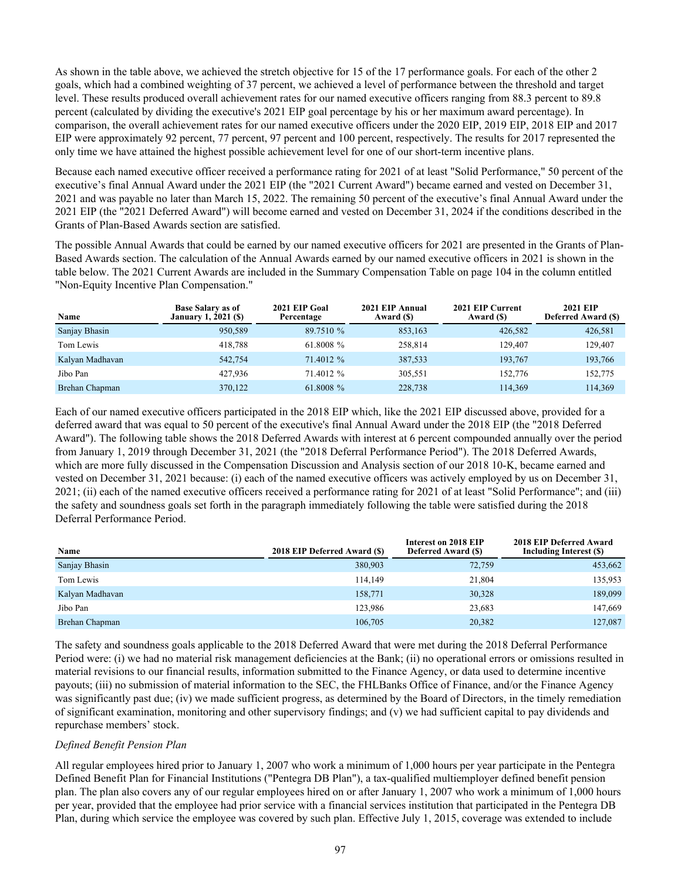As shown in the table above, we achieved the stretch objective for 15 of the 17 performance goals. For each of the other 2 goals, which had a combined weighting of 37 percent, we achieved a level of performance between the threshold and target level. These results produced overall achievement rates for our named executive officers ranging from 88.3 percent to 89.8 percent (calculated by dividing the executive's 2021 EIP goal percentage by his or her maximum award percentage). In comparison, the overall achievement rates for our named executive officers under the 2020 EIP, 2019 EIP, 2018 EIP and 2017 EIP were approximately 92 percent, 77 percent, 97 percent and 100 percent, respectively. The results for 2017 represented the only time we have attained the highest possible achievement level for one of our short-term incentive plans.

Because each named executive officer received a performance rating for 2021 of at least "Solid Performance," 50 percent of the executive's final Annual Award under the 2021 EIP (the "2021 Current Award") became earned and vested on December 31, 2021 and was payable no later than March 15, 2022. The remaining 50 percent of the executive's final Annual Award under the 2021 EIP (the "2021 Deferred Award") will become earned and vested on December 31, 2024 if the conditions described in the Grants of Plan-Based Awards section are satisfied.

The possible Annual Awards that could be earned by our named executive officers for 2021 are presented in the Grants of Plan-Based Awards section. The calculation of the Annual Awards earned by our named executive officers in 2021 is shown in the table below. The 2021 Current Awards are included in the Summary Compensation Table on page 104 in the column entitled "Non-Equity Incentive Plan Compensation."

| Name            | <b>Base Salary as of</b><br><b>January 1, 2021 (\$)</b> | 2021 EIP Goal<br>Percentage | 2021 EIP Annual<br>Award (\$) | 2021 EIP Current<br>Award (\$) | <b>2021 EIP</b><br><b>Deferred Award (\$)</b> |
|-----------------|---------------------------------------------------------|-----------------------------|-------------------------------|--------------------------------|-----------------------------------------------|
| Sanjay Bhasin   | 950,589                                                 | 89.7510 %                   | 853,163                       | 426,582                        | 426,581                                       |
| Tom Lewis       | 418.788                                                 | 61.8008 %                   | 258.814                       | 129.407                        | 129,407                                       |
| Kalyan Madhavan | 542,754                                                 | 71.4012 %                   | 387,533                       | 193.767                        | 193,766                                       |
| Jibo Pan        | 427.936                                                 | 71.4012 %                   | 305.551                       | 152,776                        | 152,775                                       |
| Brehan Chapman  | 370,122                                                 | 61.8008 %                   | 228,738                       | 114,369                        | 114,369                                       |

Each of our named executive officers participated in the 2018 EIP which, like the 2021 EIP discussed above, provided for a deferred award that was equal to 50 percent of the executive's final Annual Award under the 2018 EIP (the "2018 Deferred Award"). The following table shows the 2018 Deferred Awards with interest at 6 percent compounded annually over the period from January 1, 2019 through December 31, 2021 (the "2018 Deferral Performance Period"). The 2018 Deferred Awards, which are more fully discussed in the Compensation Discussion and Analysis section of our 2018 10-K, became earned and vested on December 31, 2021 because: (i) each of the named executive officers was actively employed by us on December 31, 2021; (ii) each of the named executive officers received a performance rating for 2021 of at least "Solid Performance"; and (iii) the safety and soundness goals set forth in the paragraph immediately following the table were satisfied during the 2018 Deferral Performance Period.

| Name            | 2018 EIP Deferred Award (\$) | Interest on 2018 EIP<br><b>Deferred Award (\$)</b> | 2018 EIP Deferred Award<br>Including Interest (\$) |
|-----------------|------------------------------|----------------------------------------------------|----------------------------------------------------|
| Sanjay Bhasin   | 380,903                      | 72,759                                             | 453,662                                            |
| Tom Lewis       | 114.149                      | 21,804                                             | 135,953                                            |
| Kalyan Madhavan | 158,771                      | 30,328                                             | 189,099                                            |
| Jibo Pan        | 123.986                      | 23,683                                             | 147.669                                            |
| Brehan Chapman  | 106.705                      | 20,382                                             | 127.087                                            |

The safety and soundness goals applicable to the 2018 Deferred Award that were met during the 2018 Deferral Performance Period were: (i) we had no material risk management deficiencies at the Bank; (ii) no operational errors or omissions resulted in material revisions to our financial results, information submitted to the Finance Agency, or data used to determine incentive payouts; (iii) no submission of material information to the SEC, the FHLBanks Office of Finance, and/or the Finance Agency was significantly past due; (iv) we made sufficient progress, as determined by the Board of Directors, in the timely remediation of significant examination, monitoring and other supervisory findings; and (v) we had sufficient capital to pay dividends and repurchase members' stock.

# *Defined Benefit Pension Plan*

All regular employees hired prior to January 1, 2007 who work a minimum of 1,000 hours per year participate in the Pentegra Defined Benefit Plan for Financial Institutions ("Pentegra DB Plan"), a tax-qualified multiemployer defined benefit pension plan. The plan also covers any of our regular employees hired on or after January 1, 2007 who work a minimum of 1,000 hours per year, provided that the employee had prior service with a financial services institution that participated in the Pentegra DB Plan, during which service the employee was covered by such plan. Effective July 1, 2015, coverage was extended to include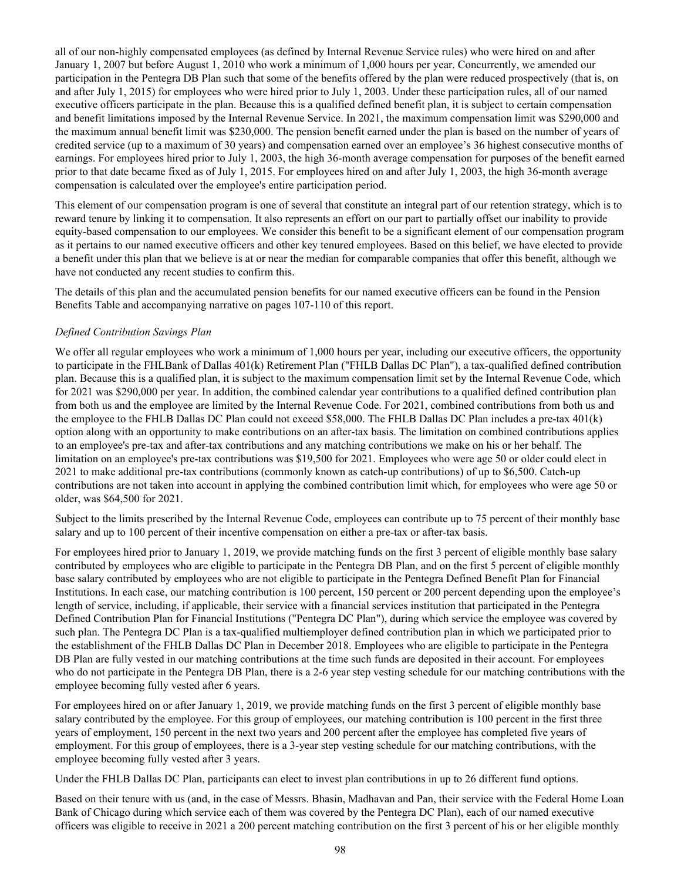all of our non-highly compensated employees (as defined by Internal Revenue Service rules) who were hired on and after January 1, 2007 but before August 1, 2010 who work a minimum of 1,000 hours per year. Concurrently, we amended our participation in the Pentegra DB Plan such that some of the benefits offered by the plan were reduced prospectively (that is, on and after July 1, 2015) for employees who were hired prior to July 1, 2003. Under these participation rules, all of our named executive officers participate in the plan. Because this is a qualified defined benefit plan, it is subject to certain compensation and benefit limitations imposed by the Internal Revenue Service. In 2021, the maximum compensation limit was \$290,000 and the maximum annual benefit limit was \$230,000. The pension benefit earned under the plan is based on the number of years of credited service (up to a maximum of 30 years) and compensation earned over an employee's 36 highest consecutive months of earnings. For employees hired prior to July 1, 2003, the high 36-month average compensation for purposes of the benefit earned prior to that date became fixed as of July 1, 2015. For employees hired on and after July 1, 2003, the high 36-month average compensation is calculated over the employee's entire participation period.

This element of our compensation program is one of several that constitute an integral part of our retention strategy, which is to reward tenure by linking it to compensation. It also represents an effort on our part to partially offset our inability to provide equity-based compensation to our employees. We consider this benefit to be a significant element of our compensation program as it pertains to our named executive officers and other key tenured employees. Based on this belief, we have elected to provide a benefit under this plan that we believe is at or near the median for comparable companies that offer this benefit, although we have not conducted any recent studies to confirm this.

The details of this plan and the accumulated pension benefits for our named executive officers can be found in the Pension Benefits Table and accompanying narrative on pages 107-110 of this report.

# *Defined Contribution Savings Plan*

We offer all regular employees who work a minimum of 1,000 hours per year, including our executive officers, the opportunity to participate in the FHLBank of Dallas 401(k) Retirement Plan ("FHLB Dallas DC Plan"), a tax-qualified defined contribution plan. Because this is a qualified plan, it is subject to the maximum compensation limit set by the Internal Revenue Code, which for 2021 was \$290,000 per year. In addition, the combined calendar year contributions to a qualified defined contribution plan from both us and the employee are limited by the Internal Revenue Code. For 2021, combined contributions from both us and the employee to the FHLB Dallas DC Plan could not exceed \$58,000. The FHLB Dallas DC Plan includes a pre-tax 401(k) option along with an opportunity to make contributions on an after-tax basis. The limitation on combined contributions applies to an employee's pre-tax and after-tax contributions and any matching contributions we make on his or her behalf. The limitation on an employee's pre-tax contributions was \$19,500 for 2021. Employees who were age 50 or older could elect in 2021 to make additional pre-tax contributions (commonly known as catch-up contributions) of up to \$6,500. Catch-up contributions are not taken into account in applying the combined contribution limit which, for employees who were age 50 or older, was \$64,500 for 2021.

Subject to the limits prescribed by the Internal Revenue Code, employees can contribute up to 75 percent of their monthly base salary and up to 100 percent of their incentive compensation on either a pre-tax or after-tax basis.

For employees hired prior to January 1, 2019, we provide matching funds on the first 3 percent of eligible monthly base salary contributed by employees who are eligible to participate in the Pentegra DB Plan, and on the first 5 percent of eligible monthly base salary contributed by employees who are not eligible to participate in the Pentegra Defined Benefit Plan for Financial Institutions. In each case, our matching contribution is 100 percent, 150 percent or 200 percent depending upon the employee's length of service, including, if applicable, their service with a financial services institution that participated in the Pentegra Defined Contribution Plan for Financial Institutions ("Pentegra DC Plan"), during which service the employee was covered by such plan. The Pentegra DC Plan is a tax-qualified multiemployer defined contribution plan in which we participated prior to the establishment of the FHLB Dallas DC Plan in December 2018. Employees who are eligible to participate in the Pentegra DB Plan are fully vested in our matching contributions at the time such funds are deposited in their account. For employees who do not participate in the Pentegra DB Plan, there is a 2-6 year step vesting schedule for our matching contributions with the employee becoming fully vested after 6 years.

For employees hired on or after January 1, 2019, we provide matching funds on the first 3 percent of eligible monthly base salary contributed by the employee. For this group of employees, our matching contribution is 100 percent in the first three years of employment, 150 percent in the next two years and 200 percent after the employee has completed five years of employment. For this group of employees, there is a 3-year step vesting schedule for our matching contributions, with the employee becoming fully vested after 3 years.

Under the FHLB Dallas DC Plan, participants can elect to invest plan contributions in up to 26 different fund options.

Based on their tenure with us (and, in the case of Messrs. Bhasin, Madhavan and Pan, their service with the Federal Home Loan Bank of Chicago during which service each of them was covered by the Pentegra DC Plan), each of our named executive officers was eligible to receive in 2021 a 200 percent matching contribution on the first 3 percent of his or her eligible monthly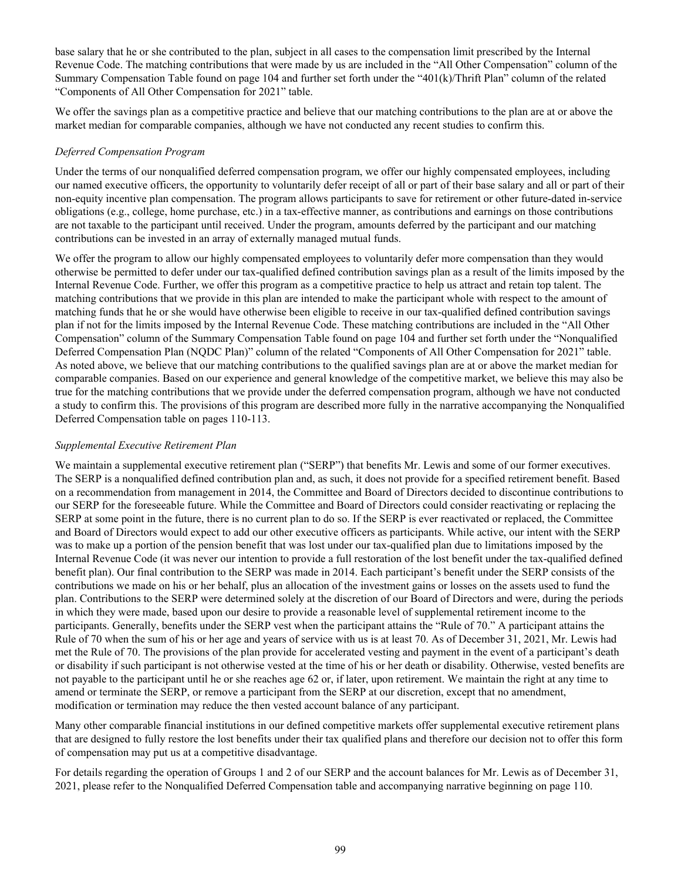base salary that he or she contributed to the plan, subject in all cases to the compensation limit prescribed by the Internal Revenue Code. The matching contributions that were made by us are included in the "All Other Compensation" column of the Summary Compensation Table found on page 104 and further set forth under the "401(k)/Thrift Plan" column of the related "Components of All Other Compensation for 2021" table.

We offer the savings plan as a competitive practice and believe that our matching contributions to the plan are at or above the market median for comparable companies, although we have not conducted any recent studies to confirm this.

# *Deferred Compensation Program*

Under the terms of our nonqualified deferred compensation program, we offer our highly compensated employees, including our named executive officers, the opportunity to voluntarily defer receipt of all or part of their base salary and all or part of their non-equity incentive plan compensation. The program allows participants to save for retirement or other future-dated in-service obligations (e.g., college, home purchase, etc.) in a tax-effective manner, as contributions and earnings on those contributions are not taxable to the participant until received. Under the program, amounts deferred by the participant and our matching contributions can be invested in an array of externally managed mutual funds.

We offer the program to allow our highly compensated employees to voluntarily defer more compensation than they would otherwise be permitted to defer under our tax-qualified defined contribution savings plan as a result of the limits imposed by the Internal Revenue Code. Further, we offer this program as a competitive practice to help us attract and retain top talent. The matching contributions that we provide in this plan are intended to make the participant whole with respect to the amount of matching funds that he or she would have otherwise been eligible to receive in our tax-qualified defined contribution savings plan if not for the limits imposed by the Internal Revenue Code. These matching contributions are included in the "All Other Compensation" column of the Summary Compensation Table found on page 104 and further set forth under the "Nonqualified Deferred Compensation Plan (NQDC Plan)" column of the related "Components of All Other Compensation for 2021" table. As noted above, we believe that our matching contributions to the qualified savings plan are at or above the market median for comparable companies. Based on our experience and general knowledge of the competitive market, we believe this may also be true for the matching contributions that we provide under the deferred compensation program, although we have not conducted a study to confirm this. The provisions of this program are described more fully in the narrative accompanying the Nonqualified Deferred Compensation table on pages 110-113.

# *Supplemental Executive Retirement Plan*

We maintain a supplemental executive retirement plan ("SERP") that benefits Mr. Lewis and some of our former executives. The SERP is a nonqualified defined contribution plan and, as such, it does not provide for a specified retirement benefit. Based on a recommendation from management in 2014, the Committee and Board of Directors decided to discontinue contributions to our SERP for the foreseeable future. While the Committee and Board of Directors could consider reactivating or replacing the SERP at some point in the future, there is no current plan to do so. If the SERP is ever reactivated or replaced, the Committee and Board of Directors would expect to add our other executive officers as participants. While active, our intent with the SERP was to make up a portion of the pension benefit that was lost under our tax-qualified plan due to limitations imposed by the Internal Revenue Code (it was never our intention to provide a full restoration of the lost benefit under the tax-qualified defined benefit plan). Our final contribution to the SERP was made in 2014. Each participant's benefit under the SERP consists of the contributions we made on his or her behalf, plus an allocation of the investment gains or losses on the assets used to fund the plan. Contributions to the SERP were determined solely at the discretion of our Board of Directors and were, during the periods in which they were made, based upon our desire to provide a reasonable level of supplemental retirement income to the participants. Generally, benefits under the SERP vest when the participant attains the "Rule of 70." A participant attains the Rule of 70 when the sum of his or her age and years of service with us is at least 70. As of December 31, 2021, Mr. Lewis had met the Rule of 70. The provisions of the plan provide for accelerated vesting and payment in the event of a participant's death or disability if such participant is not otherwise vested at the time of his or her death or disability. Otherwise, vested benefits are not payable to the participant until he or she reaches age 62 or, if later, upon retirement. We maintain the right at any time to amend or terminate the SERP, or remove a participant from the SERP at our discretion, except that no amendment, modification or termination may reduce the then vested account balance of any participant.

Many other comparable financial institutions in our defined competitive markets offer supplemental executive retirement plans that are designed to fully restore the lost benefits under their tax qualified plans and therefore our decision not to offer this form of compensation may put us at a competitive disadvantage.

For details regarding the operation of Groups 1 and 2 of our SERP and the account balances for Mr. Lewis as of December 31, 2021, please refer to the Nonqualified Deferred Compensation table and accompanying narrative beginning on page 110.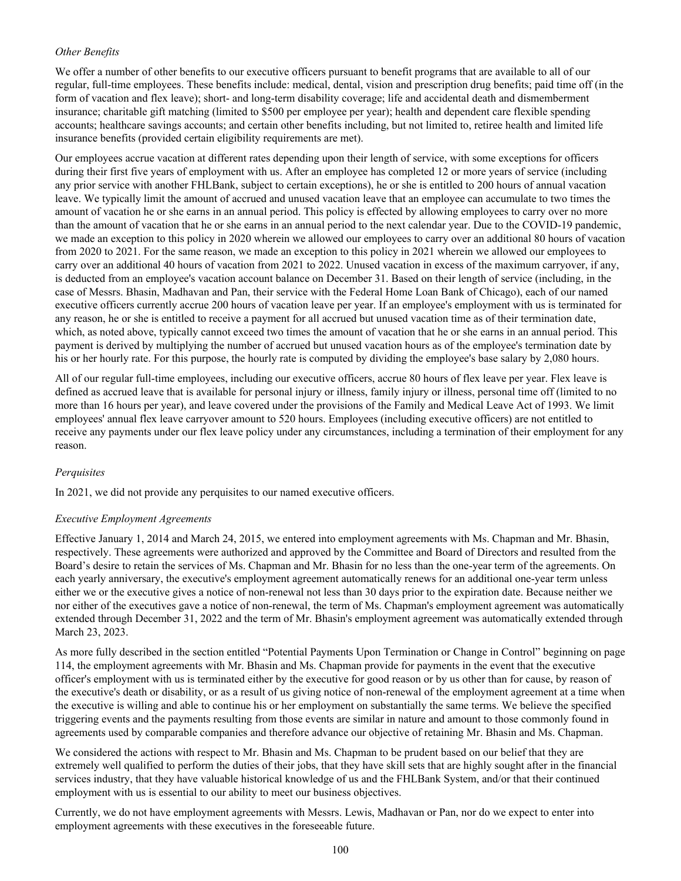# *Other Benefits*

We offer a number of other benefits to our executive officers pursuant to benefit programs that are available to all of our regular, full-time employees. These benefits include: medical, dental, vision and prescription drug benefits; paid time off (in the form of vacation and flex leave); short- and long-term disability coverage; life and accidental death and dismemberment insurance; charitable gift matching (limited to \$500 per employee per year); health and dependent care flexible spending accounts; healthcare savings accounts; and certain other benefits including, but not limited to, retiree health and limited life insurance benefits (provided certain eligibility requirements are met).

Our employees accrue vacation at different rates depending upon their length of service, with some exceptions for officers during their first five years of employment with us. After an employee has completed 12 or more years of service (including any prior service with another FHLBank, subject to certain exceptions), he or she is entitled to 200 hours of annual vacation leave. We typically limit the amount of accrued and unused vacation leave that an employee can accumulate to two times the amount of vacation he or she earns in an annual period. This policy is effected by allowing employees to carry over no more than the amount of vacation that he or she earns in an annual period to the next calendar year. Due to the COVID-19 pandemic, we made an exception to this policy in 2020 wherein we allowed our employees to carry over an additional 80 hours of vacation from 2020 to 2021. For the same reason, we made an exception to this policy in 2021 wherein we allowed our employees to carry over an additional 40 hours of vacation from 2021 to 2022. Unused vacation in excess of the maximum carryover, if any, is deducted from an employee's vacation account balance on December 31. Based on their length of service (including, in the case of Messrs. Bhasin, Madhavan and Pan, their service with the Federal Home Loan Bank of Chicago), each of our named executive officers currently accrue 200 hours of vacation leave per year. If an employee's employment with us is terminated for any reason, he or she is entitled to receive a payment for all accrued but unused vacation time as of their termination date, which, as noted above, typically cannot exceed two times the amount of vacation that he or she earns in an annual period. This payment is derived by multiplying the number of accrued but unused vacation hours as of the employee's termination date by his or her hourly rate. For this purpose, the hourly rate is computed by dividing the employee's base salary by 2,080 hours.

All of our regular full-time employees, including our executive officers, accrue 80 hours of flex leave per year. Flex leave is defined as accrued leave that is available for personal injury or illness, family injury or illness, personal time off (limited to no more than 16 hours per year), and leave covered under the provisions of the Family and Medical Leave Act of 1993. We limit employees' annual flex leave carryover amount to 520 hours. Employees (including executive officers) are not entitled to receive any payments under our flex leave policy under any circumstances, including a termination of their employment for any reason.

# *Perquisites*

In 2021, we did not provide any perquisites to our named executive officers.

# *Executive Employment Agreements*

Effective January 1, 2014 and March 24, 2015, we entered into employment agreements with Ms. Chapman and Mr. Bhasin, respectively. These agreements were authorized and approved by the Committee and Board of Directors and resulted from the Board's desire to retain the services of Ms. Chapman and Mr. Bhasin for no less than the one-year term of the agreements. On each yearly anniversary, the executive's employment agreement automatically renews for an additional one-year term unless either we or the executive gives a notice of non-renewal not less than 30 days prior to the expiration date. Because neither we nor either of the executives gave a notice of non-renewal, the term of Ms. Chapman's employment agreement was automatically extended through December 31, 2022 and the term of Mr. Bhasin's employment agreement was automatically extended through March 23, 2023.

As more fully described in the section entitled "Potential Payments Upon Termination or Change in Control" beginning on page 114, the employment agreements with Mr. Bhasin and Ms. Chapman provide for payments in the event that the executive officer's employment with us is terminated either by the executive for good reason or by us other than for cause, by reason of the executive's death or disability, or as a result of us giving notice of non-renewal of the employment agreement at a time when the executive is willing and able to continue his or her employment on substantially the same terms. We believe the specified triggering events and the payments resulting from those events are similar in nature and amount to those commonly found in agreements used by comparable companies and therefore advance our objective of retaining Mr. Bhasin and Ms. Chapman.

We considered the actions with respect to Mr. Bhasin and Ms. Chapman to be prudent based on our belief that they are extremely well qualified to perform the duties of their jobs, that they have skill sets that are highly sought after in the financial services industry, that they have valuable historical knowledge of us and the FHLBank System, and/or that their continued employment with us is essential to our ability to meet our business objectives.

Currently, we do not have employment agreements with Messrs. Lewis, Madhavan or Pan, nor do we expect to enter into employment agreements with these executives in the foreseeable future.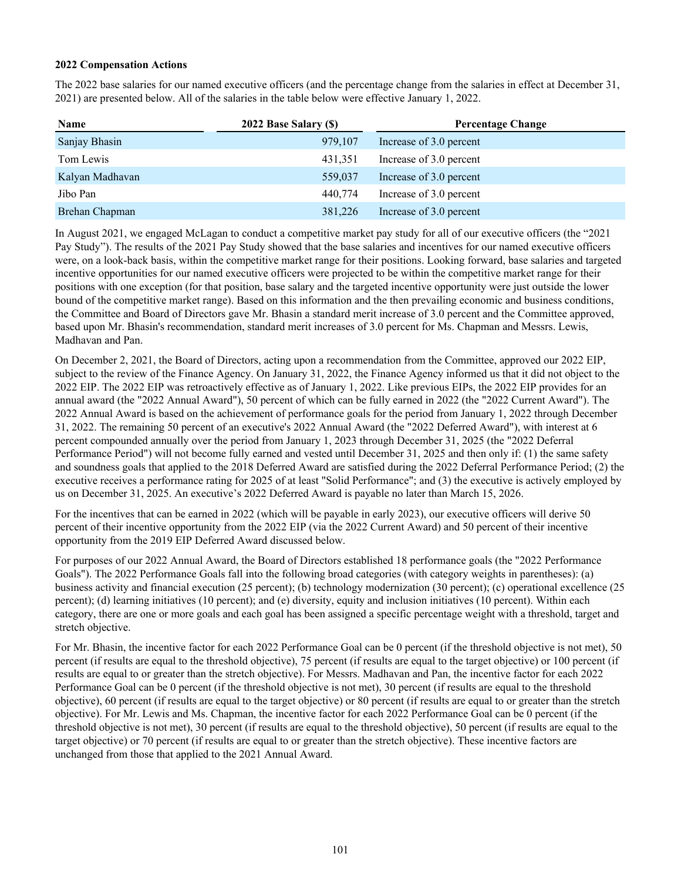# **2022 Compensation Actions**

The 2022 base salaries for our named executive officers (and the percentage change from the salaries in effect at December 31, 2021) are presented below. All of the salaries in the table below were effective January 1, 2022.

| Name            | 2022 Base Salary (\$) | <b>Percentage Change</b> |
|-----------------|-----------------------|--------------------------|
| Sanjay Bhasin   | 979,107               | Increase of 3.0 percent  |
| Tom Lewis       | 431,351               | Increase of 3.0 percent  |
| Kalyan Madhavan | 559,037               | Increase of 3.0 percent  |
| Jibo Pan        | 440.774               | Increase of 3.0 percent  |
| Brehan Chapman  | 381,226               | Increase of 3.0 percent  |

In August 2021, we engaged McLagan to conduct a competitive market pay study for all of our executive officers (the "2021 Pay Study"). The results of the 2021 Pay Study showed that the base salaries and incentives for our named executive officers were, on a look-back basis, within the competitive market range for their positions. Looking forward, base salaries and targeted incentive opportunities for our named executive officers were projected to be within the competitive market range for their positions with one exception (for that position, base salary and the targeted incentive opportunity were just outside the lower bound of the competitive market range). Based on this information and the then prevailing economic and business conditions, the Committee and Board of Directors gave Mr. Bhasin a standard merit increase of 3.0 percent and the Committee approved, based upon Mr. Bhasin's recommendation, standard merit increases of 3.0 percent for Ms. Chapman and Messrs. Lewis, Madhavan and Pan.

On December 2, 2021, the Board of Directors, acting upon a recommendation from the Committee, approved our 2022 EIP, subject to the review of the Finance Agency. On January 31, 2022, the Finance Agency informed us that it did not object to the 2022 EIP. The 2022 EIP was retroactively effective as of January 1, 2022. Like previous EIPs, the 2022 EIP provides for an annual award (the "2022 Annual Award"), 50 percent of which can be fully earned in 2022 (the "2022 Current Award"). The 2022 Annual Award is based on the achievement of performance goals for the period from January 1, 2022 through December 31, 2022. The remaining 50 percent of an executive's 2022 Annual Award (the "2022 Deferred Award"), with interest at 6 percent compounded annually over the period from January 1, 2023 through December 31, 2025 (the "2022 Deferral Performance Period") will not become fully earned and vested until December 31, 2025 and then only if: (1) the same safety and soundness goals that applied to the 2018 Deferred Award are satisfied during the 2022 Deferral Performance Period; (2) the executive receives a performance rating for 2025 of at least "Solid Performance"; and (3) the executive is actively employed by us on December 31, 2025. An executive's 2022 Deferred Award is payable no later than March 15, 2026.

For the incentives that can be earned in 2022 (which will be payable in early 2023), our executive officers will derive 50 percent of their incentive opportunity from the 2022 EIP (via the 2022 Current Award) and 50 percent of their incentive opportunity from the 2019 EIP Deferred Award discussed below.

For purposes of our 2022 Annual Award, the Board of Directors established 18 performance goals (the "2022 Performance Goals"). The 2022 Performance Goals fall into the following broad categories (with category weights in parentheses): (a) business activity and financial execution (25 percent); (b) technology modernization (30 percent); (c) operational excellence (25 percent); (d) learning initiatives (10 percent); and (e) diversity, equity and inclusion initiatives (10 percent). Within each category, there are one or more goals and each goal has been assigned a specific percentage weight with a threshold, target and stretch objective.

For Mr. Bhasin, the incentive factor for each 2022 Performance Goal can be 0 percent (if the threshold objective is not met), 50 percent (if results are equal to the threshold objective), 75 percent (if results are equal to the target objective) or 100 percent (if results are equal to or greater than the stretch objective). For Messrs. Madhavan and Pan, the incentive factor for each 2022 Performance Goal can be 0 percent (if the threshold objective is not met), 30 percent (if results are equal to the threshold objective), 60 percent (if results are equal to the target objective) or 80 percent (if results are equal to or greater than the stretch objective). For Mr. Lewis and Ms. Chapman, the incentive factor for each 2022 Performance Goal can be 0 percent (if the threshold objective is not met), 30 percent (if results are equal to the threshold objective), 50 percent (if results are equal to the target objective) or 70 percent (if results are equal to or greater than the stretch objective). These incentive factors are unchanged from those that applied to the 2021 Annual Award.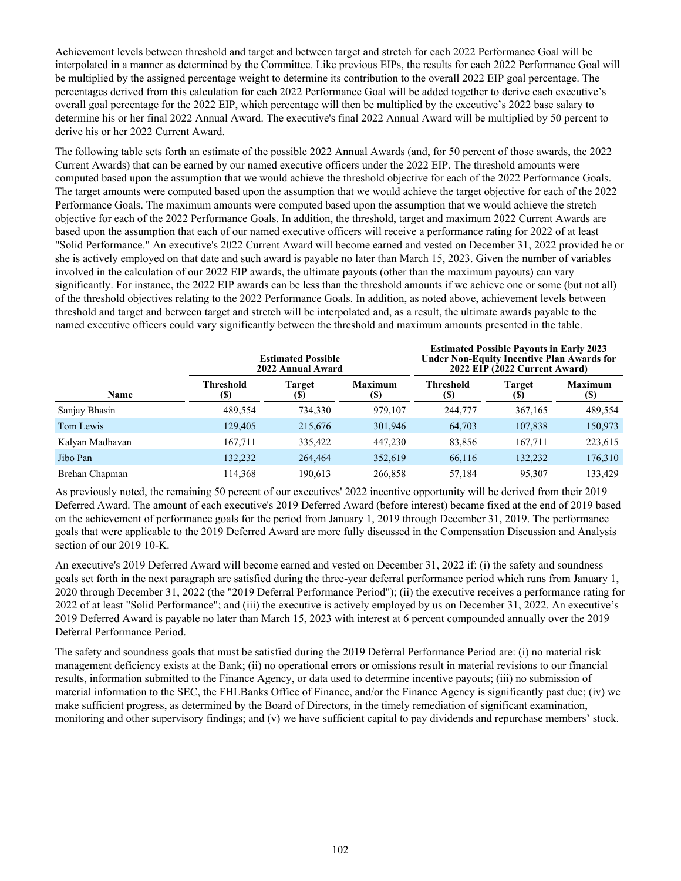Achievement levels between threshold and target and between target and stretch for each 2022 Performance Goal will be interpolated in a manner as determined by the Committee. Like previous EIPs, the results for each 2022 Performance Goal will be multiplied by the assigned percentage weight to determine its contribution to the overall 2022 EIP goal percentage. The percentages derived from this calculation for each 2022 Performance Goal will be added together to derive each executive's overall goal percentage for the 2022 EIP, which percentage will then be multiplied by the executive's 2022 base salary to determine his or her final 2022 Annual Award. The executive's final 2022 Annual Award will be multiplied by 50 percent to derive his or her 2022 Current Award.

The following table sets forth an estimate of the possible 2022 Annual Awards (and, for 50 percent of those awards, the 2022 Current Awards) that can be earned by our named executive officers under the 2022 EIP. The threshold amounts were computed based upon the assumption that we would achieve the threshold objective for each of the 2022 Performance Goals. The target amounts were computed based upon the assumption that we would achieve the target objective for each of the 2022 Performance Goals. The maximum amounts were computed based upon the assumption that we would achieve the stretch objective for each of the 2022 Performance Goals. In addition, the threshold, target and maximum 2022 Current Awards are based upon the assumption that each of our named executive officers will receive a performance rating for 2022 of at least "Solid Performance." An executive's 2022 Current Award will become earned and vested on December 31, 2022 provided he or she is actively employed on that date and such award is payable no later than March 15, 2023. Given the number of variables involved in the calculation of our 2022 EIP awards, the ultimate payouts (other than the maximum payouts) can vary significantly. For instance, the 2022 EIP awards can be less than the threshold amounts if we achieve one or some (but not all) of the threshold objectives relating to the 2022 Performance Goals. In addition, as noted above, achievement levels between threshold and target and between target and stretch will be interpolated and, as a result, the ultimate awards payable to the named executive officers could vary significantly between the threshold and maximum amounts presented in the table.

|                 |                  | <b>Estimated Possible</b><br>2022 Annual Award | <b>Estimated Possible Payouts in Early 2023</b><br>2022 EIP (2022 Current Award) | <b>Under Non-Equity Incentive Plan Awards for</b> |               |                       |
|-----------------|------------------|------------------------------------------------|----------------------------------------------------------------------------------|---------------------------------------------------|---------------|-----------------------|
| Name            | Threshold<br>(S) | <b>Target</b><br>(S)                           | <b>Maximum</b><br>(S)                                                            | <b>Threshold</b><br>(S)                           | Target<br>(S) | <b>Maximum</b><br>(S) |
| Sanjay Bhasin   | 489,554          | 734,330                                        | 979,107                                                                          | 244,777                                           | 367,165       | 489,554               |
| Tom Lewis       | 129,405          | 215,676                                        | 301,946                                                                          | 64,703                                            | 107,838       | 150,973               |
| Kalyan Madhavan | 167,711          | 335,422                                        | 447,230                                                                          | 83,856                                            | 167,711       | 223,615               |
| Jibo Pan        | 132.232          | 264,464                                        | 352,619                                                                          | 66,116                                            | 132.232       | 176,310               |
| Brehan Chapman  | 114,368          | 190,613                                        | 266,858                                                                          | 57,184                                            | 95,307        | 133,429               |

As previously noted, the remaining 50 percent of our executives' 2022 incentive opportunity will be derived from their 2019 Deferred Award. The amount of each executive's 2019 Deferred Award (before interest) became fixed at the end of 2019 based on the achievement of performance goals for the period from January 1, 2019 through December 31, 2019. The performance goals that were applicable to the 2019 Deferred Award are more fully discussed in the Compensation Discussion and Analysis section of our 2019 10-K.

An executive's 2019 Deferred Award will become earned and vested on December 31, 2022 if: (i) the safety and soundness goals set forth in the next paragraph are satisfied during the three-year deferral performance period which runs from January 1, 2020 through December 31, 2022 (the "2019 Deferral Performance Period"); (ii) the executive receives a performance rating for 2022 of at least "Solid Performance"; and (iii) the executive is actively employed by us on December 31, 2022. An executive's 2019 Deferred Award is payable no later than March 15, 2023 with interest at 6 percent compounded annually over the 2019 Deferral Performance Period.

The safety and soundness goals that must be satisfied during the 2019 Deferral Performance Period are: (i) no material risk management deficiency exists at the Bank; (ii) no operational errors or omissions result in material revisions to our financial results, information submitted to the Finance Agency, or data used to determine incentive payouts; (iii) no submission of material information to the SEC, the FHLBanks Office of Finance, and/or the Finance Agency is significantly past due; (iv) we make sufficient progress, as determined by the Board of Directors, in the timely remediation of significant examination, monitoring and other supervisory findings; and (v) we have sufficient capital to pay dividends and repurchase members' stock.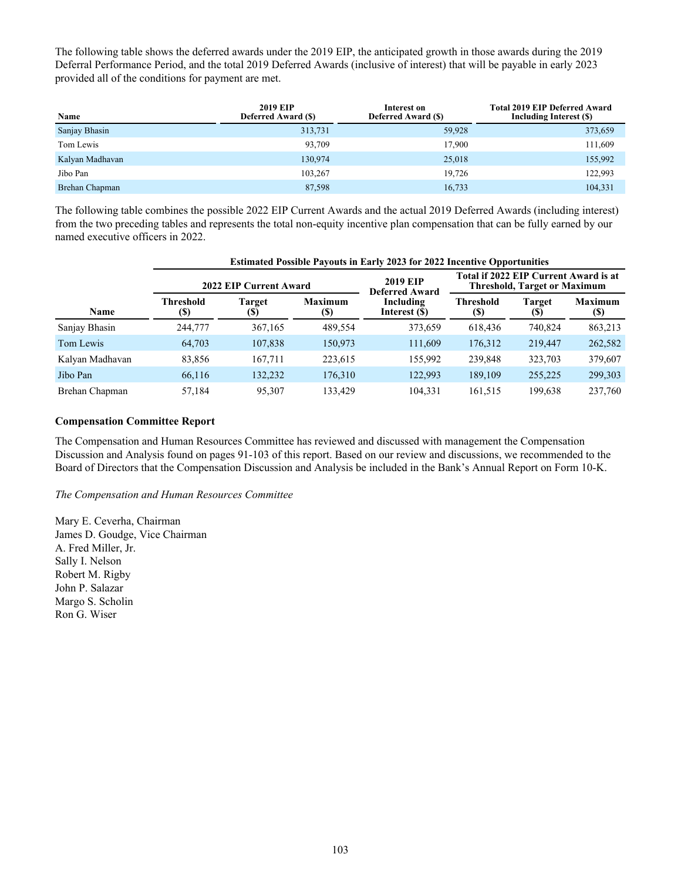The following table shows the deferred awards under the 2019 EIP, the anticipated growth in those awards during the 2019 Deferral Performance Period, and the total 2019 Deferred Awards (inclusive of interest) that will be payable in early 2023 provided all of the conditions for payment are met.

| Name            | <b>2019 EIP</b><br><b>Deferred Award (\$)</b> | Interest on<br><b>Deferred Award (\$)</b> | <b>Total 2019 EIP Deferred Award</b><br>Including Interest (\$) |
|-----------------|-----------------------------------------------|-------------------------------------------|-----------------------------------------------------------------|
| Sanjay Bhasin   | 313,731                                       | 59,928                                    | 373,659                                                         |
| Tom Lewis       | 93.709                                        | 17,900                                    | 111,609                                                         |
| Kalyan Madhavan | 130,974                                       | 25,018                                    | 155,992                                                         |
| Jibo Pan        | 103,267                                       | 19.726                                    | 122,993                                                         |
| Brehan Chapman  | 87,598                                        | 16,733                                    | 104,331                                                         |

The following table combines the possible 2022 EIP Current Awards and the actual 2019 Deferred Awards (including interest) from the two preceding tables and represents the total non-equity incentive plan compensation that can be fully earned by our named executive officers in 2022.

|                 |                                                | <b>Estimated Possible Payouts in Early 2023 for 2022 Incentive Opportunities</b> |                       |                                          |                                                                              |                                      |                                              |  |  |  |  |  |
|-----------------|------------------------------------------------|----------------------------------------------------------------------------------|-----------------------|------------------------------------------|------------------------------------------------------------------------------|--------------------------------------|----------------------------------------------|--|--|--|--|--|
|                 |                                                | 2022 EIP Current Award                                                           |                       | <b>2019 EIP</b><br><b>Deferred Award</b> | Total if 2022 EIP Current Award is at<br><b>Threshold, Target or Maximum</b> |                                      |                                              |  |  |  |  |  |
| Name            | <b>Threshold</b><br>$\left( \mathbf{S}\right)$ | <b>Target</b><br>(S)                                                             | <b>Maximum</b><br>(S) | Including<br>Interest (\$)               | Threshold<br>(S)                                                             | Target<br>$\left( \mathbb{S}\right)$ | <b>Maximum</b><br>$\left( \mathbb{S}\right)$ |  |  |  |  |  |
| Sanjay Bhasin   | 244,777                                        | 367,165                                                                          | 489.554               | 373,659                                  | 618,436                                                                      | 740,824                              | 863,213                                      |  |  |  |  |  |
| Tom Lewis       | 64,703                                         | 107,838                                                                          | 150,973               | 111,609                                  | 176,312                                                                      | 219,447                              | 262,582                                      |  |  |  |  |  |
| Kalyan Madhavan | 83,856                                         | 167,711                                                                          | 223,615               | 155.992                                  | 239,848                                                                      | 323,703                              | 379,607                                      |  |  |  |  |  |
| Jibo Pan        | 66,116                                         | 132,232                                                                          | 176,310               | 122,993                                  | 189,109                                                                      | 255,225                              | 299,303                                      |  |  |  |  |  |
| Brehan Chapman  | 57,184                                         | 95,307                                                                           | 133.429               | 104.331                                  | 161,515                                                                      | 199,638                              | 237,760                                      |  |  |  |  |  |

# **Compensation Committee Report**

The Compensation and Human Resources Committee has reviewed and discussed with management the Compensation Discussion and Analysis found on pages 91-103 of this report. Based on our review and discussions, we recommended to the Board of Directors that the Compensation Discussion and Analysis be included in the Bank's Annual Report on Form 10-K.

#### *The Compensation and Human Resources Committee*

Mary E. Ceverha, Chairman James D. Goudge, Vice Chairman A. Fred Miller, Jr. Sally I. Nelson Robert M. Rigby John P. Salazar Margo S. Scholin Ron G. Wiser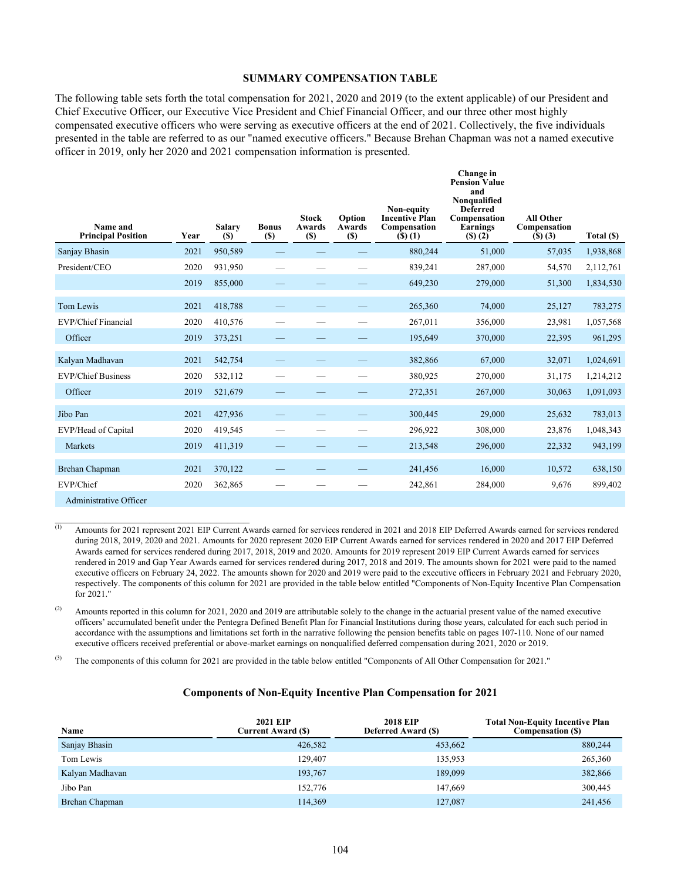#### **SUMMARY COMPENSATION TABLE**

The following table sets forth the total compensation for 2021, 2020 and 2019 (to the extent applicable) of our President and Chief Executive Officer, our Executive Vice President and Chief Financial Officer, and our three other most highly compensated executive officers who were serving as executive officers at the end of 2021. Collectively, the five individuals presented in the table are referred to as our "named executive officers." Because Brehan Chapman was not a named executive officer in 2019, only her 2020 and 2021 compensation information is presented.

| Name and<br><b>Principal Position</b> | Year | <b>Salary</b><br>(S) | <b>Bonus</b><br>$(\$)$ | <b>Stock</b><br><b>Awards</b><br>$(s)$ | Option<br>Awards<br>$(\$)$ | Non-equity<br><b>Incentive Plan</b><br>Compensation<br>$($ \$ $)$ $(1)$ | Change in<br><b>Pension Value</b><br>and<br>Nonqualified<br><b>Deferred</b><br>Compensation<br>Earnings<br>$($ f(s) $(2)$ | <b>All Other</b><br>Compensation<br>(5)(3) | Total (\$) |
|---------------------------------------|------|----------------------|------------------------|----------------------------------------|----------------------------|-------------------------------------------------------------------------|---------------------------------------------------------------------------------------------------------------------------|--------------------------------------------|------------|
| Sanjay Bhasin                         | 2021 | 950,589              |                        |                                        |                            | 880,244                                                                 | 51,000                                                                                                                    | 57,035                                     | 1,938,868  |
| President/CEO                         | 2020 | 931,950              |                        |                                        |                            | 839,241                                                                 | 287,000                                                                                                                   | 54,570                                     | 2,112,761  |
|                                       | 2019 | 855,000              |                        |                                        |                            | 649,230                                                                 | 279,000                                                                                                                   | 51,300                                     | 1,834,530  |
| Tom Lewis                             | 2021 | 418,788              |                        |                                        |                            | 265,360                                                                 | 74,000                                                                                                                    | 25,127                                     | 783,275    |
| EVP/Chief Financial                   | 2020 | 410,576              |                        |                                        |                            | 267,011                                                                 | 356,000                                                                                                                   | 23,981                                     | 1,057,568  |
| Officer                               | 2019 | 373,251              |                        |                                        |                            | 195,649                                                                 | 370,000                                                                                                                   | 22,395                                     | 961,295    |
| Kalyan Madhavan                       | 2021 | 542,754              |                        |                                        |                            | 382,866                                                                 | 67,000                                                                                                                    | 32,071                                     | 1,024,691  |
| <b>EVP/Chief Business</b>             | 2020 | 532,112              |                        |                                        |                            | 380,925                                                                 | 270,000                                                                                                                   | 31,175                                     | 1,214,212  |
| Officer                               | 2019 | 521,679              |                        |                                        |                            | 272,351                                                                 | 267,000                                                                                                                   | 30,063                                     | 1,091,093  |
| Jibo Pan                              | 2021 | 427,936              |                        |                                        |                            | 300,445                                                                 | 29,000                                                                                                                    | 25,632                                     | 783,013    |
| EVP/Head of Capital                   | 2020 | 419,545              |                        |                                        |                            | 296,922                                                                 | 308,000                                                                                                                   | 23,876                                     | 1,048,343  |
| Markets                               | 2019 | 411,319              |                        |                                        |                            | 213,548                                                                 | 296,000                                                                                                                   | 22,332                                     | 943,199    |
| Brehan Chapman                        | 2021 | 370,122              |                        |                                        |                            | 241,456                                                                 | 16.000                                                                                                                    | 10.572                                     | 638,150    |
| EVP/Chief                             | 2020 | 362,865              |                        |                                        |                            | 242,861                                                                 | 284,000                                                                                                                   | 9,676                                      | 899,402    |
| Administrative Officer                |      |                      |                        |                                        |                            |                                                                         |                                                                                                                           |                                            |            |

(1) Amounts for 2021 represent 2021 EIP Current Awards earned for services rendered in 2021 and 2018 EIP Deferred Awards earned for services rendered during 2018, 2019, 2020 and 2021. Amounts for 2020 represent 2020 EIP Current Awards earned for services rendered in 2020 and 2017 EIP Deferred Awards earned for services rendered during 2017, 2018, 2019 and 2020. Amounts for 2019 represent 2019 EIP Current Awards earned for services rendered in 2019 and Gap Year Awards earned for services rendered during 2017, 2018 and 2019. The amounts shown for 2021 were paid to the named executive officers on February 24, 2022. The amounts shown for 2020 and 2019 were paid to the executive officers in February 2021 and February 2020, respectively. The components of this column for 2021 are provided in the table below entitled "Components of Non-Equity Incentive Plan Compensation for 2021."

(2) Amounts reported in this column for 2021, 2020 and 2019 are attributable solely to the change in the actuarial present value of the named executive officers' accumulated benefit under the Pentegra Defined Benefit Plan for Financial Institutions during those years, calculated for each such period in accordance with the assumptions and limitations set forth in the narrative following the pension benefits table on pages 107-110. None of our named executive officers received preferential or above-market earnings on nonqualified deferred compensation during 2021, 2020 or 2019.

<sup>(3)</sup> The components of this column for 2021 are provided in the table below entitled "Components of All Other Compensation for 2021."

 $\mathcal{L}_\text{max}$  , where  $\mathcal{L}_\text{max}$  and  $\mathcal{L}_\text{max}$  and  $\mathcal{L}_\text{max}$ 

#### **Components of Non-Equity Incentive Plan Compensation for 2021**

| Name            | <b>2021 EIP</b><br><b>Current Award (\$)</b> | <b>2018 EIP</b><br><b>Deferred Award (\$)</b> | <b>Total Non-Equity Incentive Plan</b><br><b>Compensation (S)</b> |
|-----------------|----------------------------------------------|-----------------------------------------------|-------------------------------------------------------------------|
| Sanjay Bhasin   | 426,582                                      | 453,662                                       | 880,244                                                           |
| Tom Lewis       | 129.407                                      | 135,953                                       | 265,360                                                           |
| Kalyan Madhavan | 193,767                                      | 189,099                                       | 382,866                                                           |
| Jibo Pan        | 152,776                                      | 147,669                                       | 300,445                                                           |
| Brehan Chapman  | 114,369                                      | 127,087                                       | 241,456                                                           |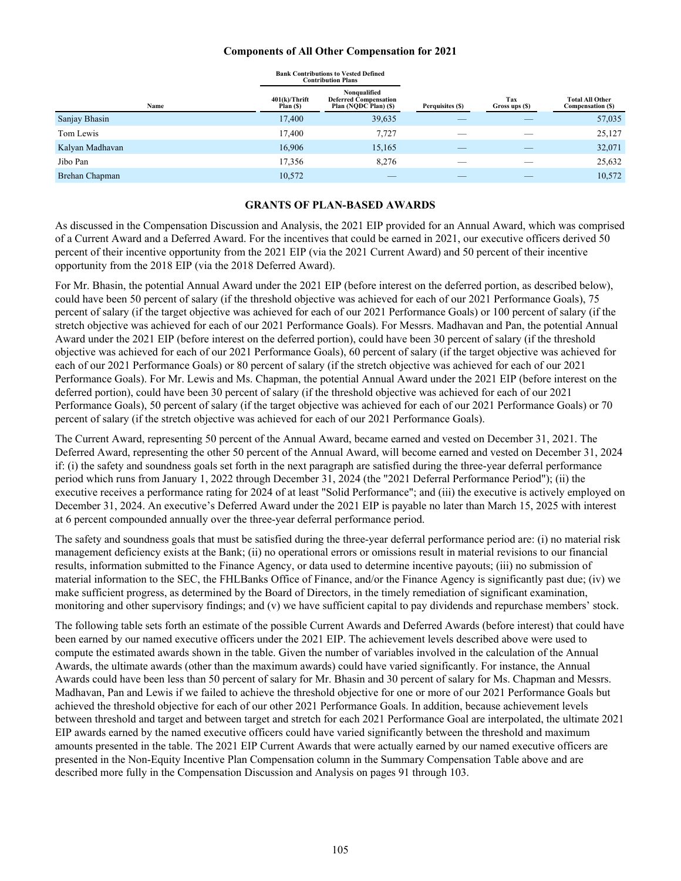#### **Components of All Other Compensation for 2021**

|                 |                               | <b>Bank Contributions to Vested Defined</b><br><b>Contribution Plans</b> |                  |                       |                                            |
|-----------------|-------------------------------|--------------------------------------------------------------------------|------------------|-----------------------|--------------------------------------------|
| Name            | $401(k)/T$ hrift<br>Plan (\$) | Nonqualified<br><b>Deferred Compensation</b><br>Plan (NQDC Plan) (\$)    | Perquisites (\$) | Tax<br>Gross ups (\$) | <b>Total All Other</b><br>Compensation (S) |
| Sanjay Bhasin   | 17,400                        | 39,635                                                                   |                  |                       | 57,035                                     |
| Tom Lewis       | 17,400                        | 7,727                                                                    |                  |                       | 25,127                                     |
| Kalyan Madhavan | 16,906                        | 15,165                                                                   |                  |                       | 32,071                                     |
| Jibo Pan        | 17,356                        | 8,276                                                                    |                  |                       | 25,632                                     |
| Brehan Chapman  | 10,572                        |                                                                          |                  |                       | 10,572                                     |

#### **GRANTS OF PLAN-BASED AWARDS**

As discussed in the Compensation Discussion and Analysis, the 2021 EIP provided for an Annual Award, which was comprised of a Current Award and a Deferred Award. For the incentives that could be earned in 2021, our executive officers derived 50 percent of their incentive opportunity from the 2021 EIP (via the 2021 Current Award) and 50 percent of their incentive opportunity from the 2018 EIP (via the 2018 Deferred Award).

For Mr. Bhasin, the potential Annual Award under the 2021 EIP (before interest on the deferred portion, as described below), could have been 50 percent of salary (if the threshold objective was achieved for each of our 2021 Performance Goals), 75 percent of salary (if the target objective was achieved for each of our 2021 Performance Goals) or 100 percent of salary (if the stretch objective was achieved for each of our 2021 Performance Goals). For Messrs. Madhavan and Pan, the potential Annual Award under the 2021 EIP (before interest on the deferred portion), could have been 30 percent of salary (if the threshold objective was achieved for each of our 2021 Performance Goals), 60 percent of salary (if the target objective was achieved for each of our 2021 Performance Goals) or 80 percent of salary (if the stretch objective was achieved for each of our 2021 Performance Goals). For Mr. Lewis and Ms. Chapman, the potential Annual Award under the 2021 EIP (before interest on the deferred portion), could have been 30 percent of salary (if the threshold objective was achieved for each of our 2021 Performance Goals), 50 percent of salary (if the target objective was achieved for each of our 2021 Performance Goals) or 70 percent of salary (if the stretch objective was achieved for each of our 2021 Performance Goals).

The Current Award, representing 50 percent of the Annual Award, became earned and vested on December 31, 2021. The Deferred Award, representing the other 50 percent of the Annual Award, will become earned and vested on December 31, 2024 if: (i) the safety and soundness goals set forth in the next paragraph are satisfied during the three-year deferral performance period which runs from January 1, 2022 through December 31, 2024 (the "2021 Deferral Performance Period"); (ii) the executive receives a performance rating for 2024 of at least "Solid Performance"; and (iii) the executive is actively employed on December 31, 2024. An executive's Deferred Award under the 2021 EIP is payable no later than March 15, 2025 with interest at 6 percent compounded annually over the three-year deferral performance period.

The safety and soundness goals that must be satisfied during the three-year deferral performance period are: (i) no material risk management deficiency exists at the Bank; (ii) no operational errors or omissions result in material revisions to our financial results, information submitted to the Finance Agency, or data used to determine incentive payouts; (iii) no submission of material information to the SEC, the FHLBanks Office of Finance, and/or the Finance Agency is significantly past due; (iv) we make sufficient progress, as determined by the Board of Directors, in the timely remediation of significant examination, monitoring and other supervisory findings; and (v) we have sufficient capital to pay dividends and repurchase members' stock.

The following table sets forth an estimate of the possible Current Awards and Deferred Awards (before interest) that could have been earned by our named executive officers under the 2021 EIP. The achievement levels described above were used to compute the estimated awards shown in the table. Given the number of variables involved in the calculation of the Annual Awards, the ultimate awards (other than the maximum awards) could have varied significantly. For instance, the Annual Awards could have been less than 50 percent of salary for Mr. Bhasin and 30 percent of salary for Ms. Chapman and Messrs. Madhavan, Pan and Lewis if we failed to achieve the threshold objective for one or more of our 2021 Performance Goals but achieved the threshold objective for each of our other 2021 Performance Goals. In addition, because achievement levels between threshold and target and between target and stretch for each 2021 Performance Goal are interpolated, the ultimate 2021 EIP awards earned by the named executive officers could have varied significantly between the threshold and maximum amounts presented in the table. The 2021 EIP Current Awards that were actually earned by our named executive officers are presented in the Non-Equity Incentive Plan Compensation column in the Summary Compensation Table above and are described more fully in the Compensation Discussion and Analysis on pages 91 through 103.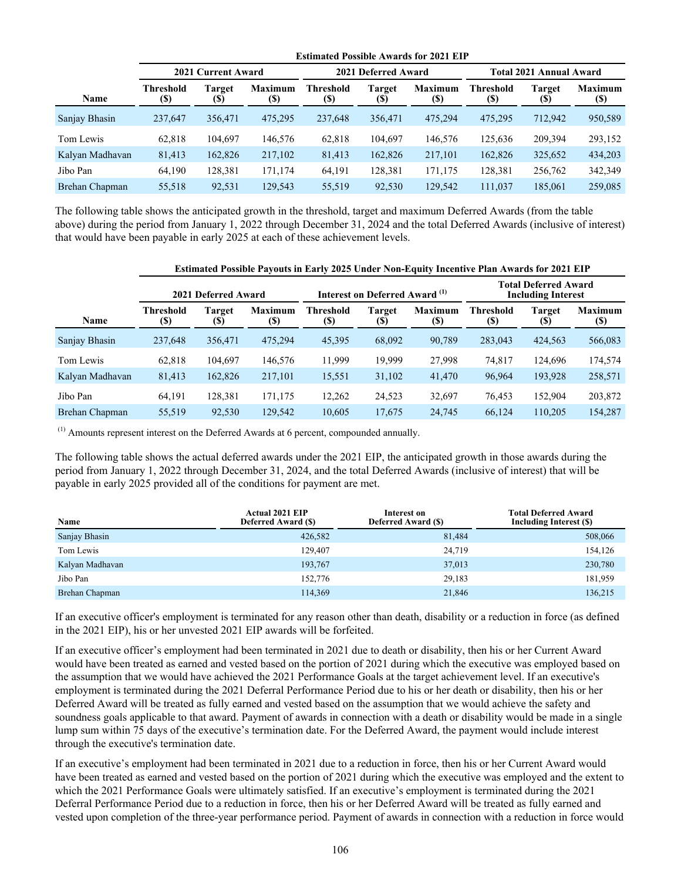|                 | <b>Estimated Possible Awards for 2021 EIP</b> |               |                               |                          |               |                        |                                |                      |                       |  |
|-----------------|-----------------------------------------------|---------------|-------------------------------|--------------------------|---------------|------------------------|--------------------------------|----------------------|-----------------------|--|
|                 | 2021 Current Award                            |               |                               | 2021 Deferred Award      |               |                        | <b>Total 2021 Annual Award</b> |                      |                       |  |
| Name            | <b>Threshold</b><br>(\$)                      | Target<br>(S) | <b>Maximum</b><br><b>(\$)</b> | Threshold<br><b>(\$)</b> | Target<br>(S) | <b>Maximum</b><br>(\$) | Threshold<br>(S)               | <b>Target</b><br>(S) | <b>Maximum</b><br>(S) |  |
| Sanjay Bhasin   | 237,647                                       | 356,471       | 475.295                       | 237,648                  | 356,471       | 475.294                | 475.295                        | 712,942              | 950,589               |  |
| Tom Lewis       | 62,818                                        | 104.697       | 146,576                       | 62,818                   | 104,697       | 146,576                | 125.636                        | 209,394              | 293,152               |  |
| Kalyan Madhavan | 81,413                                        | 162,826       | 217,102                       | 81,413                   | 162,826       | 217,101                | 162,826                        | 325,652              | 434,203               |  |
| Jibo Pan        | 64,190                                        | 128,381       | 171,174                       | 64,191                   | 128,381       | 171,175                | 128,381                        | 256,762              | 342,349               |  |
| Brehan Chapman  | 55,518                                        | 92,531        | 129,543                       | 55,519                   | 92,530        | 129,542                | 111,037                        | 185,061              | 259,085               |  |

The following table shows the anticipated growth in the threshold, target and maximum Deferred Awards (from the table above) during the period from January 1, 2022 through December 31, 2024 and the total Deferred Awards (inclusive of interest) that would have been payable in early 2025 at each of these achievement levels.

#### **Estimated Possible Payouts in Early 2025 Under Non-Equity Incentive Plan Awards for 2021 EIP**

|                 | 2021 Deferred Award      |                |                                              | Interest on Deferred Award (1) |                      |                       | <b>Total Deferred Award</b><br><b>Including Interest</b> |               |                 |
|-----------------|--------------------------|----------------|----------------------------------------------|--------------------------------|----------------------|-----------------------|----------------------------------------------------------|---------------|-----------------|
| Name            | <b>Threshold</b><br>(\$) | Target<br>(\$) | <b>Maximum</b><br>$\left( \mathbb{S}\right)$ | <b>Threshold</b><br>(S)        | <b>Target</b><br>(S) | <b>Maximum</b><br>(S) | Threshold<br>(S)                                         | Target<br>(S) | Maximum<br>(\$) |
| Sanjay Bhasin   | 237,648                  | 356.471        | 475.294                                      | 45,395                         | 68,092               | 90,789                | 283,043                                                  | 424.563       | 566,083         |
| Tom Lewis       | 62,818                   | 104.697        | 146,576                                      | 11,999                         | 19,999               | 27,998                | 74,817                                                   | 124,696       | 174,574         |
| Kalyan Madhavan | 81,413                   | 162.826        | 217,101                                      | 15,551                         | 31,102               | 41,470                | 96,964                                                   | 193,928       | 258,571         |
| Jibo Pan        | 64,191                   | 128,381        | 171,175                                      | 12,262                         | 24,523               | 32,697                | 76,453                                                   | 152,904       | 203,872         |
| Brehan Chapman  | 55,519                   | 92,530         | 129,542                                      | 10,605                         | 17,675               | 24,745                | 66,124                                                   | 110,205       | 154,287         |

 $<sup>(1)</sup>$  Amounts represent interest on the Deferred Awards at 6 percent, compounded annually.</sup>

The following table shows the actual deferred awards under the 2021 EIP, the anticipated growth in those awards during the period from January 1, 2022 through December 31, 2024, and the total Deferred Awards (inclusive of interest) that will be payable in early 2025 provided all of the conditions for payment are met.

| Name            | <b>Actual 2021 EIP</b><br><b>Deferred Award (\$)</b> | Interest on<br><b>Deferred Award (\$)</b> | <b>Total Deferred Award</b><br>Including Interest (\$) |
|-----------------|------------------------------------------------------|-------------------------------------------|--------------------------------------------------------|
| Sanjay Bhasin   | 426,582                                              | 81,484                                    | 508,066                                                |
| Tom Lewis       | 129,407                                              | 24,719                                    | 154,126                                                |
| Kalyan Madhavan | 193,767                                              | 37,013                                    | 230,780                                                |
| Jibo Pan        | 152,776                                              | 29,183                                    | 181,959                                                |
| Brehan Chapman  | 114,369                                              | 21,846                                    | 136,215                                                |

If an executive officer's employment is terminated for any reason other than death, disability or a reduction in force (as defined in the 2021 EIP), his or her unvested 2021 EIP awards will be forfeited.

If an executive officer's employment had been terminated in 2021 due to death or disability, then his or her Current Award would have been treated as earned and vested based on the portion of 2021 during which the executive was employed based on the assumption that we would have achieved the 2021 Performance Goals at the target achievement level. If an executive's employment is terminated during the 2021 Deferral Performance Period due to his or her death or disability, then his or her Deferred Award will be treated as fully earned and vested based on the assumption that we would achieve the safety and soundness goals applicable to that award. Payment of awards in connection with a death or disability would be made in a single lump sum within 75 days of the executive's termination date. For the Deferred Award, the payment would include interest through the executive's termination date.

If an executive's employment had been terminated in 2021 due to a reduction in force, then his or her Current Award would have been treated as earned and vested based on the portion of 2021 during which the executive was employed and the extent to which the 2021 Performance Goals were ultimately satisfied. If an executive's employment is terminated during the 2021 Deferral Performance Period due to a reduction in force, then his or her Deferred Award will be treated as fully earned and vested upon completion of the three-year performance period. Payment of awards in connection with a reduction in force would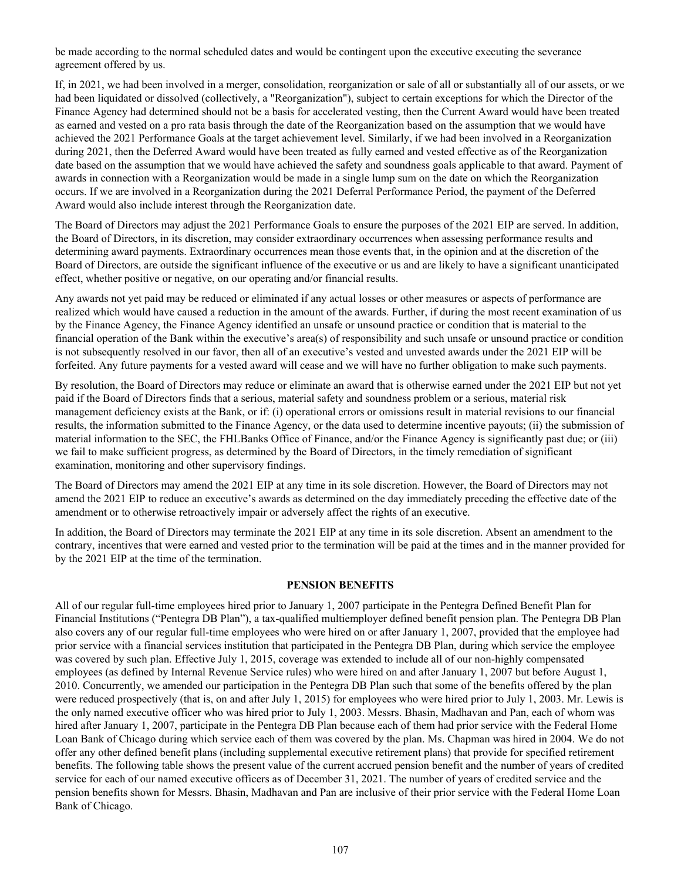be made according to the normal scheduled dates and would be contingent upon the executive executing the severance agreement offered by us.

If, in 2021, we had been involved in a merger, consolidation, reorganization or sale of all or substantially all of our assets, or we had been liquidated or dissolved (collectively, a "Reorganization"), subject to certain exceptions for which the Director of the Finance Agency had determined should not be a basis for accelerated vesting, then the Current Award would have been treated as earned and vested on a pro rata basis through the date of the Reorganization based on the assumption that we would have achieved the 2021 Performance Goals at the target achievement level. Similarly, if we had been involved in a Reorganization during 2021, then the Deferred Award would have been treated as fully earned and vested effective as of the Reorganization date based on the assumption that we would have achieved the safety and soundness goals applicable to that award. Payment of awards in connection with a Reorganization would be made in a single lump sum on the date on which the Reorganization occurs. If we are involved in a Reorganization during the 2021 Deferral Performance Period, the payment of the Deferred Award would also include interest through the Reorganization date.

The Board of Directors may adjust the 2021 Performance Goals to ensure the purposes of the 2021 EIP are served. In addition, the Board of Directors, in its discretion, may consider extraordinary occurrences when assessing performance results and determining award payments. Extraordinary occurrences mean those events that, in the opinion and at the discretion of the Board of Directors, are outside the significant influence of the executive or us and are likely to have a significant unanticipated effect, whether positive or negative, on our operating and/or financial results.

Any awards not yet paid may be reduced or eliminated if any actual losses or other measures or aspects of performance are realized which would have caused a reduction in the amount of the awards. Further, if during the most recent examination of us by the Finance Agency, the Finance Agency identified an unsafe or unsound practice or condition that is material to the financial operation of the Bank within the executive's area(s) of responsibility and such unsafe or unsound practice or condition is not subsequently resolved in our favor, then all of an executive's vested and unvested awards under the 2021 EIP will be forfeited. Any future payments for a vested award will cease and we will have no further obligation to make such payments.

By resolution, the Board of Directors may reduce or eliminate an award that is otherwise earned under the 2021 EIP but not yet paid if the Board of Directors finds that a serious, material safety and soundness problem or a serious, material risk management deficiency exists at the Bank, or if: (i) operational errors or omissions result in material revisions to our financial results, the information submitted to the Finance Agency, or the data used to determine incentive payouts; (ii) the submission of material information to the SEC, the FHLBanks Office of Finance, and/or the Finance Agency is significantly past due; or (iii) we fail to make sufficient progress, as determined by the Board of Directors, in the timely remediation of significant examination, monitoring and other supervisory findings.

The Board of Directors may amend the 2021 EIP at any time in its sole discretion. However, the Board of Directors may not amend the 2021 EIP to reduce an executive's awards as determined on the day immediately preceding the effective date of the amendment or to otherwise retroactively impair or adversely affect the rights of an executive.

In addition, the Board of Directors may terminate the 2021 EIP at any time in its sole discretion. Absent an amendment to the contrary, incentives that were earned and vested prior to the termination will be paid at the times and in the manner provided for by the 2021 EIP at the time of the termination.

#### **PENSION BENEFITS**

All of our regular full-time employees hired prior to January 1, 2007 participate in the Pentegra Defined Benefit Plan for Financial Institutions ("Pentegra DB Plan"), a tax-qualified multiemployer defined benefit pension plan. The Pentegra DB Plan also covers any of our regular full-time employees who were hired on or after January 1, 2007, provided that the employee had prior service with a financial services institution that participated in the Pentegra DB Plan, during which service the employee was covered by such plan. Effective July 1, 2015, coverage was extended to include all of our non-highly compensated employees (as defined by Internal Revenue Service rules) who were hired on and after January 1, 2007 but before August 1, 2010. Concurrently, we amended our participation in the Pentegra DB Plan such that some of the benefits offered by the plan were reduced prospectively (that is, on and after July 1, 2015) for employees who were hired prior to July 1, 2003. Mr. Lewis is the only named executive officer who was hired prior to July 1, 2003. Messrs. Bhasin, Madhavan and Pan, each of whom was hired after January 1, 2007, participate in the Pentegra DB Plan because each of them had prior service with the Federal Home Loan Bank of Chicago during which service each of them was covered by the plan. Ms. Chapman was hired in 2004. We do not offer any other defined benefit plans (including supplemental executive retirement plans) that provide for specified retirement benefits. The following table shows the present value of the current accrued pension benefit and the number of years of credited service for each of our named executive officers as of December 31, 2021. The number of years of credited service and the pension benefits shown for Messrs. Bhasin, Madhavan and Pan are inclusive of their prior service with the Federal Home Loan Bank of Chicago.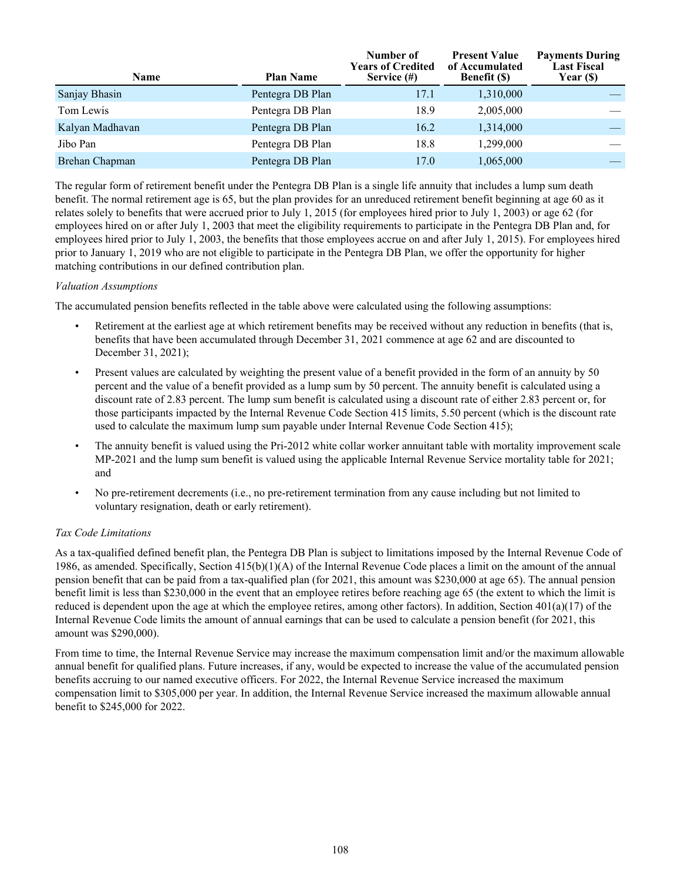| Name            | <b>Plan Name</b> | Number of<br><b>Years of Credited</b><br>Service (#) | <b>Present Value</b><br>of Accumulated<br><b>Benefit</b> (\$) | <b>Payments During</b><br><b>Last Fiscal</b><br>Year (\$) |
|-----------------|------------------|------------------------------------------------------|---------------------------------------------------------------|-----------------------------------------------------------|
| Sanjay Bhasin   | Pentegra DB Plan | 17.1                                                 | 1,310,000                                                     |                                                           |
| Tom Lewis       | Pentegra DB Plan | 18.9                                                 | 2,005,000                                                     |                                                           |
| Kalyan Madhavan | Pentegra DB Plan | 16.2                                                 | 1,314,000                                                     |                                                           |
| Jibo Pan        | Pentegra DB Plan | 18.8                                                 | 1,299,000                                                     |                                                           |
| Brehan Chapman  | Pentegra DB Plan | 17.0                                                 | 1,065,000                                                     |                                                           |

The regular form of retirement benefit under the Pentegra DB Plan is a single life annuity that includes a lump sum death benefit. The normal retirement age is 65, but the plan provides for an unreduced retirement benefit beginning at age 60 as it relates solely to benefits that were accrued prior to July 1, 2015 (for employees hired prior to July 1, 2003) or age 62 (for employees hired on or after July 1, 2003 that meet the eligibility requirements to participate in the Pentegra DB Plan and, for employees hired prior to July 1, 2003, the benefits that those employees accrue on and after July 1, 2015). For employees hired prior to January 1, 2019 who are not eligible to participate in the Pentegra DB Plan, we offer the opportunity for higher matching contributions in our defined contribution plan.

# *Valuation Assumptions*

The accumulated pension benefits reflected in the table above were calculated using the following assumptions:

- Retirement at the earliest age at which retirement benefits may be received without any reduction in benefits (that is, benefits that have been accumulated through December 31, 2021 commence at age 62 and are discounted to December 31, 2021);
- Present values are calculated by weighting the present value of a benefit provided in the form of an annuity by 50 percent and the value of a benefit provided as a lump sum by 50 percent. The annuity benefit is calculated using a discount rate of 2.83 percent. The lump sum benefit is calculated using a discount rate of either 2.83 percent or, for those participants impacted by the Internal Revenue Code Section 415 limits, 5.50 percent (which is the discount rate used to calculate the maximum lump sum payable under Internal Revenue Code Section 415);
- The annuity benefit is valued using the Pri-2012 white collar worker annuitant table with mortality improvement scale MP-2021 and the lump sum benefit is valued using the applicable Internal Revenue Service mortality table for 2021; and
- No pre-retirement decrements (i.e., no pre-retirement termination from any cause including but not limited to voluntary resignation, death or early retirement).

# *Tax Code Limitations*

As a tax-qualified defined benefit plan, the Pentegra DB Plan is subject to limitations imposed by the Internal Revenue Code of 1986, as amended. Specifically, Section 415(b)(1)(A) of the Internal Revenue Code places a limit on the amount of the annual pension benefit that can be paid from a tax-qualified plan (for 2021, this amount was \$230,000 at age 65). The annual pension benefit limit is less than \$230,000 in the event that an employee retires before reaching age 65 (the extent to which the limit is reduced is dependent upon the age at which the employee retires, among other factors). In addition, Section 401(a)(17) of the Internal Revenue Code limits the amount of annual earnings that can be used to calculate a pension benefit (for 2021, this amount was \$290,000).

From time to time, the Internal Revenue Service may increase the maximum compensation limit and/or the maximum allowable annual benefit for qualified plans. Future increases, if any, would be expected to increase the value of the accumulated pension benefits accruing to our named executive officers. For 2022, the Internal Revenue Service increased the maximum compensation limit to \$305,000 per year. In addition, the Internal Revenue Service increased the maximum allowable annual benefit to \$245,000 for 2022.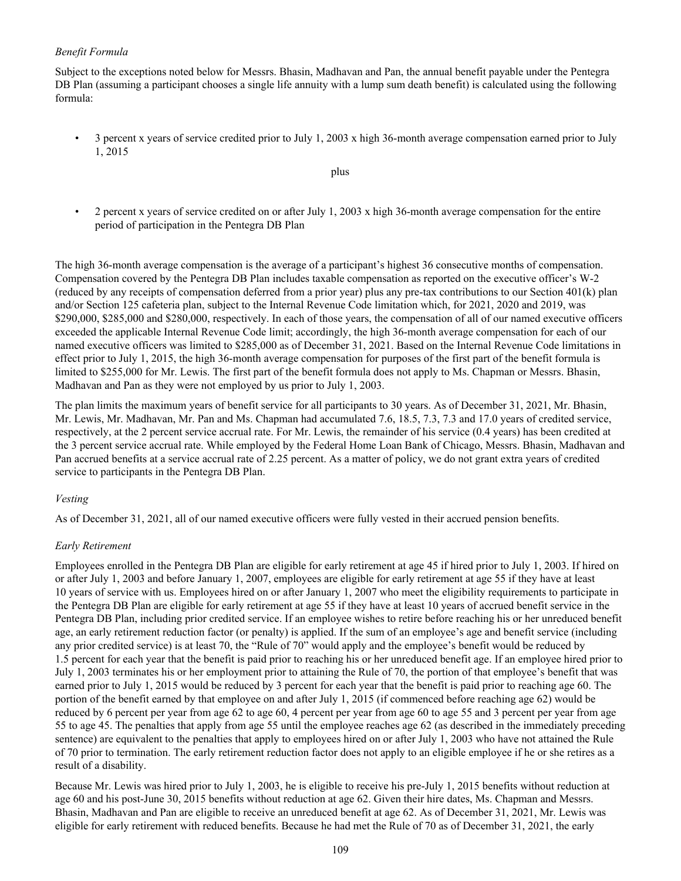#### *Benefit Formula*

Subject to the exceptions noted below for Messrs. Bhasin, Madhavan and Pan, the annual benefit payable under the Pentegra DB Plan (assuming a participant chooses a single life annuity with a lump sum death benefit) is calculated using the following formula:

• 3 percent x years of service credited prior to July 1, 2003 x high 36-month average compensation earned prior to July 1, 2015

plus

• 2 percent x years of service credited on or after July 1, 2003 x high 36-month average compensation for the entire period of participation in the Pentegra DB Plan

The high 36-month average compensation is the average of a participant's highest 36 consecutive months of compensation. Compensation covered by the Pentegra DB Plan includes taxable compensation as reported on the executive officer's W-2 (reduced by any receipts of compensation deferred from a prior year) plus any pre-tax contributions to our Section 401(k) plan and/or Section 125 cafeteria plan, subject to the Internal Revenue Code limitation which, for 2021, 2020 and 2019, was \$290,000, \$285,000 and \$280,000, respectively. In each of those years, the compensation of all of our named executive officers exceeded the applicable Internal Revenue Code limit; accordingly, the high 36-month average compensation for each of our named executive officers was limited to \$285,000 as of December 31, 2021. Based on the Internal Revenue Code limitations in effect prior to July 1, 2015, the high 36-month average compensation for purposes of the first part of the benefit formula is limited to \$255,000 for Mr. Lewis. The first part of the benefit formula does not apply to Ms. Chapman or Messrs. Bhasin, Madhavan and Pan as they were not employed by us prior to July 1, 2003.

The plan limits the maximum years of benefit service for all participants to 30 years. As of December 31, 2021, Mr. Bhasin, Mr. Lewis, Mr. Madhavan, Mr. Pan and Ms. Chapman had accumulated 7.6, 18.5, 7.3, 7.3 and 17.0 years of credited service, respectively, at the 2 percent service accrual rate. For Mr. Lewis, the remainder of his service (0.4 years) has been credited at the 3 percent service accrual rate. While employed by the Federal Home Loan Bank of Chicago, Messrs. Bhasin, Madhavan and Pan accrued benefits at a service accrual rate of 2.25 percent. As a matter of policy, we do not grant extra years of credited service to participants in the Pentegra DB Plan.

### *Vesting*

As of December 31, 2021, all of our named executive officers were fully vested in their accrued pension benefits.

#### *Early Retirement*

Employees enrolled in the Pentegra DB Plan are eligible for early retirement at age 45 if hired prior to July 1, 2003. If hired on or after July 1, 2003 and before January 1, 2007, employees are eligible for early retirement at age 55 if they have at least 10 years of service with us. Employees hired on or after January 1, 2007 who meet the eligibility requirements to participate in the Pentegra DB Plan are eligible for early retirement at age 55 if they have at least 10 years of accrued benefit service in the Pentegra DB Plan, including prior credited service. If an employee wishes to retire before reaching his or her unreduced benefit age, an early retirement reduction factor (or penalty) is applied. If the sum of an employee's age and benefit service (including any prior credited service) is at least 70, the "Rule of 70" would apply and the employee's benefit would be reduced by 1.5 percent for each year that the benefit is paid prior to reaching his or her unreduced benefit age. If an employee hired prior to July 1, 2003 terminates his or her employment prior to attaining the Rule of 70, the portion of that employee's benefit that was earned prior to July 1, 2015 would be reduced by 3 percent for each year that the benefit is paid prior to reaching age 60. The portion of the benefit earned by that employee on and after July 1, 2015 (if commenced before reaching age 62) would be reduced by 6 percent per year from age 62 to age 60, 4 percent per year from age 60 to age 55 and 3 percent per year from age 55 to age 45. The penalties that apply from age 55 until the employee reaches age 62 (as described in the immediately preceding sentence) are equivalent to the penalties that apply to employees hired on or after July 1, 2003 who have not attained the Rule of 70 prior to termination. The early retirement reduction factor does not apply to an eligible employee if he or she retires as a result of a disability.

Because Mr. Lewis was hired prior to July 1, 2003, he is eligible to receive his pre-July 1, 2015 benefits without reduction at age 60 and his post-June 30, 2015 benefits without reduction at age 62. Given their hire dates, Ms. Chapman and Messrs. Bhasin, Madhavan and Pan are eligible to receive an unreduced benefit at age 62. As of December 31, 2021, Mr. Lewis was eligible for early retirement with reduced benefits. Because he had met the Rule of 70 as of December 31, 2021, the early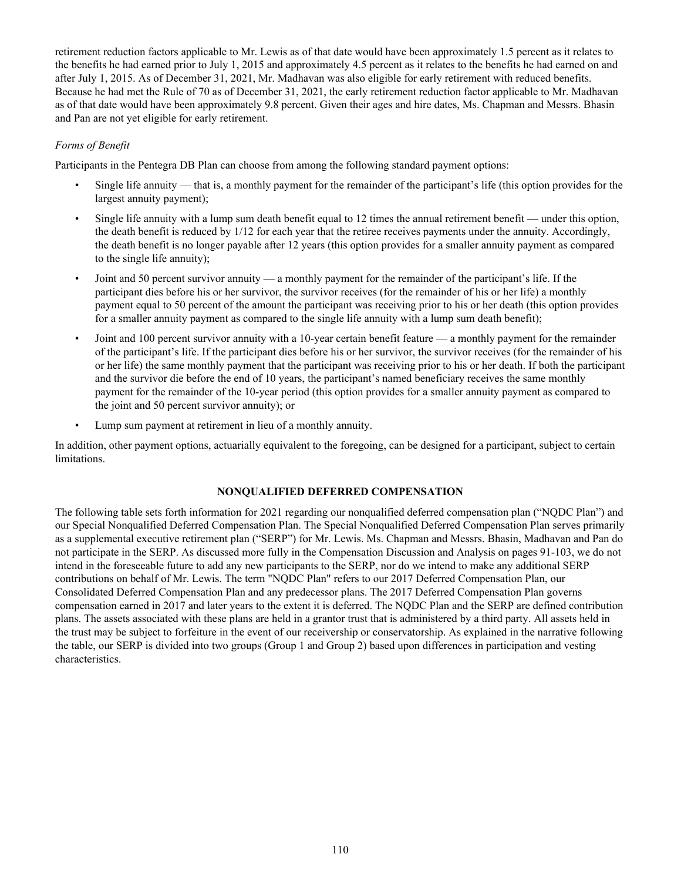retirement reduction factors applicable to Mr. Lewis as of that date would have been approximately 1.5 percent as it relates to the benefits he had earned prior to July 1, 2015 and approximately 4.5 percent as it relates to the benefits he had earned on and after July 1, 2015. As of December 31, 2021, Mr. Madhavan was also eligible for early retirement with reduced benefits. Because he had met the Rule of 70 as of December 31, 2021, the early retirement reduction factor applicable to Mr. Madhavan as of that date would have been approximately 9.8 percent. Given their ages and hire dates, Ms. Chapman and Messrs. Bhasin and Pan are not yet eligible for early retirement.

# *Forms of Benefit*

Participants in the Pentegra DB Plan can choose from among the following standard payment options:

- Single life annuity that is, a monthly payment for the remainder of the participant's life (this option provides for the largest annuity payment);
- Single life annuity with a lump sum death benefit equal to 12 times the annual retirement benefit under this option, the death benefit is reduced by 1/12 for each year that the retiree receives payments under the annuity. Accordingly, the death benefit is no longer payable after 12 years (this option provides for a smaller annuity payment as compared to the single life annuity);
- Joint and 50 percent survivor annuity a monthly payment for the remainder of the participant's life. If the participant dies before his or her survivor, the survivor receives (for the remainder of his or her life) a monthly payment equal to 50 percent of the amount the participant was receiving prior to his or her death (this option provides for a smaller annuity payment as compared to the single life annuity with a lump sum death benefit);
- Joint and 100 percent survivor annuity with a 10-year certain benefit feature a monthly payment for the remainder of the participant's life. If the participant dies before his or her survivor, the survivor receives (for the remainder of his or her life) the same monthly payment that the participant was receiving prior to his or her death. If both the participant and the survivor die before the end of 10 years, the participant's named beneficiary receives the same monthly payment for the remainder of the 10-year period (this option provides for a smaller annuity payment as compared to the joint and 50 percent survivor annuity); or
- Lump sum payment at retirement in lieu of a monthly annuity.

In addition, other payment options, actuarially equivalent to the foregoing, can be designed for a participant, subject to certain limitations.

# **NONQUALIFIED DEFERRED COMPENSATION**

The following table sets forth information for 2021 regarding our nonqualified deferred compensation plan ("NQDC Plan") and our Special Nonqualified Deferred Compensation Plan. The Special Nonqualified Deferred Compensation Plan serves primarily as a supplemental executive retirement plan ("SERP") for Mr. Lewis. Ms. Chapman and Messrs. Bhasin, Madhavan and Pan do not participate in the SERP. As discussed more fully in the Compensation Discussion and Analysis on pages 91-103, we do not intend in the foreseeable future to add any new participants to the SERP, nor do we intend to make any additional SERP contributions on behalf of Mr. Lewis. The term "NQDC Plan" refers to our 2017 Deferred Compensation Plan, our Consolidated Deferred Compensation Plan and any predecessor plans. The 2017 Deferred Compensation Plan governs compensation earned in 2017 and later years to the extent it is deferred. The NQDC Plan and the SERP are defined contribution plans. The assets associated with these plans are held in a grantor trust that is administered by a third party. All assets held in the trust may be subject to forfeiture in the event of our receivership or conservatorship. As explained in the narrative following the table, our SERP is divided into two groups (Group 1 and Group 2) based upon differences in participation and vesting characteristics.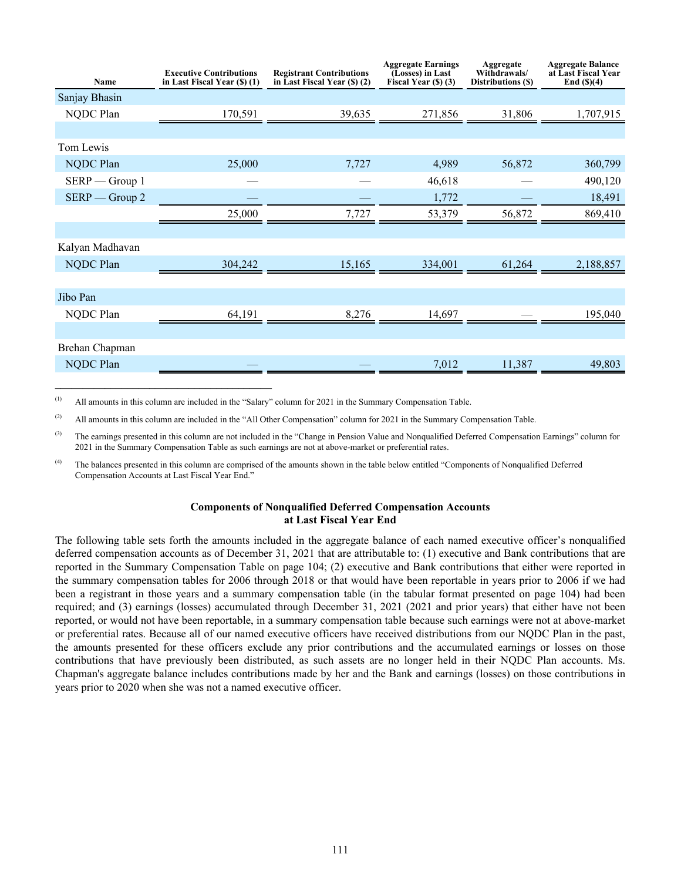| <b>Name</b>      | <b>Executive Contributions</b><br>in Last Fiscal Year (\$) (1) | <b>Registrant Contributions</b><br>in Last Fiscal Year $(\$)$ $(2)$ | <b>Aggregate Earnings</b><br>(Losses) in Last<br>Fiscal Year $(\$)$ (3) | Aggregate<br>Withdrawals/<br>Distributions (\$) | <b>Aggregate Balance</b><br>at Last Fiscal Year<br>End $(\text{S})(4)$ |
|------------------|----------------------------------------------------------------|---------------------------------------------------------------------|-------------------------------------------------------------------------|-------------------------------------------------|------------------------------------------------------------------------|
| Sanjay Bhasin    |                                                                |                                                                     |                                                                         |                                                 |                                                                        |
| NQDC Plan        | 170,591                                                        | 39,635                                                              | 271,856                                                                 | 31,806                                          | 1,707,915                                                              |
|                  |                                                                |                                                                     |                                                                         |                                                 |                                                                        |
| Tom Lewis        |                                                                |                                                                     |                                                                         |                                                 |                                                                        |
| NQDC Plan        | 25,000                                                         | 7,727                                                               | 4,989                                                                   | 56,872                                          | 360,799                                                                |
| $SERP - Group 1$ |                                                                |                                                                     | 46,618                                                                  |                                                 | 490,120                                                                |
| $SERP - Group 2$ |                                                                |                                                                     | 1,772                                                                   |                                                 | 18,491                                                                 |
|                  | 25,000                                                         | 7,727                                                               | 53,379                                                                  | 56,872                                          | 869,410                                                                |
|                  |                                                                |                                                                     |                                                                         |                                                 |                                                                        |
| Kalyan Madhavan  |                                                                |                                                                     |                                                                         |                                                 |                                                                        |
| NQDC Plan        | 304,242                                                        | 15,165                                                              | 334,001                                                                 | 61,264                                          | 2,188,857                                                              |
|                  |                                                                |                                                                     |                                                                         |                                                 |                                                                        |
| Jibo Pan         |                                                                |                                                                     |                                                                         |                                                 |                                                                        |
| NQDC Plan        | 64,191                                                         | 8,276                                                               | 14,697                                                                  |                                                 | 195,040                                                                |
|                  |                                                                |                                                                     |                                                                         |                                                 |                                                                        |
| Brehan Chapman   |                                                                |                                                                     |                                                                         |                                                 |                                                                        |
| NQDC Plan        |                                                                |                                                                     | 7,012                                                                   | 11,387                                          | 49,803                                                                 |

(1) All amounts in this column are included in the "Salary" column for 2021 in the Summary Compensation Table.

 $\mathcal{L}_\text{max}$  and  $\mathcal{L}_\text{max}$  and  $\mathcal{L}_\text{max}$  and  $\mathcal{L}_\text{max}$ 

(2) All amounts in this column are included in the "All Other Compensation" column for 2021 in the Summary Compensation Table.

 $^{(3)}$  The earnings presented in this column are not included in the "Change in Pension Value and Nonqualified Deferred Compensation Earnings" column for 2021 in the Summary Compensation Table as such earnings are not at above-market or preferential rates.

<sup>(4)</sup> The balances presented in this column are comprised of the amounts shown in the table below entitled "Components of Nonqualified Deferred Compensation Accounts at Last Fiscal Year End."

#### **Components of Nonqualified Deferred Compensation Accounts at Last Fiscal Year End**

The following table sets forth the amounts included in the aggregate balance of each named executive officer's nonqualified deferred compensation accounts as of December 31, 2021 that are attributable to: (1) executive and Bank contributions that are reported in the Summary Compensation Table on page 104; (2) executive and Bank contributions that either were reported in the summary compensation tables for 2006 through 2018 or that would have been reportable in years prior to 2006 if we had been a registrant in those years and a summary compensation table (in the tabular format presented on page 104) had been required; and (3) earnings (losses) accumulated through December 31, 2021 (2021 and prior years) that either have not been reported, or would not have been reportable, in a summary compensation table because such earnings were not at above-market or preferential rates. Because all of our named executive officers have received distributions from our NQDC Plan in the past, the amounts presented for these officers exclude any prior contributions and the accumulated earnings or losses on those contributions that have previously been distributed, as such assets are no longer held in their NQDC Plan accounts. Ms. Chapman's aggregate balance includes contributions made by her and the Bank and earnings (losses) on those contributions in years prior to 2020 when she was not a named executive officer.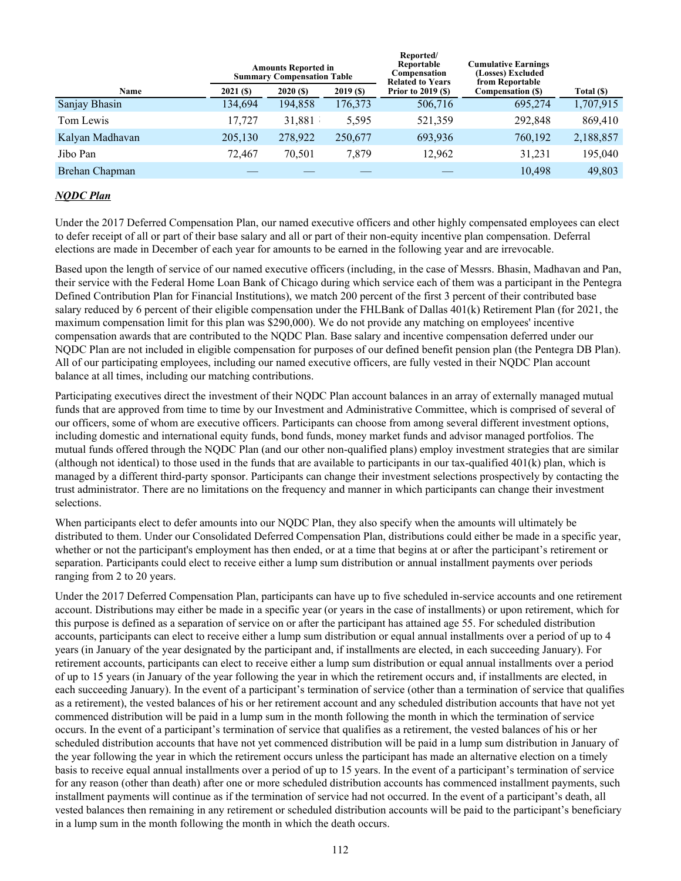|                 |            | <b>Amounts Reported in</b><br><b>Summary Compensation Table</b> |            | Reported/<br>Reportable<br>Compensation<br><b>Related to Years</b> | <b>Cumulative Earnings</b><br>(Losses) Excluded<br>from Reportable |            |
|-----------------|------------|-----------------------------------------------------------------|------------|--------------------------------------------------------------------|--------------------------------------------------------------------|------------|
| Name            | $2021($ S) | 2020(S)                                                         | $2019($ S) | <b>Prior to 2019 (\$)</b>                                          | Compensation (\$)                                                  | Total (\$) |
| Sanjay Bhasin   | 134,694    | 194,858                                                         | 176,373    | 506,716                                                            | 695,274                                                            | 1,707,915  |
| Tom Lewis       | 17.727     | 31,881                                                          | 5,595      | 521,359                                                            | 292,848                                                            | 869,410    |
| Kalyan Madhavan | 205,130    | 278,922                                                         | 250,677    | 693,936                                                            | 760,192                                                            | 2,188,857  |
| Jibo Pan        | 72,467     | 70,501                                                          | 7,879      | 12,962                                                             | 31,231                                                             | 195,040    |
| Brehan Chapman  |            |                                                                 |            |                                                                    | 10,498                                                             | 49,803     |

# *NQDC Plan*

Under the 2017 Deferred Compensation Plan, our named executive officers and other highly compensated employees can elect to defer receipt of all or part of their base salary and all or part of their non-equity incentive plan compensation. Deferral elections are made in December of each year for amounts to be earned in the following year and are irrevocable.

Based upon the length of service of our named executive officers (including, in the case of Messrs. Bhasin, Madhavan and Pan, their service with the Federal Home Loan Bank of Chicago during which service each of them was a participant in the Pentegra Defined Contribution Plan for Financial Institutions), we match 200 percent of the first 3 percent of their contributed base salary reduced by 6 percent of their eligible compensation under the FHLBank of Dallas 401(k) Retirement Plan (for 2021, the maximum compensation limit for this plan was \$290,000). We do not provide any matching on employees' incentive compensation awards that are contributed to the NQDC Plan. Base salary and incentive compensation deferred under our NQDC Plan are not included in eligible compensation for purposes of our defined benefit pension plan (the Pentegra DB Plan). All of our participating employees, including our named executive officers, are fully vested in their NQDC Plan account balance at all times, including our matching contributions.

Participating executives direct the investment of their NQDC Plan account balances in an array of externally managed mutual funds that are approved from time to time by our Investment and Administrative Committee, which is comprised of several of our officers, some of whom are executive officers. Participants can choose from among several different investment options, including domestic and international equity funds, bond funds, money market funds and advisor managed portfolios. The mutual funds offered through the NQDC Plan (and our other non-qualified plans) employ investment strategies that are similar (although not identical) to those used in the funds that are available to participants in our tax-qualified 401(k) plan, which is managed by a different third-party sponsor. Participants can change their investment selections prospectively by contacting the trust administrator. There are no limitations on the frequency and manner in which participants can change their investment selections.

When participants elect to defer amounts into our NODC Plan, they also specify when the amounts will ultimately be distributed to them. Under our Consolidated Deferred Compensation Plan, distributions could either be made in a specific year, whether or not the participant's employment has then ended, or at a time that begins at or after the participant's retirement or separation. Participants could elect to receive either a lump sum distribution or annual installment payments over periods ranging from 2 to 20 years.

Under the 2017 Deferred Compensation Plan, participants can have up to five scheduled in-service accounts and one retirement account. Distributions may either be made in a specific year (or years in the case of installments) or upon retirement, which for this purpose is defined as a separation of service on or after the participant has attained age 55. For scheduled distribution accounts, participants can elect to receive either a lump sum distribution or equal annual installments over a period of up to 4 years (in January of the year designated by the participant and, if installments are elected, in each succeeding January). For retirement accounts, participants can elect to receive either a lump sum distribution or equal annual installments over a period of up to 15 years (in January of the year following the year in which the retirement occurs and, if installments are elected, in each succeeding January). In the event of a participant's termination of service (other than a termination of service that qualifies as a retirement), the vested balances of his or her retirement account and any scheduled distribution accounts that have not yet commenced distribution will be paid in a lump sum in the month following the month in which the termination of service occurs. In the event of a participant's termination of service that qualifies as a retirement, the vested balances of his or her scheduled distribution accounts that have not yet commenced distribution will be paid in a lump sum distribution in January of the year following the year in which the retirement occurs unless the participant has made an alternative election on a timely basis to receive equal annual installments over a period of up to 15 years. In the event of a participant's termination of service for any reason (other than death) after one or more scheduled distribution accounts has commenced installment payments, such installment payments will continue as if the termination of service had not occurred. In the event of a participant's death, all vested balances then remaining in any retirement or scheduled distribution accounts will be paid to the participant's beneficiary in a lump sum in the month following the month in which the death occurs.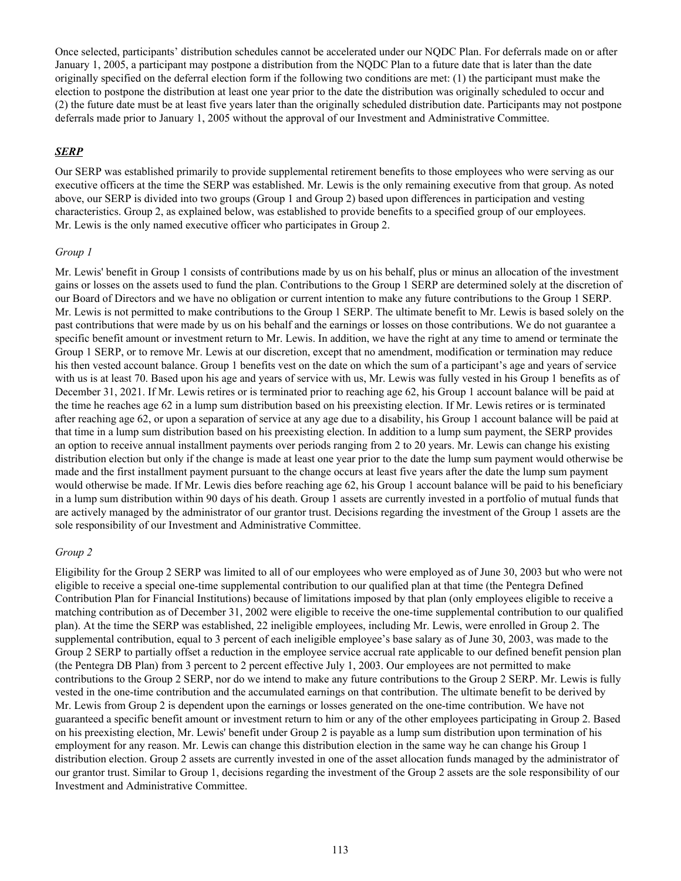Once selected, participants' distribution schedules cannot be accelerated under our NQDC Plan. For deferrals made on or after January 1, 2005, a participant may postpone a distribution from the NQDC Plan to a future date that is later than the date originally specified on the deferral election form if the following two conditions are met: (1) the participant must make the election to postpone the distribution at least one year prior to the date the distribution was originally scheduled to occur and (2) the future date must be at least five years later than the originally scheduled distribution date. Participants may not postpone deferrals made prior to January 1, 2005 without the approval of our Investment and Administrative Committee.

### *SERP*

Our SERP was established primarily to provide supplemental retirement benefits to those employees who were serving as our executive officers at the time the SERP was established. Mr. Lewis is the only remaining executive from that group. As noted above, our SERP is divided into two groups (Group 1 and Group 2) based upon differences in participation and vesting characteristics. Group 2, as explained below, was established to provide benefits to a specified group of our employees. Mr. Lewis is the only named executive officer who participates in Group 2.

#### *Group 1*

Mr. Lewis' benefit in Group 1 consists of contributions made by us on his behalf, plus or minus an allocation of the investment gains or losses on the assets used to fund the plan. Contributions to the Group 1 SERP are determined solely at the discretion of our Board of Directors and we have no obligation or current intention to make any future contributions to the Group 1 SERP. Mr. Lewis is not permitted to make contributions to the Group 1 SERP. The ultimate benefit to Mr. Lewis is based solely on the past contributions that were made by us on his behalf and the earnings or losses on those contributions. We do not guarantee a specific benefit amount or investment return to Mr. Lewis. In addition, we have the right at any time to amend or terminate the Group 1 SERP, or to remove Mr. Lewis at our discretion, except that no amendment, modification or termination may reduce his then vested account balance. Group 1 benefits vest on the date on which the sum of a participant's age and years of service with us is at least 70. Based upon his age and years of service with us, Mr. Lewis was fully vested in his Group 1 benefits as of December 31, 2021. If Mr. Lewis retires or is terminated prior to reaching age 62, his Group 1 account balance will be paid at the time he reaches age 62 in a lump sum distribution based on his preexisting election. If Mr. Lewis retires or is terminated after reaching age 62, or upon a separation of service at any age due to a disability, his Group 1 account balance will be paid at that time in a lump sum distribution based on his preexisting election. In addition to a lump sum payment, the SERP provides an option to receive annual installment payments over periods ranging from 2 to 20 years. Mr. Lewis can change his existing distribution election but only if the change is made at least one year prior to the date the lump sum payment would otherwise be made and the first installment payment pursuant to the change occurs at least five years after the date the lump sum payment would otherwise be made. If Mr. Lewis dies before reaching age 62, his Group 1 account balance will be paid to his beneficiary in a lump sum distribution within 90 days of his death. Group 1 assets are currently invested in a portfolio of mutual funds that are actively managed by the administrator of our grantor trust. Decisions regarding the investment of the Group 1 assets are the sole responsibility of our Investment and Administrative Committee.

### *Group 2*

Eligibility for the Group 2 SERP was limited to all of our employees who were employed as of June 30, 2003 but who were not eligible to receive a special one-time supplemental contribution to our qualified plan at that time (the Pentegra Defined Contribution Plan for Financial Institutions) because of limitations imposed by that plan (only employees eligible to receive a matching contribution as of December 31, 2002 were eligible to receive the one-time supplemental contribution to our qualified plan). At the time the SERP was established, 22 ineligible employees, including Mr. Lewis, were enrolled in Group 2. The supplemental contribution, equal to 3 percent of each ineligible employee's base salary as of June 30, 2003, was made to the Group 2 SERP to partially offset a reduction in the employee service accrual rate applicable to our defined benefit pension plan (the Pentegra DB Plan) from 3 percent to 2 percent effective July 1, 2003. Our employees are not permitted to make contributions to the Group 2 SERP, nor do we intend to make any future contributions to the Group 2 SERP. Mr. Lewis is fully vested in the one-time contribution and the accumulated earnings on that contribution. The ultimate benefit to be derived by Mr. Lewis from Group 2 is dependent upon the earnings or losses generated on the one-time contribution. We have not guaranteed a specific benefit amount or investment return to him or any of the other employees participating in Group 2. Based on his preexisting election, Mr. Lewis' benefit under Group 2 is payable as a lump sum distribution upon termination of his employment for any reason. Mr. Lewis can change this distribution election in the same way he can change his Group 1 distribution election. Group 2 assets are currently invested in one of the asset allocation funds managed by the administrator of our grantor trust. Similar to Group 1, decisions regarding the investment of the Group 2 assets are the sole responsibility of our Investment and Administrative Committee.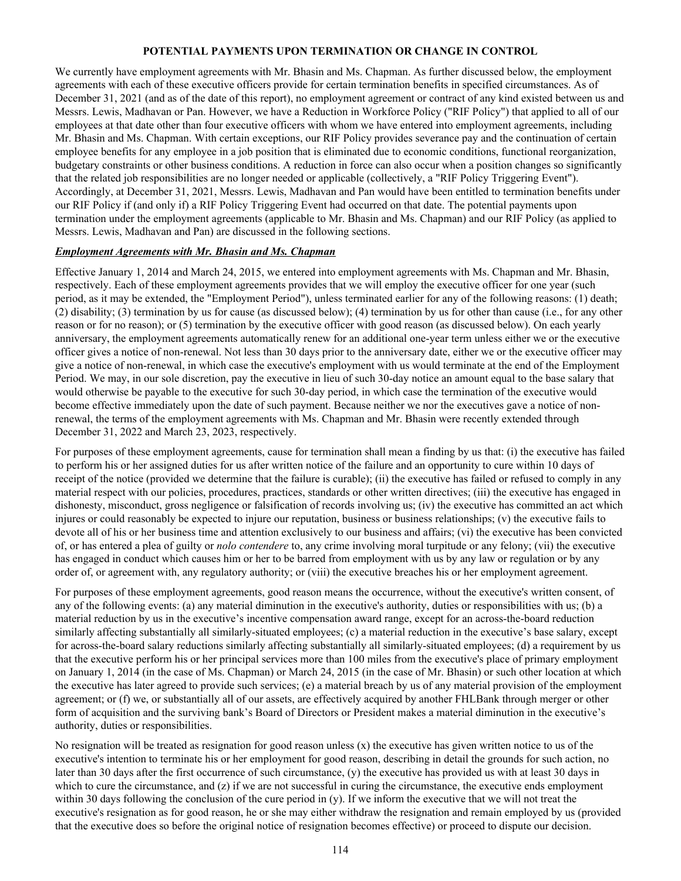### **POTENTIAL PAYMENTS UPON TERMINATION OR CHANGE IN CONTROL**

We currently have employment agreements with Mr. Bhasin and Ms. Chapman. As further discussed below, the employment agreements with each of these executive officers provide for certain termination benefits in specified circumstances. As of December 31, 2021 (and as of the date of this report), no employment agreement or contract of any kind existed between us and Messrs. Lewis, Madhavan or Pan. However, we have a Reduction in Workforce Policy ("RIF Policy") that applied to all of our employees at that date other than four executive officers with whom we have entered into employment agreements, including Mr. Bhasin and Ms. Chapman. With certain exceptions, our RIF Policy provides severance pay and the continuation of certain employee benefits for any employee in a job position that is eliminated due to economic conditions, functional reorganization, budgetary constraints or other business conditions. A reduction in force can also occur when a position changes so significantly that the related job responsibilities are no longer needed or applicable (collectively, a "RIF Policy Triggering Event"). Accordingly, at December 31, 2021, Messrs. Lewis, Madhavan and Pan would have been entitled to termination benefits under our RIF Policy if (and only if) a RIF Policy Triggering Event had occurred on that date. The potential payments upon termination under the employment agreements (applicable to Mr. Bhasin and Ms. Chapman) and our RIF Policy (as applied to Messrs. Lewis, Madhavan and Pan) are discussed in the following sections.

### *Employment Agreements with Mr. Bhasin and Ms. Chapman*

Effective January 1, 2014 and March 24, 2015, we entered into employment agreements with Ms. Chapman and Mr. Bhasin, respectively. Each of these employment agreements provides that we will employ the executive officer for one year (such period, as it may be extended, the "Employment Period"), unless terminated earlier for any of the following reasons: (1) death; (2) disability; (3) termination by us for cause (as discussed below); (4) termination by us for other than cause (i.e., for any other reason or for no reason); or (5) termination by the executive officer with good reason (as discussed below). On each yearly anniversary, the employment agreements automatically renew for an additional one-year term unless either we or the executive officer gives a notice of non-renewal. Not less than 30 days prior to the anniversary date, either we or the executive officer may give a notice of non-renewal, in which case the executive's employment with us would terminate at the end of the Employment Period. We may, in our sole discretion, pay the executive in lieu of such 30-day notice an amount equal to the base salary that would otherwise be payable to the executive for such 30-day period, in which case the termination of the executive would become effective immediately upon the date of such payment. Because neither we nor the executives gave a notice of nonrenewal, the terms of the employment agreements with Ms. Chapman and Mr. Bhasin were recently extended through December 31, 2022 and March 23, 2023, respectively.

For purposes of these employment agreements, cause for termination shall mean a finding by us that: (i) the executive has failed to perform his or her assigned duties for us after written notice of the failure and an opportunity to cure within 10 days of receipt of the notice (provided we determine that the failure is curable); (ii) the executive has failed or refused to comply in any material respect with our policies, procedures, practices, standards or other written directives; (iii) the executive has engaged in dishonesty, misconduct, gross negligence or falsification of records involving us; (iv) the executive has committed an act which injures or could reasonably be expected to injure our reputation, business or business relationships; (v) the executive fails to devote all of his or her business time and attention exclusively to our business and affairs; (vi) the executive has been convicted of, or has entered a plea of guilty or *nolo contendere* to, any crime involving moral turpitude or any felony; (vii) the executive has engaged in conduct which causes him or her to be barred from employment with us by any law or regulation or by any order of, or agreement with, any regulatory authority; or (viii) the executive breaches his or her employment agreement.

For purposes of these employment agreements, good reason means the occurrence, without the executive's written consent, of any of the following events: (a) any material diminution in the executive's authority, duties or responsibilities with us; (b) a material reduction by us in the executive's incentive compensation award range, except for an across-the-board reduction similarly affecting substantially all similarly-situated employees; (c) a material reduction in the executive's base salary, except for across-the-board salary reductions similarly affecting substantially all similarly-situated employees; (d) a requirement by us that the executive perform his or her principal services more than 100 miles from the executive's place of primary employment on January 1, 2014 (in the case of Ms. Chapman) or March 24, 2015 (in the case of Mr. Bhasin) or such other location at which the executive has later agreed to provide such services; (e) a material breach by us of any material provision of the employment agreement; or (f) we, or substantially all of our assets, are effectively acquired by another FHLBank through merger or other form of acquisition and the surviving bank's Board of Directors or President makes a material diminution in the executive's authority, duties or responsibilities.

No resignation will be treated as resignation for good reason unless  $(x)$  the executive has given written notice to us of the executive's intention to terminate his or her employment for good reason, describing in detail the grounds for such action, no later than 30 days after the first occurrence of such circumstance, (y) the executive has provided us with at least 30 days in which to cure the circumstance, and  $(z)$  if we are not successful in curing the circumstance, the executive ends employment within 30 days following the conclusion of the cure period in (y). If we inform the executive that we will not treat the executive's resignation as for good reason, he or she may either withdraw the resignation and remain employed by us (provided that the executive does so before the original notice of resignation becomes effective) or proceed to dispute our decision.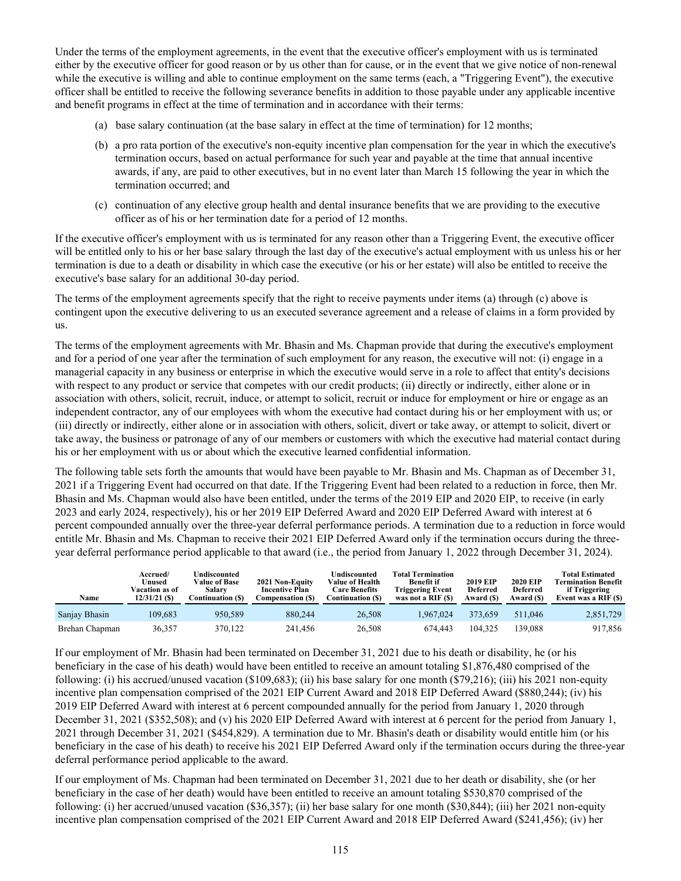Under the terms of the employment agreements, in the event that the executive officer's employment with us is terminated either by the executive officer for good reason or by us other than for cause, or in the event that we give notice of non-renewal while the executive is willing and able to continue employment on the same terms (each, a "Triggering Event"), the executive officer shall be entitled to receive the following severance benefits in addition to those payable under any applicable incentive and benefit programs in effect at the time of termination and in accordance with their terms:

- (a) base salary continuation (at the base salary in effect at the time of termination) for 12 months;
- (b) a pro rata portion of the executive's non-equity incentive plan compensation for the year in which the executive's termination occurs, based on actual performance for such year and payable at the time that annual incentive awards, if any, are paid to other executives, but in no event later than March 15 following the year in which the termination occurred; and
- (c) continuation of any elective group health and dental insurance benefits that we are providing to the executive officer as of his or her termination date for a period of 12 months.

If the executive officer's employment with us is terminated for any reason other than a Triggering Event, the executive officer will be entitled only to his or her base salary through the last day of the executive's actual employment with us unless his or her termination is due to a death or disability in which case the executive (or his or her estate) will also be entitled to receive the executive's base salary for an additional 30-day period.

The terms of the employment agreements specify that the right to receive payments under items (a) through (c) above is contingent upon the executive delivering to us an executed severance agreement and a release of claims in a form provided by us.

The terms of the employment agreements with Mr. Bhasin and Ms. Chapman provide that during the executive's employment and for a period of one year after the termination of such employment for any reason, the executive will not: (i) engage in a managerial capacity in any business or enterprise in which the executive would serve in a role to affect that entity's decisions with respect to any product or service that competes with our credit products; (ii) directly or indirectly, either alone or in association with others, solicit, recruit, induce, or attempt to solicit, recruit or induce for employment or hire or engage as an independent contractor, any of our employees with whom the executive had contact during his or her employment with us; or (iii) directly or indirectly, either alone or in association with others, solicit, divert or take away, or attempt to solicit, divert or take away, the business or patronage of any of our members or customers with which the executive had material contact during his or her employment with us or about which the executive learned confidential information.

The following table sets forth the amounts that would have been payable to Mr. Bhasin and Ms. Chapman as of December 31, 2021 if a Triggering Event had occurred on that date. If the Triggering Event had been related to a reduction in force, then Mr. Bhasin and Ms. Chapman would also have been entitled, under the terms of the 2019 EIP and 2020 EIP, to receive (in early 2023 and early 2024, respectively), his or her 2019 EIP Deferred Award and 2020 EIP Deferred Award with interest at 6 percent compounded annually over the three-year deferral performance periods. A termination due to a reduction in force would entitle Mr. Bhasin and Ms. Chapman to receive their 2021 EIP Deferred Award only if the termination occurs during the threeyear deferral performance period applicable to that award (i.e., the period from January 1, 2022 through December 31, 2024).

| Name           | Accrued/<br>Unused<br>Vacation as of<br>$12/31/21$ (S) | Undiscounted<br><b>Value of Base</b><br><b>Salary</b><br>Continuation (S) | 2021 Non-Equity<br><b>Incentive Plan</b><br>Compensation (\$) | Undiscounted<br><b>Value of Health</b><br><b>Care Benefits</b><br>Continuation (\$) | Total Termination<br><b>Benefit if</b><br>Triggering Event<br>was not a RIF (\$) | <b>2019 EIP</b><br><b>Deferred</b><br>Award (\$) | <b>2020 EIP</b><br><b>Deferred</b><br>Award (\$) | <b>Total Estimated</b><br><b>Termination Benefit</b><br>if Triggering<br>Event was a RIF (\$) |
|----------------|--------------------------------------------------------|---------------------------------------------------------------------------|---------------------------------------------------------------|-------------------------------------------------------------------------------------|----------------------------------------------------------------------------------|--------------------------------------------------|--------------------------------------------------|-----------------------------------------------------------------------------------------------|
| Sanjay Bhasin  | 109.683                                                | 950.589                                                                   | 880.244                                                       | 26,508                                                                              | 1.967.024                                                                        | 373.659                                          | 511.046                                          | 2,851,729                                                                                     |
| Brehan Chapman | 36,357                                                 | 370.122                                                                   | 241.456                                                       | 26,508                                                                              | 674.443                                                                          | 104.325                                          | 139.088                                          | 917,856                                                                                       |

If our employment of Mr. Bhasin had been terminated on December 31, 2021 due to his death or disability, he (or his beneficiary in the case of his death) would have been entitled to receive an amount totaling \$1,876,480 comprised of the following: (i) his accrued/unused vacation (\$109,683); (ii) his base salary for one month (\$79,216); (iii) his 2021 non-equity incentive plan compensation comprised of the 2021 EIP Current Award and 2018 EIP Deferred Award (\$880,244); (iv) his 2019 EIP Deferred Award with interest at 6 percent compounded annually for the period from January 1, 2020 through December 31, 2021 (\$352,508); and (v) his 2020 EIP Deferred Award with interest at 6 percent for the period from January 1, 2021 through December 31, 2021 (\$454,829). A termination due to Mr. Bhasin's death or disability would entitle him (or his beneficiary in the case of his death) to receive his 2021 EIP Deferred Award only if the termination occurs during the three-year deferral performance period applicable to the award.

If our employment of Ms. Chapman had been terminated on December 31, 2021 due to her death or disability, she (or her beneficiary in the case of her death) would have been entitled to receive an amount totaling \$530,870 comprised of the following: (i) her accrued/unused vacation (\$36,357); (ii) her base salary for one month (\$30,844); (iii) her 2021 non-equity incentive plan compensation comprised of the 2021 EIP Current Award and 2018 EIP Deferred Award (\$241,456); (iv) her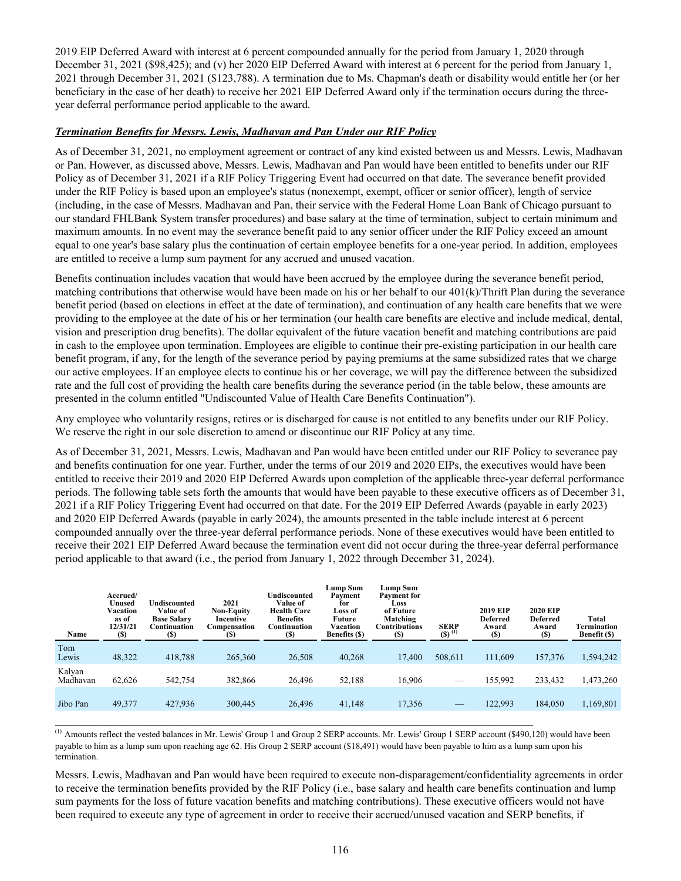2019 EIP Deferred Award with interest at 6 percent compounded annually for the period from January 1, 2020 through December 31, 2021 (\$98,425); and (v) her 2020 EIP Deferred Award with interest at 6 percent for the period from January 1, 2021 through December 31, 2021 (\$123,788). A termination due to Ms. Chapman's death or disability would entitle her (or her beneficiary in the case of her death) to receive her 2021 EIP Deferred Award only if the termination occurs during the threeyear deferral performance period applicable to the award.

# *Termination Benefits for Messrs. Lewis, Madhavan and Pan Under our RIF Policy*

As of December 31, 2021, no employment agreement or contract of any kind existed between us and Messrs. Lewis, Madhavan or Pan. However, as discussed above, Messrs. Lewis, Madhavan and Pan would have been entitled to benefits under our RIF Policy as of December 31, 2021 if a RIF Policy Triggering Event had occurred on that date. The severance benefit provided under the RIF Policy is based upon an employee's status (nonexempt, exempt, officer or senior officer), length of service (including, in the case of Messrs. Madhavan and Pan, their service with the Federal Home Loan Bank of Chicago pursuant to our standard FHLBank System transfer procedures) and base salary at the time of termination, subject to certain minimum and maximum amounts. In no event may the severance benefit paid to any senior officer under the RIF Policy exceed an amount equal to one year's base salary plus the continuation of certain employee benefits for a one-year period. In addition, employees are entitled to receive a lump sum payment for any accrued and unused vacation.

Benefits continuation includes vacation that would have been accrued by the employee during the severance benefit period, matching contributions that otherwise would have been made on his or her behalf to our 401(k)/Thrift Plan during the severance benefit period (based on elections in effect at the date of termination), and continuation of any health care benefits that we were providing to the employee at the date of his or her termination (our health care benefits are elective and include medical, dental, vision and prescription drug benefits). The dollar equivalent of the future vacation benefit and matching contributions are paid in cash to the employee upon termination. Employees are eligible to continue their pre-existing participation in our health care benefit program, if any, for the length of the severance period by paying premiums at the same subsidized rates that we charge our active employees. If an employee elects to continue his or her coverage, we will pay the difference between the subsidized rate and the full cost of providing the health care benefits during the severance period (in the table below, these amounts are presented in the column entitled "Undiscounted Value of Health Care Benefits Continuation").

Any employee who voluntarily resigns, retires or is discharged for cause is not entitled to any benefits under our RIF Policy. We reserve the right in our sole discretion to amend or discontinue our RIF Policy at any time.

As of December 31, 2021, Messrs. Lewis, Madhavan and Pan would have been entitled under our RIF Policy to severance pay and benefits continuation for one year. Further, under the terms of our 2019 and 2020 EIPs, the executives would have been entitled to receive their 2019 and 2020 EIP Deferred Awards upon completion of the applicable three-year deferral performance periods. The following table sets forth the amounts that would have been payable to these executive officers as of December 31, 2021 if a RIF Policy Triggering Event had occurred on that date. For the 2019 EIP Deferred Awards (payable in early 2023) and 2020 EIP Deferred Awards (payable in early 2024), the amounts presented in the table include interest at 6 percent compounded annually over the three-year deferral performance periods. None of these executives would have been entitled to receive their 2021 EIP Deferred Award because the termination event did not occur during the three-year deferral performance period applicable to that award (i.e., the period from January 1, 2022 through December 31, 2024).

| Name               | Accrued/<br>Unused<br>Vacation<br>as of<br>12/31/21<br>(S) | Undiscounted<br>Value of<br><b>Base Salary</b><br>Continuation<br><b>(S)</b> | 2021<br><b>Non-Equity</b><br>Incentive<br>Compensation<br>(S) | <b>Indiscounted</b><br>Value of<br><b>Health Care</b><br><b>Benefits</b><br>Continuation<br>(S) | Lump Sum<br>Payment<br>for<br>Loss of<br><b>Future</b><br>Vacation<br><b>Benefits</b> (\$) | Lump Sum<br><b>Payment</b> for<br>Loss<br>of Future<br>Matching<br><b>Contributions</b><br><b>(S)</b> | <b>SERP</b><br>$(5)^{(1)}$ | <b>2019 EIP</b><br><b>Deferred</b><br>Award<br>(S) | <b>2020 EIP</b><br><b>Deferred</b><br>Award<br><b>(S)</b> | Total<br>Termination<br>Benefit (\$) |
|--------------------|------------------------------------------------------------|------------------------------------------------------------------------------|---------------------------------------------------------------|-------------------------------------------------------------------------------------------------|--------------------------------------------------------------------------------------------|-------------------------------------------------------------------------------------------------------|----------------------------|----------------------------------------------------|-----------------------------------------------------------|--------------------------------------|
| Tom<br>Lewis       | 48,322                                                     | 418,788                                                                      | 265,360                                                       | 26,508                                                                                          | 40,268                                                                                     | 17,400                                                                                                | 508,611                    | 111.609                                            | 157,376                                                   | 1,594,242                            |
| Kalyan<br>Madhavan | 62,626                                                     | 542,754                                                                      | 382,866                                                       | 26,496                                                                                          | 52,188                                                                                     | 16,906                                                                                                |                            | 155,992                                            | 233,432                                                   | 1,473,260                            |
| Jibo Pan           | 49,377                                                     | 427,936                                                                      | 300,445                                                       | 26,496                                                                                          | 41,148                                                                                     | 17,356                                                                                                | $\overline{\phantom{0}}$   | 122,993                                            | 184,050                                                   | 1,169,801                            |

(1) Amounts reflect the vested balances in Mr. Lewis' Group 1 and Group 2 SERP accounts. Mr. Lewis' Group 1 SERP account (\$490,120) would have been payable to him as a lump sum upon reaching age 62. His Group 2 SERP account (\$18,491) would have been payable to him as a lump sum upon his termination.

Messrs. Lewis, Madhavan and Pan would have been required to execute non-disparagement/confidentiality agreements in order to receive the termination benefits provided by the RIF Policy (i.e., base salary and health care benefits continuation and lump sum payments for the loss of future vacation benefits and matching contributions). These executive officers would not have been required to execute any type of agreement in order to receive their accrued/unused vacation and SERP benefits, if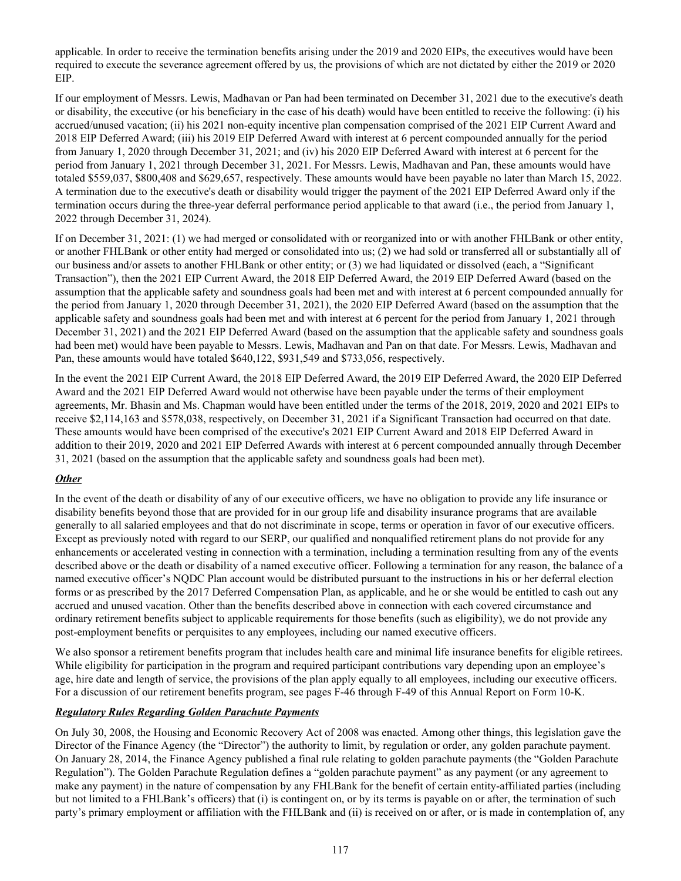applicable. In order to receive the termination benefits arising under the 2019 and 2020 EIPs, the executives would have been required to execute the severance agreement offered by us, the provisions of which are not dictated by either the 2019 or 2020 EIP.

If our employment of Messrs. Lewis, Madhavan or Pan had been terminated on December 31, 2021 due to the executive's death or disability, the executive (or his beneficiary in the case of his death) would have been entitled to receive the following: (i) his accrued/unused vacation; (ii) his 2021 non-equity incentive plan compensation comprised of the 2021 EIP Current Award and 2018 EIP Deferred Award; (iii) his 2019 EIP Deferred Award with interest at 6 percent compounded annually for the period from January 1, 2020 through December 31, 2021; and (iv) his 2020 EIP Deferred Award with interest at 6 percent for the period from January 1, 2021 through December 31, 2021. For Messrs. Lewis, Madhavan and Pan, these amounts would have totaled \$559,037, \$800,408 and \$629,657, respectively. These amounts would have been payable no later than March 15, 2022. A termination due to the executive's death or disability would trigger the payment of the 2021 EIP Deferred Award only if the termination occurs during the three-year deferral performance period applicable to that award (i.e., the period from January 1, 2022 through December 31, 2024).

If on December 31, 2021: (1) we had merged or consolidated with or reorganized into or with another FHLBank or other entity, or another FHLBank or other entity had merged or consolidated into us; (2) we had sold or transferred all or substantially all of our business and/or assets to another FHLBank or other entity; or (3) we had liquidated or dissolved (each, a "Significant Transaction"), then the 2021 EIP Current Award, the 2018 EIP Deferred Award, the 2019 EIP Deferred Award (based on the assumption that the applicable safety and soundness goals had been met and with interest at 6 percent compounded annually for the period from January 1, 2020 through December 31, 2021), the 2020 EIP Deferred Award (based on the assumption that the applicable safety and soundness goals had been met and with interest at 6 percent for the period from January 1, 2021 through December 31, 2021) and the 2021 EIP Deferred Award (based on the assumption that the applicable safety and soundness goals had been met) would have been payable to Messrs. Lewis, Madhavan and Pan on that date. For Messrs. Lewis, Madhavan and Pan, these amounts would have totaled \$640,122, \$931,549 and \$733,056, respectively.

In the event the 2021 EIP Current Award, the 2018 EIP Deferred Award, the 2019 EIP Deferred Award, the 2020 EIP Deferred Award and the 2021 EIP Deferred Award would not otherwise have been payable under the terms of their employment agreements, Mr. Bhasin and Ms. Chapman would have been entitled under the terms of the 2018, 2019, 2020 and 2021 EIPs to receive \$2,114,163 and \$578,038, respectively, on December 31, 2021 if a Significant Transaction had occurred on that date. These amounts would have been comprised of the executive's 2021 EIP Current Award and 2018 EIP Deferred Award in addition to their 2019, 2020 and 2021 EIP Deferred Awards with interest at 6 percent compounded annually through December 31, 2021 (based on the assumption that the applicable safety and soundness goals had been met).

# *Other*

In the event of the death or disability of any of our executive officers, we have no obligation to provide any life insurance or disability benefits beyond those that are provided for in our group life and disability insurance programs that are available generally to all salaried employees and that do not discriminate in scope, terms or operation in favor of our executive officers. Except as previously noted with regard to our SERP, our qualified and nonqualified retirement plans do not provide for any enhancements or accelerated vesting in connection with a termination, including a termination resulting from any of the events described above or the death or disability of a named executive officer. Following a termination for any reason, the balance of a named executive officer's NQDC Plan account would be distributed pursuant to the instructions in his or her deferral election forms or as prescribed by the 2017 Deferred Compensation Plan, as applicable, and he or she would be entitled to cash out any accrued and unused vacation. Other than the benefits described above in connection with each covered circumstance and ordinary retirement benefits subject to applicable requirements for those benefits (such as eligibility), we do not provide any post-employment benefits or perquisites to any employees, including our named executive officers.

We also sponsor a retirement benefits program that includes health care and minimal life insurance benefits for eligible retirees. While eligibility for participation in the program and required participant contributions vary depending upon an employee's age, hire date and length of service, the provisions of the plan apply equally to all employees, including our executive officers. For a discussion of our retirement benefits program, see pages F-46 through F-49 of this Annual Report on Form 10-K.

### *Regulatory Rules Regarding Golden Parachute Payments*

On July 30, 2008, the Housing and Economic Recovery Act of 2008 was enacted. Among other things, this legislation gave the Director of the Finance Agency (the "Director") the authority to limit, by regulation or order, any golden parachute payment. On January 28, 2014, the Finance Agency published a final rule relating to golden parachute payments (the "Golden Parachute Regulation"). The Golden Parachute Regulation defines a "golden parachute payment" as any payment (or any agreement to make any payment) in the nature of compensation by any FHLBank for the benefit of certain entity-affiliated parties (including but not limited to a FHLBank's officers) that (i) is contingent on, or by its terms is payable on or after, the termination of such party's primary employment or affiliation with the FHLBank and (ii) is received on or after, or is made in contemplation of, any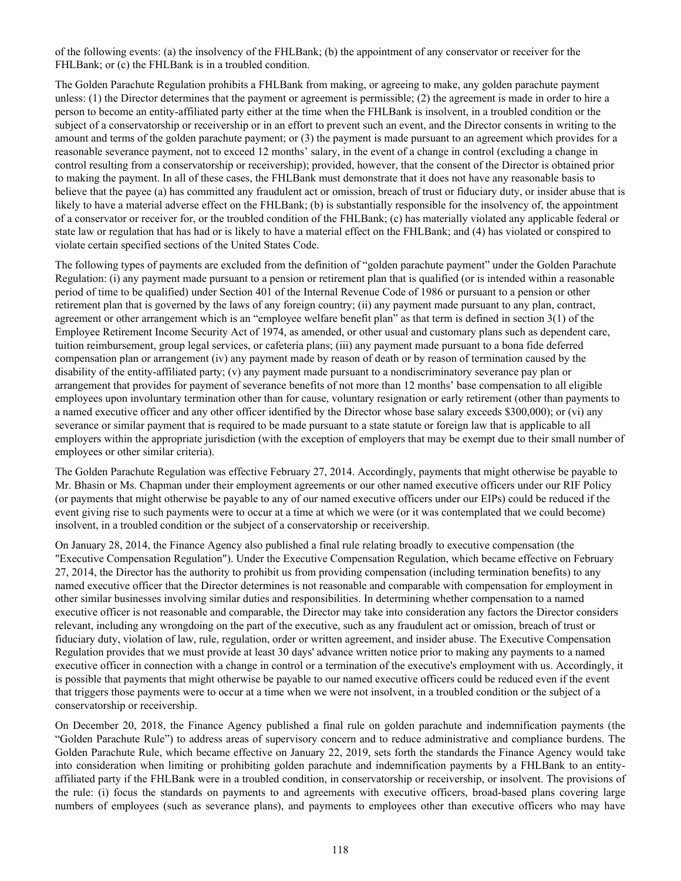of the following events: (a) the insolvency of the FHLBank; (b) the appointment of any conservator or receiver for the FHLBank; or (c) the FHLBank is in a troubled condition.

The Golden Parachute Regulation prohibits a FHLBank from making, or agreeing to make, any golden parachute payment unless: (1) the Director determines that the payment or agreement is permissible; (2) the agreement is made in order to hire a person to become an entity-affiliated party either at the time when the FHLBank is insolvent, in a troubled condition or the subject of a conservatorship or receivership or in an effort to prevent such an event, and the Director consents in writing to the amount and terms of the golden parachute payment; or (3) the payment is made pursuant to an agreement which provides for a reasonable severance payment, not to exceed 12 months' salary, in the event of a change in control (excluding a change in control resulting from a conservatorship or receivership); provided, however, that the consent of the Director is obtained prior to making the payment. In all of these cases, the FHLBank must demonstrate that it does not have any reasonable basis to believe that the payee (a) has committed any fraudulent act or omission, breach of trust or fiduciary duty, or insider abuse that is likely to have a material adverse effect on the FHLBank; (b) is substantially responsible for the insolvency of, the appointment of a conservator or receiver for, or the troubled condition of the FHLBank; (c) has materially violated any applicable federal or state law or regulation that has had or is likely to have a material effect on the FHLBank; and (4) has violated or conspired to violate certain specified sections of the United States Code.

The following types of payments are excluded from the definition of "golden parachute payment" under the Golden Parachute Regulation: (i) any payment made pursuant to a pension or retirement plan that is qualified (or is intended within a reasonable period of time to be qualified) under Section 401 of the Internal Revenue Code of 1986 or pursuant to a pension or other retirement plan that is governed by the laws of any foreign country; (ii) any payment made pursuant to any plan, contract, agreement or other arrangement which is an "employee welfare benefit plan" as that term is defined in section 3(1) of the Employee Retirement Income Security Act of 1974, as amended, or other usual and customary plans such as dependent care, tuition reimbursement, group legal services, or cafeteria plans; (iii) any payment made pursuant to a bona fide deferred compensation plan or arrangement (iv) any payment made by reason of death or by reason of termination caused by the disability of the entity-affiliated party; (v) any payment made pursuant to a nondiscriminatory severance pay plan or arrangement that provides for payment of severance benefits of not more than 12 months' base compensation to all eligible employees upon involuntary termination other than for cause, voluntary resignation or early retirement (other than payments to a named executive officer and any other officer identified by the Director whose base salary exceeds \$300,000); or (vi) any severance or similar payment that is required to be made pursuant to a state statute or foreign law that is applicable to all employers within the appropriate jurisdiction (with the exception of employers that may be exempt due to their small number of employees or other similar criteria).

The Golden Parachute Regulation was effective February 27, 2014. Accordingly, payments that might otherwise be payable to Mr. Bhasin or Ms. Chapman under their employment agreements or our other named executive officers under our RIF Policy (or payments that might otherwise be payable to any of our named executive officers under our EIPs) could be reduced if the event giving rise to such payments were to occur at a time at which we were (or it was contemplated that we could become) insolvent, in a troubled condition or the subject of a conservatorship or receivership.

On January 28, 2014, the Finance Agency also published a final rule relating broadly to executive compensation (the "Executive Compensation Regulation"). Under the Executive Compensation Regulation, which became effective on February 27, 2014, the Director has the authority to prohibit us from providing compensation (including termination benefits) to any named executive officer that the Director determines is not reasonable and comparable with compensation for employment in other similar businesses involving similar duties and responsibilities. In determining whether compensation to a named executive officer is not reasonable and comparable, the Director may take into consideration any factors the Director considers relevant, including any wrongdoing on the part of the executive, such as any fraudulent act or omission, breach of trust or fiduciary duty, violation of law, rule, regulation, order or written agreement, and insider abuse. The Executive Compensation Regulation provides that we must provide at least 30 days' advance written notice prior to making any payments to a named executive officer in connection with a change in control or a termination of the executive's employment with us. Accordingly, it is possible that payments that might otherwise be payable to our named executive officers could be reduced even if the event that triggers those payments were to occur at a time when we were not insolvent, in a troubled condition or the subject of a conservatorship or receivership.

On December 20, 2018, the Finance Agency published a final rule on golden parachute and indemnification payments (the "Golden Parachute Rule") to address areas of supervisory concern and to reduce administrative and compliance burdens. The Golden Parachute Rule, which became effective on January 22, 2019, sets forth the standards the Finance Agency would take into consideration when limiting or prohibiting golden parachute and indemnification payments by a FHLBank to an entityaffiliated party if the FHLBank were in a troubled condition, in conservatorship or receivership, or insolvent. The provisions of the rule: (i) focus the standards on payments to and agreements with executive officers, broad-based plans covering large numbers of employees (such as severance plans), and payments to employees other than executive officers who may have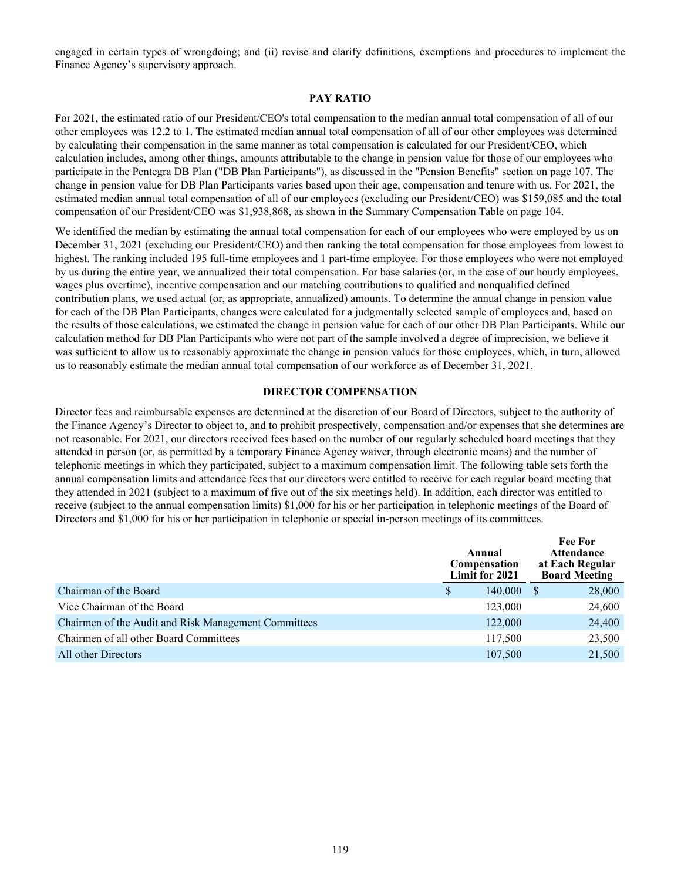engaged in certain types of wrongdoing; and (ii) revise and clarify definitions, exemptions and procedures to implement the Finance Agency's supervisory approach.

#### **PAY RATIO**

For 2021, the estimated ratio of our President/CEO's total compensation to the median annual total compensation of all of our other employees was 12.2 to 1. The estimated median annual total compensation of all of our other employees was determined by calculating their compensation in the same manner as total compensation is calculated for our President/CEO, which calculation includes, among other things, amounts attributable to the change in pension value for those of our employees who participate in the Pentegra DB Plan ("DB Plan Participants"), as discussed in the "Pension Benefits" section on page 107. The change in pension value for DB Plan Participants varies based upon their age, compensation and tenure with us. For 2021, the estimated median annual total compensation of all of our employees (excluding our President/CEO) was \$159,085 and the total compensation of our President/CEO was \$1,938,868, as shown in the Summary Compensation Table on page 104.

We identified the median by estimating the annual total compensation for each of our employees who were employed by us on December 31, 2021 (excluding our President/CEO) and then ranking the total compensation for those employees from lowest to highest. The ranking included 195 full-time employees and 1 part-time employee. For those employees who were not employed by us during the entire year, we annualized their total compensation. For base salaries (or, in the case of our hourly employees, wages plus overtime), incentive compensation and our matching contributions to qualified and nonqualified defined contribution plans, we used actual (or, as appropriate, annualized) amounts. To determine the annual change in pension value for each of the DB Plan Participants, changes were calculated for a judgmentally selected sample of employees and, based on the results of those calculations, we estimated the change in pension value for each of our other DB Plan Participants. While our calculation method for DB Plan Participants who were not part of the sample involved a degree of imprecision, we believe it was sufficient to allow us to reasonably approximate the change in pension values for those employees, which, in turn, allowed us to reasonably estimate the median annual total compensation of our workforce as of December 31, 2021.

#### **DIRECTOR COMPENSATION**

Director fees and reimbursable expenses are determined at the discretion of our Board of Directors, subject to the authority of the Finance Agency's Director to object to, and to prohibit prospectively, compensation and/or expenses that she determines are not reasonable. For 2021, our directors received fees based on the number of our regularly scheduled board meetings that they attended in person (or, as permitted by a temporary Finance Agency waiver, through electronic means) and the number of telephonic meetings in which they participated, subject to a maximum compensation limit. The following table sets forth the annual compensation limits and attendance fees that our directors were entitled to receive for each regular board meeting that they attended in 2021 (subject to a maximum of five out of the six meetings held). In addition, each director was entitled to receive (subject to the annual compensation limits) \$1,000 for his or her participation in telephonic meetings of the Board of Directors and \$1,000 for his or her participation in telephonic or special in-person meetings of its committees.

|                                                      | Annual<br>Compensation<br>Limit for 2021 |         | <b>Fee For</b><br><b>Attendance</b><br>at Each Regular<br><b>Board Meeting</b> |        |
|------------------------------------------------------|------------------------------------------|---------|--------------------------------------------------------------------------------|--------|
| Chairman of the Board                                | S.                                       | 140,000 | -S                                                                             | 28,000 |
| Vice Chairman of the Board                           |                                          | 123,000 |                                                                                | 24,600 |
| Chairmen of the Audit and Risk Management Committees |                                          | 122,000 |                                                                                | 24,400 |
| Chairmen of all other Board Committees               |                                          | 117,500 |                                                                                | 23,500 |
| All other Directors                                  |                                          | 107,500 |                                                                                | 21,500 |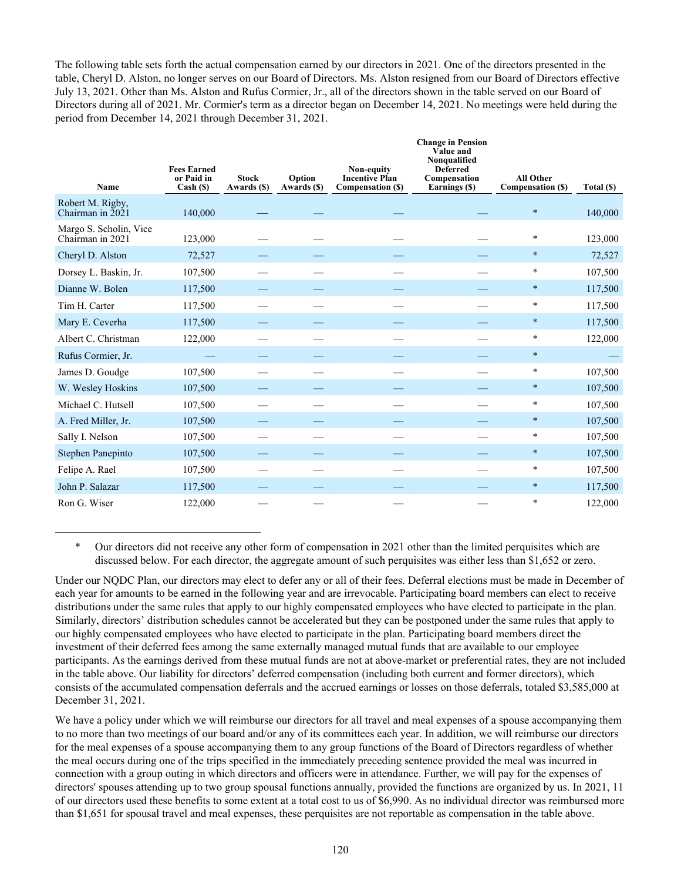The following table sets forth the actual compensation earned by our directors in 2021. One of the directors presented in the table, Cheryl D. Alston, no longer serves on our Board of Directors. Ms. Alston resigned from our Board of Directors effective July 13, 2021. Other than Ms. Alston and Rufus Cormier, Jr., all of the directors shown in the table served on our Board of Directors during all of 2021. Mr. Cormier's term as a director began on December 14, 2021. No meetings were held during the period from December 14, 2021 through December 31, 2021.

| Name                                       | <b>Fees Earned</b><br>or Paid in<br>Cash ( <sub>s</sub> ) | <b>Stock</b><br>Awards (\$) | Option<br>Awards (\$) | Non-equity<br><b>Incentive Plan</b><br>Compensation (\$) | <b>Change in Pension</b><br>Value and<br>Nonqualified<br><b>Deferred</b><br>Compensation<br>Earnings (\$) | All Other<br>Compensation (\$) | Total (\$) |
|--------------------------------------------|-----------------------------------------------------------|-----------------------------|-----------------------|----------------------------------------------------------|-----------------------------------------------------------------------------------------------------------|--------------------------------|------------|
| Robert M. Rigby,<br>Chairman in 2021       | 140,000                                                   |                             |                       |                                                          |                                                                                                           | $\ast$                         | 140,000    |
| Margo S. Scholin, Vice<br>Chairman in 2021 | 123,000                                                   |                             |                       |                                                          |                                                                                                           | $\ast$                         | 123,000    |
| Cheryl D. Alston                           | 72,527                                                    |                             |                       |                                                          |                                                                                                           | $\ast$                         | 72,527     |
| Dorsey L. Baskin, Jr.                      | 107,500                                                   |                             |                       |                                                          |                                                                                                           | $\ast$                         | 107,500    |
| Dianne W. Bolen                            | 117,500                                                   |                             |                       |                                                          |                                                                                                           | $\ast$                         | 117,500    |
| Tim H. Carter                              | 117,500                                                   |                             |                       |                                                          |                                                                                                           | $\ast$                         | 117,500    |
| Mary E. Ceverha                            | 117,500                                                   |                             |                       |                                                          |                                                                                                           | $\ast$                         | 117,500    |
| Albert C. Christman                        | 122,000                                                   |                             |                       |                                                          |                                                                                                           | $\ast$                         | 122,000    |
| Rufus Cormier, Jr.                         |                                                           |                             |                       |                                                          |                                                                                                           | $\ast$                         |            |
| James D. Goudge                            | 107,500                                                   |                             |                       |                                                          |                                                                                                           | *                              | 107,500    |
| W. Wesley Hoskins                          | 107,500                                                   |                             |                       |                                                          |                                                                                                           | $\ast$                         | 107,500    |
| Michael C. Hutsell                         | 107,500                                                   |                             |                       |                                                          |                                                                                                           | $\ast$                         | 107,500    |
| A. Fred Miller, Jr.                        | 107,500                                                   |                             |                       |                                                          |                                                                                                           | $\ast$                         | 107,500    |
| Sally I. Nelson                            | 107,500                                                   |                             |                       |                                                          |                                                                                                           | $\ast$                         | 107,500    |
| Stephen Panepinto                          | 107,500                                                   |                             |                       |                                                          |                                                                                                           | $\ast$                         | 107,500    |
| Felipe A. Rael                             | 107,500                                                   |                             |                       |                                                          |                                                                                                           | $\ast$                         | 107,500    |
| John P. Salazar                            | 117,500                                                   |                             |                       |                                                          |                                                                                                           | $\ast$                         | 117,500    |
| Ron G. Wiser                               | 122,000                                                   |                             |                       |                                                          |                                                                                                           | $\ast$                         | 122,000    |

\* Our directors did not receive any other form of compensation in 2021 other than the limited perquisites which are discussed below. For each director, the aggregate amount of such perquisites was either less than \$1,652 or zero.

 $\mathcal{L}_\text{max}$  , and the set of the set of the set of the set of the set of the set of the set of the set of the set of the set of the set of the set of the set of the set of the set of the set of the set of the set of the

Under our NQDC Plan, our directors may elect to defer any or all of their fees. Deferral elections must be made in December of each year for amounts to be earned in the following year and are irrevocable. Participating board members can elect to receive distributions under the same rules that apply to our highly compensated employees who have elected to participate in the plan. Similarly, directors' distribution schedules cannot be accelerated but they can be postponed under the same rules that apply to our highly compensated employees who have elected to participate in the plan. Participating board members direct the investment of their deferred fees among the same externally managed mutual funds that are available to our employee participants. As the earnings derived from these mutual funds are not at above-market or preferential rates, they are not included in the table above. Our liability for directors' deferred compensation (including both current and former directors), which consists of the accumulated compensation deferrals and the accrued earnings or losses on those deferrals, totaled \$3,585,000 at December 31, 2021.

We have a policy under which we will reimburse our directors for all travel and meal expenses of a spouse accompanying them to no more than two meetings of our board and/or any of its committees each year. In addition, we will reimburse our directors for the meal expenses of a spouse accompanying them to any group functions of the Board of Directors regardless of whether the meal occurs during one of the trips specified in the immediately preceding sentence provided the meal was incurred in connection with a group outing in which directors and officers were in attendance. Further, we will pay for the expenses of directors' spouses attending up to two group spousal functions annually, provided the functions are organized by us. In 2021, 11 of our directors used these benefits to some extent at a total cost to us of \$6,990. As no individual director was reimbursed more than \$1,651 for spousal travel and meal expenses, these perquisites are not reportable as compensation in the table above.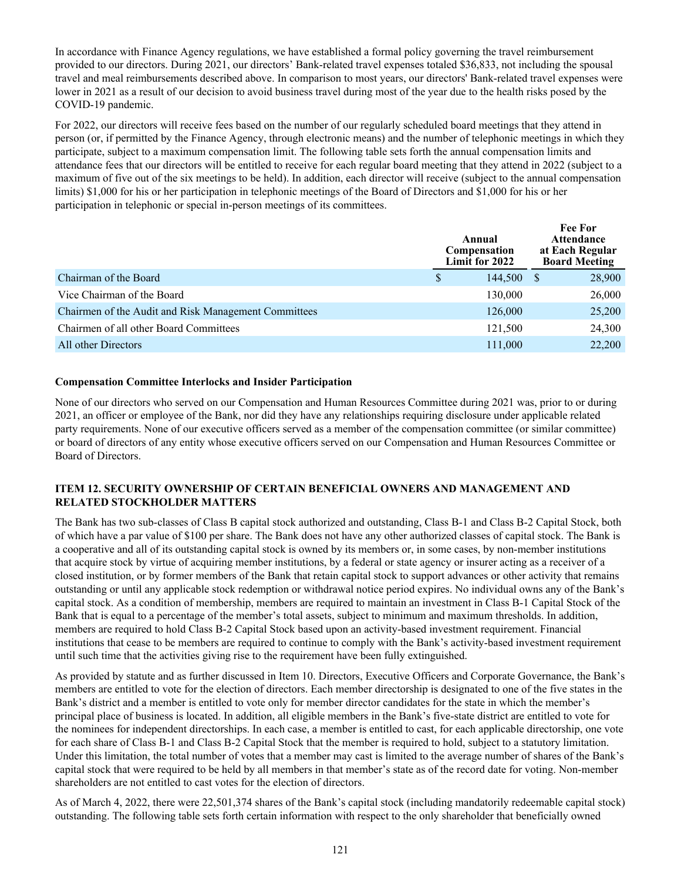In accordance with Finance Agency regulations, we have established a formal policy governing the travel reimbursement provided to our directors. During 2021, our directors' Bank-related travel expenses totaled \$36,833, not including the spousal travel and meal reimbursements described above. In comparison to most years, our directors' Bank-related travel expenses were lower in 2021 as a result of our decision to avoid business travel during most of the year due to the health risks posed by the COVID-19 pandemic.

For 2022, our directors will receive fees based on the number of our regularly scheduled board meetings that they attend in person (or, if permitted by the Finance Agency, through electronic means) and the number of telephonic meetings in which they participate, subject to a maximum compensation limit. The following table sets forth the annual compensation limits and attendance fees that our directors will be entitled to receive for each regular board meeting that they attend in 2022 (subject to a maximum of five out of the six meetings to be held). In addition, each director will receive (subject to the annual compensation limits) \$1,000 for his or her participation in telephonic meetings of the Board of Directors and \$1,000 for his or her participation in telephonic or special in-person meetings of its committees.

|                                                      | Annual<br>Compensation<br>Limit for 2022 | <b>Fee For</b><br><b>Attendance</b><br>at Each Regular<br><b>Board Meeting</b> |        |
|------------------------------------------------------|------------------------------------------|--------------------------------------------------------------------------------|--------|
| Chairman of the Board                                | \$<br>144,500                            |                                                                                | 28,900 |
| Vice Chairman of the Board                           | 130,000                                  |                                                                                | 26,000 |
| Chairmen of the Audit and Risk Management Committees | 126,000                                  |                                                                                | 25,200 |
| Chairmen of all other Board Committees               | 121.500                                  |                                                                                | 24,300 |
| All other Directors                                  | 111,000                                  |                                                                                | 22,200 |

# **Compensation Committee Interlocks and Insider Participation**

None of our directors who served on our Compensation and Human Resources Committee during 2021 was, prior to or during 2021, an officer or employee of the Bank, nor did they have any relationships requiring disclosure under applicable related party requirements. None of our executive officers served as a member of the compensation committee (or similar committee) or board of directors of any entity whose executive officers served on our Compensation and Human Resources Committee or Board of Directors.

# **ITEM 12. SECURITY OWNERSHIP OF CERTAIN BENEFICIAL OWNERS AND MANAGEMENT AND RELATED STOCKHOLDER MATTERS**

The Bank has two sub-classes of Class B capital stock authorized and outstanding, Class B-1 and Class B-2 Capital Stock, both of which have a par value of \$100 per share. The Bank does not have any other authorized classes of capital stock. The Bank is a cooperative and all of its outstanding capital stock is owned by its members or, in some cases, by non-member institutions that acquire stock by virtue of acquiring member institutions, by a federal or state agency or insurer acting as a receiver of a closed institution, or by former members of the Bank that retain capital stock to support advances or other activity that remains outstanding or until any applicable stock redemption or withdrawal notice period expires. No individual owns any of the Bank's capital stock. As a condition of membership, members are required to maintain an investment in Class B-1 Capital Stock of the Bank that is equal to a percentage of the member's total assets, subject to minimum and maximum thresholds. In addition, members are required to hold Class B-2 Capital Stock based upon an activity-based investment requirement. Financial institutions that cease to be members are required to continue to comply with the Bank's activity-based investment requirement until such time that the activities giving rise to the requirement have been fully extinguished.

As provided by statute and as further discussed in Item 10. Directors, Executive Officers and Corporate Governance, the Bank's members are entitled to vote for the election of directors. Each member directorship is designated to one of the five states in the Bank's district and a member is entitled to vote only for member director candidates for the state in which the member's principal place of business is located. In addition, all eligible members in the Bank's five-state district are entitled to vote for the nominees for independent directorships. In each case, a member is entitled to cast, for each applicable directorship, one vote for each share of Class B-1 and Class B-2 Capital Stock that the member is required to hold, subject to a statutory limitation. Under this limitation, the total number of votes that a member may cast is limited to the average number of shares of the Bank's capital stock that were required to be held by all members in that member's state as of the record date for voting. Non-member shareholders are not entitled to cast votes for the election of directors.

As of March 4, 2022, there were 22,501,374 shares of the Bank's capital stock (including mandatorily redeemable capital stock) outstanding. The following table sets forth certain information with respect to the only shareholder that beneficially owned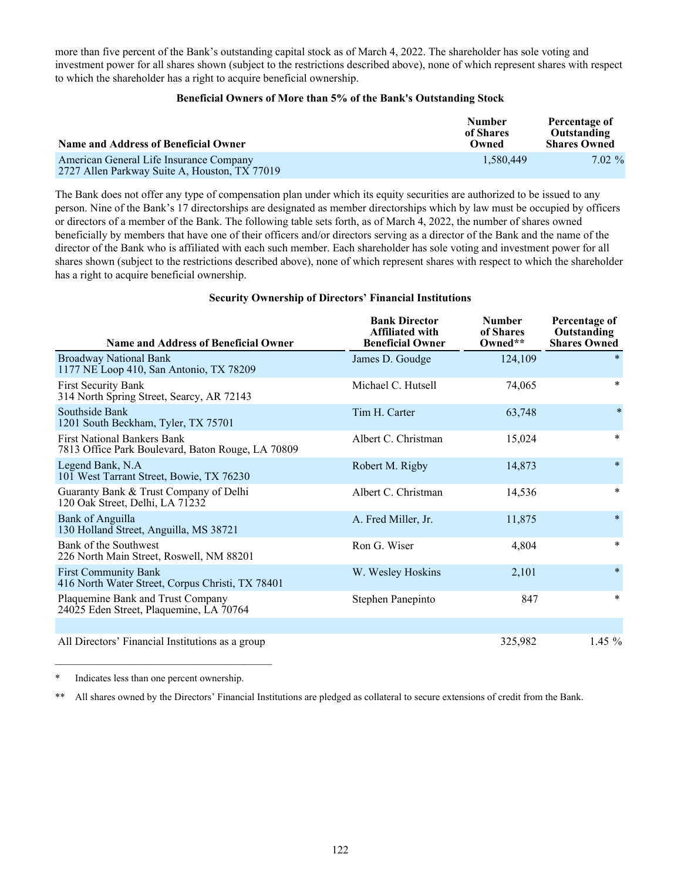more than five percent of the Bank's outstanding capital stock as of March 4, 2022. The shareholder has sole voting and investment power for all shares shown (subject to the restrictions described above), none of which represent shares with respect to which the shareholder has a right to acquire beneficial ownership.

### **Beneficial Owners of More than 5% of the Bank's Outstanding Stock**

| Name and Address of Beneficial Owner                                                     | <b>Number</b><br>of Shares<br>Owned | Percentage of<br>Outstanding<br><b>Shares Owned</b> |  |
|------------------------------------------------------------------------------------------|-------------------------------------|-----------------------------------------------------|--|
| American General Life Insurance Company<br>2727 Allen Parkway Suite A, Houston, TX 77019 | 1.580.449                           | $7.02 \%$                                           |  |

The Bank does not offer any type of compensation plan under which its equity securities are authorized to be issued to any person. Nine of the Bank's 17 directorships are designated as member directorships which by law must be occupied by officers or directors of a member of the Bank. The following table sets forth, as of March 4, 2022, the number of shares owned beneficially by members that have one of their officers and/or directors serving as a director of the Bank and the name of the director of the Bank who is affiliated with each such member. Each shareholder has sole voting and investment power for all shares shown (subject to the restrictions described above), none of which represent shares with respect to which the shareholder has a right to acquire beneficial ownership.

### **Security Ownership of Directors' Financial Institutions**

| <b>Name and Address of Beneficial Owner</b>                                             | <b>Bank Director</b><br>Affiliated with<br><b>Beneficial Owner</b> | <b>Number</b><br>of Shares<br>Owned** | Percentage of<br>Outstanding<br><b>Shares Owned</b> |
|-----------------------------------------------------------------------------------------|--------------------------------------------------------------------|---------------------------------------|-----------------------------------------------------|
| <b>Broadway National Bank</b><br>1177 NE Loop 410, San Antonio, TX 78209                | James D. Goudge                                                    | 124,109                               | $\ast$                                              |
| <b>First Security Bank</b><br>314 North Spring Street, Searcy, AR 72143                 | Michael C. Hutsell                                                 | 74,065                                | $\ast$                                              |
| Southside Bank<br>1201 South Beckham, Tyler, TX 75701                                   | Tim H. Carter                                                      | 63,748                                | $\ast$                                              |
| <b>First National Bankers Bank</b><br>7813 Office Park Boulevard, Baton Rouge, LA 70809 | Albert C. Christman                                                | 15,024                                | $\ast$                                              |
| Legend Bank, N.A.<br>101 West Tarrant Street, Bowie, TX 76230                           | Robert M. Rigby                                                    | 14,873                                | $\ast$                                              |
| Guaranty Bank & Trust Company of Delhi<br>120 Oak Street, Delhi, LA 71232               | Albert C. Christman                                                | 14,536                                | $\ast$                                              |
| <b>Bank of Anguilla</b><br>130 Holland Street, Anguilla, MS 38721                       | A. Fred Miller, Jr.                                                | 11,875                                | $\ast$                                              |
| Bank of the Southwest<br>226 North Main Street, Roswell, NM 88201                       | Ron G. Wiser                                                       | 4,804                                 | $\ast$                                              |
| <b>First Community Bank</b><br>416 North Water Street, Corpus Christi, TX 78401         | W. Wesley Hoskins                                                  | 2,101                                 | $\ast$                                              |
| Plaquemine Bank and Trust Company<br>24025 Eden Street, Plaquemine, LA 70764            | Stephen Panepinto                                                  | 847                                   | $\ast$                                              |
|                                                                                         |                                                                    |                                       |                                                     |
| All Directors' Financial Institutions as a group                                        |                                                                    | 325,982                               | 1.45 $%$                                            |

Indicates less than one percent ownership.

 $\mathcal{L}_\text{max}$  and  $\mathcal{L}_\text{max}$  and  $\mathcal{L}_\text{max}$  and  $\mathcal{L}_\text{max}$ 

<sup>\*\*</sup> All shares owned by the Directors' Financial Institutions are pledged as collateral to secure extensions of credit from the Bank.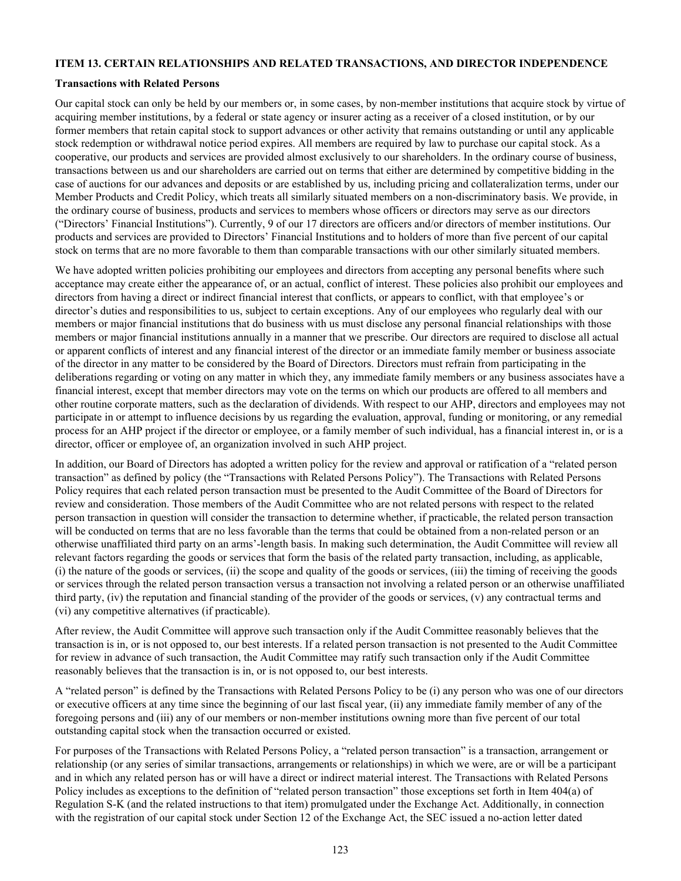#### **ITEM 13. CERTAIN RELATIONSHIPS AND RELATED TRANSACTIONS, AND DIRECTOR INDEPENDENCE**

#### **Transactions with Related Persons**

Our capital stock can only be held by our members or, in some cases, by non-member institutions that acquire stock by virtue of acquiring member institutions, by a federal or state agency or insurer acting as a receiver of a closed institution, or by our former members that retain capital stock to support advances or other activity that remains outstanding or until any applicable stock redemption or withdrawal notice period expires. All members are required by law to purchase our capital stock. As a cooperative, our products and services are provided almost exclusively to our shareholders. In the ordinary course of business, transactions between us and our shareholders are carried out on terms that either are determined by competitive bidding in the case of auctions for our advances and deposits or are established by us, including pricing and collateralization terms, under our Member Products and Credit Policy, which treats all similarly situated members on a non-discriminatory basis. We provide, in the ordinary course of business, products and services to members whose officers or directors may serve as our directors ("Directors' Financial Institutions"). Currently, 9 of our 17 directors are officers and/or directors of member institutions. Our products and services are provided to Directors' Financial Institutions and to holders of more than five percent of our capital stock on terms that are no more favorable to them than comparable transactions with our other similarly situated members.

We have adopted written policies prohibiting our employees and directors from accepting any personal benefits where such acceptance may create either the appearance of, or an actual, conflict of interest. These policies also prohibit our employees and directors from having a direct or indirect financial interest that conflicts, or appears to conflict, with that employee's or director's duties and responsibilities to us, subject to certain exceptions. Any of our employees who regularly deal with our members or major financial institutions that do business with us must disclose any personal financial relationships with those members or major financial institutions annually in a manner that we prescribe. Our directors are required to disclose all actual or apparent conflicts of interest and any financial interest of the director or an immediate family member or business associate of the director in any matter to be considered by the Board of Directors. Directors must refrain from participating in the deliberations regarding or voting on any matter in which they, any immediate family members or any business associates have a financial interest, except that member directors may vote on the terms on which our products are offered to all members and other routine corporate matters, such as the declaration of dividends. With respect to our AHP, directors and employees may not participate in or attempt to influence decisions by us regarding the evaluation, approval, funding or monitoring, or any remedial process for an AHP project if the director or employee, or a family member of such individual, has a financial interest in, or is a director, officer or employee of, an organization involved in such AHP project.

In addition, our Board of Directors has adopted a written policy for the review and approval or ratification of a "related person transaction" as defined by policy (the "Transactions with Related Persons Policy"). The Transactions with Related Persons Policy requires that each related person transaction must be presented to the Audit Committee of the Board of Directors for review and consideration. Those members of the Audit Committee who are not related persons with respect to the related person transaction in question will consider the transaction to determine whether, if practicable, the related person transaction will be conducted on terms that are no less favorable than the terms that could be obtained from a non-related person or an otherwise unaffiliated third party on an arms'-length basis. In making such determination, the Audit Committee will review all relevant factors regarding the goods or services that form the basis of the related party transaction, including, as applicable, (i) the nature of the goods or services, (ii) the scope and quality of the goods or services, (iii) the timing of receiving the goods or services through the related person transaction versus a transaction not involving a related person or an otherwise unaffiliated third party, (iv) the reputation and financial standing of the provider of the goods or services, (v) any contractual terms and (vi) any competitive alternatives (if practicable).

After review, the Audit Committee will approve such transaction only if the Audit Committee reasonably believes that the transaction is in, or is not opposed to, our best interests. If a related person transaction is not presented to the Audit Committee for review in advance of such transaction, the Audit Committee may ratify such transaction only if the Audit Committee reasonably believes that the transaction is in, or is not opposed to, our best interests.

A "related person" is defined by the Transactions with Related Persons Policy to be (i) any person who was one of our directors or executive officers at any time since the beginning of our last fiscal year, (ii) any immediate family member of any of the foregoing persons and (iii) any of our members or non-member institutions owning more than five percent of our total outstanding capital stock when the transaction occurred or existed.

For purposes of the Transactions with Related Persons Policy, a "related person transaction" is a transaction, arrangement or relationship (or any series of similar transactions, arrangements or relationships) in which we were, are or will be a participant and in which any related person has or will have a direct or indirect material interest. The Transactions with Related Persons Policy includes as exceptions to the definition of "related person transaction" those exceptions set forth in Item 404(a) of Regulation S-K (and the related instructions to that item) promulgated under the Exchange Act. Additionally, in connection with the registration of our capital stock under Section 12 of the Exchange Act, the SEC issued a no-action letter dated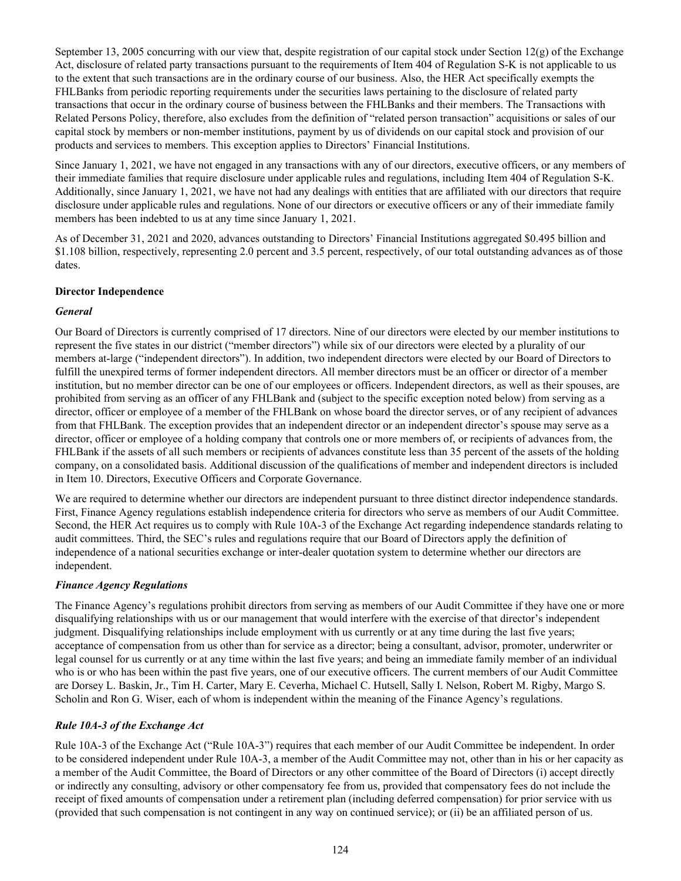September 13, 2005 concurring with our view that, despite registration of our capital stock under Section  $12(g)$  of the Exchange Act, disclosure of related party transactions pursuant to the requirements of Item 404 of Regulation S-K is not applicable to us to the extent that such transactions are in the ordinary course of our business. Also, the HER Act specifically exempts the FHLBanks from periodic reporting requirements under the securities laws pertaining to the disclosure of related party transactions that occur in the ordinary course of business between the FHLBanks and their members. The Transactions with Related Persons Policy, therefore, also excludes from the definition of "related person transaction" acquisitions or sales of our capital stock by members or non-member institutions, payment by us of dividends on our capital stock and provision of our products and services to members. This exception applies to Directors' Financial Institutions.

Since January 1, 2021, we have not engaged in any transactions with any of our directors, executive officers, or any members of their immediate families that require disclosure under applicable rules and regulations, including Item 404 of Regulation S-K. Additionally, since January 1, 2021, we have not had any dealings with entities that are affiliated with our directors that require disclosure under applicable rules and regulations. None of our directors or executive officers or any of their immediate family members has been indebted to us at any time since January 1, 2021.

As of December 31, 2021 and 2020, advances outstanding to Directors' Financial Institutions aggregated \$0.495 billion and \$1.108 billion, respectively, representing 2.0 percent and 3.5 percent, respectively, of our total outstanding advances as of those dates.

### **Director Independence**

# *General*

Our Board of Directors is currently comprised of 17 directors. Nine of our directors were elected by our member institutions to represent the five states in our district ("member directors") while six of our directors were elected by a plurality of our members at-large ("independent directors"). In addition, two independent directors were elected by our Board of Directors to fulfill the unexpired terms of former independent directors. All member directors must be an officer or director of a member institution, but no member director can be one of our employees or officers. Independent directors, as well as their spouses, are prohibited from serving as an officer of any FHLBank and (subject to the specific exception noted below) from serving as a director, officer or employee of a member of the FHLBank on whose board the director serves, or of any recipient of advances from that FHLBank. The exception provides that an independent director or an independent director's spouse may serve as a director, officer or employee of a holding company that controls one or more members of, or recipients of advances from, the FHLBank if the assets of all such members or recipients of advances constitute less than 35 percent of the assets of the holding company, on a consolidated basis. Additional discussion of the qualifications of member and independent directors is included in Item 10. Directors, Executive Officers and Corporate Governance.

We are required to determine whether our directors are independent pursuant to three distinct director independence standards. First, Finance Agency regulations establish independence criteria for directors who serve as members of our Audit Committee. Second, the HER Act requires us to comply with Rule 10A-3 of the Exchange Act regarding independence standards relating to audit committees. Third, the SEC's rules and regulations require that our Board of Directors apply the definition of independence of a national securities exchange or inter-dealer quotation system to determine whether our directors are independent.

# *Finance Agency Regulations*

The Finance Agency's regulations prohibit directors from serving as members of our Audit Committee if they have one or more disqualifying relationships with us or our management that would interfere with the exercise of that director's independent judgment. Disqualifying relationships include employment with us currently or at any time during the last five years; acceptance of compensation from us other than for service as a director; being a consultant, advisor, promoter, underwriter or legal counsel for us currently or at any time within the last five years; and being an immediate family member of an individual who is or who has been within the past five years, one of our executive officers. The current members of our Audit Committee are Dorsey L. Baskin, Jr., Tim H. Carter, Mary E. Ceverha, Michael C. Hutsell, Sally I. Nelson, Robert M. Rigby, Margo S. Scholin and Ron G. Wiser, each of whom is independent within the meaning of the Finance Agency's regulations.

# *Rule 10A-3 of the Exchange Act*

Rule 10A-3 of the Exchange Act ("Rule 10A-3") requires that each member of our Audit Committee be independent. In order to be considered independent under Rule 10A-3, a member of the Audit Committee may not, other than in his or her capacity as a member of the Audit Committee, the Board of Directors or any other committee of the Board of Directors (i) accept directly or indirectly any consulting, advisory or other compensatory fee from us, provided that compensatory fees do not include the receipt of fixed amounts of compensation under a retirement plan (including deferred compensation) for prior service with us (provided that such compensation is not contingent in any way on continued service); or (ii) be an affiliated person of us.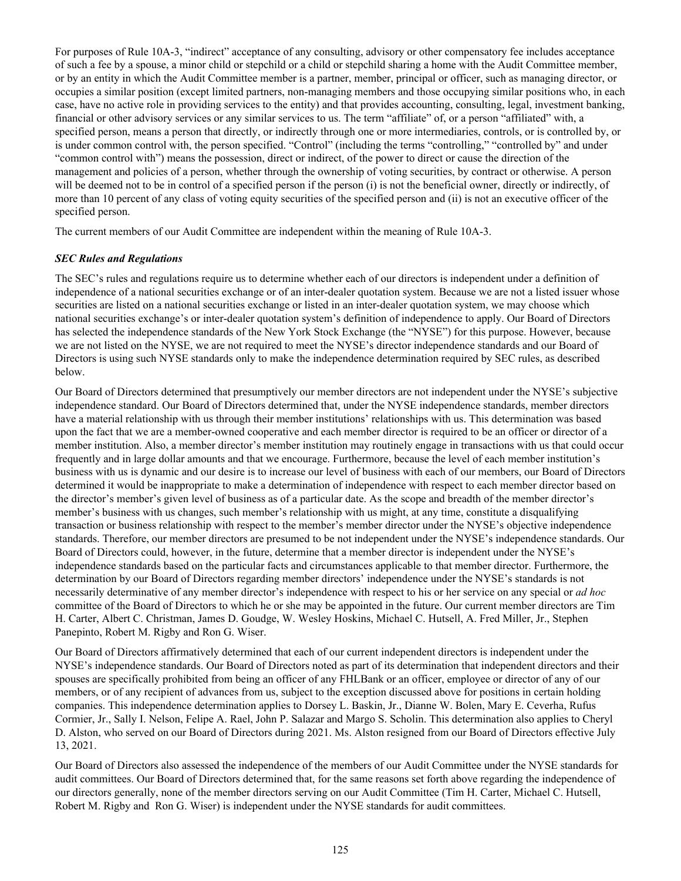For purposes of Rule 10A-3, "indirect" acceptance of any consulting, advisory or other compensatory fee includes acceptance of such a fee by a spouse, a minor child or stepchild or a child or stepchild sharing a home with the Audit Committee member, or by an entity in which the Audit Committee member is a partner, member, principal or officer, such as managing director, or occupies a similar position (except limited partners, non-managing members and those occupying similar positions who, in each case, have no active role in providing services to the entity) and that provides accounting, consulting, legal, investment banking, financial or other advisory services or any similar services to us. The term "affiliate" of, or a person "affiliated" with, a specified person, means a person that directly, or indirectly through one or more intermediaries, controls, or is controlled by, or is under common control with, the person specified. "Control" (including the terms "controlling," "controlled by" and under "common control with") means the possession, direct or indirect, of the power to direct or cause the direction of the management and policies of a person, whether through the ownership of voting securities, by contract or otherwise. A person will be deemed not to be in control of a specified person if the person (i) is not the beneficial owner, directly or indirectly, of more than 10 percent of any class of voting equity securities of the specified person and (ii) is not an executive officer of the specified person.

The current members of our Audit Committee are independent within the meaning of Rule 10A-3.

#### *SEC Rules and Regulations*

The SEC's rules and regulations require us to determine whether each of our directors is independent under a definition of independence of a national securities exchange or of an inter-dealer quotation system. Because we are not a listed issuer whose securities are listed on a national securities exchange or listed in an inter-dealer quotation system, we may choose which national securities exchange's or inter-dealer quotation system's definition of independence to apply. Our Board of Directors has selected the independence standards of the New York Stock Exchange (the "NYSE") for this purpose. However, because we are not listed on the NYSE, we are not required to meet the NYSE's director independence standards and our Board of Directors is using such NYSE standards only to make the independence determination required by SEC rules, as described below.

Our Board of Directors determined that presumptively our member directors are not independent under the NYSE's subjective independence standard. Our Board of Directors determined that, under the NYSE independence standards, member directors have a material relationship with us through their member institutions' relationships with us. This determination was based upon the fact that we are a member-owned cooperative and each member director is required to be an officer or director of a member institution. Also, a member director's member institution may routinely engage in transactions with us that could occur frequently and in large dollar amounts and that we encourage. Furthermore, because the level of each member institution's business with us is dynamic and our desire is to increase our level of business with each of our members, our Board of Directors determined it would be inappropriate to make a determination of independence with respect to each member director based on the director's member's given level of business as of a particular date. As the scope and breadth of the member director's member's business with us changes, such member's relationship with us might, at any time, constitute a disqualifying transaction or business relationship with respect to the member's member director under the NYSE's objective independence standards. Therefore, our member directors are presumed to be not independent under the NYSE's independence standards. Our Board of Directors could, however, in the future, determine that a member director is independent under the NYSE's independence standards based on the particular facts and circumstances applicable to that member director. Furthermore, the determination by our Board of Directors regarding member directors' independence under the NYSE's standards is not necessarily determinative of any member director's independence with respect to his or her service on any special or *ad hoc* committee of the Board of Directors to which he or she may be appointed in the future. Our current member directors are Tim H. Carter, Albert C. Christman, James D. Goudge, W. Wesley Hoskins, Michael C. Hutsell, A. Fred Miller, Jr., Stephen Panepinto, Robert M. Rigby and Ron G. Wiser.

Our Board of Directors affirmatively determined that each of our current independent directors is independent under the NYSE's independence standards. Our Board of Directors noted as part of its determination that independent directors and their spouses are specifically prohibited from being an officer of any FHLBank or an officer, employee or director of any of our members, or of any recipient of advances from us, subject to the exception discussed above for positions in certain holding companies. This independence determination applies to Dorsey L. Baskin, Jr., Dianne W. Bolen, Mary E. Ceverha, Rufus Cormier, Jr., Sally I. Nelson, Felipe A. Rael, John P. Salazar and Margo S. Scholin. This determination also applies to Cheryl D. Alston, who served on our Board of Directors during 2021. Ms. Alston resigned from our Board of Directors effective July 13, 2021.

Our Board of Directors also assessed the independence of the members of our Audit Committee under the NYSE standards for audit committees. Our Board of Directors determined that, for the same reasons set forth above regarding the independence of our directors generally, none of the member directors serving on our Audit Committee (Tim H. Carter, Michael C. Hutsell, Robert M. Rigby and Ron G. Wiser) is independent under the NYSE standards for audit committees.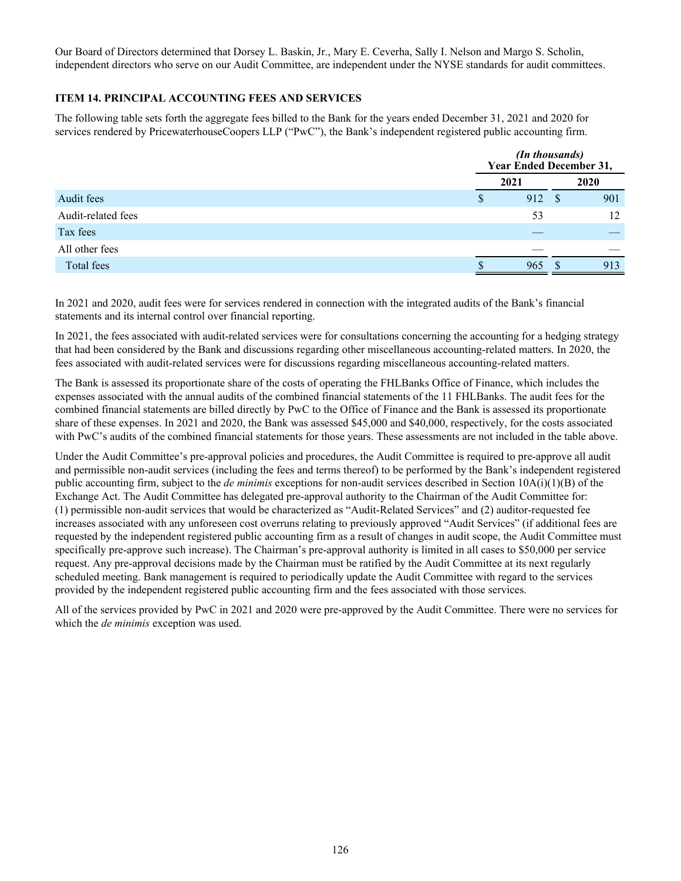Our Board of Directors determined that Dorsey L. Baskin, Jr., Mary E. Ceverha, Sally I. Nelson and Margo S. Scholin, independent directors who serve on our Audit Committee, are independent under the NYSE standards for audit committees.

# **ITEM 14. PRINCIPAL ACCOUNTING FEES AND SERVICES**

The following table sets forth the aggregate fees billed to the Bank for the years ended December 31, 2021 and 2020 for services rendered by PricewaterhouseCoopers LLP ("PwC"), the Bank's independent registered public accounting firm.

|                    | (In thousands)<br>Year Ended December 31, |        |  |      |
|--------------------|-------------------------------------------|--------|--|------|
|                    | 2021                                      |        |  | 2020 |
| Audit fees         | <sup>\$</sup>                             | 912 \$ |  | 901  |
| Audit-related fees |                                           | 53     |  | 12   |
| Tax fees           |                                           |        |  |      |
| All other fees     |                                           |        |  |      |
| Total fees         |                                           | 965    |  | 913  |

In 2021 and 2020, audit fees were for services rendered in connection with the integrated audits of the Bank's financial statements and its internal control over financial reporting.

In 2021, the fees associated with audit-related services were for consultations concerning the accounting for a hedging strategy that had been considered by the Bank and discussions regarding other miscellaneous accounting-related matters. In 2020, the fees associated with audit-related services were for discussions regarding miscellaneous accounting-related matters.

The Bank is assessed its proportionate share of the costs of operating the FHLBanks Office of Finance, which includes the expenses associated with the annual audits of the combined financial statements of the 11 FHLBanks. The audit fees for the combined financial statements are billed directly by PwC to the Office of Finance and the Bank is assessed its proportionate share of these expenses. In 2021 and 2020, the Bank was assessed \$45,000 and \$40,000, respectively, for the costs associated with PwC's audits of the combined financial statements for those years. These assessments are not included in the table above.

Under the Audit Committee's pre-approval policies and procedures, the Audit Committee is required to pre-approve all audit and permissible non-audit services (including the fees and terms thereof) to be performed by the Bank's independent registered public accounting firm, subject to the *de minimis* exceptions for non-audit services described in Section 10A(i)(1)(B) of the Exchange Act. The Audit Committee has delegated pre-approval authority to the Chairman of the Audit Committee for: (1) permissible non-audit services that would be characterized as "Audit-Related Services" and (2) auditor-requested fee increases associated with any unforeseen cost overruns relating to previously approved "Audit Services" (if additional fees are requested by the independent registered public accounting firm as a result of changes in audit scope, the Audit Committee must specifically pre-approve such increase). The Chairman's pre-approval authority is limited in all cases to \$50,000 per service request. Any pre-approval decisions made by the Chairman must be ratified by the Audit Committee at its next regularly scheduled meeting. Bank management is required to periodically update the Audit Committee with regard to the services provided by the independent registered public accounting firm and the fees associated with those services.

All of the services provided by PwC in 2021 and 2020 were pre-approved by the Audit Committee. There were no services for which the *de minimis* exception was used.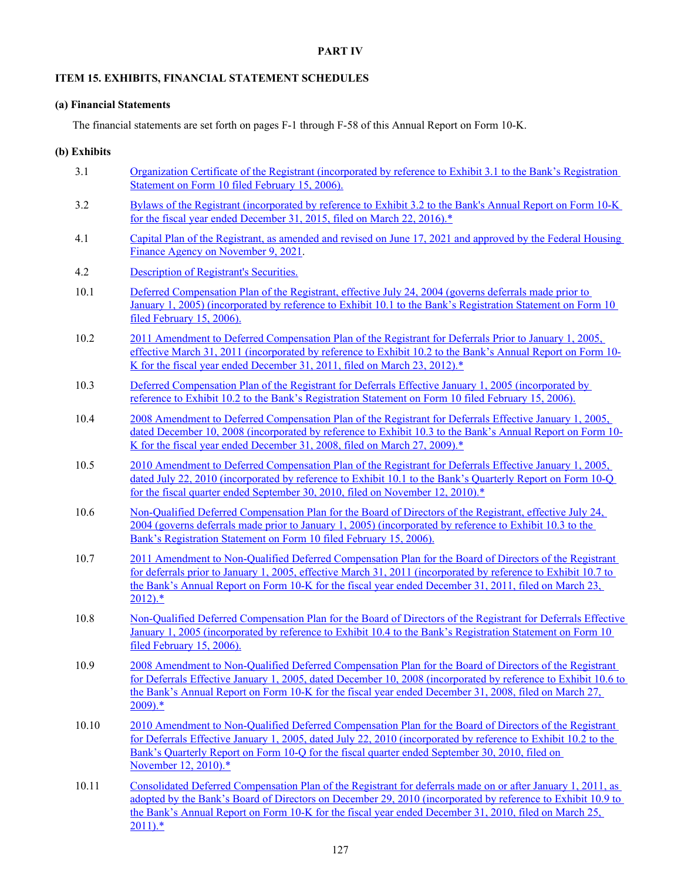#### **PART IV**

#### **ITEM 15. EXHIBITS, FINANCIAL STATEMENT SCHEDULES**

#### **(a) Financial Statements**

The financial statements are set forth on pages F-1 through F-58 of this Annual Report on Form 10-K.

### **(b) Exhibits**

- 3.1 Organization Certificate of the Registrant (incorporated by reference to Exhibit 3.1 to the Bank's Registration Statement on Form 10 filed February 15, 2006).
- 3.2 Bylaws of the Registrant (incorporated by reference to Exhibit 3.2 to the Bank's Annual Report on Form 10-K for the fiscal year ended December 31, 2015, filed on March 22, 2016).\*
- 4.1 Capital Plan of the Registrant, as amended and revised on June 17, 2021 and approved by the Federal Housing Finance Agency on November 9, 2021.
- 4.2 Description of Registrant's Securities.
- 10.1 Deferred Compensation Plan of the Registrant, effective July 24, 2004 (governs deferrals made prior to January 1, 2005) (incorporated by reference to Exhibit 10.1 to the Bank's Registration Statement on Form 10 filed February 15, 2006).
- 10.2 2011 Amendment to Deferred Compensation Plan of the Registrant for Deferrals Prior to January 1, 2005, effective March 31, 2011 (incorporated by reference to Exhibit 10.2 to the Bank's Annual Report on Form 10-K for the fiscal year ended December 31, 2011, filed on March 23, 2012).\*
- 10.3 Deferred Compensation Plan of the Registrant for Deferrals Effective January 1, 2005 (incorporated by reference to Exhibit 10.2 to the Bank's Registration Statement on Form 10 filed February 15, 2006).
- 10.4 2008 Amendment to Deferred Compensation Plan of the Registrant for Deferrals Effective January 1, 2005, dated December 10, 2008 (incorporated by reference to Exhibit 10.3 to the Bank's Annual Report on Form 10- K for the fiscal year ended December 31, 2008, filed on March 27, 2009).\*
- 10.5 2010 Amendment to Deferred Compensation Plan of the Registrant for Deferrals Effective January 1, 2005, dated July 22, 2010 (incorporated by reference to Exhibit 10.1 to the Bank's Quarterly Report on Form 10-Q for the fiscal quarter ended September 30, 2010, filed on November 12, 2010).\*
- 10.6 Non-Qualified Deferred Compensation Plan for the Board of Directors of the Registrant, effective July 24, 2004 (governs deferrals made prior to January 1, 2005) (incorporated by reference to Exhibit 10.3 to the Bank's Registration Statement on Form 10 filed February 15, 2006).
- 10.7 2011 Amendment to Non-Qualified Deferred Compensation Plan for the Board of Directors of the Registrant for deferrals prior to January 1, 2005, effective March 31, 2011 (incorporated by reference to Exhibit 10.7 to the Bank's Annual Report on Form 10-K for the fiscal year ended December 31, 2011, filed on March 23,  $2012$ ).\*
- 10.8 Non-Qualified Deferred Compensation Plan for the Board of Directors of the Registrant for Deferrals Effective January 1, 2005 (incorporated by reference to Exhibit 10.4 to the Bank's Registration Statement on Form 10 filed February 15, 2006).
- 10.9 2008 Amendment to Non-Qualified Deferred Compensation Plan for the Board of Directors of the Registrant for Deferrals Effective January 1, 2005, dated December 10, 2008 (incorporated by reference to Exhibit 10.6 to the Bank's Annual Report on Form 10-K for the fiscal year ended December 31, 2008, filed on March 27, 2009).\*
- 10.10 2010 Amendment to Non-Qualified Deferred Compensation Plan for the Board of Directors of the Registrant for Deferrals Effective January 1, 2005, dated July 22, 2010 (incorporated by reference to Exhibit 10.2 to the Bank's Quarterly Report on Form 10-Q for the fiscal quarter ended September 30, 2010, filed on November 12, 2010).\*
- 10.11 Consolidated Deferred Compensation Plan of the Registrant for deferrals made on or after January 1, 2011, as adopted by the Bank's Board of Directors on December 29, 2010 (incorporated by reference to Exhibit 10.9 to the Bank's Annual Report on Form 10-K for the fiscal year ended December 31, 2010, filed on March 25,  $2011$ ).\*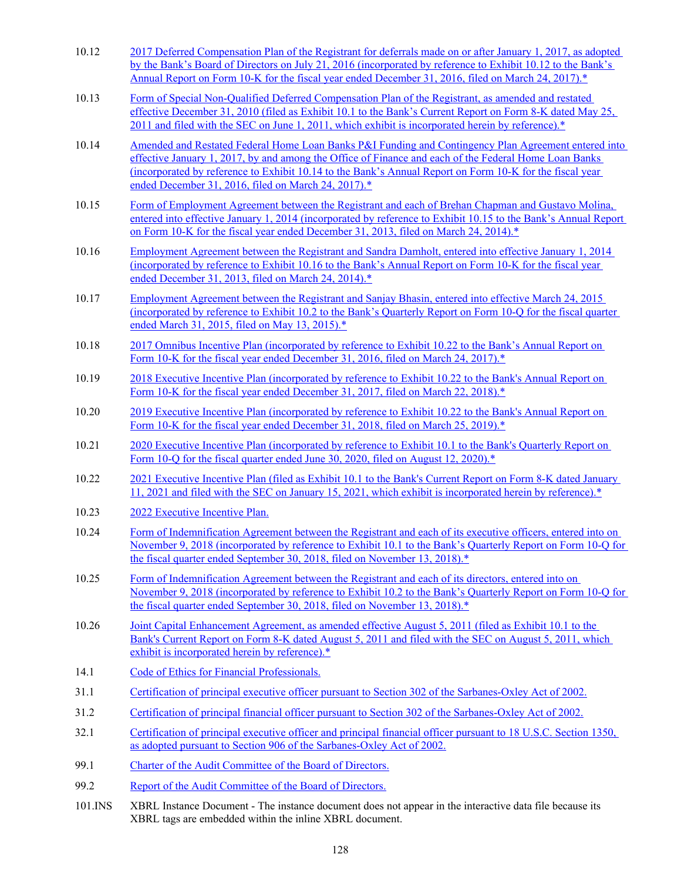- 10.12 2017 Deferred Compensation Plan of the Registrant for deferrals made on or after January 1, 2017, as adopted by the Bank's Board of Directors on July 21, 2016 (incorporated by reference to Exhibit 10.12 to the Bank's Annual Report on Form 10-K for the fiscal year ended December 31, 2016, filed on March 24, 2017).\*
- 10.13 Form of Special Non-Qualified Deferred Compensation Plan of the Registrant, as amended and restated effective December 31, 2010 (filed as Exhibit 10.1 to the Bank's Current Report on Form 8-K dated May 25, 2011 and filed with the SEC on June 1, 2011, which exhibit is incorporated herein by reference).\*
- 10.14 Amended and Restated Federal Home Loan Banks P&I Funding and Contingency Plan Agreement entered into effective January 1, 2017, by and among the Office of Finance and each of the Federal Home Loan Banks (incorporated by reference to Exhibit 10.14 to the Bank's Annual Report on Form 10-K for the fiscal year ended December 31, 2016, filed on March 24, 2017).\*
- 10.15 Form of Employment Agreement between the Registrant and each of Brehan Chapman and Gustavo Molina, entered into effective January 1, 2014 (incorporated by reference to Exhibit 10.15 to the Bank's Annual Report on Form 10-K for the fiscal year ended December 31, 2013, filed on March 24, 2014).\*
- 10.16 Employment Agreement between the Registrant and Sandra Damholt, entered into effective January 1, 2014 (incorporated by reference to Exhibit 10.16 to the Bank's Annual Report on Form 10-K for the fiscal year ended December 31, 2013, filed on March 24, 2014).\*
- 10.17 Employment Agreement between the Registrant and Sanjay Bhasin, entered into effective March 24, 2015 (incorporated by reference to Exhibit 10.2 to the Bank's Quarterly Report on Form 10-Q for the fiscal quarter ended March 31, 2015, filed on May 13, 2015).\*
- 10.18 2017 Omnibus Incentive Plan (incorporated by reference to Exhibit 10.22 to the Bank's Annual Report on Form 10-K for the fiscal year ended December 31, 2016, filed on March 24, 2017).<sup>\*</sup>
- 10.19 2018 Executive Incentive Plan (incorporated by reference to Exhibit 10.22 to the Bank's Annual Report on Form 10-K for the fiscal year ended December 31, 2017, filed on March 22, 2018).<sup>\*</sup>
- 10.20 2019 Executive Incentive Plan (incorporated by reference to Exhibit 10.22 to the Bank's Annual Report on Form 10-K for the fiscal year ended December 31, 2018, filed on March 25, 2019).<sup>\*</sup>
- 10.21 2020 Executive Incentive Plan (incorporated by reference to Exhibit 10.1 to the Bank's Quarterly Report on Form 10-Q for the fiscal quarter ended June 30, 2020, filed on August 12, 2020).<sup>\*</sup>
- 10.22 2021 Executive Incentive Plan (filed as Exhibit 10.1 to the Bank's Current Report on Form 8-K dated January 11, 2021 and filed with the SEC on January 15, 2021, which exhibit is incorporated herein by reference).\*
- 10.23 2022 Executive Incentive Plan.
- 10.24 Form of Indemnification Agreement between the Registrant and each of its executive officers, entered into on November 9, 2018 (incorporated by reference to Exhibit 10.1 to the Bank's Quarterly Report on Form 10-Q for the fiscal quarter ended September 30, 2018, filed on November 13, 2018).\*
- 10.25 Form of Indemnification Agreement between the Registrant and each of its directors, entered into on November 9, 2018 (incorporated by reference to Exhibit 10.2 to the Bank's Quarterly Report on Form 10-Q for the fiscal quarter ended September 30, 2018, filed on November 13, 2018).<sup>\*</sup>
- 10.26 Joint Capital Enhancement Agreement, as amended effective August 5, 2011 (filed as Exhibit 10.1 to the Bank's Current Report on Form 8-K dated August 5, 2011 and filed with the SEC on August 5, 2011, which exhibit is incorporated herein by reference).\*
- 14.1 Code of Ethics for Financial Professionals.
- 31.1 Certification of principal executive officer pursuant to Section 302 of the Sarbanes-Oxley Act of 2002.
- 31.2 Certification of principal financial officer pursuant to Section 302 of the Sarbanes-Oxley Act of 2002.
- 32.1 Certification of principal executive officer and principal financial officer pursuant to 18 U.S.C. Section 1350, as adopted pursuant to Section 906 of the Sarbanes-Oxley Act of 2002.
- 99.1 Charter of the Audit Committee of the Board of Directors.
- 99.2 Report of the Audit Committee of the Board of Directors.
- 101.INS XBRL Instance Document The instance document does not appear in the interactive data file because its XBRL tags are embedded within the inline XBRL document.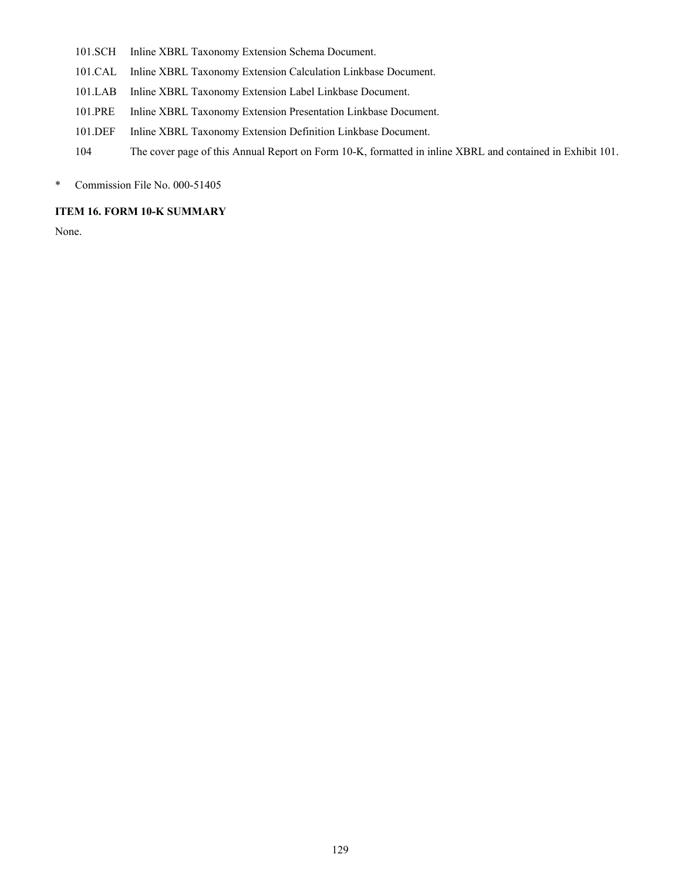- 101.SCH Inline XBRL Taxonomy Extension Schema Document.
- 101.CAL Inline XBRL Taxonomy Extension Calculation Linkbase Document.
- 101.LAB Inline XBRL Taxonomy Extension Label Linkbase Document.
- 101.PRE Inline XBRL Taxonomy Extension Presentation Linkbase Document.
- 101.DEF Inline XBRL Taxonomy Extension Definition Linkbase Document.
- 104 The cover page of this Annual Report on Form 10-K, formatted in inline XBRL and contained in Exhibit 101.
- \* Commission File No. 000-51405

# **ITEM 16. FORM 10-K SUMMARY**

None.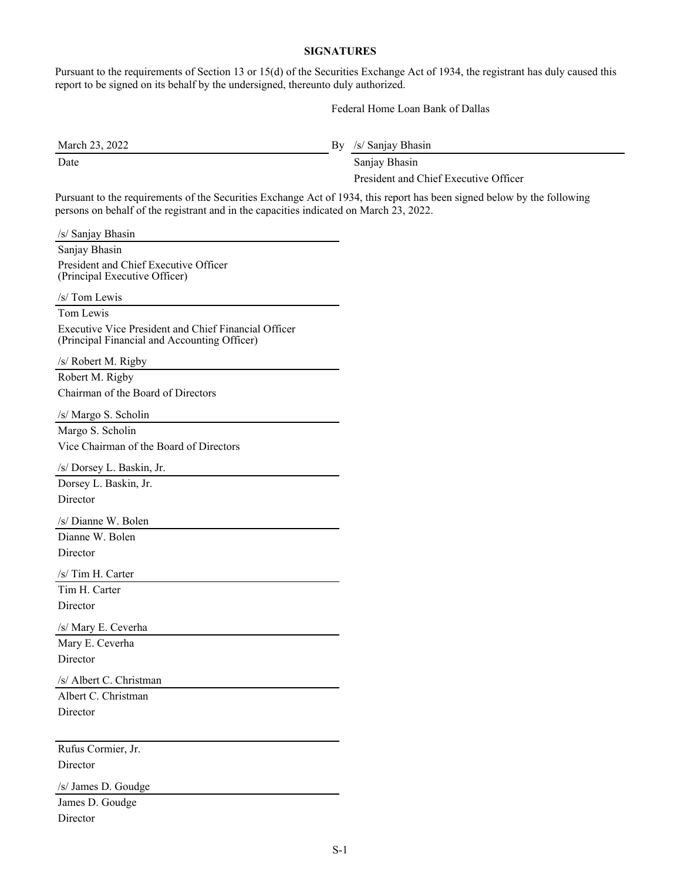# **SIGNATURES**

Pursuant to the requirements of Section 13 or 15(d) of the Securities Exchange Act of 1934, the registrant has duly caused this report to be signed on its behalf by the undersigned, thereunto duly authorized.

Federal Home Loan Bank of Dallas

Date Sanjay Bhasin

March 23, 2022 By /s/ Sanjay Bhasin

President and Chief Executive Officer

Pursuant to the requirements of the Securities Exchange Act of 1934, this report has been signed below by the following persons on behalf of the registrant and in the capacities indicated on March 23, 2022.

| /s/ Sanjay Bhasin                                                                                    |
|------------------------------------------------------------------------------------------------------|
| Sanjay Bhasin                                                                                        |
| President and Chief Executive Officer<br>(Principal Executive Officer)                               |
| /s/ Tom Lewis                                                                                        |
| Tom Lewis                                                                                            |
| Executive Vice President and Chief Financial Officer<br>(Principal Financial and Accounting Officer) |
| /s/ Robert M. Rigby                                                                                  |
| Robert M. Rigby                                                                                      |
| Chairman of the Board of Directors                                                                   |
| /s/ Margo S. Scholin                                                                                 |
| Margo S. Scholin                                                                                     |
| Vice Chairman of the Board of Directors                                                              |
| /s/ Dorsey L. Baskin, Jr.                                                                            |
| Dorsey L. Baskin, Jr.                                                                                |
| Director                                                                                             |
| /s/ Dianne W. Bolen                                                                                  |
| Dianne W. Bolen                                                                                      |
| Director                                                                                             |
| /s/ Tim H. Carter                                                                                    |
| Tim H. Carter                                                                                        |
| Director                                                                                             |
| /s/ Mary E. Ceverha                                                                                  |
| Mary E. Ceverha                                                                                      |
| Director                                                                                             |
| /s/ Albert C. Christman                                                                              |
| Albert C. Christman                                                                                  |
| Director                                                                                             |
|                                                                                                      |
| Rufus Cormier, Jr.                                                                                   |
| Director                                                                                             |
| /s/ James D. Goudge                                                                                  |
| James D. Goudge                                                                                      |
| Director                                                                                             |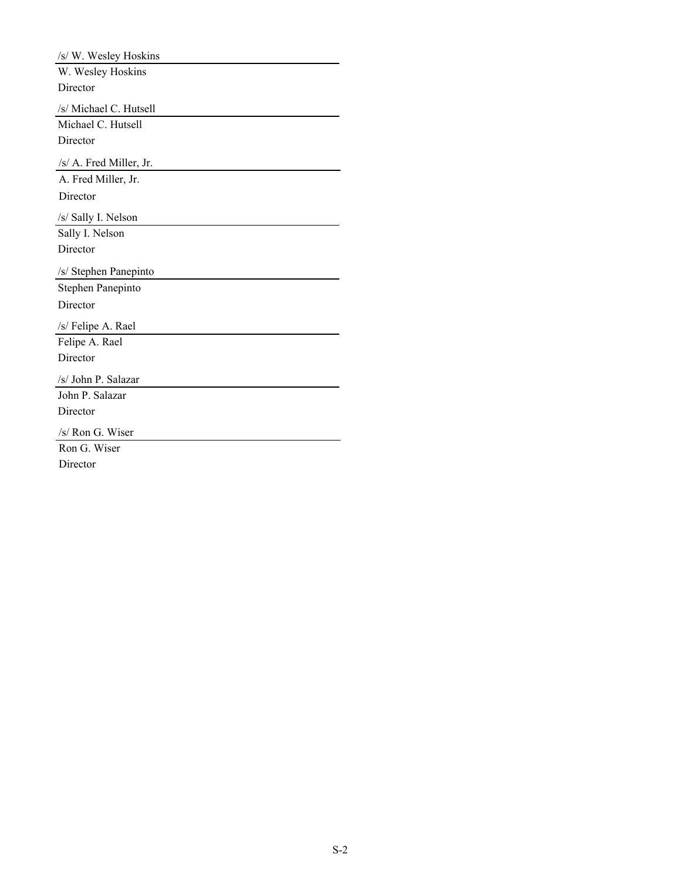| /s/ W. Wesley Hoskins   |
|-------------------------|
| W. Wesley Hoskins       |
| Director                |
| /s/ Michael C. Hutsell  |
| Michael C. Hutsell      |
| Director                |
| /s/ A. Fred Miller, Jr. |
| A. Fred Miller, Jr.     |
| Director                |
| /s/ Sally I. Nelson     |
| Sally I. Nelson         |
| Director                |
|                         |
| /s/ Stephen Panepinto   |
| Stephen Panepinto       |
| Director                |
| /s/ Felipe A. Rael      |
| Felipe A. Rael          |
| Director                |
| /s/ John P. Salazar     |
| John P. Salazar         |
| Director                |
| /s/ Ron G. Wiser        |
| Ron G. Wiser            |
| Director                |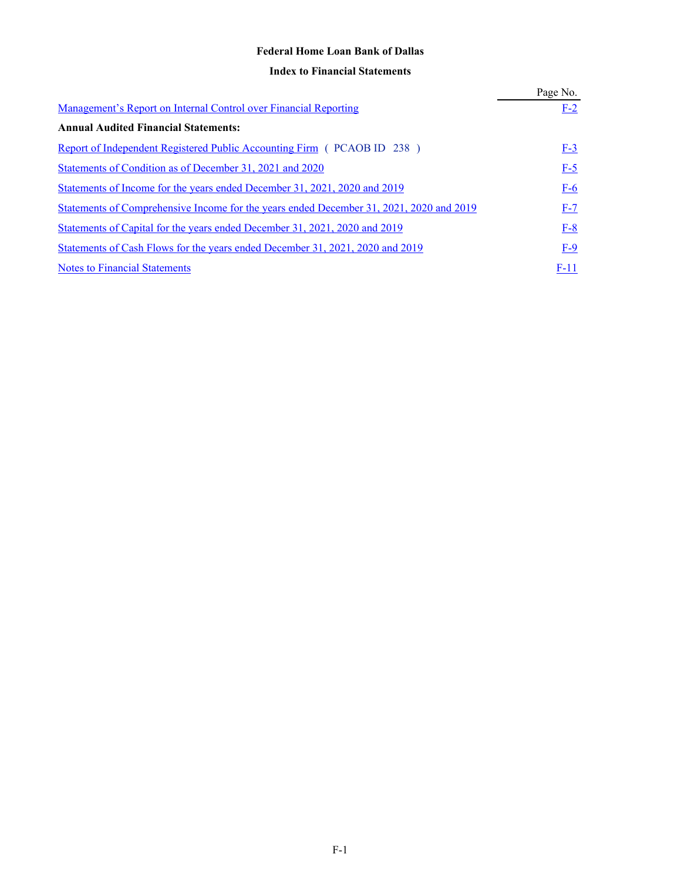# **Federal Home Loan Bank of Dallas**

# **Index to Financial Statements**

|                                                                                         | Page No. |
|-----------------------------------------------------------------------------------------|----------|
| Management's Report on Internal Control over Financial Reporting                        | $F-2$    |
| <b>Annual Audited Financial Statements:</b>                                             |          |
| Report of Independent Registered Public Accounting Firm (PCAOB ID 238)                  | $F-3$    |
| Statements of Condition as of December 31, 2021 and 2020                                | $F-5$    |
| Statements of Income for the years ended December 31, 2021, 2020 and 2019               | $F-6$    |
| Statements of Comprehensive Income for the years ended December 31, 2021, 2020 and 2019 | $F-7$    |
| Statements of Capital for the years ended December 31, 2021, 2020 and 2019              | $F-8$    |
| Statements of Cash Flows for the years ended December 31, 2021, 2020 and 2019           | $F-9$    |
| <b>Notes to Financial Statements</b>                                                    | F-11     |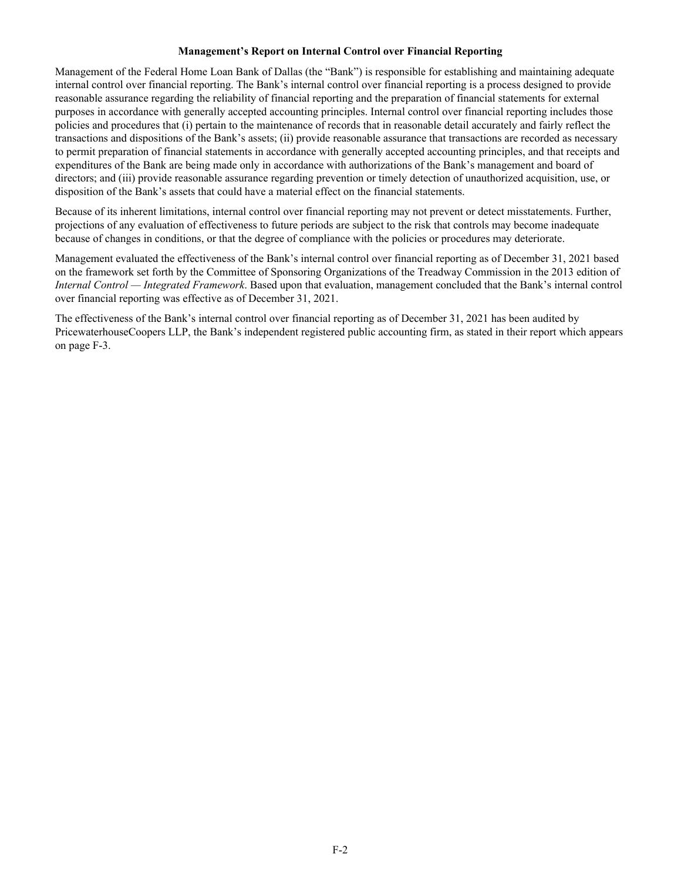#### **Management's Report on Internal Control over Financial Reporting**

Management of the Federal Home Loan Bank of Dallas (the "Bank") is responsible for establishing and maintaining adequate internal control over financial reporting. The Bank's internal control over financial reporting is a process designed to provide reasonable assurance regarding the reliability of financial reporting and the preparation of financial statements for external purposes in accordance with generally accepted accounting principles. Internal control over financial reporting includes those policies and procedures that (i) pertain to the maintenance of records that in reasonable detail accurately and fairly reflect the transactions and dispositions of the Bank's assets; (ii) provide reasonable assurance that transactions are recorded as necessary to permit preparation of financial statements in accordance with generally accepted accounting principles, and that receipts and expenditures of the Bank are being made only in accordance with authorizations of the Bank's management and board of directors; and (iii) provide reasonable assurance regarding prevention or timely detection of unauthorized acquisition, use, or disposition of the Bank's assets that could have a material effect on the financial statements.

Because of its inherent limitations, internal control over financial reporting may not prevent or detect misstatements. Further, projections of any evaluation of effectiveness to future periods are subject to the risk that controls may become inadequate because of changes in conditions, or that the degree of compliance with the policies or procedures may deteriorate.

Management evaluated the effectiveness of the Bank's internal control over financial reporting as of December 31, 2021 based on the framework set forth by the Committee of Sponsoring Organizations of the Treadway Commission in the 2013 edition of *Internal Control — Integrated Framework*. Based upon that evaluation, management concluded that the Bank's internal control over financial reporting was effective as of December 31, 2021.

The effectiveness of the Bank's internal control over financial reporting as of December 31, 2021 has been audited by PricewaterhouseCoopers LLP, the Bank's independent registered public accounting firm, as stated in their report which appears on page F-3.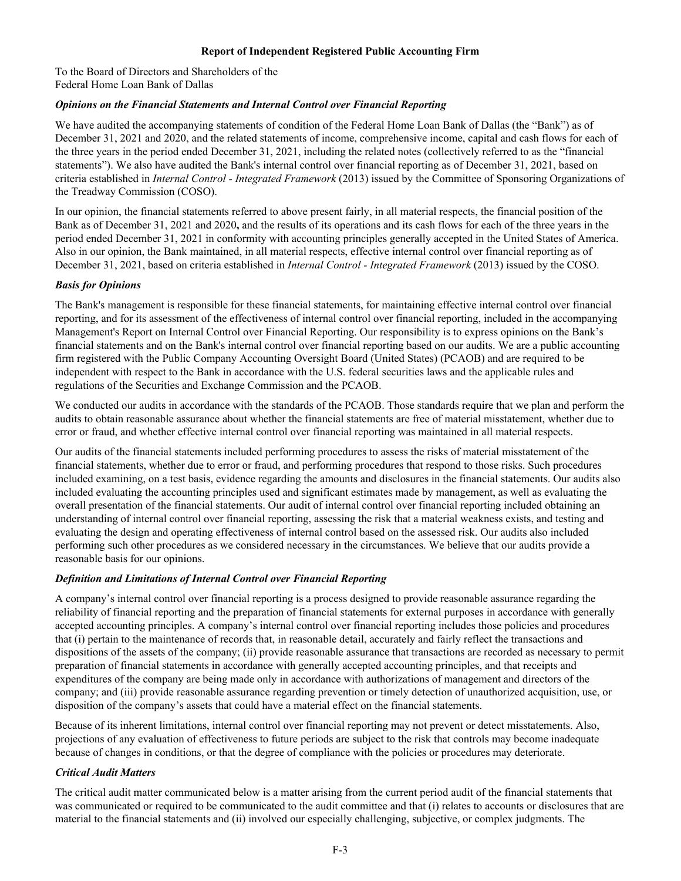### **Report of Independent Registered Public Accounting Firm**

To the Board of Directors and Shareholders of the Federal Home Loan Bank of Dallas

# *Opinions on the Financial Statements and Internal Control over Financial Reporting*

We have audited the accompanying statements of condition of the Federal Home Loan Bank of Dallas (the "Bank") as of December 31, 2021 and 2020, and the related statements of income, comprehensive income, capital and cash flows for each of the three years in the period ended December 31, 2021, including the related notes (collectively referred to as the "financial statements"). We also have audited the Bank's internal control over financial reporting as of December 31, 2021, based on criteria established in *Internal Control - Integrated Framework* (2013) issued by the Committee of Sponsoring Organizations of the Treadway Commission (COSO).

In our opinion, the financial statements referred to above present fairly, in all material respects, the financial position of the Bank as of December 31, 2021 and 2020**,** and the results of its operations and its cash flows for each of the three years in the period ended December 31, 2021 in conformity with accounting principles generally accepted in the United States of America. Also in our opinion, the Bank maintained, in all material respects, effective internal control over financial reporting as of December 31, 2021, based on criteria established in *Internal Control - Integrated Framework* (2013) issued by the COSO.

# *Basis for Opinions*

The Bank's management is responsible for these financial statements, for maintaining effective internal control over financial reporting, and for its assessment of the effectiveness of internal control over financial reporting, included in the accompanying Management's Report on Internal Control over Financial Reporting. Our responsibility is to express opinions on the Bank's financial statements and on the Bank's internal control over financial reporting based on our audits. We are a public accounting firm registered with the Public Company Accounting Oversight Board (United States) (PCAOB) and are required to be independent with respect to the Bank in accordance with the U.S. federal securities laws and the applicable rules and regulations of the Securities and Exchange Commission and the PCAOB.

We conducted our audits in accordance with the standards of the PCAOB. Those standards require that we plan and perform the audits to obtain reasonable assurance about whether the financial statements are free of material misstatement, whether due to error or fraud, and whether effective internal control over financial reporting was maintained in all material respects.

Our audits of the financial statements included performing procedures to assess the risks of material misstatement of the financial statements, whether due to error or fraud, and performing procedures that respond to those risks. Such procedures included examining, on a test basis, evidence regarding the amounts and disclosures in the financial statements. Our audits also included evaluating the accounting principles used and significant estimates made by management, as well as evaluating the overall presentation of the financial statements. Our audit of internal control over financial reporting included obtaining an understanding of internal control over financial reporting, assessing the risk that a material weakness exists, and testing and evaluating the design and operating effectiveness of internal control based on the assessed risk. Our audits also included performing such other procedures as we considered necessary in the circumstances. We believe that our audits provide a reasonable basis for our opinions.

# *Definition and Limitations of Internal Control over Financial Reporting*

A company's internal control over financial reporting is a process designed to provide reasonable assurance regarding the reliability of financial reporting and the preparation of financial statements for external purposes in accordance with generally accepted accounting principles. A company's internal control over financial reporting includes those policies and procedures that (i) pertain to the maintenance of records that, in reasonable detail, accurately and fairly reflect the transactions and dispositions of the assets of the company; (ii) provide reasonable assurance that transactions are recorded as necessary to permit preparation of financial statements in accordance with generally accepted accounting principles, and that receipts and expenditures of the company are being made only in accordance with authorizations of management and directors of the company; and (iii) provide reasonable assurance regarding prevention or timely detection of unauthorized acquisition, use, or disposition of the company's assets that could have a material effect on the financial statements.

Because of its inherent limitations, internal control over financial reporting may not prevent or detect misstatements. Also, projections of any evaluation of effectiveness to future periods are subject to the risk that controls may become inadequate because of changes in conditions, or that the degree of compliance with the policies or procedures may deteriorate.

### *Critical Audit Matters*

The critical audit matter communicated below is a matter arising from the current period audit of the financial statements that was communicated or required to be communicated to the audit committee and that (i) relates to accounts or disclosures that are material to the financial statements and (ii) involved our especially challenging, subjective, or complex judgments. The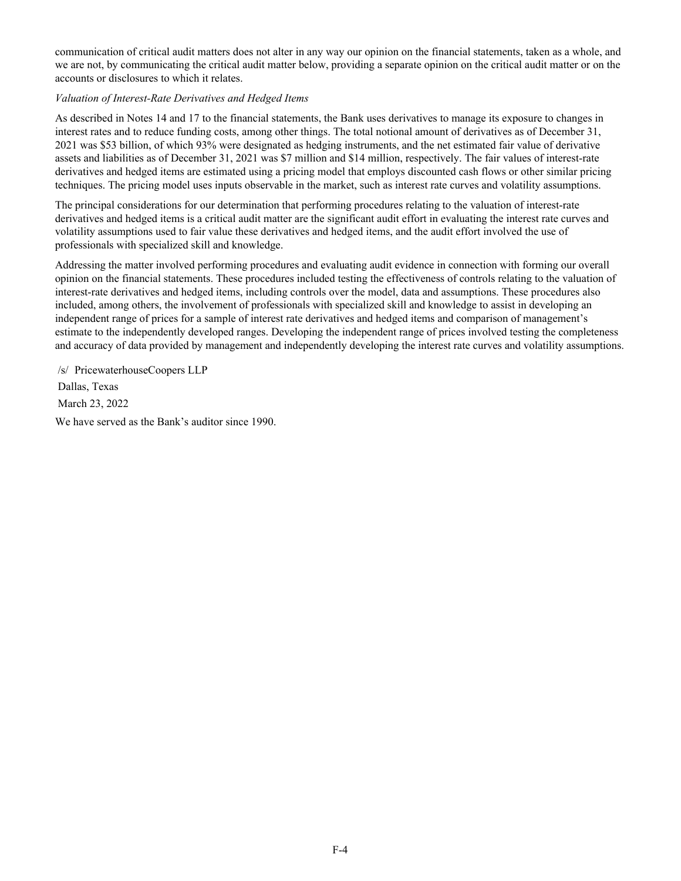communication of critical audit matters does not alter in any way our opinion on the financial statements, taken as a whole, and we are not, by communicating the critical audit matter below, providing a separate opinion on the critical audit matter or on the accounts or disclosures to which it relates.

# *Valuation of Interest-Rate Derivatives and Hedged Items*

As described in Notes 14 and 17 to the financial statements, the Bank uses derivatives to manage its exposure to changes in interest rates and to reduce funding costs, among other things. The total notional amount of derivatives as of December 31, 2021 was \$53 billion, of which 93% were designated as hedging instruments, and the net estimated fair value of derivative assets and liabilities as of December 31, 2021 was \$7 million and \$14 million, respectively. The fair values of interest-rate derivatives and hedged items are estimated using a pricing model that employs discounted cash flows or other similar pricing techniques. The pricing model uses inputs observable in the market, such as interest rate curves and volatility assumptions.

The principal considerations for our determination that performing procedures relating to the valuation of interest-rate derivatives and hedged items is a critical audit matter are the significant audit effort in evaluating the interest rate curves and volatility assumptions used to fair value these derivatives and hedged items, and the audit effort involved the use of professionals with specialized skill and knowledge.

Addressing the matter involved performing procedures and evaluating audit evidence in connection with forming our overall opinion on the financial statements. These procedures included testing the effectiveness of controls relating to the valuation of interest-rate derivatives and hedged items, including controls over the model, data and assumptions. These procedures also included, among others, the involvement of professionals with specialized skill and knowledge to assist in developing an independent range of prices for a sample of interest rate derivatives and hedged items and comparison of management's estimate to the independently developed ranges. Developing the independent range of prices involved testing the completeness and accuracy of data provided by management and independently developing the interest rate curves and volatility assumptions.

/s/ PricewaterhouseCoopers LLP Dallas, Texas March 23, 2022 We have served as the Bank's auditor since 1990.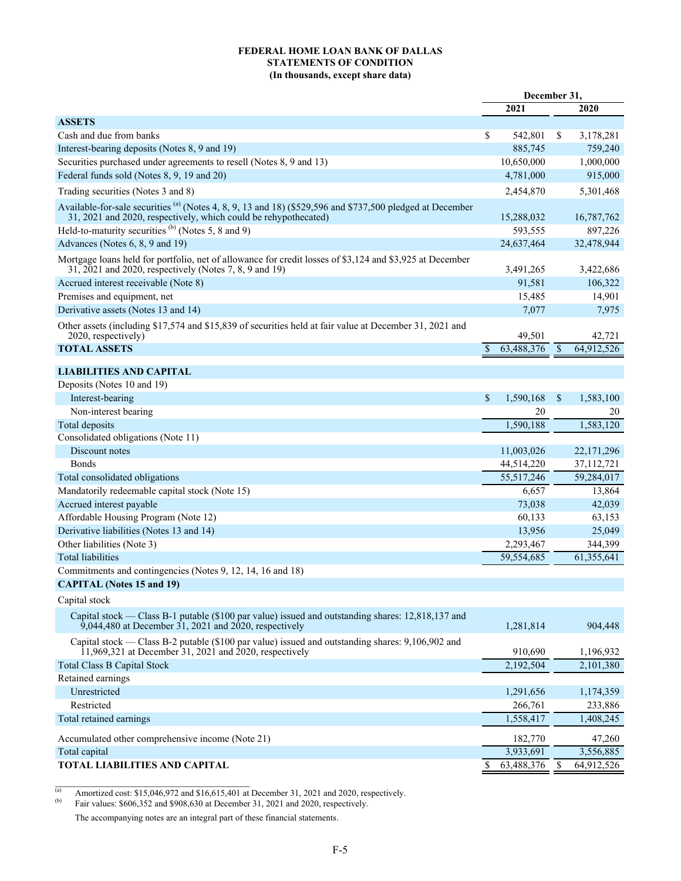#### **FEDERAL HOME LOAN BANK OF DALLAS STATEMENTS OF CONDITION (In thousands, except share data)**

|                                                                                                                                                                                         | December 31, |              |               |              |
|-----------------------------------------------------------------------------------------------------------------------------------------------------------------------------------------|--------------|--------------|---------------|--------------|
|                                                                                                                                                                                         |              | 2021         |               | 2020         |
| <b>ASSETS</b>                                                                                                                                                                           |              |              |               |              |
| Cash and due from banks                                                                                                                                                                 | \$           | 542,801      | S.            | 3,178,281    |
| Interest-bearing deposits (Notes 8, 9 and 19)                                                                                                                                           |              | 885,745      |               | 759,240      |
| Securities purchased under agreements to resell (Notes 8, 9 and 13)                                                                                                                     |              | 10,650,000   |               | 1,000,000    |
| Federal funds sold (Notes 8, 9, 19 and 20)                                                                                                                                              |              | 4,781,000    |               | 915,000      |
| Trading securities (Notes 3 and 8)                                                                                                                                                      |              | 2,454,870    |               | 5,301,468    |
| Available-for-sale securities <sup>(a)</sup> (Notes 4, 8, 9, 13 and 18) (\$529,596 and \$737,500 pledged at December<br>31, 2021 and 2020, respectively, which could be rehypothecated) |              | 15,288,032   |               | 16,787,762   |
| Held-to-maturity securities <sup>(b)</sup> (Notes 5, 8 and 9)                                                                                                                           |              | 593,555      |               | 897,226      |
| Advances (Notes 6, 8, 9 and 19)                                                                                                                                                         |              | 24,637,464   |               | 32,478,944   |
| Mortgage loans held for portfolio, net of allowance for credit losses of \$3,124 and \$3,925 at December<br>31, 2021 and 2020, respectively (Notes 7, 8, 9 and 19)                      |              | 3,491,265    |               | 3,422,686    |
| Accrued interest receivable (Note 8)                                                                                                                                                    |              | 91,581       |               | 106,322      |
| Premises and equipment, net                                                                                                                                                             |              | 15,485       |               | 14,901       |
| Derivative assets (Notes 13 and 14)                                                                                                                                                     |              | 7,077        |               | 7,975        |
| Other assets (including \$17,574 and \$15,839 of securities held at fair value at December 31, 2021 and<br>2020, respectively)                                                          |              | 49,501       |               | 42,721       |
| <b>TOTAL ASSETS</b>                                                                                                                                                                     | $\mathbb{S}$ | 63,488,376   | $\mathcal{S}$ | 64,912,526   |
|                                                                                                                                                                                         |              |              |               |              |
| <b>LIABILITIES AND CAPITAL</b>                                                                                                                                                          |              |              |               |              |
| Deposits (Notes 10 and 19)                                                                                                                                                              |              |              |               |              |
| Interest-bearing                                                                                                                                                                        | \$           | 1,590,168    | \$            | 1,583,100    |
| Non-interest bearing                                                                                                                                                                    |              | 20           |               | 20           |
| Total deposits                                                                                                                                                                          |              | 1,590,188    |               | 1,583,120    |
| Consolidated obligations (Note 11)                                                                                                                                                      |              |              |               |              |
| Discount notes                                                                                                                                                                          |              | 11,003,026   |               | 22, 171, 296 |
| <b>Bonds</b>                                                                                                                                                                            |              | 44,514,220   |               | 37,112,721   |
| Total consolidated obligations                                                                                                                                                          |              | 55, 517, 246 |               | 59,284,017   |
| Mandatorily redeemable capital stock (Note 15)                                                                                                                                          |              | 6,657        |               | 13,864       |
| Accrued interest payable                                                                                                                                                                |              | 73,038       |               | 42,039       |
| Affordable Housing Program (Note 12)                                                                                                                                                    |              | 60,133       |               | 63,153       |
| Derivative liabilities (Notes 13 and 14)                                                                                                                                                |              | 13,956       |               | 25,049       |
| Other liabilities (Note 3)                                                                                                                                                              |              | 2,293,467    |               | 344,399      |
| <b>Total liabilities</b>                                                                                                                                                                |              | 59,554,685   |               | 61,355,641   |
| Commitments and contingencies (Notes 9, 12, 14, 16 and 18)                                                                                                                              |              |              |               |              |
| <b>CAPITAL (Notes 15 and 19)</b>                                                                                                                                                        |              |              |               |              |
| Capital stock                                                                                                                                                                           |              |              |               |              |
| Capital stock — Class B-1 putable (\$100 par value) issued and outstanding shares: 12,818,137 and<br>9,044,480 at December 31, 2021 and $2020$ , respectively                           |              | 1,281,814    |               | 904,448      |
| Capital stock — Class B-2 putable (\$100 par value) issued and outstanding shares: 9,106,902 and<br>$11,969,321$ at December 31, 2021 and 2020, respectively                            |              | 910,690      |               | 1,196,932    |
| <b>Total Class B Capital Stock</b>                                                                                                                                                      |              | 2,192,504    |               | 2,101,380    |
| Retained earnings                                                                                                                                                                       |              |              |               |              |
| Unrestricted                                                                                                                                                                            |              | 1,291,656    |               | 1,174,359    |
| Restricted                                                                                                                                                                              |              | 266,761      |               | 233,886      |
| Total retained earnings                                                                                                                                                                 |              | 1,558,417    |               | 1,408,245    |
| Accumulated other comprehensive income (Note 21)                                                                                                                                        |              | 182,770      |               | 47,260       |
| Total capital                                                                                                                                                                           |              | 3,933,691    |               | 3,556,885    |
| <b>TOTAL LIABILITIES AND CAPITAL</b>                                                                                                                                                    | \$           | 63,488,376   | <sup>\$</sup> | 64,912,526   |

(a) Amortized cost: \$15,046,972 and \$16,615,401 at December 31, 2021 and 2020, respectively.<br>
Fair values: \$606,352 and \$908,630 at December 31, 2021 and 2020, respectively.

Fair values: \$606,352 and \$908,630 at December 31, 2021 and 2020, respectively.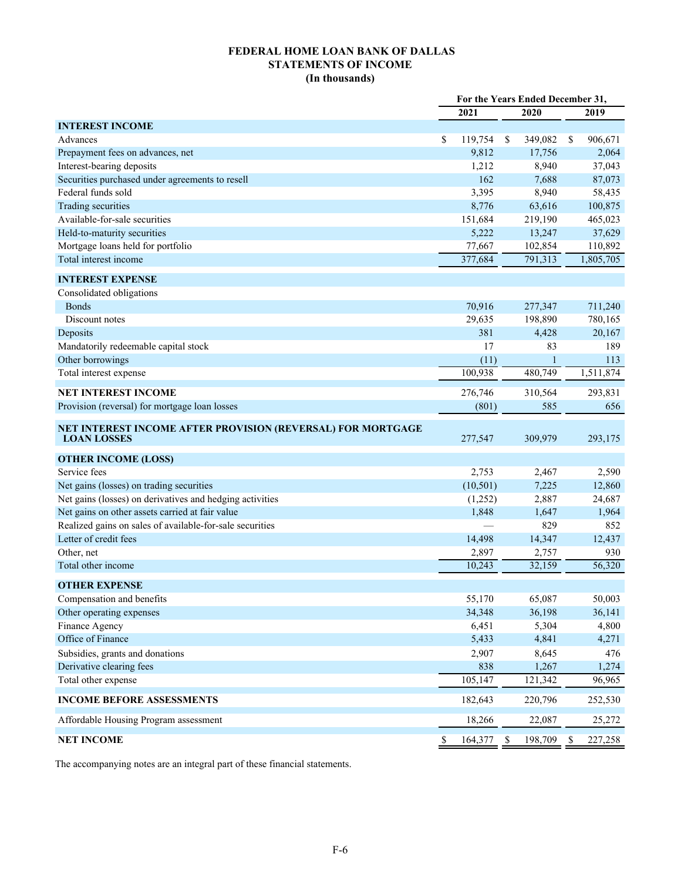# **FEDERAL HOME LOAN BANK OF DALLAS STATEMENTS OF INCOME (In thousands)**

|                                                                                   | For the Years Ended December 31, |           |    |              |     |           |
|-----------------------------------------------------------------------------------|----------------------------------|-----------|----|--------------|-----|-----------|
|                                                                                   |                                  | 2021      |    | 2020         |     | 2019      |
| <b>INTEREST INCOME</b>                                                            |                                  |           |    |              |     |           |
| Advances                                                                          | \$                               | 119,754   | \$ | 349,082      | \$  | 906,671   |
| Prepayment fees on advances, net                                                  |                                  | 9,812     |    | 17,756       |     | 2,064     |
| Interest-bearing deposits                                                         |                                  | 1,212     |    | 8,940        |     | 37,043    |
| Securities purchased under agreements to resell                                   |                                  | 162       |    | 7,688        |     | 87,073    |
| Federal funds sold                                                                |                                  | 3,395     |    | 8,940        |     | 58,435    |
| Trading securities                                                                |                                  | 8,776     |    | 63,616       |     | 100,875   |
| Available-for-sale securities                                                     |                                  | 151,684   |    | 219,190      |     | 465,023   |
| Held-to-maturity securities                                                       |                                  | 5,222     |    | 13,247       |     | 37,629    |
| Mortgage loans held for portfolio                                                 |                                  | 77,667    |    | 102,854      |     | 110,892   |
| Total interest income                                                             |                                  | 377,684   |    | 791,313      |     | 1,805,705 |
| <b>INTEREST EXPENSE</b>                                                           |                                  |           |    |              |     |           |
| Consolidated obligations                                                          |                                  |           |    |              |     |           |
| <b>Bonds</b>                                                                      |                                  | 70,916    |    | 277,347      |     | 711,240   |
| Discount notes                                                                    |                                  | 29,635    |    | 198,890      |     | 780,165   |
| Deposits                                                                          |                                  | 381       |    | 4,428        |     | 20,167    |
| Mandatorily redeemable capital stock                                              |                                  | 17        |    | 83           |     | 189       |
| Other borrowings                                                                  |                                  | (11)      |    | $\mathbf{1}$ |     | 113       |
| Total interest expense                                                            |                                  | 100,938   |    | 480,749      |     | 1,511,874 |
| <b>NET INTEREST INCOME</b>                                                        |                                  | 276,746   |    | 310,564      |     | 293,831   |
| Provision (reversal) for mortgage loan losses                                     |                                  | (801)     |    | 585          |     | 656       |
| NET INTEREST INCOME AFTER PROVISION (REVERSAL) FOR MORTGAGE<br><b>LOAN LOSSES</b> |                                  | 277,547   |    | 309,979      |     | 293,175   |
| <b>OTHER INCOME (LOSS)</b>                                                        |                                  |           |    |              |     |           |
| Service fees                                                                      |                                  | 2,753     |    | 2,467        |     | 2,590     |
| Net gains (losses) on trading securities                                          |                                  | (10, 501) |    | 7,225        |     | 12,860    |
| Net gains (losses) on derivatives and hedging activities                          |                                  | (1,252)   |    | 2,887        |     | 24,687    |
| Net gains on other assets carried at fair value                                   |                                  | 1,848     |    | 1,647        |     | 1,964     |
| Realized gains on sales of available-for-sale securities                          |                                  |           |    | 829          |     | 852       |
| Letter of credit fees                                                             |                                  | 14,498    |    | 14,347       |     | 12,437    |
| Other, net                                                                        |                                  | 2,897     |    | 2,757        |     | 930       |
| Total other income                                                                |                                  | 10,243    |    | 32,159       |     | 56,320    |
| <b>OTHER EXPENSE</b>                                                              |                                  |           |    |              |     |           |
| Compensation and benefits                                                         |                                  | 55,170    |    | 65,087       |     | 50,003    |
| Other operating expenses                                                          |                                  | 34,348    |    | 36,198       |     | 36,141    |
| Finance Agency                                                                    |                                  | 6,451     |    | 5,304        |     | 4,800     |
| Office of Finance                                                                 |                                  | 5,433     |    | 4,841        |     | 4,271     |
| Subsidies, grants and donations                                                   |                                  | 2,907     |    | 8,645        |     | 476       |
| Derivative clearing fees                                                          |                                  | 838       |    | 1,267        |     | 1,274     |
| Total other expense                                                               |                                  | 105,147   |    | 121,342      |     | 96,965    |
| <b>INCOME BEFORE ASSESSMENTS</b>                                                  |                                  | 182,643   |    | 220,796      |     | 252,530   |
| Affordable Housing Program assessment                                             |                                  | 18,266    |    | 22,087       |     | 25,272    |
| <b>NET INCOME</b>                                                                 | \$                               | 164,377   | \$ | 198,709      | -\$ | 227,258   |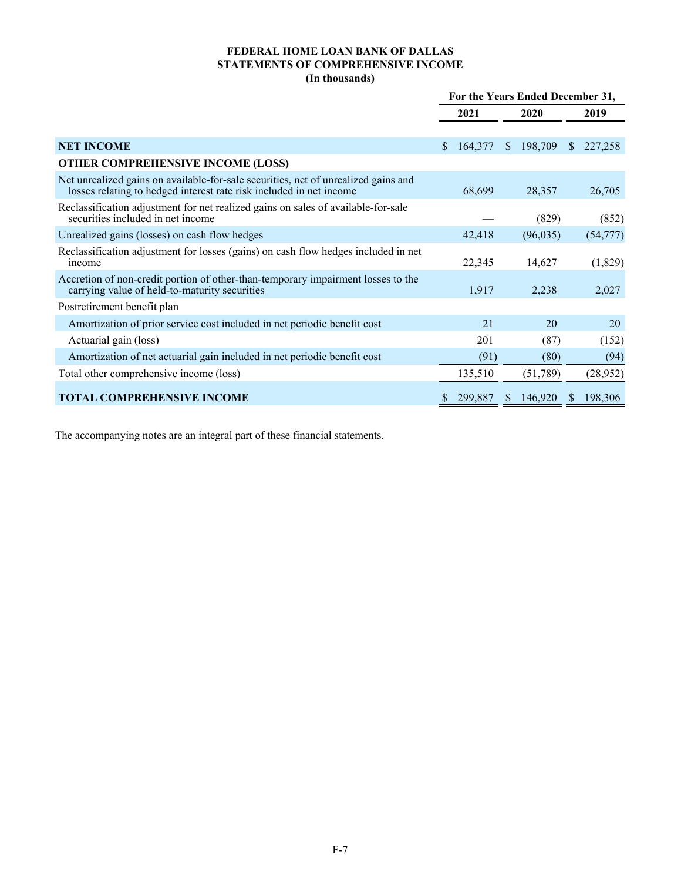# **FEDERAL HOME LOAN BANK OF DALLAS STATEMENTS OF COMPREHENSIVE INCOME (In thousands)**

|                                                                                                                                                           | For the Years Ended December 31, |         |               |          |               |           |
|-----------------------------------------------------------------------------------------------------------------------------------------------------------|----------------------------------|---------|---------------|----------|---------------|-----------|
|                                                                                                                                                           | 2021                             |         |               | 2020     |               | 2019      |
|                                                                                                                                                           |                                  |         |               |          |               |           |
| <b>NET INCOME</b>                                                                                                                                         | S.                               | 164,377 | <sup>S</sup>  | 198,709  | <sup>\$</sup> | 227,258   |
| <b>OTHER COMPREHENSIVE INCOME (LOSS)</b>                                                                                                                  |                                  |         |               |          |               |           |
| Net unrealized gains on available-for-sale securities, net of unrealized gains and<br>losses relating to hedged interest rate risk included in net income |                                  | 68,699  |               | 28,357   |               | 26,705    |
| Reclassification adjustment for net realized gains on sales of available-for-sale<br>securities included in net income                                    |                                  |         |               | (829)    |               | (852)     |
| Unrealized gains (losses) on cash flow hedges                                                                                                             |                                  | 42,418  |               | (96,035) |               | (54, 777) |
| Reclassification adjustment for losses (gains) on cash flow hedges included in net<br>income                                                              |                                  | 22,345  |               | 14,627   |               | (1,829)   |
| Accretion of non-credit portion of other-than-temporary impairment losses to the<br>carrying value of held-to-maturity securities                         |                                  | 1,917   |               | 2,238    |               | 2,027     |
| Postretirement benefit plan                                                                                                                               |                                  |         |               |          |               |           |
| Amortization of prior service cost included in net periodic benefit cost                                                                                  |                                  | 21      |               | 20       |               | 20        |
| Actuarial gain (loss)                                                                                                                                     |                                  | 201     |               | (87)     |               | (152)     |
| Amortization of net actuarial gain included in net periodic benefit cost                                                                                  |                                  | (91)    |               | (80)     |               | (94)      |
| Total other comprehensive income (loss)                                                                                                                   |                                  | 135,510 |               | (51,789) |               | (28, 952) |
| <b>TOTAL COMPREHENSIVE INCOME</b>                                                                                                                         |                                  | 299,887 | <sup>\$</sup> | 146,920  | S             | 198,306   |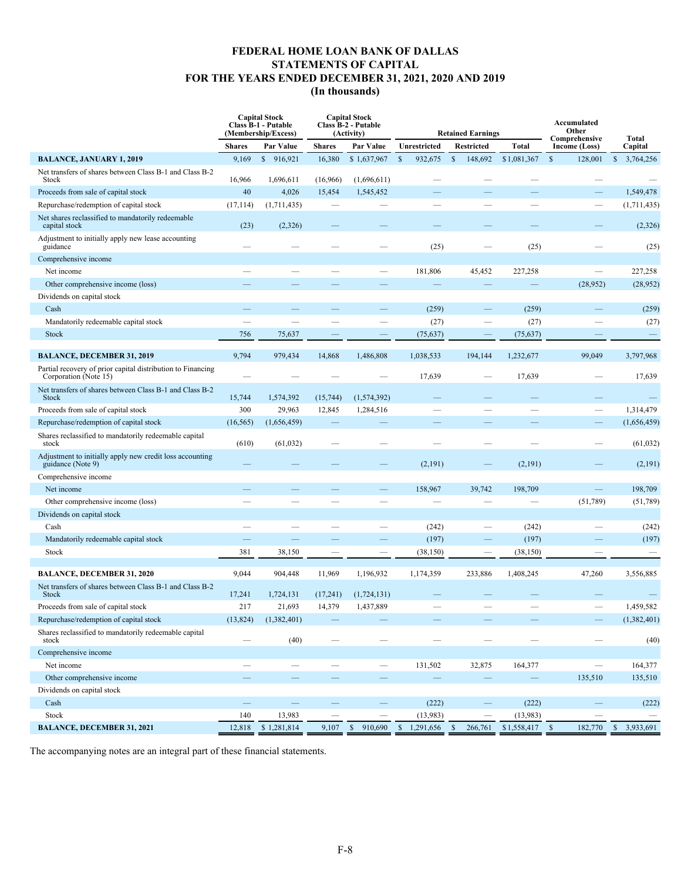# **FEDERAL HOME LOAN BANK OF DALLAS STATEMENTS OF CAPITAL FOR THE YEARS ENDED DECEMBER 31, 2021, 2020 AND 2019 (In thousands)**

|                                                                                      |               | <b>Capital Stock</b><br><b>Class B-1 - Putable</b><br>(Membership/Excess) |                          | <b>Capital Stock</b><br><b>Class B-2 - Putable</b><br>(Activity) | <b>Retained Earnings</b>  |                          |              | Accumulated<br>Other<br>Comprehensive |                           |
|--------------------------------------------------------------------------------------|---------------|---------------------------------------------------------------------------|--------------------------|------------------------------------------------------------------|---------------------------|--------------------------|--------------|---------------------------------------|---------------------------|
|                                                                                      | <b>Shares</b> | Par Value                                                                 | <b>Shares</b>            | Par Value                                                        | Unrestricted              | <b>Restricted</b>        | <b>Total</b> | Income (Loss)                         | Total<br>Capital          |
| <b>BALANCE, JANUARY 1, 2019</b>                                                      | 9,169         | $\mathbb{S}$<br>916,921                                                   | 16,380                   | \$1,637,967                                                      | $\mathsf{\$}$<br>932,675  | $\mathbb{S}$<br>148,692  | \$1,081,367  | $\mathbb{S}$<br>128,001               | $\mathbb{S}$<br>3,764,256 |
| Net transfers of shares between Class B-1 and Class B-2<br>Stock                     | 16,966        | 1,696,611                                                                 | (16,966)                 | (1,696,611)                                                      |                           |                          |              |                                       |                           |
| Proceeds from sale of capital stock                                                  | 40            | 4,026                                                                     | 15,454                   | 1,545,452                                                        |                           |                          |              |                                       | 1,549,478                 |
| Repurchase/redemption of capital stock                                               | (17, 114)     | (1,711,435)                                                               |                          |                                                                  | and the                   |                          | $\sim$       |                                       | (1,711,435)               |
| Net shares reclassified to mandatorily redeemable<br>capital stock                   | (23)          | (2,326)                                                                   |                          |                                                                  |                           |                          |              |                                       | (2, 326)                  |
| Adjustment to initially apply new lease accounting<br>guidance                       |               |                                                                           |                          |                                                                  | (25)                      |                          | (25)         |                                       | (25)                      |
| Comprehensive income                                                                 |               |                                                                           |                          |                                                                  |                           |                          |              |                                       |                           |
| Net income                                                                           |               |                                                                           |                          |                                                                  | 181,806                   | 45,452                   | 227,258      | $\equiv$                              | 227,258                   |
| Other comprehensive income (loss)                                                    |               |                                                                           |                          |                                                                  |                           |                          |              | (28,952)                              | (28, 952)                 |
| Dividends on capital stock                                                           |               |                                                                           |                          |                                                                  |                           |                          |              |                                       |                           |
| Cash                                                                                 |               |                                                                           |                          |                                                                  | (259)                     | $\overline{\phantom{0}}$ | (259)        |                                       | (259)                     |
| Mandatorily redeemable capital stock                                                 |               |                                                                           |                          |                                                                  | (27)                      | $\overline{\phantom{0}}$ | (27)         |                                       | (27)                      |
| <b>Stock</b>                                                                         | 756           | 75,637                                                                    |                          |                                                                  | (75, 637)                 |                          | (75, 637)    |                                       |                           |
| <b>BALANCE, DECEMBER 31, 2019</b>                                                    | 9,794         | 979,434                                                                   | 14,868                   | 1,486,808                                                        | 1,038,533                 | 194,144                  | 1,232,677    | 99,049                                | 3,797,968                 |
| Partial recovery of prior capital distribution to Financing<br>Corporation (Note 15) |               |                                                                           |                          |                                                                  | 17,639                    |                          | 17,639       |                                       | 17,639                    |
| Net transfers of shares between Class B-1 and Class B-2<br>Stock                     | 15,744        | 1,574,392                                                                 | (15, 744)                | (1,574,392)                                                      |                           |                          |              |                                       |                           |
| Proceeds from sale of capital stock                                                  | 300           | 29,963                                                                    | 12,845                   | 1,284,516                                                        |                           |                          |              |                                       | 1,314,479                 |
| Repurchase/redemption of capital stock                                               | (16, 565)     | (1,656,459)                                                               |                          |                                                                  |                           |                          |              |                                       | (1,656,459)               |
| Shares reclassified to mandatorily redeemable capital<br>stock                       | (610)         | (61, 032)                                                                 |                          |                                                                  |                           |                          |              |                                       | (61, 032)                 |
| Adjustment to initially apply new credit loss accounting<br>guidance (Note 9)        |               |                                                                           |                          |                                                                  | (2,191)                   |                          | (2, 191)     |                                       | (2,191)                   |
| Comprehensive income                                                                 |               |                                                                           |                          |                                                                  |                           |                          |              |                                       |                           |
| Net income                                                                           |               |                                                                           |                          |                                                                  | 158,967                   | 39,742                   | 198,709      | -                                     | 198,709                   |
| Other comprehensive income (loss)                                                    |               |                                                                           |                          |                                                                  |                           |                          |              | (51,789)                              | (51,789)                  |
| Dividends on capital stock                                                           |               |                                                                           |                          |                                                                  |                           |                          |              |                                       |                           |
| Cash                                                                                 |               |                                                                           |                          |                                                                  | (242)                     |                          | (242)        |                                       | (242)                     |
| Mandatorily redeemable capital stock                                                 |               |                                                                           |                          |                                                                  | (197)                     |                          | (197)        |                                       | (197)                     |
| Stock                                                                                | 381           | 38,150                                                                    |                          |                                                                  | (38, 150)                 | -                        | (38, 150)    |                                       | $\overline{\phantom{m}}$  |
| <b>BALANCE, DECEMBER 31, 2020</b>                                                    | 9,044         | 904,448                                                                   | 11,969                   | 1,196,932                                                        | 1,174,359                 | 233,886                  | 1,408,245    | 47,260                                | 3,556,885                 |
| Net transfers of shares between Class B-1 and Class B-2<br><b>Stock</b>              | 17,241        | 1,724,131                                                                 | (17,241)                 | (1,724,131)                                                      |                           |                          |              |                                       |                           |
| Proceeds from sale of capital stock                                                  | 217           | 21,693                                                                    | 14,379                   | 1,437,889                                                        |                           |                          |              |                                       | 1,459,582                 |
| Repurchase/redemption of capital stock                                               | (13,824)      | (1,382,401)                                                               |                          |                                                                  |                           |                          |              |                                       | (1,382,401)               |
| Shares reclassified to mandatorily redeemable capital<br>stock                       |               | (40)                                                                      |                          |                                                                  |                           |                          |              |                                       | (40)                      |
| Comprehensive income                                                                 |               |                                                                           |                          |                                                                  |                           |                          |              |                                       |                           |
| Net income                                                                           |               | $\qquad \qquad$                                                           |                          | $\qquad \qquad -$                                                | 131,502                   | 32,875                   | 164,377      |                                       | 164,377                   |
| Other comprehensive income                                                           |               |                                                                           |                          |                                                                  |                           |                          |              | 135,510                               | 135,510                   |
| Dividends on capital stock                                                           |               |                                                                           |                          |                                                                  |                           |                          |              |                                       |                           |
| Cash                                                                                 | $=$           | $\equiv$                                                                  | $\overline{\phantom{a}}$ | $\qquad \qquad -$                                                | (222)                     | $\qquad \qquad -$        | (222)        | $\equiv$                              | (222)                     |
| Stock                                                                                | 140           | 13,983                                                                    |                          |                                                                  | (13,983)                  |                          | (13,983)     |                                       |                           |
| <b>BALANCE, DECEMBER 31, 2021</b>                                                    | 12,818        | \$1,281,814                                                               | 9,107                    | \$<br>910,690                                                    | $\mathbb{S}$<br>1,291,656 | 266,761<br>\$            |              | 182,770                               | 3,933,691<br>$\mathbb{S}$ |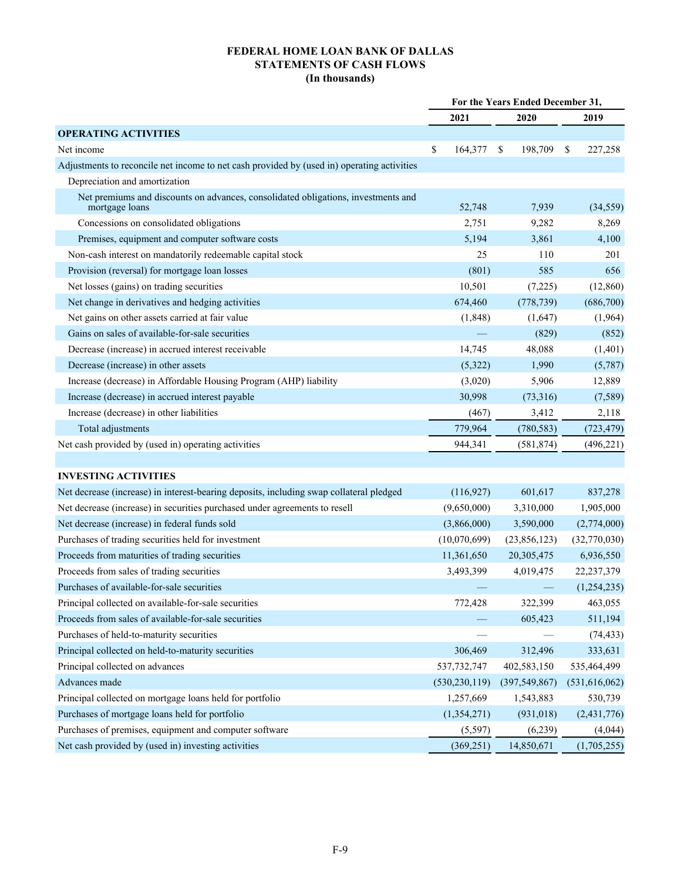# **FEDERAL HOME LOAN BANK OF DALLAS STATEMENTS OF CASH FLOWS (In thousands)**

|                                                                                                     | For the Years Ended December 31, |                 |                          |  |
|-----------------------------------------------------------------------------------------------------|----------------------------------|-----------------|--------------------------|--|
|                                                                                                     | 2021                             | 2020            | 2019                     |  |
| <b>OPERATING ACTIVITIES</b>                                                                         |                                  |                 |                          |  |
| Net income                                                                                          | \$<br>164,377                    | 198,709<br>\$   | 227,258<br><sup>\$</sup> |  |
| Adjustments to reconcile net income to net cash provided by (used in) operating activities          |                                  |                 |                          |  |
| Depreciation and amortization                                                                       |                                  |                 |                          |  |
| Net premiums and discounts on advances, consolidated obligations, investments and<br>mortgage loans | 52,748                           | 7,939           | (34, 559)                |  |
| Concessions on consolidated obligations                                                             | 2,751                            | 9,282           | 8,269                    |  |
| Premises, equipment and computer software costs                                                     | 5,194                            | 3,861           | 4,100                    |  |
| Non-cash interest on mandatorily redeemable capital stock                                           | 25                               | 110             | 201                      |  |
| Provision (reversal) for mortgage loan losses                                                       | (801)                            | 585             | 656                      |  |
| Net losses (gains) on trading securities                                                            | 10,501                           | (7,225)         | (12, 860)                |  |
| Net change in derivatives and hedging activities                                                    | 674,460                          | (778, 739)      | (686,700)                |  |
| Net gains on other assets carried at fair value                                                     | (1,848)                          | (1,647)         | (1,964)                  |  |
| Gains on sales of available-for-sale securities                                                     |                                  | (829)           | (852)                    |  |
| Decrease (increase) in accrued interest receivable                                                  | 14,745                           | 48,088          | (1,401)                  |  |
| Decrease (increase) in other assets                                                                 | (5,322)                          | 1,990           | (5,787)                  |  |
| Increase (decrease) in Affordable Housing Program (AHP) liability                                   | (3,020)                          | 5,906           | 12,889                   |  |
| Increase (decrease) in accrued interest payable                                                     | 30,998                           | (73,316)        | (7,589)                  |  |
| Increase (decrease) in other liabilities                                                            | (467)                            | 3,412           | 2,118                    |  |
| Total adjustments                                                                                   | 779,964                          | (780, 583)      | (723, 479)               |  |
| Net cash provided by (used in) operating activities                                                 | 944,341                          | (581, 874)      | (496, 221)               |  |
|                                                                                                     |                                  |                 |                          |  |
| <b>INVESTING ACTIVITIES</b>                                                                         |                                  |                 |                          |  |
| Net decrease (increase) in interest-bearing deposits, including swap collateral pledged             | (116, 927)                       | 601,617         | 837,278                  |  |
| Net decrease (increase) in securities purchased under agreements to resell                          | (9,650,000)                      | 3,310,000       | 1,905,000                |  |
| Net decrease (increase) in federal funds sold                                                       | (3,866,000)                      | 3,590,000       | (2,774,000)              |  |
| Purchases of trading securities held for investment                                                 | (10,070,699)                     | (23,856,123)    | (32,770,030)             |  |
| Proceeds from maturities of trading securities                                                      | 11,361,650                       | 20,305,475      | 6,936,550                |  |
| Proceeds from sales of trading securities                                                           | 3,493,399                        | 4,019,475       | 22,237,379               |  |
| Purchases of available-for-sale securities                                                          |                                  |                 | (1, 254, 235)            |  |
| Principal collected on available-for-sale securities                                                | 772,428                          | 322,399         | 463,055                  |  |
| Proceeds from sales of available-for-sale securities                                                |                                  | 605,423         | 511,194                  |  |
| Purchases of held-to-maturity securities                                                            |                                  |                 | (74, 433)                |  |
| Principal collected on held-to-maturity securities                                                  | 306,469                          | 312,496         | 333,631                  |  |
| Principal collected on advances                                                                     | 537, 732, 747                    | 402,583,150     | 535,464,499              |  |
| Advances made                                                                                       | (530, 230, 119)                  | (397, 549, 867) | (531,616,062)            |  |
| Principal collected on mortgage loans held for portfolio                                            | 1,257,669                        | 1,543,883       | 530,739                  |  |
| Purchases of mortgage loans held for portfolio                                                      | (1,354,271)                      | (931, 018)      | (2,431,776)              |  |
| Purchases of premises, equipment and computer software                                              | (5, 597)                         | (6,239)         | (4,044)                  |  |
| Net cash provided by (used in) investing activities                                                 | (369, 251)                       | 14,850,671      | (1,705,255)              |  |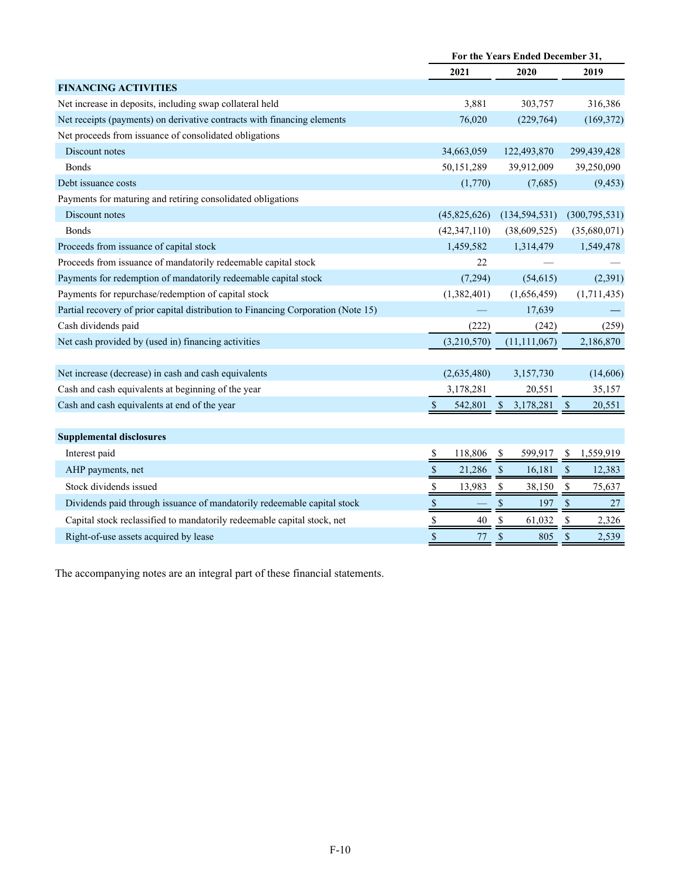|                                                                                   | For the Years Ended December 31, |                        |                         |  |  |
|-----------------------------------------------------------------------------------|----------------------------------|------------------------|-------------------------|--|--|
|                                                                                   | 2021                             | 2020                   | 2019                    |  |  |
| <b>FINANCING ACTIVITIES</b>                                                       |                                  |                        |                         |  |  |
| Net increase in deposits, including swap collateral held                          | 3,881                            | 303,757                | 316,386                 |  |  |
| Net receipts (payments) on derivative contracts with financing elements           | 76,020                           | (229, 764)             | (169, 372)              |  |  |
| Net proceeds from issuance of consolidated obligations                            |                                  |                        |                         |  |  |
| Discount notes                                                                    | 34,663,059                       | 122,493,870            | 299,439,428             |  |  |
| <b>Bonds</b>                                                                      | 50,151,289                       | 39,912,009             | 39,250,090              |  |  |
| Debt issuance costs                                                               | (1,770)                          | (7,685)                | (9, 453)                |  |  |
| Payments for maturing and retiring consolidated obligations                       |                                  |                        |                         |  |  |
| Discount notes                                                                    | (45,825,626)                     | (134, 594, 531)        | (300, 795, 531)         |  |  |
| <b>Bonds</b>                                                                      | (42, 347, 110)                   | (38,609,525)           | (35,680,071)            |  |  |
| Proceeds from issuance of capital stock                                           | 1,459,582                        | 1,314,479              | 1,549,478               |  |  |
| Proceeds from issuance of mandatorily redeemable capital stock                    | 22                               |                        |                         |  |  |
| Payments for redemption of mandatorily redeemable capital stock                   | (7,294)                          | (54, 615)              | (2,391)                 |  |  |
| Payments for repurchase/redemption of capital stock                               | (1,382,401)                      | (1,656,459)            | (1,711,435)             |  |  |
| Partial recovery of prior capital distribution to Financing Corporation (Note 15) |                                  | 17,639                 |                         |  |  |
| Cash dividends paid                                                               | (222)                            | (242)                  | (259)                   |  |  |
| Net cash provided by (used in) financing activities                               | (3,210,570)                      | (11, 111, 067)         | 2,186,870               |  |  |
|                                                                                   |                                  |                        |                         |  |  |
| Net increase (decrease) in cash and cash equivalents                              | (2,635,480)                      | 3,157,730              | (14,606)                |  |  |
| Cash and cash equivalents at beginning of the year                                | 3,178,281                        | 20,551                 | 35,157                  |  |  |
| Cash and cash equivalents at end of the year                                      | $\mathbb{S}$<br>542,801          | 3,178,281<br>S.        | \$<br>20,551            |  |  |
|                                                                                   |                                  |                        |                         |  |  |
| <b>Supplemental disclosures</b>                                                   |                                  |                        |                         |  |  |
| Interest paid                                                                     | 118,806<br>$\frac{1}{2}$         | \$<br>599,917          | 1,559,919<br>-S         |  |  |
| AHP payments, net                                                                 | $\mathbb S$<br>21,286            | $\mathbb{S}$<br>16,181 | $\mathcal{S}$<br>12,383 |  |  |
| Stock dividends issued                                                            | $\$$<br>13,983                   | \$<br>38,150           | \$<br>75,637            |  |  |
| Dividends paid through issuance of mandatorily redeemable capital stock           | \$                               | $\$$<br>197            | $\$$<br>27              |  |  |
| Capital stock reclassified to mandatorily redeemable capital stock, net           | $\frac{1}{2}$<br>40              | \$<br>61,032           | \$<br>2,326             |  |  |
| Right-of-use assets acquired by lease                                             | $\mathbb S$<br>77                | $\$$<br>805            | $\$$<br>2,539           |  |  |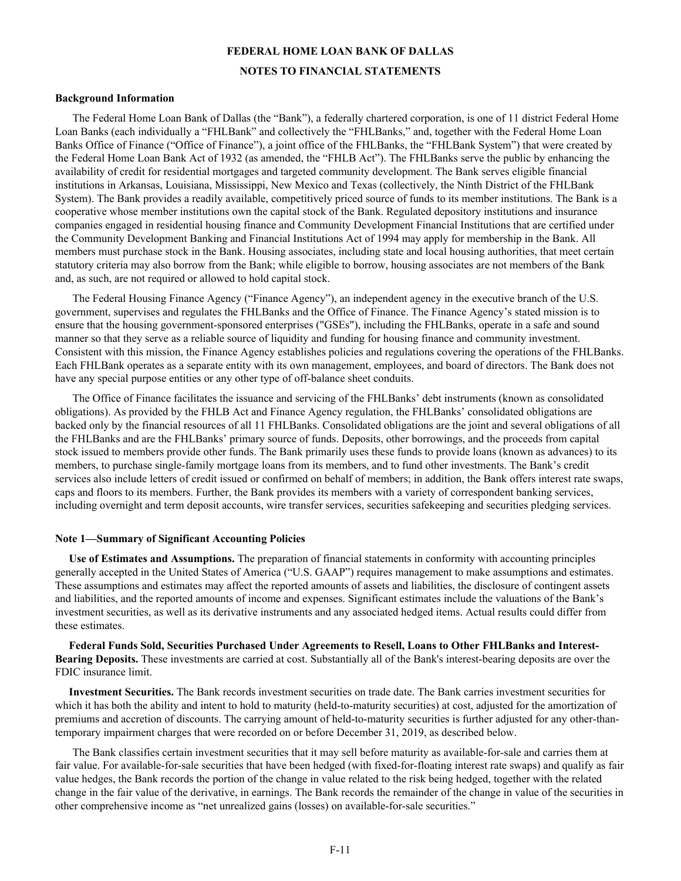#### **FEDERAL HOME LOAN BANK OF DALLAS**

#### **NOTES TO FINANCIAL STATEMENTS**

#### **Background Information**

The Federal Home Loan Bank of Dallas (the "Bank"), a federally chartered corporation, is one of 11 district Federal Home Loan Banks (each individually a "FHLBank" and collectively the "FHLBanks," and, together with the Federal Home Loan Banks Office of Finance ("Office of Finance"), a joint office of the FHLBanks, the "FHLBank System") that were created by the Federal Home Loan Bank Act of 1932 (as amended, the "FHLB Act"). The FHLBanks serve the public by enhancing the availability of credit for residential mortgages and targeted community development. The Bank serves eligible financial institutions in Arkansas, Louisiana, Mississippi, New Mexico and Texas (collectively, the Ninth District of the FHLBank System). The Bank provides a readily available, competitively priced source of funds to its member institutions. The Bank is a cooperative whose member institutions own the capital stock of the Bank. Regulated depository institutions and insurance companies engaged in residential housing finance and Community Development Financial Institutions that are certified under the Community Development Banking and Financial Institutions Act of 1994 may apply for membership in the Bank. All members must purchase stock in the Bank. Housing associates, including state and local housing authorities, that meet certain statutory criteria may also borrow from the Bank; while eligible to borrow, housing associates are not members of the Bank and, as such, are not required or allowed to hold capital stock.

The Federal Housing Finance Agency ("Finance Agency"), an independent agency in the executive branch of the U.S. government, supervises and regulates the FHLBanks and the Office of Finance. The Finance Agency's stated mission is to ensure that the housing government-sponsored enterprises ("GSEs"), including the FHLBanks, operate in a safe and sound manner so that they serve as a reliable source of liquidity and funding for housing finance and community investment. Consistent with this mission, the Finance Agency establishes policies and regulations covering the operations of the FHLBanks. Each FHLBank operates as a separate entity with its own management, employees, and board of directors. The Bank does not have any special purpose entities or any other type of off-balance sheet conduits.

The Office of Finance facilitates the issuance and servicing of the FHLBanks' debt instruments (known as consolidated obligations). As provided by the FHLB Act and Finance Agency regulation, the FHLBanks' consolidated obligations are backed only by the financial resources of all 11 FHLBanks. Consolidated obligations are the joint and several obligations of all the FHLBanks and are the FHLBanks' primary source of funds. Deposits, other borrowings, and the proceeds from capital stock issued to members provide other funds. The Bank primarily uses these funds to provide loans (known as advances) to its members, to purchase single-family mortgage loans from its members, and to fund other investments. The Bank's credit services also include letters of credit issued or confirmed on behalf of members; in addition, the Bank offers interest rate swaps, caps and floors to its members. Further, the Bank provides its members with a variety of correspondent banking services, including overnight and term deposit accounts, wire transfer services, securities safekeeping and securities pledging services.

#### **Note 1—Summary of Significant Accounting Policies**

 **Use of Estimates and Assumptions.** The preparation of financial statements in conformity with accounting principles generally accepted in the United States of America ("U.S. GAAP") requires management to make assumptions and estimates. These assumptions and estimates may affect the reported amounts of assets and liabilities, the disclosure of contingent assets and liabilities, and the reported amounts of income and expenses. Significant estimates include the valuations of the Bank's investment securities, as well as its derivative instruments and any associated hedged items. Actual results could differ from these estimates.

 **Federal Funds Sold, Securities Purchased Under Agreements to Resell, Loans to Other FHLBanks and Interest-Bearing Deposits.** These investments are carried at cost. Substantially all of the Bank's interest-bearing deposits are over the FDIC insurance limit.

 **Investment Securities.** The Bank records investment securities on trade date. The Bank carries investment securities for which it has both the ability and intent to hold to maturity (held-to-maturity securities) at cost, adjusted for the amortization of premiums and accretion of discounts. The carrying amount of held-to-maturity securities is further adjusted for any other-thantemporary impairment charges that were recorded on or before December 31, 2019, as described below.

The Bank classifies certain investment securities that it may sell before maturity as available-for-sale and carries them at fair value. For available-for-sale securities that have been hedged (with fixed-for-floating interest rate swaps) and qualify as fair value hedges, the Bank records the portion of the change in value related to the risk being hedged, together with the related change in the fair value of the derivative, in earnings. The Bank records the remainder of the change in value of the securities in other comprehensive income as "net unrealized gains (losses) on available-for-sale securities."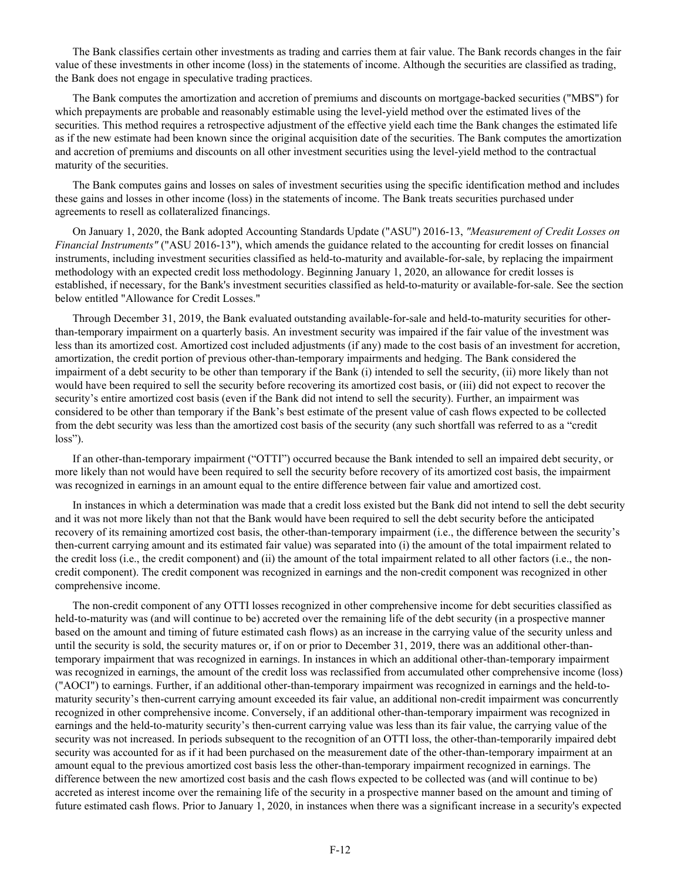The Bank classifies certain other investments as trading and carries them at fair value. The Bank records changes in the fair value of these investments in other income (loss) in the statements of income. Although the securities are classified as trading, the Bank does not engage in speculative trading practices.

The Bank computes the amortization and accretion of premiums and discounts on mortgage-backed securities ("MBS") for which prepayments are probable and reasonably estimable using the level-yield method over the estimated lives of the securities. This method requires a retrospective adjustment of the effective yield each time the Bank changes the estimated life as if the new estimate had been known since the original acquisition date of the securities. The Bank computes the amortization and accretion of premiums and discounts on all other investment securities using the level-yield method to the contractual maturity of the securities.

The Bank computes gains and losses on sales of investment securities using the specific identification method and includes these gains and losses in other income (loss) in the statements of income. The Bank treats securities purchased under agreements to resell as collateralized financings.

On January 1, 2020, the Bank adopted Accounting Standards Update ("ASU") 2016-13, *"Measurement of Credit Losses on Financial Instruments"* ("ASU 2016-13"), which amends the guidance related to the accounting for credit losses on financial instruments, including investment securities classified as held-to-maturity and available-for-sale, by replacing the impairment methodology with an expected credit loss methodology. Beginning January 1, 2020, an allowance for credit losses is established, if necessary, for the Bank's investment securities classified as held-to-maturity or available-for-sale. See the section below entitled "Allowance for Credit Losses."

Through December 31, 2019, the Bank evaluated outstanding available-for-sale and held-to-maturity securities for otherthan-temporary impairment on a quarterly basis. An investment security was impaired if the fair value of the investment was less than its amortized cost. Amortized cost included adjustments (if any) made to the cost basis of an investment for accretion, amortization, the credit portion of previous other-than-temporary impairments and hedging. The Bank considered the impairment of a debt security to be other than temporary if the Bank (i) intended to sell the security, (ii) more likely than not would have been required to sell the security before recovering its amortized cost basis, or (iii) did not expect to recover the security's entire amortized cost basis (even if the Bank did not intend to sell the security). Further, an impairment was considered to be other than temporary if the Bank's best estimate of the present value of cash flows expected to be collected from the debt security was less than the amortized cost basis of the security (any such shortfall was referred to as a "credit loss").

If an other-than-temporary impairment ("OTTI") occurred because the Bank intended to sell an impaired debt security, or more likely than not would have been required to sell the security before recovery of its amortized cost basis, the impairment was recognized in earnings in an amount equal to the entire difference between fair value and amortized cost.

In instances in which a determination was made that a credit loss existed but the Bank did not intend to sell the debt security and it was not more likely than not that the Bank would have been required to sell the debt security before the anticipated recovery of its remaining amortized cost basis, the other-than-temporary impairment (i.e., the difference between the security's then-current carrying amount and its estimated fair value) was separated into (i) the amount of the total impairment related to the credit loss (i.e., the credit component) and (ii) the amount of the total impairment related to all other factors (i.e., the noncredit component). The credit component was recognized in earnings and the non-credit component was recognized in other comprehensive income.

The non-credit component of any OTTI losses recognized in other comprehensive income for debt securities classified as held-to-maturity was (and will continue to be) accreted over the remaining life of the debt security (in a prospective manner based on the amount and timing of future estimated cash flows) as an increase in the carrying value of the security unless and until the security is sold, the security matures or, if on or prior to December 31, 2019, there was an additional other-thantemporary impairment that was recognized in earnings. In instances in which an additional other-than-temporary impairment was recognized in earnings, the amount of the credit loss was reclassified from accumulated other comprehensive income (loss) ("AOCI") to earnings. Further, if an additional other-than-temporary impairment was recognized in earnings and the held-tomaturity security's then-current carrying amount exceeded its fair value, an additional non-credit impairment was concurrently recognized in other comprehensive income. Conversely, if an additional other-than-temporary impairment was recognized in earnings and the held-to-maturity security's then-current carrying value was less than its fair value, the carrying value of the security was not increased. In periods subsequent to the recognition of an OTTI loss, the other-than-temporarily impaired debt security was accounted for as if it had been purchased on the measurement date of the other-than-temporary impairment at an amount equal to the previous amortized cost basis less the other-than-temporary impairment recognized in earnings. The difference between the new amortized cost basis and the cash flows expected to be collected was (and will continue to be) accreted as interest income over the remaining life of the security in a prospective manner based on the amount and timing of future estimated cash flows. Prior to January 1, 2020, in instances when there was a significant increase in a security's expected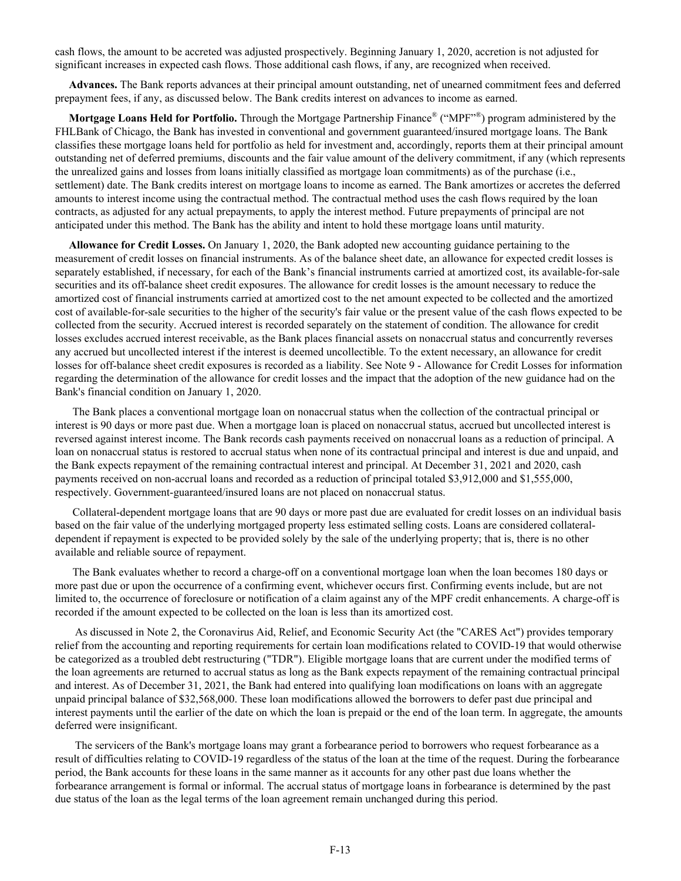cash flows, the amount to be accreted was adjusted prospectively. Beginning January 1, 2020, accretion is not adjusted for significant increases in expected cash flows. Those additional cash flows, if any, are recognized when received.

 **Advances.** The Bank reports advances at their principal amount outstanding, net of unearned commitment fees and deferred prepayment fees, if any, as discussed below. The Bank credits interest on advances to income as earned.

Mortgage Loans Held for Portfolio. Through the Mortgage Partnership Finance<sup>®</sup> ("MPF"<sup>®</sup>) program administered by the FHLBank of Chicago, the Bank has invested in conventional and government guaranteed/insured mortgage loans. The Bank classifies these mortgage loans held for portfolio as held for investment and, accordingly, reports them at their principal amount outstanding net of deferred premiums, discounts and the fair value amount of the delivery commitment, if any (which represents the unrealized gains and losses from loans initially classified as mortgage loan commitments) as of the purchase (i.e., settlement) date. The Bank credits interest on mortgage loans to income as earned. The Bank amortizes or accretes the deferred amounts to interest income using the contractual method. The contractual method uses the cash flows required by the loan contracts, as adjusted for any actual prepayments, to apply the interest method. Future prepayments of principal are not anticipated under this method. The Bank has the ability and intent to hold these mortgage loans until maturity.

 **Allowance for Credit Losses.** On January 1, 2020, the Bank adopted new accounting guidance pertaining to the measurement of credit losses on financial instruments. As of the balance sheet date, an allowance for expected credit losses is separately established, if necessary, for each of the Bank's financial instruments carried at amortized cost, its available-for-sale securities and its off-balance sheet credit exposures. The allowance for credit losses is the amount necessary to reduce the amortized cost of financial instruments carried at amortized cost to the net amount expected to be collected and the amortized cost of available-for-sale securities to the higher of the security's fair value or the present value of the cash flows expected to be collected from the security. Accrued interest is recorded separately on the statement of condition. The allowance for credit losses excludes accrued interest receivable, as the Bank places financial assets on nonaccrual status and concurrently reverses any accrued but uncollected interest if the interest is deemed uncollectible. To the extent necessary, an allowance for credit losses for off-balance sheet credit exposures is recorded as a liability. See Note 9 - Allowance for Credit Losses for information regarding the determination of the allowance for credit losses and the impact that the adoption of the new guidance had on the Bank's financial condition on January 1, 2020.

The Bank places a conventional mortgage loan on nonaccrual status when the collection of the contractual principal or interest is 90 days or more past due. When a mortgage loan is placed on nonaccrual status, accrued but uncollected interest is reversed against interest income. The Bank records cash payments received on nonaccrual loans as a reduction of principal. A loan on nonaccrual status is restored to accrual status when none of its contractual principal and interest is due and unpaid, and the Bank expects repayment of the remaining contractual interest and principal. At December 31, 2021 and 2020, cash payments received on non-accrual loans and recorded as a reduction of principal totaled \$3,912,000 and \$1,555,000, respectively. Government-guaranteed/insured loans are not placed on nonaccrual status.

Collateral-dependent mortgage loans that are 90 days or more past due are evaluated for credit losses on an individual basis based on the fair value of the underlying mortgaged property less estimated selling costs. Loans are considered collateraldependent if repayment is expected to be provided solely by the sale of the underlying property; that is, there is no other available and reliable source of repayment.

The Bank evaluates whether to record a charge-off on a conventional mortgage loan when the loan becomes 180 days or more past due or upon the occurrence of a confirming event, whichever occurs first. Confirming events include, but are not limited to, the occurrence of foreclosure or notification of a claim against any of the MPF credit enhancements. A charge-off is recorded if the amount expected to be collected on the loan is less than its amortized cost.

As discussed in Note 2, the Coronavirus Aid, Relief, and Economic Security Act (the "CARES Act") provides temporary relief from the accounting and reporting requirements for certain loan modifications related to COVID-19 that would otherwise be categorized as a troubled debt restructuring ("TDR"). Eligible mortgage loans that are current under the modified terms of the loan agreements are returned to accrual status as long as the Bank expects repayment of the remaining contractual principal and interest. As of December 31, 2021, the Bank had entered into qualifying loan modifications on loans with an aggregate unpaid principal balance of \$32,568,000. These loan modifications allowed the borrowers to defer past due principal and interest payments until the earlier of the date on which the loan is prepaid or the end of the loan term. In aggregate, the amounts deferred were insignificant.

The servicers of the Bank's mortgage loans may grant a forbearance period to borrowers who request forbearance as a result of difficulties relating to COVID-19 regardless of the status of the loan at the time of the request. During the forbearance period, the Bank accounts for these loans in the same manner as it accounts for any other past due loans whether the forbearance arrangement is formal or informal. The accrual status of mortgage loans in forbearance is determined by the past due status of the loan as the legal terms of the loan agreement remain unchanged during this period.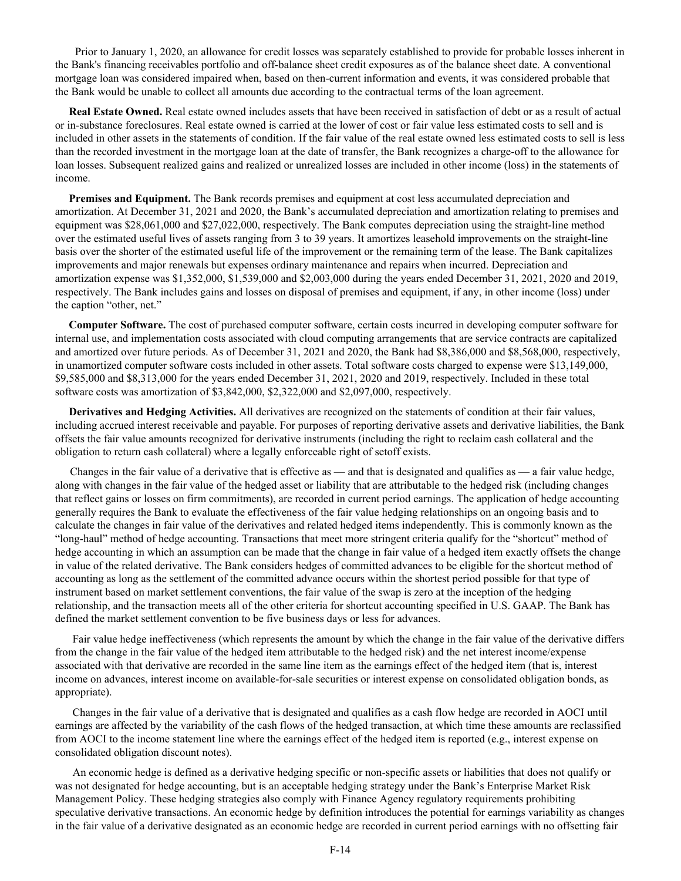Prior to January 1, 2020, an allowance for credit losses was separately established to provide for probable losses inherent in the Bank's financing receivables portfolio and off-balance sheet credit exposures as of the balance sheet date. A conventional mortgage loan was considered impaired when, based on then-current information and events, it was considered probable that the Bank would be unable to collect all amounts due according to the contractual terms of the loan agreement.

 **Real Estate Owned.** Real estate owned includes assets that have been received in satisfaction of debt or as a result of actual or in-substance foreclosures. Real estate owned is carried at the lower of cost or fair value less estimated costs to sell and is included in other assets in the statements of condition. If the fair value of the real estate owned less estimated costs to sell is less than the recorded investment in the mortgage loan at the date of transfer, the Bank recognizes a charge-off to the allowance for loan losses. Subsequent realized gains and realized or unrealized losses are included in other income (loss) in the statements of income.

**Premises and Equipment.** The Bank records premises and equipment at cost less accumulated depreciation and amortization. At December 31, 2021 and 2020, the Bank's accumulated depreciation and amortization relating to premises and equipment was \$28,061,000 and \$27,022,000, respectively. The Bank computes depreciation using the straight-line method over the estimated useful lives of assets ranging from 3 to 39 years. It amortizes leasehold improvements on the straight-line basis over the shorter of the estimated useful life of the improvement or the remaining term of the lease. The Bank capitalizes improvements and major renewals but expenses ordinary maintenance and repairs when incurred. Depreciation and amortization expense was \$1,352,000, \$1,539,000 and \$2,003,000 during the years ended December 31, 2021, 2020 and 2019, respectively. The Bank includes gains and losses on disposal of premises and equipment, if any, in other income (loss) under the caption "other, net."

 **Computer Software.** The cost of purchased computer software, certain costs incurred in developing computer software for internal use, and implementation costs associated with cloud computing arrangements that are service contracts are capitalized and amortized over future periods. As of December 31, 2021 and 2020, the Bank had \$8,386,000 and \$8,568,000, respectively, in unamortized computer software costs included in other assets. Total software costs charged to expense were \$13,149,000, \$9,585,000 and \$8,313,000 for the years ended December 31, 2021, 2020 and 2019, respectively. Included in these total software costs was amortization of \$3,842,000, \$2,322,000 and \$2,097,000, respectively.

 **Derivatives and Hedging Activities.** All derivatives are recognized on the statements of condition at their fair values, including accrued interest receivable and payable. For purposes of reporting derivative assets and derivative liabilities, the Bank offsets the fair value amounts recognized for derivative instruments (including the right to reclaim cash collateral and the obligation to return cash collateral) where a legally enforceable right of setoff exists.

Changes in the fair value of a derivative that is effective as — and that is designated and qualifies as — a fair value hedge, along with changes in the fair value of the hedged asset or liability that are attributable to the hedged risk (including changes that reflect gains or losses on firm commitments), are recorded in current period earnings. The application of hedge accounting generally requires the Bank to evaluate the effectiveness of the fair value hedging relationships on an ongoing basis and to calculate the changes in fair value of the derivatives and related hedged items independently. This is commonly known as the "long-haul" method of hedge accounting. Transactions that meet more stringent criteria qualify for the "shortcut" method of hedge accounting in which an assumption can be made that the change in fair value of a hedged item exactly offsets the change in value of the related derivative. The Bank considers hedges of committed advances to be eligible for the shortcut method of accounting as long as the settlement of the committed advance occurs within the shortest period possible for that type of instrument based on market settlement conventions, the fair value of the swap is zero at the inception of the hedging relationship, and the transaction meets all of the other criteria for shortcut accounting specified in U.S. GAAP. The Bank has defined the market settlement convention to be five business days or less for advances.

Fair value hedge ineffectiveness (which represents the amount by which the change in the fair value of the derivative differs from the change in the fair value of the hedged item attributable to the hedged risk) and the net interest income/expense associated with that derivative are recorded in the same line item as the earnings effect of the hedged item (that is, interest income on advances, interest income on available-for-sale securities or interest expense on consolidated obligation bonds, as appropriate).

Changes in the fair value of a derivative that is designated and qualifies as a cash flow hedge are recorded in AOCI until earnings are affected by the variability of the cash flows of the hedged transaction, at which time these amounts are reclassified from AOCI to the income statement line where the earnings effect of the hedged item is reported (e.g., interest expense on consolidated obligation discount notes).

An economic hedge is defined as a derivative hedging specific or non-specific assets or liabilities that does not qualify or was not designated for hedge accounting, but is an acceptable hedging strategy under the Bank's Enterprise Market Risk Management Policy. These hedging strategies also comply with Finance Agency regulatory requirements prohibiting speculative derivative transactions. An economic hedge by definition introduces the potential for earnings variability as changes in the fair value of a derivative designated as an economic hedge are recorded in current period earnings with no offsetting fair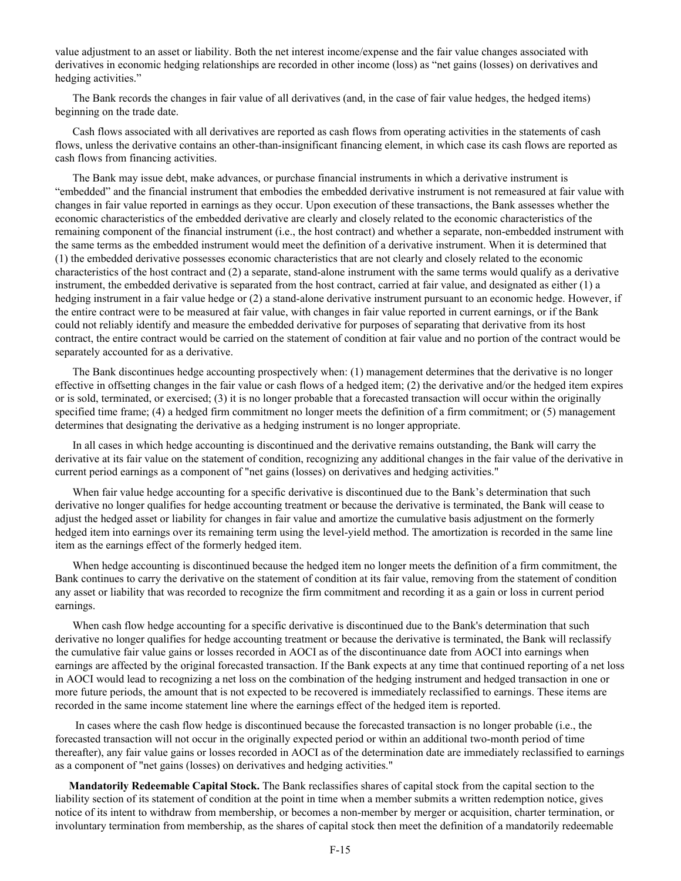value adjustment to an asset or liability. Both the net interest income/expense and the fair value changes associated with derivatives in economic hedging relationships are recorded in other income (loss) as "net gains (losses) on derivatives and hedging activities."

The Bank records the changes in fair value of all derivatives (and, in the case of fair value hedges, the hedged items) beginning on the trade date.

Cash flows associated with all derivatives are reported as cash flows from operating activities in the statements of cash flows, unless the derivative contains an other-than-insignificant financing element, in which case its cash flows are reported as cash flows from financing activities.

The Bank may issue debt, make advances, or purchase financial instruments in which a derivative instrument is "embedded" and the financial instrument that embodies the embedded derivative instrument is not remeasured at fair value with changes in fair value reported in earnings as they occur. Upon execution of these transactions, the Bank assesses whether the economic characteristics of the embedded derivative are clearly and closely related to the economic characteristics of the remaining component of the financial instrument (i.e., the host contract) and whether a separate, non-embedded instrument with the same terms as the embedded instrument would meet the definition of a derivative instrument. When it is determined that (1) the embedded derivative possesses economic characteristics that are not clearly and closely related to the economic characteristics of the host contract and (2) a separate, stand-alone instrument with the same terms would qualify as a derivative instrument, the embedded derivative is separated from the host contract, carried at fair value, and designated as either (1) a hedging instrument in a fair value hedge or (2) a stand-alone derivative instrument pursuant to an economic hedge. However, if the entire contract were to be measured at fair value, with changes in fair value reported in current earnings, or if the Bank could not reliably identify and measure the embedded derivative for purposes of separating that derivative from its host contract, the entire contract would be carried on the statement of condition at fair value and no portion of the contract would be separately accounted for as a derivative.

The Bank discontinues hedge accounting prospectively when: (1) management determines that the derivative is no longer effective in offsetting changes in the fair value or cash flows of a hedged item; (2) the derivative and/or the hedged item expires or is sold, terminated, or exercised; (3) it is no longer probable that a forecasted transaction will occur within the originally specified time frame; (4) a hedged firm commitment no longer meets the definition of a firm commitment; or (5) management determines that designating the derivative as a hedging instrument is no longer appropriate.

In all cases in which hedge accounting is discontinued and the derivative remains outstanding, the Bank will carry the derivative at its fair value on the statement of condition, recognizing any additional changes in the fair value of the derivative in current period earnings as a component of "net gains (losses) on derivatives and hedging activities."

When fair value hedge accounting for a specific derivative is discontinued due to the Bank's determination that such derivative no longer qualifies for hedge accounting treatment or because the derivative is terminated, the Bank will cease to adjust the hedged asset or liability for changes in fair value and amortize the cumulative basis adjustment on the formerly hedged item into earnings over its remaining term using the level-yield method. The amortization is recorded in the same line item as the earnings effect of the formerly hedged item.

When hedge accounting is discontinued because the hedged item no longer meets the definition of a firm commitment, the Bank continues to carry the derivative on the statement of condition at its fair value, removing from the statement of condition any asset or liability that was recorded to recognize the firm commitment and recording it as a gain or loss in current period earnings.

When cash flow hedge accounting for a specific derivative is discontinued due to the Bank's determination that such derivative no longer qualifies for hedge accounting treatment or because the derivative is terminated, the Bank will reclassify the cumulative fair value gains or losses recorded in AOCI as of the discontinuance date from AOCI into earnings when earnings are affected by the original forecasted transaction. If the Bank expects at any time that continued reporting of a net loss in AOCI would lead to recognizing a net loss on the combination of the hedging instrument and hedged transaction in one or more future periods, the amount that is not expected to be recovered is immediately reclassified to earnings. These items are recorded in the same income statement line where the earnings effect of the hedged item is reported.

 In cases where the cash flow hedge is discontinued because the forecasted transaction is no longer probable (i.e., the forecasted transaction will not occur in the originally expected period or within an additional two-month period of time thereafter), any fair value gains or losses recorded in AOCI as of the determination date are immediately reclassified to earnings as a component of "net gains (losses) on derivatives and hedging activities."

 **Mandatorily Redeemable Capital Stock.** The Bank reclassifies shares of capital stock from the capital section to the liability section of its statement of condition at the point in time when a member submits a written redemption notice, gives notice of its intent to withdraw from membership, or becomes a non-member by merger or acquisition, charter termination, or involuntary termination from membership, as the shares of capital stock then meet the definition of a mandatorily redeemable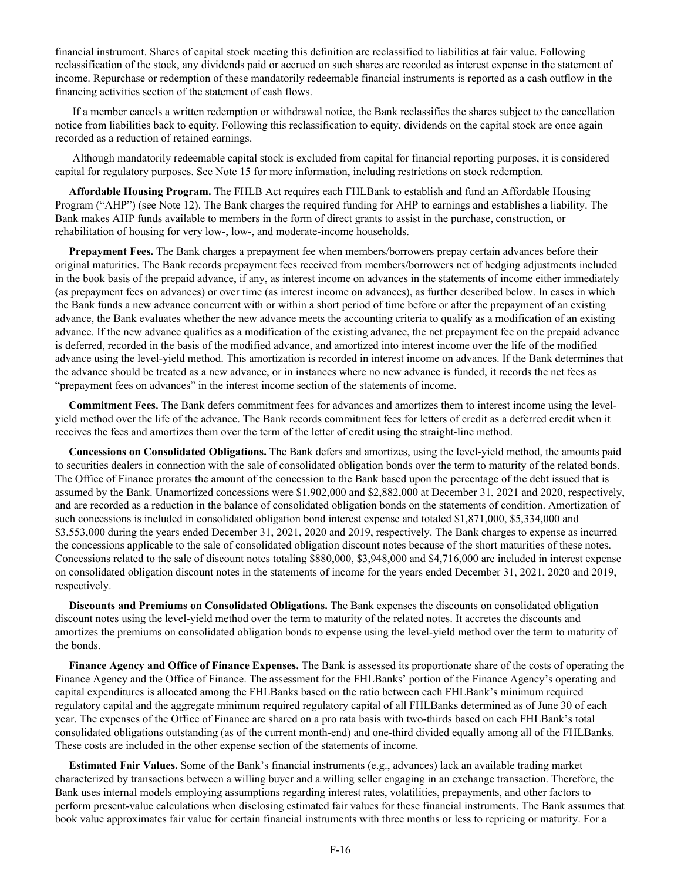financial instrument. Shares of capital stock meeting this definition are reclassified to liabilities at fair value. Following reclassification of the stock, any dividends paid or accrued on such shares are recorded as interest expense in the statement of income. Repurchase or redemption of these mandatorily redeemable financial instruments is reported as a cash outflow in the financing activities section of the statement of cash flows.

If a member cancels a written redemption or withdrawal notice, the Bank reclassifies the shares subject to the cancellation notice from liabilities back to equity. Following this reclassification to equity, dividends on the capital stock are once again recorded as a reduction of retained earnings.

Although mandatorily redeemable capital stock is excluded from capital for financial reporting purposes, it is considered capital for regulatory purposes. See Note 15 for more information, including restrictions on stock redemption.

 **Affordable Housing Program.** The FHLB Act requires each FHLBank to establish and fund an Affordable Housing Program ("AHP") (see Note 12). The Bank charges the required funding for AHP to earnings and establishes a liability. The Bank makes AHP funds available to members in the form of direct grants to assist in the purchase, construction, or rehabilitation of housing for very low-, low-, and moderate-income households.

 **Prepayment Fees.** The Bank charges a prepayment fee when members/borrowers prepay certain advances before their original maturities. The Bank records prepayment fees received from members/borrowers net of hedging adjustments included in the book basis of the prepaid advance, if any, as interest income on advances in the statements of income either immediately (as prepayment fees on advances) or over time (as interest income on advances), as further described below. In cases in which the Bank funds a new advance concurrent with or within a short period of time before or after the prepayment of an existing advance, the Bank evaluates whether the new advance meets the accounting criteria to qualify as a modification of an existing advance. If the new advance qualifies as a modification of the existing advance, the net prepayment fee on the prepaid advance is deferred, recorded in the basis of the modified advance, and amortized into interest income over the life of the modified advance using the level-yield method. This amortization is recorded in interest income on advances. If the Bank determines that the advance should be treated as a new advance, or in instances where no new advance is funded, it records the net fees as "prepayment fees on advances" in the interest income section of the statements of income.

 **Commitment Fees.** The Bank defers commitment fees for advances and amortizes them to interest income using the levelyield method over the life of the advance. The Bank records commitment fees for letters of credit as a deferred credit when it receives the fees and amortizes them over the term of the letter of credit using the straight-line method.

 **Concessions on Consolidated Obligations.** The Bank defers and amortizes, using the level-yield method, the amounts paid to securities dealers in connection with the sale of consolidated obligation bonds over the term to maturity of the related bonds. The Office of Finance prorates the amount of the concession to the Bank based upon the percentage of the debt issued that is assumed by the Bank. Unamortized concessions were \$1,902,000 and \$2,882,000 at December 31, 2021 and 2020, respectively, and are recorded as a reduction in the balance of consolidated obligation bonds on the statements of condition. Amortization of such concessions is included in consolidated obligation bond interest expense and totaled \$1,871,000, \$5,334,000 and \$3,553,000 during the years ended December 31, 2021, 2020 and 2019, respectively. The Bank charges to expense as incurred the concessions applicable to the sale of consolidated obligation discount notes because of the short maturities of these notes. Concessions related to the sale of discount notes totaling \$880,000, \$3,948,000 and \$4,716,000 are included in interest expense on consolidated obligation discount notes in the statements of income for the years ended December 31, 2021, 2020 and 2019, respectively.

 **Discounts and Premiums on Consolidated Obligations.** The Bank expenses the discounts on consolidated obligation discount notes using the level-yield method over the term to maturity of the related notes. It accretes the discounts and amortizes the premiums on consolidated obligation bonds to expense using the level-yield method over the term to maturity of the bonds.

 **Finance Agency and Office of Finance Expenses.** The Bank is assessed its proportionate share of the costs of operating the Finance Agency and the Office of Finance. The assessment for the FHLBanks' portion of the Finance Agency's operating and capital expenditures is allocated among the FHLBanks based on the ratio between each FHLBank's minimum required regulatory capital and the aggregate minimum required regulatory capital of all FHLBanks determined as of June 30 of each year. The expenses of the Office of Finance are shared on a pro rata basis with two-thirds based on each FHLBank's total consolidated obligations outstanding (as of the current month-end) and one-third divided equally among all of the FHLBanks. These costs are included in the other expense section of the statements of income.

 **Estimated Fair Values.** Some of the Bank's financial instruments (e.g., advances) lack an available trading market characterized by transactions between a willing buyer and a willing seller engaging in an exchange transaction. Therefore, the Bank uses internal models employing assumptions regarding interest rates, volatilities, prepayments, and other factors to perform present-value calculations when disclosing estimated fair values for these financial instruments. The Bank assumes that book value approximates fair value for certain financial instruments with three months or less to repricing or maturity. For a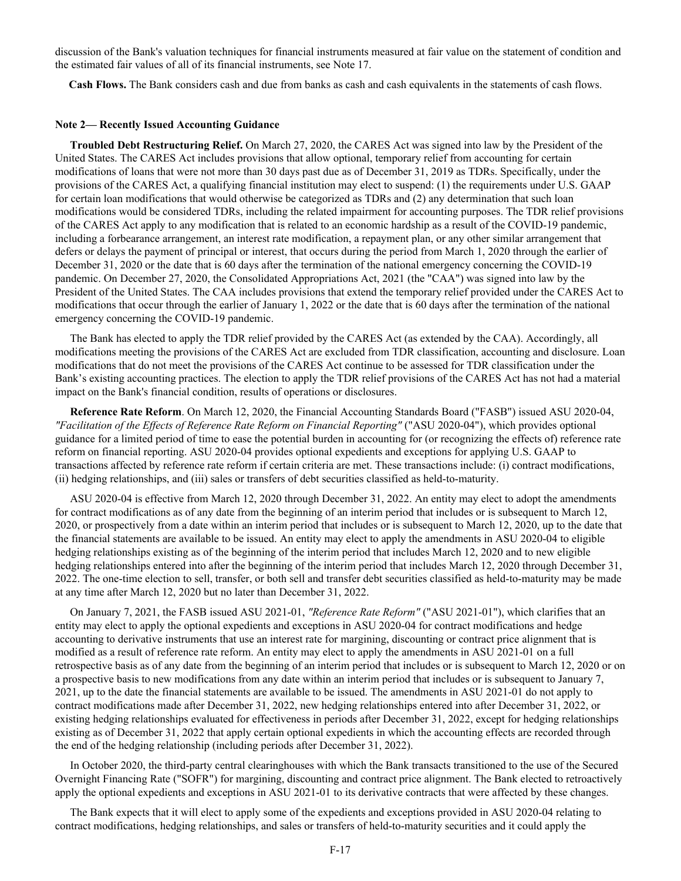discussion of the Bank's valuation techniques for financial instruments measured at fair value on the statement of condition and the estimated fair values of all of its financial instruments, see Note 17.

**Cash Flows.** The Bank considers cash and due from banks as cash and cash equivalents in the statements of cash flows.

#### **Note 2— Recently Issued Accounting Guidance**

**Troubled Debt Restructuring Relief.** On March 27, 2020, the CARES Act was signed into law by the President of the United States. The CARES Act includes provisions that allow optional, temporary relief from accounting for certain modifications of loans that were not more than 30 days past due as of December 31, 2019 as TDRs. Specifically, under the provisions of the CARES Act, a qualifying financial institution may elect to suspend: (1) the requirements under U.S. GAAP for certain loan modifications that would otherwise be categorized as TDRs and (2) any determination that such loan modifications would be considered TDRs, including the related impairment for accounting purposes. The TDR relief provisions of the CARES Act apply to any modification that is related to an economic hardship as a result of the COVID-19 pandemic, including a forbearance arrangement, an interest rate modification, a repayment plan, or any other similar arrangement that defers or delays the payment of principal or interest, that occurs during the period from March 1, 2020 through the earlier of December 31, 2020 or the date that is 60 days after the termination of the national emergency concerning the COVID-19 pandemic. On December 27, 2020, the Consolidated Appropriations Act, 2021 (the "CAA") was signed into law by the President of the United States. The CAA includes provisions that extend the temporary relief provided under the CARES Act to modifications that occur through the earlier of January 1, 2022 or the date that is 60 days after the termination of the national emergency concerning the COVID-19 pandemic.

The Bank has elected to apply the TDR relief provided by the CARES Act (as extended by the CAA). Accordingly, all modifications meeting the provisions of the CARES Act are excluded from TDR classification, accounting and disclosure. Loan modifications that do not meet the provisions of the CARES Act continue to be assessed for TDR classification under the Bank's existing accounting practices. The election to apply the TDR relief provisions of the CARES Act has not had a material impact on the Bank's financial condition, results of operations or disclosures.

**Reference Rate Reform**. On March 12, 2020, the Financial Accounting Standards Board ("FASB") issued ASU 2020-04, *"Facilitation of the Effects of Reference Rate Reform on Financial Reporting"* ("ASU 2020-04"), which provides optional guidance for a limited period of time to ease the potential burden in accounting for (or recognizing the effects of) reference rate reform on financial reporting. ASU 2020-04 provides optional expedients and exceptions for applying U.S. GAAP to transactions affected by reference rate reform if certain criteria are met. These transactions include: (i) contract modifications, (ii) hedging relationships, and (iii) sales or transfers of debt securities classified as held-to-maturity.

ASU 2020-04 is effective from March 12, 2020 through December 31, 2022. An entity may elect to adopt the amendments for contract modifications as of any date from the beginning of an interim period that includes or is subsequent to March 12, 2020, or prospectively from a date within an interim period that includes or is subsequent to March 12, 2020, up to the date that the financial statements are available to be issued. An entity may elect to apply the amendments in ASU 2020-04 to eligible hedging relationships existing as of the beginning of the interim period that includes March 12, 2020 and to new eligible hedging relationships entered into after the beginning of the interim period that includes March 12, 2020 through December 31, 2022. The one-time election to sell, transfer, or both sell and transfer debt securities classified as held-to-maturity may be made at any time after March 12, 2020 but no later than December 31, 2022.

On January 7, 2021, the FASB issued ASU 2021-01, *"Reference Rate Reform"* ("ASU 2021-01"), which clarifies that an entity may elect to apply the optional expedients and exceptions in ASU 2020-04 for contract modifications and hedge accounting to derivative instruments that use an interest rate for margining, discounting or contract price alignment that is modified as a result of reference rate reform. An entity may elect to apply the amendments in ASU 2021-01 on a full retrospective basis as of any date from the beginning of an interim period that includes or is subsequent to March 12, 2020 or on a prospective basis to new modifications from any date within an interim period that includes or is subsequent to January 7, 2021, up to the date the financial statements are available to be issued. The amendments in ASU 2021-01 do not apply to contract modifications made after December 31, 2022, new hedging relationships entered into after December 31, 2022, or existing hedging relationships evaluated for effectiveness in periods after December 31, 2022, except for hedging relationships existing as of December 31, 2022 that apply certain optional expedients in which the accounting effects are recorded through the end of the hedging relationship (including periods after December 31, 2022).

In October 2020, the third-party central clearinghouses with which the Bank transacts transitioned to the use of the Secured Overnight Financing Rate ("SOFR") for margining, discounting and contract price alignment. The Bank elected to retroactively apply the optional expedients and exceptions in ASU 2021-01 to its derivative contracts that were affected by these changes.

The Bank expects that it will elect to apply some of the expedients and exceptions provided in ASU 2020-04 relating to contract modifications, hedging relationships, and sales or transfers of held-to-maturity securities and it could apply the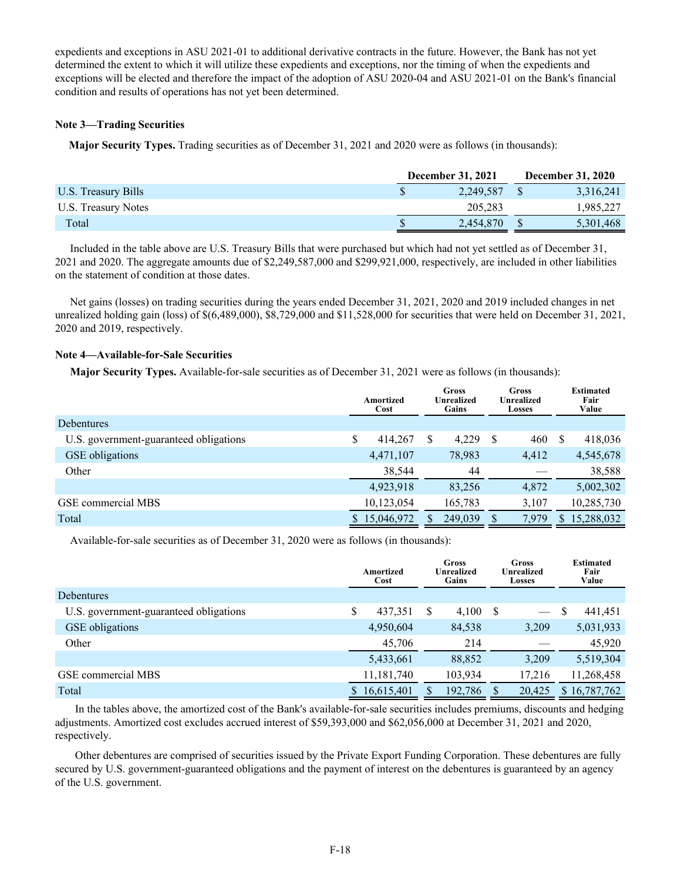expedients and exceptions in ASU 2021-01 to additional derivative contracts in the future. However, the Bank has not yet determined the extent to which it will utilize these expedients and exceptions, nor the timing of when the expedients and exceptions will be elected and therefore the impact of the adoption of ASU 2020-04 and ASU 2021-01 on the Bank's financial condition and results of operations has not yet been determined.

## **Note 3—Trading Securities**

**Major Security Types.** Trading securities as of December 31, 2021 and 2020 were as follows (in thousands):

|                     | <b>December 31, 2021</b> |           |  | <b>December 31, 2020</b> |
|---------------------|--------------------------|-----------|--|--------------------------|
| U.S. Treasury Bills |                          | 2,249,587 |  | 3,316,241                |
| U.S. Treasury Notes |                          | 205,283   |  | 1,985,227                |
| Total               |                          | 2,454,870 |  | 5,301,468                |

Included in the table above are U.S. Treasury Bills that were purchased but which had not yet settled as of December 31, 2021 and 2020. The aggregate amounts due of \$2,249,587,000 and \$299,921,000, respectively, are included in other liabilities on the statement of condition at those dates.

Net gains (losses) on trading securities during the years ended December 31, 2021, 2020 and 2019 included changes in net unrealized holding gain (loss) of \$(6,489,000), \$8,729,000 and \$11,528,000 for securities that were held on December 31, 2021, 2020 and 2019, respectively.

# **Note 4—Available-for-Sale Securities**

**Major Security Types.** Available-for-sale securities as of December 31, 2021 were as follows (in thousands):

|                                        | Amortized<br>Cost |            | Gross<br><b>Unrealized</b><br>Gains |         |     | Gross<br>Unrealized<br><b>Losses</b> |              | <b>Estimated</b><br>Fair<br>Value |
|----------------------------------------|-------------------|------------|-------------------------------------|---------|-----|--------------------------------------|--------------|-----------------------------------|
| <b>Debentures</b>                      |                   |            |                                     |         |     |                                      |              |                                   |
| U.S. government-guaranteed obligations |                   | 414,267    |                                     | 4,229   | \$. | 460                                  | <sup>S</sup> | 418,036                           |
| <b>GSE</b> obligations                 |                   | 4,471,107  |                                     | 78,983  |     | 4,412                                |              | 4,545,678                         |
| Other                                  |                   | 38,544     |                                     | 44      |     |                                      |              | 38,588                            |
|                                        |                   | 4,923,918  |                                     | 83,256  |     | 4,872                                |              | 5,002,302                         |
| GSE commercial MBS                     |                   | 10,123,054 |                                     | 165,783 |     | 3,107                                |              | 10,285,730                        |
| Total                                  | S.                | 15,046,972 |                                     | 249,039 |     | 7,979                                | S.           | 15,288,032                        |

Available-for-sale securities as of December 31, 2020 were as follows (in thousands):

|                                        | Amortized<br>Cost | Gross<br>Unrealized<br>Gains |         |    | Gross<br>Unrealized<br><b>Losses</b> |   | <b>Estimated</b><br>Fair<br>Value |
|----------------------------------------|-------------------|------------------------------|---------|----|--------------------------------------|---|-----------------------------------|
| <b>Debentures</b>                      |                   |                              |         |    |                                      |   |                                   |
| U.S. government-guaranteed obligations | \$<br>437,351     | S                            | 4,100   | -S | $\overbrace{\phantom{aaaaa}}$        | S | 441,451                           |
| <b>GSE</b> obligations                 | 4,950,604         |                              | 84,538  |    | 3,209                                |   | 5,031,933                         |
| Other                                  | 45,706            |                              | 214     |    |                                      |   | 45,920                            |
|                                        | 5,433,661         |                              | 88,852  |    | 3,209                                |   | 5,519,304                         |
| GSE commercial MBS                     | 11,181,740        |                              | 103,934 |    | 17,216                               |   | 11,268,458                        |
| Total                                  | 16,615,401        |                              | 192,786 | S  | 20,425                               |   | \$16,787,762                      |

In the tables above, the amortized cost of the Bank's available-for-sale securities includes premiums, discounts and hedging adjustments. Amortized cost excludes accrued interest of \$59,393,000 and \$62,056,000 at December 31, 2021 and 2020, respectively.

Other debentures are comprised of securities issued by the Private Export Funding Corporation. These debentures are fully secured by U.S. government-guaranteed obligations and the payment of interest on the debentures is guaranteed by an agency of the U.S. government.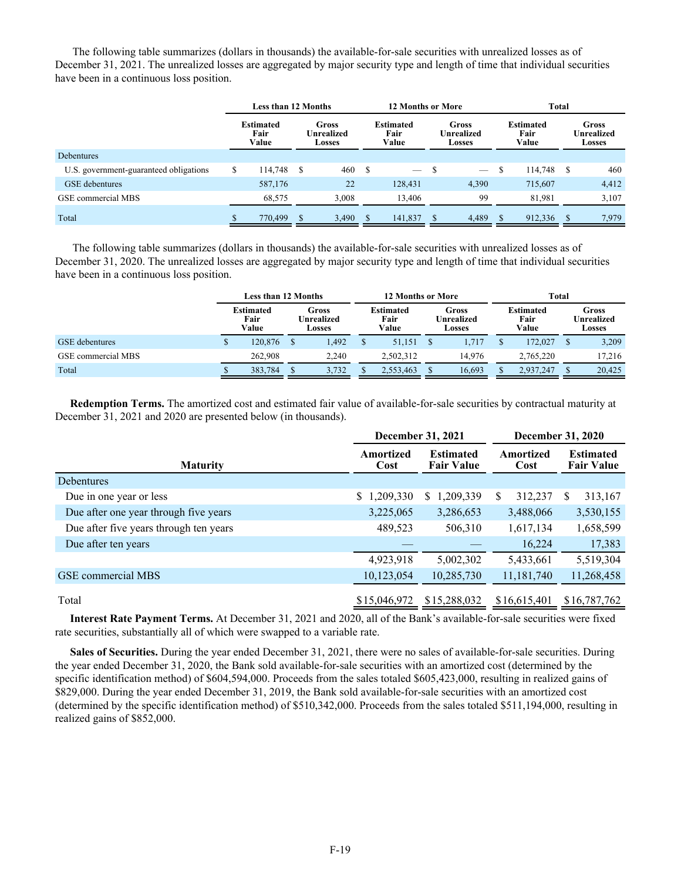The following table summarizes (dollars in thousands) the available-for-sale securities with unrealized losses as of December 31, 2021. The unrealized losses are aggregated by major security type and length of time that individual securities have been in a continuous loss position.

|                                        | <b>Less than 12 Months</b> |                                   |   |                               |  | <b>12 Months or More</b>          |  |                               | Total |                                   |     |                                      |  |
|----------------------------------------|----------------------------|-----------------------------------|---|-------------------------------|--|-----------------------------------|--|-------------------------------|-------|-----------------------------------|-----|--------------------------------------|--|
|                                        |                            | <b>Estimated</b><br>Fair<br>Value |   | Gross<br>Unrealized<br>Losses |  | <b>Estimated</b><br>Fair<br>Value |  | Gross<br>Unrealized<br>Losses |       | <b>Estimated</b><br>Fair<br>Value |     | Gross<br>Unrealized<br><b>Losses</b> |  |
| <b>Debentures</b>                      |                            |                                   |   |                               |  |                                   |  |                               |       |                                   |     |                                      |  |
| U.S. government-guaranteed obligations | \$                         | 114,748                           | S | 460                           |  |                                   |  | $\overline{\phantom{m}}$      | S     | 114,748                           | S   | 460                                  |  |
| GSE debentures                         |                            | 587,176                           |   | 22                            |  | 128,431                           |  | 4,390                         |       | 715.607                           |     | 4,412                                |  |
| GSE commercial MBS                     |                            | 68,575                            |   | 3,008                         |  | 13,406                            |  | 99                            |       | 81,981                            |     | 3,107                                |  |
| Total                                  |                            | 770,499                           | S | 3,490                         |  | 141,837                           |  | 4,489                         |       | 912,336                           | \$. | 7,979                                |  |

The following table summarizes (dollars in thousands) the available-for-sale securities with unrealized losses as of December 31, 2020. The unrealized losses are aggregated by major security type and length of time that individual securities have been in a continuous loss position.

|                       | <b>Less than 12 Months</b> |                                   |                               |       | <b>12 Months or More</b>          |           |                               |        |                                   | Total     |  |                               |  |  |
|-----------------------|----------------------------|-----------------------------------|-------------------------------|-------|-----------------------------------|-----------|-------------------------------|--------|-----------------------------------|-----------|--|-------------------------------|--|--|
|                       |                            | <b>Estimated</b><br>Fair<br>Value | Gross<br>Unrealized<br>Losses |       | <b>Estimated</b><br>Fair<br>Value |           | Gross<br>Unrealized<br>Losses |        | <b>Estimated</b><br>Fair<br>Value |           |  | Gross<br>Unrealized<br>Losses |  |  |
| <b>GSE</b> debentures | Φ                          | 120,876                           |                               | 1,492 |                                   | 51,151    |                               | 1.717  |                                   | 172,027   |  | 3,209                         |  |  |
| GSE commercial MBS    |                            | 262.908                           |                               | 2,240 |                                   | 2.502.312 |                               | 14.976 |                                   | 2.765.220 |  | 17,216                        |  |  |
| Total                 |                            | 383,784                           |                               | 3,732 |                                   | 2,553,463 |                               | 16,693 |                                   | 2,937,247 |  | 20,425                        |  |  |

**Redemption Terms.** The amortized cost and estimated fair value of available-for-sale securities by contractual maturity at December 31, 2021 and 2020 are presented below (in thousands).

|                                        |                   | <b>December 31, 2021</b>              |                   | <b>December 31, 2020</b>              |
|----------------------------------------|-------------------|---------------------------------------|-------------------|---------------------------------------|
| <b>Maturity</b>                        | Amortized<br>Cost | <b>Estimated</b><br><b>Fair Value</b> | Amortized<br>Cost | <b>Estimated</b><br><b>Fair Value</b> |
| <b>Debentures</b>                      |                   |                                       |                   |                                       |
| Due in one year or less                | \$1,209,330       | \$1,209,339                           | \$<br>312,237     | 313,167<br>S                          |
| Due after one year through five years  | 3,225,065         | 3,286,653                             | 3,488,066         | 3,530,155                             |
| Due after five years through ten years | 489,523           | 506,310                               | 1,617,134         | 1,658,599                             |
| Due after ten years                    |                   |                                       | 16,224            | 17,383                                |
|                                        | 4,923,918         | 5,002,302                             | 5,433,661         | 5,519,304                             |
| GSE commercial MBS                     | 10,123,054        | 10,285,730                            | 11,181,740        | 11,268,458                            |
| Total                                  | \$15,046,972      | \$15,288,032                          | \$16,615,401      | \$16,787,762                          |

**Interest Rate Payment Terms.** At December 31, 2021 and 2020, all of the Bank's available-for-sale securities were fixed rate securities, substantially all of which were swapped to a variable rate.

**Sales of Securities.** During the year ended December 31, 2021, there were no sales of available-for-sale securities. During the year ended December 31, 2020, the Bank sold available-for-sale securities with an amortized cost (determined by the specific identification method) of \$604,594,000. Proceeds from the sales totaled \$605,423,000, resulting in realized gains of \$829,000. During the year ended December 31, 2019, the Bank sold available-for-sale securities with an amortized cost (determined by the specific identification method) of \$510,342,000. Proceeds from the sales totaled \$511,194,000, resulting in realized gains of \$852,000.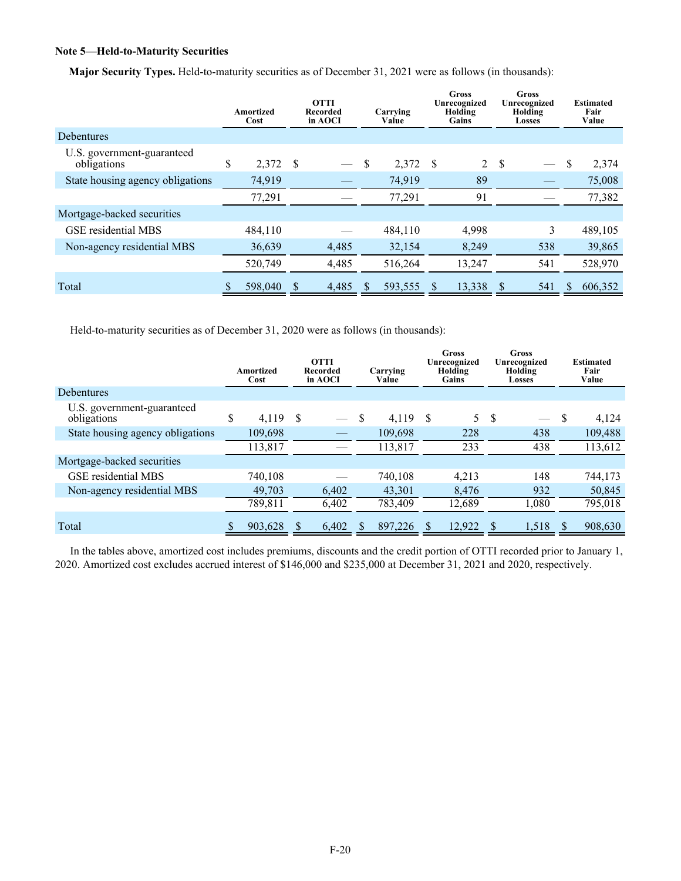## **Note 5—Held-to-Maturity Securities**

**Major Security Types.** Held-to-maturity securities as of December 31, 2021 were as follows (in thousands):

|                                           | Amortized<br>Cost | <b>OTTI</b><br>Carrying<br>Recorded<br>in AOCI<br>Value |       | Gross<br>Unrecognized<br>Holding<br>Gains |      | Gross<br>Unrecognized<br>Holding<br><b>Losses</b> |    | <b>Estimated</b><br>Fair<br>Value |         |
|-------------------------------------------|-------------------|---------------------------------------------------------|-------|-------------------------------------------|------|---------------------------------------------------|----|-----------------------------------|---------|
| Debentures                                |                   |                                                         |       |                                           |      |                                                   |    |                                   |         |
| U.S. government-guaranteed<br>obligations | \$<br>2,372       | -S                                                      |       | 2,372                                     | - \$ | $\overline{2}$                                    | -S |                                   | 2,374   |
| State housing agency obligations          | 74,919            |                                                         |       | 74,919                                    |      | 89                                                |    |                                   | 75,008  |
|                                           | 77,291            |                                                         |       | 77,291                                    |      | 91                                                |    |                                   | 77,382  |
| Mortgage-backed securities                |                   |                                                         |       |                                           |      |                                                   |    |                                   |         |
| <b>GSE</b> residential MBS                | 484,110           |                                                         |       | 484,110                                   |      | 4,998                                             |    | 3                                 | 489,105 |
| Non-agency residential MBS                | 36,639            |                                                         | 4,485 | 32,154                                    |      | 8,249                                             |    | 538                               | 39,865  |
|                                           | 520,749           |                                                         | 4,485 | 516,264                                   |      | 13,247                                            |    | 541                               | 528,970 |
| Total                                     | 598,040           |                                                         | 4,485 | 593,555                                   | \$.  | 13,338                                            |    | 541                               | 606,352 |

Held-to-maturity securities as of December 31, 2020 were as follows (in thousands):

|                                           | Amortized<br>Cost |    | <b>OTTI</b><br>Recorded<br>in AOCI | Carrying<br>Value | Unrecognized<br>Holding<br>Gains |        | <b>Gross</b> |               |         |  |  |  | Unrecognized<br>Holding<br>Losses |  | <b>Gross</b> |  | <b>Estimated</b><br>Fair<br>Value |
|-------------------------------------------|-------------------|----|------------------------------------|-------------------|----------------------------------|--------|--------------|---------------|---------|--|--|--|-----------------------------------|--|--------------|--|-----------------------------------|
| <b>Debentures</b>                         |                   |    |                                    |                   |                                  |        |              |               |         |  |  |  |                                   |  |              |  |                                   |
| U.S. government-guaranteed<br>obligations | \$<br>4.119       | -S |                                    | \$<br>4,119       | S                                | 5      | -S           | $\frac{1}{2}$ | 4,124   |  |  |  |                                   |  |              |  |                                   |
| State housing agency obligations          | 109,698           |    |                                    | 109.698           |                                  | 228    |              | 438           | 109,488 |  |  |  |                                   |  |              |  |                                   |
|                                           | 113,817           |    |                                    | 113,817           |                                  | 233    |              | 438           | 113,612 |  |  |  |                                   |  |              |  |                                   |
| Mortgage-backed securities                |                   |    |                                    |                   |                                  |        |              |               |         |  |  |  |                                   |  |              |  |                                   |
| <b>GSE</b> residential MBS                | 740.108           |    |                                    | 740.108           |                                  | 4,213  |              | 148           | 744,173 |  |  |  |                                   |  |              |  |                                   |
| Non-agency residential MBS                | 49,703            |    | 6.402                              | 43,301            |                                  | 8,476  |              | 932           | 50,845  |  |  |  |                                   |  |              |  |                                   |
|                                           | 789,811           |    | 6,402                              | 783,409           |                                  | 12,689 |              | 1,080         | 795,018 |  |  |  |                                   |  |              |  |                                   |
| Total                                     | 903.628           |    | 6.402                              | 897.226           |                                  | 12,922 |              | 1,518         | 908.630 |  |  |  |                                   |  |              |  |                                   |

In the tables above, amortized cost includes premiums, discounts and the credit portion of OTTI recorded prior to January 1, 2020. Amortized cost excludes accrued interest of \$146,000 and \$235,000 at December 31, 2021 and 2020, respectively.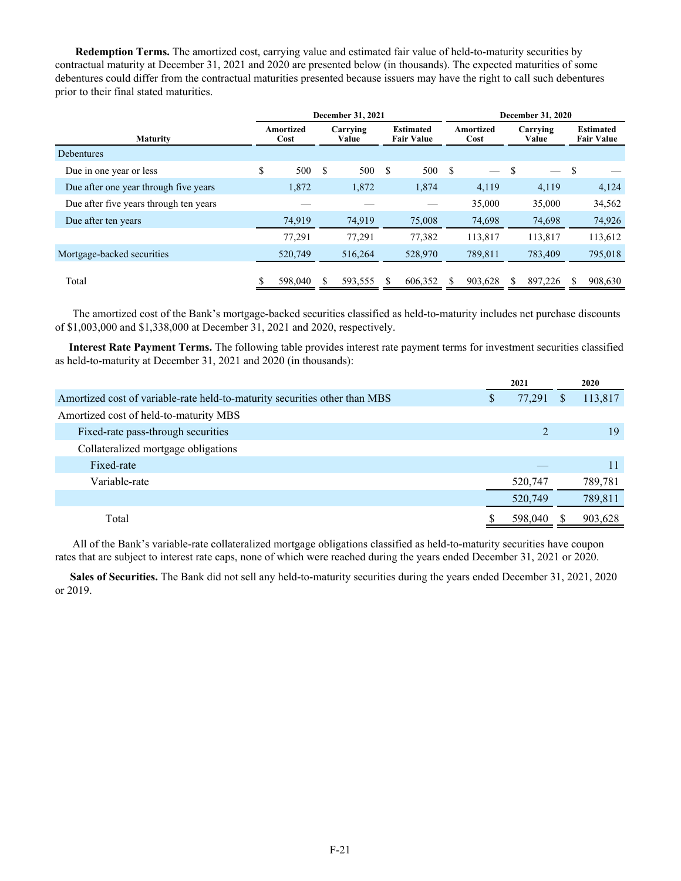**Redemption Terms.** The amortized cost, carrying value and estimated fair value of held-to-maturity securities by contractual maturity at December 31, 2021 and 2020 are presented below (in thousands). The expected maturities of some debentures could differ from the contractual maturities presented because issuers may have the right to call such debentures prior to their final stated maturities.

|                                        | December 31, 2021 |         |                   |         |                                       |         | December 31, 2020 |         |                   |         |    |                                       |  |
|----------------------------------------|-------------------|---------|-------------------|---------|---------------------------------------|---------|-------------------|---------|-------------------|---------|----|---------------------------------------|--|
| <b>Maturity</b>                        | Amortized<br>Cost |         | Carrying<br>Value |         | <b>Estimated</b><br><b>Fair Value</b> |         | Amortized<br>Cost |         | Carrying<br>Value |         |    | <b>Estimated</b><br><b>Fair Value</b> |  |
| <b>Debentures</b>                      |                   |         |                   |         |                                       |         |                   |         |                   |         |    |                                       |  |
| Due in one year or less                | \$                | 500     | <sup>\$</sup>     | 500     | S                                     | 500     | - S               |         | S                 |         | -S |                                       |  |
| Due after one year through five years  |                   | 1,872   |                   | 1,872   |                                       | 1,874   |                   | 4,119   |                   | 4,119   |    | 4,124                                 |  |
| Due after five years through ten years |                   |         |                   |         |                                       |         |                   | 35,000  |                   | 35,000  |    | 34,562                                |  |
| Due after ten years                    |                   | 74,919  |                   | 74,919  |                                       | 75,008  |                   | 74,698  |                   | 74,698  |    | 74,926                                |  |
|                                        |                   | 77,291  |                   | 77,291  |                                       | 77,382  |                   | 113,817 |                   | 113,817 |    | 113,612                               |  |
| Mortgage-backed securities             |                   | 520,749 |                   | 516,264 |                                       | 528,970 |                   | 789,811 |                   | 783,409 |    | 795,018                               |  |
| Total                                  |                   | 598,040 |                   | 593,555 |                                       | 606,352 |                   | 903,628 |                   | 897,226 |    | 908,630                               |  |

The amortized cost of the Bank's mortgage-backed securities classified as held-to-maturity includes net purchase discounts of \$1,003,000 and \$1,338,000 at December 31, 2021 and 2020, respectively.

 **Interest Rate Payment Terms.** The following table provides interest rate payment terms for investment securities classified as held-to-maturity at December 31, 2021 and 2020 (in thousands):

|                                                                            |   | 2021    |              | 2020    |
|----------------------------------------------------------------------------|---|---------|--------------|---------|
| Amortized cost of variable-rate held-to-maturity securities other than MBS | D | 77,291  | <sup>8</sup> | 113,817 |
| Amortized cost of held-to-maturity MBS                                     |   |         |              |         |
| Fixed-rate pass-through securities                                         |   |         |              | 19      |
| Collateralized mortgage obligations                                        |   |         |              |         |
| Fixed-rate                                                                 |   |         |              | 11      |
| Variable-rate                                                              |   | 520,747 |              | 789,781 |
|                                                                            |   | 520,749 |              | 789,811 |
| Total                                                                      |   | 598,040 |              | 903,628 |

All of the Bank's variable-rate collateralized mortgage obligations classified as held-to-maturity securities have coupon rates that are subject to interest rate caps, none of which were reached during the years ended December 31, 2021 or 2020.

**Sales of Securities.** The Bank did not sell any held-to-maturity securities during the years ended December 31, 2021, 2020 or 2019.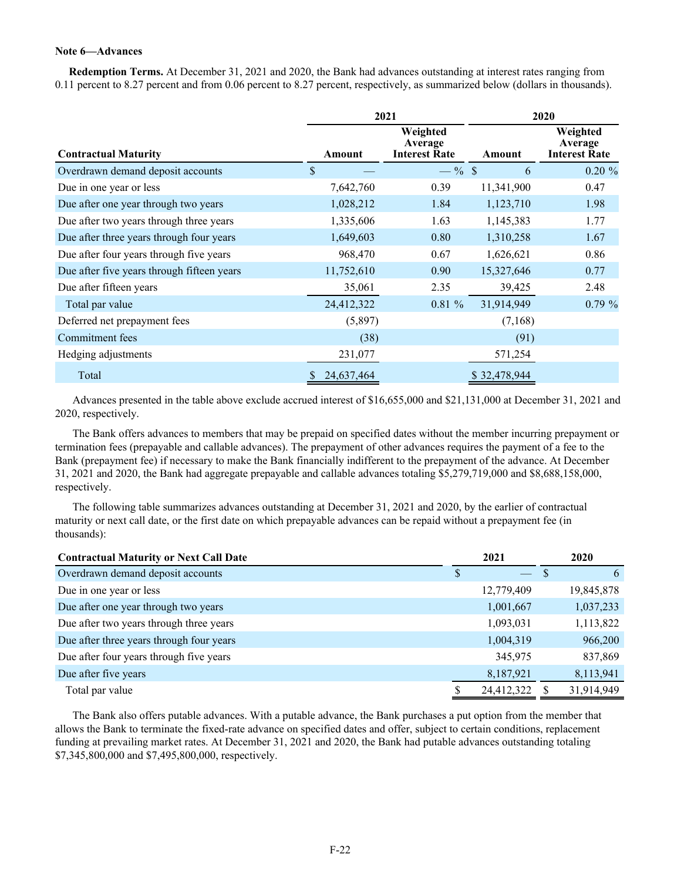## **Note 6—Advances**

 **Redemption Terms.** At December 31, 2021 and 2020, the Bank had advances outstanding at interest rates ranging from 0.11 percent to 8.27 percent and from 0.06 percent to 8.27 percent, respectively, as summarized below (dollars in thousands).

|                                            | 2021       |                                             |              | 2020                                        |  |  |  |
|--------------------------------------------|------------|---------------------------------------------|--------------|---------------------------------------------|--|--|--|
| <b>Contractual Maturity</b>                | Amount     | Weighted<br>Average<br><b>Interest Rate</b> | Amount       | Weighted<br>Average<br><b>Interest Rate</b> |  |  |  |
| Overdrawn demand deposit accounts          | \$         | $-$ % \$                                    | 6            | $0.20 \%$                                   |  |  |  |
| Due in one year or less                    | 7,642,760  | 0.39                                        | 11,341,900   | 0.47                                        |  |  |  |
| Due after one year through two years       | 1,028,212  | 1.84                                        | 1,123,710    | 1.98                                        |  |  |  |
| Due after two years through three years    | 1,335,606  | 1.63                                        | 1,145,383    | 1.77                                        |  |  |  |
| Due after three years through four years   | 1,649,603  | 0.80                                        | 1,310,258    | 1.67                                        |  |  |  |
| Due after four years through five years    | 968,470    | 0.67                                        | 1,626,621    | 0.86                                        |  |  |  |
| Due after five years through fifteen years | 11,752,610 | 0.90                                        | 15,327,646   | 0.77                                        |  |  |  |
| Due after fifteen years                    | 35,061     | 2.35                                        | 39,425       | 2.48                                        |  |  |  |
| Total par value                            | 24,412,322 | $0.81 \%$                                   | 31,914,949   | $0.79 \%$                                   |  |  |  |
| Deferred net prepayment fees               | (5,897)    |                                             | (7,168)      |                                             |  |  |  |
| Commitment fees                            | (38)       |                                             | (91)         |                                             |  |  |  |
| Hedging adjustments                        | 231,077    |                                             | 571,254      |                                             |  |  |  |
| Total                                      | 24,637,464 |                                             | \$32,478,944 |                                             |  |  |  |

Advances presented in the table above exclude accrued interest of \$16,655,000 and \$21,131,000 at December 31, 2021 and 2020, respectively.

The Bank offers advances to members that may be prepaid on specified dates without the member incurring prepayment or termination fees (prepayable and callable advances). The prepayment of other advances requires the payment of a fee to the Bank (prepayment fee) if necessary to make the Bank financially indifferent to the prepayment of the advance. At December 31, 2021 and 2020, the Bank had aggregate prepayable and callable advances totaling \$5,279,719,000 and \$8,688,158,000, respectively.

The following table summarizes advances outstanding at December 31, 2021 and 2020, by the earlier of contractual maturity or next call date, or the first date on which prepayable advances can be repaid without a prepayment fee (in thousands):

| <b>Contractual Maturity or Next Call Date</b> | 2021 |            |   | 2020       |
|-----------------------------------------------|------|------------|---|------------|
| Overdrawn demand deposit accounts             |      |            | S | 6          |
| Due in one year or less                       |      | 12,779,409 |   | 19,845,878 |
| Due after one year through two years          |      | 1,001,667  |   | 1,037,233  |
| Due after two years through three years       |      | 1,093,031  |   | 1,113,822  |
| Due after three years through four years      |      | 1,004,319  |   | 966,200    |
| Due after four years through five years       |      | 345,975    |   | 837,869    |
| Due after five years                          |      | 8,187,921  |   | 8,113,941  |
| Total par value                               |      | 24,412,322 |   | 31,914,949 |

The Bank also offers putable advances. With a putable advance, the Bank purchases a put option from the member that allows the Bank to terminate the fixed-rate advance on specified dates and offer, subject to certain conditions, replacement funding at prevailing market rates. At December 31, 2021 and 2020, the Bank had putable advances outstanding totaling \$7,345,800,000 and \$7,495,800,000, respectively.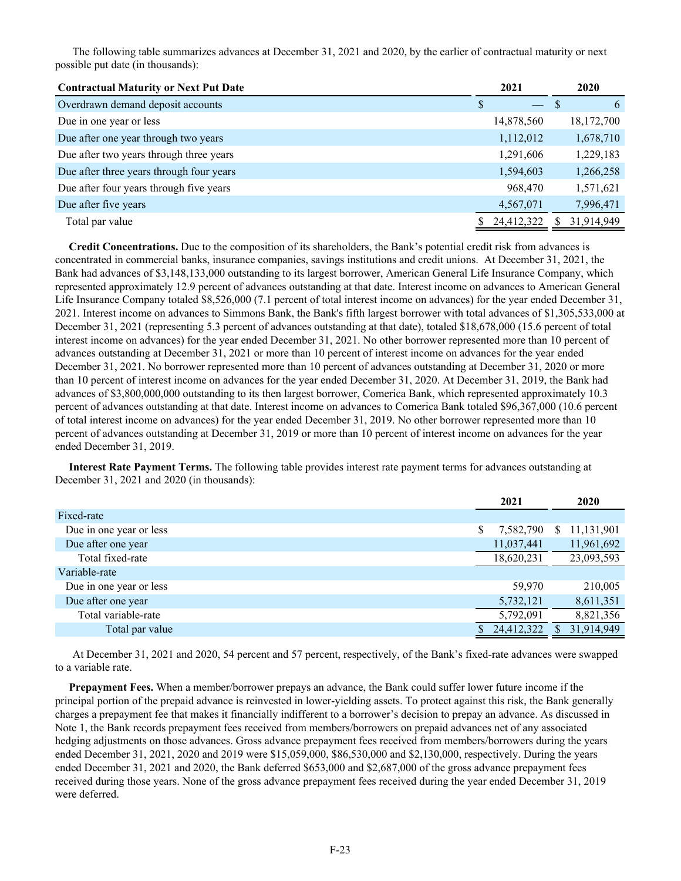The following table summarizes advances at December 31, 2021 and 2020, by the earlier of contractual maturity or next possible put date (in thousands):

| <b>Contractual Maturity or Next Put Date</b> |   | 2021       | 2020       |
|----------------------------------------------|---|------------|------------|
| Overdrawn demand deposit accounts            | S |            | 6          |
| Due in one year or less                      |   | 14,878,560 | 18,172,700 |
| Due after one year through two years         |   | 1,112,012  | 1,678,710  |
| Due after two years through three years      |   | 1,291,606  | 1,229,183  |
| Due after three years through four years     |   | 1,594,603  | 1,266,258  |
| Due after four years through five years      |   | 968,470    | 1,571,621  |
| Due after five years                         |   | 4,567,071  | 7,996,471  |
| Total par value                              |   | 24,412,322 | 31,914,949 |

 **Credit Concentrations.** Due to the composition of its shareholders, the Bank's potential credit risk from advances is concentrated in commercial banks, insurance companies, savings institutions and credit unions. At December 31, 2021, the Bank had advances of \$3,148,133,000 outstanding to its largest borrower, American General Life Insurance Company, which represented approximately 12.9 percent of advances outstanding at that date. Interest income on advances to American General Life Insurance Company totaled \$8,526,000 (7.1 percent of total interest income on advances) for the year ended December 31, 2021. Interest income on advances to Simmons Bank, the Bank's fifth largest borrower with total advances of \$1,305,533,000 at December 31, 2021 (representing 5.3 percent of advances outstanding at that date), totaled \$18,678,000 (15.6 percent of total interest income on advances) for the year ended December 31, 2021. No other borrower represented more than 10 percent of advances outstanding at December 31, 2021 or more than 10 percent of interest income on advances for the year ended December 31, 2021. No borrower represented more than 10 percent of advances outstanding at December 31, 2020 or more than 10 percent of interest income on advances for the year ended December 31, 2020. At December 31, 2019, the Bank had advances of \$3,800,000,000 outstanding to its then largest borrower, Comerica Bank, which represented approximately 10.3 percent of advances outstanding at that date. Interest income on advances to Comerica Bank totaled \$96,367,000 (10.6 percent of total interest income on advances) for the year ended December 31, 2019. No other borrower represented more than 10 percent of advances outstanding at December 31, 2019 or more than 10 percent of interest income on advances for the year ended December 31, 2019.

 **Interest Rate Payment Terms.** The following table provides interest rate payment terms for advances outstanding at December 31, 2021 and 2020 (in thousands):

|                         |   | 2021       |    | 2020       |
|-------------------------|---|------------|----|------------|
| Fixed-rate              |   |            |    |            |
| Due in one year or less | S | 7,582,790  | S. | 11,131,901 |
| Due after one year      |   | 11,037,441 |    | 11,961,692 |
| Total fixed-rate        |   | 18,620,231 |    | 23,093,593 |
| Variable-rate           |   |            |    |            |
| Due in one year or less |   | 59,970     |    | 210,005    |
| Due after one year      |   | 5,732,121  |    | 8,611,351  |
| Total variable-rate     |   | 5,792,091  |    | 8,821,356  |
| Total par value         |   | 24,412,322 |    | 31,914,949 |

At December 31, 2021 and 2020, 54 percent and 57 percent, respectively, of the Bank's fixed-rate advances were swapped to a variable rate.

 **Prepayment Fees.** When a member/borrower prepays an advance, the Bank could suffer lower future income if the principal portion of the prepaid advance is reinvested in lower-yielding assets. To protect against this risk, the Bank generally charges a prepayment fee that makes it financially indifferent to a borrower's decision to prepay an advance. As discussed in Note 1, the Bank records prepayment fees received from members/borrowers on prepaid advances net of any associated hedging adjustments on those advances. Gross advance prepayment fees received from members/borrowers during the years ended December 31, 2021, 2020 and 2019 were \$15,059,000, \$86,530,000 and \$2,130,000, respectively. During the years ended December 31, 2021 and 2020, the Bank deferred \$653,000 and \$2,687,000 of the gross advance prepayment fees received during those years. None of the gross advance prepayment fees received during the year ended December 31, 2019 were deferred.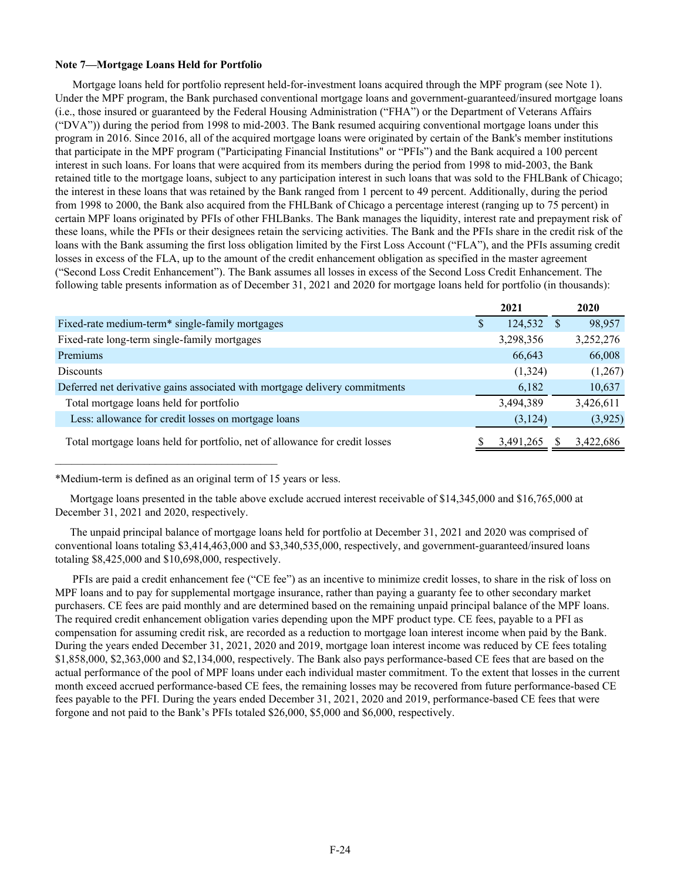## **Note 7—Mortgage Loans Held for Portfolio**

Mortgage loans held for portfolio represent held-for-investment loans acquired through the MPF program (see Note 1). Under the MPF program, the Bank purchased conventional mortgage loans and government-guaranteed/insured mortgage loans (i.e., those insured or guaranteed by the Federal Housing Administration ("FHA") or the Department of Veterans Affairs ("DVA")) during the period from 1998 to mid-2003. The Bank resumed acquiring conventional mortgage loans under this program in 2016. Since 2016, all of the acquired mortgage loans were originated by certain of the Bank's member institutions that participate in the MPF program ("Participating Financial Institutions" or "PFIs") and the Bank acquired a 100 percent interest in such loans. For loans that were acquired from its members during the period from 1998 to mid-2003, the Bank retained title to the mortgage loans, subject to any participation interest in such loans that was sold to the FHLBank of Chicago; the interest in these loans that was retained by the Bank ranged from 1 percent to 49 percent. Additionally, during the period from 1998 to 2000, the Bank also acquired from the FHLBank of Chicago a percentage interest (ranging up to 75 percent) in certain MPF loans originated by PFIs of other FHLBanks. The Bank manages the liquidity, interest rate and prepayment risk of these loans, while the PFIs or their designees retain the servicing activities. The Bank and the PFIs share in the credit risk of the loans with the Bank assuming the first loss obligation limited by the First Loss Account ("FLA"), and the PFIs assuming credit losses in excess of the FLA, up to the amount of the credit enhancement obligation as specified in the master agreement ("Second Loss Credit Enhancement"). The Bank assumes all losses in excess of the Second Loss Credit Enhancement. The following table presents information as of December 31, 2021 and 2020 for mortgage loans held for portfolio (in thousands):

|                                                                             |   | 2021      | 2020      |
|-----------------------------------------------------------------------------|---|-----------|-----------|
| Fixed-rate medium-term <sup>*</sup> single-family mortgages                 | S | 124,532   | 98,957    |
| Fixed-rate long-term single-family mortgages                                |   | 3,298,356 | 3,252,276 |
| Premiums                                                                    |   | 66,643    | 66,008    |
| <b>Discounts</b>                                                            |   | (1,324)   | (1,267)   |
| Deferred net derivative gains associated with mortgage delivery commitments |   | 6,182     | 10,637    |
| Total mortgage loans held for portfolio                                     |   | 3,494,389 | 3,426,611 |
| Less: allowance for credit losses on mortgage loans                         |   | (3, 124)  | (3, 925)  |
| Total mortgage loans held for portfolio, net of allowance for credit losses |   | 3,491,265 | 3,422,686 |

\*Medium-term is defined as an original term of 15 years or less.

Mortgage loans presented in the table above exclude accrued interest receivable of \$14,345,000 and \$16,765,000 at December 31, 2021 and 2020, respectively.

The unpaid principal balance of mortgage loans held for portfolio at December 31, 2021 and 2020 was comprised of conventional loans totaling \$3,414,463,000 and \$3,340,535,000, respectively, and government-guaranteed/insured loans totaling \$8,425,000 and \$10,698,000, respectively.

PFIs are paid a credit enhancement fee ("CE fee") as an incentive to minimize credit losses, to share in the risk of loss on MPF loans and to pay for supplemental mortgage insurance, rather than paying a guaranty fee to other secondary market purchasers. CE fees are paid monthly and are determined based on the remaining unpaid principal balance of the MPF loans. The required credit enhancement obligation varies depending upon the MPF product type. CE fees, payable to a PFI as compensation for assuming credit risk, are recorded as a reduction to mortgage loan interest income when paid by the Bank. During the years ended December 31, 2021, 2020 and 2019, mortgage loan interest income was reduced by CE fees totaling \$1,858,000, \$2,363,000 and \$2,134,000, respectively. The Bank also pays performance-based CE fees that are based on the actual performance of the pool of MPF loans under each individual master commitment. To the extent that losses in the current month exceed accrued performance-based CE fees, the remaining losses may be recovered from future performance-based CE fees payable to the PFI. During the years ended December 31, 2021, 2020 and 2019, performance-based CE fees that were forgone and not paid to the Bank's PFIs totaled \$26,000, \$5,000 and \$6,000, respectively.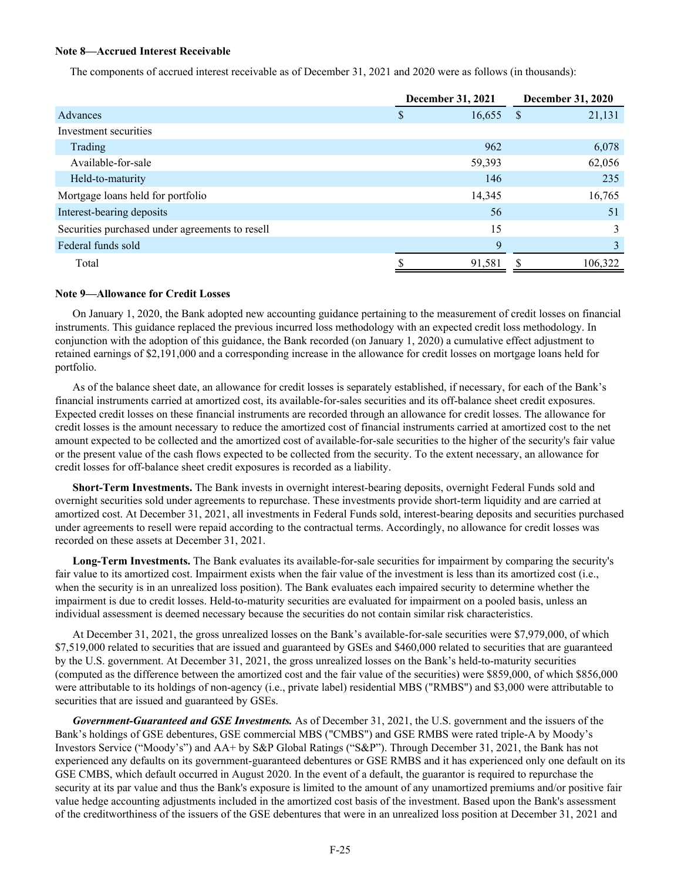## **Note 8—Accrued Interest Receivable**

The components of accrued interest receivable as of December 31, 2021 and 2020 were as follows (in thousands):

|                                                 | December 31, 2021 | <b>December 31, 2020</b> |  |  |
|-------------------------------------------------|-------------------|--------------------------|--|--|
| Advances                                        | 16,655<br>S       | 21,131<br>S              |  |  |
| Investment securities                           |                   |                          |  |  |
| Trading                                         | 962               | 6,078                    |  |  |
| Available-for-sale                              | 59,393            | 62,056                   |  |  |
| Held-to-maturity                                | 146               | 235                      |  |  |
| Mortgage loans held for portfolio               | 14,345            | 16,765                   |  |  |
| Interest-bearing deposits                       | 56                | 51                       |  |  |
| Securities purchased under agreements to resell | 15                | 3                        |  |  |
| Federal funds sold                              | 9                 | 3                        |  |  |
| Total                                           | 91,581            | 106,322                  |  |  |

#### **Note 9—Allowance for Credit Losses**

On January 1, 2020, the Bank adopted new accounting guidance pertaining to the measurement of credit losses on financial instruments. This guidance replaced the previous incurred loss methodology with an expected credit loss methodology. In conjunction with the adoption of this guidance, the Bank recorded (on January 1, 2020) a cumulative effect adjustment to retained earnings of \$2,191,000 and a corresponding increase in the allowance for credit losses on mortgage loans held for portfolio.

As of the balance sheet date, an allowance for credit losses is separately established, if necessary, for each of the Bank's financial instruments carried at amortized cost, its available-for-sales securities and its off-balance sheet credit exposures. Expected credit losses on these financial instruments are recorded through an allowance for credit losses. The allowance for credit losses is the amount necessary to reduce the amortized cost of financial instruments carried at amortized cost to the net amount expected to be collected and the amortized cost of available-for-sale securities to the higher of the security's fair value or the present value of the cash flows expected to be collected from the security. To the extent necessary, an allowance for credit losses for off-balance sheet credit exposures is recorded as a liability.

**Short-Term Investments.** The Bank invests in overnight interest-bearing deposits, overnight Federal Funds sold and overnight securities sold under agreements to repurchase. These investments provide short-term liquidity and are carried at amortized cost. At December 31, 2021, all investments in Federal Funds sold, interest-bearing deposits and securities purchased under agreements to resell were repaid according to the contractual terms. Accordingly, no allowance for credit losses was recorded on these assets at December 31, 2021.

**Long-Term Investments.** The Bank evaluates its available-for-sale securities for impairment by comparing the security's fair value to its amortized cost. Impairment exists when the fair value of the investment is less than its amortized cost (i.e., when the security is in an unrealized loss position). The Bank evaluates each impaired security to determine whether the impairment is due to credit losses. Held-to-maturity securities are evaluated for impairment on a pooled basis, unless an individual assessment is deemed necessary because the securities do not contain similar risk characteristics.

At December 31, 2021, the gross unrealized losses on the Bank's available-for-sale securities were \$7,979,000, of which \$7,519,000 related to securities that are issued and guaranteed by GSEs and \$460,000 related to securities that are guaranteed by the U.S. government. At December 31, 2021, the gross unrealized losses on the Bank's held-to-maturity securities (computed as the difference between the amortized cost and the fair value of the securities) were \$859,000, of which \$856,000 were attributable to its holdings of non-agency (i.e., private label) residential MBS ("RMBS") and \$3,000 were attributable to securities that are issued and guaranteed by GSEs.

*Government-Guaranteed and GSE Investments.* As of December 31, 2021, the U.S. government and the issuers of the Bank's holdings of GSE debentures, GSE commercial MBS ("CMBS") and GSE RMBS were rated triple-A by Moody's Investors Service ("Moody's") and AA+ by S&P Global Ratings ("S&P"). Through December 31, 2021, the Bank has not experienced any defaults on its government-guaranteed debentures or GSE RMBS and it has experienced only one default on its GSE CMBS, which default occurred in August 2020. In the event of a default, the guarantor is required to repurchase the security at its par value and thus the Bank's exposure is limited to the amount of any unamortized premiums and/or positive fair value hedge accounting adjustments included in the amortized cost basis of the investment. Based upon the Bank's assessment of the creditworthiness of the issuers of the GSE debentures that were in an unrealized loss position at December 31, 2021 and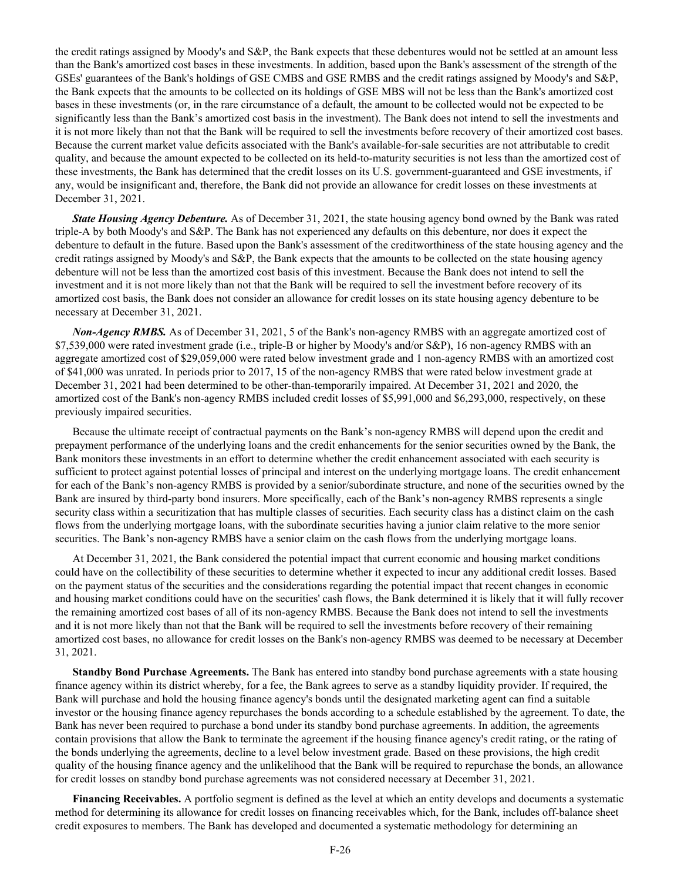the credit ratings assigned by Moody's and S&P, the Bank expects that these debentures would not be settled at an amount less than the Bank's amortized cost bases in these investments. In addition, based upon the Bank's assessment of the strength of the GSEs' guarantees of the Bank's holdings of GSE CMBS and GSE RMBS and the credit ratings assigned by Moody's and S&P, the Bank expects that the amounts to be collected on its holdings of GSE MBS will not be less than the Bank's amortized cost bases in these investments (or, in the rare circumstance of a default, the amount to be collected would not be expected to be significantly less than the Bank's amortized cost basis in the investment). The Bank does not intend to sell the investments and it is not more likely than not that the Bank will be required to sell the investments before recovery of their amortized cost bases. Because the current market value deficits associated with the Bank's available-for-sale securities are not attributable to credit quality, and because the amount expected to be collected on its held-to-maturity securities is not less than the amortized cost of these investments, the Bank has determined that the credit losses on its U.S. government-guaranteed and GSE investments, if any, would be insignificant and, therefore, the Bank did not provide an allowance for credit losses on these investments at December 31, 2021.

*State Housing Agency Debenture.* As of December 31, 2021, the state housing agency bond owned by the Bank was rated triple-A by both Moody's and S&P. The Bank has not experienced any defaults on this debenture, nor does it expect the debenture to default in the future. Based upon the Bank's assessment of the creditworthiness of the state housing agency and the credit ratings assigned by Moody's and S&P, the Bank expects that the amounts to be collected on the state housing agency debenture will not be less than the amortized cost basis of this investment. Because the Bank does not intend to sell the investment and it is not more likely than not that the Bank will be required to sell the investment before recovery of its amortized cost basis, the Bank does not consider an allowance for credit losses on its state housing agency debenture to be necessary at December 31, 2021.

*Non-Agency RMBS.* As of December 31, 2021, 5 of the Bank's non-agency RMBS with an aggregate amortized cost of \$7,539,000 were rated investment grade (i.e., triple-B or higher by Moody's and/or S&P), 16 non-agency RMBS with an aggregate amortized cost of \$29,059,000 were rated below investment grade and 1 non-agency RMBS with an amortized cost of \$41,000 was unrated. In periods prior to 2017, 15 of the non-agency RMBS that were rated below investment grade at December 31, 2021 had been determined to be other-than-temporarily impaired. At December 31, 2021 and 2020, the amortized cost of the Bank's non-agency RMBS included credit losses of \$5,991,000 and \$6,293,000, respectively, on these previously impaired securities.

Because the ultimate receipt of contractual payments on the Bank's non-agency RMBS will depend upon the credit and prepayment performance of the underlying loans and the credit enhancements for the senior securities owned by the Bank, the Bank monitors these investments in an effort to determine whether the credit enhancement associated with each security is sufficient to protect against potential losses of principal and interest on the underlying mortgage loans. The credit enhancement for each of the Bank's non-agency RMBS is provided by a senior/subordinate structure, and none of the securities owned by the Bank are insured by third-party bond insurers. More specifically, each of the Bank's non-agency RMBS represents a single security class within a securitization that has multiple classes of securities. Each security class has a distinct claim on the cash flows from the underlying mortgage loans, with the subordinate securities having a junior claim relative to the more senior securities. The Bank's non-agency RMBS have a senior claim on the cash flows from the underlying mortgage loans.

At December 31, 2021, the Bank considered the potential impact that current economic and housing market conditions could have on the collectibility of these securities to determine whether it expected to incur any additional credit losses. Based on the payment status of the securities and the considerations regarding the potential impact that recent changes in economic and housing market conditions could have on the securities' cash flows, the Bank determined it is likely that it will fully recover the remaining amortized cost bases of all of its non-agency RMBS. Because the Bank does not intend to sell the investments and it is not more likely than not that the Bank will be required to sell the investments before recovery of their remaining amortized cost bases, no allowance for credit losses on the Bank's non-agency RMBS was deemed to be necessary at December 31, 2021.

**Standby Bond Purchase Agreements.** The Bank has entered into standby bond purchase agreements with a state housing finance agency within its district whereby, for a fee, the Bank agrees to serve as a standby liquidity provider. If required, the Bank will purchase and hold the housing finance agency's bonds until the designated marketing agent can find a suitable investor or the housing finance agency repurchases the bonds according to a schedule established by the agreement. To date, the Bank has never been required to purchase a bond under its standby bond purchase agreements. In addition, the agreements contain provisions that allow the Bank to terminate the agreement if the housing finance agency's credit rating, or the rating of the bonds underlying the agreements, decline to a level below investment grade. Based on these provisions, the high credit quality of the housing finance agency and the unlikelihood that the Bank will be required to repurchase the bonds, an allowance for credit losses on standby bond purchase agreements was not considered necessary at December 31, 2021.

**Financing Receivables.** A portfolio segment is defined as the level at which an entity develops and documents a systematic method for determining its allowance for credit losses on financing receivables which, for the Bank, includes off-balance sheet credit exposures to members. The Bank has developed and documented a systematic methodology for determining an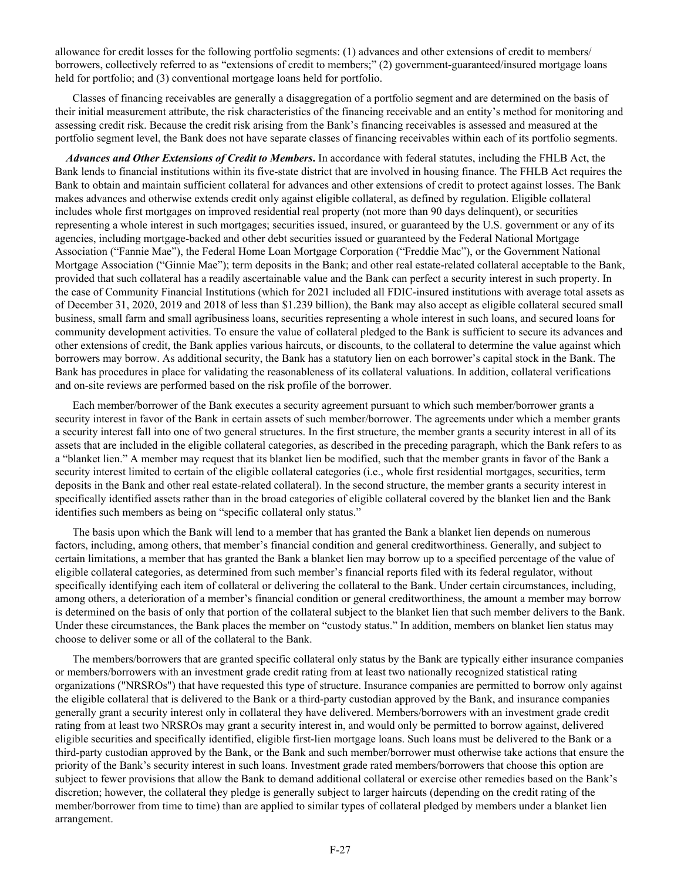allowance for credit losses for the following portfolio segments: (1) advances and other extensions of credit to members/ borrowers, collectively referred to as "extensions of credit to members;" (2) government-guaranteed/insured mortgage loans held for portfolio; and (3) conventional mortgage loans held for portfolio.

Classes of financing receivables are generally a disaggregation of a portfolio segment and are determined on the basis of their initial measurement attribute, the risk characteristics of the financing receivable and an entity's method for monitoring and assessing credit risk. Because the credit risk arising from the Bank's financing receivables is assessed and measured at the portfolio segment level, the Bank does not have separate classes of financing receivables within each of its portfolio segments.

 *Advances and Other Extensions of Credit to Members***.** In accordance with federal statutes, including the FHLB Act, the Bank lends to financial institutions within its five-state district that are involved in housing finance. The FHLB Act requires the Bank to obtain and maintain sufficient collateral for advances and other extensions of credit to protect against losses. The Bank makes advances and otherwise extends credit only against eligible collateral, as defined by regulation. Eligible collateral includes whole first mortgages on improved residential real property (not more than 90 days delinquent), or securities representing a whole interest in such mortgages; securities issued, insured, or guaranteed by the U.S. government or any of its agencies, including mortgage-backed and other debt securities issued or guaranteed by the Federal National Mortgage Association ("Fannie Mae"), the Federal Home Loan Mortgage Corporation ("Freddie Mac"), or the Government National Mortgage Association ("Ginnie Mae"); term deposits in the Bank; and other real estate-related collateral acceptable to the Bank, provided that such collateral has a readily ascertainable value and the Bank can perfect a security interest in such property. In the case of Community Financial Institutions (which for 2021 included all FDIC-insured institutions with average total assets as of December 31, 2020, 2019 and 2018 of less than \$1.239 billion), the Bank may also accept as eligible collateral secured small business, small farm and small agribusiness loans, securities representing a whole interest in such loans, and secured loans for community development activities. To ensure the value of collateral pledged to the Bank is sufficient to secure its advances and other extensions of credit, the Bank applies various haircuts, or discounts, to the collateral to determine the value against which borrowers may borrow. As additional security, the Bank has a statutory lien on each borrower's capital stock in the Bank. The Bank has procedures in place for validating the reasonableness of its collateral valuations. In addition, collateral verifications and on-site reviews are performed based on the risk profile of the borrower.

Each member/borrower of the Bank executes a security agreement pursuant to which such member/borrower grants a security interest in favor of the Bank in certain assets of such member/borrower. The agreements under which a member grants a security interest fall into one of two general structures. In the first structure, the member grants a security interest in all of its assets that are included in the eligible collateral categories, as described in the preceding paragraph, which the Bank refers to as a "blanket lien." A member may request that its blanket lien be modified, such that the member grants in favor of the Bank a security interest limited to certain of the eligible collateral categories (i.e., whole first residential mortgages, securities, term deposits in the Bank and other real estate-related collateral). In the second structure, the member grants a security interest in specifically identified assets rather than in the broad categories of eligible collateral covered by the blanket lien and the Bank identifies such members as being on "specific collateral only status."

The basis upon which the Bank will lend to a member that has granted the Bank a blanket lien depends on numerous factors, including, among others, that member's financial condition and general creditworthiness. Generally, and subject to certain limitations, a member that has granted the Bank a blanket lien may borrow up to a specified percentage of the value of eligible collateral categories, as determined from such member's financial reports filed with its federal regulator, without specifically identifying each item of collateral or delivering the collateral to the Bank. Under certain circumstances, including, among others, a deterioration of a member's financial condition or general creditworthiness, the amount a member may borrow is determined on the basis of only that portion of the collateral subject to the blanket lien that such member delivers to the Bank. Under these circumstances, the Bank places the member on "custody status." In addition, members on blanket lien status may choose to deliver some or all of the collateral to the Bank.

The members/borrowers that are granted specific collateral only status by the Bank are typically either insurance companies or members/borrowers with an investment grade credit rating from at least two nationally recognized statistical rating organizations ("NRSROs") that have requested this type of structure. Insurance companies are permitted to borrow only against the eligible collateral that is delivered to the Bank or a third-party custodian approved by the Bank, and insurance companies generally grant a security interest only in collateral they have delivered. Members/borrowers with an investment grade credit rating from at least two NRSROs may grant a security interest in, and would only be permitted to borrow against, delivered eligible securities and specifically identified, eligible first-lien mortgage loans. Such loans must be delivered to the Bank or a third-party custodian approved by the Bank, or the Bank and such member/borrower must otherwise take actions that ensure the priority of the Bank's security interest in such loans. Investment grade rated members/borrowers that choose this option are subject to fewer provisions that allow the Bank to demand additional collateral or exercise other remedies based on the Bank's discretion; however, the collateral they pledge is generally subject to larger haircuts (depending on the credit rating of the member/borrower from time to time) than are applied to similar types of collateral pledged by members under a blanket lien arrangement.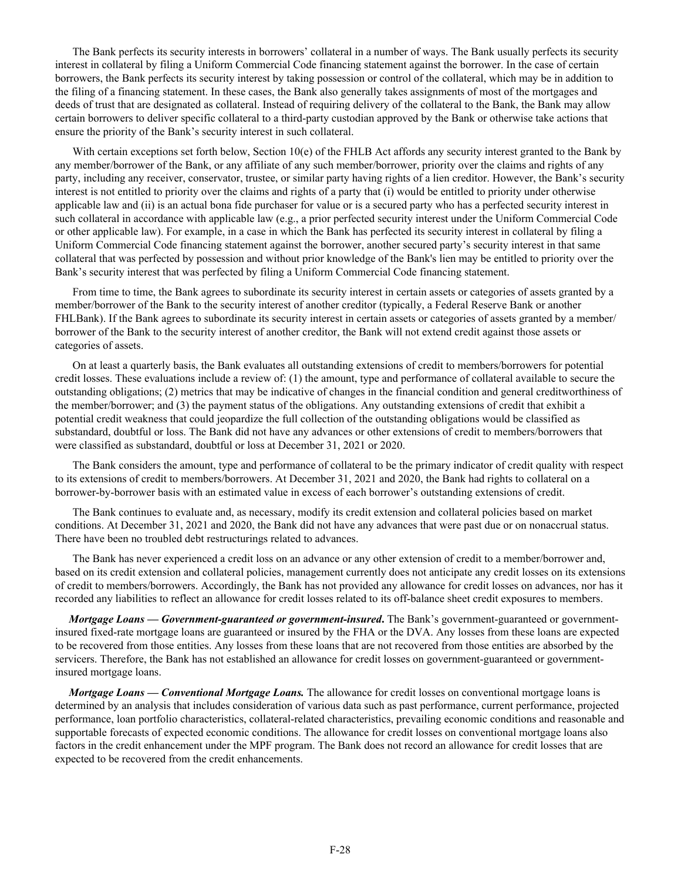The Bank perfects its security interests in borrowers' collateral in a number of ways. The Bank usually perfects its security interest in collateral by filing a Uniform Commercial Code financing statement against the borrower. In the case of certain borrowers, the Bank perfects its security interest by taking possession or control of the collateral, which may be in addition to the filing of a financing statement. In these cases, the Bank also generally takes assignments of most of the mortgages and deeds of trust that are designated as collateral. Instead of requiring delivery of the collateral to the Bank, the Bank may allow certain borrowers to deliver specific collateral to a third-party custodian approved by the Bank or otherwise take actions that ensure the priority of the Bank's security interest in such collateral.

With certain exceptions set forth below, Section 10(e) of the FHLB Act affords any security interest granted to the Bank by any member/borrower of the Bank, or any affiliate of any such member/borrower, priority over the claims and rights of any party, including any receiver, conservator, trustee, or similar party having rights of a lien creditor. However, the Bank's security interest is not entitled to priority over the claims and rights of a party that (i) would be entitled to priority under otherwise applicable law and (ii) is an actual bona fide purchaser for value or is a secured party who has a perfected security interest in such collateral in accordance with applicable law (e.g., a prior perfected security interest under the Uniform Commercial Code or other applicable law). For example, in a case in which the Bank has perfected its security interest in collateral by filing a Uniform Commercial Code financing statement against the borrower, another secured party's security interest in that same collateral that was perfected by possession and without prior knowledge of the Bank's lien may be entitled to priority over the Bank's security interest that was perfected by filing a Uniform Commercial Code financing statement.

From time to time, the Bank agrees to subordinate its security interest in certain assets or categories of assets granted by a member/borrower of the Bank to the security interest of another creditor (typically, a Federal Reserve Bank or another FHLBank). If the Bank agrees to subordinate its security interest in certain assets or categories of assets granted by a member/ borrower of the Bank to the security interest of another creditor, the Bank will not extend credit against those assets or categories of assets.

On at least a quarterly basis, the Bank evaluates all outstanding extensions of credit to members/borrowers for potential credit losses. These evaluations include a review of: (1) the amount, type and performance of collateral available to secure the outstanding obligations; (2) metrics that may be indicative of changes in the financial condition and general creditworthiness of the member/borrower; and (3) the payment status of the obligations. Any outstanding extensions of credit that exhibit a potential credit weakness that could jeopardize the full collection of the outstanding obligations would be classified as substandard, doubtful or loss. The Bank did not have any advances or other extensions of credit to members/borrowers that were classified as substandard, doubtful or loss at December 31, 2021 or 2020.

The Bank considers the amount, type and performance of collateral to be the primary indicator of credit quality with respect to its extensions of credit to members/borrowers. At December 31, 2021 and 2020, the Bank had rights to collateral on a borrower-by-borrower basis with an estimated value in excess of each borrower's outstanding extensions of credit.

The Bank continues to evaluate and, as necessary, modify its credit extension and collateral policies based on market conditions. At December 31, 2021 and 2020, the Bank did not have any advances that were past due or on nonaccrual status. There have been no troubled debt restructurings related to advances.

The Bank has never experienced a credit loss on an advance or any other extension of credit to a member/borrower and, based on its credit extension and collateral policies, management currently does not anticipate any credit losses on its extensions of credit to members/borrowers. Accordingly, the Bank has not provided any allowance for credit losses on advances, nor has it recorded any liabilities to reflect an allowance for credit losses related to its off-balance sheet credit exposures to members.

 *Mortgage Loans — Government-guaranteed or government-insured***.** The Bank's government-guaranteed or governmentinsured fixed-rate mortgage loans are guaranteed or insured by the FHA or the DVA. Any losses from these loans are expected to be recovered from those entities. Any losses from these loans that are not recovered from those entities are absorbed by the servicers. Therefore, the Bank has not established an allowance for credit losses on government-guaranteed or governmentinsured mortgage loans.

 *Mortgage Loans — Conventional Mortgage Loans.* The allowance for credit losses on conventional mortgage loans is determined by an analysis that includes consideration of various data such as past performance, current performance, projected performance, loan portfolio characteristics, collateral-related characteristics, prevailing economic conditions and reasonable and supportable forecasts of expected economic conditions. The allowance for credit losses on conventional mortgage loans also factors in the credit enhancement under the MPF program. The Bank does not record an allowance for credit losses that are expected to be recovered from the credit enhancements.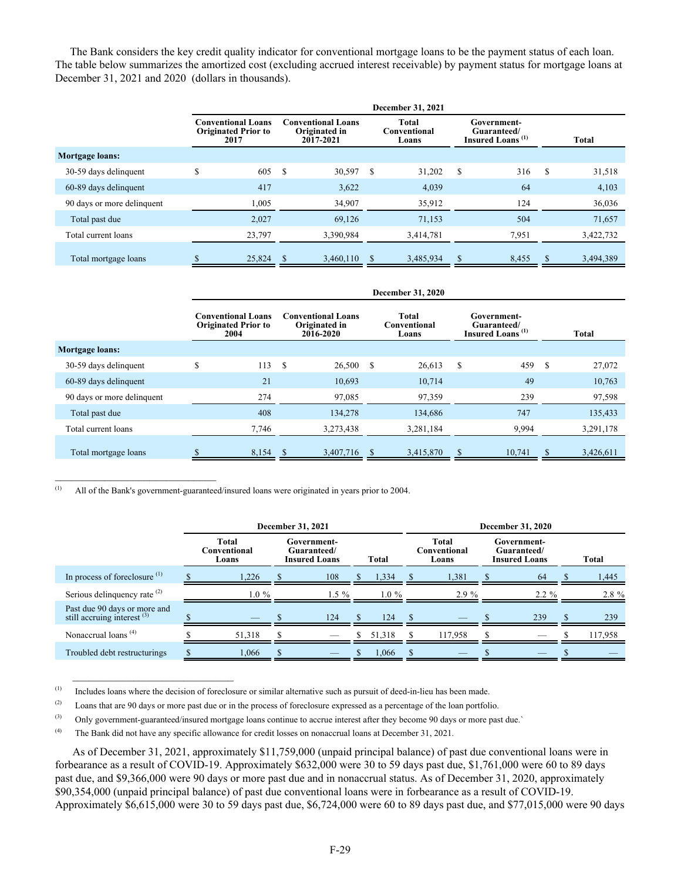The Bank considers the key credit quality indicator for conventional mortgage loans to be the payment status of each loan. The table below summarizes the amortized cost (excluding accrued interest receivable) by payment status for mortgage loans at December 31, 2021 and 2020 (dollars in thousands).

|                            | December 31, 2021                                               |                                                         |                                                                                                     |            |                |  |  |  |  |  |
|----------------------------|-----------------------------------------------------------------|---------------------------------------------------------|-----------------------------------------------------------------------------------------------------|------------|----------------|--|--|--|--|--|
|                            | <b>Conventional Loans</b><br><b>Originated Prior to</b><br>2017 | <b>Conventional Loans</b><br>Originated in<br>2017-2021 | <b>Total</b><br>Government-<br>Conventional<br>Guaranteed/<br>Insured Loans <sup>(1)</sup><br>Loans |            | <b>Total</b>   |  |  |  |  |  |
| Mortgage loans:            |                                                                 |                                                         |                                                                                                     |            |                |  |  |  |  |  |
| 30-59 days delinquent      | S<br>605                                                        | - \$<br>30,597                                          | S<br>31,202                                                                                         | S<br>316   | S<br>31,518    |  |  |  |  |  |
| 60-89 days delinquent      | 417                                                             | 3,622                                                   | 4,039                                                                                               | 64         | 4,103          |  |  |  |  |  |
| 90 days or more delinquent | 1,005                                                           | 34,907                                                  | 35,912                                                                                              | 124        | 36,036         |  |  |  |  |  |
| Total past due             | 2,027                                                           | 69,126                                                  | 71,153                                                                                              | 504        | 71,657         |  |  |  |  |  |
| Total current loans        | 23,797                                                          | 3,390,984                                               | 3,414,781                                                                                           | 7,951      | 3,422,732      |  |  |  |  |  |
| Total mortgage loans       | 25,824                                                          | 3,460,110<br><sup>\$</sup>                              | 3,485,934                                                                                           | 8,455<br>S | 3,494,389<br>S |  |  |  |  |  |

|                            |                                                                                                                                                                                                                            | December 31, 2020 |                    |              |             |  |  |  |  |  |  |
|----------------------------|----------------------------------------------------------------------------------------------------------------------------------------------------------------------------------------------------------------------------|-------------------|--------------------|--------------|-------------|--|--|--|--|--|--|
|                            | Total<br><b>Conventional Loans</b><br><b>Conventional Loans</b><br>Government-<br><b>Originated Prior to</b><br>Originated in<br>Conventional<br>Guaranteed/<br>Insured Loans <sup>(1)</sup><br>2016-2020<br>2004<br>Loans |                   |                    | <b>Total</b> |             |  |  |  |  |  |  |
| <b>Mortgage loans:</b>     |                                                                                                                                                                                                                            |                   |                    |              |             |  |  |  |  |  |  |
| 30-59 days delinquent      | S<br>113                                                                                                                                                                                                                   | - \$<br>26,500    | <b>S</b><br>26,613 | 459<br>S     | S<br>27,072 |  |  |  |  |  |  |
| 60-89 days delinquent      | 21                                                                                                                                                                                                                         | 10,693            | 10,714             | 49           | 10,763      |  |  |  |  |  |  |
| 90 days or more delinquent | 274                                                                                                                                                                                                                        | 97,085            | 97,359             | 239          | 97,598      |  |  |  |  |  |  |
| Total past due             | 408                                                                                                                                                                                                                        | 134,278           | 134,686            | 747          | 135,433     |  |  |  |  |  |  |
| Total current loans        | 7,746                                                                                                                                                                                                                      | 3,273,438         | 3,281,184          | 9,994        | 3,291,178   |  |  |  |  |  |  |
| Total mortgage loans       | 8.154 \$                                                                                                                                                                                                                   | 3,407,716         | 3,415,870<br>-S    | 10.741       | 3,426,611   |  |  |  |  |  |  |

(1) All of the Bank's government-guaranteed/insured loans were originated in years prior to 2004.

 $\mathcal{L}_\text{max}$  , where  $\mathcal{L}_\text{max}$  and  $\mathcal{L}_\text{max}$ 

 $\mathcal{L}_\text{max}$  , where  $\mathcal{L}_\text{max}$  and  $\mathcal{L}_\text{max}$ 

|                                                               | December 31, 2021              |  |                                                             |  |                                |  | <b>December 31, 2020</b>                           |  |          |  |         |              |
|---------------------------------------------------------------|--------------------------------|--|-------------------------------------------------------------|--|--------------------------------|--|----------------------------------------------------|--|----------|--|---------|--------------|
|                                                               | Total<br>Conventional<br>Loans |  | Government-<br>Guaranteed/<br><b>Insured Loans</b><br>Total |  | Total<br>Conventional<br>Loans |  | Government-<br>Guaranteed/<br><b>Insured Loans</b> |  |          |  |         | <b>Total</b> |
| In process of foreclosure $(1)$                               | .226                           |  | 108                                                         |  | 1,334                          |  | 1,381                                              |  | -64      |  | 1,445   |              |
| Serious delinquency rate <sup>(2)</sup>                       | $1.0 \%$                       |  | $1.5\%$                                                     |  | $1.0\%$                        |  | $2.9\%$                                            |  | $2.2 \%$ |  | 2.8 %   |              |
| Past due 90 days or more and<br>still accruing interest $(3)$ |                                |  | 124                                                         |  | 124                            |  |                                                    |  | 239      |  | 239     |              |
| Nonaccrual loans <sup>(4)</sup>                               | 51,318                         |  |                                                             |  | 51,318                         |  | 117,958                                            |  |          |  | 117,958 |              |
| Troubled debt restructurings                                  | .066                           |  |                                                             |  | 1,066                          |  |                                                    |  |          |  |         |              |

(1) Includes loans where the decision of foreclosure or similar alternative such as pursuit of deed-in-lieu has been made.

(2) Loans that are 90 days or more past due or in the process of foreclosure expressed as a percentage of the loan portfolio.

(3) Only government-guaranteed/insured mortgage loans continue to accrue interest after they become 90 days or more past due.`

(4) The Bank did not have any specific allowance for credit losses on nonaccrual loans at December 31, 2021.

As of December 31, 2021, approximately \$11,759,000 (unpaid principal balance) of past due conventional loans were in forbearance as a result of COVID-19. Approximately \$632,000 were 30 to 59 days past due, \$1,761,000 were 60 to 89 days past due, and \$9,366,000 were 90 days or more past due and in nonaccrual status. As of December 31, 2020, approximately \$90,354,000 (unpaid principal balance) of past due conventional loans were in forbearance as a result of COVID-19. Approximately \$6,615,000 were 30 to 59 days past due, \$6,724,000 were 60 to 89 days past due, and \$77,015,000 were 90 days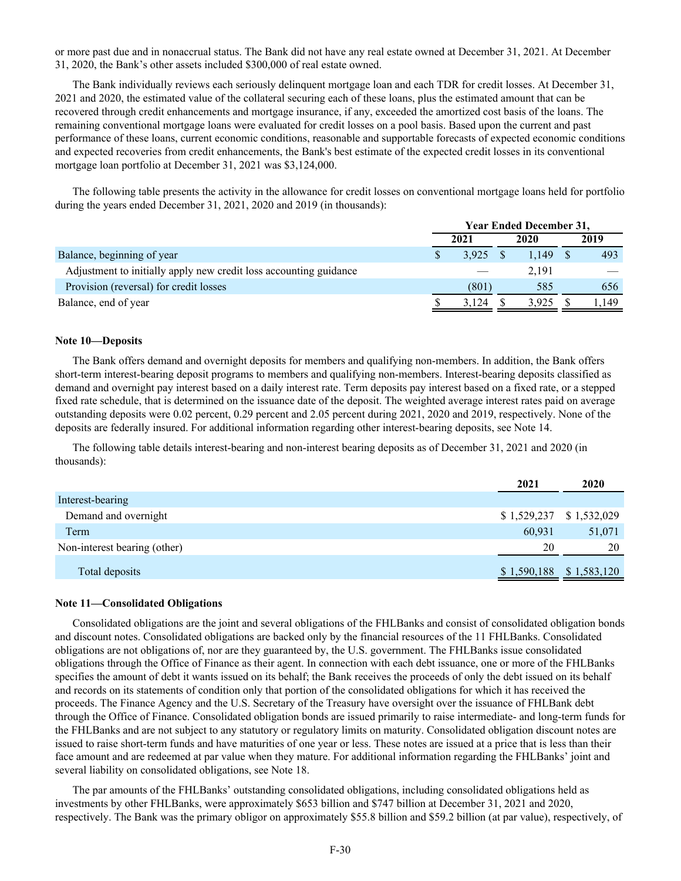or more past due and in nonaccrual status. The Bank did not have any real estate owned at December 31, 2021. At December 31, 2020, the Bank's other assets included \$300,000 of real estate owned.

The Bank individually reviews each seriously delinquent mortgage loan and each TDR for credit losses. At December 31, 2021 and 2020, the estimated value of the collateral securing each of these loans, plus the estimated amount that can be recovered through credit enhancements and mortgage insurance, if any, exceeded the amortized cost basis of the loans. The remaining conventional mortgage loans were evaluated for credit losses on a pool basis. Based upon the current and past performance of these loans, current economic conditions, reasonable and supportable forecasts of expected economic conditions and expected recoveries from credit enhancements, the Bank's best estimate of the expected credit losses in its conventional mortgage loan portfolio at December 31, 2021 was \$3,124,000.

The following table presents the activity in the allowance for credit losses on conventional mortgage loans held for portfolio during the years ended December 31, 2021, 2020 and 2019 (in thousands):

|                                                                   | <b>Year Ended December 31,</b> |  |       |  |       |  |
|-------------------------------------------------------------------|--------------------------------|--|-------|--|-------|--|
|                                                                   | 2021                           |  | 2020  |  | 2019  |  |
| Balance, beginning of year                                        | 3.925                          |  | 1.149 |  | 493   |  |
| Adjustment to initially apply new credit loss accounting guidance |                                |  | 2.191 |  |       |  |
| Provision (reversal) for credit losses                            | (801)                          |  | 585   |  | 656   |  |
| Balance, end of year                                              | 3.124                          |  | 3.925 |  | 1.149 |  |

#### **Note 10—Deposits**

The Bank offers demand and overnight deposits for members and qualifying non-members. In addition, the Bank offers short-term interest-bearing deposit programs to members and qualifying non-members. Interest-bearing deposits classified as demand and overnight pay interest based on a daily interest rate. Term deposits pay interest based on a fixed rate, or a stepped fixed rate schedule, that is determined on the issuance date of the deposit. The weighted average interest rates paid on average outstanding deposits were 0.02 percent, 0.29 percent and 2.05 percent during 2021, 2020 and 2019, respectively. None of the deposits are federally insured. For additional information regarding other interest-bearing deposits, see Note 14.

The following table details interest-bearing and non-interest bearing deposits as of December 31, 2021 and 2020 (in thousands):

|                              | 2021                      | 2020        |
|------------------------------|---------------------------|-------------|
| Interest-bearing             |                           |             |
| Demand and overnight         | $$1,529,237$ $$1,532,029$ |             |
| Term                         | 60,931                    | 51,071      |
| Non-interest bearing (other) | 20                        | 20          |
| Total deposits               | \$1,590,188               | \$1,583,120 |

#### **Note 11—Consolidated Obligations**

Consolidated obligations are the joint and several obligations of the FHLBanks and consist of consolidated obligation bonds and discount notes. Consolidated obligations are backed only by the financial resources of the 11 FHLBanks. Consolidated obligations are not obligations of, nor are they guaranteed by, the U.S. government. The FHLBanks issue consolidated obligations through the Office of Finance as their agent. In connection with each debt issuance, one or more of the FHLBanks specifies the amount of debt it wants issued on its behalf; the Bank receives the proceeds of only the debt issued on its behalf and records on its statements of condition only that portion of the consolidated obligations for which it has received the proceeds. The Finance Agency and the U.S. Secretary of the Treasury have oversight over the issuance of FHLBank debt through the Office of Finance. Consolidated obligation bonds are issued primarily to raise intermediate- and long-term funds for the FHLBanks and are not subject to any statutory or regulatory limits on maturity. Consolidated obligation discount notes are issued to raise short-term funds and have maturities of one year or less. These notes are issued at a price that is less than their face amount and are redeemed at par value when they mature. For additional information regarding the FHLBanks' joint and several liability on consolidated obligations, see Note 18.

The par amounts of the FHLBanks' outstanding consolidated obligations, including consolidated obligations held as investments by other FHLBanks, were approximately \$653 billion and \$747 billion at December 31, 2021 and 2020, respectively. The Bank was the primary obligor on approximately \$55.8 billion and \$59.2 billion (at par value), respectively, of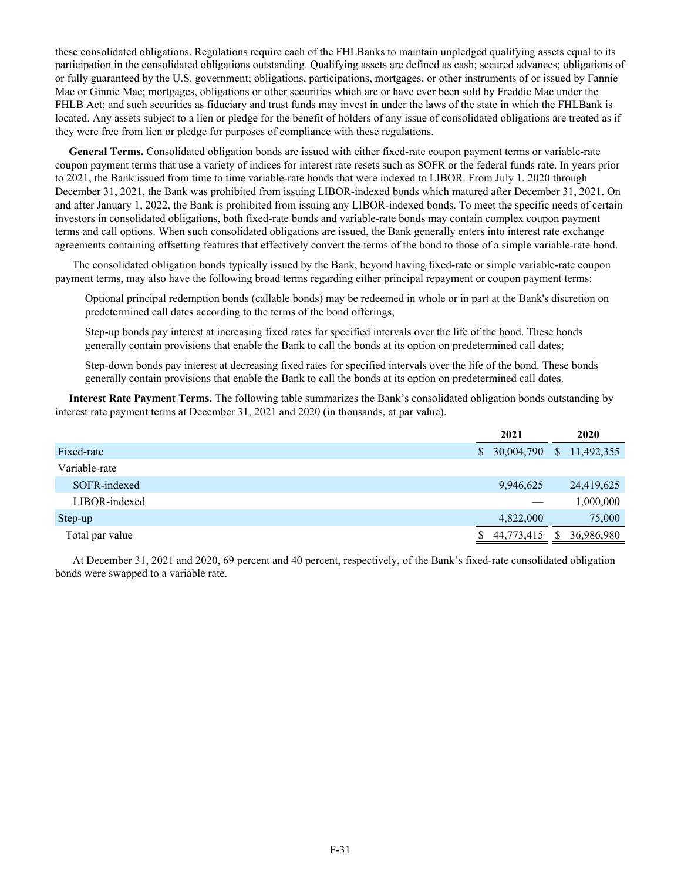these consolidated obligations. Regulations require each of the FHLBanks to maintain unpledged qualifying assets equal to its participation in the consolidated obligations outstanding. Qualifying assets are defined as cash; secured advances; obligations of or fully guaranteed by the U.S. government; obligations, participations, mortgages, or other instruments of or issued by Fannie Mae or Ginnie Mae; mortgages, obligations or other securities which are or have ever been sold by Freddie Mac under the FHLB Act; and such securities as fiduciary and trust funds may invest in under the laws of the state in which the FHLBank is located. Any assets subject to a lien or pledge for the benefit of holders of any issue of consolidated obligations are treated as if they were free from lien or pledge for purposes of compliance with these regulations.

 **General Terms.** Consolidated obligation bonds are issued with either fixed-rate coupon payment terms or variable-rate coupon payment terms that use a variety of indices for interest rate resets such as SOFR or the federal funds rate. In years prior to 2021, the Bank issued from time to time variable-rate bonds that were indexed to LIBOR. From July 1, 2020 through December 31, 2021, the Bank was prohibited from issuing LIBOR-indexed bonds which matured after December 31, 2021. On and after January 1, 2022, the Bank is prohibited from issuing any LIBOR-indexed bonds. To meet the specific needs of certain investors in consolidated obligations, both fixed-rate bonds and variable-rate bonds may contain complex coupon payment terms and call options. When such consolidated obligations are issued, the Bank generally enters into interest rate exchange agreements containing offsetting features that effectively convert the terms of the bond to those of a simple variable-rate bond.

The consolidated obligation bonds typically issued by the Bank, beyond having fixed-rate or simple variable-rate coupon payment terms, may also have the following broad terms regarding either principal repayment or coupon payment terms:

Optional principal redemption bonds (callable bonds) may be redeemed in whole or in part at the Bank's discretion on predetermined call dates according to the terms of the bond offerings;

Step-up bonds pay interest at increasing fixed rates for specified intervals over the life of the bond. These bonds generally contain provisions that enable the Bank to call the bonds at its option on predetermined call dates;

Step-down bonds pay interest at decreasing fixed rates for specified intervals over the life of the bond. These bonds generally contain provisions that enable the Bank to call the bonds at its option on predetermined call dates.

 **Interest Rate Payment Terms.** The following table summarizes the Bank's consolidated obligation bonds outstanding by interest rate payment terms at December 31, 2021 and 2020 (in thousands, at par value).

|                 | 2021                        |    | 2020       |
|-----------------|-----------------------------|----|------------|
| Fixed-rate      | $$30,004,790$ $$11,492,355$ |    |            |
| Variable-rate   |                             |    |            |
| SOFR-indexed    | 9,946,625                   |    | 24,419,625 |
| LIBOR-indexed   |                             |    | 1,000,000  |
| Step-up         | 4,822,000                   |    | 75,000     |
| Total par value | 44,773,415                  | S. | 36,986,980 |

At December 31, 2021 and 2020, 69 percent and 40 percent, respectively, of the Bank's fixed-rate consolidated obligation bonds were swapped to a variable rate.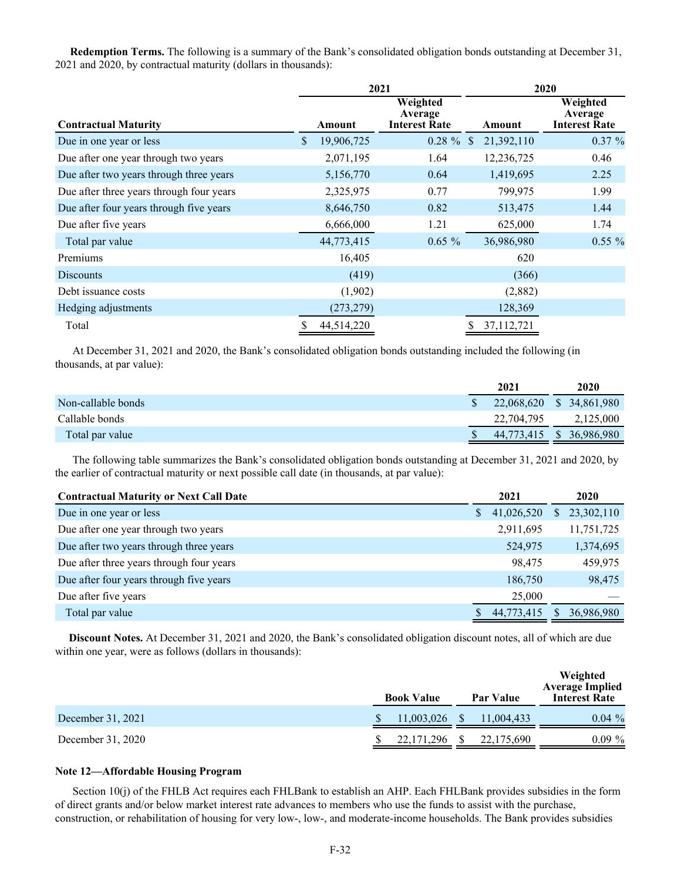**Redemption Terms.** The following is a summary of the Bank's consolidated obligation bonds outstanding at December 31, 2021 and 2020, by contractual maturity (dollars in thousands):

|                                          |              | 2021       |                                             | 2020             |                                             |  |  |  |
|------------------------------------------|--------------|------------|---------------------------------------------|------------------|---------------------------------------------|--|--|--|
| <b>Contractual Maturity</b>              |              | Amount     | Weighted<br>Average<br><b>Interest Rate</b> | Amount           | Weighted<br>Average<br><b>Interest Rate</b> |  |  |  |
| Due in one year or less                  | $\mathbb{S}$ | 19,906,725 | $0.28 \%$ \$                                | 21,392,110       | $0.37 \%$                                   |  |  |  |
| Due after one year through two years     |              | 2,071,195  | 1.64                                        | 12,236,725       | 0.46                                        |  |  |  |
| Due after two years through three years  |              | 5,156,770  | 0.64                                        | 1,419,695        | 2.25                                        |  |  |  |
| Due after three years through four years |              | 2,325,975  | 0.77                                        | 799,975          | 1.99                                        |  |  |  |
| Due after four years through five years  |              | 8,646,750  | 0.82                                        | 513,475          | 1.44                                        |  |  |  |
| Due after five years                     |              | 6,666,000  | 1.21                                        | 625,000          | 1.74                                        |  |  |  |
| Total par value                          |              | 44,773,415 | $0.65 \%$                                   | 36,986,980       | $0.55\%$                                    |  |  |  |
| Premiums                                 |              | 16,405     |                                             | 620              |                                             |  |  |  |
| <b>Discounts</b>                         |              | (419)      |                                             | (366)            |                                             |  |  |  |
| Debt issuance costs                      |              | (1,902)    |                                             | (2,882)          |                                             |  |  |  |
| Hedging adjustments                      |              | (273, 279) |                                             | 128,369          |                                             |  |  |  |
| Total                                    |              | 44,514,220 |                                             | 37,112,721<br>\$ |                                             |  |  |  |

At December 31, 2021 and 2020, the Bank's consolidated obligation bonds outstanding included the following (in thousands, at par value):

|                    | 2021                     | 2020      |
|--------------------|--------------------------|-----------|
| Non-callable bonds | 22,068,620 \$ 34,861,980 |           |
| Callable bonds     | 22,704,795               | 2,125,000 |
| Total par value    | 44,773,415 \$ 36,986,980 |           |

The following table summarizes the Bank's consolidated obligation bonds outstanding at December 31, 2021 and 2020, by the earlier of contractual maturity or next possible call date (in thousands, at par value):

| <b>Contractual Maturity or Next Call Date</b> |    | 2021       |    | 2020       |
|-----------------------------------------------|----|------------|----|------------|
| Due in one year or less                       | S. | 41,026,520 | S. | 23,302,110 |
| Due after one year through two years          |    | 2,911,695  |    | 11,751,725 |
| Due after two years through three years       |    | 524,975    |    | 1,374,695  |
| Due after three years through four years      |    | 98,475     |    | 459,975    |
| Due after four years through five years       |    | 186,750    |    | 98,475     |
| Due after five years                          |    | 25,000     |    |            |
| Total par value                               |    | 44,773,415 | S  | 36,986,980 |

 **Discount Notes.** At December 31, 2021 and 2020, the Bank's consolidated obligation discount notes, all of which are due within one year, were as follows (dollars in thousands):

|                   | <b>Book Value</b> | Par Value  | Weighted<br><b>Average Implied</b><br><b>Interest Rate</b> |  |  |
|-------------------|-------------------|------------|------------------------------------------------------------|--|--|
| December 31, 2021 | 11,003,026        | 11,004,433 | $0.04\%$                                                   |  |  |
| December 31, 2020 | 22, 171, 296      | 22,175,690 | $0.09\%$                                                   |  |  |

## **Note 12—Affordable Housing Program**

Section 10(j) of the FHLB Act requires each FHLBank to establish an AHP. Each FHLBank provides subsidies in the form of direct grants and/or below market interest rate advances to members who use the funds to assist with the purchase, construction, or rehabilitation of housing for very low-, low-, and moderate-income households. The Bank provides subsidies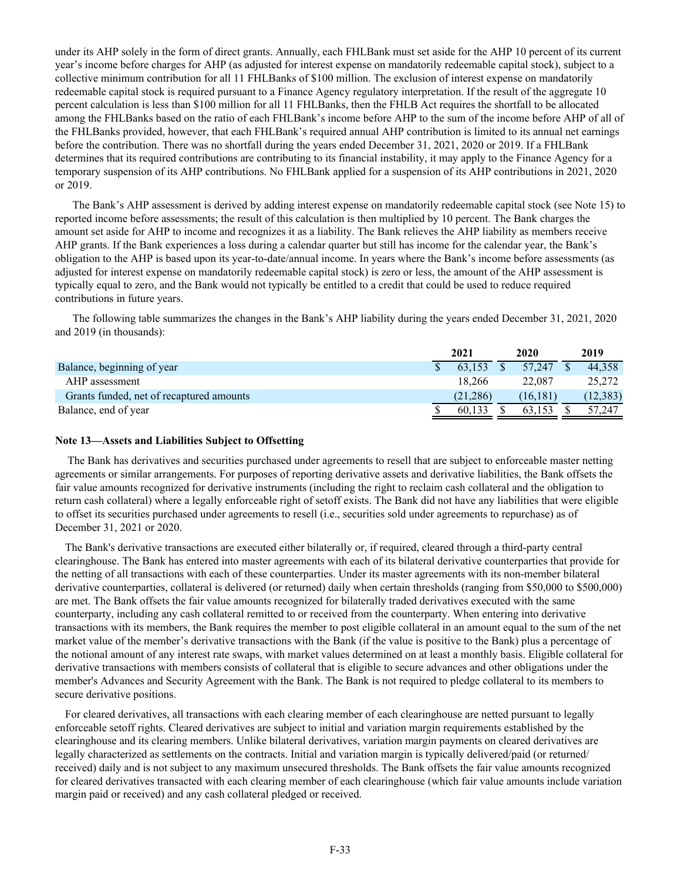under its AHP solely in the form of direct grants. Annually, each FHLBank must set aside for the AHP 10 percent of its current year's income before charges for AHP (as adjusted for interest expense on mandatorily redeemable capital stock), subject to a collective minimum contribution for all 11 FHLBanks of \$100 million. The exclusion of interest expense on mandatorily redeemable capital stock is required pursuant to a Finance Agency regulatory interpretation. If the result of the aggregate 10 percent calculation is less than \$100 million for all 11 FHLBanks, then the FHLB Act requires the shortfall to be allocated among the FHLBanks based on the ratio of each FHLBank's income before AHP to the sum of the income before AHP of all of the FHLBanks provided, however, that each FHLBank's required annual AHP contribution is limited to its annual net earnings before the contribution. There was no shortfall during the years ended December 31, 2021, 2020 or 2019. If a FHLBank determines that its required contributions are contributing to its financial instability, it may apply to the Finance Agency for a temporary suspension of its AHP contributions. No FHLBank applied for a suspension of its AHP contributions in 2021, 2020 or 2019.

The Bank's AHP assessment is derived by adding interest expense on mandatorily redeemable capital stock (see Note 15) to reported income before assessments; the result of this calculation is then multiplied by 10 percent. The Bank charges the amount set aside for AHP to income and recognizes it as a liability. The Bank relieves the AHP liability as members receive AHP grants. If the Bank experiences a loss during a calendar quarter but still has income for the calendar year, the Bank's obligation to the AHP is based upon its year-to-date/annual income. In years where the Bank's income before assessments (as adjusted for interest expense on mandatorily redeemable capital stock) is zero or less, the amount of the AHP assessment is typically equal to zero, and the Bank would not typically be entitled to a credit that could be used to reduce required contributions in future years.

The following table summarizes the changes in the Bank's AHP liability during the years ended December 31, 2021, 2020 and 2019 (in thousands):

|                                          | 2021 |          | 2020      | 2019      |
|------------------------------------------|------|----------|-----------|-----------|
| Balance, beginning of year               |      | 63.153   | 57.247    | 44.358    |
| AHP assessment                           |      | 18.266   | 22,087    | 25,272    |
| Grants funded, net of recaptured amounts |      | (21.286) | (16, 181) | (12, 383) |
| Balance, end of year                     |      | 60.133   |           | 57.247    |

## **Note 13—Assets and Liabilities Subject to Offsetting**

The Bank has derivatives and securities purchased under agreements to resell that are subject to enforceable master netting agreements or similar arrangements. For purposes of reporting derivative assets and derivative liabilities, the Bank offsets the fair value amounts recognized for derivative instruments (including the right to reclaim cash collateral and the obligation to return cash collateral) where a legally enforceable right of setoff exists. The Bank did not have any liabilities that were eligible to offset its securities purchased under agreements to resell (i.e., securities sold under agreements to repurchase) as of December 31, 2021 or 2020.

The Bank's derivative transactions are executed either bilaterally or, if required, cleared through a third-party central clearinghouse. The Bank has entered into master agreements with each of its bilateral derivative counterparties that provide for the netting of all transactions with each of these counterparties. Under its master agreements with its non-member bilateral derivative counterparties, collateral is delivered (or returned) daily when certain thresholds (ranging from \$50,000 to \$500,000) are met. The Bank offsets the fair value amounts recognized for bilaterally traded derivatives executed with the same counterparty, including any cash collateral remitted to or received from the counterparty. When entering into derivative transactions with its members, the Bank requires the member to post eligible collateral in an amount equal to the sum of the net market value of the member's derivative transactions with the Bank (if the value is positive to the Bank) plus a percentage of the notional amount of any interest rate swaps, with market values determined on at least a monthly basis. Eligible collateral for derivative transactions with members consists of collateral that is eligible to secure advances and other obligations under the member's Advances and Security Agreement with the Bank. The Bank is not required to pledge collateral to its members to secure derivative positions.

For cleared derivatives, all transactions with each clearing member of each clearinghouse are netted pursuant to legally enforceable setoff rights. Cleared derivatives are subject to initial and variation margin requirements established by the clearinghouse and its clearing members. Unlike bilateral derivatives, variation margin payments on cleared derivatives are legally characterized as settlements on the contracts. Initial and variation margin is typically delivered/paid (or returned/ received) daily and is not subject to any maximum unsecured thresholds. The Bank offsets the fair value amounts recognized for cleared derivatives transacted with each clearing member of each clearinghouse (which fair value amounts include variation margin paid or received) and any cash collateral pledged or received.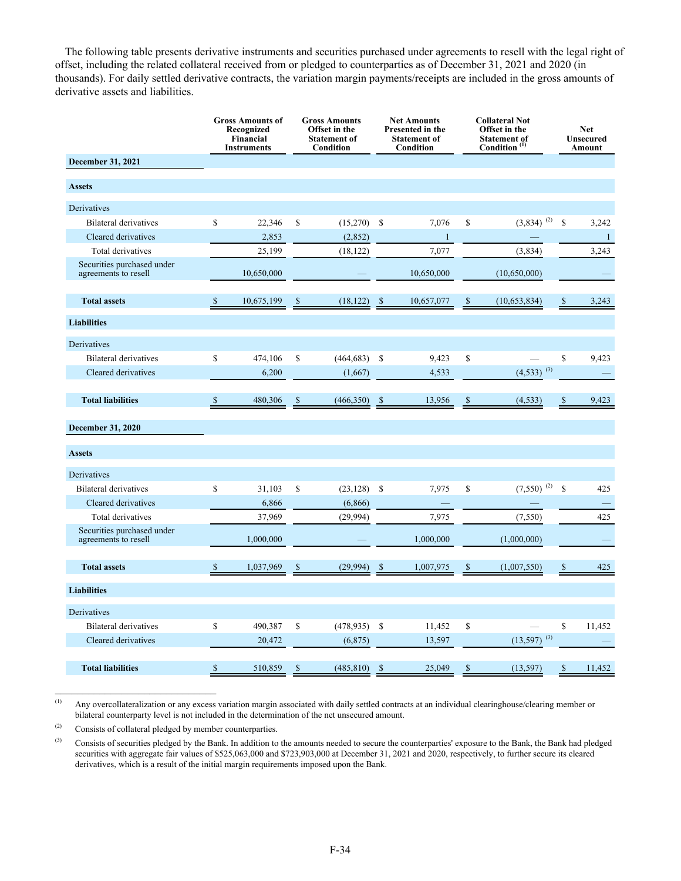The following table presents derivative instruments and securities purchased under agreements to resell with the legal right of offset, including the related collateral received from or pledged to counterparties as of December 31, 2021 and 2020 (in thousands). For daily settled derivative contracts, the variation margin payments/receipts are included in the gross amounts of derivative assets and liabilities.

|                                                    |              | <b>Gross Amounts of</b><br>Recognized<br>Financial<br><b>Instruments</b> |               | <b>Gross Amounts</b><br>Offset in the<br><b>Statement of</b><br>Condition |               | <b>Net Amounts</b><br>Presented in the<br><b>Statement of</b><br>Condition |               | <b>Collateral Not</b><br>Offset in the<br><b>Statement of</b><br>Condition <sup>(1)</sup> |              | <b>Net</b><br><b>Unsecured</b><br><b>Amount</b> |
|----------------------------------------------------|--------------|--------------------------------------------------------------------------|---------------|---------------------------------------------------------------------------|---------------|----------------------------------------------------------------------------|---------------|-------------------------------------------------------------------------------------------|--------------|-------------------------------------------------|
| <b>December 31, 2021</b>                           |              |                                                                          |               |                                                                           |               |                                                                            |               |                                                                                           |              |                                                 |
| <b>Assets</b>                                      |              |                                                                          |               |                                                                           |               |                                                                            |               |                                                                                           |              |                                                 |
| Derivatives                                        |              |                                                                          |               |                                                                           |               |                                                                            |               |                                                                                           |              |                                                 |
| <b>Bilateral derivatives</b>                       | \$           | 22,346                                                                   | \$            | (15,270)                                                                  | \$            | 7,076                                                                      | \$            | $(3,834)$ <sup>(2)</sup>                                                                  | $\mathbb{S}$ | 3,242                                           |
| Cleared derivatives                                |              | 2,853                                                                    |               | (2,852)                                                                   |               | $\mathbf{1}$                                                               |               |                                                                                           |              | $\mathbf{1}$                                    |
| Total derivatives                                  |              | 25,199                                                                   |               | (18, 122)                                                                 |               | 7,077                                                                      |               | (3,834)                                                                                   |              | 3,243                                           |
| Securities purchased under<br>agreements to resell |              | 10,650,000                                                               |               |                                                                           |               | 10,650,000                                                                 |               | (10,650,000)                                                                              |              |                                                 |
| <b>Total assets</b>                                | \$           | 10,675,199                                                               |               | (18, 122)                                                                 | \$            | 10,657,077                                                                 | \$            | (10,653,834)                                                                              | \$           | 3,243                                           |
| <b>Liabilities</b>                                 |              |                                                                          |               |                                                                           |               |                                                                            |               |                                                                                           |              |                                                 |
| Derivatives                                        |              |                                                                          |               |                                                                           |               |                                                                            |               |                                                                                           |              |                                                 |
| <b>Bilateral derivatives</b>                       | \$           | 474,106                                                                  | \$            | (464, 683)                                                                | $\mathcal{S}$ | 9,423                                                                      | \$            |                                                                                           | $\mathbb{S}$ | 9,423                                           |
| Cleared derivatives                                |              | 6,200                                                                    |               | (1,667)                                                                   |               | 4,533                                                                      |               | $(4,533)$ <sup>(3)</sup>                                                                  |              |                                                 |
| <b>Total liabilities</b>                           | \$           | 480,306                                                                  | <sup>\$</sup> | (466, 350)                                                                | <sup>\$</sup> | 13,956                                                                     | <sup>\$</sup> | (4, 533)                                                                                  | \$           | 9,423                                           |
| <b>December 31, 2020</b>                           |              |                                                                          |               |                                                                           |               |                                                                            |               |                                                                                           |              |                                                 |
| <b>Assets</b>                                      |              |                                                                          |               |                                                                           |               |                                                                            |               |                                                                                           |              |                                                 |
| Derivatives                                        |              |                                                                          |               |                                                                           |               |                                                                            |               |                                                                                           |              |                                                 |
| <b>Bilateral derivatives</b>                       | \$           | 31,103                                                                   | \$            | (23, 128)                                                                 | \$            | 7,975                                                                      | \$            | $(7,550)$ <sup>(2)</sup>                                                                  | \$           | 425                                             |
| Cleared derivatives                                |              | 6,866                                                                    |               | (6,866)                                                                   |               |                                                                            |               |                                                                                           |              |                                                 |
| Total derivatives                                  |              | 37,969                                                                   |               | (29.994)                                                                  |               | 7,975                                                                      |               | (7, 550)                                                                                  |              | 425                                             |
| Securities purchased under<br>agreements to resell |              | 1.000.000                                                                |               |                                                                           |               | 1.000.000                                                                  |               | (1,000,000)                                                                               |              |                                                 |
| <b>Total assets</b>                                | $\mathbb{S}$ | 1,037,969                                                                | S             | (29,994)                                                                  | S             | 1,007,975                                                                  | S             | (1,007,550)                                                                               | \$           | 425                                             |
| <b>Liabilities</b>                                 |              |                                                                          |               |                                                                           |               |                                                                            |               |                                                                                           |              |                                                 |
| Derivatives                                        |              |                                                                          |               |                                                                           |               |                                                                            |               |                                                                                           |              |                                                 |
| <b>Bilateral derivatives</b>                       | $\mathbb{S}$ | 490,387                                                                  | \$            | (478, 935)                                                                | -S            | 11,452                                                                     | \$            |                                                                                           | \$           | 11,452                                          |
| Cleared derivatives                                |              | 20,472                                                                   |               | (6, 875)                                                                  |               | 13,597                                                                     |               | $(13,597)$ <sup>(3)</sup>                                                                 |              |                                                 |
| <b>Total liabilities</b>                           | \$           | 510,859                                                                  | \$            | (485, 810)                                                                | -S            | 25,049                                                                     | \$            | (13, 597)                                                                                 | \$           | 11,452                                          |

(1) Any overcollateralization or any excess variation margin associated with daily settled contracts at an individual clearinghouse/clearing member or bilateral counterparty level is not included in the determination of the net unsecured amount.

(2) Consists of collateral pledged by member counterparties.

(3) Consists of securities pledged by the Bank. In addition to the amounts needed to secure the counterparties' exposure to the Bank, the Bank had pledged securities with aggregate fair values of \$525,063,000 and \$723,903,000 at December 31, 2021 and 2020, respectively, to further secure its cleared derivatives, which is a result of the initial margin requirements imposed upon the Bank.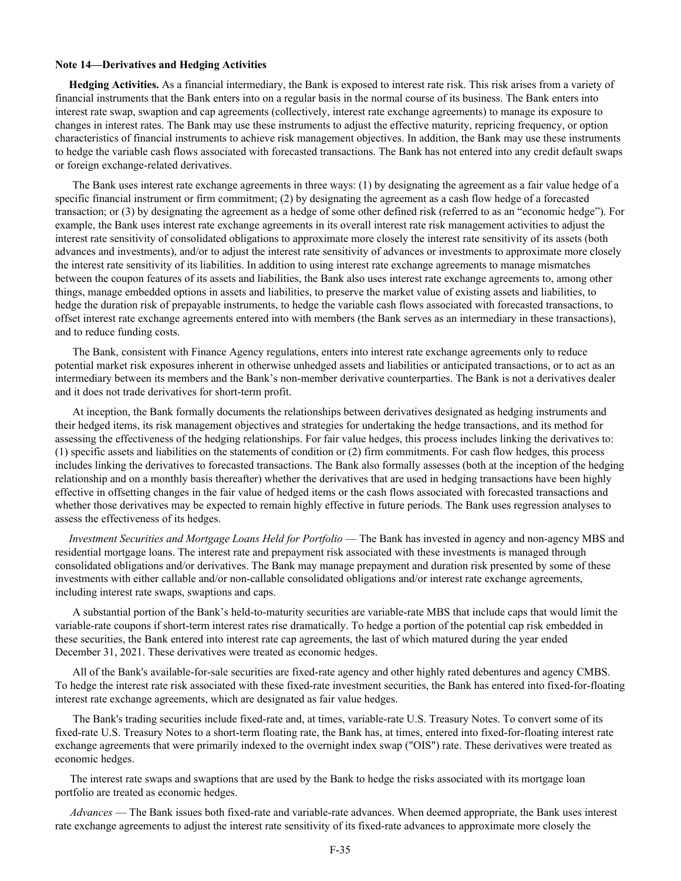### **Note 14—Derivatives and Hedging Activities**

 **Hedging Activities.** As a financial intermediary, the Bank is exposed to interest rate risk. This risk arises from a variety of financial instruments that the Bank enters into on a regular basis in the normal course of its business. The Bank enters into interest rate swap, swaption and cap agreements (collectively, interest rate exchange agreements) to manage its exposure to changes in interest rates. The Bank may use these instruments to adjust the effective maturity, repricing frequency, or option characteristics of financial instruments to achieve risk management objectives. In addition, the Bank may use these instruments to hedge the variable cash flows associated with forecasted transactions. The Bank has not entered into any credit default swaps or foreign exchange-related derivatives.

The Bank uses interest rate exchange agreements in three ways: (1) by designating the agreement as a fair value hedge of a specific financial instrument or firm commitment; (2) by designating the agreement as a cash flow hedge of a forecasted transaction; or (3) by designating the agreement as a hedge of some other defined risk (referred to as an "economic hedge"). For example, the Bank uses interest rate exchange agreements in its overall interest rate risk management activities to adjust the interest rate sensitivity of consolidated obligations to approximate more closely the interest rate sensitivity of its assets (both advances and investments), and/or to adjust the interest rate sensitivity of advances or investments to approximate more closely the interest rate sensitivity of its liabilities. In addition to using interest rate exchange agreements to manage mismatches between the coupon features of its assets and liabilities, the Bank also uses interest rate exchange agreements to, among other things, manage embedded options in assets and liabilities, to preserve the market value of existing assets and liabilities, to hedge the duration risk of prepayable instruments, to hedge the variable cash flows associated with forecasted transactions, to offset interest rate exchange agreements entered into with members (the Bank serves as an intermediary in these transactions), and to reduce funding costs.

The Bank, consistent with Finance Agency regulations, enters into interest rate exchange agreements only to reduce potential market risk exposures inherent in otherwise unhedged assets and liabilities or anticipated transactions, or to act as an intermediary between its members and the Bank's non-member derivative counterparties. The Bank is not a derivatives dealer and it does not trade derivatives for short-term profit.

At inception, the Bank formally documents the relationships between derivatives designated as hedging instruments and their hedged items, its risk management objectives and strategies for undertaking the hedge transactions, and its method for assessing the effectiveness of the hedging relationships. For fair value hedges, this process includes linking the derivatives to: (1) specific assets and liabilities on the statements of condition or (2) firm commitments. For cash flow hedges, this process includes linking the derivatives to forecasted transactions. The Bank also formally assesses (both at the inception of the hedging relationship and on a monthly basis thereafter) whether the derivatives that are used in hedging transactions have been highly effective in offsetting changes in the fair value of hedged items or the cash flows associated with forecasted transactions and whether those derivatives may be expected to remain highly effective in future periods. The Bank uses regression analyses to assess the effectiveness of its hedges.

 *Investment Securities and Mortgage Loans Held for Portfolio* — The Bank has invested in agency and non-agency MBS and residential mortgage loans. The interest rate and prepayment risk associated with these investments is managed through consolidated obligations and/or derivatives. The Bank may manage prepayment and duration risk presented by some of these investments with either callable and/or non-callable consolidated obligations and/or interest rate exchange agreements, including interest rate swaps, swaptions and caps.

A substantial portion of the Bank's held-to-maturity securities are variable-rate MBS that include caps that would limit the variable-rate coupons if short-term interest rates rise dramatically. To hedge a portion of the potential cap risk embedded in these securities, the Bank entered into interest rate cap agreements, the last of which matured during the year ended December 31, 2021. These derivatives were treated as economic hedges.

All of the Bank's available-for-sale securities are fixed-rate agency and other highly rated debentures and agency CMBS. To hedge the interest rate risk associated with these fixed-rate investment securities, the Bank has entered into fixed-for-floating interest rate exchange agreements, which are designated as fair value hedges.

 The Bank's trading securities include fixed-rate and, at times, variable-rate U.S. Treasury Notes. To convert some of its fixed-rate U.S. Treasury Notes to a short-term floating rate, the Bank has, at times, entered into fixed-for-floating interest rate exchange agreements that were primarily indexed to the overnight index swap ("OIS") rate. These derivatives were treated as economic hedges.

The interest rate swaps and swaptions that are used by the Bank to hedge the risks associated with its mortgage loan portfolio are treated as economic hedges.

*Advances* — The Bank issues both fixed-rate and variable-rate advances. When deemed appropriate, the Bank uses interest rate exchange agreements to adjust the interest rate sensitivity of its fixed-rate advances to approximate more closely the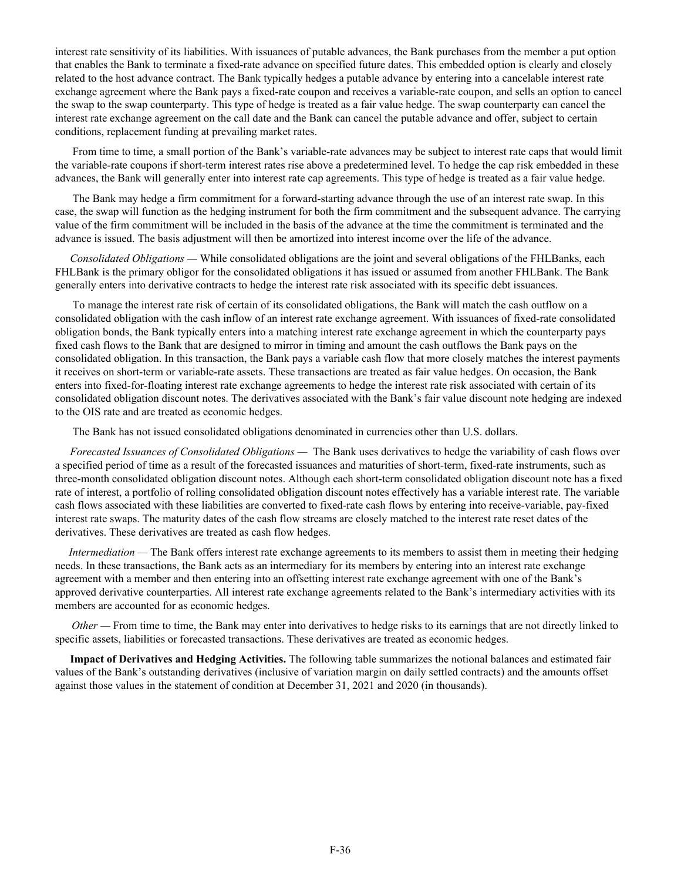interest rate sensitivity of its liabilities. With issuances of putable advances, the Bank purchases from the member a put option that enables the Bank to terminate a fixed-rate advance on specified future dates. This embedded option is clearly and closely related to the host advance contract. The Bank typically hedges a putable advance by entering into a cancelable interest rate exchange agreement where the Bank pays a fixed-rate coupon and receives a variable-rate coupon, and sells an option to cancel the swap to the swap counterparty. This type of hedge is treated as a fair value hedge. The swap counterparty can cancel the interest rate exchange agreement on the call date and the Bank can cancel the putable advance and offer, subject to certain conditions, replacement funding at prevailing market rates.

From time to time, a small portion of the Bank's variable-rate advances may be subject to interest rate caps that would limit the variable-rate coupons if short-term interest rates rise above a predetermined level. To hedge the cap risk embedded in these advances, the Bank will generally enter into interest rate cap agreements. This type of hedge is treated as a fair value hedge.

The Bank may hedge a firm commitment for a forward-starting advance through the use of an interest rate swap. In this case, the swap will function as the hedging instrument for both the firm commitment and the subsequent advance. The carrying value of the firm commitment will be included in the basis of the advance at the time the commitment is terminated and the advance is issued. The basis adjustment will then be amortized into interest income over the life of the advance.

*Consolidated Obligations —* While consolidated obligations are the joint and several obligations of the FHLBanks, each FHLBank is the primary obligor for the consolidated obligations it has issued or assumed from another FHLBank. The Bank generally enters into derivative contracts to hedge the interest rate risk associated with its specific debt issuances.

To manage the interest rate risk of certain of its consolidated obligations, the Bank will match the cash outflow on a consolidated obligation with the cash inflow of an interest rate exchange agreement. With issuances of fixed-rate consolidated obligation bonds, the Bank typically enters into a matching interest rate exchange agreement in which the counterparty pays fixed cash flows to the Bank that are designed to mirror in timing and amount the cash outflows the Bank pays on the consolidated obligation. In this transaction, the Bank pays a variable cash flow that more closely matches the interest payments it receives on short-term or variable-rate assets. These transactions are treated as fair value hedges. On occasion, the Bank enters into fixed-for-floating interest rate exchange agreements to hedge the interest rate risk associated with certain of its consolidated obligation discount notes. The derivatives associated with the Bank's fair value discount note hedging are indexed to the OIS rate and are treated as economic hedges.

The Bank has not issued consolidated obligations denominated in currencies other than U.S. dollars.

*Forecasted Issuances of Consolidated Obligations —* The Bank uses derivatives to hedge the variability of cash flows over a specified period of time as a result of the forecasted issuances and maturities of short-term, fixed-rate instruments, such as three-month consolidated obligation discount notes. Although each short-term consolidated obligation discount note has a fixed rate of interest, a portfolio of rolling consolidated obligation discount notes effectively has a variable interest rate. The variable cash flows associated with these liabilities are converted to fixed-rate cash flows by entering into receive-variable, pay-fixed interest rate swaps. The maturity dates of the cash flow streams are closely matched to the interest rate reset dates of the derivatives. These derivatives are treated as cash flow hedges.

*Intermediation* — The Bank offers interest rate exchange agreements to its members to assist them in meeting their hedging needs. In these transactions, the Bank acts as an intermediary for its members by entering into an interest rate exchange agreement with a member and then entering into an offsetting interest rate exchange agreement with one of the Bank's approved derivative counterparties. All interest rate exchange agreements related to the Bank's intermediary activities with its members are accounted for as economic hedges.

*Other* — From time to time, the Bank may enter into derivatives to hedge risks to its earnings that are not directly linked to specific assets, liabilities or forecasted transactions. These derivatives are treated as economic hedges.

**Impact of Derivatives and Hedging Activities.** The following table summarizes the notional balances and estimated fair values of the Bank's outstanding derivatives (inclusive of variation margin on daily settled contracts) and the amounts offset against those values in the statement of condition at December 31, 2021 and 2020 (in thousands).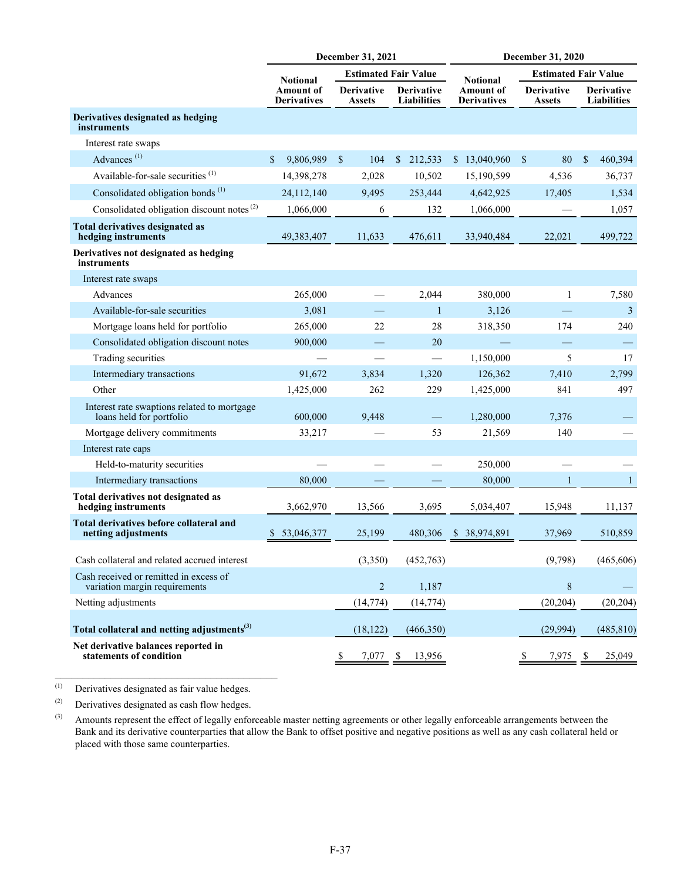|                                                                         |                                        | December 31, 2021                  |                                         | December 31, 2020               |                                    |                                         |  |  |  |  |  |
|-------------------------------------------------------------------------|----------------------------------------|------------------------------------|-----------------------------------------|---------------------------------|------------------------------------|-----------------------------------------|--|--|--|--|--|
|                                                                         | <b>Notional</b>                        |                                    | <b>Estimated Fair Value</b>             | <b>Notional</b>                 | <b>Estimated Fair Value</b>        |                                         |  |  |  |  |  |
|                                                                         | <b>Amount of</b><br><b>Derivatives</b> | <b>Derivative</b><br><b>Assets</b> | <b>Derivative</b><br><b>Liabilities</b> | Amount of<br><b>Derivatives</b> | <b>Derivative</b><br><b>Assets</b> | <b>Derivative</b><br><b>Liabilities</b> |  |  |  |  |  |
| Derivatives designated as hedging<br>instruments                        |                                        |                                    |                                         |                                 |                                    |                                         |  |  |  |  |  |
| Interest rate swaps                                                     |                                        |                                    |                                         |                                 |                                    |                                         |  |  |  |  |  |
| Advances <sup>(1)</sup>                                                 | $\mathbf S$<br>9,806,989               | $\mathcal{S}$<br>104               | $\mathbb{S}$<br>212,533                 | \$13,040,960                    | $\mathbf{\hat{s}}$<br>80           | $\mathcal{S}$<br>460,394                |  |  |  |  |  |
| Available-for-sale securities <sup>(1)</sup>                            | 14,398,278                             | 2,028                              | 10,502                                  | 15,190,599                      | 4,536                              | 36,737                                  |  |  |  |  |  |
| Consolidated obligation bonds <sup>(1)</sup>                            | 24,112,140                             | 9,495                              | 253,444                                 | 4,642,925                       | 17,405                             | 1,534                                   |  |  |  |  |  |
| Consolidated obligation discount notes <sup>(2)</sup>                   | 1,066,000                              | 6                                  | 132                                     | 1,066,000                       |                                    | 1,057                                   |  |  |  |  |  |
| <b>Total derivatives designated as</b><br>hedging instruments           | 49,383,407                             | 11,633                             | 476,611                                 | 33,940,484                      | 22,021                             | 499,722                                 |  |  |  |  |  |
| Derivatives not designated as hedging<br>instruments                    |                                        |                                    |                                         |                                 |                                    |                                         |  |  |  |  |  |
| Interest rate swaps                                                     |                                        |                                    |                                         |                                 |                                    |                                         |  |  |  |  |  |
| Advances                                                                | 265,000                                |                                    | 2,044                                   | 380,000                         | 1                                  | 7,580                                   |  |  |  |  |  |
| Available-for-sale securities                                           | 3,081                                  |                                    | $\mathbf{1}$                            | 3,126                           |                                    | 3                                       |  |  |  |  |  |
| Mortgage loans held for portfolio                                       | 265,000                                | 22                                 | 28                                      | 318,350                         | 174                                | 240                                     |  |  |  |  |  |
| Consolidated obligation discount notes                                  | 900,000                                |                                    | 20                                      |                                 |                                    |                                         |  |  |  |  |  |
| Trading securities                                                      |                                        |                                    |                                         | 1,150,000                       | 5                                  | 17                                      |  |  |  |  |  |
| Intermediary transactions                                               | 91,672                                 | 3,834                              | 1,320                                   | 126,362                         | 7,410                              | 2,799                                   |  |  |  |  |  |
| Other                                                                   | 1,425,000                              | 262                                | 229                                     | 1,425,000                       | 841                                | 497                                     |  |  |  |  |  |
| Interest rate swaptions related to mortgage<br>loans held for portfolio | 600,000                                | 9,448                              |                                         | 1,280,000                       | 7,376                              |                                         |  |  |  |  |  |
| Mortgage delivery commitments                                           | 33,217                                 |                                    | 53                                      | 21,569                          | 140                                |                                         |  |  |  |  |  |
| Interest rate caps                                                      |                                        |                                    |                                         |                                 |                                    |                                         |  |  |  |  |  |
| Held-to-maturity securities                                             |                                        |                                    |                                         | 250,000                         |                                    |                                         |  |  |  |  |  |
| Intermediary transactions                                               | 80,000                                 |                                    |                                         | 80,000                          | $\mathbf{1}$                       | $\mathbf{1}$                            |  |  |  |  |  |
| Total derivatives not designated as<br>hedging instruments              | 3,662,970                              | 13,566                             | 3,695                                   | 5,034,407                       | 15,948                             | 11,137                                  |  |  |  |  |  |
| Total derivatives before collateral and<br>netting adjustments          | 53,046,377                             | 25,199                             | 480,306                                 | \$ 38,974,891                   | 37,969                             | 510,859                                 |  |  |  |  |  |
| Cash collateral and related accrued interest                            |                                        | (3,350)                            | (452,763)                               |                                 | (9,798)                            | (465, 606)                              |  |  |  |  |  |
| Cash received or remitted in excess of<br>variation margin requirements |                                        | $\overline{2}$                     | 1,187                                   |                                 | 8                                  |                                         |  |  |  |  |  |
| Netting adjustments                                                     |                                        | (14, 774)                          | (14, 774)                               |                                 | (20, 204)                          | (20, 204)                               |  |  |  |  |  |
| Total collateral and netting adjustments <sup>(3)</sup>                 |                                        | (18, 122)                          | (466,350)                               |                                 | (29, 994)                          | (485, 810)                              |  |  |  |  |  |
| Net derivative balances reported in<br>statements of condition          |                                        | 7,077                              | 13,956<br>\$                            |                                 | 7,975                              | 25,049<br>-S                            |  |  |  |  |  |

(1) Derivatives designated as fair value hedges.

 $\mathcal{L}_\text{max}$  , and the set of the set of the set of the set of the set of the set of the set of the set of the set of the set of the set of the set of the set of the set of the set of the set of the set of the set of the

(2) Derivatives designated as cash flow hedges.

(3) Amounts represent the effect of legally enforceable master netting agreements or other legally enforceable arrangements between the Bank and its derivative counterparties that allow the Bank to offset positive and negative positions as well as any cash collateral held or placed with those same counterparties.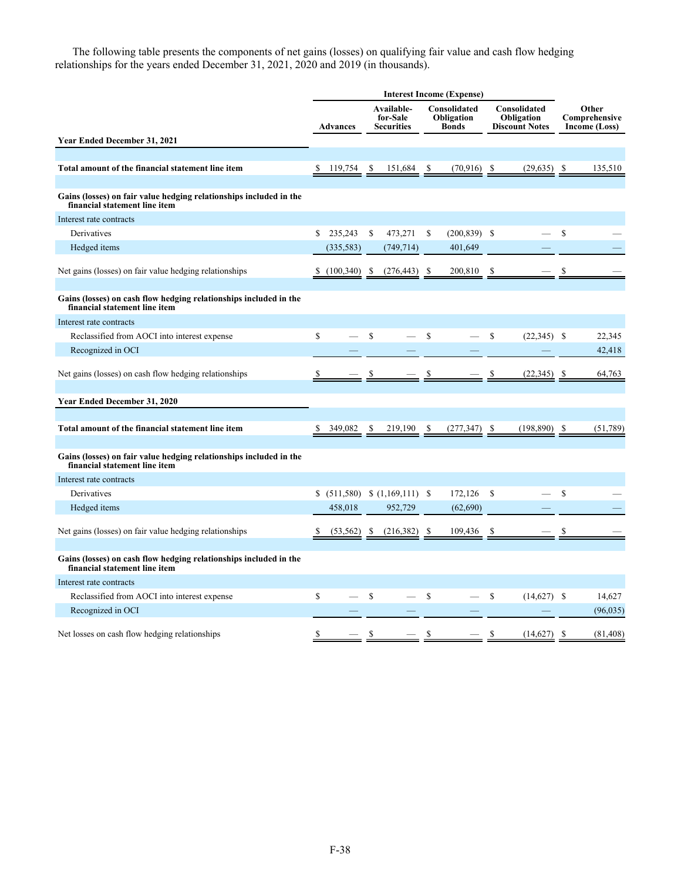The following table presents the components of net gains (losses) on qualifying fair value and cash flow hedging relationships for the years ended December 31, 2021, 2020 and 2019 (in thousands).

|                                                                                                     | <b>Interest Income (Expense)</b> |                 |                                 |                                             |                      |                                            |                                   |                                                     |                                   |                                         |
|-----------------------------------------------------------------------------------------------------|----------------------------------|-----------------|---------------------------------|---------------------------------------------|----------------------|--------------------------------------------|-----------------------------------|-----------------------------------------------------|-----------------------------------|-----------------------------------------|
|                                                                                                     |                                  | <b>Advances</b> |                                 | Available-<br>for-Sale<br><b>Securities</b> |                      | Consolidated<br>Obligation<br><b>Bonds</b> |                                   | Consolidated<br>Obligation<br><b>Discount Notes</b> |                                   | Other<br>Comprehensive<br>Income (Loss) |
| Year Ended December 31, 2021                                                                        |                                  |                 |                                 |                                             |                      |                                            |                                   |                                                     |                                   |                                         |
|                                                                                                     |                                  |                 |                                 |                                             |                      |                                            |                                   |                                                     |                                   |                                         |
| Total amount of the financial statement line item                                                   |                                  |                 |                                 | $\frac{151,684}{8}$                         |                      | $(70,916)$ \$                              |                                   | (29, 635)                                           | $\frac{\mathcal{S}}{\mathcal{S}}$ | 135,510                                 |
| Gains (losses) on fair value hedging relationships included in the<br>financial statement line item |                                  |                 |                                 |                                             |                      |                                            |                                   |                                                     |                                   |                                         |
| Interest rate contracts                                                                             |                                  |                 |                                 |                                             |                      |                                            |                                   |                                                     |                                   |                                         |
| Derivatives                                                                                         | \$                               | 235,243         | \$                              | 473,271                                     | S                    | $(200, 839)$ \$                            |                                   |                                                     | \$                                |                                         |
| Hedged items                                                                                        |                                  | (335, 583)      |                                 | (749, 714)                                  |                      | 401,649                                    |                                   |                                                     |                                   |                                         |
| Net gains (losses) on fair value hedging relationships                                              |                                  | (100, 340)      | -S                              | (276, 443)                                  | S                    | 200,810                                    | \$                                |                                                     |                                   |                                         |
| Gains (losses) on cash flow hedging relationships included in the<br>financial statement line item  |                                  |                 |                                 |                                             |                      |                                            |                                   |                                                     |                                   |                                         |
| Interest rate contracts                                                                             |                                  |                 |                                 |                                             |                      |                                            |                                   |                                                     |                                   |                                         |
| Reclassified from AOCI into interest expense                                                        | \$                               |                 | \$                              |                                             | \$                   |                                            | \$                                | $(22,345)$ \$                                       |                                   | 22,345                                  |
| Recognized in OCI                                                                                   |                                  |                 |                                 |                                             |                      |                                            |                                   |                                                     |                                   | 42,418                                  |
| Net gains (losses) on cash flow hedging relationships                                               |                                  |                 |                                 |                                             |                      |                                            |                                   | (22, 345)                                           | -S                                | 64,763                                  |
| Year Ended December 31, 2020                                                                        |                                  |                 |                                 |                                             |                      |                                            |                                   |                                                     |                                   |                                         |
|                                                                                                     |                                  |                 |                                 |                                             |                      |                                            |                                   |                                                     |                                   |                                         |
| Total amount of the financial statement line item                                                   |                                  | $349,082$ \$    |                                 | $219,190$ \$                                |                      | $(277,347)$ \$                             |                                   | (198, 890)                                          | - \$                              | (51, 789)                               |
| Gains (losses) on fair value hedging relationships included in the<br>financial statement line item |                                  |                 |                                 |                                             |                      |                                            |                                   |                                                     |                                   |                                         |
| Interest rate contracts                                                                             |                                  |                 |                                 |                                             |                      |                                            |                                   |                                                     |                                   |                                         |
| Derivatives                                                                                         |                                  |                 |                                 | \$ (511,580) \$ (1,169,111) \$              |                      | 172,126                                    | \$                                |                                                     | \$                                |                                         |
| Hedged items                                                                                        |                                  | 458,018         |                                 | 952,729                                     |                      | (62, 690)                                  |                                   |                                                     |                                   |                                         |
| Net gains (losses) on fair value hedging relationships                                              |                                  | $(53, 562)$ \$  |                                 | $(216,382)$ \$                              |                      | 109,436                                    | S                                 |                                                     | S                                 |                                         |
| Gains (losses) on cash flow hedging relationships included in the<br>financial statement line item  |                                  |                 |                                 |                                             |                      |                                            |                                   |                                                     |                                   |                                         |
| Interest rate contracts                                                                             |                                  |                 |                                 |                                             |                      |                                            |                                   |                                                     |                                   |                                         |
| Reclassified from AOCI into interest expense                                                        | $\mathbf S$                      |                 | \$                              |                                             | $\mathbb S$          |                                            | \$                                | $(14,627)$ \$                                       |                                   | 14,627                                  |
| Recognized in OCI                                                                                   |                                  |                 |                                 |                                             |                      |                                            |                                   |                                                     |                                   | (96, 035)                               |
| Net losses on cash flow hedging relationships                                                       |                                  |                 | $\frac{\mathsf{s}}{\mathsf{s}}$ |                                             | $\sqrt{\frac{2}{5}}$ |                                            | $\frac{\mathcal{S}}{\mathcal{S}}$ | (14,627)                                            | - \$                              | (81, 408)                               |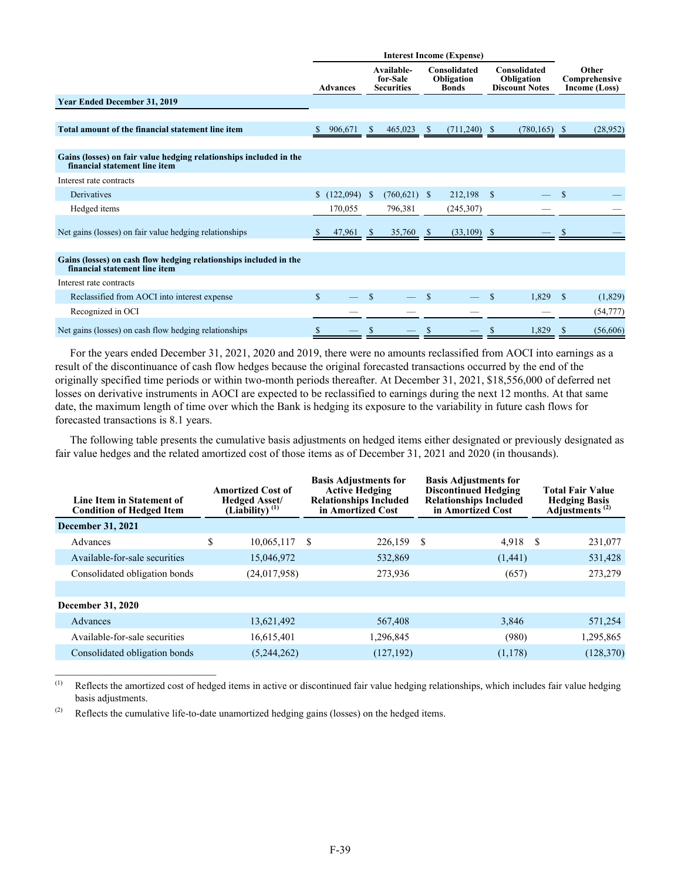|                                                                                                     |              | <b>Advances</b> |              | Available-<br>for-Sale<br><b>Securities</b> | <b>Consolidated</b><br>Obligation<br><b>Bonds</b> |                |               |                 |               |           |  |  | Consolidated<br>Obligation<br><b>Discount Notes</b> |  |  |  |  |  |  | Other<br>Comprehensive<br>Income (Loss) |
|-----------------------------------------------------------------------------------------------------|--------------|-----------------|--------------|---------------------------------------------|---------------------------------------------------|----------------|---------------|-----------------|---------------|-----------|--|--|-----------------------------------------------------|--|--|--|--|--|--|-----------------------------------------|
| <b>Year Ended December 31, 2019</b>                                                                 |              |                 |              |                                             |                                                   |                |               |                 |               |           |  |  |                                                     |  |  |  |  |  |  |                                         |
|                                                                                                     |              |                 |              |                                             |                                                   |                |               |                 |               |           |  |  |                                                     |  |  |  |  |  |  |                                         |
| Total amount of the financial statement line item                                                   |              | 906,671         | <sup>S</sup> | 465,023                                     | - \$                                              | $(711,240)$ \$ |               | $(780, 165)$ \$ |               | (28, 952) |  |  |                                                     |  |  |  |  |  |  |                                         |
|                                                                                                     |              |                 |              |                                             |                                                   |                |               |                 |               |           |  |  |                                                     |  |  |  |  |  |  |                                         |
| Gains (losses) on fair value hedging relationships included in the<br>financial statement line item |              |                 |              |                                             |                                                   |                |               |                 |               |           |  |  |                                                     |  |  |  |  |  |  |                                         |
| Interest rate contracts                                                                             |              |                 |              |                                             |                                                   |                |               |                 |               |           |  |  |                                                     |  |  |  |  |  |  |                                         |
| Derivatives                                                                                         | $\mathbf{s}$ | (122,094)       | <sup>S</sup> | $(760,621)$ \$                              |                                                   | 212,198        | <sup>\$</sup> |                 | <sup>\$</sup> |           |  |  |                                                     |  |  |  |  |  |  |                                         |
| Hedged items                                                                                        |              | 170,055         |              | 796,381                                     |                                                   | (245,307)      |               |                 |               |           |  |  |                                                     |  |  |  |  |  |  |                                         |
| Net gains (losses) on fair value hedging relationships                                              |              | 47,961          | <sup>S</sup> | 35,760                                      | <u>Ж</u>                                          | $(33,109)$ \$  |               |                 |               |           |  |  |                                                     |  |  |  |  |  |  |                                         |
| Gains (losses) on cash flow hedging relationships included in the<br>financial statement line item  |              |                 |              |                                             |                                                   |                |               |                 |               |           |  |  |                                                     |  |  |  |  |  |  |                                         |
| Interest rate contracts                                                                             |              |                 |              |                                             |                                                   |                |               |                 |               |           |  |  |                                                     |  |  |  |  |  |  |                                         |
| Reclassified from AOCI into interest expense                                                        | $\mathbf S$  |                 | \$.          |                                             |                                                   |                | \$.           | 1,829           | <sup>\$</sup> | (1,829)   |  |  |                                                     |  |  |  |  |  |  |                                         |
| Recognized in OCI                                                                                   |              |                 |              |                                             |                                                   |                |               |                 |               | (54, 777) |  |  |                                                     |  |  |  |  |  |  |                                         |
| Net gains (losses) on cash flow hedging relationships                                               |              |                 |              |                                             |                                                   |                |               | 1,829           |               | (56,606)  |  |  |                                                     |  |  |  |  |  |  |                                         |

For the years ended December 31, 2021, 2020 and 2019, there were no amounts reclassified from AOCI into earnings as a result of the discontinuance of cash flow hedges because the original forecasted transactions occurred by the end of the originally specified time periods or within two-month periods thereafter. At December 31, 2021, \$18,556,000 of deferred net losses on derivative instruments in AOCI are expected to be reclassified to earnings during the next 12 months. At that same date, the maximum length of time over which the Bank is hedging its exposure to the variability in future cash flows for forecasted transactions is 8.1 years.

The following table presents the cumulative basis adjustments on hedged items either designated or previously designated as fair value hedges and the related amortized cost of those items as of December 31, 2021 and 2020 (in thousands).

| Line Item in Statement of<br><b>Condition of Hedged Item</b> | <b>Amortized Cost of</b><br><b>Hedged Asset/</b><br>(Liability) $(1)$ |                |   | <b>Basis Adjustments for</b><br><b>Active Hedging</b><br><b>Relationships Included</b><br>in Amortized Cost |   | <b>Basis Adjustments for</b><br><b>Discontinued Hedging</b><br><b>Relationships Included</b><br>in Amortized Cost |    | <b>Total Fair Value</b><br><b>Hedging Basis</b><br>Adjustments <sup>(2)</sup> |
|--------------------------------------------------------------|-----------------------------------------------------------------------|----------------|---|-------------------------------------------------------------------------------------------------------------|---|-------------------------------------------------------------------------------------------------------------------|----|-------------------------------------------------------------------------------|
| December 31, 2021                                            |                                                                       |                |   |                                                                                                             |   |                                                                                                                   |    |                                                                               |
| Advances                                                     | \$                                                                    | 10,065,117     | S | 226,159                                                                                                     | S | 4,918                                                                                                             | -S | 231,077                                                                       |
| Available-for-sale securities                                |                                                                       | 15,046,972     |   | 532,869                                                                                                     |   | (1,441)                                                                                                           |    | 531,428                                                                       |
| Consolidated obligation bonds                                |                                                                       | (24, 017, 958) |   | 273,936                                                                                                     |   | (657)                                                                                                             |    | 273,279                                                                       |
|                                                              |                                                                       |                |   |                                                                                                             |   |                                                                                                                   |    |                                                                               |
| <b>December 31, 2020</b>                                     |                                                                       |                |   |                                                                                                             |   |                                                                                                                   |    |                                                                               |
| Advances                                                     |                                                                       | 13,621,492     |   | 567,408                                                                                                     |   | 3,846                                                                                                             |    | 571,254                                                                       |
| Available-for-sale securities                                |                                                                       | 16,615,401     |   | 1,296,845                                                                                                   |   | (980)                                                                                                             |    | 1,295,865                                                                     |
| Consolidated obligation bonds                                |                                                                       | (5,244,262)    |   | (127, 192)                                                                                                  |   | (1,178)                                                                                                           |    | (128, 370)                                                                    |
|                                                              |                                                                       |                |   |                                                                                                             |   |                                                                                                                   |    |                                                                               |

(1) Reflects the amortized cost of hedged items in active or discontinued fair value hedging relationships, which includes fair value hedging basis adjustments.

(2) Reflects the cumulative life-to-date unamortized hedging gains (losses) on the hedged items.

 $\mathcal{L}_\text{max}$  , where  $\mathcal{L}_\text{max}$  and  $\mathcal{L}_\text{max}$  and  $\mathcal{L}_\text{max}$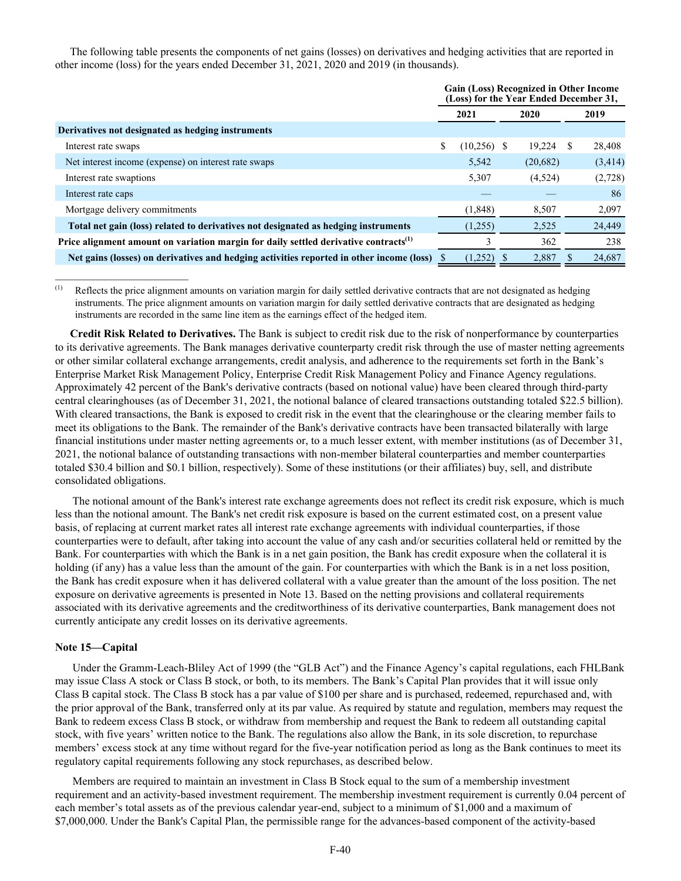The following table presents the components of net gains (losses) on derivatives and hedging activities that are reported in other income (loss) for the years ended December 31, 2021, 2020 and 2019 (in thousands).

|                                                                                                  | <b>Gain (Loss) Recognized in Other Income</b><br>(Loss) for the Year Ended December 31, |               |  |          |     |         |  |
|--------------------------------------------------------------------------------------------------|-----------------------------------------------------------------------------------------|---------------|--|----------|-----|---------|--|
|                                                                                                  |                                                                                         | 2021          |  | 2020     |     | 2019    |  |
| Derivatives not designated as hedging instruments                                                |                                                                                         |               |  |          |     |         |  |
| Interest rate swaps                                                                              | \$                                                                                      | $(10,256)$ \$ |  | 19,224   | \$. | 28,408  |  |
| Net interest income (expense) on interest rate swaps                                             |                                                                                         | 5,542         |  | (20,682) |     | (3,414) |  |
| Interest rate swaptions                                                                          |                                                                                         | 5,307         |  | (4,524)  |     | (2,728) |  |
| Interest rate caps                                                                               |                                                                                         |               |  |          |     | 86      |  |
| Mortgage delivery commitments                                                                    |                                                                                         | (1, 848)      |  | 8,507    |     | 2,097   |  |
| Total net gain (loss) related to derivatives not designated as hedging instruments               |                                                                                         | (1,255)       |  | 2,525    |     | 24,449  |  |
| Price alignment amount on variation margin for daily settled derivative contracts <sup>(1)</sup> |                                                                                         | 3             |  | 362      |     | 238     |  |
| Net gains (losses) on derivatives and hedging activities reported in other income (loss)         |                                                                                         | (1,252)       |  | 2,887    |     | 24,687  |  |

(1) Reflects the price alignment amounts on variation margin for daily settled derivative contracts that are not designated as hedging instruments. The price alignment amounts on variation margin for daily settled derivative contracts that are designated as hedging instruments are recorded in the same line item as the earnings effect of the hedged item.

**Credit Risk Related to Derivatives.** The Bank is subject to credit risk due to the risk of nonperformance by counterparties to its derivative agreements. The Bank manages derivative counterparty credit risk through the use of master netting agreements or other similar collateral exchange arrangements, credit analysis, and adherence to the requirements set forth in the Bank's Enterprise Market Risk Management Policy, Enterprise Credit Risk Management Policy and Finance Agency regulations. Approximately 42 percent of the Bank's derivative contracts (based on notional value) have been cleared through third-party central clearinghouses (as of December 31, 2021, the notional balance of cleared transactions outstanding totaled \$22.5 billion). With cleared transactions, the Bank is exposed to credit risk in the event that the clearinghouse or the clearing member fails to meet its obligations to the Bank. The remainder of the Bank's derivative contracts have been transacted bilaterally with large financial institutions under master netting agreements or, to a much lesser extent, with member institutions (as of December 31, 2021, the notional balance of outstanding transactions with non-member bilateral counterparties and member counterparties totaled \$30.4 billion and \$0.1 billion, respectively). Some of these institutions (or their affiliates) buy, sell, and distribute consolidated obligations.

The notional amount of the Bank's interest rate exchange agreements does not reflect its credit risk exposure, which is much less than the notional amount. The Bank's net credit risk exposure is based on the current estimated cost, on a present value basis, of replacing at current market rates all interest rate exchange agreements with individual counterparties, if those counterparties were to default, after taking into account the value of any cash and/or securities collateral held or remitted by the Bank. For counterparties with which the Bank is in a net gain position, the Bank has credit exposure when the collateral it is holding (if any) has a value less than the amount of the gain. For counterparties with which the Bank is in a net loss position, the Bank has credit exposure when it has delivered collateral with a value greater than the amount of the loss position. The net exposure on derivative agreements is presented in Note 13. Based on the netting provisions and collateral requirements associated with its derivative agreements and the creditworthiness of its derivative counterparties, Bank management does not currently anticipate any credit losses on its derivative agreements.

## **Note 15—Capital**

Under the Gramm-Leach-Bliley Act of 1999 (the "GLB Act") and the Finance Agency's capital regulations, each FHLBank may issue Class A stock or Class B stock, or both, to its members. The Bank's Capital Plan provides that it will issue only Class B capital stock. The Class B stock has a par value of \$100 per share and is purchased, redeemed, repurchased and, with the prior approval of the Bank, transferred only at its par value. As required by statute and regulation, members may request the Bank to redeem excess Class B stock, or withdraw from membership and request the Bank to redeem all outstanding capital stock, with five years' written notice to the Bank. The regulations also allow the Bank, in its sole discretion, to repurchase members' excess stock at any time without regard for the five-year notification period as long as the Bank continues to meet its regulatory capital requirements following any stock repurchases, as described below.

Members are required to maintain an investment in Class B Stock equal to the sum of a membership investment requirement and an activity-based investment requirement. The membership investment requirement is currently 0.04 percent of each member's total assets as of the previous calendar year-end, subject to a minimum of \$1,000 and a maximum of \$7,000,000. Under the Bank's Capital Plan, the permissible range for the advances-based component of the activity-based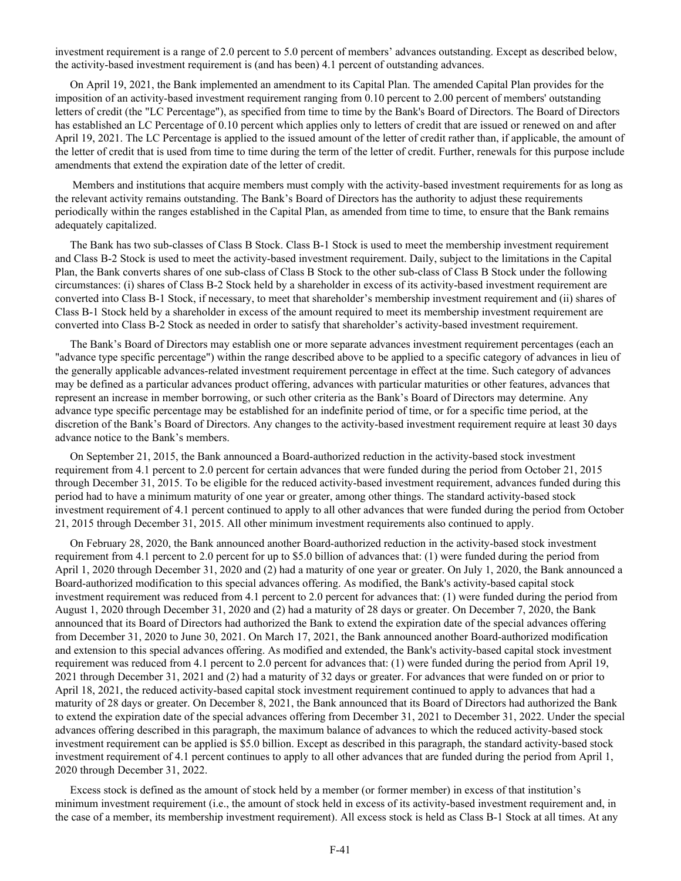investment requirement is a range of 2.0 percent to 5.0 percent of members' advances outstanding. Except as described below, the activity-based investment requirement is (and has been) 4.1 percent of outstanding advances.

On April 19, 2021, the Bank implemented an amendment to its Capital Plan. The amended Capital Plan provides for the imposition of an activity-based investment requirement ranging from 0.10 percent to 2.00 percent of members' outstanding letters of credit (the "LC Percentage"), as specified from time to time by the Bank's Board of Directors. The Board of Directors has established an LC Percentage of 0.10 percent which applies only to letters of credit that are issued or renewed on and after April 19, 2021. The LC Percentage is applied to the issued amount of the letter of credit rather than, if applicable, the amount of the letter of credit that is used from time to time during the term of the letter of credit. Further, renewals for this purpose include amendments that extend the expiration date of the letter of credit.

Members and institutions that acquire members must comply with the activity-based investment requirements for as long as the relevant activity remains outstanding. The Bank's Board of Directors has the authority to adjust these requirements periodically within the ranges established in the Capital Plan, as amended from time to time, to ensure that the Bank remains adequately capitalized.

The Bank has two sub-classes of Class B Stock. Class B-1 Stock is used to meet the membership investment requirement and Class B-2 Stock is used to meet the activity-based investment requirement. Daily, subject to the limitations in the Capital Plan, the Bank converts shares of one sub-class of Class B Stock to the other sub-class of Class B Stock under the following circumstances: (i) shares of Class B-2 Stock held by a shareholder in excess of its activity-based investment requirement are converted into Class B-1 Stock, if necessary, to meet that shareholder's membership investment requirement and (ii) shares of Class B-1 Stock held by a shareholder in excess of the amount required to meet its membership investment requirement are converted into Class B-2 Stock as needed in order to satisfy that shareholder's activity-based investment requirement.

The Bank's Board of Directors may establish one or more separate advances investment requirement percentages (each an "advance type specific percentage") within the range described above to be applied to a specific category of advances in lieu of the generally applicable advances-related investment requirement percentage in effect at the time. Such category of advances may be defined as a particular advances product offering, advances with particular maturities or other features, advances that represent an increase in member borrowing, or such other criteria as the Bank's Board of Directors may determine. Any advance type specific percentage may be established for an indefinite period of time, or for a specific time period, at the discretion of the Bank's Board of Directors. Any changes to the activity-based investment requirement require at least 30 days advance notice to the Bank's members.

On September 21, 2015, the Bank announced a Board-authorized reduction in the activity-based stock investment requirement from 4.1 percent to 2.0 percent for certain advances that were funded during the period from October 21, 2015 through December 31, 2015. To be eligible for the reduced activity-based investment requirement, advances funded during this period had to have a minimum maturity of one year or greater, among other things. The standard activity-based stock investment requirement of 4.1 percent continued to apply to all other advances that were funded during the period from October 21, 2015 through December 31, 2015. All other minimum investment requirements also continued to apply.

On February 28, 2020, the Bank announced another Board-authorized reduction in the activity-based stock investment requirement from 4.1 percent to 2.0 percent for up to \$5.0 billion of advances that: (1) were funded during the period from April 1, 2020 through December 31, 2020 and (2) had a maturity of one year or greater. On July 1, 2020, the Bank announced a Board-authorized modification to this special advances offering. As modified, the Bank's activity-based capital stock investment requirement was reduced from 4.1 percent to 2.0 percent for advances that: (1) were funded during the period from August 1, 2020 through December 31, 2020 and (2) had a maturity of 28 days or greater. On December 7, 2020, the Bank announced that its Board of Directors had authorized the Bank to extend the expiration date of the special advances offering from December 31, 2020 to June 30, 2021. On March 17, 2021, the Bank announced another Board-authorized modification and extension to this special advances offering. As modified and extended, the Bank's activity-based capital stock investment requirement was reduced from 4.1 percent to 2.0 percent for advances that: (1) were funded during the period from April 19, 2021 through December 31, 2021 and (2) had a maturity of 32 days or greater. For advances that were funded on or prior to April 18, 2021, the reduced activity-based capital stock investment requirement continued to apply to advances that had a maturity of 28 days or greater. On December 8, 2021, the Bank announced that its Board of Directors had authorized the Bank to extend the expiration date of the special advances offering from December 31, 2021 to December 31, 2022. Under the special advances offering described in this paragraph, the maximum balance of advances to which the reduced activity-based stock investment requirement can be applied is \$5.0 billion. Except as described in this paragraph, the standard activity-based stock investment requirement of 4.1 percent continues to apply to all other advances that are funded during the period from April 1, 2020 through December 31, 2022.

Excess stock is defined as the amount of stock held by a member (or former member) in excess of that institution's minimum investment requirement (i.e., the amount of stock held in excess of its activity-based investment requirement and, in the case of a member, its membership investment requirement). All excess stock is held as Class B-1 Stock at all times. At any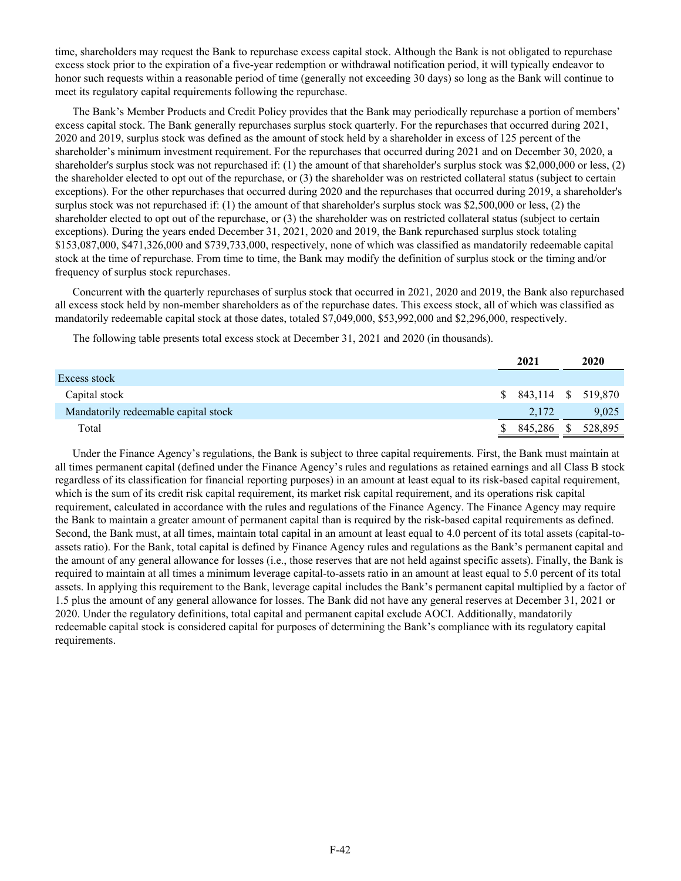time, shareholders may request the Bank to repurchase excess capital stock. Although the Bank is not obligated to repurchase excess stock prior to the expiration of a five-year redemption or withdrawal notification period, it will typically endeavor to honor such requests within a reasonable period of time (generally not exceeding 30 days) so long as the Bank will continue to meet its regulatory capital requirements following the repurchase.

The Bank's Member Products and Credit Policy provides that the Bank may periodically repurchase a portion of members' excess capital stock. The Bank generally repurchases surplus stock quarterly. For the repurchases that occurred during 2021, 2020 and 2019, surplus stock was defined as the amount of stock held by a shareholder in excess of 125 percent of the shareholder's minimum investment requirement. For the repurchases that occurred during 2021 and on December 30, 2020, a shareholder's surplus stock was not repurchased if: (1) the amount of that shareholder's surplus stock was \$2,000,000 or less, (2) the shareholder elected to opt out of the repurchase, or (3) the shareholder was on restricted collateral status (subject to certain exceptions). For the other repurchases that occurred during 2020 and the repurchases that occurred during 2019, a shareholder's surplus stock was not repurchased if: (1) the amount of that shareholder's surplus stock was \$2,500,000 or less, (2) the shareholder elected to opt out of the repurchase, or (3) the shareholder was on restricted collateral status (subject to certain exceptions). During the years ended December 31, 2021, 2020 and 2019, the Bank repurchased surplus stock totaling \$153,087,000, \$471,326,000 and \$739,733,000, respectively, none of which was classified as mandatorily redeemable capital stock at the time of repurchase. From time to time, the Bank may modify the definition of surplus stock or the timing and/or frequency of surplus stock repurchases.

Concurrent with the quarterly repurchases of surplus stock that occurred in 2021, 2020 and 2019, the Bank also repurchased all excess stock held by non-member shareholders as of the repurchase dates. This excess stock, all of which was classified as mandatorily redeemable capital stock at those dates, totaled \$7,049,000, \$53,992,000 and \$2,296,000, respectively.

The following table presents total excess stock at December 31, 2021 and 2020 (in thousands).

|                                      | 2021                  | 2020    |
|--------------------------------------|-----------------------|---------|
| Excess stock                         |                       |         |
| Capital stock                        | $$843,114$ $$519,870$ |         |
| Mandatorily redeemable capital stock | 2,172                 | 9,025   |
| Total                                | 845,286               | 528.895 |

Under the Finance Agency's regulations, the Bank is subject to three capital requirements. First, the Bank must maintain at all times permanent capital (defined under the Finance Agency's rules and regulations as retained earnings and all Class B stock regardless of its classification for financial reporting purposes) in an amount at least equal to its risk-based capital requirement, which is the sum of its credit risk capital requirement, its market risk capital requirement, and its operations risk capital requirement, calculated in accordance with the rules and regulations of the Finance Agency. The Finance Agency may require the Bank to maintain a greater amount of permanent capital than is required by the risk-based capital requirements as defined. Second, the Bank must, at all times, maintain total capital in an amount at least equal to 4.0 percent of its total assets (capital-toassets ratio). For the Bank, total capital is defined by Finance Agency rules and regulations as the Bank's permanent capital and the amount of any general allowance for losses (i.e., those reserves that are not held against specific assets). Finally, the Bank is required to maintain at all times a minimum leverage capital-to-assets ratio in an amount at least equal to 5.0 percent of its total assets. In applying this requirement to the Bank, leverage capital includes the Bank's permanent capital multiplied by a factor of 1.5 plus the amount of any general allowance for losses. The Bank did not have any general reserves at December 31, 2021 or 2020. Under the regulatory definitions, total capital and permanent capital exclude AOCI. Additionally, mandatorily redeemable capital stock is considered capital for purposes of determining the Bank's compliance with its regulatory capital requirements.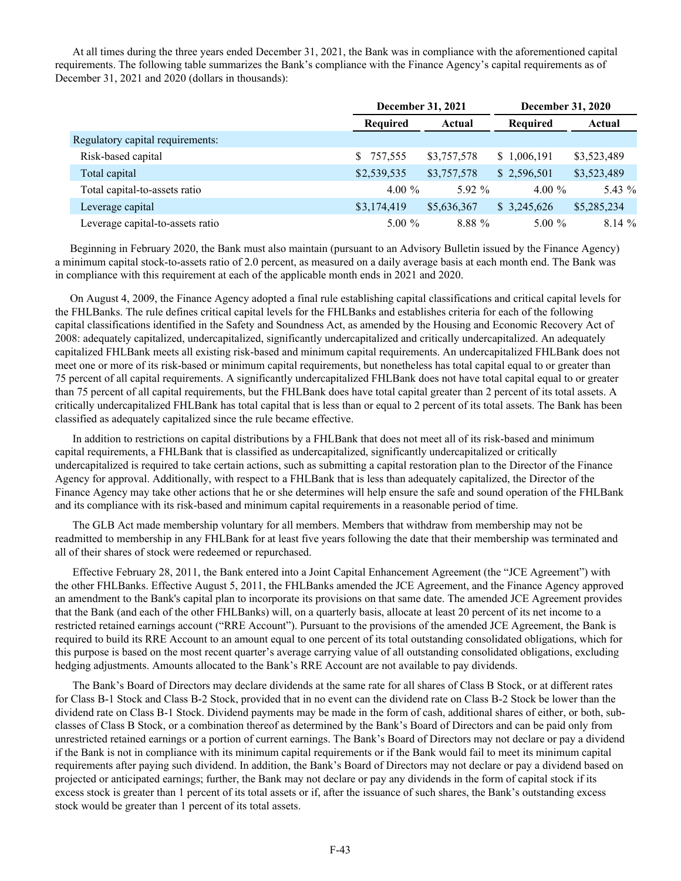At all times during the three years ended December 31, 2021, the Bank was in compliance with the aforementioned capital requirements. The following table summarizes the Bank's compliance with the Finance Agency's capital requirements as of December 31, 2021 and 2020 (dollars in thousands):

|                                  | December 31, 2021 |             | <b>December 31, 2020</b> |             |  |  |
|----------------------------------|-------------------|-------------|--------------------------|-------------|--|--|
|                                  | Required          | Actual      | <b>Required</b>          | Actual      |  |  |
| Regulatory capital requirements: |                   |             |                          |             |  |  |
| Risk-based capital               | 757,555           | \$3,757,578 | \$1,006,191              | \$3,523,489 |  |  |
| Total capital                    | \$2,539,535       | \$3,757,578 | \$2,596,501              | \$3,523,489 |  |  |
| Total capital-to-assets ratio    | $4.00\%$          | $592\%$     | 4.00 $\%$                | 5.43 %      |  |  |
| Leverage capital                 | \$3,174,419       | \$5,636,367 | \$3,245,626              | \$5,285,234 |  |  |
| Leverage capital-to-assets ratio | $5.00\%$          | 8.88 %      | $5.00\%$                 | 8.14%       |  |  |

Beginning in February 2020, the Bank must also maintain (pursuant to an Advisory Bulletin issued by the Finance Agency) a minimum capital stock-to-assets ratio of 2.0 percent, as measured on a daily average basis at each month end. The Bank was in compliance with this requirement at each of the applicable month ends in 2021 and 2020.

On August 4, 2009, the Finance Agency adopted a final rule establishing capital classifications and critical capital levels for the FHLBanks. The rule defines critical capital levels for the FHLBanks and establishes criteria for each of the following capital classifications identified in the Safety and Soundness Act, as amended by the Housing and Economic Recovery Act of 2008: adequately capitalized, undercapitalized, significantly undercapitalized and critically undercapitalized. An adequately capitalized FHLBank meets all existing risk-based and minimum capital requirements. An undercapitalized FHLBank does not meet one or more of its risk-based or minimum capital requirements, but nonetheless has total capital equal to or greater than 75 percent of all capital requirements. A significantly undercapitalized FHLBank does not have total capital equal to or greater than 75 percent of all capital requirements, but the FHLBank does have total capital greater than 2 percent of its total assets. A critically undercapitalized FHLBank has total capital that is less than or equal to 2 percent of its total assets. The Bank has been classified as adequately capitalized since the rule became effective.

In addition to restrictions on capital distributions by a FHLBank that does not meet all of its risk-based and minimum capital requirements, a FHLBank that is classified as undercapitalized, significantly undercapitalized or critically undercapitalized is required to take certain actions, such as submitting a capital restoration plan to the Director of the Finance Agency for approval. Additionally, with respect to a FHLBank that is less than adequately capitalized, the Director of the Finance Agency may take other actions that he or she determines will help ensure the safe and sound operation of the FHLBank and its compliance with its risk-based and minimum capital requirements in a reasonable period of time.

The GLB Act made membership voluntary for all members. Members that withdraw from membership may not be readmitted to membership in any FHLBank for at least five years following the date that their membership was terminated and all of their shares of stock were redeemed or repurchased.

Effective February 28, 2011, the Bank entered into a Joint Capital Enhancement Agreement (the "JCE Agreement") with the other FHLBanks. Effective August 5, 2011, the FHLBanks amended the JCE Agreement, and the Finance Agency approved an amendment to the Bank's capital plan to incorporate its provisions on that same date. The amended JCE Agreement provides that the Bank (and each of the other FHLBanks) will, on a quarterly basis, allocate at least 20 percent of its net income to a restricted retained earnings account ("RRE Account"). Pursuant to the provisions of the amended JCE Agreement, the Bank is required to build its RRE Account to an amount equal to one percent of its total outstanding consolidated obligations, which for this purpose is based on the most recent quarter's average carrying value of all outstanding consolidated obligations, excluding hedging adjustments. Amounts allocated to the Bank's RRE Account are not available to pay dividends.

The Bank's Board of Directors may declare dividends at the same rate for all shares of Class B Stock, or at different rates for Class B-1 Stock and Class B-2 Stock, provided that in no event can the dividend rate on Class B-2 Stock be lower than the dividend rate on Class B-1 Stock. Dividend payments may be made in the form of cash, additional shares of either, or both, subclasses of Class B Stock, or a combination thereof as determined by the Bank's Board of Directors and can be paid only from unrestricted retained earnings or a portion of current earnings. The Bank's Board of Directors may not declare or pay a dividend if the Bank is not in compliance with its minimum capital requirements or if the Bank would fail to meet its minimum capital requirements after paying such dividend. In addition, the Bank's Board of Directors may not declare or pay a dividend based on projected or anticipated earnings; further, the Bank may not declare or pay any dividends in the form of capital stock if its excess stock is greater than 1 percent of its total assets or if, after the issuance of such shares, the Bank's outstanding excess stock would be greater than 1 percent of its total assets.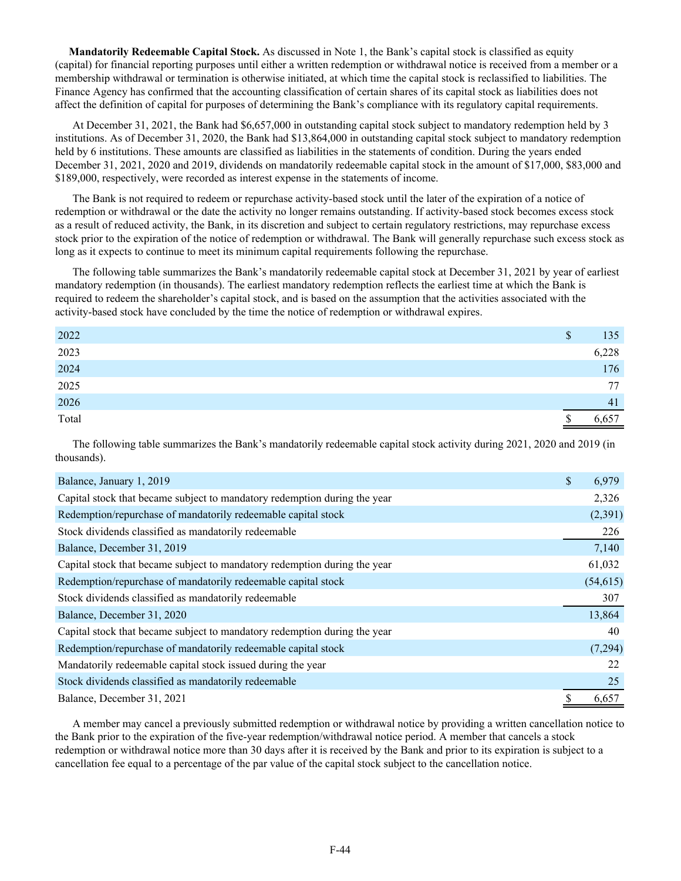**Mandatorily Redeemable Capital Stock.** As discussed in Note 1, the Bank's capital stock is classified as equity (capital) for financial reporting purposes until either a written redemption or withdrawal notice is received from a member or a membership withdrawal or termination is otherwise initiated, at which time the capital stock is reclassified to liabilities. The Finance Agency has confirmed that the accounting classification of certain shares of its capital stock as liabilities does not affect the definition of capital for purposes of determining the Bank's compliance with its regulatory capital requirements.

At December 31, 2021, the Bank had \$6,657,000 in outstanding capital stock subject to mandatory redemption held by 3 institutions. As of December 31, 2020, the Bank had \$13,864,000 in outstanding capital stock subject to mandatory redemption held by 6 institutions. These amounts are classified as liabilities in the statements of condition. During the years ended December 31, 2021, 2020 and 2019, dividends on mandatorily redeemable capital stock in the amount of \$17,000, \$83,000 and \$189,000, respectively, were recorded as interest expense in the statements of income.

The Bank is not required to redeem or repurchase activity-based stock until the later of the expiration of a notice of redemption or withdrawal or the date the activity no longer remains outstanding. If activity-based stock becomes excess stock as a result of reduced activity, the Bank, in its discretion and subject to certain regulatory restrictions, may repurchase excess stock prior to the expiration of the notice of redemption or withdrawal. The Bank will generally repurchase such excess stock as long as it expects to continue to meet its minimum capital requirements following the repurchase.

The following table summarizes the Bank's mandatorily redeemable capital stock at December 31, 2021 by year of earliest mandatory redemption (in thousands). The earliest mandatory redemption reflects the earliest time at which the Bank is required to redeem the shareholder's capital stock, and is based on the assumption that the activities associated with the activity-based stock have concluded by the time the notice of redemption or withdrawal expires.

| 2022         | \$<br>135 |
|--------------|-----------|
| 2023         | 6,228     |
| 2024<br>2025 | 176       |
|              | 77        |
| 2026         | 41        |
| Total        | 0,657     |

The following table summarizes the Bank's mandatorily redeemable capital stock activity during 2021, 2020 and 2019 (in thousands).

| Balance, January 1, 2019                                                  | \$<br>6,979 |
|---------------------------------------------------------------------------|-------------|
| Capital stock that became subject to mandatory redemption during the year | 2,326       |
| Redemption/repurchase of mandatorily redeemable capital stock             | (2,391)     |
| Stock dividends classified as mandatorily redeemable                      | 226         |
| Balance, December 31, 2019                                                | 7,140       |
| Capital stock that became subject to mandatory redemption during the year | 61,032      |
| Redemption/repurchase of mandatorily redeemable capital stock             | (54, 615)   |
| Stock dividends classified as mandatorily redeemable                      | 307         |
| Balance, December 31, 2020                                                | 13,864      |
| Capital stock that became subject to mandatory redemption during the year | 40          |
| Redemption/repurchase of mandatorily redeemable capital stock             | (7,294)     |
| Mandatorily redeemable capital stock issued during the year               | 22          |
| Stock dividends classified as mandatorily redeemable                      | 25          |
| Balance, December 31, 2021                                                | 6,657       |

A member may cancel a previously submitted redemption or withdrawal notice by providing a written cancellation notice to the Bank prior to the expiration of the five-year redemption/withdrawal notice period. A member that cancels a stock redemption or withdrawal notice more than 30 days after it is received by the Bank and prior to its expiration is subject to a cancellation fee equal to a percentage of the par value of the capital stock subject to the cancellation notice.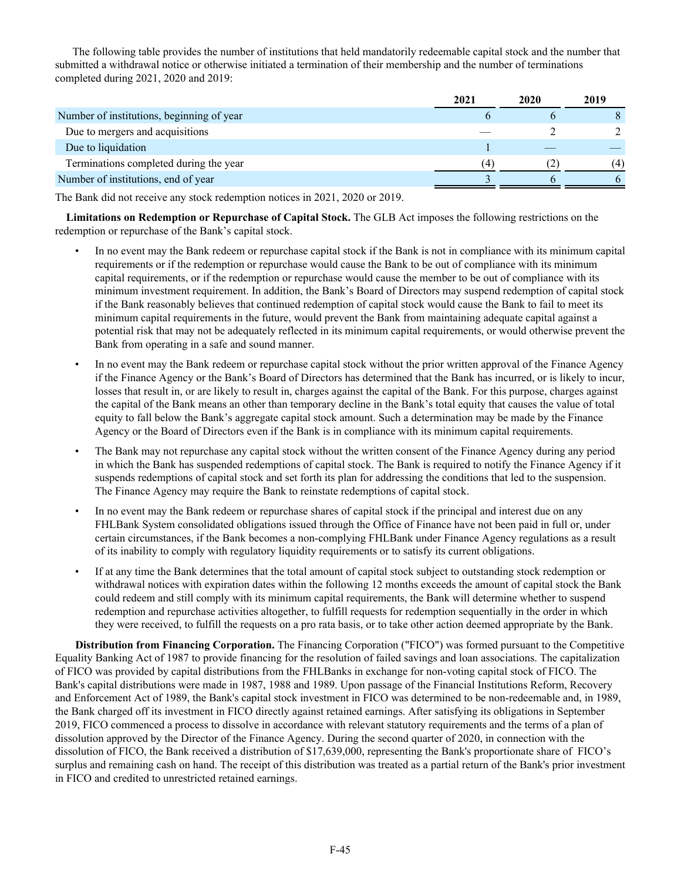The following table provides the number of institutions that held mandatorily redeemable capital stock and the number that submitted a withdrawal notice or otherwise initiated a termination of their membership and the number of terminations completed during 2021, 2020 and 2019:

|                                           | 2021 | 2020 | 2019 |
|-------------------------------------------|------|------|------|
| Number of institutions, beginning of year |      |      |      |
| Due to mergers and acquisitions           |      |      |      |
| Due to liquidation                        |      |      |      |
| Terminations completed during the year    | (4   |      | (4)  |
| Number of institutions, end of year       |      |      |      |

The Bank did not receive any stock redemption notices in 2021, 2020 or 2019.

 **Limitations on Redemption or Repurchase of Capital Stock.** The GLB Act imposes the following restrictions on the redemption or repurchase of the Bank's capital stock.

- In no event may the Bank redeem or repurchase capital stock if the Bank is not in compliance with its minimum capital requirements or if the redemption or repurchase would cause the Bank to be out of compliance with its minimum capital requirements, or if the redemption or repurchase would cause the member to be out of compliance with its minimum investment requirement. In addition, the Bank's Board of Directors may suspend redemption of capital stock if the Bank reasonably believes that continued redemption of capital stock would cause the Bank to fail to meet its minimum capital requirements in the future, would prevent the Bank from maintaining adequate capital against a potential risk that may not be adequately reflected in its minimum capital requirements, or would otherwise prevent the Bank from operating in a safe and sound manner.
- In no event may the Bank redeem or repurchase capital stock without the prior written approval of the Finance Agency if the Finance Agency or the Bank's Board of Directors has determined that the Bank has incurred, or is likely to incur, losses that result in, or are likely to result in, charges against the capital of the Bank. For this purpose, charges against the capital of the Bank means an other than temporary decline in the Bank's total equity that causes the value of total equity to fall below the Bank's aggregate capital stock amount. Such a determination may be made by the Finance Agency or the Board of Directors even if the Bank is in compliance with its minimum capital requirements.
- The Bank may not repurchase any capital stock without the written consent of the Finance Agency during any period in which the Bank has suspended redemptions of capital stock. The Bank is required to notify the Finance Agency if it suspends redemptions of capital stock and set forth its plan for addressing the conditions that led to the suspension. The Finance Agency may require the Bank to reinstate redemptions of capital stock.
- In no event may the Bank redeem or repurchase shares of capital stock if the principal and interest due on any FHLBank System consolidated obligations issued through the Office of Finance have not been paid in full or, under certain circumstances, if the Bank becomes a non-complying FHLBank under Finance Agency regulations as a result of its inability to comply with regulatory liquidity requirements or to satisfy its current obligations.
- If at any time the Bank determines that the total amount of capital stock subject to outstanding stock redemption or withdrawal notices with expiration dates within the following 12 months exceeds the amount of capital stock the Bank could redeem and still comply with its minimum capital requirements, the Bank will determine whether to suspend redemption and repurchase activities altogether, to fulfill requests for redemption sequentially in the order in which they were received, to fulfill the requests on a pro rata basis, or to take other action deemed appropriate by the Bank.

**Distribution from Financing Corporation.** The Financing Corporation ("FICO") was formed pursuant to the Competitive Equality Banking Act of 1987 to provide financing for the resolution of failed savings and loan associations. The capitalization of FICO was provided by capital distributions from the FHLBanks in exchange for non-voting capital stock of FICO. The Bank's capital distributions were made in 1987, 1988 and 1989. Upon passage of the Financial Institutions Reform, Recovery and Enforcement Act of 1989, the Bank's capital stock investment in FICO was determined to be non-redeemable and, in 1989, the Bank charged off its investment in FICO directly against retained earnings. After satisfying its obligations in September 2019, FICO commenced a process to dissolve in accordance with relevant statutory requirements and the terms of a plan of dissolution approved by the Director of the Finance Agency. During the second quarter of 2020, in connection with the dissolution of FICO, the Bank received a distribution of \$17,639,000, representing the Bank's proportionate share of FICO's surplus and remaining cash on hand. The receipt of this distribution was treated as a partial return of the Bank's prior investment in FICO and credited to unrestricted retained earnings.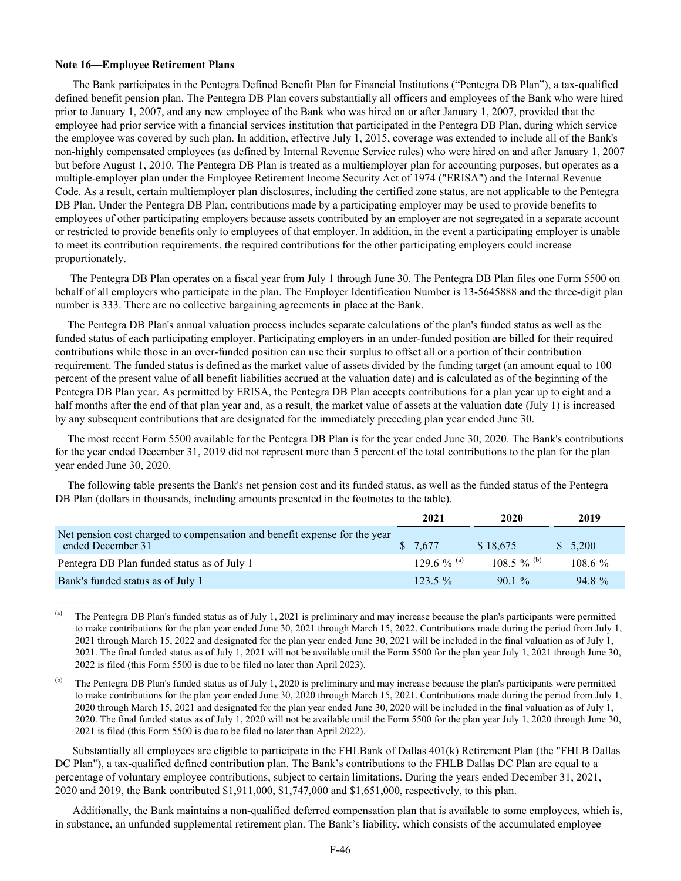### **Note 16—Employee Retirement Plans**

The Bank participates in the Pentegra Defined Benefit Plan for Financial Institutions ("Pentegra DB Plan"), a tax-qualified defined benefit pension plan. The Pentegra DB Plan covers substantially all officers and employees of the Bank who were hired prior to January 1, 2007, and any new employee of the Bank who was hired on or after January 1, 2007, provided that the employee had prior service with a financial services institution that participated in the Pentegra DB Plan, during which service the employee was covered by such plan. In addition, effective July 1, 2015, coverage was extended to include all of the Bank's non-highly compensated employees (as defined by Internal Revenue Service rules) who were hired on and after January 1, 2007 but before August 1, 2010. The Pentegra DB Plan is treated as a multiemployer plan for accounting purposes, but operates as a multiple-employer plan under the Employee Retirement Income Security Act of 1974 ("ERISA") and the Internal Revenue Code. As a result, certain multiemployer plan disclosures, including the certified zone status, are not applicable to the Pentegra DB Plan. Under the Pentegra DB Plan, contributions made by a participating employer may be used to provide benefits to employees of other participating employers because assets contributed by an employer are not segregated in a separate account or restricted to provide benefits only to employees of that employer. In addition, in the event a participating employer is unable to meet its contribution requirements, the required contributions for the other participating employers could increase proportionately.

 The Pentegra DB Plan operates on a fiscal year from July 1 through June 30. The Pentegra DB Plan files one Form 5500 on behalf of all employers who participate in the plan. The Employer Identification Number is 13-5645888 and the three-digit plan number is 333. There are no collective bargaining agreements in place at the Bank.

The Pentegra DB Plan's annual valuation process includes separate calculations of the plan's funded status as well as the funded status of each participating employer. Participating employers in an under-funded position are billed for their required contributions while those in an over-funded position can use their surplus to offset all or a portion of their contribution requirement. The funded status is defined as the market value of assets divided by the funding target (an amount equal to 100 percent of the present value of all benefit liabilities accrued at the valuation date) and is calculated as of the beginning of the Pentegra DB Plan year. As permitted by ERISA, the Pentegra DB Plan accepts contributions for a plan year up to eight and a half months after the end of that plan year and, as a result, the market value of assets at the valuation date (July 1) is increased by any subsequent contributions that are designated for the immediately preceding plan year ended June 30.

The most recent Form 5500 available for the Pentegra DB Plan is for the year ended June 30, 2020. The Bank's contributions for the year ended December 31, 2019 did not represent more than 5 percent of the total contributions to the plan for the plan year ended June 30, 2020.

The following table presents the Bank's net pension cost and its funded status, as well as the funded status of the Pentegra DB Plan (dollars in thousands, including amounts presented in the footnotes to the table).

|                                                                                                | 2021        | 2020        | 2019       |
|------------------------------------------------------------------------------------------------|-------------|-------------|------------|
| Net pension cost charged to compensation and benefit expense for the year<br>ended December 31 | \$7.677     | \$18.675    | \$5,200    |
| Pentegra DB Plan funded status as of July 1                                                    | 129.6 % (a) | 108.5 % (b) | $108.6 \%$ |
| Bank's funded status as of July 1                                                              | $123.5\%$   | $901\%$     | 94.8%      |

(a) The Pentegra DB Plan's funded status as of July 1, 2021 is preliminary and may increase because the plan's participants were permitted to make contributions for the plan year ended June 30, 2021 through March 15, 2022. Contributions made during the period from July 1, 2021 through March 15, 2022 and designated for the plan year ended June 30, 2021 will be included in the final valuation as of July 1, 2021. The final funded status as of July 1, 2021 will not be available until the Form 5500 for the plan year July 1, 2021 through June 30, 2022 is filed (this Form 5500 is due to be filed no later than April 2023).

(b) The Pentegra DB Plan's funded status as of July 1, 2020 is preliminary and may increase because the plan's participants were permitted to make contributions for the plan year ended June 30, 2020 through March 15, 2021. Contributions made during the period from July 1, 2020 through March 15, 2021 and designated for the plan year ended June 30, 2020 will be included in the final valuation as of July 1, 2020. The final funded status as of July 1, 2020 will not be available until the Form 5500 for the plan year July 1, 2020 through June 30, 2021 is filed (this Form 5500 is due to be filed no later than April 2022).

Substantially all employees are eligible to participate in the FHLBank of Dallas 401(k) Retirement Plan (the "FHLB Dallas DC Plan"), a tax-qualified defined contribution plan. The Bank's contributions to the FHLB Dallas DC Plan are equal to a percentage of voluntary employee contributions, subject to certain limitations. During the years ended December 31, 2021, 2020 and 2019, the Bank contributed \$1,911,000, \$1,747,000 and \$1,651,000, respectively, to this plan.

Additionally, the Bank maintains a non-qualified deferred compensation plan that is available to some employees, which is, in substance, an unfunded supplemental retirement plan. The Bank's liability, which consists of the accumulated employee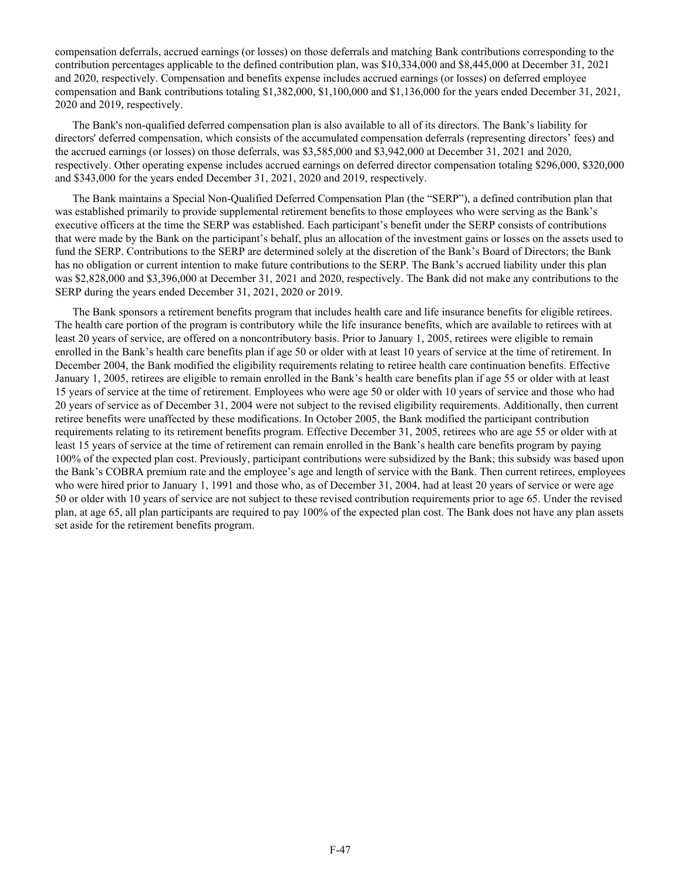compensation deferrals, accrued earnings (or losses) on those deferrals and matching Bank contributions corresponding to the contribution percentages applicable to the defined contribution plan, was \$10,334,000 and \$8,445,000 at December 31, 2021 and 2020, respectively. Compensation and benefits expense includes accrued earnings (or losses) on deferred employee compensation and Bank contributions totaling \$1,382,000, \$1,100,000 and \$1,136,000 for the years ended December 31, 2021, 2020 and 2019, respectively.

The Bank's non-qualified deferred compensation plan is also available to all of its directors. The Bank's liability for directors' deferred compensation, which consists of the accumulated compensation deferrals (representing directors' fees) and the accrued earnings (or losses) on those deferrals, was \$3,585,000 and \$3,942,000 at December 31, 2021 and 2020, respectively. Other operating expense includes accrued earnings on deferred director compensation totaling \$296,000, \$320,000 and \$343,000 for the years ended December 31, 2021, 2020 and 2019, respectively.

The Bank maintains a Special Non-Qualified Deferred Compensation Plan (the "SERP"), a defined contribution plan that was established primarily to provide supplemental retirement benefits to those employees who were serving as the Bank's executive officers at the time the SERP was established. Each participant's benefit under the SERP consists of contributions that were made by the Bank on the participant's behalf, plus an allocation of the investment gains or losses on the assets used to fund the SERP. Contributions to the SERP are determined solely at the discretion of the Bank's Board of Directors; the Bank has no obligation or current intention to make future contributions to the SERP. The Bank's accrued liability under this plan was \$2,828,000 and \$3,396,000 at December 31, 2021 and 2020, respectively. The Bank did not make any contributions to the SERP during the years ended December 31, 2021, 2020 or 2019.

The Bank sponsors a retirement benefits program that includes health care and life insurance benefits for eligible retirees. The health care portion of the program is contributory while the life insurance benefits, which are available to retirees with at least 20 years of service, are offered on a noncontributory basis. Prior to January 1, 2005, retirees were eligible to remain enrolled in the Bank's health care benefits plan if age 50 or older with at least 10 years of service at the time of retirement. In December 2004, the Bank modified the eligibility requirements relating to retiree health care continuation benefits. Effective January 1, 2005, retirees are eligible to remain enrolled in the Bank's health care benefits plan if age 55 or older with at least 15 years of service at the time of retirement. Employees who were age 50 or older with 10 years of service and those who had 20 years of service as of December 31, 2004 were not subject to the revised eligibility requirements. Additionally, then current retiree benefits were unaffected by these modifications. In October 2005, the Bank modified the participant contribution requirements relating to its retirement benefits program. Effective December 31, 2005, retirees who are age 55 or older with at least 15 years of service at the time of retirement can remain enrolled in the Bank's health care benefits program by paying 100% of the expected plan cost. Previously, participant contributions were subsidized by the Bank; this subsidy was based upon the Bank's COBRA premium rate and the employee's age and length of service with the Bank. Then current retirees, employees who were hired prior to January 1, 1991 and those who, as of December 31, 2004, had at least 20 years of service or were age 50 or older with 10 years of service are not subject to these revised contribution requirements prior to age 65. Under the revised plan, at age 65, all plan participants are required to pay 100% of the expected plan cost. The Bank does not have any plan assets set aside for the retirement benefits program.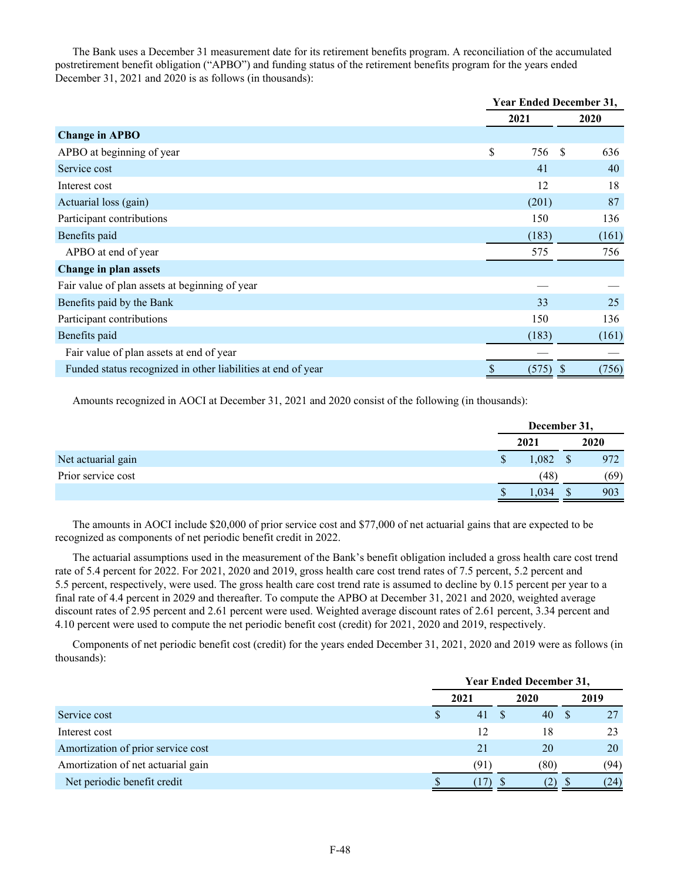The Bank uses a December 31 measurement date for its retirement benefits program. A reconciliation of the accumulated postretirement benefit obligation ("APBO") and funding status of the retirement benefits program for the years ended December 31, 2021 and 2020 is as follows (in thousands):

|                                                              | <b>Year Ended December 31,</b> |          |  |  |
|--------------------------------------------------------------|--------------------------------|----------|--|--|
|                                                              | 2021                           | 2020     |  |  |
| <b>Change in APBO</b>                                        |                                |          |  |  |
| APBO at beginning of year                                    | \$<br>756                      | S<br>636 |  |  |
| Service cost                                                 | 41                             | 40       |  |  |
| Interest cost                                                | 12                             | 18       |  |  |
| Actuarial loss (gain)                                        | (201)                          | 87       |  |  |
| Participant contributions                                    | 150                            | 136      |  |  |
| Benefits paid                                                | (183)                          | (161)    |  |  |
| APBO at end of year                                          | 575                            | 756      |  |  |
| Change in plan assets                                        |                                |          |  |  |
| Fair value of plan assets at beginning of year               |                                |          |  |  |
| Benefits paid by the Bank                                    | 33                             | 25       |  |  |
| Participant contributions                                    | 150                            | 136      |  |  |
| Benefits paid                                                | (183)                          | (161)    |  |  |
| Fair value of plan assets at end of year                     |                                |          |  |  |
| Funded status recognized in other liabilities at end of year | (575)                          | (756)    |  |  |

Amounts recognized in AOCI at December 31, 2021 and 2020 consist of the following (in thousands):

|                    | December 31, |  |             |  |
|--------------------|--------------|--|-------------|--|
|                    | 2021         |  | <b>2020</b> |  |
| Net actuarial gain | 1,082        |  | 972         |  |
| Prior service cost | (48)         |  | (69)        |  |
|                    | ,034         |  | 903         |  |

The amounts in AOCI include \$20,000 of prior service cost and \$77,000 of net actuarial gains that are expected to be recognized as components of net periodic benefit credit in 2022.

The actuarial assumptions used in the measurement of the Bank's benefit obligation included a gross health care cost trend rate of 5.4 percent for 2022. For 2021, 2020 and 2019, gross health care cost trend rates of 7.5 percent, 5.2 percent and 5.5 percent, respectively, were used. The gross health care cost trend rate is assumed to decline by 0.15 percent per year to a final rate of 4.4 percent in 2029 and thereafter. To compute the APBO at December 31, 2021 and 2020, weighted average discount rates of 2.95 percent and 2.61 percent were used. Weighted average discount rates of 2.61 percent, 3.34 percent and 4.10 percent were used to compute the net periodic benefit cost (credit) for 2021, 2020 and 2019, respectively.

Components of net periodic benefit cost (credit) for the years ended December 31, 2021, 2020 and 2019 were as follows (in thousands):

|                                    | <b>Year Ended December 31,</b> |  |      |   |      |  |
|------------------------------------|--------------------------------|--|------|---|------|--|
|                                    | 2021                           |  | 2020 |   | 2019 |  |
| Service cost                       | \$<br>41                       |  | 40   |   |      |  |
| Interest cost                      | 12                             |  | 18   |   |      |  |
| Amortization of prior service cost | 21                             |  | 20   |   | 20   |  |
| Amortization of net actuarial gain | (91)                           |  | (80) |   | (94) |  |
| Net periodic benefit credit        |                                |  | .2)  | D | (24) |  |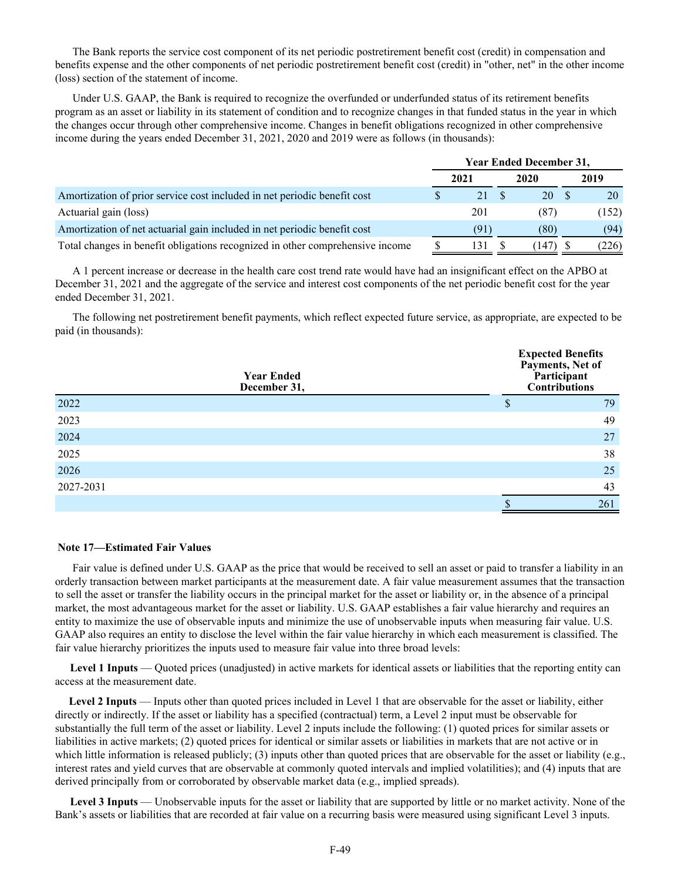The Bank reports the service cost component of its net periodic postretirement benefit cost (credit) in compensation and benefits expense and the other components of net periodic postretirement benefit cost (credit) in "other, net" in the other income (loss) section of the statement of income.

Under U.S. GAAP, the Bank is required to recognize the overfunded or underfunded status of its retirement benefits program as an asset or liability in its statement of condition and to recognize changes in that funded status in the year in which the changes occur through other comprehensive income. Changes in benefit obligations recognized in other comprehensive income during the years ended December 31, 2021, 2020 and 2019 were as follows (in thousands):

|                                                                               | <b>Year Ended December 31,</b> |      |  |      |  |       |  |
|-------------------------------------------------------------------------------|--------------------------------|------|--|------|--|-------|--|
|                                                                               |                                | 2021 |  | 2020 |  | 2019  |  |
| Amortization of prior service cost included in net periodic benefit cost      |                                | 21   |  | 20   |  | 20    |  |
| Actuarial gain (loss)                                                         |                                | 201  |  | (87) |  | (152) |  |
| Amortization of net actuarial gain included in net periodic benefit cost      |                                | (91) |  | (80) |  | (94)  |  |
| Total changes in benefit obligations recognized in other comprehensive income |                                | 131  |  | 147  |  | (226) |  |

A 1 percent increase or decrease in the health care cost trend rate would have had an insignificant effect on the APBO at December 31, 2021 and the aggregate of the service and interest cost components of the net periodic benefit cost for the year ended December 31, 2021.

The following net postretirement benefit payments, which reflect expected future service, as appropriate, are expected to be paid (in thousands):

|           | <b>Year Ended</b><br>December 31, | <b>Expected Benefits</b><br>Payments, Net of<br>Participant<br><b>Contributions</b> |     |
|-----------|-----------------------------------|-------------------------------------------------------------------------------------|-----|
| 2022      |                                   | $\mathbf{D}$                                                                        | 79  |
| 2023      |                                   |                                                                                     | 49  |
| 2024      |                                   |                                                                                     | 27  |
| 2025      |                                   |                                                                                     | 38  |
| 2026      |                                   |                                                                                     | 25  |
| 2027-2031 |                                   |                                                                                     | 43  |
|           |                                   |                                                                                     | 261 |

#### **Note 17—Estimated Fair Values**

Fair value is defined under U.S. GAAP as the price that would be received to sell an asset or paid to transfer a liability in an orderly transaction between market participants at the measurement date. A fair value measurement assumes that the transaction to sell the asset or transfer the liability occurs in the principal market for the asset or liability or, in the absence of a principal market, the most advantageous market for the asset or liability. U.S. GAAP establishes a fair value hierarchy and requires an entity to maximize the use of observable inputs and minimize the use of unobservable inputs when measuring fair value. U.S. GAAP also requires an entity to disclose the level within the fair value hierarchy in which each measurement is classified. The fair value hierarchy prioritizes the inputs used to measure fair value into three broad levels:

**Level 1 Inputs** — Quoted prices (unadjusted) in active markets for identical assets or liabilities that the reporting entity can access at the measurement date.

 **Level 2 Inputs** — Inputs other than quoted prices included in Level 1 that are observable for the asset or liability, either directly or indirectly. If the asset or liability has a specified (contractual) term, a Level 2 input must be observable for substantially the full term of the asset or liability. Level 2 inputs include the following: (1) quoted prices for similar assets or liabilities in active markets; (2) quoted prices for identical or similar assets or liabilities in markets that are not active or in which little information is released publicly; (3) inputs other than quoted prices that are observable for the asset or liability (e.g., interest rates and yield curves that are observable at commonly quoted intervals and implied volatilities); and (4) inputs that are derived principally from or corroborated by observable market data (e.g., implied spreads).

**Level 3 Inputs** — Unobservable inputs for the asset or liability that are supported by little or no market activity. None of the Bank's assets or liabilities that are recorded at fair value on a recurring basis were measured using significant Level 3 inputs.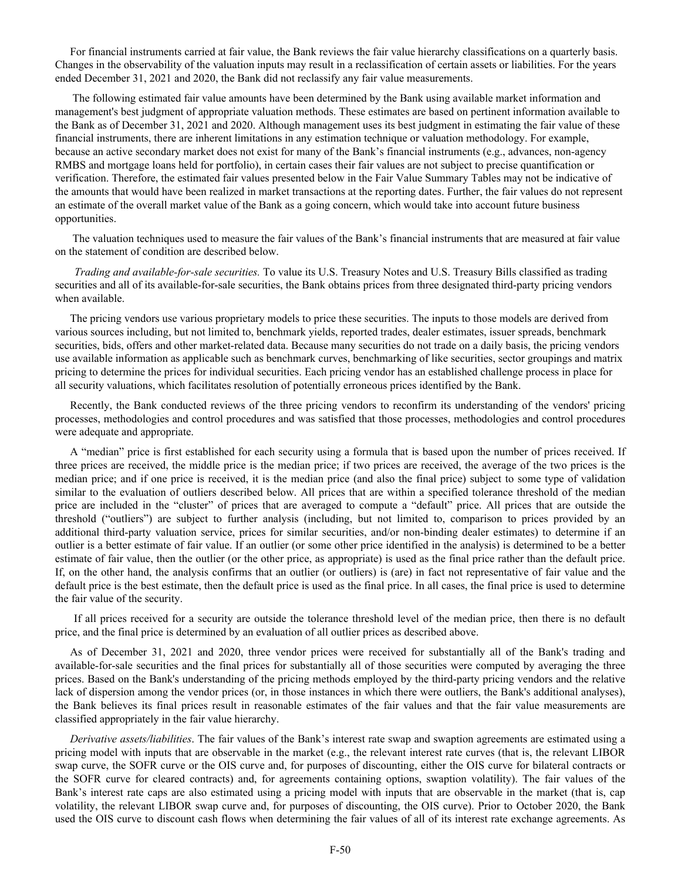For financial instruments carried at fair value, the Bank reviews the fair value hierarchy classifications on a quarterly basis. Changes in the observability of the valuation inputs may result in a reclassification of certain assets or liabilities. For the years ended December 31, 2021 and 2020, the Bank did not reclassify any fair value measurements.

The following estimated fair value amounts have been determined by the Bank using available market information and management's best judgment of appropriate valuation methods. These estimates are based on pertinent information available to the Bank as of December 31, 2021 and 2020. Although management uses its best judgment in estimating the fair value of these financial instruments, there are inherent limitations in any estimation technique or valuation methodology. For example, because an active secondary market does not exist for many of the Bank's financial instruments (e.g., advances, non-agency RMBS and mortgage loans held for portfolio), in certain cases their fair values are not subject to precise quantification or verification. Therefore, the estimated fair values presented below in the Fair Value Summary Tables may not be indicative of the amounts that would have been realized in market transactions at the reporting dates. Further, the fair values do not represent an estimate of the overall market value of the Bank as a going concern, which would take into account future business opportunities.

The valuation techniques used to measure the fair values of the Bank's financial instruments that are measured at fair value on the statement of condition are described below.

 *Trading and available-for-sale securities.* To value its U.S. Treasury Notes and U.S. Treasury Bills classified as trading securities and all of its available-for-sale securities, the Bank obtains prices from three designated third-party pricing vendors when available.

The pricing vendors use various proprietary models to price these securities. The inputs to those models are derived from various sources including, but not limited to, benchmark yields, reported trades, dealer estimates, issuer spreads, benchmark securities, bids, offers and other market-related data. Because many securities do not trade on a daily basis, the pricing vendors use available information as applicable such as benchmark curves, benchmarking of like securities, sector groupings and matrix pricing to determine the prices for individual securities. Each pricing vendor has an established challenge process in place for all security valuations, which facilitates resolution of potentially erroneous prices identified by the Bank.

Recently, the Bank conducted reviews of the three pricing vendors to reconfirm its understanding of the vendors' pricing processes, methodologies and control procedures and was satisfied that those processes, methodologies and control procedures were adequate and appropriate.

A "median" price is first established for each security using a formula that is based upon the number of prices received. If three prices are received, the middle price is the median price; if two prices are received, the average of the two prices is the median price; and if one price is received, it is the median price (and also the final price) subject to some type of validation similar to the evaluation of outliers described below. All prices that are within a specified tolerance threshold of the median price are included in the "cluster" of prices that are averaged to compute a "default" price. All prices that are outside the threshold ("outliers") are subject to further analysis (including, but not limited to, comparison to prices provided by an additional third-party valuation service, prices for similar securities, and/or non-binding dealer estimates) to determine if an outlier is a better estimate of fair value. If an outlier (or some other price identified in the analysis) is determined to be a better estimate of fair value, then the outlier (or the other price, as appropriate) is used as the final price rather than the default price. If, on the other hand, the analysis confirms that an outlier (or outliers) is (are) in fact not representative of fair value and the default price is the best estimate, then the default price is used as the final price. In all cases, the final price is used to determine the fair value of the security.

 If all prices received for a security are outside the tolerance threshold level of the median price, then there is no default price, and the final price is determined by an evaluation of all outlier prices as described above.

As of December 31, 2021 and 2020, three vendor prices were received for substantially all of the Bank's trading and available-for-sale securities and the final prices for substantially all of those securities were computed by averaging the three prices. Based on the Bank's understanding of the pricing methods employed by the third-party pricing vendors and the relative lack of dispersion among the vendor prices (or, in those instances in which there were outliers, the Bank's additional analyses), the Bank believes its final prices result in reasonable estimates of the fair values and that the fair value measurements are classified appropriately in the fair value hierarchy.

*Derivative assets/liabilities*. The fair values of the Bank's interest rate swap and swaption agreements are estimated using a pricing model with inputs that are observable in the market (e.g., the relevant interest rate curves (that is, the relevant LIBOR swap curve, the SOFR curve or the OIS curve and, for purposes of discounting, either the OIS curve for bilateral contracts or the SOFR curve for cleared contracts) and, for agreements containing options, swaption volatility). The fair values of the Bank's interest rate caps are also estimated using a pricing model with inputs that are observable in the market (that is, cap volatility, the relevant LIBOR swap curve and, for purposes of discounting, the OIS curve). Prior to October 2020, the Bank used the OIS curve to discount cash flows when determining the fair values of all of its interest rate exchange agreements. As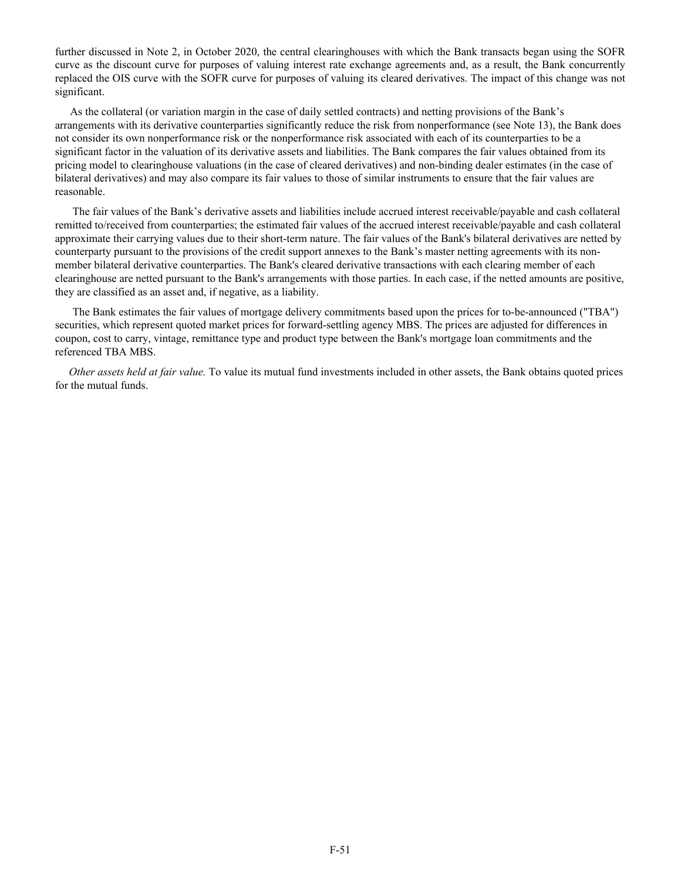further discussed in Note 2, in October 2020, the central clearinghouses with which the Bank transacts began using the SOFR curve as the discount curve for purposes of valuing interest rate exchange agreements and, as a result, the Bank concurrently replaced the OIS curve with the SOFR curve for purposes of valuing its cleared derivatives. The impact of this change was not significant.

As the collateral (or variation margin in the case of daily settled contracts) and netting provisions of the Bank's arrangements with its derivative counterparties significantly reduce the risk from nonperformance (see Note 13), the Bank does not consider its own nonperformance risk or the nonperformance risk associated with each of its counterparties to be a significant factor in the valuation of its derivative assets and liabilities. The Bank compares the fair values obtained from its pricing model to clearinghouse valuations (in the case of cleared derivatives) and non-binding dealer estimates (in the case of bilateral derivatives) and may also compare its fair values to those of similar instruments to ensure that the fair values are reasonable.

The fair values of the Bank's derivative assets and liabilities include accrued interest receivable/payable and cash collateral remitted to/received from counterparties; the estimated fair values of the accrued interest receivable/payable and cash collateral approximate their carrying values due to their short-term nature. The fair values of the Bank's bilateral derivatives are netted by counterparty pursuant to the provisions of the credit support annexes to the Bank's master netting agreements with its nonmember bilateral derivative counterparties. The Bank's cleared derivative transactions with each clearing member of each clearinghouse are netted pursuant to the Bank's arrangements with those parties. In each case, if the netted amounts are positive, they are classified as an asset and, if negative, as a liability.

The Bank estimates the fair values of mortgage delivery commitments based upon the prices for to-be-announced ("TBA") securities, which represent quoted market prices for forward-settling agency MBS. The prices are adjusted for differences in coupon, cost to carry, vintage, remittance type and product type between the Bank's mortgage loan commitments and the referenced TBA MBS.

 *Other assets held at fair value.* To value its mutual fund investments included in other assets, the Bank obtains quoted prices for the mutual funds.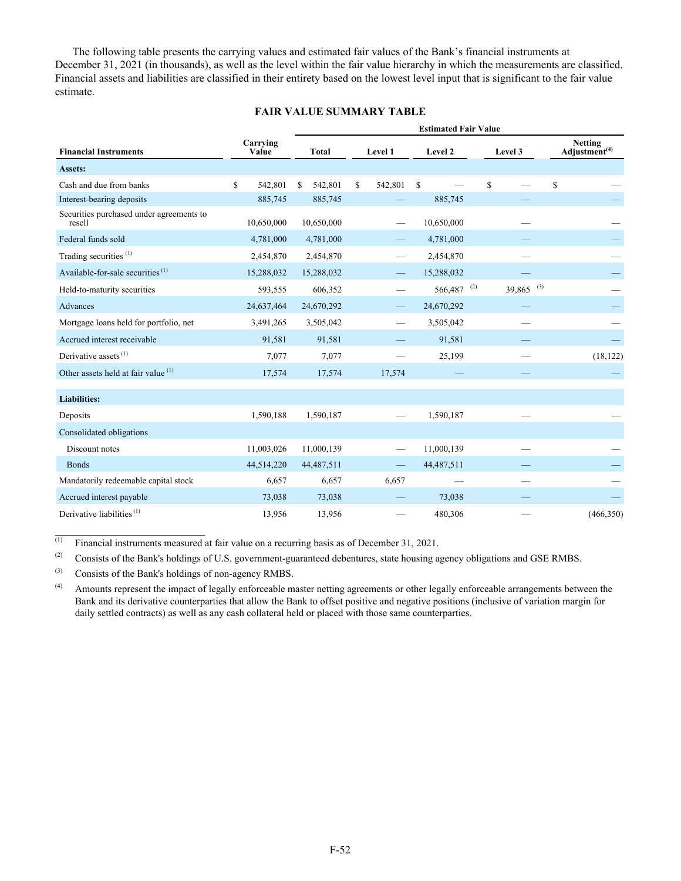The following table presents the carrying values and estimated fair values of the Bank's financial instruments at December 31, 2021 (in thousands), as well as the level within the fair value hierarchy in which the measurements are classified. Financial assets and liabilities are classified in their entirety based on the lowest level input that is significant to the fair value estimate.

### **FAIR VALUE SUMMARY TABLE**

|                                                    |                   | <b>Estimated Fair Value</b> |                               |                          |                         |                                             |  |  |
|----------------------------------------------------|-------------------|-----------------------------|-------------------------------|--------------------------|-------------------------|---------------------------------------------|--|--|
| <b>Financial Instruments</b>                       | Carrying<br>Value | <b>Total</b>                | Level 1                       | Level 2                  | Level 3                 | <b>Netting</b><br>Adjustment <sup>(4)</sup> |  |  |
| Assets:                                            |                   |                             |                               |                          |                         |                                             |  |  |
| Cash and due from banks                            | \$<br>542,801     | 542,801<br>\$               | \$<br>542,801                 | $\mathbf S$              | \$                      | \$                                          |  |  |
| Interest-bearing deposits                          | 885,745           | 885,745                     |                               | 885,745                  |                         |                                             |  |  |
| Securities purchased under agreements to<br>resell | 10,650,000        | 10,650,000                  |                               | 10,650,000               |                         |                                             |  |  |
| Federal funds sold                                 | 4,781,000         | 4,781,000                   |                               | 4,781,000                |                         |                                             |  |  |
| Trading securities <sup>(1)</sup>                  | 2,454,870         | 2,454,870                   |                               | 2,454,870                |                         |                                             |  |  |
| Available-for-sale securities $(1)$                | 15,288,032        | 15,288,032                  |                               | 15,288,032               |                         |                                             |  |  |
| Held-to-maturity securities                        | 593,555           | 606,352                     |                               | $566,487$ <sup>(2)</sup> | $39,865$ <sup>(3)</sup> |                                             |  |  |
| Advances                                           | 24,637,464        | 24,670,292                  | $\overline{\phantom{0}}$      | 24,670,292               |                         |                                             |  |  |
| Mortgage loans held for portfolio, net             | 3,491,265         | 3,505,042                   | $\overbrace{\phantom{12333}}$ | 3,505,042                |                         |                                             |  |  |
| Accrued interest receivable                        | 91,581            | 91,581                      |                               | 91,581                   |                         |                                             |  |  |
| Derivative assets $^{(1)}$                         | 7,077             | 7,077                       |                               | 25,199                   |                         | (18, 122)                                   |  |  |
| Other assets held at fair value (1)                | 17,574            | 17,574                      | 17,574                        |                          |                         |                                             |  |  |
| <b>Liabilities:</b>                                |                   |                             |                               |                          |                         |                                             |  |  |
| Deposits                                           | 1,590,188         | 1,590,187                   |                               | 1,590,187                |                         |                                             |  |  |
| Consolidated obligations                           |                   |                             |                               |                          |                         |                                             |  |  |
| Discount notes                                     | 11,003,026        | 11,000,139                  |                               | 11,000,139               |                         |                                             |  |  |
| <b>Bonds</b>                                       | 44,514,220        | 44,487,511                  | $\overline{\phantom{0}}$      | 44,487,511               |                         |                                             |  |  |
| Mandatorily redeemable capital stock               | 6,657             | 6,657                       | 6,657                         |                          |                         |                                             |  |  |
| Accrued interest payable                           | 73,038            | 73,038                      |                               | 73,038                   |                         |                                             |  |  |
| Derivative liabilities <sup>(1)</sup>              | 13,956            | 13,956                      |                               | 480,306                  |                         | (466, 350)                                  |  |  |

 $\overline{^{(1)}}$  Financial instruments measured at fair value on a recurring basis as of December 31, 2021.

(2) Consists of the Bank's holdings of U.S. government-guaranteed debentures, state housing agency obligations and GSE RMBS.

(3) Consists of the Bank's holdings of non-agency RMBS.

 $\mathcal{L}_\text{max}$  , where  $\mathcal{L}_\text{max}$  and  $\mathcal{L}_\text{max}$ 

(4) Amounts represent the impact of legally enforceable master netting agreements or other legally enforceable arrangements between the Bank and its derivative counterparties that allow the Bank to offset positive and negative positions (inclusive of variation margin for daily settled contracts) as well as any cash collateral held or placed with those same counterparties.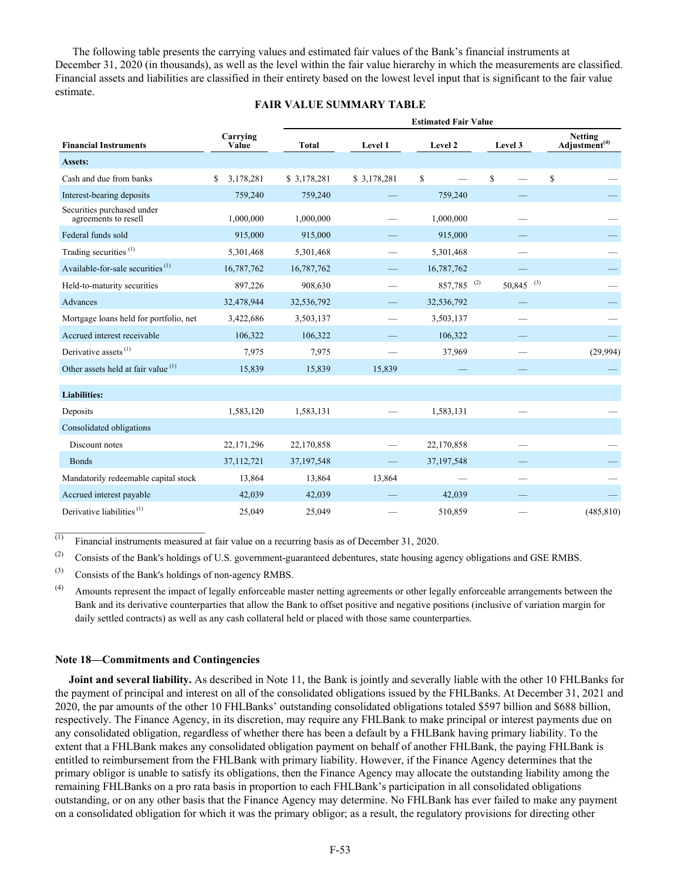The following table presents the carrying values and estimated fair values of the Bank's financial instruments at December 31, 2020 (in thousands), as well as the level within the fair value hierarchy in which the measurements are classified. Financial assets and liabilities are classified in their entirety based on the lowest level input that is significant to the fair value estimate.

### **FAIR VALUE SUMMARY TABLE**

|                                                    |                   | <b>Estimated Fair Value</b> |             |             |              |                                             |  |  |  |
|----------------------------------------------------|-------------------|-----------------------------|-------------|-------------|--------------|---------------------------------------------|--|--|--|
| <b>Financial Instruments</b>                       | Carrying<br>Value | <b>Total</b>                | Level 1     | Level 2     | Level 3      | <b>Netting</b><br>Adjustment <sup>(4)</sup> |  |  |  |
| Assets:                                            |                   |                             |             |             |              |                                             |  |  |  |
| Cash and due from banks                            | 3,178,281<br>S.   | \$3,178,281                 | \$3,178,281 | \$          | $\mathbb{S}$ | \$                                          |  |  |  |
| Interest-bearing deposits                          | 759,240           | 759,240                     |             | 759,240     |              |                                             |  |  |  |
| Securities purchased under<br>agreements to resell | 1,000,000         | 1,000,000                   |             | 1,000,000   |              |                                             |  |  |  |
| Federal funds sold                                 | 915,000           | 915,000                     |             | 915,000     |              |                                             |  |  |  |
| Trading securities <sup>(1)</sup>                  | 5,301,468         | 5,301,468                   |             | 5,301,468   |              |                                             |  |  |  |
| Available-for-sale securities <sup>(1)</sup>       | 16,787,762        | 16,787,762                  |             | 16,787,762  |              |                                             |  |  |  |
| Held-to-maturity securities                        | 897,226           | 908,630                     |             | 857,785 (2) | $50,845$ (3) |                                             |  |  |  |
| Advances                                           | 32,478,944        | 32,536,792                  |             | 32,536,792  |              |                                             |  |  |  |
| Mortgage loans held for portfolio, net             | 3,422,686         | 3,503,137                   |             | 3,503,137   |              |                                             |  |  |  |
| Accrued interest receivable                        | 106,322           | 106,322                     |             | 106,322     |              |                                             |  |  |  |
| Derivative assets $^{(1)}$                         | 7,975             | 7,975                       |             | 37,969      |              | (29,994)                                    |  |  |  |
| Other assets held at fair value $(1)$              | 15,839            | 15,839                      | 15,839      |             |              |                                             |  |  |  |
| <b>Liabilities:</b>                                |                   |                             |             |             |              |                                             |  |  |  |
| Deposits                                           | 1,583,120         | 1,583,131                   |             | 1,583,131   |              |                                             |  |  |  |
| Consolidated obligations                           |                   |                             |             |             |              |                                             |  |  |  |
| Discount notes                                     | 22,171,296        | 22,170,858                  |             | 22,170,858  |              |                                             |  |  |  |
| <b>Bonds</b>                                       | 37,112,721        | 37, 197, 548                |             | 37,197,548  |              |                                             |  |  |  |
| Mandatorily redeemable capital stock               | 13,864            | 13,864                      | 13,864      |             |              |                                             |  |  |  |
| Accrued interest payable                           | 42,039            | 42,039                      |             | 42,039      |              |                                             |  |  |  |
| Derivative liabilities $(1)$                       | 25,049            | 25,049                      |             | 510,859     |              | (485, 810)                                  |  |  |  |

 $\overline{^{(1)}}$  Financial instruments measured at fair value on a recurring basis as of December 31, 2020.

(2) Consists of the Bank's holdings of U.S. government-guaranteed debentures, state housing agency obligations and GSE RMBS.

(3) Consists of the Bank's holdings of non-agency RMBS.

 $\mathcal{L}_\text{max}$  , where  $\mathcal{L}_\text{max}$  and  $\mathcal{L}_\text{max}$ 

(4) Amounts represent the impact of legally enforceable master netting agreements or other legally enforceable arrangements between the Bank and its derivative counterparties that allow the Bank to offset positive and negative positions (inclusive of variation margin for daily settled contracts) as well as any cash collateral held or placed with those same counterparties.

#### **Note 18—Commitments and Contingencies**

 **Joint and several liability.** As described in Note 11, the Bank is jointly and severally liable with the other 10 FHLBanks for the payment of principal and interest on all of the consolidated obligations issued by the FHLBanks. At December 31, 2021 and 2020, the par amounts of the other 10 FHLBanks' outstanding consolidated obligations totaled \$597 billion and \$688 billion, respectively. The Finance Agency, in its discretion, may require any FHLBank to make principal or interest payments due on any consolidated obligation, regardless of whether there has been a default by a FHLBank having primary liability. To the extent that a FHLBank makes any consolidated obligation payment on behalf of another FHLBank, the paying FHLBank is entitled to reimbursement from the FHLBank with primary liability. However, if the Finance Agency determines that the primary obligor is unable to satisfy its obligations, then the Finance Agency may allocate the outstanding liability among the remaining FHLBanks on a pro rata basis in proportion to each FHLBank's participation in all consolidated obligations outstanding, or on any other basis that the Finance Agency may determine. No FHLBank has ever failed to make any payment on a consolidated obligation for which it was the primary obligor; as a result, the regulatory provisions for directing other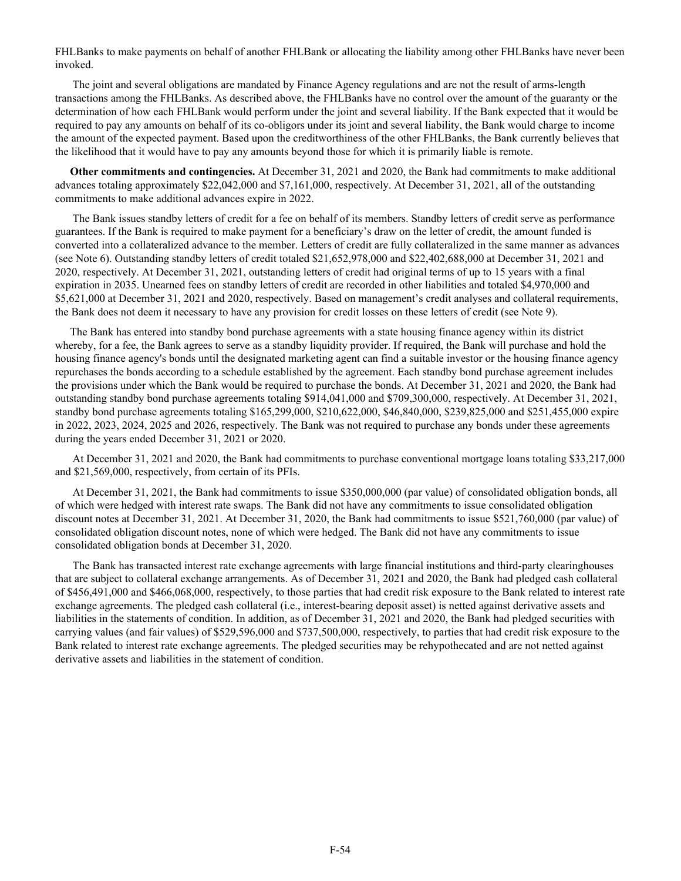FHLBanks to make payments on behalf of another FHLBank or allocating the liability among other FHLBanks have never been invoked.

The joint and several obligations are mandated by Finance Agency regulations and are not the result of arms-length transactions among the FHLBanks. As described above, the FHLBanks have no control over the amount of the guaranty or the determination of how each FHLBank would perform under the joint and several liability. If the Bank expected that it would be required to pay any amounts on behalf of its co-obligors under its joint and several liability, the Bank would charge to income the amount of the expected payment. Based upon the creditworthiness of the other FHLBanks, the Bank currently believes that the likelihood that it would have to pay any amounts beyond those for which it is primarily liable is remote.

**Other commitments and contingencies.** At December 31, 2021 and 2020, the Bank had commitments to make additional advances totaling approximately \$22,042,000 and \$7,161,000, respectively. At December 31, 2021, all of the outstanding commitments to make additional advances expire in 2022.

The Bank issues standby letters of credit for a fee on behalf of its members. Standby letters of credit serve as performance guarantees. If the Bank is required to make payment for a beneficiary's draw on the letter of credit, the amount funded is converted into a collateralized advance to the member. Letters of credit are fully collateralized in the same manner as advances (see Note 6). Outstanding standby letters of credit totaled \$21,652,978,000 and \$22,402,688,000 at December 31, 2021 and 2020, respectively. At December 31, 2021, outstanding letters of credit had original terms of up to 15 years with a final expiration in 2035. Unearned fees on standby letters of credit are recorded in other liabilities and totaled \$4,970,000 and \$5,621,000 at December 31, 2021 and 2020, respectively. Based on management's credit analyses and collateral requirements, the Bank does not deem it necessary to have any provision for credit losses on these letters of credit (see Note 9).

The Bank has entered into standby bond purchase agreements with a state housing finance agency within its district whereby, for a fee, the Bank agrees to serve as a standby liquidity provider. If required, the Bank will purchase and hold the housing finance agency's bonds until the designated marketing agent can find a suitable investor or the housing finance agency repurchases the bonds according to a schedule established by the agreement. Each standby bond purchase agreement includes the provisions under which the Bank would be required to purchase the bonds. At December 31, 2021 and 2020, the Bank had outstanding standby bond purchase agreements totaling \$914,041,000 and \$709,300,000, respectively. At December 31, 2021, standby bond purchase agreements totaling \$165,299,000, \$210,622,000, \$46,840,000, \$239,825,000 and \$251,455,000 expire in 2022, 2023, 2024, 2025 and 2026, respectively. The Bank was not required to purchase any bonds under these agreements during the years ended December 31, 2021 or 2020.

At December 31, 2021 and 2020, the Bank had commitments to purchase conventional mortgage loans totaling \$33,217,000 and \$21,569,000, respectively, from certain of its PFIs.

At December 31, 2021, the Bank had commitments to issue \$350,000,000 (par value) of consolidated obligation bonds, all of which were hedged with interest rate swaps. The Bank did not have any commitments to issue consolidated obligation discount notes at December 31, 2021. At December 31, 2020, the Bank had commitments to issue \$521,760,000 (par value) of consolidated obligation discount notes, none of which were hedged. The Bank did not have any commitments to issue consolidated obligation bonds at December 31, 2020.

The Bank has transacted interest rate exchange agreements with large financial institutions and third-party clearinghouses that are subject to collateral exchange arrangements. As of December 31, 2021 and 2020, the Bank had pledged cash collateral of \$456,491,000 and \$466,068,000, respectively, to those parties that had credit risk exposure to the Bank related to interest rate exchange agreements. The pledged cash collateral (i.e., interest-bearing deposit asset) is netted against derivative assets and liabilities in the statements of condition. In addition, as of December 31, 2021 and 2020, the Bank had pledged securities with carrying values (and fair values) of \$529,596,000 and \$737,500,000, respectively, to parties that had credit risk exposure to the Bank related to interest rate exchange agreements. The pledged securities may be rehypothecated and are not netted against derivative assets and liabilities in the statement of condition.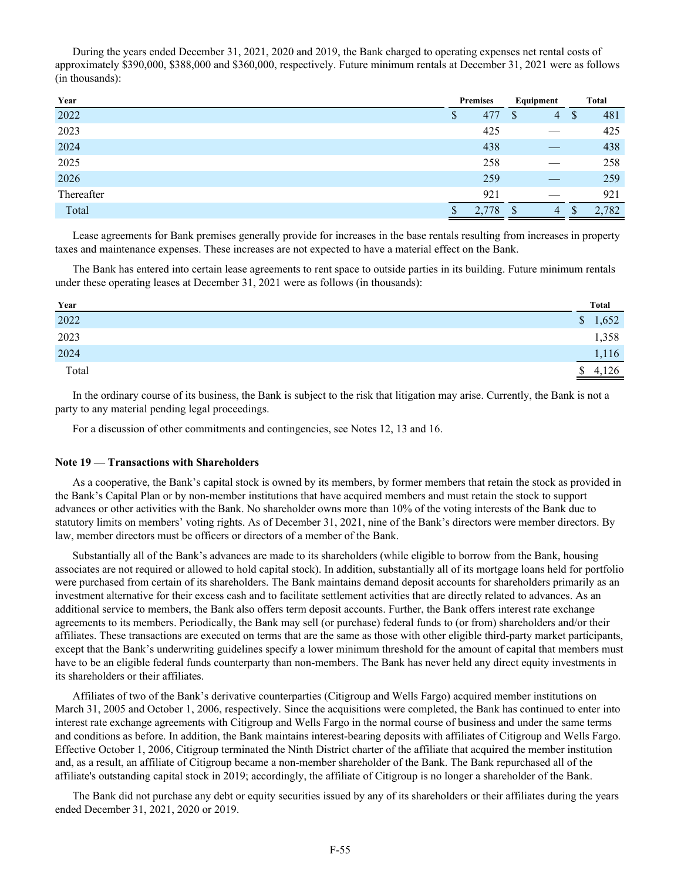During the years ended December 31, 2021, 2020 and 2019, the Bank charged to operating expenses net rental costs of approximately \$390,000, \$388,000 and \$360,000, respectively. Future minimum rentals at December 31, 2021 were as follows (in thousands):

| Year              | <b>Premises</b> |     | Equipment |                | <b>Total</b>  |       |  |
|-------------------|-----------------|-----|-----------|----------------|---------------|-------|--|
| $\overline{2022}$ | \$              | 477 | S         | $\overline{4}$ | <sup>\$</sup> | 481   |  |
| 2023              |                 | 425 |           |                |               | 425   |  |
| 2024              |                 | 438 |           |                |               | 438   |  |
| 2025              |                 | 258 |           |                |               | 258   |  |
| 2026              |                 | 259 |           |                |               | 259   |  |
| Thereafter        |                 | 921 |           |                |               | 921   |  |
| Total             |                 | /8  |           | 4              |               | 2,782 |  |

Lease agreements for Bank premises generally provide for increases in the base rentals resulting from increases in property taxes and maintenance expenses. These increases are not expected to have a material effect on the Bank.

The Bank has entered into certain lease agreements to rent space to outside parties in its building. Future minimum rentals under these operating leases at December 31, 2021 were as follows (in thousands):

| Year  | <b>Total</b> |
|-------|--------------|
| 2022  | 1,652<br>\$  |
| 2023  | 1,358        |
| 2024  | 1,116        |
| Total | \$4,126      |

In the ordinary course of its business, the Bank is subject to the risk that litigation may arise. Currently, the Bank is not a party to any material pending legal proceedings.

For a discussion of other commitments and contingencies, see Notes 12, 13 and 16.

#### **Note 19 — Transactions with Shareholders**

As a cooperative, the Bank's capital stock is owned by its members, by former members that retain the stock as provided in the Bank's Capital Plan or by non-member institutions that have acquired members and must retain the stock to support advances or other activities with the Bank. No shareholder owns more than 10% of the voting interests of the Bank due to statutory limits on members' voting rights. As of December 31, 2021, nine of the Bank's directors were member directors. By law, member directors must be officers or directors of a member of the Bank.

Substantially all of the Bank's advances are made to its shareholders (while eligible to borrow from the Bank, housing associates are not required or allowed to hold capital stock). In addition, substantially all of its mortgage loans held for portfolio were purchased from certain of its shareholders. The Bank maintains demand deposit accounts for shareholders primarily as an investment alternative for their excess cash and to facilitate settlement activities that are directly related to advances. As an additional service to members, the Bank also offers term deposit accounts. Further, the Bank offers interest rate exchange agreements to its members. Periodically, the Bank may sell (or purchase) federal funds to (or from) shareholders and/or their affiliates. These transactions are executed on terms that are the same as those with other eligible third-party market participants, except that the Bank's underwriting guidelines specify a lower minimum threshold for the amount of capital that members must have to be an eligible federal funds counterparty than non-members. The Bank has never held any direct equity investments in its shareholders or their affiliates.

Affiliates of two of the Bank's derivative counterparties (Citigroup and Wells Fargo) acquired member institutions on March 31, 2005 and October 1, 2006, respectively. Since the acquisitions were completed, the Bank has continued to enter into interest rate exchange agreements with Citigroup and Wells Fargo in the normal course of business and under the same terms and conditions as before. In addition, the Bank maintains interest-bearing deposits with affiliates of Citigroup and Wells Fargo. Effective October 1, 2006, Citigroup terminated the Ninth District charter of the affiliate that acquired the member institution and, as a result, an affiliate of Citigroup became a non-member shareholder of the Bank. The Bank repurchased all of the affiliate's outstanding capital stock in 2019; accordingly, the affiliate of Citigroup is no longer a shareholder of the Bank.

The Bank did not purchase any debt or equity securities issued by any of its shareholders or their affiliates during the years ended December 31, 2021, 2020 or 2019.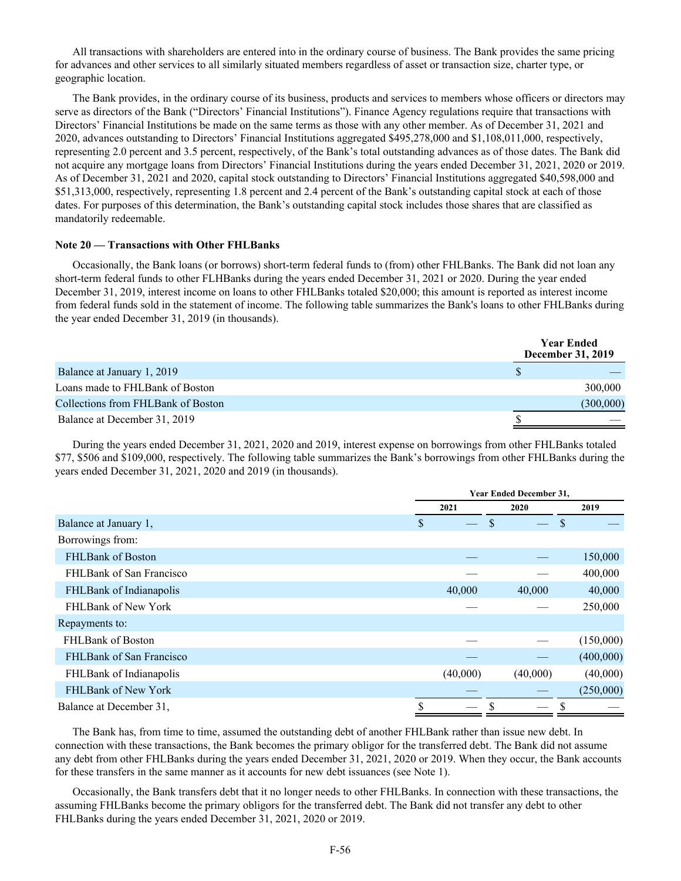All transactions with shareholders are entered into in the ordinary course of business. The Bank provides the same pricing for advances and other services to all similarly situated members regardless of asset or transaction size, charter type, or geographic location.

The Bank provides, in the ordinary course of its business, products and services to members whose officers or directors may serve as directors of the Bank ("Directors' Financial Institutions"). Finance Agency regulations require that transactions with Directors' Financial Institutions be made on the same terms as those with any other member. As of December 31, 2021 and 2020, advances outstanding to Directors' Financial Institutions aggregated \$495,278,000 and \$1,108,011,000, respectively, representing 2.0 percent and 3.5 percent, respectively, of the Bank's total outstanding advances as of those dates. The Bank did not acquire any mortgage loans from Directors' Financial Institutions during the years ended December 31, 2021, 2020 or 2019. As of December 31, 2021 and 2020, capital stock outstanding to Directors' Financial Institutions aggregated \$40,598,000 and \$51,313,000, respectively, representing 1.8 percent and 2.4 percent of the Bank's outstanding capital stock at each of those dates. For purposes of this determination, the Bank's outstanding capital stock includes those shares that are classified as mandatorily redeemable.

### **Note 20 — Transactions with Other FHLBanks**

Occasionally, the Bank loans (or borrows) short-term federal funds to (from) other FHLBanks. The Bank did not loan any short-term federal funds to other FLHBanks during the years ended December 31, 2021 or 2020. During the year ended December 31, 2019, interest income on loans to other FHLBanks totaled \$20,000; this amount is reported as interest income from federal funds sold in the statement of income. The following table summarizes the Bank's loans to other FHLBanks during the year ended December 31, 2019 (in thousands).

|                                    | <b>Year Ended</b><br><b>December 31, 2019</b> |  |
|------------------------------------|-----------------------------------------------|--|
| Balance at January 1, 2019         |                                               |  |
| Loans made to FHLBank of Boston    | 300,000                                       |  |
| Collections from FHLBank of Boston | (300,000)                                     |  |
| Balance at December 31, 2019       |                                               |  |

During the years ended December 31, 2021, 2020 and 2019, interest expense on borrowings from other FHLBanks totaled \$77, \$506 and \$109,000, respectively. The following table summarizes the Bank's borrowings from other FHLBanks during the years ended December 31, 2021, 2020 and 2019 (in thousands).

|                          |      | <b>Year Ended December 31,</b> |          |               |  |  |  |
|--------------------------|------|--------------------------------|----------|---------------|--|--|--|
|                          | 2021 |                                | 2020     | 2019          |  |  |  |
| Balance at January 1,    | \$   |                                |          | <sup>\$</sup> |  |  |  |
| Borrowings from:         |      |                                |          |               |  |  |  |
| <b>FHLBank of Boston</b> |      |                                |          | 150,000       |  |  |  |
| FHLBank of San Francisco |      |                                |          | 400,000       |  |  |  |
| FHLBank of Indianapolis  |      | 40,000                         | 40,000   | 40,000        |  |  |  |
| FHLBank of New York      |      |                                |          | 250,000       |  |  |  |
| Repayments to:           |      |                                |          |               |  |  |  |
| <b>FHLBank of Boston</b> |      |                                |          | (150,000)     |  |  |  |
| FHLBank of San Francisco |      |                                |          | (400,000)     |  |  |  |
| FHLBank of Indianapolis  |      | (40,000)                       | (40,000) | (40,000)      |  |  |  |
| FHLBank of New York      |      |                                |          | (250,000)     |  |  |  |
| Balance at December 31,  |      |                                |          |               |  |  |  |

The Bank has, from time to time, assumed the outstanding debt of another FHLBank rather than issue new debt. In connection with these transactions, the Bank becomes the primary obligor for the transferred debt. The Bank did not assume any debt from other FHLBanks during the years ended December 31, 2021, 2020 or 2019. When they occur, the Bank accounts for these transfers in the same manner as it accounts for new debt issuances (see Note 1).

Occasionally, the Bank transfers debt that it no longer needs to other FHLBanks. In connection with these transactions, the assuming FHLBanks become the primary obligors for the transferred debt. The Bank did not transfer any debt to other FHLBanks during the years ended December 31, 2021, 2020 or 2019.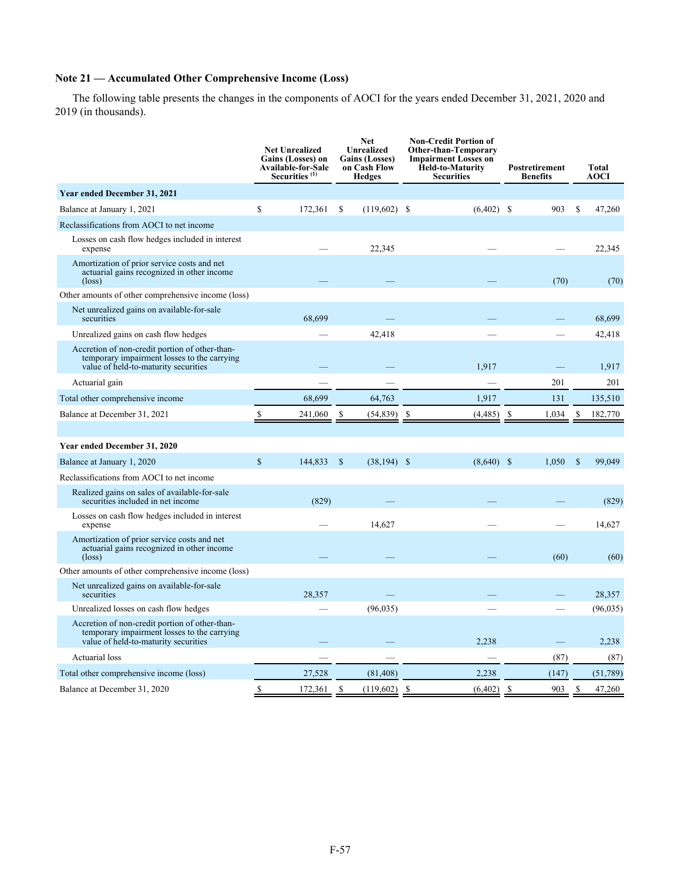# **Note 21 — Accumulated Other Comprehensive Income (Loss)**

The following table presents the changes in the components of AOCI for the years ended December 31, 2021, 2020 and 2019 (in thousands).

|                                                                                                                                       |               | <b>Net Unrealized</b><br><b>Gains (Losses) on</b><br>Available-for-Sale<br>Securities <sup>(1)</sup> | Unrealized<br><b>Gains (Losses)</b><br>on Cash Flow<br><b>Hedges</b> |                |                           |                     |               |           | <b>Net</b> |  |  |  | <b>Non-Credit Portion of</b><br><b>Other-than-Temporary</b><br><b>Impairment Losses on</b><br><b>Held-to-Maturity</b><br><b>Securities</b> | Postretirement<br><b>Benefits</b> |  | <b>Total</b><br><b>AOCI</b> |
|---------------------------------------------------------------------------------------------------------------------------------------|---------------|------------------------------------------------------------------------------------------------------|----------------------------------------------------------------------|----------------|---------------------------|---------------------|---------------|-----------|------------|--|--|--|--------------------------------------------------------------------------------------------------------------------------------------------|-----------------------------------|--|-----------------------------|
| Year ended December 31, 2021                                                                                                          |               |                                                                                                      |                                                                      |                |                           |                     |               |           |            |  |  |  |                                                                                                                                            |                                   |  |                             |
| Balance at January 1, 2021                                                                                                            | \$            | 172,361                                                                                              | \$                                                                   | $(119,602)$ \$ | $(6,402)$ \$              | 903                 | S             | 47,260    |            |  |  |  |                                                                                                                                            |                                   |  |                             |
| Reclassifications from AOCI to net income                                                                                             |               |                                                                                                      |                                                                      |                |                           |                     |               |           |            |  |  |  |                                                                                                                                            |                                   |  |                             |
| Losses on cash flow hedges included in interest<br>expense                                                                            |               |                                                                                                      |                                                                      | 22,345         |                           |                     |               | 22,345    |            |  |  |  |                                                                                                                                            |                                   |  |                             |
| Amortization of prior service costs and net<br>actuarial gains recognized in other income<br>$(\text{loss})$                          |               |                                                                                                      |                                                                      |                |                           | (70)                |               | (70)      |            |  |  |  |                                                                                                                                            |                                   |  |                             |
| Other amounts of other comprehensive income (loss)                                                                                    |               |                                                                                                      |                                                                      |                |                           |                     |               |           |            |  |  |  |                                                                                                                                            |                                   |  |                             |
| Net unrealized gains on available-for-sale<br>securities                                                                              |               | 68.699                                                                                               |                                                                      |                |                           |                     |               | 68,699    |            |  |  |  |                                                                                                                                            |                                   |  |                             |
| Unrealized gains on cash flow hedges                                                                                                  |               |                                                                                                      |                                                                      | 42,418         |                           |                     |               | 42,418    |            |  |  |  |                                                                                                                                            |                                   |  |                             |
| Accretion of non-credit portion of other-than-<br>temporary impairment losses to the carrying<br>value of held-to-maturity securities |               |                                                                                                      |                                                                      |                | 1.917                     |                     |               | 1,917     |            |  |  |  |                                                                                                                                            |                                   |  |                             |
| Actuarial gain                                                                                                                        |               |                                                                                                      |                                                                      |                |                           | 201                 |               | 201       |            |  |  |  |                                                                                                                                            |                                   |  |                             |
| Total other comprehensive income                                                                                                      |               | 68,699                                                                                               |                                                                      | 64,763         | 1,917                     | 131                 |               | 135,510   |            |  |  |  |                                                                                                                                            |                                   |  |                             |
| Balance at December 31, 2021                                                                                                          | \$            | 241,060                                                                                              | \$                                                                   | (54, 839)      | \$<br>(4, 485)            | -S<br>1,034         | \$            | 182,770   |            |  |  |  |                                                                                                                                            |                                   |  |                             |
|                                                                                                                                       |               |                                                                                                      |                                                                      |                |                           |                     |               |           |            |  |  |  |                                                                                                                                            |                                   |  |                             |
| Year ended December 31, 2020                                                                                                          |               |                                                                                                      |                                                                      |                |                           |                     |               |           |            |  |  |  |                                                                                                                                            |                                   |  |                             |
| Balance at January 1, 2020                                                                                                            | <sup>\$</sup> | 144,833                                                                                              | \$                                                                   | $(38, 194)$ \$ | $(8,640)$ \$              | 1,050               | <sup>\$</sup> | 99,049    |            |  |  |  |                                                                                                                                            |                                   |  |                             |
| Reclassifications from AOCI to net income                                                                                             |               |                                                                                                      |                                                                      |                |                           |                     |               |           |            |  |  |  |                                                                                                                                            |                                   |  |                             |
| Realized gains on sales of available-for-sale<br>securities included in net income                                                    |               | (829)                                                                                                |                                                                      |                |                           |                     |               | (829)     |            |  |  |  |                                                                                                                                            |                                   |  |                             |
| Losses on cash flow hedges included in interest<br>expense                                                                            |               |                                                                                                      |                                                                      | 14,627         |                           |                     |               | 14,627    |            |  |  |  |                                                                                                                                            |                                   |  |                             |
| Amortization of prior service costs and net<br>actuarial gains recognized in other income<br>$(\text{loss})$                          |               |                                                                                                      |                                                                      |                |                           | (60)                |               | (60)      |            |  |  |  |                                                                                                                                            |                                   |  |                             |
| Other amounts of other comprehensive income (loss)                                                                                    |               |                                                                                                      |                                                                      |                |                           |                     |               |           |            |  |  |  |                                                                                                                                            |                                   |  |                             |
| Net unrealized gains on available-for-sale<br>securities                                                                              |               | 28,357                                                                                               |                                                                      |                |                           |                     |               | 28,357    |            |  |  |  |                                                                                                                                            |                                   |  |                             |
| Unrealized losses on cash flow hedges                                                                                                 |               |                                                                                                      |                                                                      | (96, 035)      |                           |                     |               | (96, 035) |            |  |  |  |                                                                                                                                            |                                   |  |                             |
| Accretion of non-credit portion of other-than-<br>temporary impairment losses to the carrying<br>value of held-to-maturity securities |               |                                                                                                      |                                                                      |                | 2,238                     |                     |               | 2,238     |            |  |  |  |                                                                                                                                            |                                   |  |                             |
| Actuarial loss                                                                                                                        |               |                                                                                                      |                                                                      |                |                           | (87)                |               | (87)      |            |  |  |  |                                                                                                                                            |                                   |  |                             |
| Total other comprehensive income (loss)                                                                                               |               | 27,528                                                                                               |                                                                      | (81, 408)      | 2,238                     | (147)               |               | (51, 789) |            |  |  |  |                                                                                                                                            |                                   |  |                             |
| Balance at December 31, 2020                                                                                                          | \$            | 172,361                                                                                              | \$                                                                   | (119,602)      | <sup>\$</sup><br>(6, 402) | <sup>S</sup><br>903 | $\mathbf S$   | 47,260    |            |  |  |  |                                                                                                                                            |                                   |  |                             |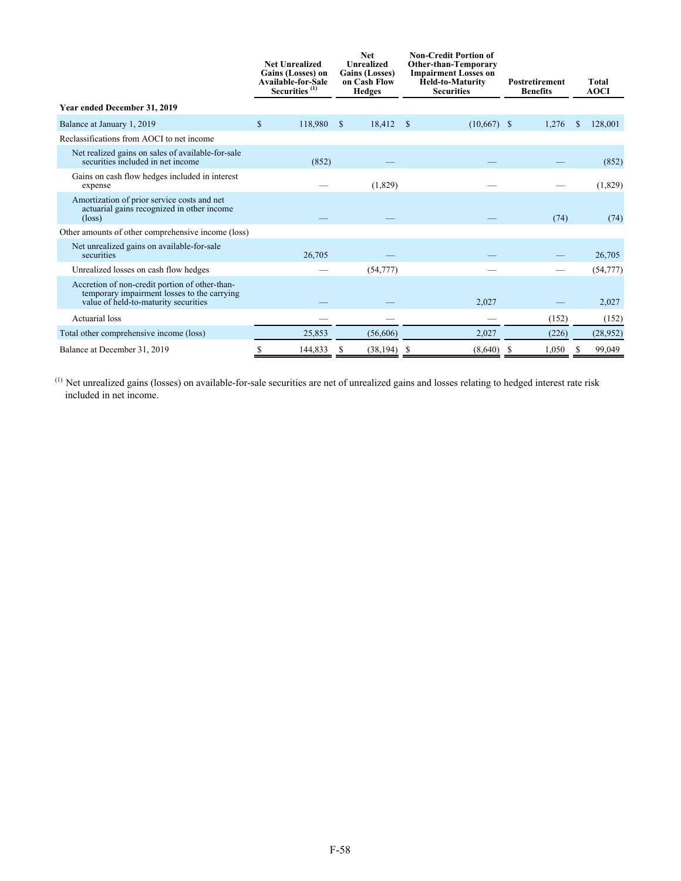|                                                                                                                                       | <b>Net Unrealized</b><br>Gains (Losses) on<br><b>Available-for-Sale</b><br>Securities <sup>(1)</sup> |         | <b>Net</b><br><b>Unrealized</b><br><b>Gains (Losses)</b><br>on Cash Flow<br><b>Hedges</b> |                | <b>Non-Credit Portion of</b><br>Other-than-Temporary<br><b>Impairment Losses on</b><br>Held-to-Maturity<br><b>Securities</b> |               | <b>Postretirement</b><br><b>Benefits</b> |       | <b>Total</b><br><b>AOCI</b> |           |
|---------------------------------------------------------------------------------------------------------------------------------------|------------------------------------------------------------------------------------------------------|---------|-------------------------------------------------------------------------------------------|----------------|------------------------------------------------------------------------------------------------------------------------------|---------------|------------------------------------------|-------|-----------------------------|-----------|
| Year ended December 31, 2019                                                                                                          |                                                                                                      |         |                                                                                           |                |                                                                                                                              |               |                                          |       |                             |           |
| Balance at January 1, 2019                                                                                                            | \$                                                                                                   | 118,980 | $\mathbf{s}$                                                                              | $18,412$ \$    |                                                                                                                              | $(10,667)$ \$ |                                          | 1,276 | S                           | 128,001   |
| Reclassifications from AOCI to net income                                                                                             |                                                                                                      |         |                                                                                           |                |                                                                                                                              |               |                                          |       |                             |           |
| Net realized gains on sales of available-for-sale<br>securities included in net income                                                |                                                                                                      | (852)   |                                                                                           |                |                                                                                                                              |               |                                          |       |                             | (852)     |
| Gains on cash flow hedges included in interest<br>expense                                                                             |                                                                                                      |         |                                                                                           | (1,829)        |                                                                                                                              |               |                                          |       |                             | (1,829)   |
| Amortization of prior service costs and net<br>actuarial gains recognized in other income<br>$(\text{loss})$                          |                                                                                                      |         |                                                                                           |                |                                                                                                                              |               |                                          | (74)  |                             | (74)      |
| Other amounts of other comprehensive income (loss)                                                                                    |                                                                                                      |         |                                                                                           |                |                                                                                                                              |               |                                          |       |                             |           |
| Net unrealized gains on available-for-sale<br>securities                                                                              |                                                                                                      | 26,705  |                                                                                           |                |                                                                                                                              |               |                                          |       |                             | 26,705    |
| Unrealized losses on cash flow hedges                                                                                                 |                                                                                                      |         |                                                                                           | (54, 777)      |                                                                                                                              |               |                                          |       |                             | (54, 777) |
| Accretion of non-credit portion of other-than-<br>temporary impairment losses to the carrying<br>value of held-to-maturity securities |                                                                                                      |         |                                                                                           |                |                                                                                                                              | 2,027         |                                          |       |                             | 2,027     |
| Actuarial loss                                                                                                                        |                                                                                                      |         |                                                                                           |                |                                                                                                                              |               |                                          | (152) |                             | (152)     |
| Total other comprehensive income (loss)                                                                                               |                                                                                                      | 25,853  |                                                                                           | (56,606)       |                                                                                                                              | 2,027         |                                          | (226) |                             | (28,952)  |
| Balance at December 31, 2019                                                                                                          |                                                                                                      | 144,833 | S                                                                                         | $(38, 194)$ \$ |                                                                                                                              | (8,640)       | -S                                       | 1,050 | S                           | 99,049    |

 $<sup>(1)</sup>$  Net unrealized gains (losses) on available-for-sale securities are net of unrealized gains and losses relating to hedged interest rate risk</sup> included in net income.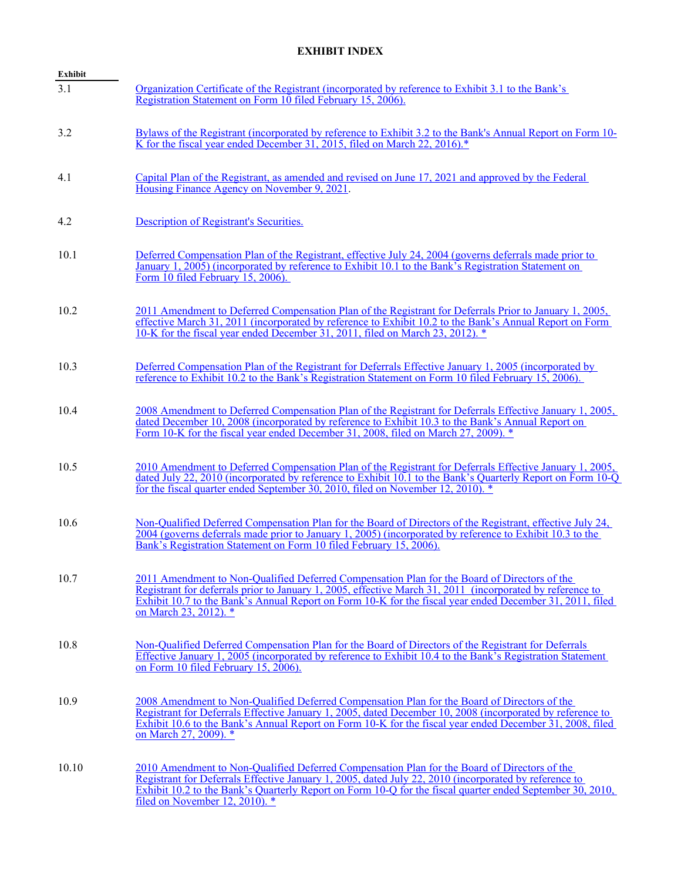## **EXHIBIT INDEX**

| <b>Exhibit</b> |                                                                                                                                                                                                                                                                                                                                                        |
|----------------|--------------------------------------------------------------------------------------------------------------------------------------------------------------------------------------------------------------------------------------------------------------------------------------------------------------------------------------------------------|
| 3.1            | Organization Certificate of the Registrant (incorporated by reference to Exhibit 3.1 to the Bank's<br>Registration Statement on Form 10 filed February 15, 2006).                                                                                                                                                                                      |
| 3.2            | Bylaws of the Registrant (incorporated by reference to Exhibit 3.2 to the Bank's Annual Report on Form 10-<br>K for the fiscal year ended December 31, 2015, filed on March 22, 2016).*                                                                                                                                                                |
| 4.1            | Capital Plan of the Registrant, as amended and revised on June 17, 2021 and approved by the Federal<br>Housing Finance Agency on November 9, 2021.                                                                                                                                                                                                     |
| 4.2            | Description of Registrant's Securities.                                                                                                                                                                                                                                                                                                                |
| 10.1           | Deferred Compensation Plan of the Registrant, effective July 24, 2004 (governs deferrals made prior to<br>January 1, 2005) (incorporated by reference to Exhibit 10.1 to the Bank's Registration Statement on<br>Form 10 filed February 15, 2006).                                                                                                     |
| 10.2           | 2011 Amendment to Deferred Compensation Plan of the Registrant for Deferrals Prior to January 1, 2005,<br>effective March 31, 2011 (incorporated by reference to Exhibit 10.2 to the Bank's Annual Report on Form<br>10-K for the fiscal year ended December 31, 2011, filed on March 23, 2012). *                                                     |
| 10.3           | Deferred Compensation Plan of the Registrant for Deferrals Effective January 1, 2005 (incorporated by<br>reference to Exhibit 10.2 to the Bank's Registration Statement on Form 10 filed February 15, 2006).                                                                                                                                           |
| 10.4           | 2008 Amendment to Deferred Compensation Plan of the Registrant for Deferrals Effective January 1, 2005,<br>dated December 10, 2008 (incorporated by reference to Exhibit 10.3 to the Bank's Annual Report on<br>Form 10-K for the fiscal year ended December 31, 2008, filed on March 27, 2009). *                                                     |
| 10.5           | 2010 Amendment to Deferred Compensation Plan of the Registrant for Deferrals Effective January 1, 2005,<br>dated July 22, 2010 (incorporated by reference to Exhibit 10.1 to the Bank's Quarterly Report on Form 10-Q<br>for the fiscal quarter ended September 30, 2010, filed on November 12, 2010).                                                 |
| 10.6           | Non-Oualified Deferred Compensation Plan for the Board of Directors of the Registrant, effective July 24,<br>2004 (governs deferrals made prior to January 1, 2005) (incorporated by reference to Exhibit 10.3 to the<br>Bank's Registration Statement on Form 10 filed February 15, 2006).                                                            |
| 10.7           | 2011 Amendment to Non-Qualified Deferred Compensation Plan for the Board of Directors of the<br>Registrant for deferrals prior to January 1, 2005, effective March 31, 2011 (incorporated by reference to<br>Exhibit 10.7 to the Bank's Annual Report on Form 10-K for the fiscal year ended December 31, 2011, filed<br>on March 23, 2012). *         |
| 10.8           | Non-Qualified Deferred Compensation Plan for the Board of Directors of the Registrant for Deferrals<br>Effective January 1, 2005 (incorporated by reference to Exhibit 10.4 to the Bank's Registration Statement<br>on Form 10 filed February 15, 2006).                                                                                               |
| 10.9           | 2008 Amendment to Non-Qualified Deferred Compensation Plan for the Board of Directors of the<br>Registrant for Deferrals Effective January 1, 2005, dated December 10, 2008 (incorporated by reference to<br>Exhibit 10.6 to the Bank's Annual Report on Form 10-K for the fiscal year ended December 31, 2008, filed<br>on March 27, 2009). *         |
| 10.10          | 2010 Amendment to Non-Qualified Deferred Compensation Plan for the Board of Directors of the<br>Registrant for Deferrals Effective January 1, 2005, dated July 22, 2010 (incorporated by reference to<br>Exhibit 10.2 to the Bank's Quarterly Report on Form 10-Q for the fiscal quarter ended September 30, 2010,<br>filed on November 12, 2010). $*$ |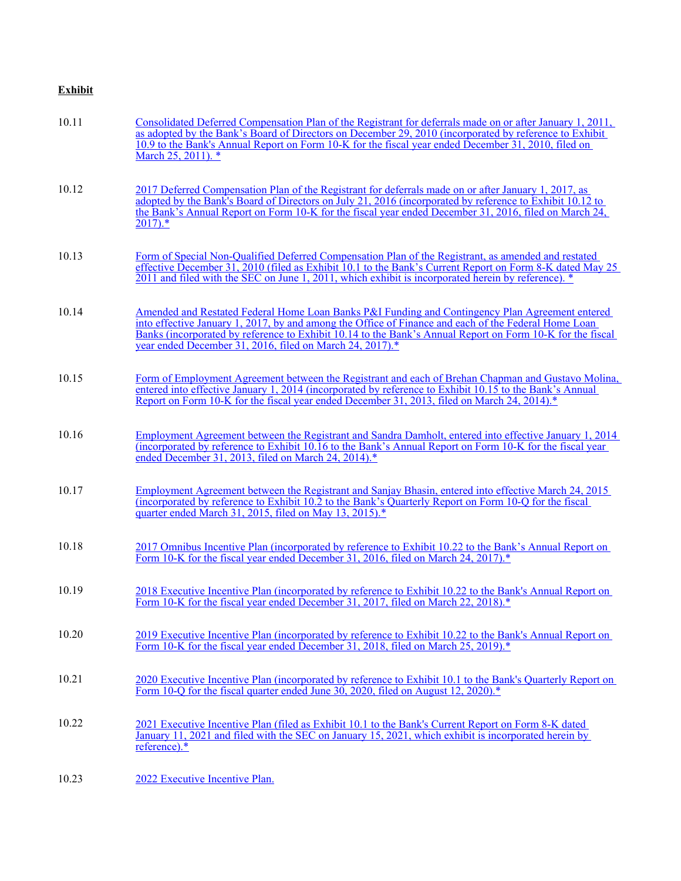# **Exhibit**

| 10.11 | Consolidated Deferred Compensation Plan of the Registrant for deferrals made on or after January 1, 2011,<br>as adopted by the Bank's Board of Directors on December 29, 2010 (incorporated by reference to Exhibit<br>10.9 to the Bank's Annual Report on Form 10-K for the fiscal year ended December 31, 2010, filed on<br>March 25, 2011). *                                 |
|-------|----------------------------------------------------------------------------------------------------------------------------------------------------------------------------------------------------------------------------------------------------------------------------------------------------------------------------------------------------------------------------------|
| 10.12 | 2017 Deferred Compensation Plan of the Registrant for deferrals made on or after January 1, 2017, as<br>adopted by the Bank's Board of Directors on July 21, 2016 (incorporated by reference to Exhibit 10.12 to<br>the Bank's Annual Report on Form 10-K for the fiscal year ended December 31, 2016, filed on March 24,<br>$2017$ ).*                                          |
| 10.13 | Form of Special Non-Qualified Deferred Compensation Plan of the Registrant, as amended and restated<br>effective December 31, 2010 (filed as Exhibit 10.1 to the Bank's Current Report on Form 8-K dated May 25<br>2011 and filed with the SEC on June 1, 2011, which exhibit is incorporated herein by reference). *                                                            |
| 10.14 | Amended and Restated Federal Home Loan Banks P&I Funding and Contingency Plan Agreement entered<br>into effective January 1, 2017, by and among the Office of Finance and each of the Federal Home Loan<br>Banks (incorporated by reference to Exhibit 10.14 to the Bank's Annual Report on Form 10-K for the fiscal<br>year ended December 31, 2016, filed on March 24, 2017).* |
| 10.15 | Form of Employment Agreement between the Registrant and each of Brehan Chapman and Gustavo Molina,<br>entered into effective January 1, 2014 (incorporated by reference to Exhibit 10.15 to the Bank's Annual<br>Report on Form 10-K for the fiscal year ended December 31, 2013, filed on March 24, 2014). <sup>*</sup>                                                         |
| 10.16 | Employment Agreement between the Registrant and Sandra Damholt, entered into effective January 1, 2014<br>(incorporated by reference to Exhibit 10.16 to the Bank's Annual Report on Form 10-K for the fiscal year<br>ended December 31, 2013, filed on March 24, 2014).*                                                                                                        |
| 10.17 | Employment Agreement between the Registrant and Sanjay Bhasin, entered into effective March 24, 2015<br>(incorporated by reference to Exhibit 10.2 to the Bank's Quarterly Report on Form 10-Q for the fiscal<br>quarter ended March 31, 2015, filed on May 13, 2015). <sup>*</sup>                                                                                              |
| 10.18 | 2017 Omnibus Incentive Plan (incorporated by reference to Exhibit 10.22 to the Bank's Annual Report on<br>Form 10-K for the fiscal year ended December 31, 2016, filed on March 24, 2017).*                                                                                                                                                                                      |
| 10.19 | 2018 Executive Incentive Plan (incorporated by reference to Exhibit 10.22 to the Bank's Annual Report on<br>Form 10-K for the fiscal year ended December 31, 2017, filed on March 22, 2018). <sup>*</sup>                                                                                                                                                                        |
| 10.20 | 2019 Executive Incentive Plan (incorporated by reference to Exhibit 10.22 to the Bank's Annual Report on<br>Form 10-K for the fiscal year ended December 31, 2018, filed on March 25, 2019).*                                                                                                                                                                                    |
| 10.21 | 2020 Executive Incentive Plan (incorporated by reference to Exhibit 10.1 to the Bank's Quarterly Report on<br>Form 10-Q for the fiscal quarter ended June 30, 2020, filed on August 12, 2020). <sup>*</sup>                                                                                                                                                                      |
| 10.22 | 2021 Executive Incentive Plan (filed as Exhibit 10.1 to the Bank's Current Report on Form 8-K dated<br>January 11, 2021 and filed with the SEC on January 15, 2021, which exhibit is incorporated herein by<br>reference). $*$                                                                                                                                                   |
| 10.23 | 2022 Executive Incentive Plan.                                                                                                                                                                                                                                                                                                                                                   |